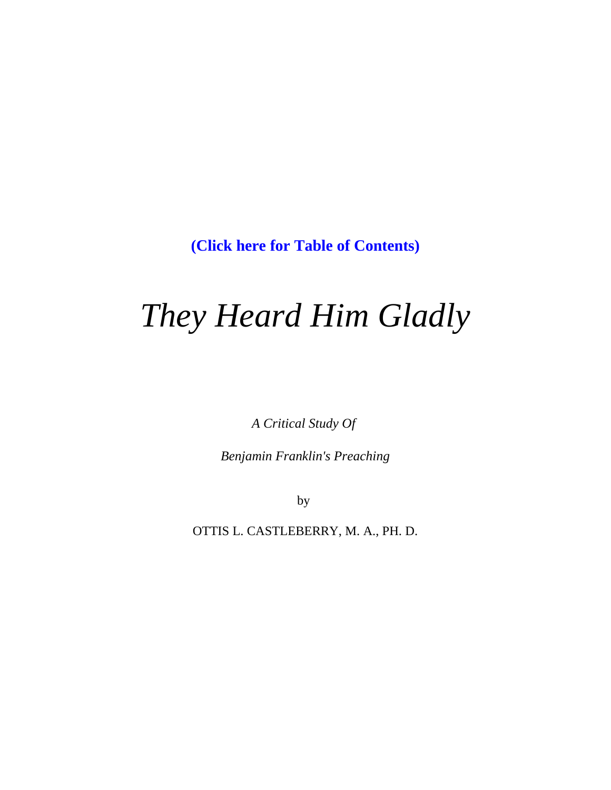**[\(Click here for Table of Contents\)](#page-5-0)**

# *They Heard Him Gladly*

*A Critical Study Of* 

*Benjamin Franklin's Preaching*

by

OTTIS L. CASTLEBERRY, M. A., PH. D.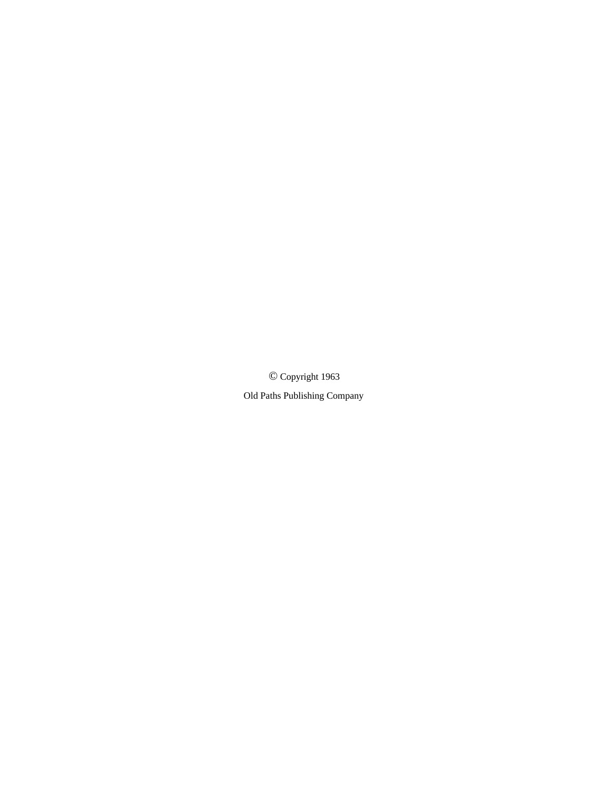© Copyright 1963

Old Paths Publishing Company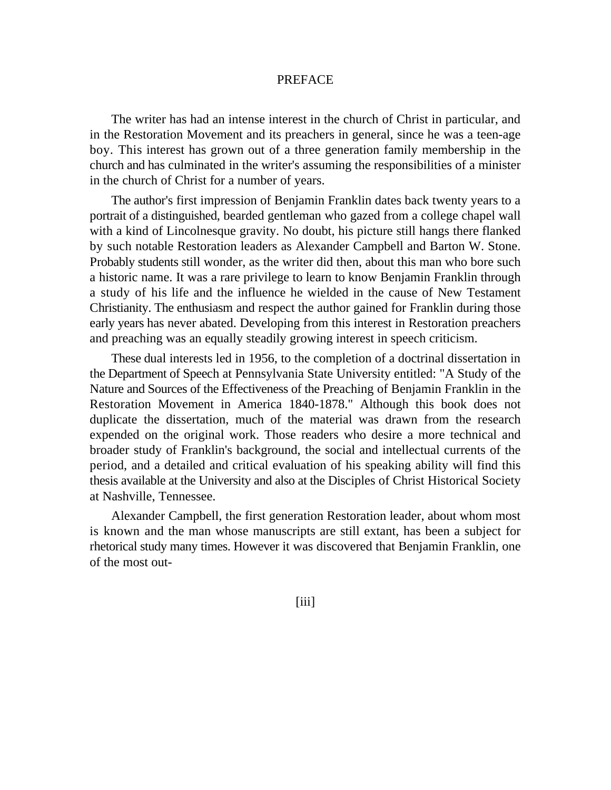#### PREFACE

The writer has had an intense interest in the church of Christ in particular, and in the Restoration Movement and its preachers in general, since he was a teen-age boy. This interest has grown out of a three generation family membership in the church and has culminated in the writer's assuming the responsibilities of a minister in the church of Christ for a number of years.

The author's first impression of Benjamin Franklin dates back twenty years to a portrait of a distinguished, bearded gentleman who gazed from a college chapel wall with a kind of Lincolnesque gravity. No doubt, his picture still hangs there flanked by such notable Restoration leaders as Alexander Campbell and Barton W. Stone. Probably students still wonder, as the writer did then, about this man who bore such a historic name. It was a rare privilege to learn to know Benjamin Franklin through a study of his life and the influence he wielded in the cause of New Testament Christianity. The enthusiasm and respect the author gained for Franklin during those early years has never abated. Developing from this interest in Restoration preachers and preaching was an equally steadily growing interest in speech criticism.

These dual interests led in 1956, to the completion of a doctrinal dissertation in the Department of Speech at Pennsylvania State University entitled: "A Study of the Nature and Sources of the Effectiveness of the Preaching of Benjamin Franklin in the Restoration Movement in America 1840-1878." Although this book does not duplicate the dissertation, much of the material was drawn from the research expended on the original work. Those readers who desire a more technical and broader study of Franklin's background, the social and intellectual currents of the period, and a detailed and critical evaluation of his speaking ability will find this thesis available at the University and also at the Disciples of Christ Historical Society at Nashville, Tennessee.

Alexander Campbell, the first generation Restoration leader, about whom most is known and the man whose manuscripts are still extant, has been a subject for rhetorical study many times. However it was discovered that Benjamin Franklin, one of the most out-

[iii]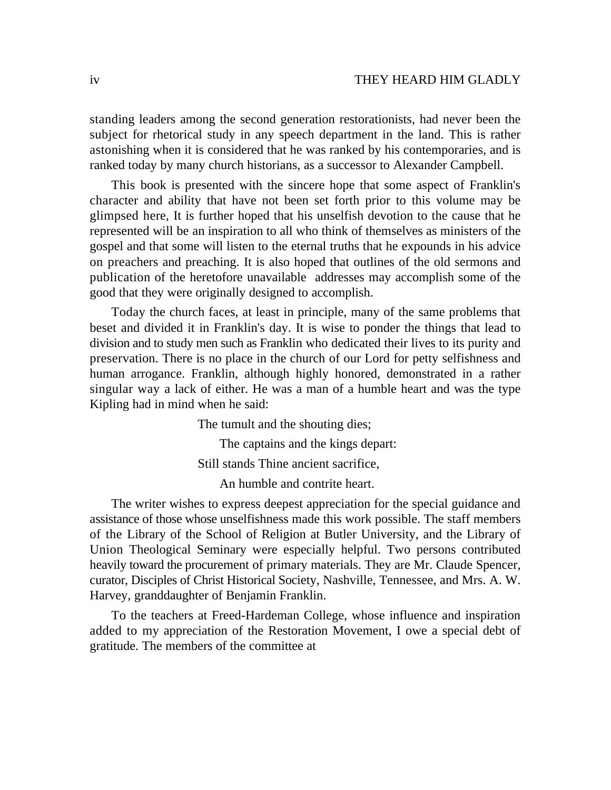standing leaders among the second generation restorationists, had never been the subject for rhetorical study in any speech department in the land. This is rather astonishing when it is considered that he was ranked by his contemporaries, and is ranked today by many church historians, as a successor to Alexander Campbell.

This book is presented with the sincere hope that some aspect of Franklin's character and ability that have not been set forth prior to this volume may be glimpsed here, It is further hoped that his unselfish devotion to the cause that he represented will be an inspiration to all who think of themselves as ministers of the gospel and that some will listen to the eternal truths that he expounds in his advice on preachers and preaching. It is also hoped that outlines of the old sermons and publication of the heretofore unavailable addresses may accomplish some of the good that they were originally designed to accomplish.

Today the church faces, at least in principle, many of the same problems that beset and divided it in Franklin's day. It is wise to ponder the things that lead to division and to study men such as Franklin who dedicated their lives to its purity and preservation. There is no place in the church of our Lord for petty selfishness and human arrogance. Franklin, although highly honored, demonstrated in a rather singular way a lack of either. He was a man of a humble heart and was the type Kipling had in mind when he said:

> The tumult and the shouting dies; The captains and the kings depart: Still stands Thine ancient sacrifice, An humble and contrite heart.

The writer wishes to express deepest appreciation for the special guidance and assistance of those whose unselfishness made this work possible. The staff members of the Library of the School of Religion at Butler University, and the Library of Union Theological Seminary were especially helpful. Two persons contributed heavily toward the procurement of primary materials. They are Mr. Claude Spencer, curator, Disciples of Christ Historical Society, Nashville, Tennessee, and Mrs. A. W. Harvey, granddaughter of Benjamin Franklin.

To the teachers at Freed-Hardeman College, whose influence and inspiration added to my appreciation of the Restoration Movement, I owe a special debt of gratitude. The members of the committee at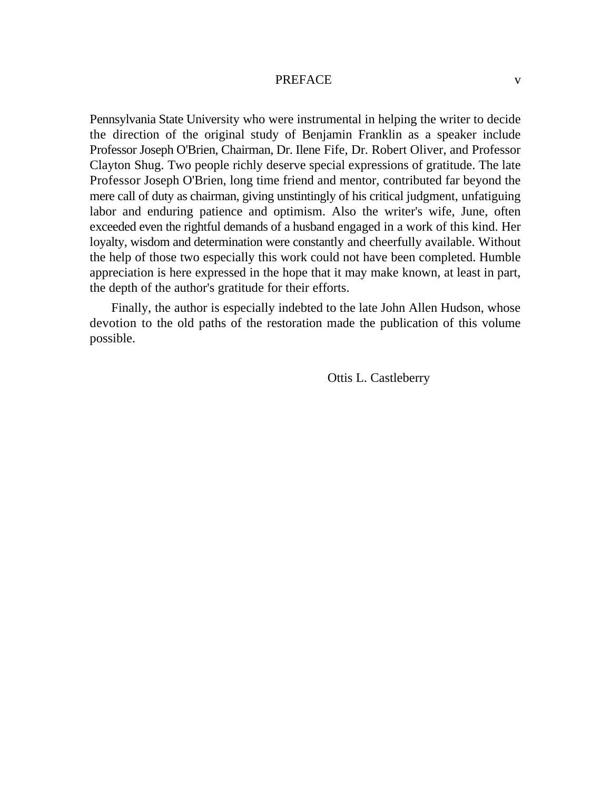#### PREFACE v

Pennsylvania State University who were instrumental in helping the writer to decide the direction of the original study of Benjamin Franklin as a speaker include Professor Joseph O'Brien, Chairman, Dr. Ilene Fife, Dr. Robert Oliver, and Professor Clayton Shug. Two people richly deserve special expressions of gratitude. The late Professor Joseph O'Brien, long time friend and mentor, contributed far beyond the mere call of duty as chairman, giving unstintingly of his critical judgment, unfatiguing labor and enduring patience and optimism. Also the writer's wife, June, often exceeded even the rightful demands of a husband engaged in a work of this kind. Her loyalty, wisdom and determination were constantly and cheerfully available. Without the help of those two especially this work could not have been completed. Humble appreciation is here expressed in the hope that it may make known, at least in part, the depth of the author's gratitude for their efforts.

Finally, the author is especially indebted to the late John Allen Hudson, whose devotion to the old paths of the restoration made the publication of this volume possible.

Ottis L. Castleberry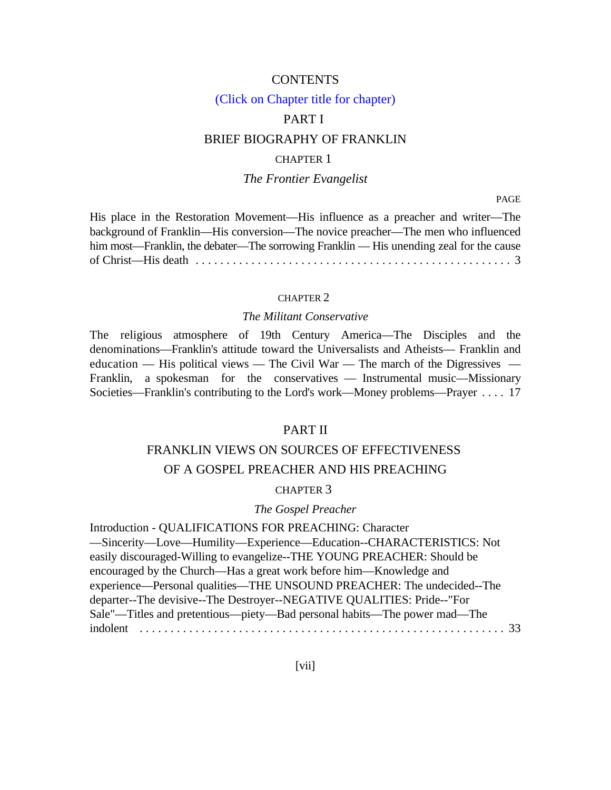#### **CONTENTS**

#### (Click on Chapter title for chapter)

#### PART I

#### BRIEF BIOGRAPHY OF FRANKLIN

#### CHAPTER 1

#### *The Frontier Evangelist*

PAGE

<span id="page-5-0"></span>His place in the Restoration Movement—His influence as a preacher and writer—The [background of Franklin—His conversion—The novice preacher—The men who influenced](#page-9-0) him most—Franklin, the debater—The sorrowing Franklin — His unending zeal for the cause of Christ—His death ................................................... 3

#### CHAPTER 2

#### *The Militant Conservative*

The religious atmosphere of 19th Century America—The Disciples and the denominations—Franklin's attitude toward the Universalists and Atheists— Franklin and education — His political views — The Civil War — The march of the Digressives — [Franklin, a spokesman for the conservatives — Instrumental music—Missionary](#page-22-0) Societies—Franklin's contributing to the Lord's work—Money problems—Prayer .... 17

#### PART II

### FRANKLIN VIEWS ON SOURCES OF EFFECTIVENESS OF A GOSPEL PREACHER AND HIS PREACHING

#### CHAPTER 3

#### *The Gospel Preacher*

Introduction - QUALIFICATIONS FOR PREACHING: Character —Sincerity—Love—Humility—Experience—Education--CHARACTERISTICS: Not easily discouraged-Willing to evangelize--THE YOUNG PREACHER: Should be encouraged by the Church—Has a great work before him—Knowledge and experience—Personal qualities—THE UNSOUND PREACHER: The undecided--The departer--The devisive--The Destroyer--NEGATIVE QUALITIES: Pride--"For Sale"—Titles and pretentious—piety—Bad personal habits—The power mad—The [indolent ...........................................................](#page-36-0) 33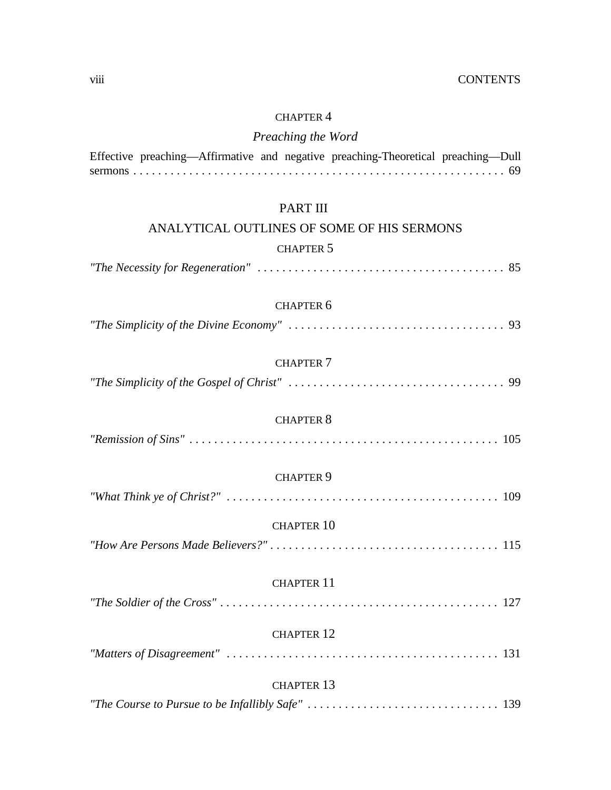#### CHAPTER 4

#### *Preaching the Word*

|  |  | Effective preaching—Affirmative and negative preaching-Theoretical preaching—Dull |  |
|--|--|-----------------------------------------------------------------------------------|--|
|  |  |                                                                                   |  |

#### PART III

### [ANALYTICAL OUTLINES OF SOME OF HIS SERMONS](#page-85-0) CHAPTER 5

|--|--|--|

#### CHAPTER 6

#### CHAPTER 7

|--|--|

#### CHAPTER 8

#### CHAPTER 9

|--|--|--|

#### CHAPTER 10

*"How Are Persons Made Believers?"* [.....................................](#page-114-0) 115

#### CHAPTER 11

|--|--|--|

#### CHAPTER 12

|--|--|--|

#### CHAPTER 13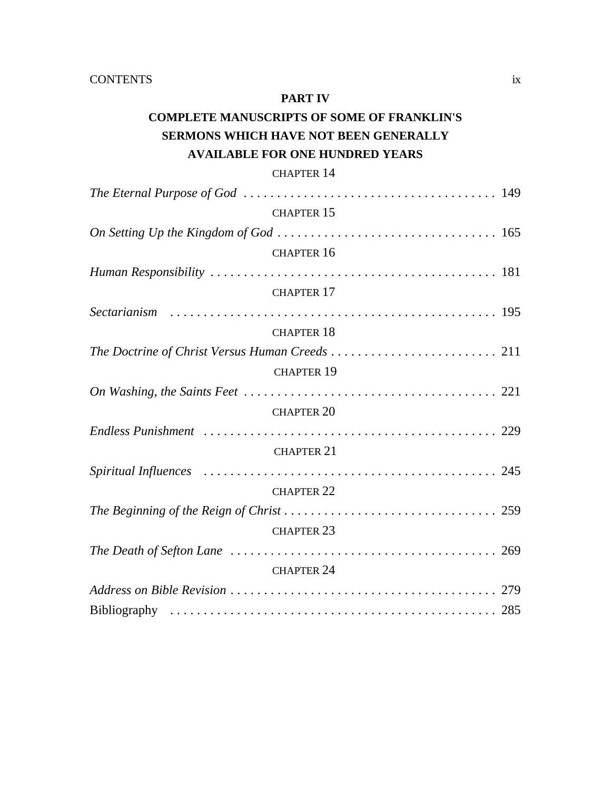#### **PART IV**

# **COMPLETE MANUSCRIPTS OF SOME OF FRANKLIN'S SERMONS WHICH HAVE NOT BEEN GENERALLY AVAILABLE FOR ONE HUNDRED YEARS**

#### CHAPTER 14

| <b>CHAPTER 15</b> |  |
|-------------------|--|
|                   |  |
| <b>CHAPTER 16</b> |  |
|                   |  |
| <b>CHAPTER 17</b> |  |
|                   |  |
| <b>CHAPTER 18</b> |  |
|                   |  |
| <b>CHAPTER 19</b> |  |
|                   |  |
| <b>CHAPTER 20</b> |  |
|                   |  |
| <b>CHAPTER 21</b> |  |
|                   |  |
| <b>CHAPTER 22</b> |  |
|                   |  |
| <b>CHAPTER 23</b> |  |
|                   |  |
| <b>CHAPTER 24</b> |  |
|                   |  |
|                   |  |
|                   |  |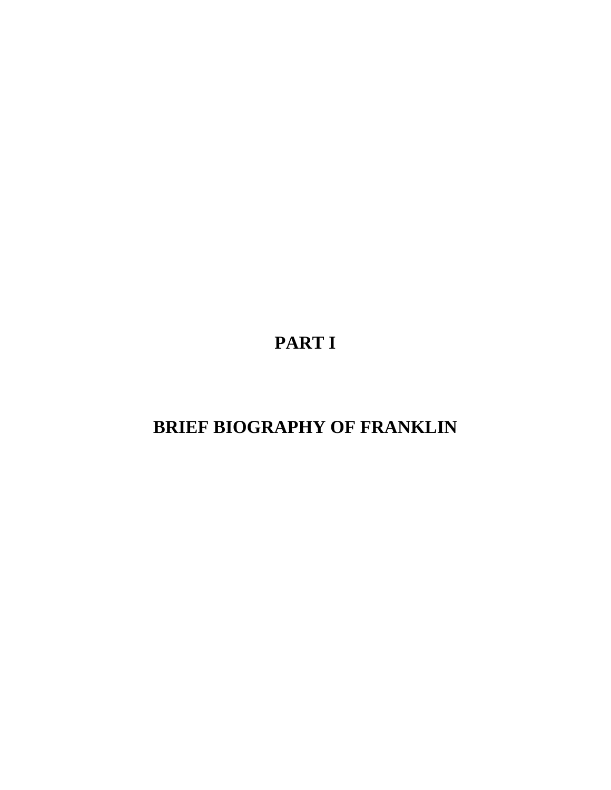# **PART I**

# **BRIEF BIOGRAPHY OF FRANKLIN**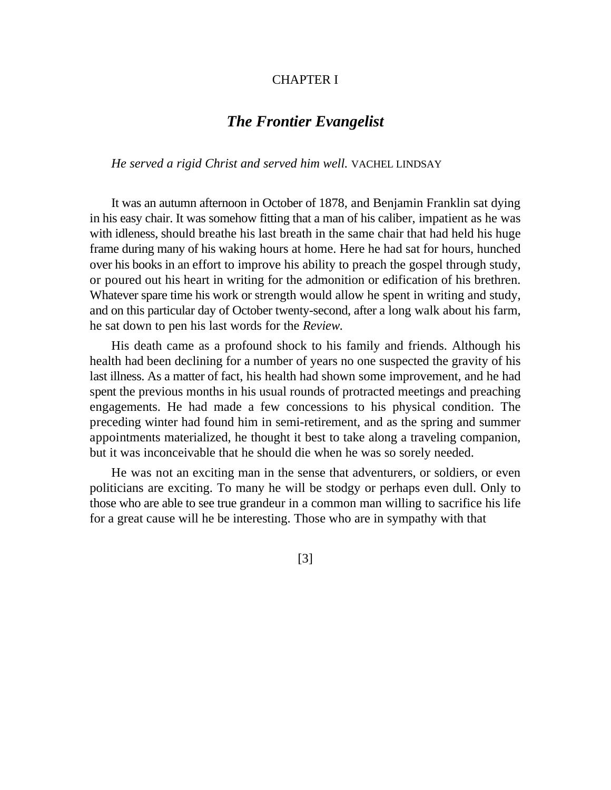#### CHAPTER I

### *The Frontier Evangelist*

#### <span id="page-9-0"></span>*He served a rigid Christ and served him well.* VACHEL LINDSAY

It was an autumn afternoon in October of 1878, and Benjamin Franklin sat dying in his easy chair. It was somehow fitting that a man of his caliber, impatient as he was with idleness, should breathe his last breath in the same chair that had held his huge frame during many of his waking hours at home. Here he had sat for hours, hunched over his books in an effort to improve his ability to preach the gospel through study, or poured out his heart in writing for the admonition or edification of his brethren. Whatever spare time his work or strength would allow he spent in writing and study, and on this particular day of October twenty-second, after a long walk about his farm, he sat down to pen his last words for the *Review.*

His death came as a profound shock to his family and friends. Although his health had been declining for a number of years no one suspected the gravity of his last illness. As a matter of fact, his health had shown some improvement, and he had spent the previous months in his usual rounds of protracted meetings and preaching engagements. He had made a few concessions to his physical condition. The preceding winter had found him in semi-retirement, and as the spring and summer appointments materialized, he thought it best to take along a traveling companion, but it was inconceivable that he should die when he was so sorely needed.

He was not an exciting man in the sense that adventurers, or soldiers, or even politicians are exciting. To many he will be stodgy or perhaps even dull. Only to those who are able to see true grandeur in a common man willing to sacrifice his life for a great cause will he be interesting. Those who are in sympathy with that

[3]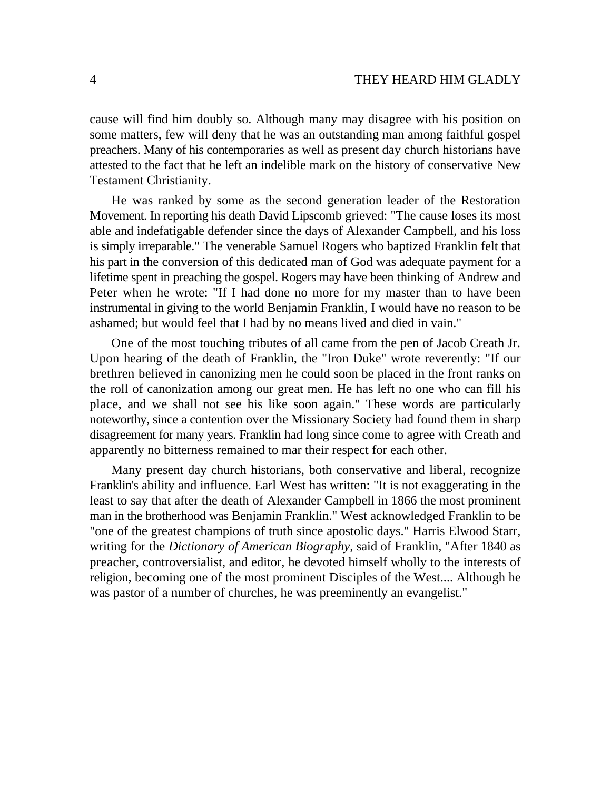cause will find him doubly so. Although many may disagree with his position on some matters, few will deny that he was an outstanding man among faithful gospel preachers. Many of his contemporaries as well as present day church historians have attested to the fact that he left an indelible mark on the history of conservative New Testament Christianity.

He was ranked by some as the second generation leader of the Restoration Movement. In reporting his death David Lipscomb grieved: "The cause loses its most able and indefatigable defender since the days of Alexander Campbell, and his loss is simply irreparable." The venerable Samuel Rogers who baptized Franklin felt that his part in the conversion of this dedicated man of God was adequate payment for a lifetime spent in preaching the gospel. Rogers may have been thinking of Andrew and Peter when he wrote: "If I had done no more for my master than to have been instrumental in giving to the world Benjamin Franklin, I would have no reason to be ashamed; but would feel that I had by no means lived and died in vain."

One of the most touching tributes of all came from the pen of Jacob Creath Jr. Upon hearing of the death of Franklin, the "Iron Duke" wrote reverently: "If our brethren believed in canonizing men he could soon be placed in the front ranks on the roll of canonization among our great men. He has left no one who can fill his place, and we shall not see his like soon again." These words are particularly noteworthy, since a contention over the Missionary Society had found them in sharp disagreement for many years. Franklin had long since come to agree with Creath and apparently no bitterness remained to mar their respect for each other.

Many present day church historians, both conservative and liberal, recognize Franklin's ability and influence. Earl West has written: "It is not exaggerating in the least to say that after the death of Alexander Campbell in 1866 the most prominent man in the brotherhood was Benjamin Franklin." West acknowledged Franklin to be "one of the greatest champions of truth since apostolic days." Harris Elwood Starr, writing for the *Dictionary of American Biography,* said of Franklin, "After 1840 as preacher, controversialist, and editor, he devoted himself wholly to the interests of religion, becoming one of the most prominent Disciples of the West.... Although he was pastor of a number of churches, he was preeminently an evangelist."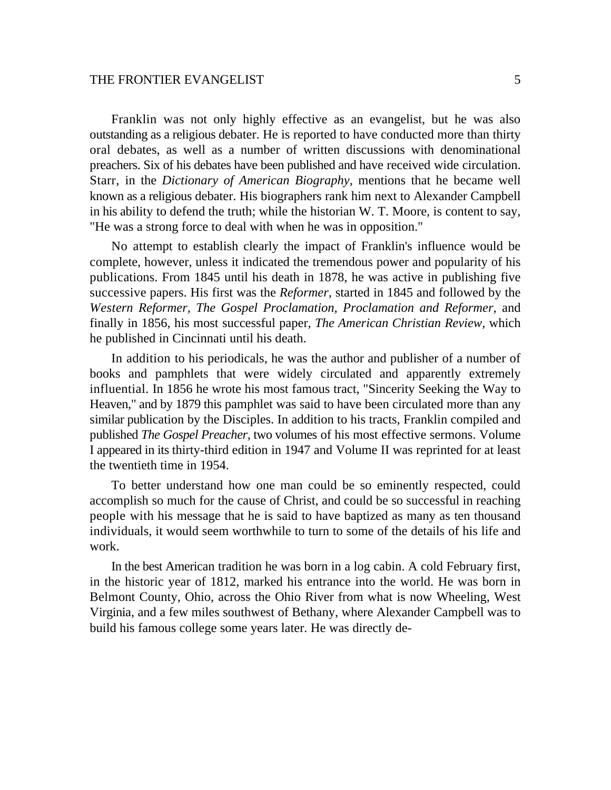#### THE FRONTIER EVANGELIST 5

Franklin was not only highly effective as an evangelist, but he was also outstanding as a religious debater. He is reported to have conducted more than thirty oral debates, as well as a number of written discussions with denominational preachers. Six of his debates have been published and have received wide circulation. Starr, in the *Dictionary of American Biography,* mentions that he became well known as a religious debater. His biographers rank him next to Alexander Campbell in his ability to defend the truth; while the historian W. T. Moore, is content to say, "He was a strong force to deal with when he was in opposition."

No attempt to establish clearly the impact of Franklin's influence would be complete, however, unless it indicated the tremendous power and popularity of his publications. From 1845 until his death in 1878, he was active in publishing five successive papers. His first was the *Reformer,* started in 1845 and followed by the *Western Reformer, The Gospel Proclamation, Proclamation and Reformer,* and finally in 1856, his most successful paper, *The American Christian Review,* which he published in Cincinnati until his death.

In addition to his periodicals, he was the author and publisher of a number of books and pamphlets that were widely circulated and apparently extremely influential. In 1856 he wrote his most famous tract, "Sincerity Seeking the Way to Heaven," and by 1879 this pamphlet was said to have been circulated more than any similar publication by the Disciples. In addition to his tracts, Franklin compiled and published *The Gospel Preacher,* two volumes of his most effective sermons. Volume I appeared in its thirty-third edition in 1947 and Volume II was reprinted for at least the twentieth time in 1954.

To better understand how one man could be so eminently respected, could accomplish so much for the cause of Christ, and could be so successful in reaching people with his message that he is said to have baptized as many as ten thousand individuals, it would seem worthwhile to turn to some of the details of his life and work.

In the best American tradition he was born in a log cabin. A cold February first, in the historic year of 1812, marked his entrance into the world. He was born in Belmont County, Ohio, across the Ohio River from what is now Wheeling, West Virginia, and a few miles southwest of Bethany, where Alexander Campbell was to build his famous college some years later. He was directly de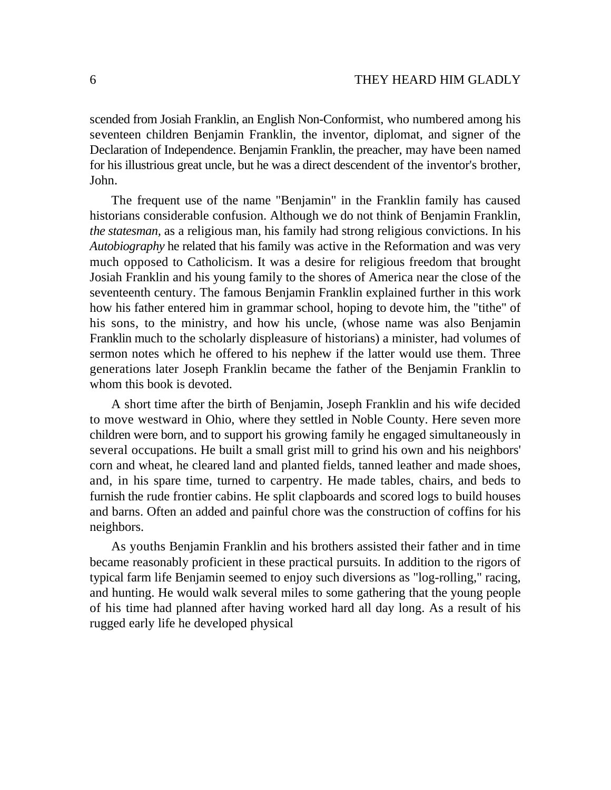scended from Josiah Franklin, an English Non-Conformist, who numbered among his seventeen children Benjamin Franklin, the inventor, diplomat, and signer of the Declaration of Independence. Benjamin Franklin, the preacher, may have been named for his illustrious great uncle, but he was a direct descendent of the inventor's brother, John.

The frequent use of the name "Benjamin" in the Franklin family has caused historians considerable confusion. Although we do not think of Benjamin Franklin, *the statesman,* as a religious man, his family had strong religious convictions. In his *Autobiography* he related that his family was active in the Reformation and was very much opposed to Catholicism. It was a desire for religious freedom that brought Josiah Franklin and his young family to the shores of America near the close of the seventeenth century. The famous Benjamin Franklin explained further in this work how his father entered him in grammar school, hoping to devote him, the "tithe" of his sons, to the ministry, and how his uncle, (whose name was also Benjamin Franklin much to the scholarly displeasure of historians) a minister, had volumes of sermon notes which he offered to his nephew if the latter would use them. Three generations later Joseph Franklin became the father of the Benjamin Franklin to whom this book is devoted.

A short time after the birth of Benjamin, Joseph Franklin and his wife decided to move westward in Ohio, where they settled in Noble County. Here seven more children were born, and to support his growing family he engaged simultaneously in several occupations. He built a small grist mill to grind his own and his neighbors' corn and wheat, he cleared land and planted fields, tanned leather and made shoes, and, in his spare time, turned to carpentry. He made tables, chairs, and beds to furnish the rude frontier cabins. He split clapboards and scored logs to build houses and barns. Often an added and painful chore was the construction of coffins for his neighbors.

As youths Benjamin Franklin and his brothers assisted their father and in time became reasonably proficient in these practical pursuits. In addition to the rigors of typical farm life Benjamin seemed to enjoy such diversions as "log-rolling," racing, and hunting. He would walk several miles to some gathering that the young people of his time had planned after having worked hard all day long. As a result of his rugged early life he developed physical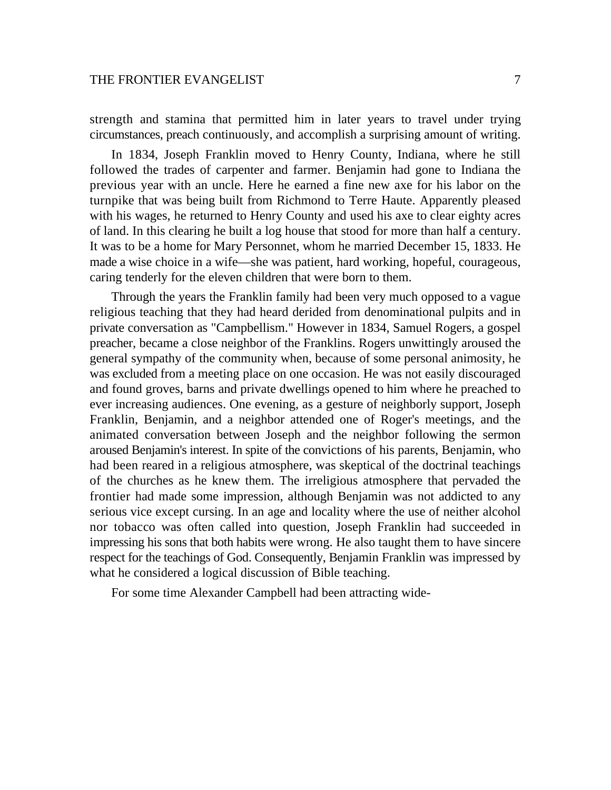In 1834, Joseph Franklin moved to Henry County, Indiana, where he still followed the trades of carpenter and farmer. Benjamin had gone to Indiana the previous year with an uncle. Here he earned a fine new axe for his labor on the turnpike that was being built from Richmond to Terre Haute. Apparently pleased with his wages, he returned to Henry County and used his axe to clear eighty acres of land. In this clearing he built a log house that stood for more than half a century. It was to be a home for Mary Personnet, whom he married December 15, 1833. He made a wise choice in a wife—she was patient, hard working, hopeful, courageous, caring tenderly for the eleven children that were born to them.

Through the years the Franklin family had been very much opposed to a vague religious teaching that they had heard derided from denominational pulpits and in private conversation as "Campbellism." However in 1834, Samuel Rogers, a gospel preacher, became a close neighbor of the Franklins. Rogers unwittingly aroused the general sympathy of the community when, because of some personal animosity, he was excluded from a meeting place on one occasion. He was not easily discouraged and found groves, barns and private dwellings opened to him where he preached to ever increasing audiences. One evening, as a gesture of neighborly support, Joseph Franklin, Benjamin, and a neighbor attended one of Roger's meetings, and the animated conversation between Joseph and the neighbor following the sermon aroused Benjamin's interest. In spite of the convictions of his parents, Benjamin, who had been reared in a religious atmosphere, was skeptical of the doctrinal teachings of the churches as he knew them. The irreligious atmosphere that pervaded the frontier had made some impression, although Benjamin was not addicted to any serious vice except cursing. In an age and locality where the use of neither alcohol nor tobacco was often called into question, Joseph Franklin had succeeded in impressing his sons that both habits were wrong. He also taught them to have sincere respect for the teachings of God. Consequently, Benjamin Franklin was impressed by what he considered a logical discussion of Bible teaching.

For some time Alexander Campbell had been attracting wide-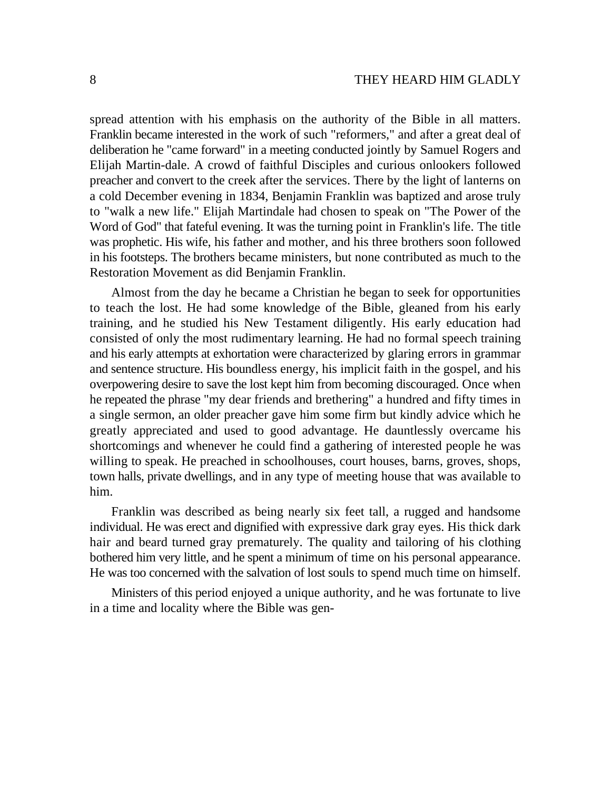spread attention with his emphasis on the authority of the Bible in all matters. Franklin became interested in the work of such "reformers," and after a great deal of deliberation he "came forward" in a meeting conducted jointly by Samuel Rogers and Elijah Martin-dale. A crowd of faithful Disciples and curious onlookers followed preacher and convert to the creek after the services. There by the light of lanterns on a cold December evening in 1834, Benjamin Franklin was baptized and arose truly to "walk a new life." Elijah Martindale had chosen to speak on "The Power of the Word of God" that fateful evening. It was the turning point in Franklin's life. The title was prophetic. His wife, his father and mother, and his three brothers soon followed in his footsteps. The brothers became ministers, but none contributed as much to the Restoration Movement as did Benjamin Franklin.

Almost from the day he became a Christian he began to seek for opportunities to teach the lost. He had some knowledge of the Bible, gleaned from his early training, and he studied his New Testament diligently. His early education had consisted of only the most rudimentary learning. He had no formal speech training and his early attempts at exhortation were characterized by glaring errors in grammar and sentence structure. His boundless energy, his implicit faith in the gospel, and his overpowering desire to save the lost kept him from becoming discouraged. Once when he repeated the phrase "my dear friends and brethering" a hundred and fifty times in a single sermon, an older preacher gave him some firm but kindly advice which he greatly appreciated and used to good advantage. He dauntlessly overcame his shortcomings and whenever he could find a gathering of interested people he was willing to speak. He preached in schoolhouses, court houses, barns, groves, shops, town halls, private dwellings, and in any type of meeting house that was available to him.

Franklin was described as being nearly six feet tall, a rugged and handsome individual. He was erect and dignified with expressive dark gray eyes. His thick dark hair and beard turned gray prematurely. The quality and tailoring of his clothing bothered him very little, and he spent a minimum of time on his personal appearance. He was too concerned with the salvation of lost souls to spend much time on himself.

Ministers of this period enjoyed a unique authority, and he was fortunate to live in a time and locality where the Bible was gen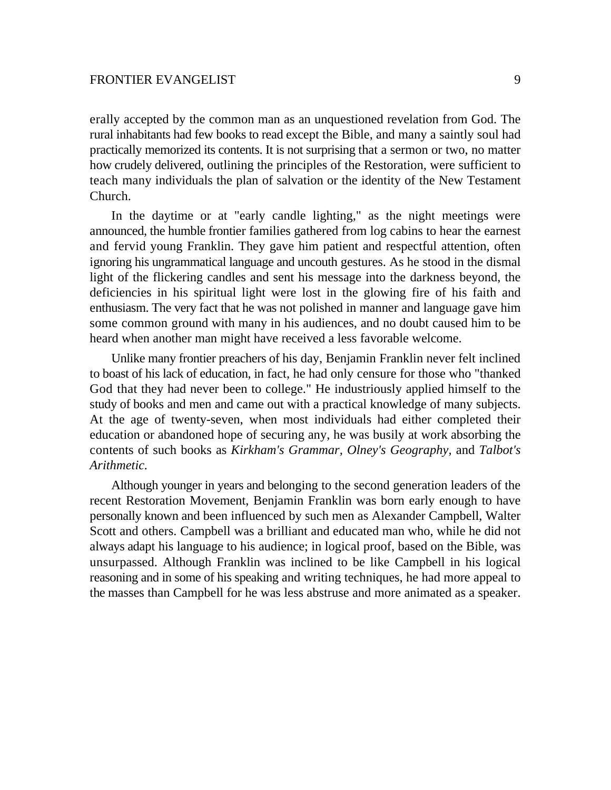erally accepted by the common man as an unquestioned revelation from God. The rural inhabitants had few books to read except the Bible, and many a saintly soul had practically memorized its contents. It is not surprising that a sermon or two, no matter how crudely delivered, outlining the principles of the Restoration, were sufficient to teach many individuals the plan of salvation or the identity of the New Testament Church.

In the daytime or at "early candle lighting," as the night meetings were announced, the humble frontier families gathered from log cabins to hear the earnest and fervid young Franklin. They gave him patient and respectful attention, often ignoring his ungrammatical language and uncouth gestures. As he stood in the dismal light of the flickering candles and sent his message into the darkness beyond, the deficiencies in his spiritual light were lost in the glowing fire of his faith and enthusiasm. The very fact that he was not polished in manner and language gave him some common ground with many in his audiences, and no doubt caused him to be heard when another man might have received a less favorable welcome.

Unlike many frontier preachers of his day, Benjamin Franklin never felt inclined to boast of his lack of education, in fact, he had only censure for those who "thanked God that they had never been to college." He industriously applied himself to the study of books and men and came out with a practical knowledge of many subjects. At the age of twenty-seven, when most individuals had either completed their education or abandoned hope of securing any, he was busily at work absorbing the contents of such books as *Kirkham's Grammar, Olney's Geography,* and *Talbot's Arithmetic.*

Although younger in years and belonging to the second generation leaders of the recent Restoration Movement, Benjamin Franklin was born early enough to have personally known and been influenced by such men as Alexander Campbell, Walter Scott and others. Campbell was a brilliant and educated man who, while he did not always adapt his language to his audience; in logical proof, based on the Bible, was unsurpassed. Although Franklin was inclined to be like Campbell in his logical reasoning and in some of his speaking and writing techniques, he had more appeal to the masses than Campbell for he was less abstruse and more animated as a speaker.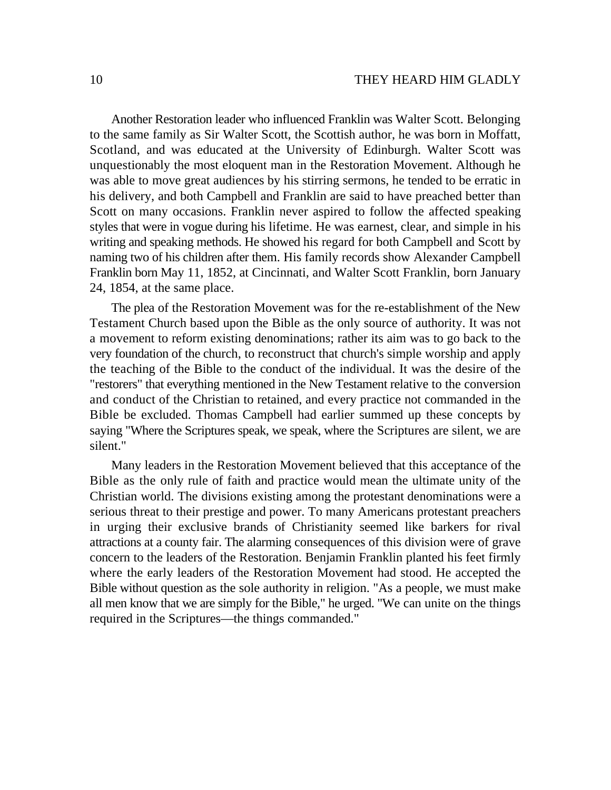Another Restoration leader who influenced Franklin was Walter Scott. Belonging to the same family as Sir Walter Scott, the Scottish author, he was born in Moffatt, Scotland, and was educated at the University of Edinburgh. Walter Scott was unquestionably the most eloquent man in the Restoration Movement. Although he was able to move great audiences by his stirring sermons, he tended to be erratic in his delivery, and both Campbell and Franklin are said to have preached better than Scott on many occasions. Franklin never aspired to follow the affected speaking styles that were in vogue during his lifetime. He was earnest, clear, and simple in his writing and speaking methods. He showed his regard for both Campbell and Scott by naming two of his children after them. His family records show Alexander Campbell Franklin born May 11, 1852, at Cincinnati, and Walter Scott Franklin, born January 24, 1854, at the same place.

The plea of the Restoration Movement was for the re-establishment of the New Testament Church based upon the Bible as the only source of authority. It was not a movement to reform existing denominations; rather its aim was to go back to the very foundation of the church, to reconstruct that church's simple worship and apply the teaching of the Bible to the conduct of the individual. It was the desire of the "restorers" that everything mentioned in the New Testament relative to the conversion and conduct of the Christian to retained, and every practice not commanded in the Bible be excluded. Thomas Campbell had earlier summed up these concepts by saying "Where the Scriptures speak, we speak, where the Scriptures are silent, we are silent."

Many leaders in the Restoration Movement believed that this acceptance of the Bible as the only rule of faith and practice would mean the ultimate unity of the Christian world. The divisions existing among the protestant denominations were a serious threat to their prestige and power. To many Americans protestant preachers in urging their exclusive brands of Christianity seemed like barkers for rival attractions at a county fair. The alarming consequences of this division were of grave concern to the leaders of the Restoration. Benjamin Franklin planted his feet firmly where the early leaders of the Restoration Movement had stood. He accepted the Bible without question as the sole authority in religion. "As a people, we must make all men know that we are simply for the Bible," he urged. "We can unite on the things required in the Scriptures—the things commanded."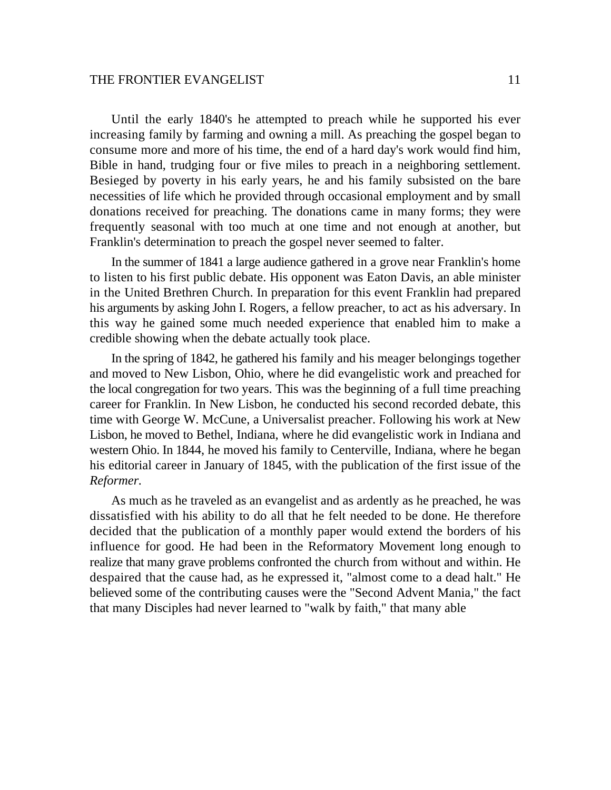#### THE FRONTIER EVANGELIST 11

Until the early 1840's he attempted to preach while he supported his ever increasing family by farming and owning a mill. As preaching the gospel began to consume more and more of his time, the end of a hard day's work would find him, Bible in hand, trudging four or five miles to preach in a neighboring settlement. Besieged by poverty in his early years, he and his family subsisted on the bare necessities of life which he provided through occasional employment and by small donations received for preaching. The donations came in many forms; they were frequently seasonal with too much at one time and not enough at another, but Franklin's determination to preach the gospel never seemed to falter.

In the summer of 1841 a large audience gathered in a grove near Franklin's home to listen to his first public debate. His opponent was Eaton Davis, an able minister in the United Brethren Church. In preparation for this event Franklin had prepared his arguments by asking John I. Rogers, a fellow preacher, to act as his adversary. In this way he gained some much needed experience that enabled him to make a credible showing when the debate actually took place.

In the spring of 1842, he gathered his family and his meager belongings together and moved to New Lisbon, Ohio, where he did evangelistic work and preached for the local congregation for two years. This was the beginning of a full time preaching career for Franklin. In New Lisbon, he conducted his second recorded debate, this time with George W. McCune, a Universalist preacher. Following his work at New Lisbon, he moved to Bethel, Indiana, where he did evangelistic work in Indiana and western Ohio. In 1844, he moved his family to Centerville, Indiana, where he began his editorial career in January of 1845, with the publication of the first issue of the *Reformer.*

As much as he traveled as an evangelist and as ardently as he preached, he was dissatisfied with his ability to do all that he felt needed to be done. He therefore decided that the publication of a monthly paper would extend the borders of his influence for good. He had been in the Reformatory Movement long enough to realize that many grave problems confronted the church from without and within. He despaired that the cause had, as he expressed it, "almost come to a dead halt." He believed some of the contributing causes were the "Second Advent Mania," the fact that many Disciples had never learned to "walk by faith," that many able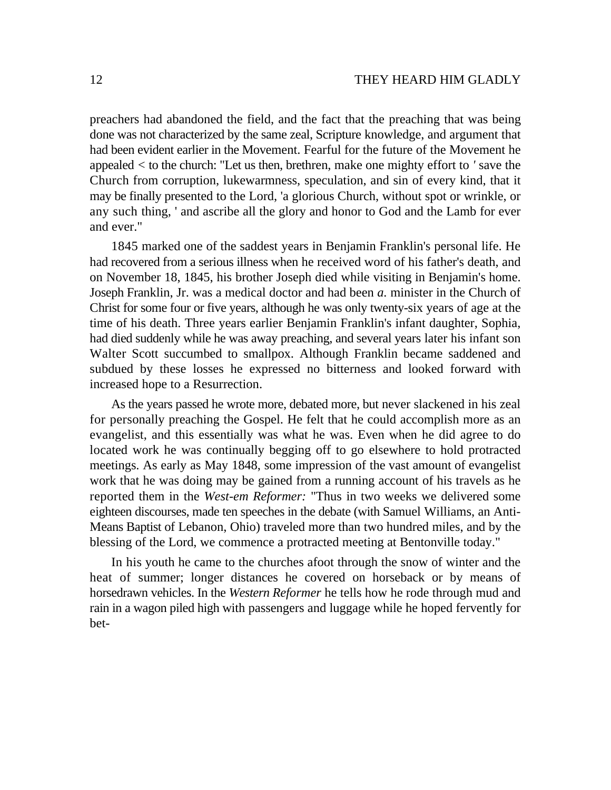preachers had abandoned the field, and the fact that the preaching that was being done was not characterized by the same zeal, Scripture knowledge, and argument that had been evident earlier in the Movement. Fearful for the future of the Movement he appealed *<* to the church: "Let us then, brethren, make one mighty effort to *'* save the Church from corruption, lukewarmness, speculation, and sin of every kind, that it may be finally presented to the Lord, 'a glorious Church, without spot or wrinkle, or any such thing, ' and ascribe all the glory and honor to God and the Lamb for ever and ever."

1845 marked one of the saddest years in Benjamin Franklin's personal life. He had recovered from a serious illness when he received word of his father's death, and on November 18, 1845, his brother Joseph died while visiting in Benjamin's home. Joseph Franklin, Jr. was a medical doctor and had been *a.* minister in the Church of Christ for some four or five years, although he was only twenty-six years of age at the time of his death. Three years earlier Benjamin Franklin's infant daughter, Sophia, had died suddenly while he was away preaching, and several years later his infant son Walter Scott succumbed to smallpox. Although Franklin became saddened and subdued by these losses he expressed no bitterness and looked forward with increased hope to a Resurrection.

As the years passed he wrote more, debated more, but never slackened in his zeal for personally preaching the Gospel. He felt that he could accomplish more as an evangelist, and this essentially was what he was. Even when he did agree to do located work he was continually begging off to go elsewhere to hold protracted meetings. As early as May 1848, some impression of the vast amount of evangelist work that he was doing may be gained from a running account of his travels as he reported them in the *West-em Reformer:* "Thus in two weeks we delivered some eighteen discourses, made ten speeches in the debate (with Samuel Williams, an Anti-Means Baptist of Lebanon, Ohio) traveled more than two hundred miles, and by the blessing of the Lord, we commence a protracted meeting at Bentonville today."

In his youth he came to the churches afoot through the snow of winter and the heat of summer; longer distances he covered on horseback or by means of horsedrawn vehicles. In the *Western Reformer* he tells how he rode through mud and rain in a wagon piled high with passengers and luggage while he hoped fervently for bet-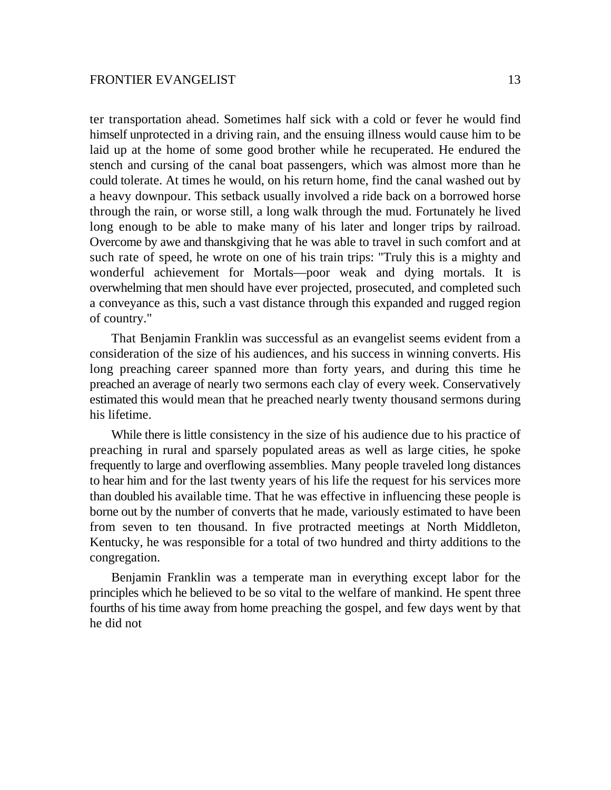ter transportation ahead. Sometimes half sick with a cold or fever he would find himself unprotected in a driving rain, and the ensuing illness would cause him to be laid up at the home of some good brother while he recuperated. He endured the stench and cursing of the canal boat passengers, which was almost more than he could tolerate. At times he would, on his return home, find the canal washed out by a heavy downpour. This setback usually involved a ride back on a borrowed horse through the rain, or worse still, a long walk through the mud. Fortunately he lived long enough to be able to make many of his later and longer trips by railroad. Overcome by awe and thanskgiving that he was able to travel in such comfort and at such rate of speed, he wrote on one of his train trips: "Truly this is a mighty and wonderful achievement for Mortals—poor weak and dying mortals. It is overwhelming that men should have ever projected, prosecuted, and completed such a conveyance as this, such a vast distance through this expanded and rugged region of country."

That Benjamin Franklin was successful as an evangelist seems evident from a consideration of the size of his audiences, and his success in winning converts. His long preaching career spanned more than forty years, and during this time he preached an average of nearly two sermons each clay of every week. Conservatively estimated this would mean that he preached nearly twenty thousand sermons during his lifetime.

While there is little consistency in the size of his audience due to his practice of preaching in rural and sparsely populated areas as well as large cities, he spoke frequently to large and overflowing assemblies. Many people traveled long distances to hear him and for the last twenty years of his life the request for his services more than doubled his available time. That he was effective in influencing these people is borne out by the number of converts that he made, variously estimated to have been from seven to ten thousand. In five protracted meetings at North Middleton, Kentucky, he was responsible for a total of two hundred and thirty additions to the congregation.

Benjamin Franklin was a temperate man in everything except labor for the principles which he believed to be so vital to the welfare of mankind. He spent three fourths of his time away from home preaching the gospel, and few days went by that he did not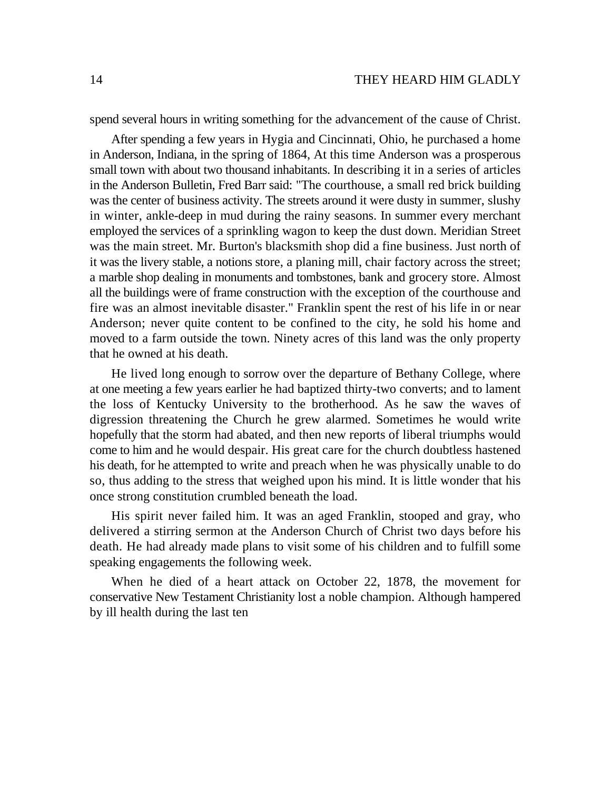spend several hours in writing something for the advancement of the cause of Christ.

After spending a few years in Hygia and Cincinnati, Ohio, he purchased a home in Anderson, Indiana, in the spring of 1864, At this time Anderson was a prosperous small town with about two thousand inhabitants. In describing it in a series of articles in the Anderson Bulletin, Fred Barr said: "The courthouse, a small red brick building was the center of business activity. The streets around it were dusty in summer, slushy in winter, ankle-deep in mud during the rainy seasons. In summer every merchant employed the services of a sprinkling wagon to keep the dust down. Meridian Street was the main street. Mr. Burton's blacksmith shop did a fine business. Just north of it was the livery stable, a notions store, a planing mill, chair factory across the street; a marble shop dealing in monuments and tombstones, bank and grocery store. Almost all the buildings were of frame construction with the exception of the courthouse and fire was an almost inevitable disaster." Franklin spent the rest of his life in or near Anderson; never quite content to be confined to the city, he sold his home and moved to a farm outside the town. Ninety acres of this land was the only property that he owned at his death.

He lived long enough to sorrow over the departure of Bethany College, where at one meeting a few years earlier he had baptized thirty-two converts; and to lament the loss of Kentucky University to the brotherhood. As he saw the waves of digression threatening the Church he grew alarmed. Sometimes he would write hopefully that the storm had abated, and then new reports of liberal triumphs would come to him and he would despair. His great care for the church doubtless hastened his death, for he attempted to write and preach when he was physically unable to do so, thus adding to the stress that weighed upon his mind. It is little wonder that his once strong constitution crumbled beneath the load.

His spirit never failed him. It was an aged Franklin, stooped and gray, who delivered a stirring sermon at the Anderson Church of Christ two days before his death. He had already made plans to visit some of his children and to fulfill some speaking engagements the following week.

When he died of a heart attack on October 22, 1878, the movement for conservative New Testament Christianity lost a noble champion. Although hampered by ill health during the last ten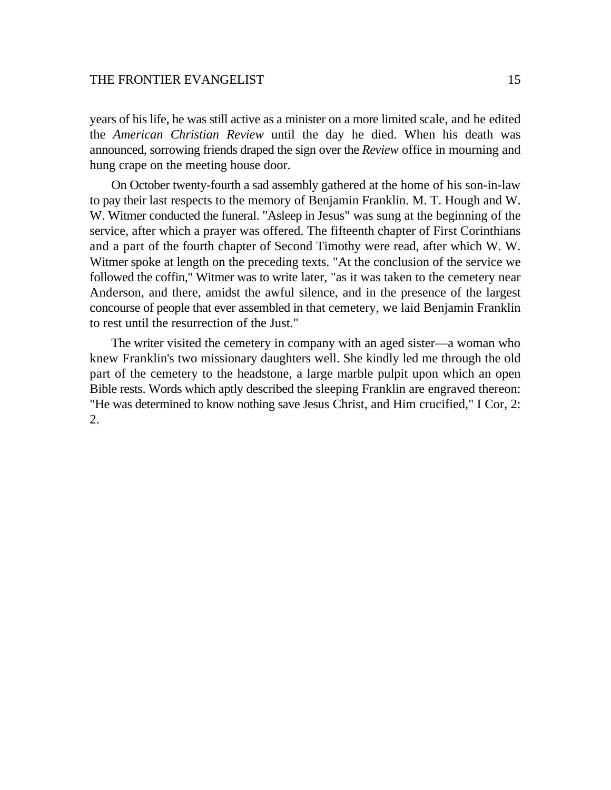years of his life, he was still active as a minister on a more limited scale, and he edited the *American Christian Review* until the day he died. When his death was announced, sorrowing friends draped the sign over the *Review* office in mourning and hung crape on the meeting house door.

On October twenty-fourth a sad assembly gathered at the home of his son-in-law to pay their last respects to the memory of Benjamin Franklin. M. T. Hough and W. W. Witmer conducted the funeral. "Asleep in Jesus" was sung at the beginning of the service, after which a prayer was offered. The fifteenth chapter of First Corinthians and a part of the fourth chapter of Second Timothy were read, after which W. W. Witmer spoke at length on the preceding texts. "At the conclusion of the service we followed the coffin," Witmer was to write later, "as it was taken to the cemetery near Anderson, and there, amidst the awful silence, and in the presence of the largest concourse of people that ever assembled in that cemetery, we laid Benjamin Franklin to rest until the resurrection of the Just."

The writer visited the cemetery in company with an aged sister—a woman who knew Franklin's two missionary daughters well. She kindly led me through the old part of the cemetery to the headstone, a large marble pulpit upon which an open Bible rests. Words which aptly described the sleeping Franklin are engraved thereon: "He was determined to know nothing save Jesus Christ, and Him crucified," I Cor, 2:  $2<sub>1</sub>$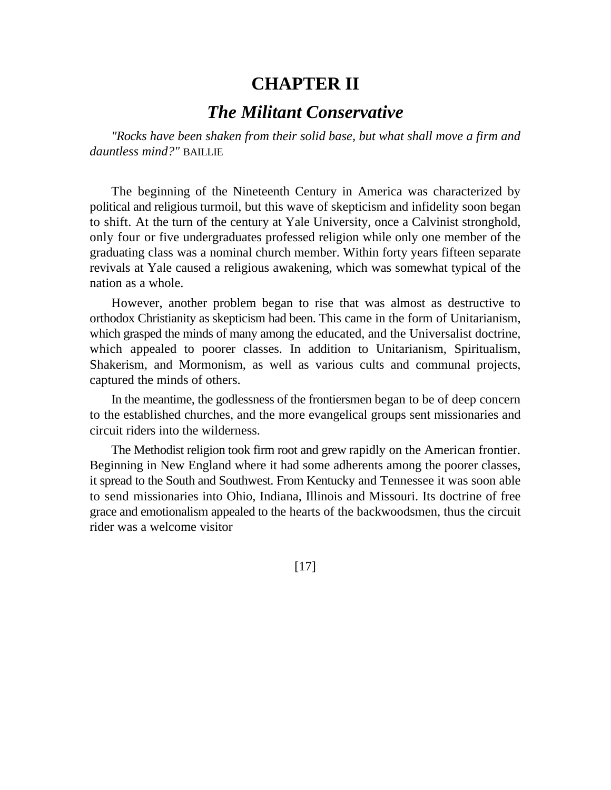### **CHAPTER II**

## *The Militant Conservative*

<span id="page-22-0"></span>*"Rocks have been shaken from their solid base, but what shall move a firm and dauntless mind?"* BAILLIE

The beginning of the Nineteenth Century in America was characterized by political and religious turmoil, but this wave of skepticism and infidelity soon began to shift. At the turn of the century at Yale University, once a Calvinist stronghold, only four or five undergraduates professed religion while only one member of the graduating class was a nominal church member. Within forty years fifteen separate revivals at Yale caused a religious awakening, which was somewhat typical of the nation as a whole.

However, another problem began to rise that was almost as destructive to orthodox Christianity as skepticism had been. This came in the form of Unitarianism, which grasped the minds of many among the educated, and the Universalist doctrine, which appealed to poorer classes. In addition to Unitarianism, Spiritualism, Shakerism, and Mormonism, as well as various cults and communal projects, captured the minds of others.

In the meantime, the godlessness of the frontiersmen began to be of deep concern to the established churches, and the more evangelical groups sent missionaries and circuit riders into the wilderness.

The Methodist religion took firm root and grew rapidly on the American frontier. Beginning in New England where it had some adherents among the poorer classes, it spread to the South and Southwest. From Kentucky and Tennessee it was soon able to send missionaries into Ohio, Indiana, Illinois and Missouri. Its doctrine of free grace and emotionalism appealed to the hearts of the backwoodsmen, thus the circuit rider was a welcome visitor

[17]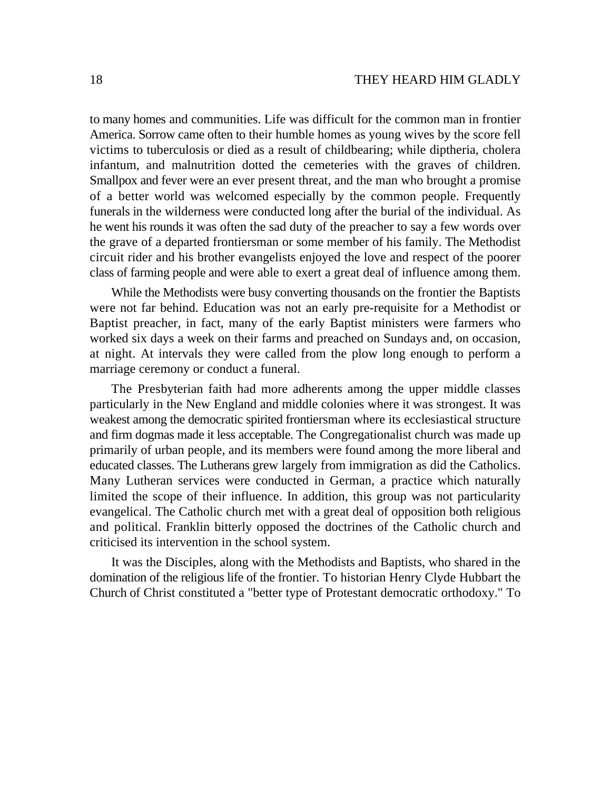to many homes and communities. Life was difficult for the common man in frontier America. Sorrow came often to their humble homes as young wives by the score fell victims to tuberculosis or died as a result of childbearing; while diptheria, cholera infantum, and malnutrition dotted the cemeteries with the graves of children. Smallpox and fever were an ever present threat, and the man who brought a promise of a better world was welcomed especially by the common people. Frequently funerals in the wilderness were conducted long after the burial of the individual. As he went his rounds it was often the sad duty of the preacher to say a few words over the grave of a departed frontiersman or some member of his family. The Methodist circuit rider and his brother evangelists enjoyed the love and respect of the poorer class of farming people and were able to exert a great deal of influence among them.

While the Methodists were busy converting thousands on the frontier the Baptists were not far behind. Education was not an early pre-requisite for a Methodist or Baptist preacher, in fact, many of the early Baptist ministers were farmers who worked six days a week on their farms and preached on Sundays and, on occasion, at night. At intervals they were called from the plow long enough to perform a marriage ceremony or conduct a funeral.

The Presbyterian faith had more adherents among the upper middle classes particularly in the New England and middle colonies where it was strongest. It was weakest among the democratic spirited frontiersman where its ecclesiastical structure and firm dogmas made it less acceptable. The Congregationalist church was made up primarily of urban people, and its members were found among the more liberal and educated classes. The Lutherans grew largely from immigration as did the Catholics. Many Lutheran services were conducted in German, a practice which naturally limited the scope of their influence. In addition, this group was not particularity evangelical. The Catholic church met with a great deal of opposition both religious and political. Franklin bitterly opposed the doctrines of the Catholic church and criticised its intervention in the school system.

It was the Disciples, along with the Methodists and Baptists, who shared in the domination of the religious life of the frontier. To historian Henry Clyde Hubbart the Church of Christ constituted a "better type of Protestant democratic orthodoxy." To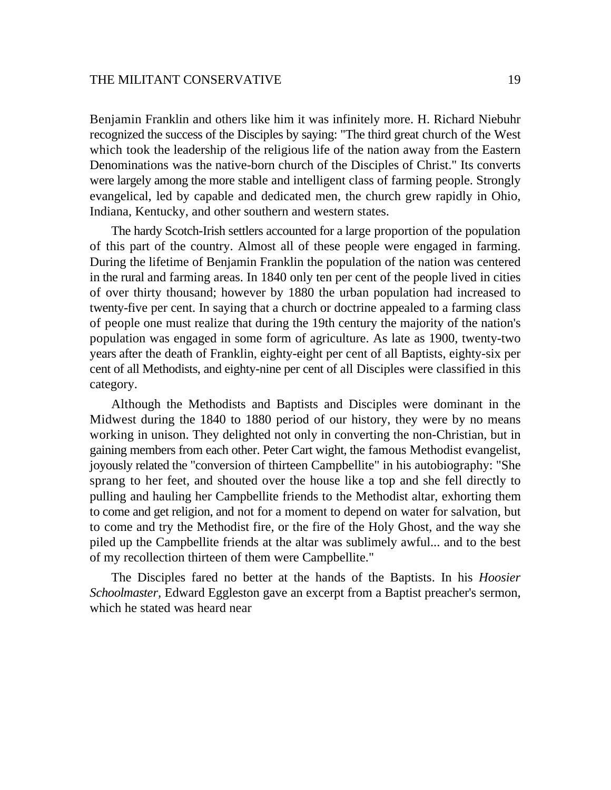Benjamin Franklin and others like him it was infinitely more. H. Richard Niebuhr recognized the success of the Disciples by saying: "The third great church of the West which took the leadership of the religious life of the nation away from the Eastern Denominations was the native-born church of the Disciples of Christ." Its converts were largely among the more stable and intelligent class of farming people. Strongly evangelical, led by capable and dedicated men, the church grew rapidly in Ohio, Indiana, Kentucky, and other southern and western states.

The hardy Scotch-Irish settlers accounted for a large proportion of the population of this part of the country. Almost all of these people were engaged in farming. During the lifetime of Benjamin Franklin the population of the nation was centered in the rural and farming areas. In 1840 only ten per cent of the people lived in cities of over thirty thousand; however by 1880 the urban population had increased to twenty-five per cent. In saying that a church or doctrine appealed to a farming class of people one must realize that during the 19th century the majority of the nation's population was engaged in some form of agriculture. As late as 1900, twenty-two years after the death of Franklin, eighty-eight per cent of all Baptists, eighty-six per cent of all Methodists, and eighty-nine per cent of all Disciples were classified in this category.

Although the Methodists and Baptists and Disciples were dominant in the Midwest during the 1840 to 1880 period of our history, they were by no means working in unison. They delighted not only in converting the non-Christian, but in gaining members from each other. Peter Cart wight, the famous Methodist evangelist, joyously related the "conversion of thirteen Campbellite" in his autobiography: "She sprang to her feet, and shouted over the house like a top and she fell directly to pulling and hauling her Campbellite friends to the Methodist altar, exhorting them to come and get religion, and not for a moment to depend on water for salvation, but to come and try the Methodist fire, or the fire of the Holy Ghost, and the way she piled up the Campbellite friends at the altar was sublimely awful... and to the best of my recollection thirteen of them were Campbellite."

The Disciples fared no better at the hands of the Baptists. In his *Hoosier Schoolmaster,* Edward Eggleston gave an excerpt from a Baptist preacher's sermon, which he stated was heard near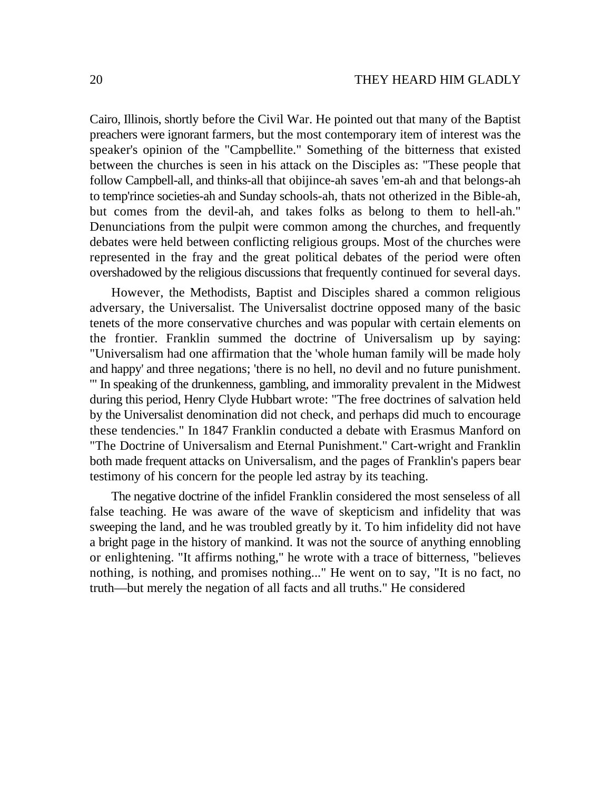Cairo, Illinois, shortly before the Civil War. He pointed out that many of the Baptist preachers were ignorant farmers, but the most contemporary item of interest was the speaker's opinion of the "Campbellite." Something of the bitterness that existed between the churches is seen in his attack on the Disciples as: "These people that follow Campbell-all, and thinks-all that obijince-ah saves 'em-ah and that belongs-ah to temp'rince societies-ah and Sunday schools-ah, thats not otherized in the Bible-ah, but comes from the devil-ah, and takes folks as belong to them to hell-ah." Denunciations from the pulpit were common among the churches, and frequently debates were held between conflicting religious groups. Most of the churches were represented in the fray and the great political debates of the period were often overshadowed by the religious discussions that frequently continued for several days.

However, the Methodists, Baptist and Disciples shared a common religious adversary, the Universalist. The Universalist doctrine opposed many of the basic tenets of the more conservative churches and was popular with certain elements on the frontier. Franklin summed the doctrine of Universalism up by saying: "Universalism had one affirmation that the 'whole human family will be made holy and happy' and three negations; 'there is no hell, no devil and no future punishment. '" In speaking of the drunkenness, gambling, and immorality prevalent in the Midwest during this period, Henry Clyde Hubbart wrote: "The free doctrines of salvation held by the Universalist denomination did not check, and perhaps did much to encourage these tendencies." In 1847 Franklin conducted a debate with Erasmus Manford on "The Doctrine of Universalism and Eternal Punishment." Cart-wright and Franklin both made frequent attacks on Universalism, and the pages of Franklin's papers bear testimony of his concern for the people led astray by its teaching.

The negative doctrine of the infidel Franklin considered the most senseless of all false teaching. He was aware of the wave of skepticism and infidelity that was sweeping the land, and he was troubled greatly by it. To him infidelity did not have a bright page in the history of mankind. It was not the source of anything ennobling or enlightening. "It affirms nothing," he wrote with a trace of bitterness, "believes nothing, is nothing, and promises nothing..." He went on to say, "It is no fact, no truth—but merely the negation of all facts and all truths." He considered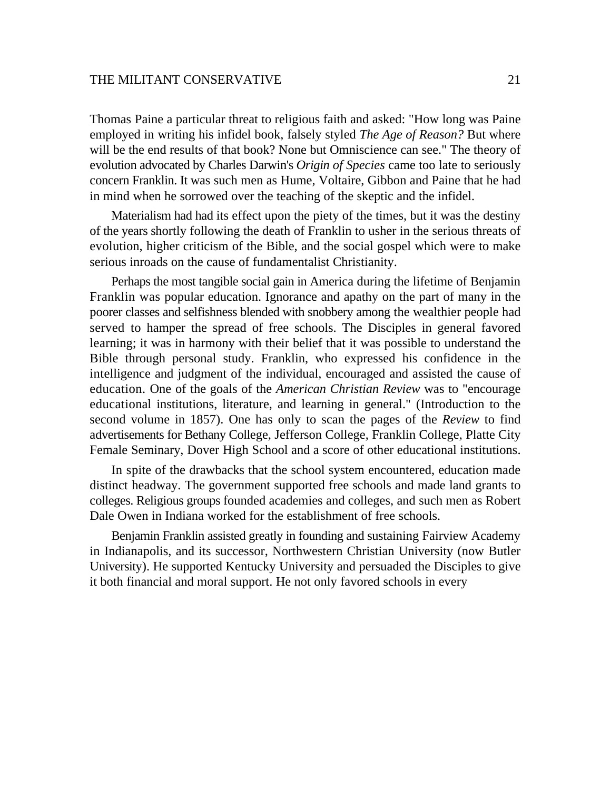#### THE MILITANT CONSERVATIVE 21

Thomas Paine a particular threat to religious faith and asked: "How long was Paine employed in writing his infidel book, falsely styled *The Age of Reason?* But where will be the end results of that book? None but Omniscience can see." The theory of evolution advocated by Charles Darwin's *Origin of Species* came too late to seriously concern Franklin. It was such men as Hume, Voltaire, Gibbon and Paine that he had in mind when he sorrowed over the teaching of the skeptic and the infidel.

Materialism had had its effect upon the piety of the times, but it was the destiny of the years shortly following the death of Franklin to usher in the serious threats of evolution, higher criticism of the Bible, and the social gospel which were to make serious inroads on the cause of fundamentalist Christianity.

Perhaps the most tangible social gain in America during the lifetime of Benjamin Franklin was popular education. Ignorance and apathy on the part of many in the poorer classes and selfishness blended with snobbery among the wealthier people had served to hamper the spread of free schools. The Disciples in general favored learning; it was in harmony with their belief that it was possible to understand the Bible through personal study. Franklin, who expressed his confidence in the intelligence and judgment of the individual, encouraged and assisted the cause of education. One of the goals of the *American Christian Review* was to "encourage educational institutions, literature, and learning in general." (Introduction to the second volume in 1857). One has only to scan the pages of the *Review* to find advertisements for Bethany College, Jefferson College, Franklin College, Platte City Female Seminary, Dover High School and a score of other educational institutions.

In spite of the drawbacks that the school system encountered, education made distinct headway. The government supported free schools and made land grants to colleges. Religious groups founded academies and colleges, and such men as Robert Dale Owen in Indiana worked for the establishment of free schools.

Benjamin Franklin assisted greatly in founding and sustaining Fairview Academy in Indianapolis, and its successor, Northwestern Christian University (now Butler University). He supported Kentucky University and persuaded the Disciples to give it both financial and moral support. He not only favored schools in every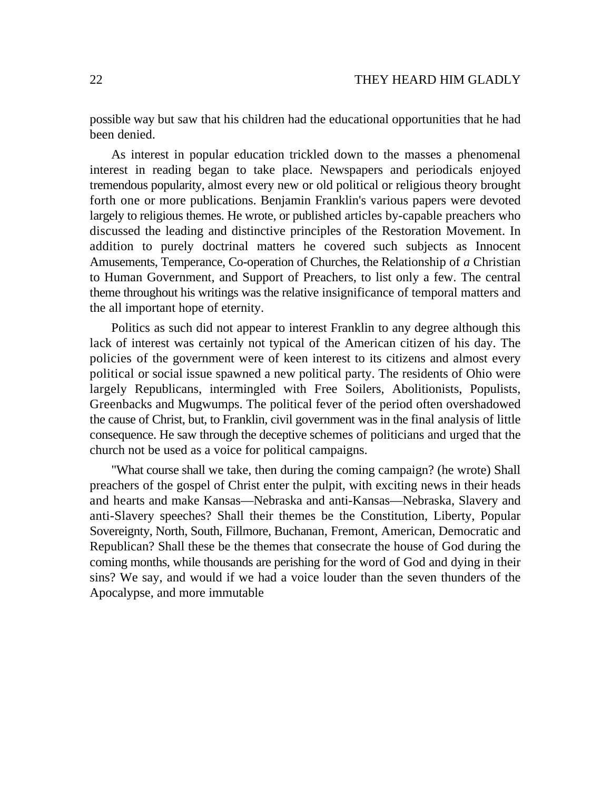possible way but saw that his children had the educational opportunities that he had been denied.

As interest in popular education trickled down to the masses a phenomenal interest in reading began to take place. Newspapers and periodicals enjoyed tremendous popularity, almost every new or old political or religious theory brought forth one or more publications. Benjamin Franklin's various papers were devoted largely to religious themes. He wrote, or published articles by-capable preachers who discussed the leading and distinctive principles of the Restoration Movement. In addition to purely doctrinal matters he covered such subjects as Innocent Amusements, Temperance, Co-operation of Churches, the Relationship of *a* Christian to Human Government, and Support of Preachers, to list only a few. The central theme throughout his writings was the relative insignificance of temporal matters and the all important hope of eternity.

Politics as such did not appear to interest Franklin to any degree although this lack of interest was certainly not typical of the American citizen of his day. The policies of the government were of keen interest to its citizens and almost every political or social issue spawned a new political party. The residents of Ohio were largely Republicans, intermingled with Free Soilers, Abolitionists, Populists, Greenbacks and Mugwumps. The political fever of the period often overshadowed the cause of Christ, but, to Franklin, civil government was in the final analysis of little consequence. He saw through the deceptive schemes of politicians and urged that the church not be used as a voice for political campaigns.

"What course shall we take, then during the coming campaign? (he wrote) Shall preachers of the gospel of Christ enter the pulpit, with exciting news in their heads and hearts and make Kansas—Nebraska and anti-Kansas—Nebraska, Slavery and anti-Slavery speeches? Shall their themes be the Constitution, Liberty, Popular Sovereignty, North, South, Fillmore, Buchanan, Fremont, American, Democratic and Republican? Shall these be the themes that consecrate the house of God during the coming months, while thousands are perishing for the word of God and dying in their sins? We say, and would if we had a voice louder than the seven thunders of the Apocalypse, and more immutable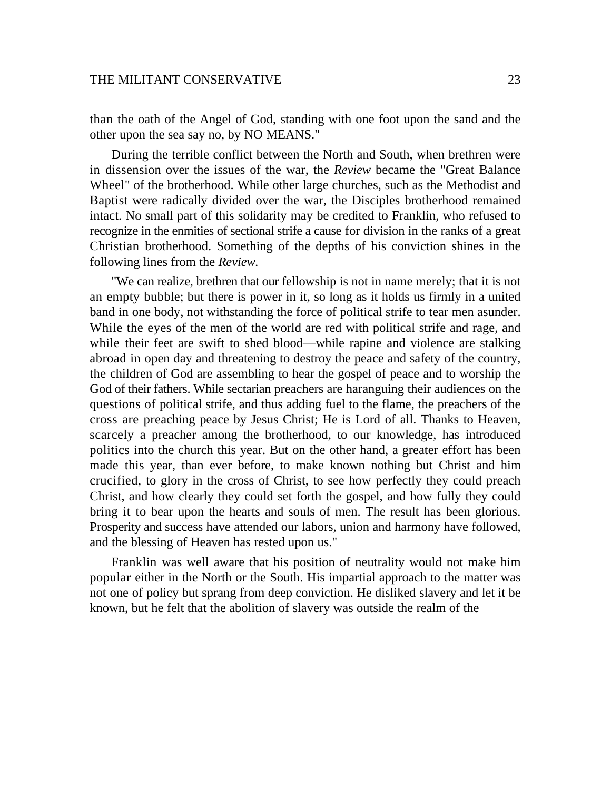than the oath of the Angel of God, standing with one foot upon the sand and the other upon the sea say no, by NO MEANS."

During the terrible conflict between the North and South, when brethren were in dissension over the issues of the war, the *Review* became the "Great Balance Wheel" of the brotherhood. While other large churches, such as the Methodist and Baptist were radically divided over the war, the Disciples brotherhood remained intact. No small part of this solidarity may be credited to Franklin, who refused to recognize in the enmities of sectional strife a cause for division in the ranks of a great Christian brotherhood. Something of the depths of his conviction shines in the following lines from the *Review.*

"We can realize, brethren that our fellowship is not in name merely; that it is not an empty bubble; but there is power in it, so long as it holds us firmly in a united band in one body, not withstanding the force of political strife to tear men asunder. While the eyes of the men of the world are red with political strife and rage, and while their feet are swift to shed blood—while rapine and violence are stalking abroad in open day and threatening to destroy the peace and safety of the country, the children of God are assembling to hear the gospel of peace and to worship the God of their fathers. While sectarian preachers are haranguing their audiences on the questions of political strife, and thus adding fuel to the flame, the preachers of the cross are preaching peace by Jesus Christ; He is Lord of all. Thanks to Heaven, scarcely a preacher among the brotherhood, to our knowledge, has introduced politics into the church this year. But on the other hand, a greater effort has been made this year, than ever before, to make known nothing but Christ and him crucified, to glory in the cross of Christ, to see how perfectly they could preach Christ, and how clearly they could set forth the gospel, and how fully they could bring it to bear upon the hearts and souls of men. The result has been glorious. Prosperity and success have attended our labors, union and harmony have followed, and the blessing of Heaven has rested upon us."

Franklin was well aware that his position of neutrality would not make him popular either in the North or the South. His impartial approach to the matter was not one of policy but sprang from deep conviction. He disliked slavery and let it be known, but he felt that the abolition of slavery was outside the realm of the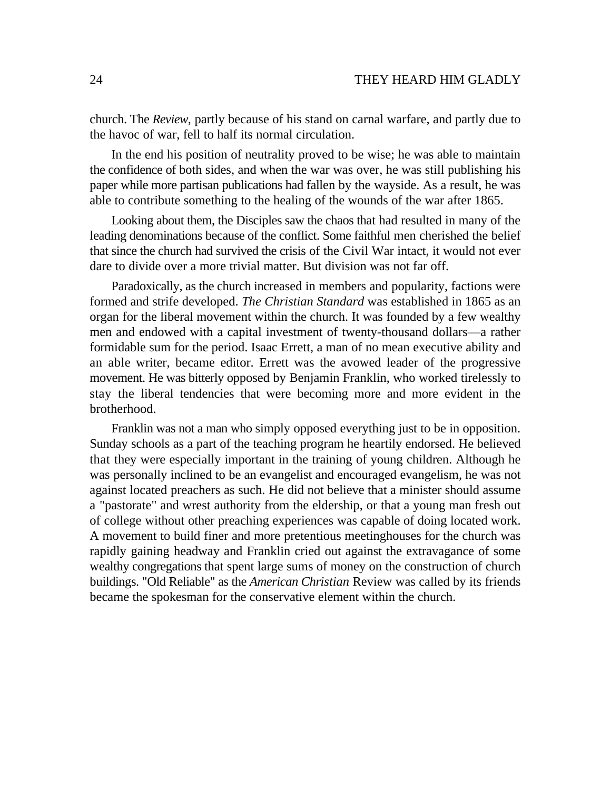church. The *Review,* partly because of his stand on carnal warfare, and partly due to the havoc of war, fell to half its normal circulation.

In the end his position of neutrality proved to be wise; he was able to maintain the confidence of both sides, and when the war was over, he was still publishing his paper while more partisan publications had fallen by the wayside. As a result, he was able to contribute something to the healing of the wounds of the war after 1865.

Looking about them, the Disciples saw the chaos that had resulted in many of the leading denominations because of the conflict. Some faithful men cherished the belief that since the church had survived the crisis of the Civil War intact, it would not ever dare to divide over a more trivial matter. But division was not far off.

Paradoxically, as the church increased in members and popularity, factions were formed and strife developed. *The Christian Standard* was established in 1865 as an organ for the liberal movement within the church. It was founded by a few wealthy men and endowed with a capital investment of twenty-thousand dollars—a rather formidable sum for the period. Isaac Errett, a man of no mean executive ability and an able writer, became editor. Errett was the avowed leader of the progressive movement. He was bitterly opposed by Benjamin Franklin, who worked tirelessly to stay the liberal tendencies that were becoming more and more evident in the brotherhood.

Franklin was not a man who simply opposed everything just to be in opposition. Sunday schools as a part of the teaching program he heartily endorsed. He believed that they were especially important in the training of young children. Although he was personally inclined to be an evangelist and encouraged evangelism, he was not against located preachers as such. He did not believe that a minister should assume a "pastorate" and wrest authority from the eldership, or that a young man fresh out of college without other preaching experiences was capable of doing located work. A movement to build finer and more pretentious meetinghouses for the church was rapidly gaining headway and Franklin cried out against the extravagance of some wealthy congregations that spent large sums of money on the construction of church buildings. "Old Reliable" as the *American Christian* Review was called by its friends became the spokesman for the conservative element within the church.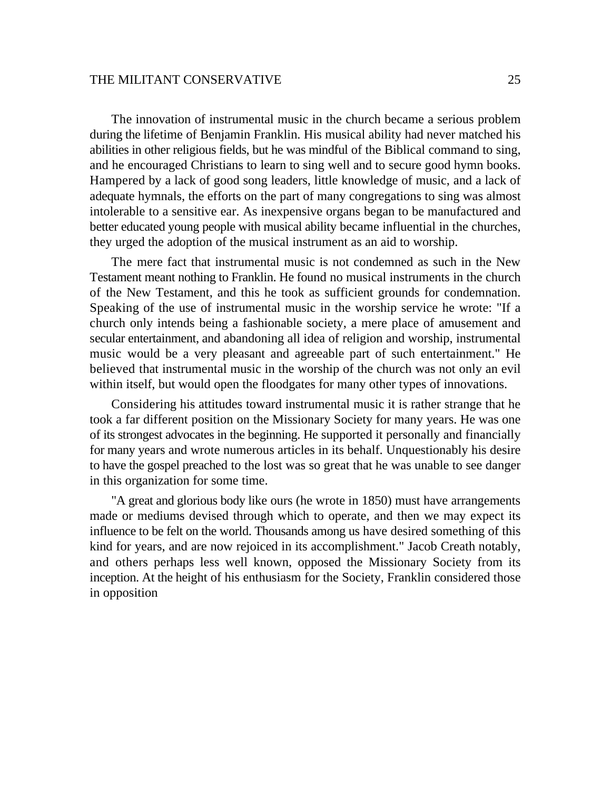#### THE MILITANT CONSERVATIVE 25

The innovation of instrumental music in the church became a serious problem during the lifetime of Benjamin Franklin. His musical ability had never matched his abilities in other religious fields, but he was mindful of the Biblical command to sing, and he encouraged Christians to learn to sing well and to secure good hymn books. Hampered by a lack of good song leaders, little knowledge of music, and a lack of adequate hymnals, the efforts on the part of many congregations to sing was almost intolerable to a sensitive ear. As inexpensive organs began to be manufactured and better educated young people with musical ability became influential in the churches, they urged the adoption of the musical instrument as an aid to worship.

The mere fact that instrumental music is not condemned as such in the New Testament meant nothing to Franklin. He found no musical instruments in the church of the New Testament, and this he took as sufficient grounds for condemnation. Speaking of the use of instrumental music in the worship service he wrote: "If a church only intends being a fashionable society, a mere place of amusement and secular entertainment, and abandoning all idea of religion and worship, instrumental music would be a very pleasant and agreeable part of such entertainment." He believed that instrumental music in the worship of the church was not only an evil within itself, but would open the floodgates for many other types of innovations.

Considering his attitudes toward instrumental music it is rather strange that he took a far different position on the Missionary Society for many years. He was one of its strongest advocates in the beginning. He supported it personally and financially for many years and wrote numerous articles in its behalf. Unquestionably his desire to have the gospel preached to the lost was so great that he was unable to see danger in this organization for some time.

"A great and glorious body like ours (he wrote in 1850) must have arrangements made or mediums devised through which to operate, and then we may expect its influence to be felt on the world. Thousands among us have desired something of this kind for years, and are now rejoiced in its accomplishment." Jacob Creath notably, and others perhaps less well known, opposed the Missionary Society from its inception. At the height of his enthusiasm for the Society, Franklin considered those in opposition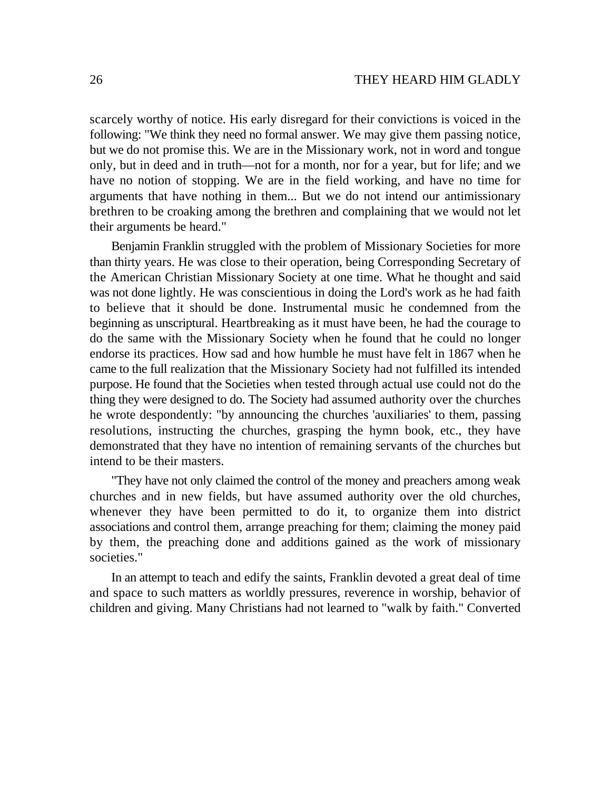scarcely worthy of notice. His early disregard for their convictions is voiced in the following: "We think they need no formal answer. We may give them passing notice, but we do not promise this. We are in the Missionary work, not in word and tongue only, but in deed and in truth—not for a month, nor for a year, but for life; and we have no notion of stopping. We are in the field working, and have no time for arguments that have nothing in them... But we do not intend our antimissionary brethren to be croaking among the brethren and complaining that we would not let their arguments be heard."

Benjamin Franklin struggled with the problem of Missionary Societies for more than thirty years. He was close to their operation, being Corresponding Secretary of the American Christian Missionary Society at one time. What he thought and said was not done lightly. He was conscientious in doing the Lord's work as he had faith to believe that it should be done. Instrumental music he condemned from the beginning as unscriptural. Heartbreaking as it must have been, he had the courage to do the same with the Missionary Society when he found that he could no longer endorse its practices. How sad and how humble he must have felt in 1867 when he came to the full realization that the Missionary Society had not fulfilled its intended purpose. He found that the Societies when tested through actual use could not do the thing they were designed to do. The Society had assumed authority over the churches he wrote despondently: "by announcing the churches 'auxiliaries' to them, passing resolutions, instructing the churches, grasping the hymn book, etc., they have demonstrated that they have no intention of remaining servants of the churches but intend to be their masters.

"They have not only claimed the control of the money and preachers among weak churches and in new fields, but have assumed authority over the old churches, whenever they have been permitted to do it, to organize them into district associations and control them, arrange preaching for them; claiming the money paid by them, the preaching done and additions gained as the work of missionary societies."

In an attempt to teach and edify the saints, Franklin devoted a great deal of time and space to such matters as worldly pressures, reverence in worship, behavior of children and giving. Many Christians had not learned to "walk by faith." Converted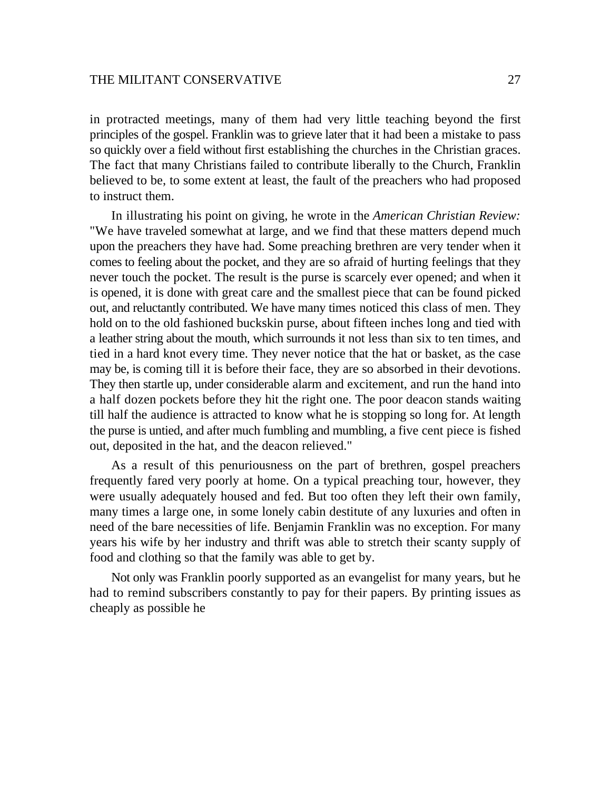#### THE MILITANT CONSERVATIVE 27

in protracted meetings, many of them had very little teaching beyond the first principles of the gospel. Franklin was to grieve later that it had been a mistake to pass so quickly over a field without first establishing the churches in the Christian graces. The fact that many Christians failed to contribute liberally to the Church, Franklin believed to be, to some extent at least, the fault of the preachers who had proposed to instruct them.

In illustrating his point on giving, he wrote in the *American Christian Review:* "We have traveled somewhat at large, and we find that these matters depend much upon the preachers they have had. Some preaching brethren are very tender when it comes to feeling about the pocket, and they are so afraid of hurting feelings that they never touch the pocket. The result is the purse is scarcely ever opened; and when it is opened, it is done with great care and the smallest piece that can be found picked out, and reluctantly contributed. We have many times noticed this class of men. They hold on to the old fashioned buckskin purse, about fifteen inches long and tied with a leather string about the mouth, which surrounds it not less than six to ten times, and tied in a hard knot every time. They never notice that the hat or basket, as the case may be, is coming till it is before their face, they are so absorbed in their devotions. They then startle up, under considerable alarm and excitement, and run the hand into a half dozen pockets before they hit the right one. The poor deacon stands waiting till half the audience is attracted to know what he is stopping so long for. At length the purse is untied, and after much fumbling and mumbling, a five cent piece is fished out, deposited in the hat, and the deacon relieved."

As a result of this penuriousness on the part of brethren, gospel preachers frequently fared very poorly at home. On a typical preaching tour, however, they were usually adequately housed and fed. But too often they left their own family, many times a large one, in some lonely cabin destitute of any luxuries and often in need of the bare necessities of life. Benjamin Franklin was no exception. For many years his wife by her industry and thrift was able to stretch their scanty supply of food and clothing so that the family was able to get by.

Not only was Franklin poorly supported as an evangelist for many years, but he had to remind subscribers constantly to pay for their papers. By printing issues as cheaply as possible he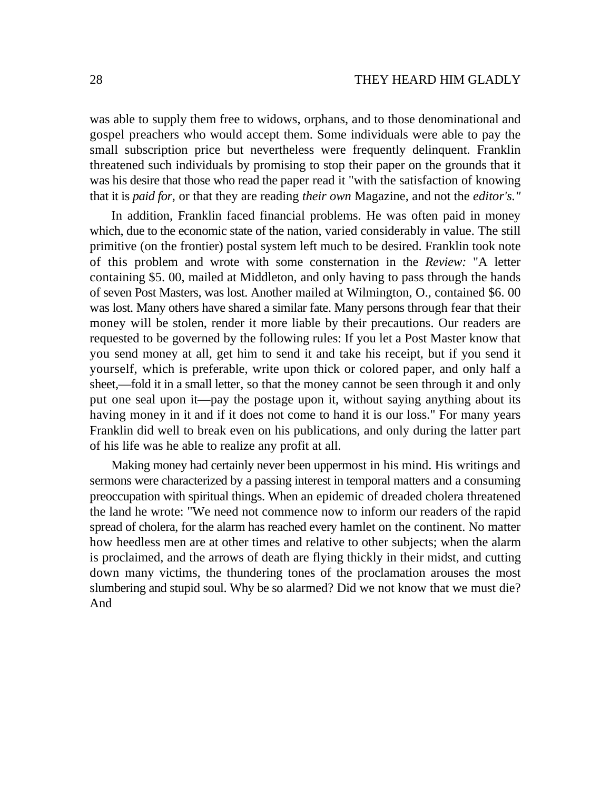was able to supply them free to widows, orphans, and to those denominational and gospel preachers who would accept them. Some individuals were able to pay the small subscription price but nevertheless were frequently delinquent. Franklin threatened such individuals by promising to stop their paper on the grounds that it was his desire that those who read the paper read it "with the satisfaction of knowing that it is *paid for,* or that they are reading *their own* Magazine, and not the *editor's."*

In addition, Franklin faced financial problems. He was often paid in money which, due to the economic state of the nation, varied considerably in value. The still primitive (on the frontier) postal system left much to be desired. Franklin took note of this problem and wrote with some consternation in the *Review:* "A letter containing \$5. 00, mailed at Middleton, and only having to pass through the hands of seven Post Masters, was lost. Another mailed at Wilmington, O., contained \$6. 00 was lost. Many others have shared a similar fate. Many persons through fear that their money will be stolen, render it more liable by their precautions. Our readers are requested to be governed by the following rules: If you let a Post Master know that you send money at all, get him to send it and take his receipt, but if you send it yourself, which is preferable, write upon thick or colored paper, and only half a sheet,—fold it in a small letter, so that the money cannot be seen through it and only put one seal upon it—pay the postage upon it, without saying anything about its having money in it and if it does not come to hand it is our loss." For many years Franklin did well to break even on his publications, and only during the latter part of his life was he able to realize any profit at all.

Making money had certainly never been uppermost in his mind. His writings and sermons were characterized by a passing interest in temporal matters and a consuming preoccupation with spiritual things. When an epidemic of dreaded cholera threatened the land he wrote: "We need not commence now to inform our readers of the rapid spread of cholera, for the alarm has reached every hamlet on the continent. No matter how heedless men are at other times and relative to other subjects; when the alarm is proclaimed, and the arrows of death are flying thickly in their midst, and cutting down many victims, the thundering tones of the proclamation arouses the most slumbering and stupid soul. Why be so alarmed? Did we not know that we must die? And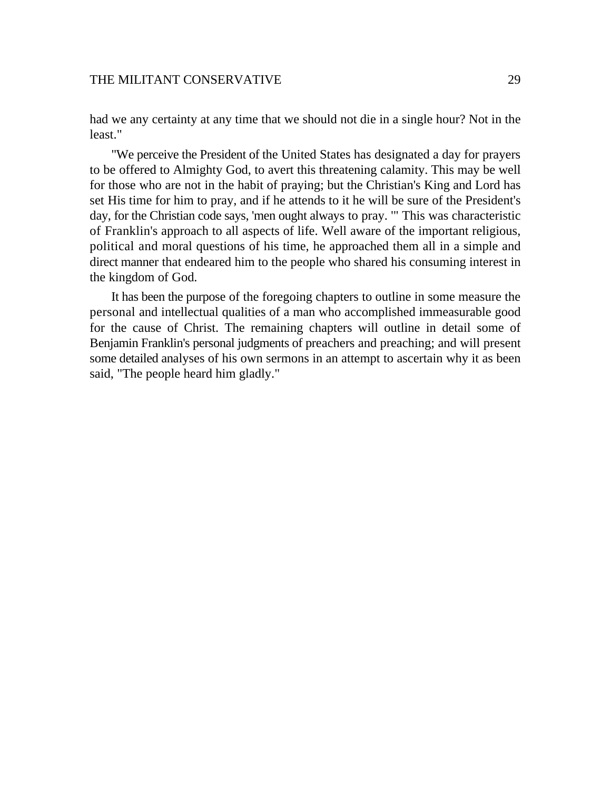had we any certainty at any time that we should not die in a single hour? Not in the least."

"We perceive the President of the United States has designated a day for prayers to be offered to Almighty God, to avert this threatening calamity. This may be well for those who are not in the habit of praying; but the Christian's King and Lord has set His time for him to pray, and if he attends to it he will be sure of the President's day, for the Christian code says, 'men ought always to pray. '" This was characteristic of Franklin's approach to all aspects of life. Well aware of the important religious, political and moral questions of his time, he approached them all in a simple and direct manner that endeared him to the people who shared his consuming interest in the kingdom of God.

It has been the purpose of the foregoing chapters to outline in some measure the personal and intellectual qualities of a man who accomplished immeasurable good for the cause of Christ. The remaining chapters will outline in detail some of Benjamin Franklin's personal judgments of preachers and preaching; and will present some detailed analyses of his own sermons in an attempt to ascertain why it as been said, "The people heard him gladly."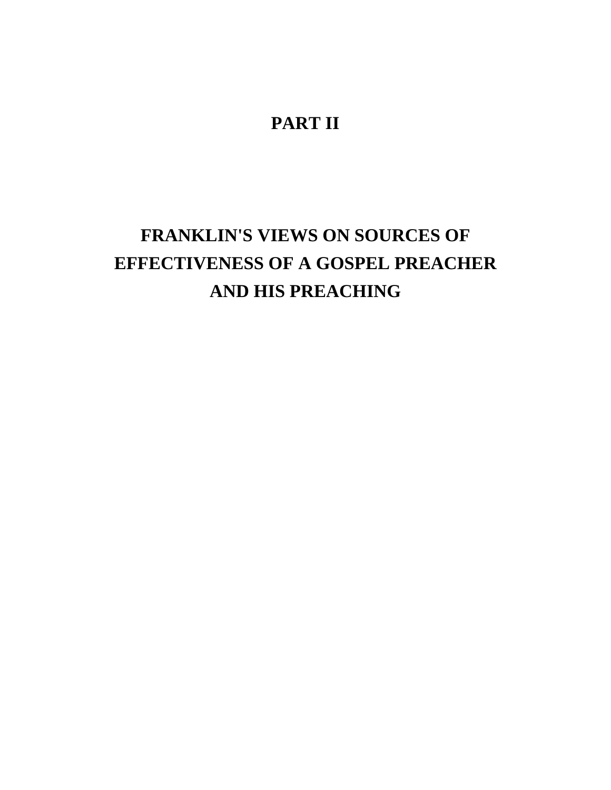# **PART II**

# **FRANKLIN'S VIEWS ON SOURCES OF EFFECTIVENESS OF A GOSPEL PREACHER AND HIS PREACHING**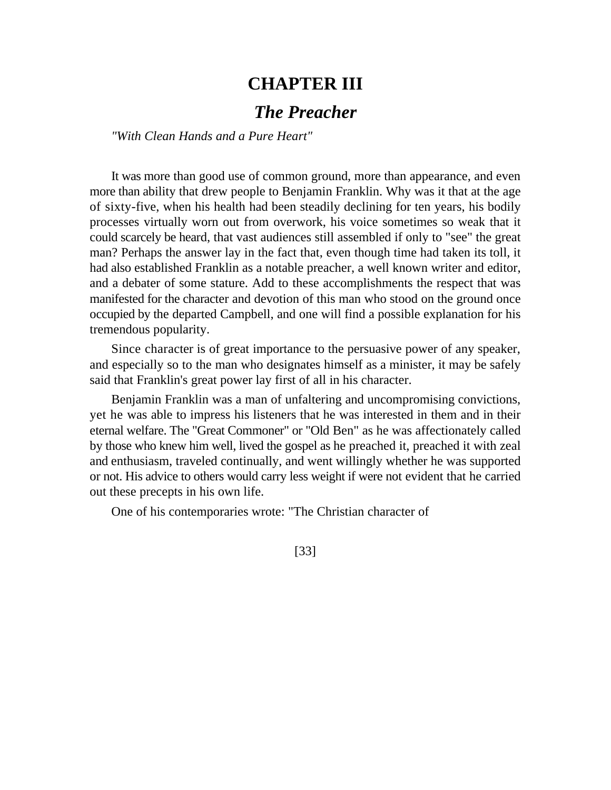# **CHAPTER III**

# *The Preacher*

*"With Clean Hands and a Pure Heart"*

It was more than good use of common ground, more than appearance, and even more than ability that drew people to Benjamin Franklin. Why was it that at the age of sixty-five, when his health had been steadily declining for ten years, his bodily processes virtually worn out from overwork, his voice sometimes so weak that it could scarcely be heard, that vast audiences still assembled if only to "see" the great man? Perhaps the answer lay in the fact that, even though time had taken its toll, it had also established Franklin as a notable preacher, a well known writer and editor, and a debater of some stature. Add to these accomplishments the respect that was manifested for the character and devotion of this man who stood on the ground once occupied by the departed Campbell, and one will find a possible explanation for his tremendous popularity.

Since character is of great importance to the persuasive power of any speaker, and especially so to the man who designates himself as a minister, it may be safely said that Franklin's great power lay first of all in his character.

Benjamin Franklin was a man of unfaltering and uncompromising convictions, yet he was able to impress his listeners that he was interested in them and in their eternal welfare. The "Great Commoner" or "Old Ben" as he was affectionately called by those who knew him well, lived the gospel as he preached it, preached it with zeal and enthusiasm, traveled continually, and went willingly whether he was supported or not. His advice to others would carry less weight if were not evident that he carried out these precepts in his own life.

One of his contemporaries wrote: "The Christian character of

[33]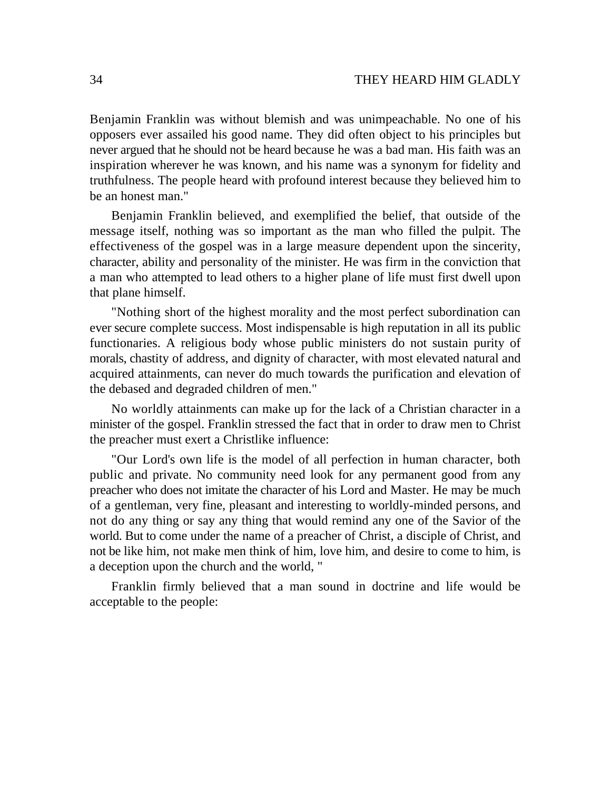Benjamin Franklin was without blemish and was unimpeachable. No one of his opposers ever assailed his good name. They did often object to his principles but never argued that he should not be heard because he was a bad man. His faith was an inspiration wherever he was known, and his name was a synonym for fidelity and truthfulness. The people heard with profound interest because they believed him to be an honest man."

Benjamin Franklin believed, and exemplified the belief, that outside of the message itself, nothing was so important as the man who filled the pulpit. The effectiveness of the gospel was in a large measure dependent upon the sincerity, character, ability and personality of the minister. He was firm in the conviction that a man who attempted to lead others to a higher plane of life must first dwell upon that plane himself.

"Nothing short of the highest morality and the most perfect subordination can ever secure complete success. Most indispensable is high reputation in all its public functionaries. A religious body whose public ministers do not sustain purity of morals, chastity of address, and dignity of character, with most elevated natural and acquired attainments, can never do much towards the purification and elevation of the debased and degraded children of men."

No worldly attainments can make up for the lack of a Christian character in a minister of the gospel. Franklin stressed the fact that in order to draw men to Christ the preacher must exert a Christlike influence:

"Our Lord's own life is the model of all perfection in human character, both public and private. No community need look for any permanent good from any preacher who does not imitate the character of his Lord and Master. He may be much of a gentleman, very fine, pleasant and interesting to worldly-minded persons, and not do any thing or say any thing that would remind any one of the Savior of the world. But to come under the name of a preacher of Christ, a disciple of Christ, and not be like him, not make men think of him, love him, and desire to come to him, is a deception upon the church and the world, "

Franklin firmly believed that a man sound in doctrine and life would be acceptable to the people: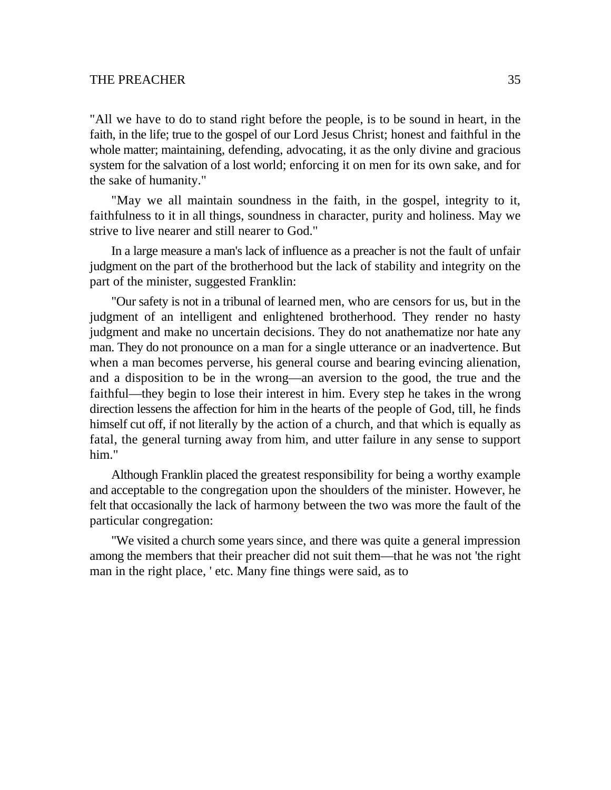"All we have to do to stand right before the people, is to be sound in heart, in the faith, in the life; true to the gospel of our Lord Jesus Christ; honest and faithful in the whole matter; maintaining, defending, advocating, it as the only divine and gracious system for the salvation of a lost world; enforcing it on men for its own sake, and for the sake of humanity."

"May we all maintain soundness in the faith, in the gospel, integrity to it, faithfulness to it in all things, soundness in character, purity and holiness. May we strive to live nearer and still nearer to God."

In a large measure a man's lack of influence as a preacher is not the fault of unfair judgment on the part of the brotherhood but the lack of stability and integrity on the part of the minister, suggested Franklin:

"Our safety is not in a tribunal of learned men, who are censors for us, but in the judgment of an intelligent and enlightened brotherhood. They render no hasty judgment and make no uncertain decisions. They do not anathematize nor hate any man. They do not pronounce on a man for a single utterance or an inadvertence. But when a man becomes perverse, his general course and bearing evincing alienation, and a disposition to be in the wrong—an aversion to the good, the true and the faithful—they begin to lose their interest in him. Every step he takes in the wrong direction lessens the affection for him in the hearts of the people of God, till, he finds himself cut off, if not literally by the action of a church, and that which is equally as fatal, the general turning away from him, and utter failure in any sense to support him."

Although Franklin placed the greatest responsibility for being a worthy example and acceptable to the congregation upon the shoulders of the minister. However, he felt that occasionally the lack of harmony between the two was more the fault of the particular congregation:

"We visited a church some years since, and there was quite a general impression among the members that their preacher did not suit them—that he was not 'the right man in the right place, ' etc. Many fine things were said, as to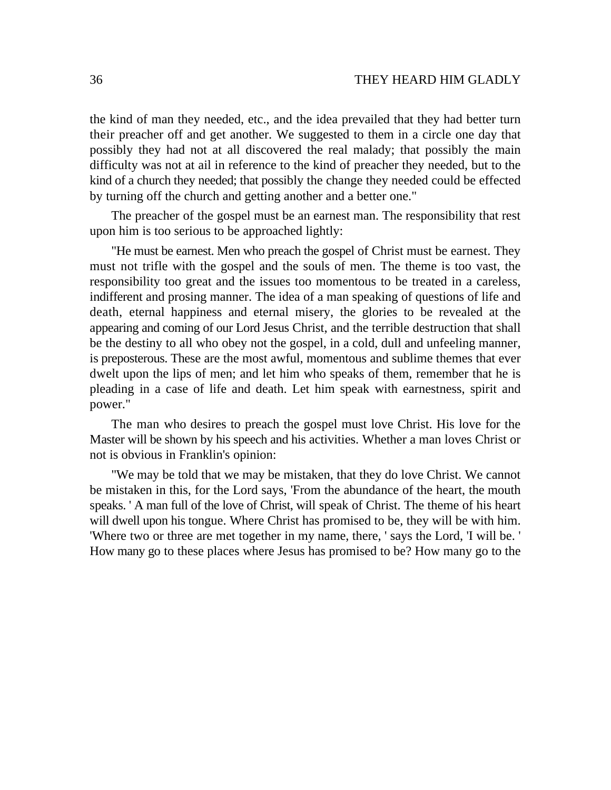the kind of man they needed, etc., and the idea prevailed that they had better turn their preacher off and get another. We suggested to them in a circle one day that possibly they had not at all discovered the real malady; that possibly the main difficulty was not at ail in reference to the kind of preacher they needed, but to the kind of a church they needed; that possibly the change they needed could be effected by turning off the church and getting another and a better one."

The preacher of the gospel must be an earnest man. The responsibility that rest upon him is too serious to be approached lightly:

"He must be earnest. Men who preach the gospel of Christ must be earnest. They must not trifle with the gospel and the souls of men. The theme is too vast, the responsibility too great and the issues too momentous to be treated in a careless, indifferent and prosing manner. The idea of a man speaking of questions of life and death, eternal happiness and eternal misery, the glories to be revealed at the appearing and coming of our Lord Jesus Christ, and the terrible destruction that shall be the destiny to all who obey not the gospel, in a cold, dull and unfeeling manner, is preposterous. These are the most awful, momentous and sublime themes that ever dwelt upon the lips of men; and let him who speaks of them, remember that he is pleading in a case of life and death. Let him speak with earnestness, spirit and power."

The man who desires to preach the gospel must love Christ. His love for the Master will be shown by his speech and his activities. Whether a man loves Christ or not is obvious in Franklin's opinion:

"We may be told that we may be mistaken, that they do love Christ. We cannot be mistaken in this, for the Lord says, 'From the abundance of the heart, the mouth speaks. ' A man full of the love of Christ, will speak of Christ. The theme of his heart will dwell upon his tongue. Where Christ has promised to be, they will be with him. 'Where two or three are met together in my name, there, ' says the Lord, 'I will be. ' How many go to these places where Jesus has promised to be? How many go to the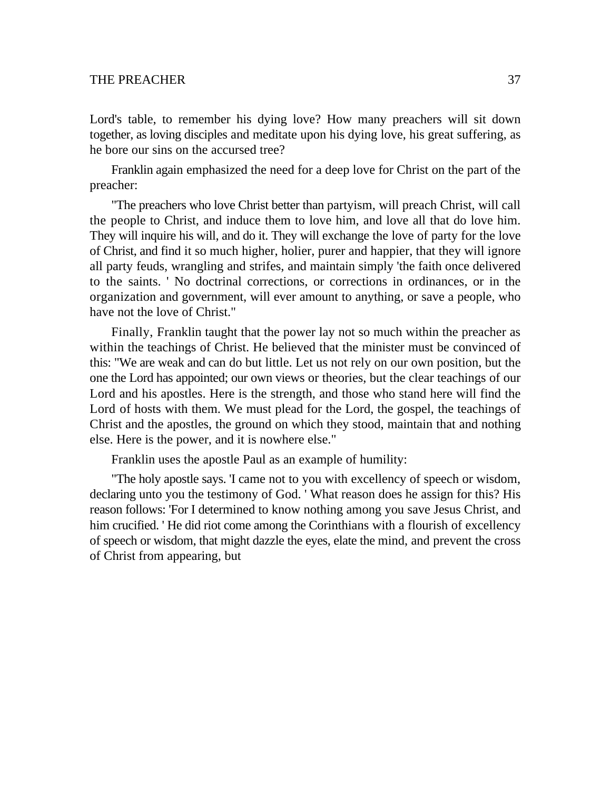Lord's table, to remember his dying love? How many preachers will sit down together, as loving disciples and meditate upon his dying love, his great suffering, as he bore our sins on the accursed tree?

Franklin again emphasized the need for a deep love for Christ on the part of the preacher:

"The preachers who love Christ better than partyism, will preach Christ, will call the people to Christ, and induce them to love him, and love all that do love him. They will inquire his will, and do it. They will exchange the love of party for the love of Christ, and find it so much higher, holier, purer and happier, that they will ignore all party feuds, wrangling and strifes, and maintain simply 'the faith once delivered to the saints. ' No doctrinal corrections, or corrections in ordinances, or in the organization and government, will ever amount to anything, or save a people, who have not the love of Christ."

Finally, Franklin taught that the power lay not so much within the preacher as within the teachings of Christ. He believed that the minister must be convinced of this: "We are weak and can do but little. Let us not rely on our own position, but the one the Lord has appointed; our own views or theories, but the clear teachings of our Lord and his apostles. Here is the strength, and those who stand here will find the Lord of hosts with them. We must plead for the Lord, the gospel, the teachings of Christ and the apostles, the ground on which they stood, maintain that and nothing else. Here is the power, and it is nowhere else."

Franklin uses the apostle Paul as an example of humility:

"The holy apostle says. 'I came not to you with excellency of speech or wisdom, declaring unto you the testimony of God. ' What reason does he assign for this? His reason follows: 'For I determined to know nothing among you save Jesus Christ, and him crucified. ' He did riot come among the Corinthians with a flourish of excellency of speech or wisdom, that might dazzle the eyes, elate the mind, and prevent the cross of Christ from appearing, but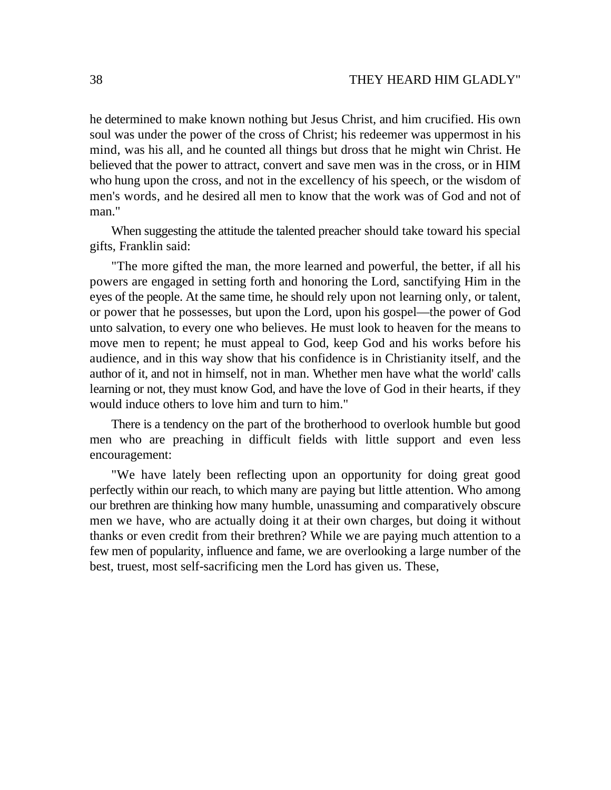he determined to make known nothing but Jesus Christ, and him crucified. His own soul was under the power of the cross of Christ; his redeemer was uppermost in his mind, was his all, and he counted all things but dross that he might win Christ. He believed that the power to attract, convert and save men was in the cross, or in HIM who hung upon the cross, and not in the excellency of his speech, or the wisdom of men's words, and he desired all men to know that the work was of God and not of man."

When suggesting the attitude the talented preacher should take toward his special gifts, Franklin said:

"The more gifted the man, the more learned and powerful, the better, if all his powers are engaged in setting forth and honoring the Lord, sanctifying Him in the eyes of the people. At the same time, he should rely upon not learning only, or talent, or power that he possesses, but upon the Lord, upon his gospel—the power of God unto salvation, to every one who believes. He must look to heaven for the means to move men to repent; he must appeal to God, keep God and his works before his audience, and in this way show that his confidence is in Christianity itself, and the author of it, and not in himself, not in man. Whether men have what the world' calls learning or not, they must know God, and have the love of God in their hearts, if they would induce others to love him and turn to him."

There is a tendency on the part of the brotherhood to overlook humble but good men who are preaching in difficult fields with little support and even less encouragement:

"We have lately been reflecting upon an opportunity for doing great good perfectly within our reach, to which many are paying but little attention. Who among our brethren are thinking how many humble, unassuming and comparatively obscure men we have, who are actually doing it at their own charges, but doing it without thanks or even credit from their brethren? While we are paying much attention to a few men of popularity, influence and fame, we are overlooking a large number of the best, truest, most self-sacrificing men the Lord has given us. These,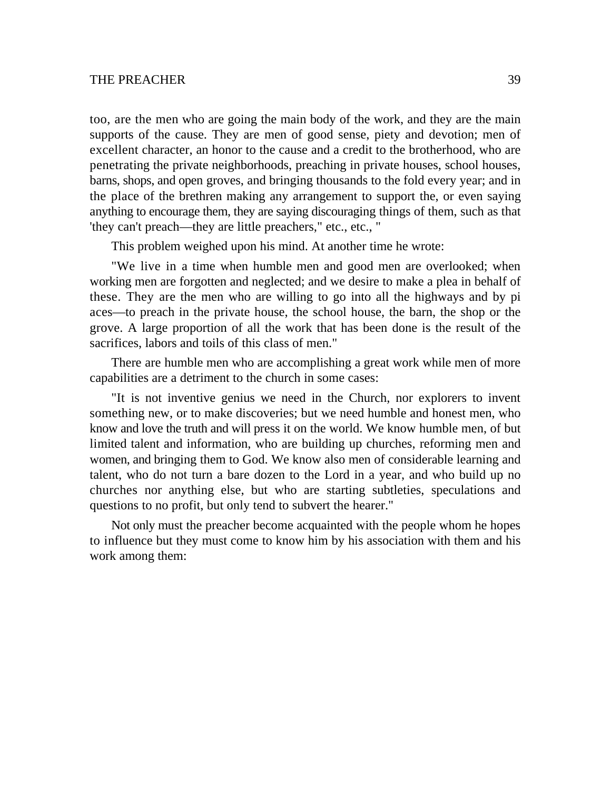too, are the men who are going the main body of the work, and they are the main supports of the cause. They are men of good sense, piety and devotion; men of excellent character, an honor to the cause and a credit to the brotherhood, who are penetrating the private neighborhoods, preaching in private houses, school houses, barns, shops, and open groves, and bringing thousands to the fold every year; and in the place of the brethren making any arrangement to support the, or even saying anything to encourage them, they are saying discouraging things of them, such as that 'they can't preach—they are little preachers," etc., etc., "

This problem weighed upon his mind. At another time he wrote:

"We live in a time when humble men and good men are overlooked; when working men are forgotten and neglected; and we desire to make a plea in behalf of these. They are the men who are willing to go into all the highways and by pi aces—to preach in the private house, the school house, the barn, the shop or the grove. A large proportion of all the work that has been done is the result of the sacrifices, labors and toils of this class of men."

There are humble men who are accomplishing a great work while men of more capabilities are a detriment to the church in some cases:

"It is not inventive genius we need in the Church, nor explorers to invent something new, or to make discoveries; but we need humble and honest men, who know and love the truth and will press it on the world. We know humble men, of but limited talent and information, who are building up churches, reforming men and women, and bringing them to God. We know also men of considerable learning and talent, who do not turn a bare dozen to the Lord in a year, and who build up no churches nor anything else, but who are starting subtleties, speculations and questions to no profit, but only tend to subvert the hearer."

Not only must the preacher become acquainted with the people whom he hopes to influence but they must come to know him by his association with them and his work among them: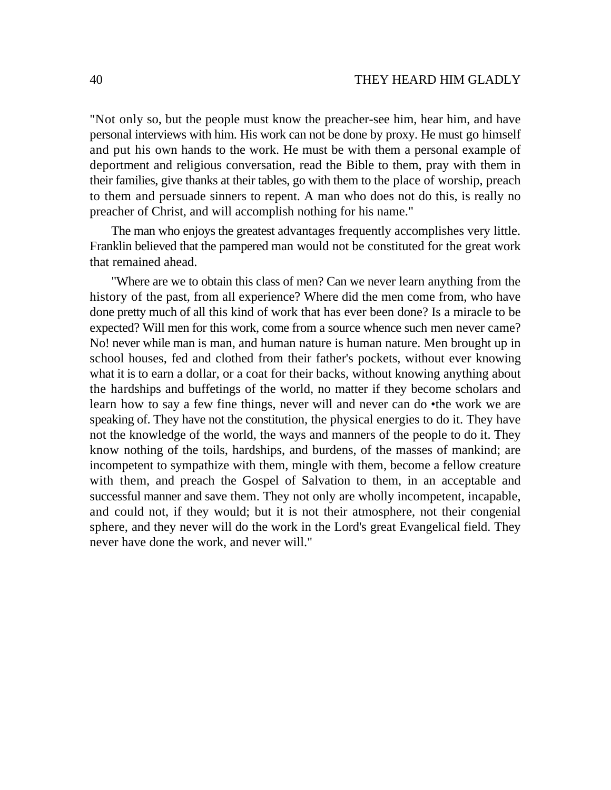"Not only so, but the people must know the preacher-see him, hear him, and have personal interviews with him. His work can not be done by proxy. He must go himself and put his own hands to the work. He must be with them a personal example of deportment and religious conversation, read the Bible to them, pray with them in their families, give thanks at their tables, go with them to the place of worship, preach to them and persuade sinners to repent. A man who does not do this, is really no preacher of Christ, and will accomplish nothing for his name."

The man who enjoys the greatest advantages frequently accomplishes very little. Franklin believed that the pampered man would not be constituted for the great work that remained ahead.

"Where are we to obtain this class of men? Can we never learn anything from the history of the past, from all experience? Where did the men come from, who have done pretty much of all this kind of work that has ever been done? Is a miracle to be expected? Will men for this work, come from a source whence such men never came? No! never while man is man, and human nature is human nature. Men brought up in school houses, fed and clothed from their father's pockets, without ever knowing what it is to earn a dollar, or a coat for their backs, without knowing anything about the hardships and buffetings of the world, no matter if they become scholars and learn how to say a few fine things, never will and never can do •the work we are speaking of. They have not the constitution, the physical energies to do it. They have not the knowledge of the world, the ways and manners of the people to do it. They know nothing of the toils, hardships, and burdens, of the masses of mankind; are incompetent to sympathize with them, mingle with them, become a fellow creature with them, and preach the Gospel of Salvation to them, in an acceptable and successful manner and save them. They not only are wholly incompetent, incapable, and could not, if they would; but it is not their atmosphere, not their congenial sphere, and they never will do the work in the Lord's great Evangelical field. They never have done the work, and never will."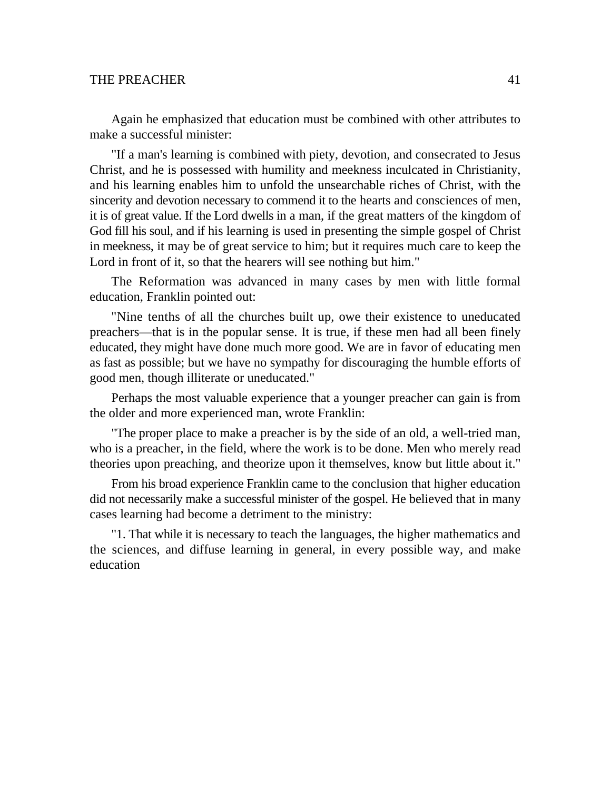Again he emphasized that education must be combined with other attributes to make a successful minister:

"If a man's learning is combined with piety, devotion, and consecrated to Jesus Christ, and he is possessed with humility and meekness inculcated in Christianity, and his learning enables him to unfold the unsearchable riches of Christ, with the sincerity and devotion necessary to commend it to the hearts and consciences of men, it is of great value. If the Lord dwells in a man, if the great matters of the kingdom of God fill his soul, and if his learning is used in presenting the simple gospel of Christ in meekness, it may be of great service to him; but it requires much care to keep the Lord in front of it, so that the hearers will see nothing but him."

The Reformation was advanced in many cases by men with little formal education, Franklin pointed out:

"Nine tenths of all the churches built up, owe their existence to uneducated preachers—that is in the popular sense. It is true, if these men had all been finely educated, they might have done much more good. We are in favor of educating men as fast as possible; but we have no sympathy for discouraging the humble efforts of good men, though illiterate or uneducated."

Perhaps the most valuable experience that a younger preacher can gain is from the older and more experienced man, wrote Franklin:

"The proper place to make a preacher is by the side of an old, a well-tried man, who is a preacher, in the field, where the work is to be done. Men who merely read theories upon preaching, and theorize upon it themselves, know but little about it."

From his broad experience Franklin came to the conclusion that higher education did not necessarily make a successful minister of the gospel. He believed that in many cases learning had become a detriment to the ministry:

"1. That while it is necessary to teach the languages, the higher mathematics and the sciences, and diffuse learning in general, in every possible way, and make education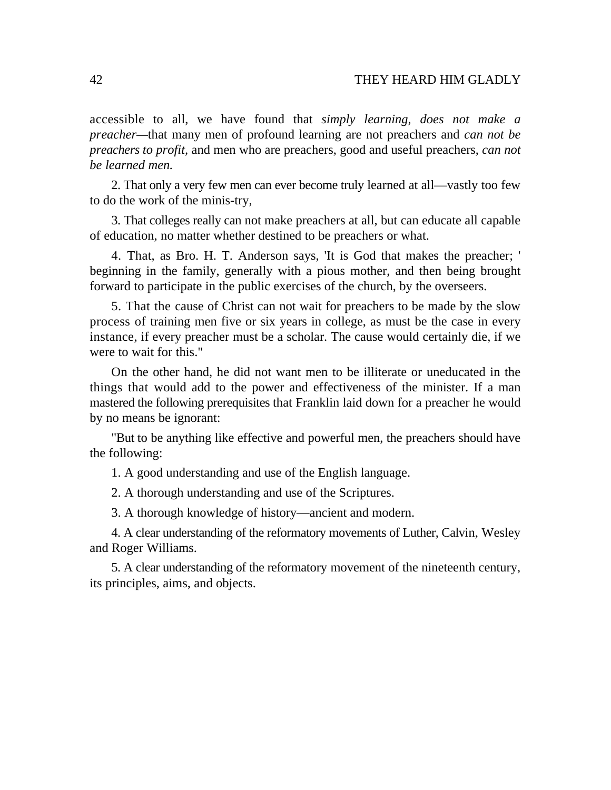### 42 THEY HEARD HIM GLADLY

accessible to all, we have found that *simply learning, does not make a preacher—*that many men of profound learning are not preachers and *can not be preachers to profit,* and men who are preachers, good and useful preachers, *can not be learned men.*

2. That only a very few men can ever become truly learned at all—vastly too few to do the work of the minis-try,

3. That colleges really can not make preachers at all, but can educate all capable of education, no matter whether destined to be preachers or what.

4. That, as Bro. H. T. Anderson says, 'It is God that makes the preacher; ' beginning in the family, generally with a pious mother, and then being brought forward to participate in the public exercises of the church, by the overseers.

5. That the cause of Christ can not wait for preachers to be made by the slow process of training men five or six years in college, as must be the case in every instance, if every preacher must be a scholar. The cause would certainly die, if we were to wait for this."

On the other hand, he did not want men to be illiterate or uneducated in the things that would add to the power and effectiveness of the minister. If a man mastered the following prerequisites that Franklin laid down for a preacher he would by no means be ignorant:

"But to be anything like effective and powerful men, the preachers should have the following:

1. A good understanding and use of the English language.

2. A thorough understanding and use of the Scriptures.

3. A thorough knowledge of history—ancient and modern.

4. A clear understanding of the reformatory movements of Luther, Calvin, Wesley and Roger Williams.

5. A clear understanding of the reformatory movement of the nineteenth century, its principles, aims, and objects.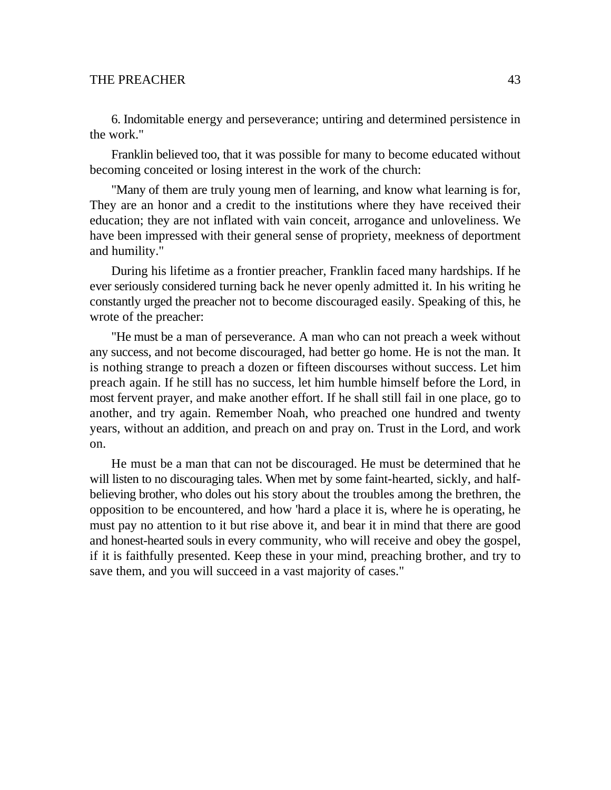6. Indomitable energy and perseverance; untiring and determined persistence in the work."

Franklin believed too, that it was possible for many to become educated without becoming conceited or losing interest in the work of the church:

"Many of them are truly young men of learning, and know what learning is for, They are an honor and a credit to the institutions where they have received their education; they are not inflated with vain conceit, arrogance and unloveliness. We have been impressed with their general sense of propriety, meekness of deportment and humility."

During his lifetime as a frontier preacher, Franklin faced many hardships. If he ever seriously considered turning back he never openly admitted it. In his writing he constantly urged the preacher not to become discouraged easily. Speaking of this, he wrote of the preacher:

"He must be a man of perseverance. A man who can not preach a week without any success, and not become discouraged, had better go home. He is not the man. It is nothing strange to preach a dozen or fifteen discourses without success. Let him preach again. If he still has no success, let him humble himself before the Lord, in most fervent prayer, and make another effort. If he shall still fail in one place, go to another, and try again. Remember Noah, who preached one hundred and twenty years, without an addition, and preach on and pray on. Trust in the Lord, and work on.

He must be a man that can not be discouraged. He must be determined that he will listen to no discouraging tales. When met by some faint-hearted, sickly, and halfbelieving brother, who doles out his story about the troubles among the brethren, the opposition to be encountered, and how 'hard a place it is, where he is operating, he must pay no attention to it but rise above it, and bear it in mind that there are good and honest-hearted souls in every community, who will receive and obey the gospel, if it is faithfully presented. Keep these in your mind, preaching brother, and try to save them, and you will succeed in a vast majority of cases."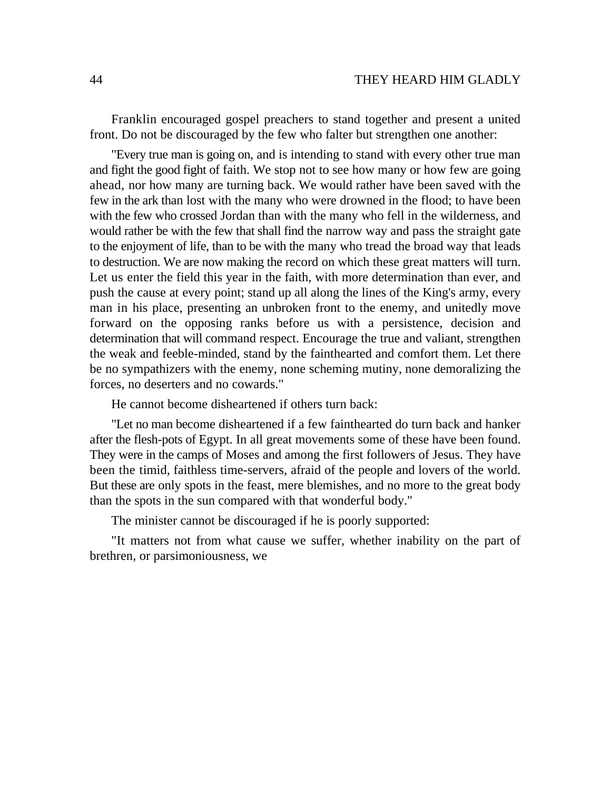Franklin encouraged gospel preachers to stand together and present a united front. Do not be discouraged by the few who falter but strengthen one another:

"Every true man is going on, and is intending to stand with every other true man and fight the good fight of faith. We stop not to see how many or how few are going ahead, nor how many are turning back. We would rather have been saved with the few in the ark than lost with the many who were drowned in the flood; to have been with the few who crossed Jordan than with the many who fell in the wilderness, and would rather be with the few that shall find the narrow way and pass the straight gate to the enjoyment of life, than to be with the many who tread the broad way that leads to destruction. We are now making the record on which these great matters will turn. Let us enter the field this year in the faith, with more determination than ever, and push the cause at every point; stand up all along the lines of the King's army, every man in his place, presenting an unbroken front to the enemy, and unitedly move forward on the opposing ranks before us with a persistence, decision and determination that will command respect. Encourage the true and valiant, strengthen the weak and feeble-minded, stand by the fainthearted and comfort them. Let there be no sympathizers with the enemy, none scheming mutiny, none demoralizing the forces, no deserters and no cowards."

He cannot become disheartened if others turn back:

"Let no man become disheartened if a few fainthearted do turn back and hanker after the flesh-pots of Egypt. In all great movements some of these have been found. They were in the camps of Moses and among the first followers of Jesus. They have been the timid, faithless time-servers, afraid of the people and lovers of the world. But these are only spots in the feast, mere blemishes, and no more to the great body than the spots in the sun compared with that wonderful body."

The minister cannot be discouraged if he is poorly supported:

"It matters not from what cause we suffer, whether inability on the part of brethren, or parsimoniousness, we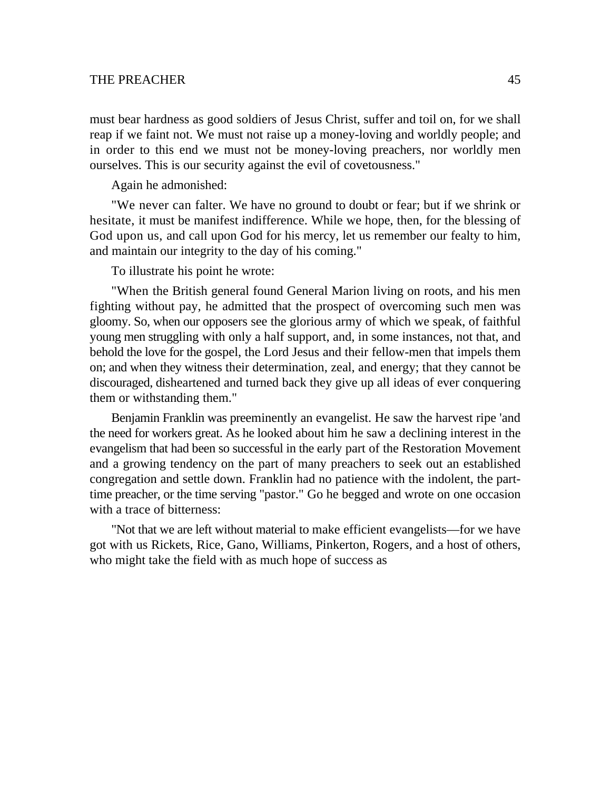must bear hardness as good soldiers of Jesus Christ, suffer and toil on, for we shall reap if we faint not. We must not raise up a money-loving and worldly people; and in order to this end we must not be money-loving preachers, nor worldly men ourselves. This is our security against the evil of covetousness."

Again he admonished:

"We never can falter. We have no ground to doubt or fear; but if we shrink or hesitate, it must be manifest indifference. While we hope, then, for the blessing of God upon us, and call upon God for his mercy, let us remember our fealty to him, and maintain our integrity to the day of his coming."

To illustrate his point he wrote:

"When the British general found General Marion living on roots, and his men fighting without pay, he admitted that the prospect of overcoming such men was gloomy. So, when our opposers see the glorious army of which we speak, of faithful young men struggling with only a half support, and, in some instances, not that, and behold the love for the gospel, the Lord Jesus and their fellow-men that impels them on; and when they witness their determination, zeal, and energy; that they cannot be discouraged, disheartened and turned back they give up all ideas of ever conquering them or withstanding them."

Benjamin Franklin was preeminently an evangelist. He saw the harvest ripe 'and the need for workers great. As he looked about him he saw a declining interest in the evangelism that had been so successful in the early part of the Restoration Movement and a growing tendency on the part of many preachers to seek out an established congregation and settle down. Franklin had no patience with the indolent, the parttime preacher, or the time serving "pastor." Go he begged and wrote on one occasion with a trace of bitterness:

"Not that we are left without material to make efficient evangelists—for we have got with us Rickets, Rice, Gano, Williams, Pinkerton, Rogers, and a host of others, who might take the field with as much hope of success as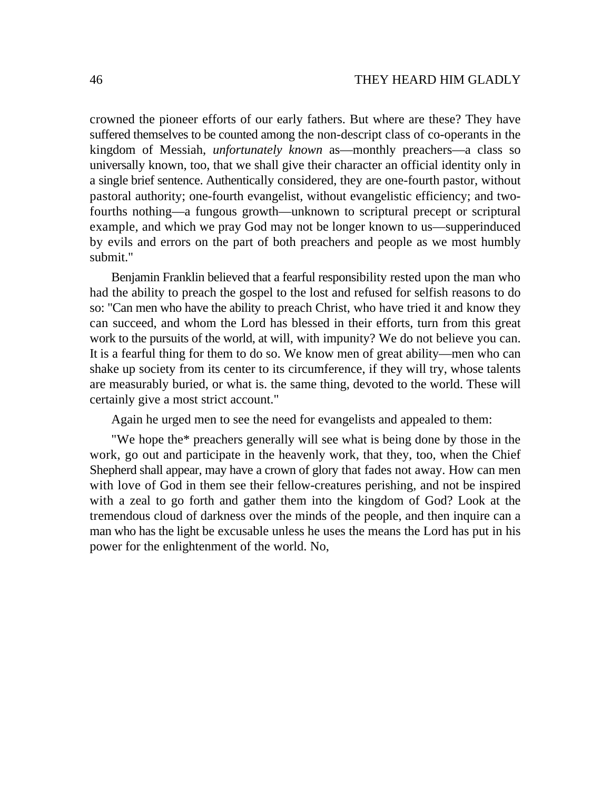crowned the pioneer efforts of our early fathers. But where are these? They have suffered themselves to be counted among the non-descript class of co-operants in the kingdom of Messiah, *unfortunately known* as—monthly preachers—a class so universally known, too, that we shall give their character an official identity only in a single brief sentence. Authentically considered, they are one-fourth pastor, without pastoral authority; one-fourth evangelist, without evangelistic efficiency; and twofourths nothing—a fungous growth—unknown to scriptural precept or scriptural example, and which we pray God may not be longer known to us—supperinduced by evils and errors on the part of both preachers and people as we most humbly submit."

Benjamin Franklin believed that a fearful responsibility rested upon the man who had the ability to preach the gospel to the lost and refused for selfish reasons to do so: "Can men who have the ability to preach Christ, who have tried it and know they can succeed, and whom the Lord has blessed in their efforts, turn from this great work to the pursuits of the world, at will, with impunity? We do not believe you can. It is a fearful thing for them to do so. We know men of great ability—men who can shake up society from its center to its circumference, if they will try, whose talents are measurably buried, or what is. the same thing, devoted to the world. These will certainly give a most strict account."

Again he urged men to see the need for evangelists and appealed to them:

"We hope the\* preachers generally will see what is being done by those in the work, go out and participate in the heavenly work, that they, too, when the Chief Shepherd shall appear, may have a crown of glory that fades not away. How can men with love of God in them see their fellow-creatures perishing, and not be inspired with a zeal to go forth and gather them into the kingdom of God? Look at the tremendous cloud of darkness over the minds of the people, and then inquire can a man who has the light be excusable unless he uses the means the Lord has put in his power for the enlightenment of the world. No,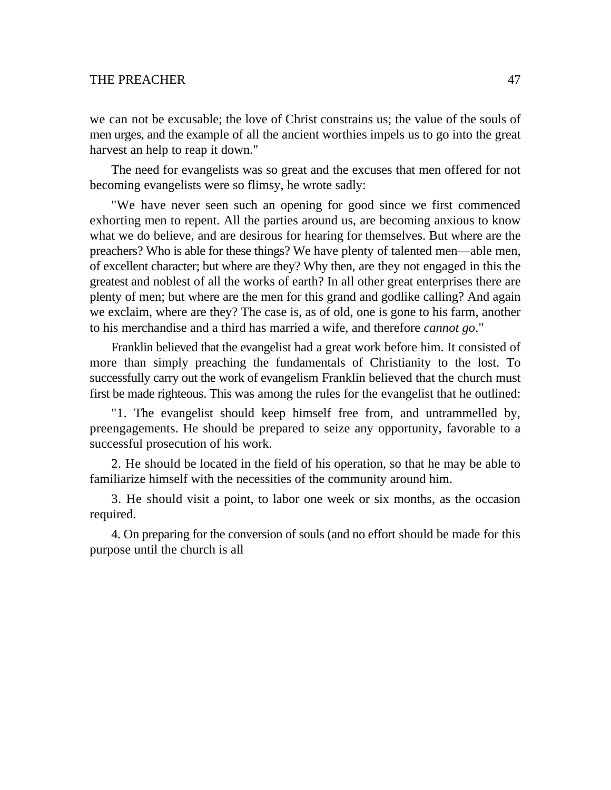we can not be excusable; the love of Christ constrains us; the value of the souls of men urges, and the example of all the ancient worthies impels us to go into the great harvest an help to reap it down."

The need for evangelists was so great and the excuses that men offered for not becoming evangelists were so flimsy, he wrote sadly:

"We have never seen such an opening for good since we first commenced exhorting men to repent. All the parties around us, are becoming anxious to know what we do believe, and are desirous for hearing for themselves. But where are the preachers? Who is able for these things? We have plenty of talented men—able men, of excellent character; but where are they? Why then, are they not engaged in this the greatest and noblest of all the works of earth? In all other great enterprises there are plenty of men; but where are the men for this grand and godlike calling? And again we exclaim, where are they? The case is, as of old, one is gone to his farm, another to his merchandise and a third has married a wife, and therefore *cannot go*."

Franklin believed that the evangelist had a great work before him. It consisted of more than simply preaching the fundamentals of Christianity to the lost. To successfully carry out the work of evangelism Franklin believed that the church must first be made righteous. This was among the rules for the evangelist that he outlined:

"1. The evangelist should keep himself free from, and untrammelled by, preengagements. He should be prepared to seize any opportunity, favorable to a successful prosecution of his work.

2. He should be located in the field of his operation, so that he may be able to familiarize himself with the necessities of the community around him.

3. He should visit a point, to labor one week or six months, as the occasion required.

4. On preparing for the conversion of souls (and no effort should be made for this purpose until the church is all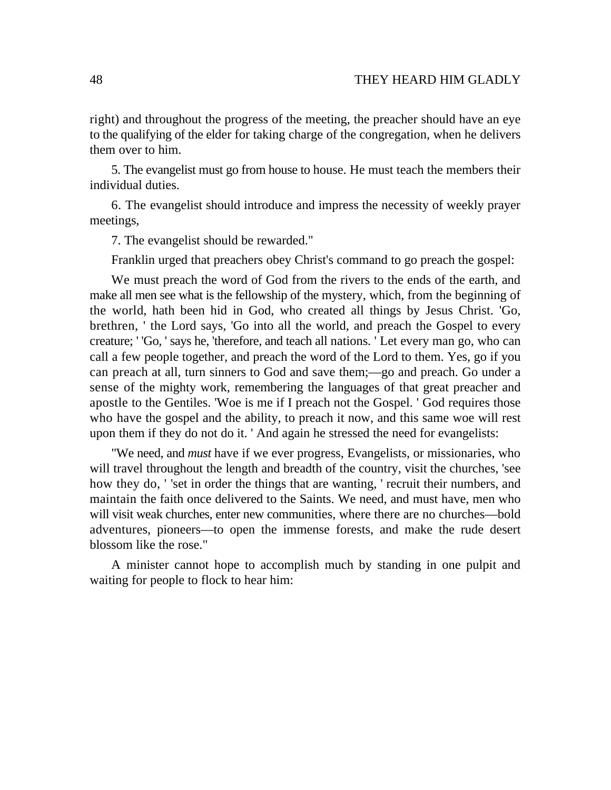right) and throughout the progress of the meeting, the preacher should have an eye to the qualifying of the elder for taking charge of the congregation, when he delivers them over to him.

5. The evangelist must go from house to house. He must teach the members their individual duties.

6. The evangelist should introduce and impress the necessity of weekly prayer meetings,

7. The evangelist should be rewarded."

Franklin urged that preachers obey Christ's command to go preach the gospel:

We must preach the word of God from the rivers to the ends of the earth, and make all men see what is the fellowship of the mystery, which, from the beginning of the world, hath been hid in God, who created all things by Jesus Christ. 'Go, brethren, ' the Lord says, 'Go into all the world, and preach the Gospel to every creature; ' 'Go, ' says he, 'therefore, and teach all nations. ' Let every man go, who can call a few people together, and preach the word of the Lord to them. Yes, go if you can preach at all, turn sinners to God and save them;—go and preach. Go under a sense of the mighty work, remembering the languages of that great preacher and apostle to the Gentiles. 'Woe is me if I preach not the Gospel. ' God requires those who have the gospel and the ability, to preach it now, and this same woe will rest upon them if they do not do it. ' And again he stressed the need for evangelists:

"We need, and *must* have if we ever progress, Evangelists, or missionaries, who will travel throughout the length and breadth of the country, visit the churches, 'see how they do, ' 'set in order the things that are wanting, ' recruit their numbers, and maintain the faith once delivered to the Saints. We need, and must have, men who will visit weak churches, enter new communities, where there are no churches—bold adventures, pioneers—to open the immense forests, and make the rude desert blossom like the rose."

A minister cannot hope to accomplish much by standing in one pulpit and waiting for people to flock to hear him: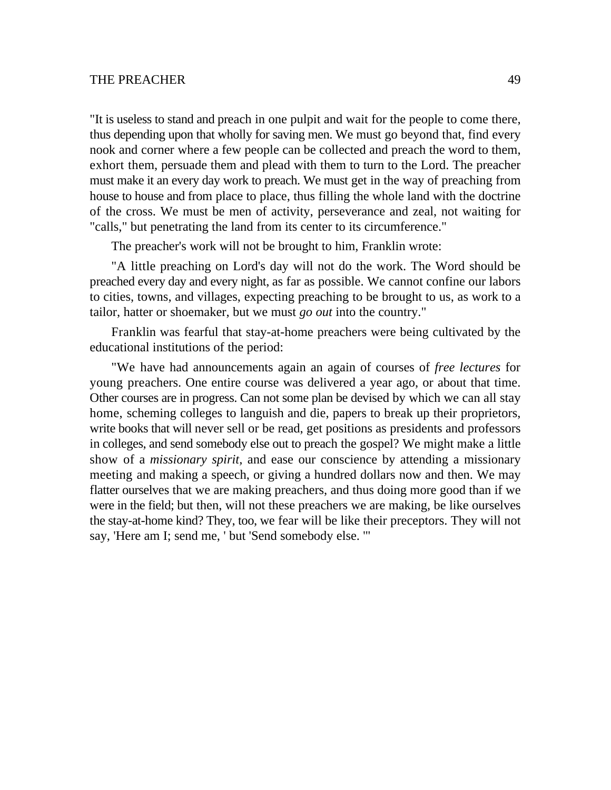"It is useless to stand and preach in one pulpit and wait for the people to come there, thus depending upon that wholly for saving men. We must go beyond that, find every nook and corner where a few people can be collected and preach the word to them, exhort them, persuade them and plead with them to turn to the Lord. The preacher must make it an every day work to preach. We must get in the way of preaching from house to house and from place to place, thus filling the whole land with the doctrine of the cross. We must be men of activity, perseverance and zeal, not waiting for "calls," but penetrating the land from its center to its circumference."

The preacher's work will not be brought to him, Franklin wrote:

"A little preaching on Lord's day will not do the work. The Word should be preached every day and every night, as far as possible. We cannot confine our labors to cities, towns, and villages, expecting preaching to be brought to us, as work to a tailor, hatter or shoemaker, but we must *go out* into the country."

Franklin was fearful that stay-at-home preachers were being cultivated by the educational institutions of the period:

"We have had announcements again an again of courses of *free lectures* for young preachers. One entire course was delivered a year ago, or about that time. Other courses are in progress. Can not some plan be devised by which we can all stay home, scheming colleges to languish and die, papers to break up their proprietors, write books that will never sell or be read, get positions as presidents and professors in colleges, and send somebody else out to preach the gospel? We might make a little show of a *missionary spirit,* and ease our conscience by attending a missionary meeting and making a speech, or giving a hundred dollars now and then. We may flatter ourselves that we are making preachers, and thus doing more good than if we were in the field; but then, will not these preachers we are making, be like ourselves the stay-at-home kind? They, too, we fear will be like their preceptors. They will not say, 'Here am I; send me, ' but 'Send somebody else. '"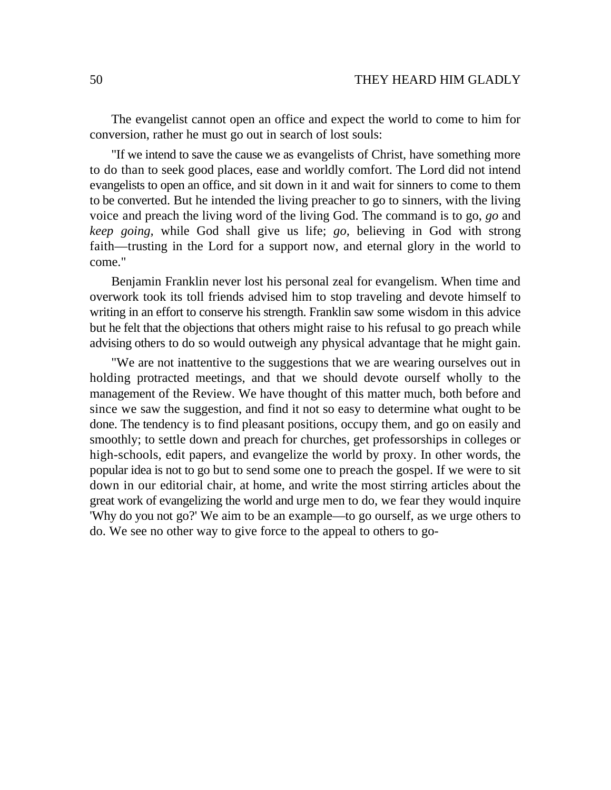The evangelist cannot open an office and expect the world to come to him for conversion, rather he must go out in search of lost souls:

"If we intend to save the cause we as evangelists of Christ, have something more to do than to seek good places, ease and worldly comfort. The Lord did not intend evangelists to open an office, and sit down in it and wait for sinners to come to them to be converted. But he intended the living preacher to go to sinners, with the living voice and preach the living word of the living God. The command is to go, *go* and *keep going,* while God shall give us life; *go,* believing in God with strong faith—trusting in the Lord for a support now, and eternal glory in the world to come."

Benjamin Franklin never lost his personal zeal for evangelism. When time and overwork took its toll friends advised him to stop traveling and devote himself to writing in an effort to conserve his strength. Franklin saw some wisdom in this advice but he felt that the objections that others might raise to his refusal to go preach while advising others to do so would outweigh any physical advantage that he might gain.

"We are not inattentive to the suggestions that we are wearing ourselves out in holding protracted meetings, and that we should devote ourself wholly to the management of the Review. We have thought of this matter much, both before and since we saw the suggestion, and find it not so easy to determine what ought to be done. The tendency is to find pleasant positions, occupy them, and go on easily and smoothly; to settle down and preach for churches, get professorships in colleges or high-schools, edit papers, and evangelize the world by proxy. In other words, the popular idea is not to go but to send some one to preach the gospel. If we were to sit down in our editorial chair, at home, and write the most stirring articles about the great work of evangelizing the world and urge men to do, we fear they would inquire 'Why do you not go?' We aim to be an example—to go ourself, as we urge others to do. We see no other way to give force to the appeal to others to go-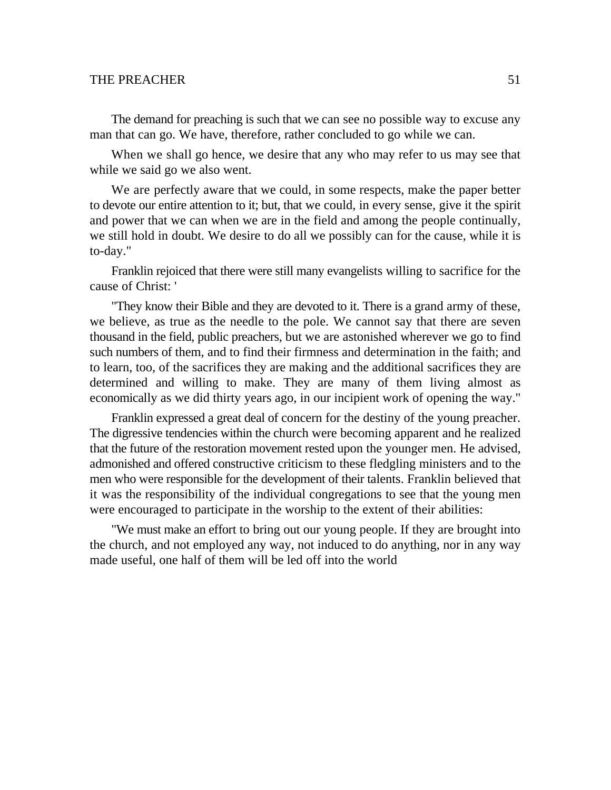The demand for preaching is such that we can see no possible way to excuse any man that can go. We have, therefore, rather concluded to go while we can.

When we shall go hence, we desire that any who may refer to us may see that while we said go we also went.

We are perfectly aware that we could, in some respects, make the paper better to devote our entire attention to it; but, that we could, in every sense, give it the spirit and power that we can when we are in the field and among the people continually, we still hold in doubt. We desire to do all we possibly can for the cause, while it is to-day."

Franklin rejoiced that there were still many evangelists willing to sacrifice for the cause of Christ: '

"They know their Bible and they are devoted to it. There is a grand army of these, we believe, as true as the needle to the pole. We cannot say that there are seven thousand in the field, public preachers, but we are astonished wherever we go to find such numbers of them, and to find their firmness and determination in the faith; and to learn, too, of the sacrifices they are making and the additional sacrifices they are determined and willing to make. They are many of them living almost as economically as we did thirty years ago, in our incipient work of opening the way."

Franklin expressed a great deal of concern for the destiny of the young preacher. The digressive tendencies within the church were becoming apparent and he realized that the future of the restoration movement rested upon the younger men. He advised, admonished and offered constructive criticism to these fledgling ministers and to the men who were responsible for the development of their talents. Franklin believed that it was the responsibility of the individual congregations to see that the young men were encouraged to participate in the worship to the extent of their abilities:

"We must make an effort to bring out our young people. If they are brought into the church, and not employed any way, not induced to do anything, nor in any way made useful, one half of them will be led off into the world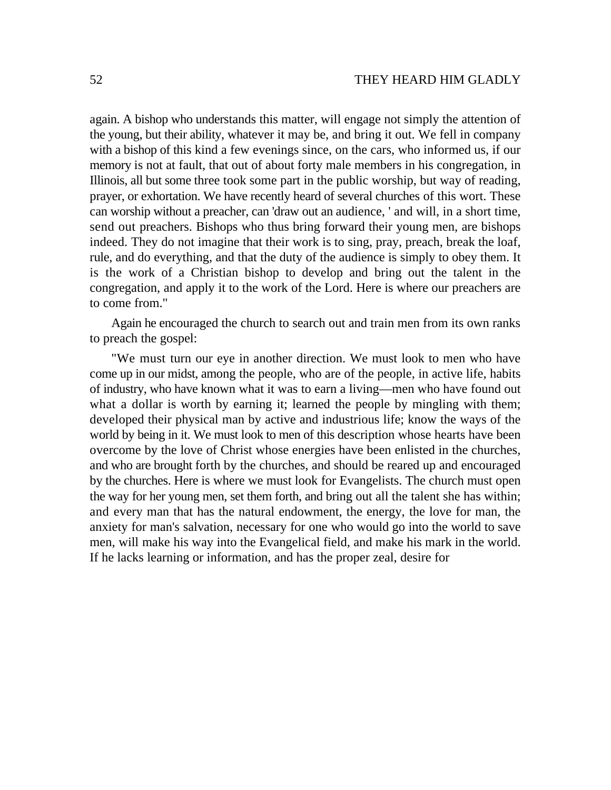again. A bishop who understands this matter, will engage not simply the attention of the young, but their ability, whatever it may be, and bring it out. We fell in company with a bishop of this kind a few evenings since, on the cars, who informed us, if our memory is not at fault, that out of about forty male members in his congregation, in Illinois, all but some three took some part in the public worship, but way of reading, prayer, or exhortation. We have recently heard of several churches of this wort. These can worship without a preacher, can 'draw out an audience, ' and will, in a short time, send out preachers. Bishops who thus bring forward their young men, are bishops indeed. They do not imagine that their work is to sing, pray, preach, break the loaf, rule, and do everything, and that the duty of the audience is simply to obey them. It is the work of a Christian bishop to develop and bring out the talent in the congregation, and apply it to the work of the Lord. Here is where our preachers are to come from."

Again he encouraged the church to search out and train men from its own ranks to preach the gospel:

"We must turn our eye in another direction. We must look to men who have come up in our midst, among the people, who are of the people, in active life, habits of industry, who have known what it was to earn a living—men who have found out what a dollar is worth by earning it; learned the people by mingling with them; developed their physical man by active and industrious life; know the ways of the world by being in it. We must look to men of this description whose hearts have been overcome by the love of Christ whose energies have been enlisted in the churches, and who are brought forth by the churches, and should be reared up and encouraged by the churches. Here is where we must look for Evangelists. The church must open the way for her young men, set them forth, and bring out all the talent she has within; and every man that has the natural endowment, the energy, the love for man, the anxiety for man's salvation, necessary for one who would go into the world to save men, will make his way into the Evangelical field, and make his mark in the world. If he lacks learning or information, and has the proper zeal, desire for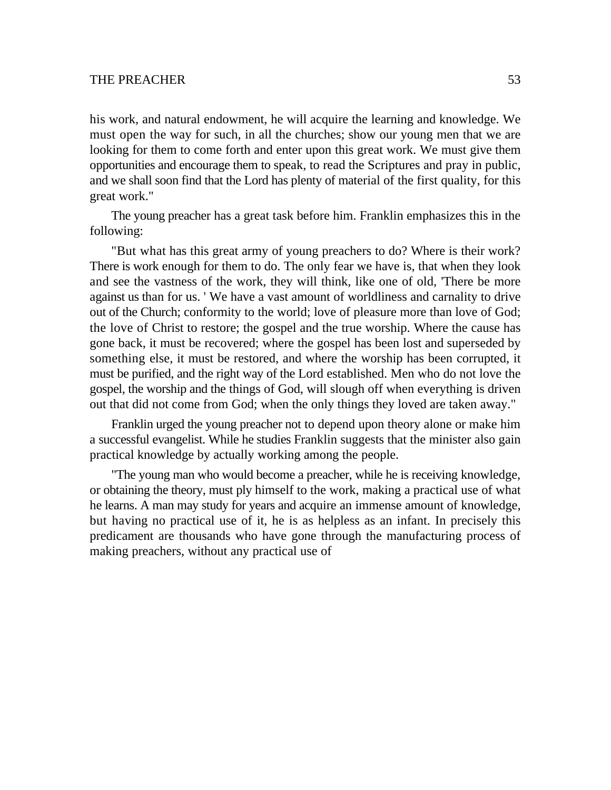his work, and natural endowment, he will acquire the learning and knowledge. We must open the way for such, in all the churches; show our young men that we are looking for them to come forth and enter upon this great work. We must give them opportunities and encourage them to speak, to read the Scriptures and pray in public, and we shall soon find that the Lord has plenty of material of the first quality, for this great work."

The young preacher has a great task before him. Franklin emphasizes this in the following:

"But what has this great army of young preachers to do? Where is their work? There is work enough for them to do. The only fear we have is, that when they look and see the vastness of the work, they will think, like one of old, 'There be more against us than for us. ' We have a vast amount of worldliness and carnality to drive out of the Church; conformity to the world; love of pleasure more than love of God; the love of Christ to restore; the gospel and the true worship. Where the cause has gone back, it must be recovered; where the gospel has been lost and superseded by something else, it must be restored, and where the worship has been corrupted, it must be purified, and the right way of the Lord established. Men who do not love the gospel, the worship and the things of God, will slough off when everything is driven out that did not come from God; when the only things they loved are taken away."

Franklin urged the young preacher not to depend upon theory alone or make him a successful evangelist. While he studies Franklin suggests that the minister also gain practical knowledge by actually working among the people.

"The young man who would become a preacher, while he is receiving knowledge, or obtaining the theory, must ply himself to the work, making a practical use of what he learns. A man may study for years and acquire an immense amount of knowledge, but having no practical use of it, he is as helpless as an infant. In precisely this predicament are thousands who have gone through the manufacturing process of making preachers, without any practical use of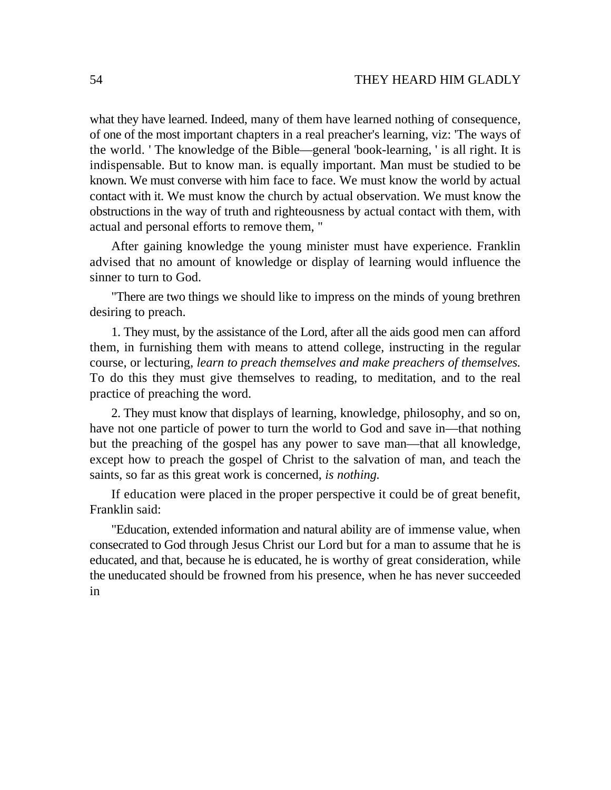what they have learned. Indeed, many of them have learned nothing of consequence, of one of the most important chapters in a real preacher's learning, viz: 'The ways of the world. ' The knowledge of the Bible—general 'book-learning, ' is all right. It is indispensable. But to know man. is equally important. Man must be studied to be known. We must converse with him face to face. We must know the world by actual contact with it. We must know the church by actual observation. We must know the obstructions in the way of truth and righteousness by actual contact with them, with actual and personal efforts to remove them, "

After gaining knowledge the young minister must have experience. Franklin advised that no amount of knowledge or display of learning would influence the sinner to turn to God.

"There are two things we should like to impress on the minds of young brethren desiring to preach.

1. They must, by the assistance of the Lord, after all the aids good men can afford them, in furnishing them with means to attend college, instructing in the regular course, or lecturing, *learn to preach themselves and make preachers of themselves.* To do this they must give themselves to reading, to meditation, and to the real practice of preaching the word.

2. They must know that displays of learning, knowledge, philosophy, and so on, have not one particle of power to turn the world to God and save in—that nothing but the preaching of the gospel has any power to save man—that all knowledge, except how to preach the gospel of Christ to the salvation of man, and teach the saints, so far as this great work is concerned, *is nothing.*

If education were placed in the proper perspective it could be of great benefit, Franklin said:

"Education, extended information and natural ability are of immense value, when consecrated to God through Jesus Christ our Lord but for a man to assume that he is educated, and that, because he is educated, he is worthy of great consideration, while the uneducated should be frowned from his presence, when he has never succeeded in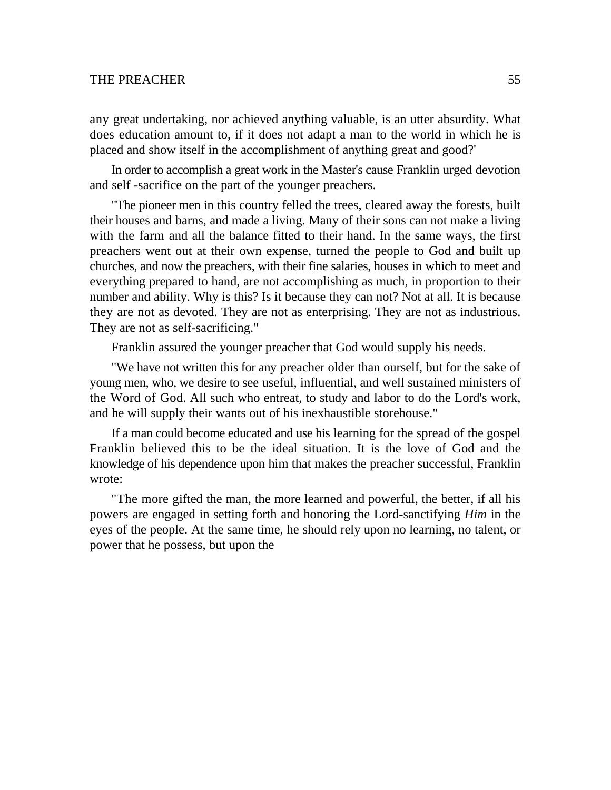any great undertaking, nor achieved anything valuable, is an utter absurdity. What does education amount to, if it does not adapt a man to the world in which he is placed and show itself in the accomplishment of anything great and good?'

In order to accomplish a great work in the Master's cause Franklin urged devotion and self -sacrifice on the part of the younger preachers.

"The pioneer men in this country felled the trees, cleared away the forests, built their houses and barns, and made a living. Many of their sons can not make a living with the farm and all the balance fitted to their hand. In the same ways, the first preachers went out at their own expense, turned the people to God and built up churches, and now the preachers, with their fine salaries, houses in which to meet and everything prepared to hand, are not accomplishing as much, in proportion to their number and ability. Why is this? Is it because they can not? Not at all. It is because they are not as devoted. They are not as enterprising. They are not as industrious. They are not as self-sacrificing."

Franklin assured the younger preacher that God would supply his needs.

"We have not written this for any preacher older than ourself, but for the sake of young men, who, we desire to see useful, influential, and well sustained ministers of the Word of God. All such who entreat, to study and labor to do the Lord's work, and he will supply their wants out of his inexhaustible storehouse."

If a man could become educated and use his learning for the spread of the gospel Franklin believed this to be the ideal situation. It is the love of God and the knowledge of his dependence upon him that makes the preacher successful, Franklin wrote:

"The more gifted the man, the more learned and powerful, the better, if all his powers are engaged in setting forth and honoring the Lord-sanctifying *Him* in the eyes of the people. At the same time, he should rely upon no learning, no talent, or power that he possess, but upon the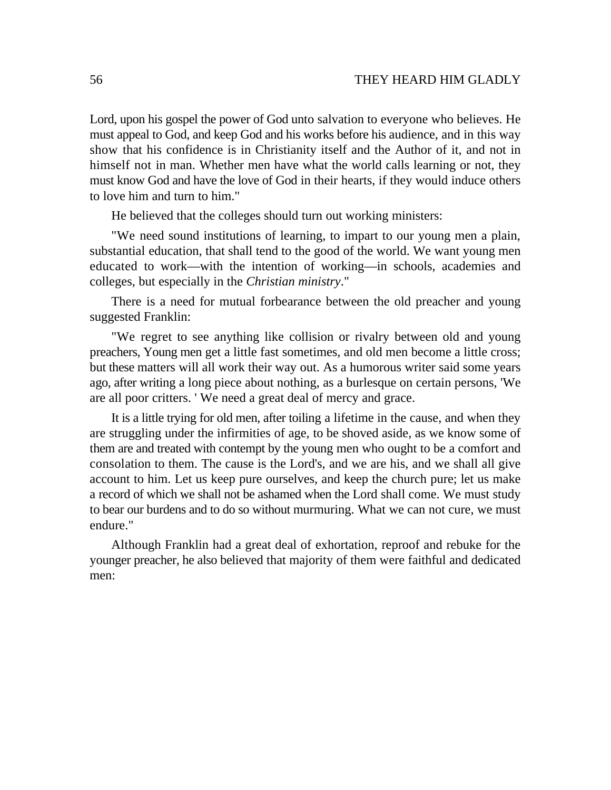Lord, upon his gospel the power of God unto salvation to everyone who believes. He must appeal to God, and keep God and his works before his audience, and in this way show that his confidence is in Christianity itself and the Author of it, and not in himself not in man. Whether men have what the world calls learning or not, they must know God and have the love of God in their hearts, if they would induce others to love him and turn to him."

He believed that the colleges should turn out working ministers:

"We need sound institutions of learning, to impart to our young men a plain, substantial education, that shall tend to the good of the world. We want young men educated to work—with the intention of working—in schools, academies and colleges, but especially in the *Christian ministry*."

There is a need for mutual forbearance between the old preacher and young suggested Franklin:

"We regret to see anything like collision or rivalry between old and young preachers, Young men get a little fast sometimes, and old men become a little cross; but these matters will all work their way out. As a humorous writer said some years ago, after writing a long piece about nothing, as a burlesque on certain persons, 'We are all poor critters. ' We need a great deal of mercy and grace.

It is a little trying for old men, after toiling a lifetime in the cause, and when they are struggling under the infirmities of age, to be shoved aside, as we know some of them are and treated with contempt by the young men who ought to be a comfort and consolation to them. The cause is the Lord's, and we are his, and we shall all give account to him. Let us keep pure ourselves, and keep the church pure; let us make a record of which we shall not be ashamed when the Lord shall come. We must study to bear our burdens and to do so without murmuring. What we can not cure, we must endure."

Although Franklin had a great deal of exhortation, reproof and rebuke for the younger preacher, he also believed that majority of them were faithful and dedicated men: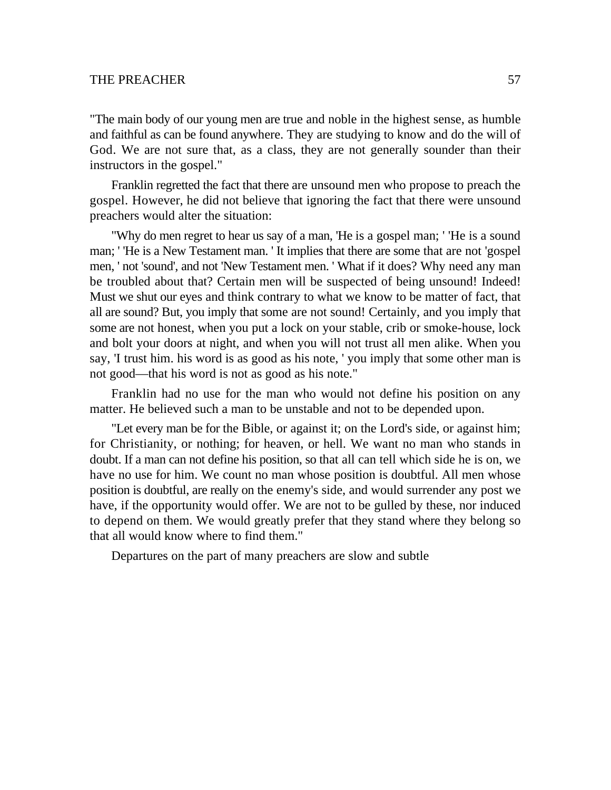"The main body of our young men are true and noble in the highest sense, as humble and faithful as can be found anywhere. They are studying to know and do the will of God. We are not sure that, as a class, they are not generally sounder than their instructors in the gospel."

Franklin regretted the fact that there are unsound men who propose to preach the gospel. However, he did not believe that ignoring the fact that there were unsound preachers would alter the situation:

"Why do men regret to hear us say of a man, 'He is a gospel man; ' 'He is a sound man; ' 'He is a New Testament man. ' It implies that there are some that are not 'gospel men, ' not 'sound', and not 'New Testament men. ' What if it does? Why need any man be troubled about that? Certain men will be suspected of being unsound! Indeed! Must we shut our eyes and think contrary to what we know to be matter of fact, that all are sound? But, you imply that some are not sound! Certainly, and you imply that some are not honest, when you put a lock on your stable, crib or smoke-house, lock and bolt your doors at night, and when you will not trust all men alike. When you say, 'I trust him. his word is as good as his note, ' you imply that some other man is not good—that his word is not as good as his note."

Franklin had no use for the man who would not define his position on any matter. He believed such a man to be unstable and not to be depended upon.

"Let every man be for the Bible, or against it; on the Lord's side, or against him; for Christianity, or nothing; for heaven, or hell. We want no man who stands in doubt. If a man can not define his position, so that all can tell which side he is on, we have no use for him. We count no man whose position is doubtful. All men whose position is doubtful, are really on the enemy's side, and would surrender any post we have, if the opportunity would offer. We are not to be gulled by these, nor induced to depend on them. We would greatly prefer that they stand where they belong so that all would know where to find them."

Departures on the part of many preachers are slow and subtle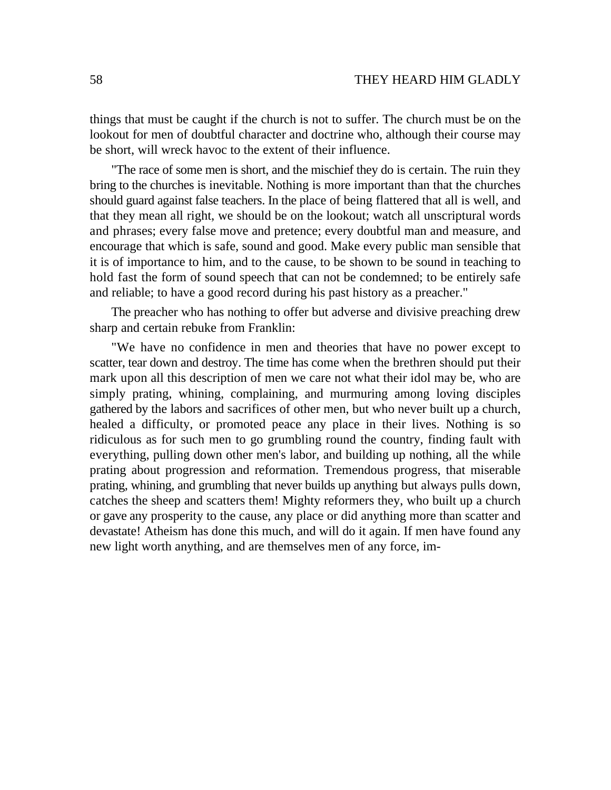things that must be caught if the church is not to suffer. The church must be on the lookout for men of doubtful character and doctrine who, although their course may be short, will wreck havoc to the extent of their influence.

"The race of some men is short, and the mischief they do is certain. The ruin they bring to the churches is inevitable. Nothing is more important than that the churches should guard against false teachers. In the place of being flattered that all is well, and that they mean all right, we should be on the lookout; watch all unscriptural words and phrases; every false move and pretence; every doubtful man and measure, and encourage that which is safe, sound and good. Make every public man sensible that it is of importance to him, and to the cause, to be shown to be sound in teaching to hold fast the form of sound speech that can not be condemned; to be entirely safe and reliable; to have a good record during his past history as a preacher."

The preacher who has nothing to offer but adverse and divisive preaching drew sharp and certain rebuke from Franklin:

"We have no confidence in men and theories that have no power except to scatter, tear down and destroy. The time has come when the brethren should put their mark upon all this description of men we care not what their idol may be, who are simply prating, whining, complaining, and murmuring among loving disciples gathered by the labors and sacrifices of other men, but who never built up a church, healed a difficulty, or promoted peace any place in their lives. Nothing is so ridiculous as for such men to go grumbling round the country, finding fault with everything, pulling down other men's labor, and building up nothing, all the while prating about progression and reformation. Tremendous progress, that miserable prating, whining, and grumbling that never builds up anything but always pulls down, catches the sheep and scatters them! Mighty reformers they, who built up a church or gave any prosperity to the cause, any place or did anything more than scatter and devastate! Atheism has done this much, and will do it again. If men have found any new light worth anything, and are themselves men of any force, im-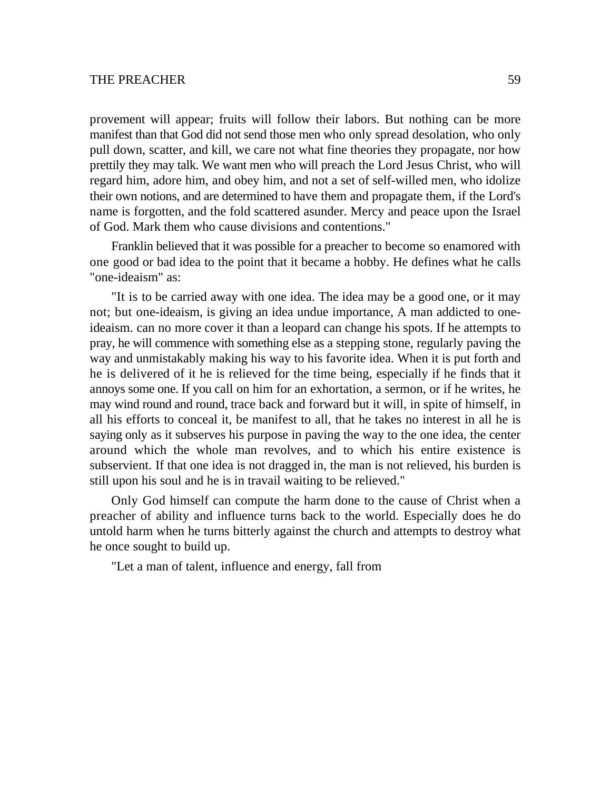provement will appear; fruits will follow their labors. But nothing can be more manifest than that God did not send those men who only spread desolation, who only pull down, scatter, and kill, we care not what fine theories they propagate, nor how prettily they may talk. We want men who will preach the Lord Jesus Christ, who will regard him, adore him, and obey him, and not a set of self-willed men, who idolize their own notions, and are determined to have them and propagate them, if the Lord's name is forgotten, and the fold scattered asunder. Mercy and peace upon the Israel of God. Mark them who cause divisions and contentions."

Franklin believed that it was possible for a preacher to become so enamored with one good or bad idea to the point that it became a hobby. He defines what he calls "one-ideaism" as:

"It is to be carried away with one idea. The idea may be a good one, or it may not; but one-ideaism, is giving an idea undue importance, A man addicted to oneideaism. can no more cover it than a leopard can change his spots. If he attempts to pray, he will commence with something else as a stepping stone, regularly paving the way and unmistakably making his way to his favorite idea. When it is put forth and he is delivered of it he is relieved for the time being, especially if he finds that it annoys some one. If you call on him for an exhortation, a sermon, or if he writes, he may wind round and round, trace back and forward but it will, in spite of himself, in all his efforts to conceal it, be manifest to all, that he takes no interest in all he is saying only as it subserves his purpose in paving the way to the one idea, the center around which the whole man revolves, and to which his entire existence is subservient. If that one idea is not dragged in, the man is not relieved, his burden is still upon his soul and he is in travail waiting to be relieved."

Only God himself can compute the harm done to the cause of Christ when a preacher of ability and influence turns back to the world. Especially does he do untold harm when he turns bitterly against the church and attempts to destroy what he once sought to build up.

"Let a man of talent, influence and energy, fall from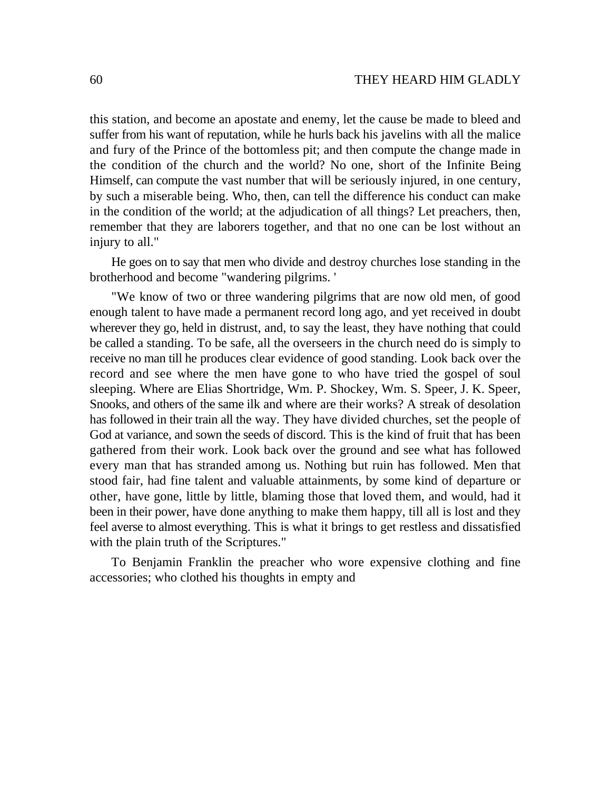this station, and become an apostate and enemy, let the cause be made to bleed and suffer from his want of reputation, while he hurls back his javelins with all the malice and fury of the Prince of the bottomless pit; and then compute the change made in the condition of the church and the world? No one, short of the Infinite Being Himself, can compute the vast number that will be seriously injured, in one century, by such a miserable being. Who, then, can tell the difference his conduct can make in the condition of the world; at the adjudication of all things? Let preachers, then, remember that they are laborers together, and that no one can be lost without an injury to all."

He goes on to say that men who divide and destroy churches lose standing in the brotherhood and become "wandering pilgrims. '

"We know of two or three wandering pilgrims that are now old men, of good enough talent to have made a permanent record long ago, and yet received in doubt wherever they go, held in distrust, and, to say the least, they have nothing that could be called a standing. To be safe, all the overseers in the church need do is simply to receive no man till he produces clear evidence of good standing. Look back over the record and see where the men have gone to who have tried the gospel of soul sleeping. Where are Elias Shortridge, Wm. P. Shockey, Wm. S. Speer, J. K. Speer, Snooks, and others of the same ilk and where are their works? A streak of desolation has followed in their train all the way. They have divided churches, set the people of God at variance, and sown the seeds of discord. This is the kind of fruit that has been gathered from their work. Look back over the ground and see what has followed every man that has stranded among us. Nothing but ruin has followed. Men that stood fair, had fine talent and valuable attainments, by some kind of departure or other, have gone, little by little, blaming those that loved them, and would, had it been in their power, have done anything to make them happy, till all is lost and they feel averse to almost everything. This is what it brings to get restless and dissatisfied with the plain truth of the Scriptures."

To Benjamin Franklin the preacher who wore expensive clothing and fine accessories; who clothed his thoughts in empty and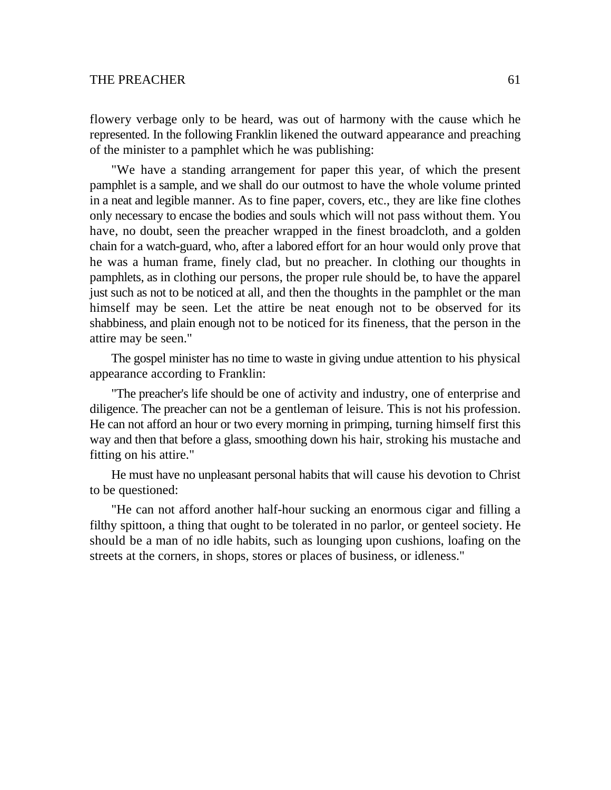flowery verbage only to be heard, was out of harmony with the cause which he represented. In the following Franklin likened the outward appearance and preaching of the minister to a pamphlet which he was publishing:

"We have a standing arrangement for paper this year, of which the present pamphlet is a sample, and we shall do our outmost to have the whole volume printed in a neat and legible manner. As to fine paper, covers, etc., they are like fine clothes only necessary to encase the bodies and souls which will not pass without them. You have, no doubt, seen the preacher wrapped in the finest broadcloth, and a golden chain for a watch-guard, who, after a labored effort for an hour would only prove that he was a human frame, finely clad, but no preacher. In clothing our thoughts in pamphlets, as in clothing our persons, the proper rule should be, to have the apparel just such as not to be noticed at all, and then the thoughts in the pamphlet or the man himself may be seen. Let the attire be neat enough not to be observed for its shabbiness, and plain enough not to be noticed for its fineness, that the person in the attire may be seen."

The gospel minister has no time to waste in giving undue attention to his physical appearance according to Franklin:

"The preacher's life should be one of activity and industry, one of enterprise and diligence. The preacher can not be a gentleman of leisure. This is not his profession. He can not afford an hour or two every morning in primping, turning himself first this way and then that before a glass, smoothing down his hair, stroking his mustache and fitting on his attire."

He must have no unpleasant personal habits that will cause his devotion to Christ to be questioned:

"He can not afford another half-hour sucking an enormous cigar and filling a filthy spittoon, a thing that ought to be tolerated in no parlor, or genteel society. He should be a man of no idle habits, such as lounging upon cushions, loafing on the streets at the corners, in shops, stores or places of business, or idleness."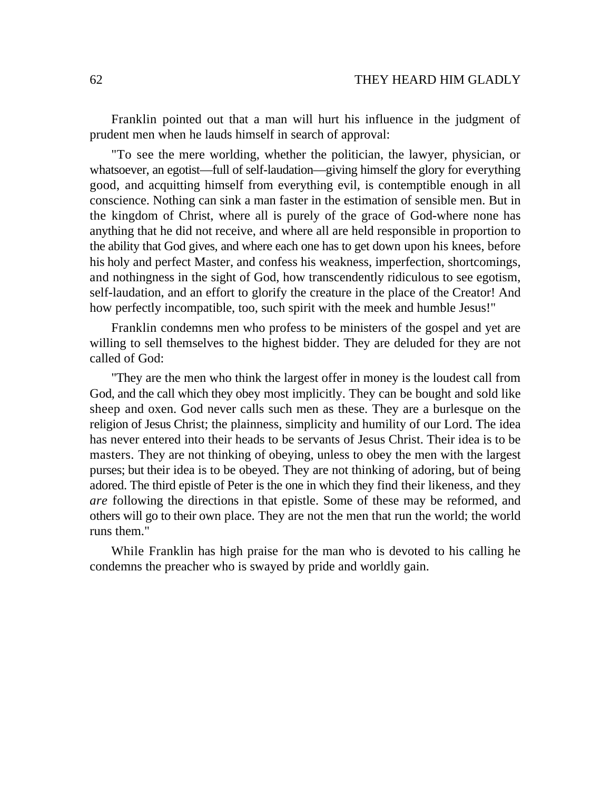Franklin pointed out that a man will hurt his influence in the judgment of prudent men when he lauds himself in search of approval:

"To see the mere worlding, whether the politician, the lawyer, physician, or whatsoever, an egotist—full of self-laudation—giving himself the glory for everything good, and acquitting himself from everything evil, is contemptible enough in all conscience. Nothing can sink a man faster in the estimation of sensible men. But in the kingdom of Christ, where all is purely of the grace of God-where none has anything that he did not receive, and where all are held responsible in proportion to the ability that God gives, and where each one has to get down upon his knees, before his holy and perfect Master, and confess his weakness, imperfection, shortcomings, and nothingness in the sight of God, how transcendently ridiculous to see egotism, self-laudation, and an effort to glorify the creature in the place of the Creator! And how perfectly incompatible, too, such spirit with the meek and humble Jesus!"

Franklin condemns men who profess to be ministers of the gospel and yet are willing to sell themselves to the highest bidder. They are deluded for they are not called of God:

"They are the men who think the largest offer in money is the loudest call from God, and the call which they obey most implicitly. They can be bought and sold like sheep and oxen. God never calls such men as these. They are a burlesque on the religion of Jesus Christ; the plainness, simplicity and humility of our Lord. The idea has never entered into their heads to be servants of Jesus Christ. Their idea is to be masters. They are not thinking of obeying, unless to obey the men with the largest purses; but their idea is to be obeyed. They are not thinking of adoring, but of being adored. The third epistle of Peter is the one in which they find their likeness, and they *are* following the directions in that epistle. Some of these may be reformed, and others will go to their own place. They are not the men that run the world; the world runs them."

While Franklin has high praise for the man who is devoted to his calling he condemns the preacher who is swayed by pride and worldly gain.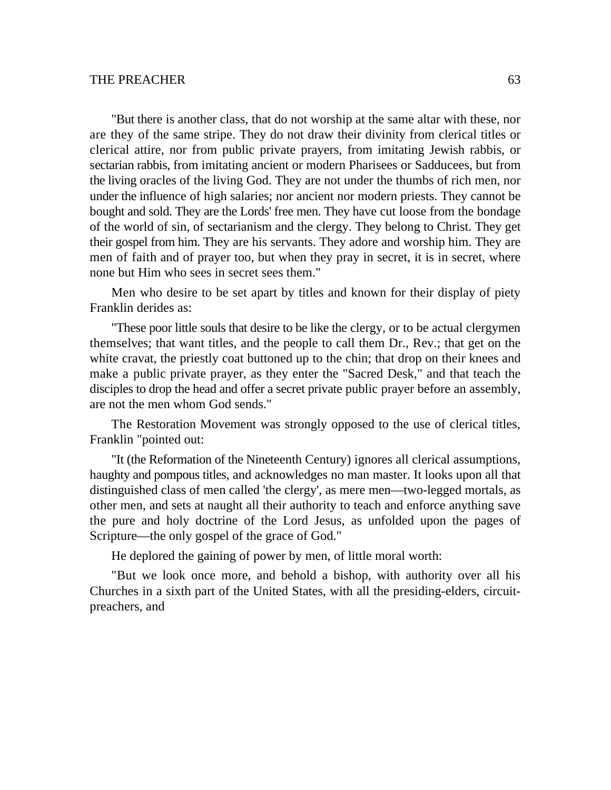"But there is another class, that do not worship at the same altar with these, nor are they of the same stripe. They do not draw their divinity from clerical titles or clerical attire, nor from public private prayers, from imitating Jewish rabbis, or sectarian rabbis, from imitating ancient or modern Pharisees or Sadducees, but from the living oracles of the living God. They are not under the thumbs of rich men, nor under the influence of high salaries; nor ancient nor modern priests. They cannot be bought and sold. They are the Lords' free men. They have cut loose from the bondage of the world of sin, of sectarianism and the clergy. They belong to Christ. They get their gospel from him. They are his servants. They adore and worship him. They are men of faith and of prayer too, but when they pray in secret, it is in secret, where none but Him who sees in secret sees them."

Men who desire to be set apart by titles and known for their display of piety Franklin derides as:

"These poor little souls that desire to be like the clergy, or to be actual clergymen themselves; that want titles, and the people to call them Dr., Rev.; that get on the white cravat, the priestly coat buttoned up to the chin; that drop on their knees and make a public private prayer, as they enter the "Sacred Desk," and that teach the disciples to drop the head and offer a secret private public prayer before an assembly, are not the men whom God sends."

The Restoration Movement was strongly opposed to the use of clerical titles, Franklin "pointed out:

"It (the Reformation of the Nineteenth Century) ignores all clerical assumptions, haughty and pompous titles, and acknowledges no man master. It looks upon all that distinguished class of men called 'the clergy', as mere men—two-legged mortals, as other men, and sets at naught all their authority to teach and enforce anything save the pure and holy doctrine of the Lord Jesus, as unfolded upon the pages of Scripture—the only gospel of the grace of God."

He deplored the gaining of power by men, of little moral worth:

"But we look once more, and behold a bishop, with authority over all his Churches in a sixth part of the United States, with all the presiding-elders, circuitpreachers, and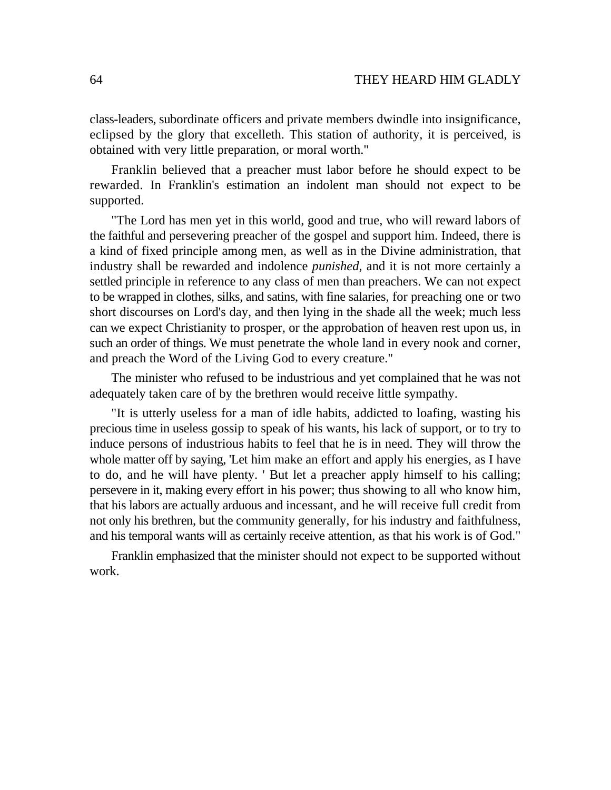class-leaders, subordinate officers and private members dwindle into insignificance, eclipsed by the glory that excelleth. This station of authority, it is perceived, is obtained with very little preparation, or moral worth."

Franklin believed that a preacher must labor before he should expect to be rewarded. In Franklin's estimation an indolent man should not expect to be supported.

"The Lord has men yet in this world, good and true, who will reward labors of the faithful and persevering preacher of the gospel and support him. Indeed, there is a kind of fixed principle among men, as well as in the Divine administration, that industry shall be rewarded and indolence *punished,* and it is not more certainly a settled principle in reference to any class of men than preachers. We can not expect to be wrapped in clothes, silks, and satins, with fine salaries, for preaching one or two short discourses on Lord's day, and then lying in the shade all the week; much less can we expect Christianity to prosper, or the approbation of heaven rest upon us, in such an order of things. We must penetrate the whole land in every nook and corner, and preach the Word of the Living God to every creature."

The minister who refused to be industrious and yet complained that he was not adequately taken care of by the brethren would receive little sympathy.

"It is utterly useless for a man of idle habits, addicted to loafing, wasting his precious time in useless gossip to speak of his wants, his lack of support, or to try to induce persons of industrious habits to feel that he is in need. They will throw the whole matter off by saying, 'Let him make an effort and apply his energies, as I have to do, and he will have plenty. ' But let a preacher apply himself to his calling; persevere in it, making every effort in his power; thus showing to all who know him, that his labors are actually arduous and incessant, and he will receive full credit from not only his brethren, but the community generally, for his industry and faithfulness, and his temporal wants will as certainly receive attention, as that his work is of God."

Franklin emphasized that the minister should not expect to be supported without work.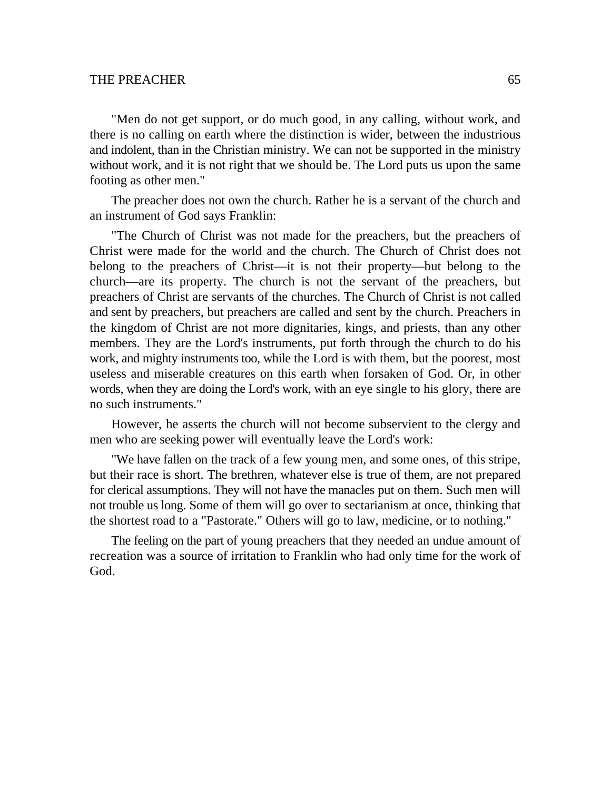"Men do not get support, or do much good, in any calling, without work, and there is no calling on earth where the distinction is wider, between the industrious and indolent, than in the Christian ministry. We can not be supported in the ministry without work, and it is not right that we should be. The Lord puts us upon the same footing as other men."

The preacher does not own the church. Rather he is a servant of the church and an instrument of God says Franklin:

"The Church of Christ was not made for the preachers, but the preachers of Christ were made for the world and the church. The Church of Christ does not belong to the preachers of Christ—it is not their property—but belong to the church—are its property. The church is not the servant of the preachers, but preachers of Christ are servants of the churches. The Church of Christ is not called and sent by preachers, but preachers are called and sent by the church. Preachers in the kingdom of Christ are not more dignitaries, kings, and priests, than any other members. They are the Lord's instruments, put forth through the church to do his work, and mighty instruments too, while the Lord is with them, but the poorest, most useless and miserable creatures on this earth when forsaken of God. Or, in other words, when they are doing the Lord's work, with an eye single to his glory, there are no such instruments."

However, he asserts the church will not become subservient to the clergy and men who are seeking power will eventually leave the Lord's work:

"We have fallen on the track of a few young men, and some ones, of this stripe, but their race is short. The brethren, whatever else is true of them, are not prepared for clerical assumptions. They will not have the manacles put on them. Such men will not trouble us long. Some of them will go over to sectarianism at once, thinking that the shortest road to a "Pastorate." Others will go to law, medicine, or to nothing."

The feeling on the part of young preachers that they needed an undue amount of recreation was a source of irritation to Franklin who had only time for the work of God.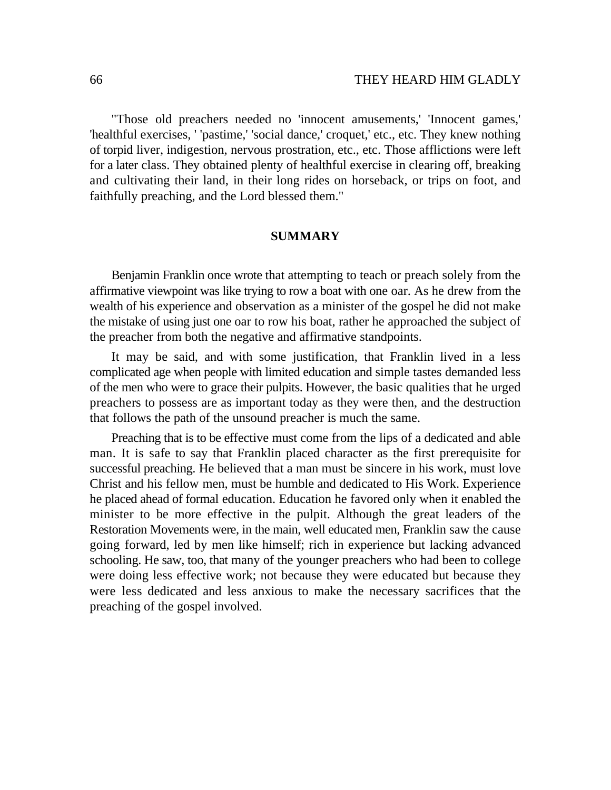"Those old preachers needed no 'innocent amusements,' 'Innocent games,' 'healthful exercises, ' 'pastime,' 'social dance,' croquet,' etc., etc. They knew nothing of torpid liver, indigestion, nervous prostration, etc., etc. Those afflictions were left for a later class. They obtained plenty of healthful exercise in clearing off, breaking and cultivating their land, in their long rides on horseback, or trips on foot, and faithfully preaching, and the Lord blessed them."

## **SUMMARY**

Benjamin Franklin once wrote that attempting to teach or preach solely from the affirmative viewpoint was like trying to row a boat with one oar. As he drew from the wealth of his experience and observation as a minister of the gospel he did not make the mistake of using just one oar to row his boat, rather he approached the subject of the preacher from both the negative and affirmative standpoints.

It may be said, and with some justification, that Franklin lived in a less complicated age when people with limited education and simple tastes demanded less of the men who were to grace their pulpits. However, the basic qualities that he urged preachers to possess are as important today as they were then, and the destruction that follows the path of the unsound preacher is much the same.

Preaching that is to be effective must come from the lips of a dedicated and able man. It is safe to say that Franklin placed character as the first prerequisite for successful preaching. He believed that a man must be sincere in his work, must love Christ and his fellow men, must be humble and dedicated to His Work. Experience he placed ahead of formal education. Education he favored only when it enabled the minister to be more effective in the pulpit. Although the great leaders of the Restoration Movements were, in the main, well educated men, Franklin saw the cause going forward, led by men like himself; rich in experience but lacking advanced schooling. He saw, too, that many of the younger preachers who had been to college were doing less effective work; not because they were educated but because they were less dedicated and less anxious to make the necessary sacrifices that the preaching of the gospel involved.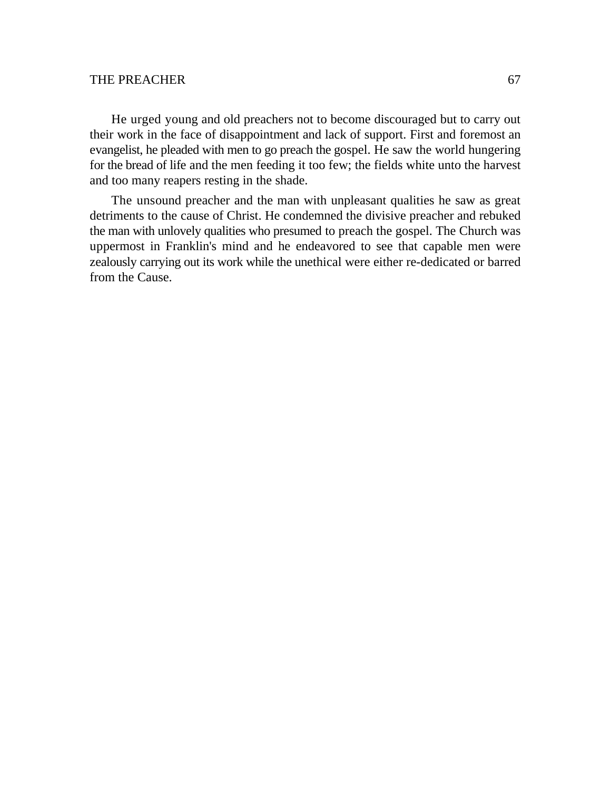He urged young and old preachers not to become discouraged but to carry out their work in the face of disappointment and lack of support. First and foremost an evangelist, he pleaded with men to go preach the gospel. He saw the world hungering for the bread of life and the men feeding it too few; the fields white unto the harvest and too many reapers resting in the shade.

The unsound preacher and the man with unpleasant qualities he saw as great detriments to the cause of Christ. He condemned the divisive preacher and rebuked the man with unlovely qualities who presumed to preach the gospel. The Church was uppermost in Franklin's mind and he endeavored to see that capable men were zealously carrying out its work while the unethical were either re-dedicated or barred from the Cause.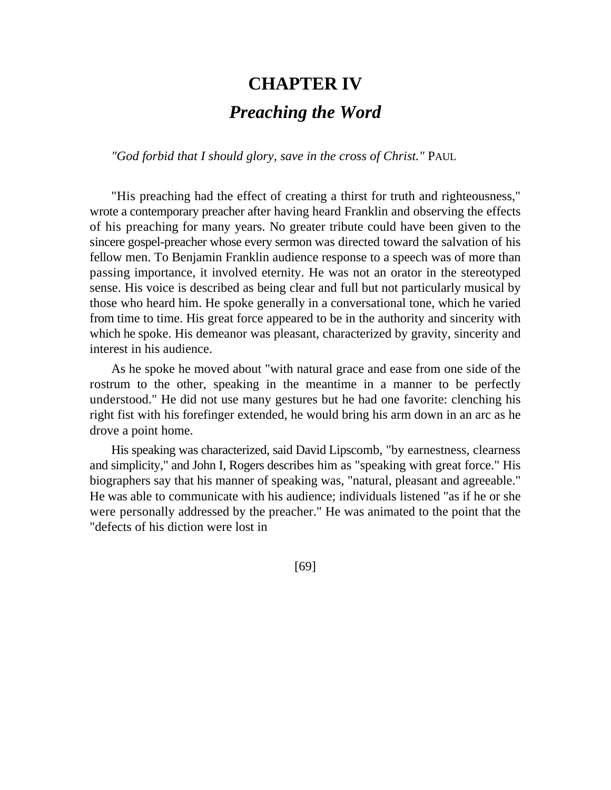# **CHAPTER IV** *Preaching the Word*

*"God forbid that I should glory, save in the cross of Christ."* PAUL

"His preaching had the effect of creating a thirst for truth and righteousness," wrote a contemporary preacher after having heard Franklin and observing the effects of his preaching for many years. No greater tribute could have been given to the sincere gospel-preacher whose every sermon was directed toward the salvation of his fellow men. To Benjamin Franklin audience response to a speech was of more than passing importance, it involved eternity. He was not an orator in the stereotyped sense. His voice is described as being clear and full but not particularly musical by those who heard him. He spoke generally in a conversational tone, which he varied from time to time. His great force appeared to be in the authority and sincerity with which he spoke. His demeanor was pleasant, characterized by gravity, sincerity and interest in his audience.

As he spoke he moved about "with natural grace and ease from one side of the rostrum to the other, speaking in the meantime in a manner to be perfectly understood." He did not use many gestures but he had one favorite: clenching his right fist with his forefinger extended, he would bring his arm down in an arc as he drove a point home.

His speaking was characterized, said David Lipscomb, "by earnestness, clearness and simplicity," and John I, Rogers describes him as "speaking with great force." His biographers say that his manner of speaking was, "natural, pleasant and agreeable." He was able to communicate with his audience; individuals listened "as if he or she were personally addressed by the preacher." He was animated to the point that the "defects of his diction were lost in

[69]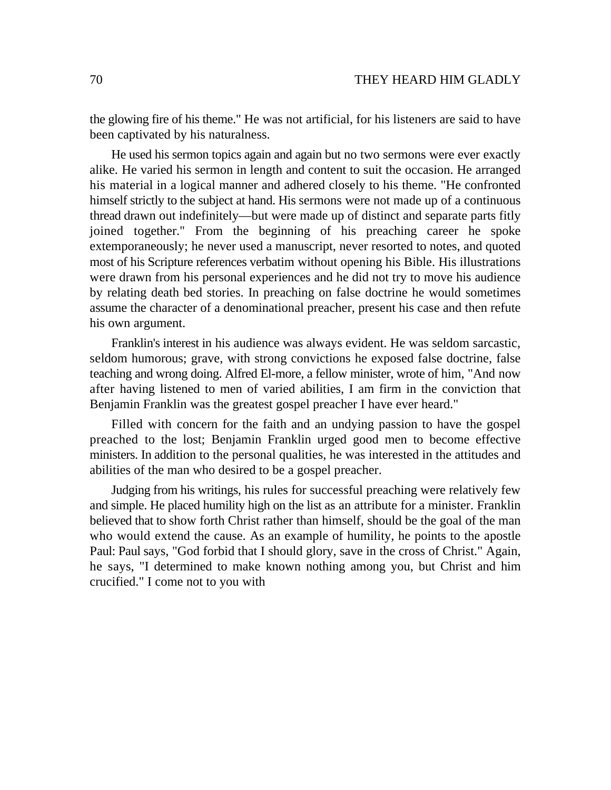the glowing fire of his theme." He was not artificial, for his listeners are said to have been captivated by his naturalness.

He used his sermon topics again and again but no two sermons were ever exactly alike. He varied his sermon in length and content to suit the occasion. He arranged his material in a logical manner and adhered closely to his theme. "He confronted himself strictly to the subject at hand. His sermons were not made up of a continuous thread drawn out indefinitely—but were made up of distinct and separate parts fitly joined together." From the beginning of his preaching career he spoke extemporaneously; he never used a manuscript, never resorted to notes, and quoted most of his Scripture references verbatim without opening his Bible. His illustrations were drawn from his personal experiences and he did not try to move his audience by relating death bed stories. In preaching on false doctrine he would sometimes assume the character of a denominational preacher, present his case and then refute his own argument.

Franklin's interest in his audience was always evident. He was seldom sarcastic, seldom humorous; grave, with strong convictions he exposed false doctrine, false teaching and wrong doing. Alfred El-more, a fellow minister, wrote of him, "And now after having listened to men of varied abilities, I am firm in the conviction that Benjamin Franklin was the greatest gospel preacher I have ever heard."

Filled with concern for the faith and an undying passion to have the gospel preached to the lost; Benjamin Franklin urged good men to become effective ministers. In addition to the personal qualities, he was interested in the attitudes and abilities of the man who desired to be a gospel preacher.

Judging from his writings, his rules for successful preaching were relatively few and simple. He placed humility high on the list as an attribute for a minister. Franklin believed that to show forth Christ rather than himself, should be the goal of the man who would extend the cause. As an example of humility, he points to the apostle Paul: Paul says, "God forbid that I should glory, save in the cross of Christ." Again, he says, "I determined to make known nothing among you, but Christ and him crucified." I come not to you with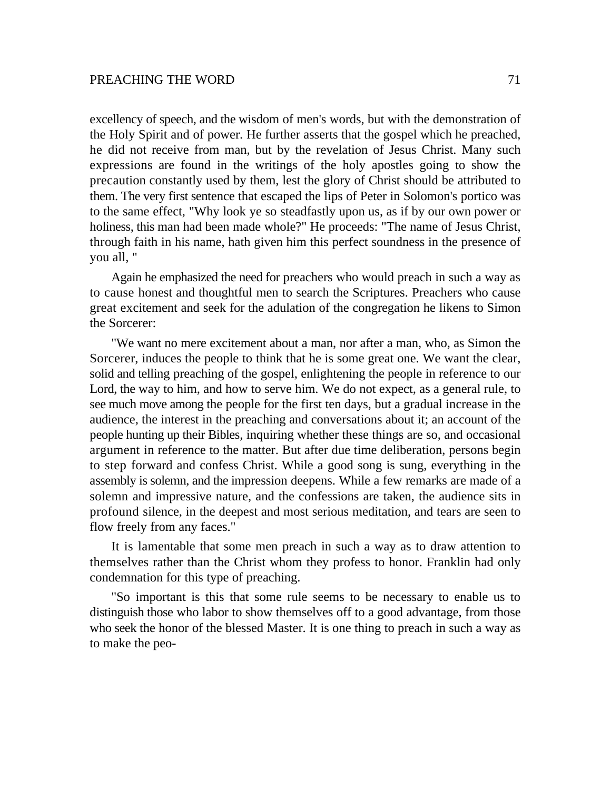excellency of speech, and the wisdom of men's words, but with the demonstration of the Holy Spirit and of power. He further asserts that the gospel which he preached, he did not receive from man, but by the revelation of Jesus Christ. Many such expressions are found in the writings of the holy apostles going to show the precaution constantly used by them, lest the glory of Christ should be attributed to them. The very first sentence that escaped the lips of Peter in Solomon's portico was to the same effect, "Why look ye so steadfastly upon us, as if by our own power or holiness, this man had been made whole?" He proceeds: "The name of Jesus Christ, through faith in his name, hath given him this perfect soundness in the presence of you all, "

Again he emphasized the need for preachers who would preach in such a way as to cause honest and thoughtful men to search the Scriptures. Preachers who cause great excitement and seek for the adulation of the congregation he likens to Simon the Sorcerer:

"We want no mere excitement about a man, nor after a man, who, as Simon the Sorcerer, induces the people to think that he is some great one. We want the clear, solid and telling preaching of the gospel, enlightening the people in reference to our Lord, the way to him, and how to serve him. We do not expect, as a general rule, to see much move among the people for the first ten days, but a gradual increase in the audience, the interest in the preaching and conversations about it; an account of the people hunting up their Bibles, inquiring whether these things are so, and occasional argument in reference to the matter. But after due time deliberation, persons begin to step forward and confess Christ. While a good song is sung, everything in the assembly is solemn, and the impression deepens. While a few remarks are made of a solemn and impressive nature, and the confessions are taken, the audience sits in profound silence, in the deepest and most serious meditation, and tears are seen to flow freely from any faces."

It is lamentable that some men preach in such a way as to draw attention to themselves rather than the Christ whom they profess to honor. Franklin had only condemnation for this type of preaching.

"So important is this that some rule seems to be necessary to enable us to distinguish those who labor to show themselves off to a good advantage, from those who seek the honor of the blessed Master. It is one thing to preach in such a way as to make the peo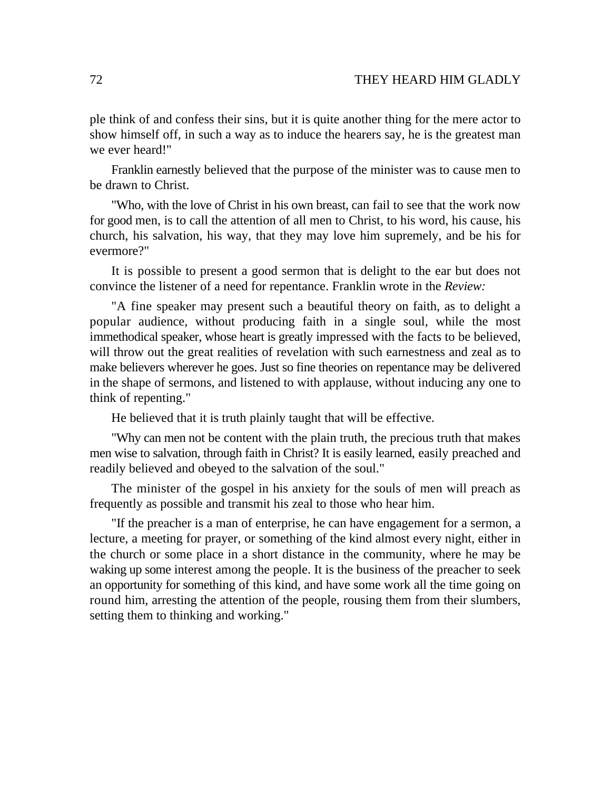ple think of and confess their sins, but it is quite another thing for the mere actor to show himself off, in such a way as to induce the hearers say, he is the greatest man we ever heard!"

Franklin earnestly believed that the purpose of the minister was to cause men to be drawn to Christ.

"Who, with the love of Christ in his own breast, can fail to see that the work now for good men, is to call the attention of all men to Christ, to his word, his cause, his church, his salvation, his way, that they may love him supremely, and be his for evermore?"

It is possible to present a good sermon that is delight to the ear but does not convince the listener of a need for repentance. Franklin wrote in the *Review:*

"A fine speaker may present such a beautiful theory on faith, as to delight a popular audience, without producing faith in a single soul, while the most immethodical speaker, whose heart is greatly impressed with the facts to be believed, will throw out the great realities of revelation with such earnestness and zeal as to make believers wherever he goes. Just so fine theories on repentance may be delivered in the shape of sermons, and listened to with applause, without inducing any one to think of repenting."

He believed that it is truth plainly taught that will be effective.

"Why can men not be content with the plain truth, the precious truth that makes men wise to salvation, through faith in Christ? It is easily learned, easily preached and readily believed and obeyed to the salvation of the soul."

The minister of the gospel in his anxiety for the souls of men will preach as frequently as possible and transmit his zeal to those who hear him.

"If the preacher is a man of enterprise, he can have engagement for a sermon, a lecture, a meeting for prayer, or something of the kind almost every night, either in the church or some place in a short distance in the community, where he may be waking up some interest among the people. It is the business of the preacher to seek an opportunity for something of this kind, and have some work all the time going on round him, arresting the attention of the people, rousing them from their slumbers, setting them to thinking and working."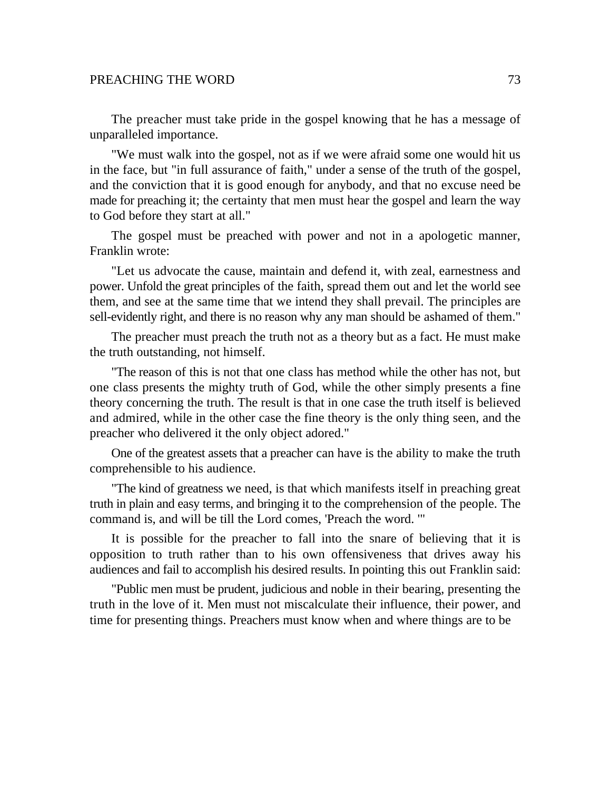#### PREACHING THE WORD 73

The preacher must take pride in the gospel knowing that he has a message of unparalleled importance.

"We must walk into the gospel, not as if we were afraid some one would hit us in the face, but "in full assurance of faith," under a sense of the truth of the gospel, and the conviction that it is good enough for anybody, and that no excuse need be made for preaching it; the certainty that men must hear the gospel and learn the way to God before they start at all."

The gospel must be preached with power and not in a apologetic manner, Franklin wrote:

"Let us advocate the cause, maintain and defend it, with zeal, earnestness and power. Unfold the great principles of the faith, spread them out and let the world see them, and see at the same time that we intend they shall prevail. The principles are sell-evidently right, and there is no reason why any man should be ashamed of them."

The preacher must preach the truth not as a theory but as a fact. He must make the truth outstanding, not himself.

"The reason of this is not that one class has method while the other has not, but one class presents the mighty truth of God, while the other simply presents a fine theory concerning the truth. The result is that in one case the truth itself is believed and admired, while in the other case the fine theory is the only thing seen, and the preacher who delivered it the only object adored."

One of the greatest assets that a preacher can have is the ability to make the truth comprehensible to his audience.

"The kind of greatness we need, is that which manifests itself in preaching great truth in plain and easy terms, and bringing it to the comprehension of the people. The command is, and will be till the Lord comes, 'Preach the word. '"

It is possible for the preacher to fall into the snare of believing that it is opposition to truth rather than to his own offensiveness that drives away his audiences and fail to accomplish his desired results. In pointing this out Franklin said:

"Public men must be prudent, judicious and noble in their bearing, presenting the truth in the love of it. Men must not miscalculate their influence, their power, and time for presenting things. Preachers must know when and where things are to be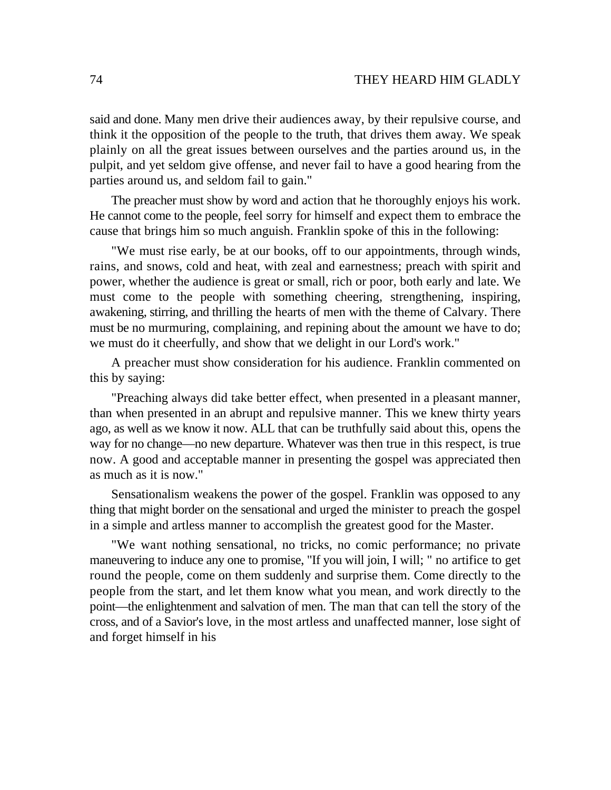said and done. Many men drive their audiences away, by their repulsive course, and think it the opposition of the people to the truth, that drives them away. We speak plainly on all the great issues between ourselves and the parties around us, in the pulpit, and yet seldom give offense, and never fail to have a good hearing from the parties around us, and seldom fail to gain."

The preacher must show by word and action that he thoroughly enjoys his work. He cannot come to the people, feel sorry for himself and expect them to embrace the cause that brings him so much anguish. Franklin spoke of this in the following:

"We must rise early, be at our books, off to our appointments, through winds, rains, and snows, cold and heat, with zeal and earnestness; preach with spirit and power, whether the audience is great or small, rich or poor, both early and late. We must come to the people with something cheering, strengthening, inspiring, awakening, stirring, and thrilling the hearts of men with the theme of Calvary. There must be no murmuring, complaining, and repining about the amount we have to do; we must do it cheerfully, and show that we delight in our Lord's work."

A preacher must show consideration for his audience. Franklin commented on this by saying:

"Preaching always did take better effect, when presented in a pleasant manner, than when presented in an abrupt and repulsive manner. This we knew thirty years ago, as well as we know it now. ALL that can be truthfully said about this, opens the way for no change—no new departure. Whatever was then true in this respect, is true now. A good and acceptable manner in presenting the gospel was appreciated then as much as it is now."

Sensationalism weakens the power of the gospel. Franklin was opposed to any thing that might border on the sensational and urged the minister to preach the gospel in a simple and artless manner to accomplish the greatest good for the Master.

"We want nothing sensational, no tricks, no comic performance; no private maneuvering to induce any one to promise, "If you will join, I will; " no artifice to get round the people, come on them suddenly and surprise them. Come directly to the people from the start, and let them know what you mean, and work directly to the point—the enlightenment and salvation of men. The man that can tell the story of the cross, and of a Savior's love, in the most artless and unaffected manner, lose sight of and forget himself in his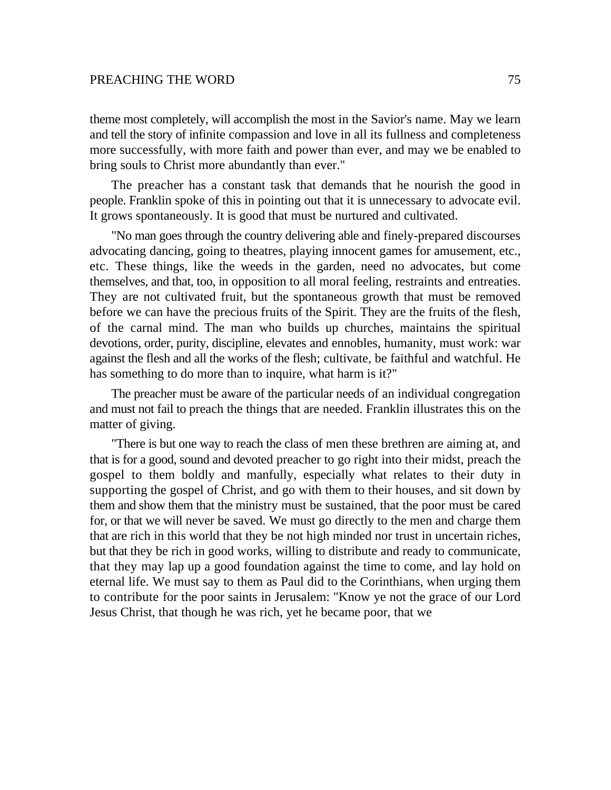#### PREACHING THE WORD 75

theme most completely, will accomplish the most in the Savior's name. May we learn and tell the story of infinite compassion and love in all its fullness and completeness more successfully, with more faith and power than ever, and may we be enabled to bring souls to Christ more abundantly than ever."

The preacher has a constant task that demands that he nourish the good in people. Franklin spoke of this in pointing out that it is unnecessary to advocate evil. It grows spontaneously. It is good that must be nurtured and cultivated.

"No man goes through the country delivering able and finely-prepared discourses advocating dancing, going to theatres, playing innocent games for amusement, etc., etc. These things, like the weeds in the garden, need no advocates, but come themselves, and that, too, in opposition to all moral feeling, restraints and entreaties. They are not cultivated fruit, but the spontaneous growth that must be removed before we can have the precious fruits of the Spirit. They are the fruits of the flesh, of the carnal mind. The man who builds up churches, maintains the spiritual devotions, order, purity, discipline, elevates and ennobles, humanity, must work: war against the flesh and all the works of the flesh; cultivate, be faithful and watchful. He has something to do more than to inquire, what harm is it?"

The preacher must be aware of the particular needs of an individual congregation and must not fail to preach the things that are needed. Franklin illustrates this on the matter of giving.

"There is but one way to reach the class of men these brethren are aiming at, and that is for a good, sound and devoted preacher to go right into their midst, preach the gospel to them boldly and manfully, especially what relates to their duty in supporting the gospel of Christ, and go with them to their houses, and sit down by them and show them that the ministry must be sustained, that the poor must be cared for, or that we will never be saved. We must go directly to the men and charge them that are rich in this world that they be not high minded nor trust in uncertain riches, but that they be rich in good works, willing to distribute and ready to communicate, that they may lap up a good foundation against the time to come, and lay hold on eternal life. We must say to them as Paul did to the Corinthians, when urging them to contribute for the poor saints in Jerusalem: "Know ye not the grace of our Lord Jesus Christ, that though he was rich, yet he became poor, that we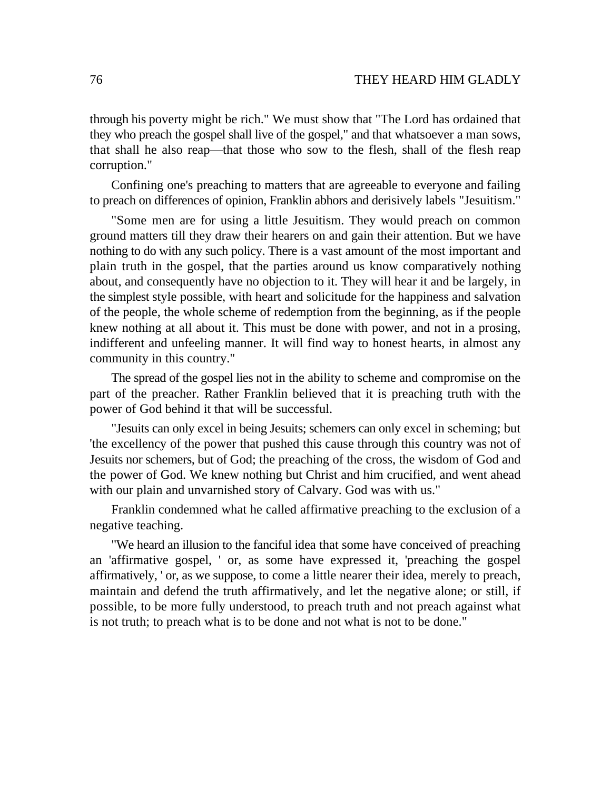through his poverty might be rich." We must show that "The Lord has ordained that they who preach the gospel shall live of the gospel," and that whatsoever a man sows, that shall he also reap—that those who sow to the flesh, shall of the flesh reap corruption."

Confining one's preaching to matters that are agreeable to everyone and failing to preach on differences of opinion, Franklin abhors and derisively labels "Jesuitism."

"Some men are for using a little Jesuitism. They would preach on common ground matters till they draw their hearers on and gain their attention. But we have nothing to do with any such policy. There is a vast amount of the most important and plain truth in the gospel, that the parties around us know comparatively nothing about, and consequently have no objection to it. They will hear it and be largely, in the simplest style possible, with heart and solicitude for the happiness and salvation of the people, the whole scheme of redemption from the beginning, as if the people knew nothing at all about it. This must be done with power, and not in a prosing, indifferent and unfeeling manner. It will find way to honest hearts, in almost any community in this country."

The spread of the gospel lies not in the ability to scheme and compromise on the part of the preacher. Rather Franklin believed that it is preaching truth with the power of God behind it that will be successful.

"Jesuits can only excel in being Jesuits; schemers can only excel in scheming; but 'the excellency of the power that pushed this cause through this country was not of Jesuits nor schemers, but of God; the preaching of the cross, the wisdom of God and the power of God. We knew nothing but Christ and him crucified, and went ahead with our plain and unvarnished story of Calvary. God was with us."

Franklin condemned what he called affirmative preaching to the exclusion of a negative teaching.

"We heard an illusion to the fanciful idea that some have conceived of preaching an 'affirmative gospel, ' or, as some have expressed it, 'preaching the gospel affirmatively, ' or, as we suppose, to come a little nearer their idea, merely to preach, maintain and defend the truth affirmatively, and let the negative alone; or still, if possible, to be more fully understood, to preach truth and not preach against what is not truth; to preach what is to be done and not what is not to be done."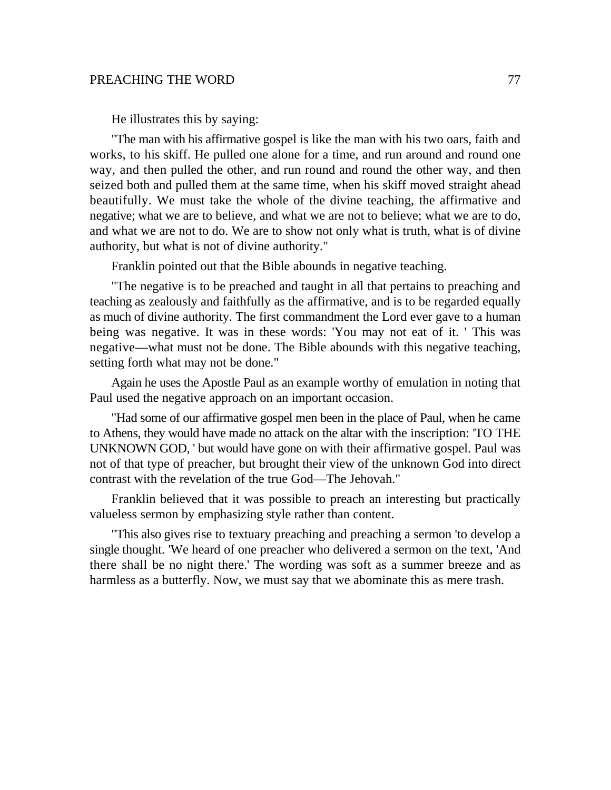#### PREACHING THE WORD 77

He illustrates this by saying:

"The man with his affirmative gospel is like the man with his two oars, faith and works, to his skiff. He pulled one alone for a time, and run around and round one way, and then pulled the other, and run round and round the other way, and then seized both and pulled them at the same time, when his skiff moved straight ahead beautifully. We must take the whole of the divine teaching, the affirmative and negative; what we are to believe, and what we are not to believe; what we are to do, and what we are not to do. We are to show not only what is truth, what is of divine authority, but what is not of divine authority."

Franklin pointed out that the Bible abounds in negative teaching.

"The negative is to be preached and taught in all that pertains to preaching and teaching as zealously and faithfully as the affirmative, and is to be regarded equally as much of divine authority. The first commandment the Lord ever gave to a human being was negative. It was in these words: 'You may not eat of it. ' This was negative—what must not be done. The Bible abounds with this negative teaching, setting forth what may not be done."

Again he uses the Apostle Paul as an example worthy of emulation in noting that Paul used the negative approach on an important occasion.

"Had some of our affirmative gospel men been in the place of Paul, when he came to Athens, they would have made no attack on the altar with the inscription: 'TO THE UNKNOWN GOD, ' but would have gone on with their affirmative gospel. Paul was not of that type of preacher, but brought their view of the unknown God into direct contrast with the revelation of the true God—The Jehovah."

Franklin believed that it was possible to preach an interesting but practically valueless sermon by emphasizing style rather than content.

"This also gives rise to textuary preaching and preaching a sermon 'to develop a single thought. 'We heard of one preacher who delivered a sermon on the text, 'And there shall be no night there.' The wording was soft as a summer breeze and as harmless as a butterfly. Now, we must say that we abominate this as mere trash.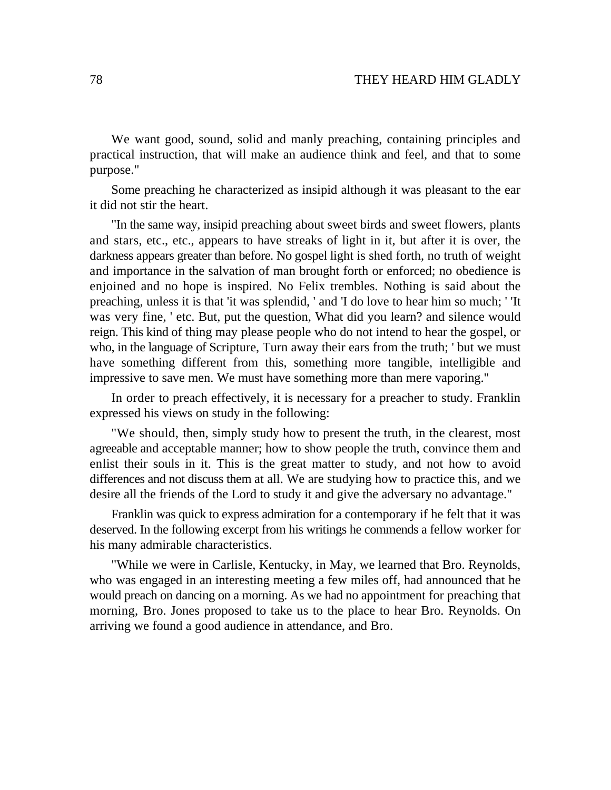We want good, sound, solid and manly preaching, containing principles and practical instruction, that will make an audience think and feel, and that to some purpose."

Some preaching he characterized as insipid although it was pleasant to the ear it did not stir the heart.

"In the same way, insipid preaching about sweet birds and sweet flowers, plants and stars, etc., etc., appears to have streaks of light in it, but after it is over, the darkness appears greater than before. No gospel light is shed forth, no truth of weight and importance in the salvation of man brought forth or enforced; no obedience is enjoined and no hope is inspired. No Felix trembles. Nothing is said about the preaching, unless it is that 'it was splendid, ' and 'I do love to hear him so much; ' 'It was very fine, ' etc. But, put the question, What did you learn? and silence would reign. This kind of thing may please people who do not intend to hear the gospel, or who, in the language of Scripture, Turn away their ears from the truth; ' but we must have something different from this, something more tangible, intelligible and impressive to save men. We must have something more than mere vaporing."

In order to preach effectively, it is necessary for a preacher to study. Franklin expressed his views on study in the following:

"We should, then, simply study how to present the truth, in the clearest, most agreeable and acceptable manner; how to show people the truth, convince them and enlist their souls in it. This is the great matter to study, and not how to avoid differences and not discuss them at all. We are studying how to practice this, and we desire all the friends of the Lord to study it and give the adversary no advantage."

Franklin was quick to express admiration for a contemporary if he felt that it was deserved. In the following excerpt from his writings he commends a fellow worker for his many admirable characteristics.

"While we were in Carlisle, Kentucky, in May, we learned that Bro. Reynolds, who was engaged in an interesting meeting a few miles off, had announced that he would preach on dancing on a morning. As we had no appointment for preaching that morning, Bro. Jones proposed to take us to the place to hear Bro. Reynolds. On arriving we found a good audience in attendance, and Bro.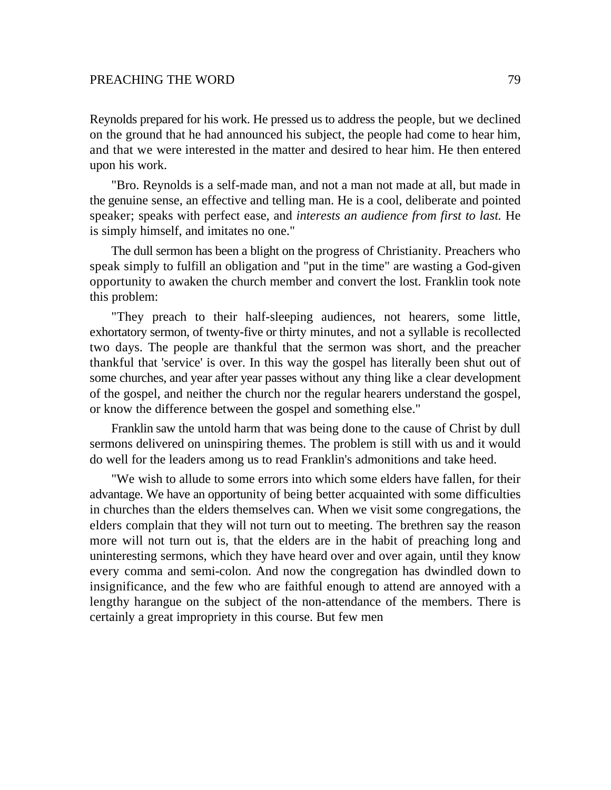#### PREACHING THE WORD 79

Reynolds prepared for his work. He pressed us to address the people, but we declined on the ground that he had announced his subject, the people had come to hear him, and that we were interested in the matter and desired to hear him. He then entered upon his work.

"Bro. Reynolds is a self-made man, and not a man not made at all, but made in the genuine sense, an effective and telling man. He is a cool, deliberate and pointed speaker; speaks with perfect ease, and *interests an audience from first to last.* He is simply himself, and imitates no one."

The dull sermon has been a blight on the progress of Christianity. Preachers who speak simply to fulfill an obligation and "put in the time" are wasting a God-given opportunity to awaken the church member and convert the lost. Franklin took note this problem:

"They preach to their half-sleeping audiences, not hearers, some little, exhortatory sermon, of twenty-five or thirty minutes, and not a syllable is recollected two days. The people are thankful that the sermon was short, and the preacher thankful that 'service' is over. In this way the gospel has literally been shut out of some churches, and year after year passes without any thing like a clear development of the gospel, and neither the church nor the regular hearers understand the gospel, or know the difference between the gospel and something else."

Franklin saw the untold harm that was being done to the cause of Christ by dull sermons delivered on uninspiring themes. The problem is still with us and it would do well for the leaders among us to read Franklin's admonitions and take heed.

"We wish to allude to some errors into which some elders have fallen, for their advantage. We have an opportunity of being better acquainted with some difficulties in churches than the elders themselves can. When we visit some congregations, the elders complain that they will not turn out to meeting. The brethren say the reason more will not turn out is, that the elders are in the habit of preaching long and uninteresting sermons, which they have heard over and over again, until they know every comma and semi-colon. And now the congregation has dwindled down to insignificance, and the few who are faithful enough to attend are annoyed with a lengthy harangue on the subject of the non-attendance of the members. There is certainly a great impropriety in this course. But few men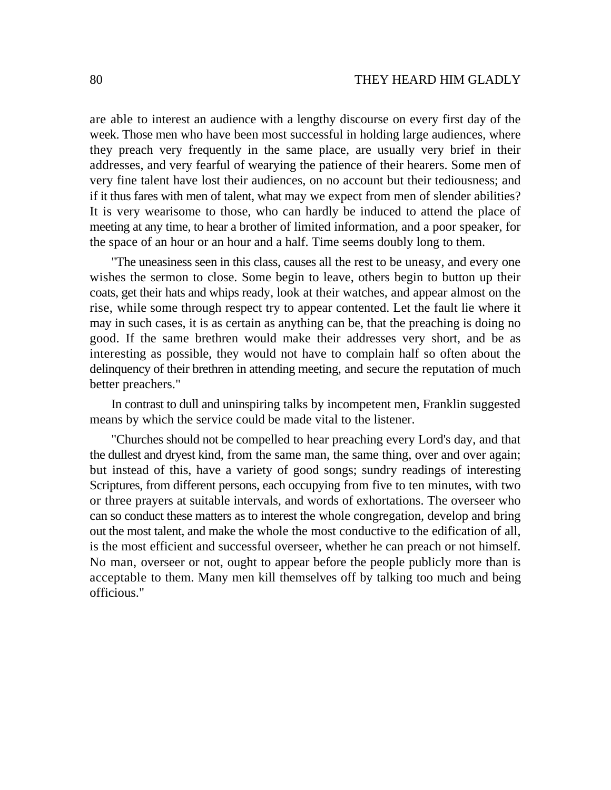are able to interest an audience with a lengthy discourse on every first day of the week. Those men who have been most successful in holding large audiences, where they preach very frequently in the same place, are usually very brief in their addresses, and very fearful of wearying the patience of their hearers. Some men of very fine talent have lost their audiences, on no account but their tediousness; and if it thus fares with men of talent, what may we expect from men of slender abilities? It is very wearisome to those, who can hardly be induced to attend the place of meeting at any time, to hear a brother of limited information, and a poor speaker, for the space of an hour or an hour and a half. Time seems doubly long to them.

"The uneasiness seen in this class, causes all the rest to be uneasy, and every one wishes the sermon to close. Some begin to leave, others begin to button up their coats, get their hats and whips ready, look at their watches, and appear almost on the rise, while some through respect try to appear contented. Let the fault lie where it may in such cases, it is as certain as anything can be, that the preaching is doing no good. If the same brethren would make their addresses very short, and be as interesting as possible, they would not have to complain half so often about the delinquency of their brethren in attending meeting, and secure the reputation of much better preachers."

In contrast to dull and uninspiring talks by incompetent men, Franklin suggested means by which the service could be made vital to the listener.

"Churches should not be compelled to hear preaching every Lord's day, and that the dullest and dryest kind, from the same man, the same thing, over and over again; but instead of this, have a variety of good songs; sundry readings of interesting Scriptures, from different persons, each occupying from five to ten minutes, with two or three prayers at suitable intervals, and words of exhortations. The overseer who can so conduct these matters as to interest the whole congregation, develop and bring out the most talent, and make the whole the most conductive to the edification of all, is the most efficient and successful overseer, whether he can preach or not himself. No man, overseer or not, ought to appear before the people publicly more than is acceptable to them. Many men kill themselves off by talking too much and being officious."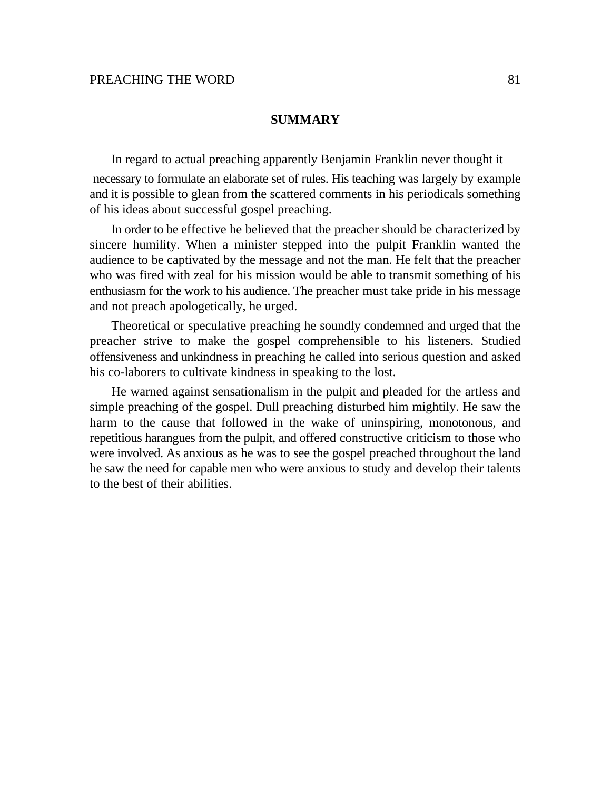#### **SUMMARY**

In regard to actual preaching apparently Benjamin Franklin never thought it necessary to formulate an elaborate set of rules. His teaching was largely by example and it is possible to glean from the scattered comments in his periodicals something of his ideas about successful gospel preaching.

In order to be effective he believed that the preacher should be characterized by sincere humility. When a minister stepped into the pulpit Franklin wanted the audience to be captivated by the message and not the man. He felt that the preacher who was fired with zeal for his mission would be able to transmit something of his enthusiasm for the work to his audience. The preacher must take pride in his message and not preach apologetically, he urged.

Theoretical or speculative preaching he soundly condemned and urged that the preacher strive to make the gospel comprehensible to his listeners. Studied offensiveness and unkindness in preaching he called into serious question and asked his co-laborers to cultivate kindness in speaking to the lost.

He warned against sensationalism in the pulpit and pleaded for the artless and simple preaching of the gospel. Dull preaching disturbed him mightily. He saw the harm to the cause that followed in the wake of uninspiring, monotonous, and repetitious harangues from the pulpit, and offered constructive criticism to those who were involved. As anxious as he was to see the gospel preached throughout the land he saw the need for capable men who were anxious to study and develop their talents to the best of their abilities.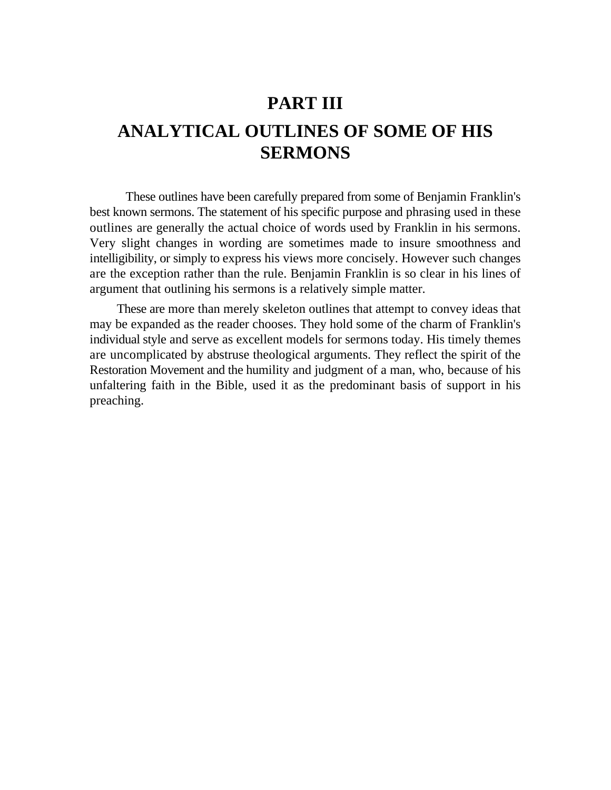# **PART III**

# **ANALYTICAL OUTLINES OF SOME OF HIS SERMONS**

These outlines have been carefully prepared from some of Benjamin Franklin's best known sermons. The statement of his specific purpose and phrasing used in these outlines are generally the actual choice of words used by Franklin in his sermons. Very slight changes in wording are sometimes made to insure smoothness and intelligibility, or simply to express his views more concisely. However such changes are the exception rather than the rule. Benjamin Franklin is so clear in his lines of argument that outlining his sermons is a relatively simple matter.

These are more than merely skeleton outlines that attempt to convey ideas that may be expanded as the reader chooses. They hold some of the charm of Franklin's individual style and serve as excellent models for sermons today. His timely themes are uncomplicated by abstruse theological arguments. They reflect the spirit of the Restoration Movement and the humility and judgment of a man, who, because of his unfaltering faith in the Bible, used it as the predominant basis of support in his preaching.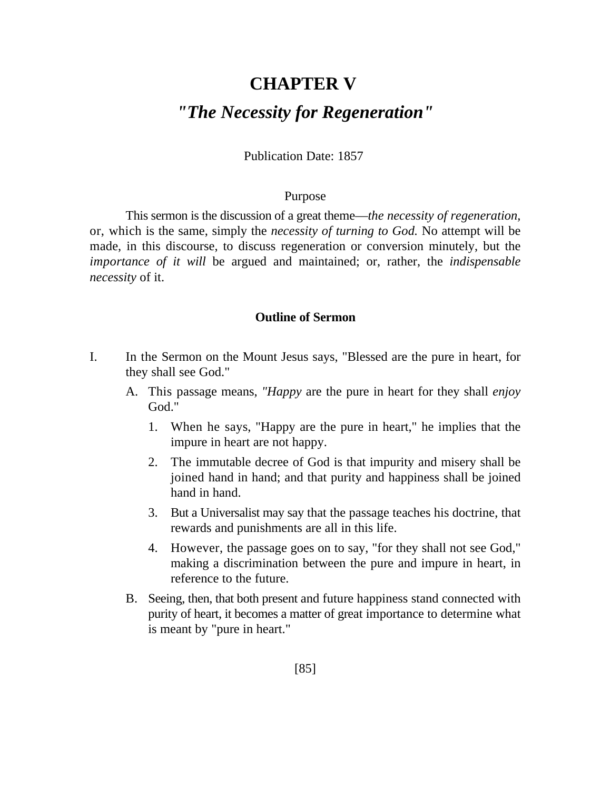# **CHAPTER V**  *"The Necessity for Regeneration"*

Publication Date: 1857

#### Purpose

This sermon is the discussion of a great theme—*the necessity of regeneration,* or, which is the same, simply the *necessity of turning to God.* No attempt will be made, in this discourse, to discuss regeneration or conversion minutely, but the *importance of it will* be argued and maintained; or, rather, the *indispensable necessity* of it.

#### **Outline of Sermon**

- I. In the Sermon on the Mount Jesus says, "Blessed are the pure in heart, for they shall see God."
	- A. This passage means, *"Happy* are the pure in heart for they shall *enjoy* God."
		- 1. When he says, "Happy are the pure in heart," he implies that the impure in heart are not happy.
		- 2. The immutable decree of God is that impurity and misery shall be joined hand in hand; and that purity and happiness shall be joined hand in hand.
		- 3. But a Universalist may say that the passage teaches his doctrine, that rewards and punishments are all in this life.
		- 4. However, the passage goes on to say, "for they shall not see God," making a discrimination between the pure and impure in heart, in reference to the future.
	- B. Seeing, then, that both present and future happiness stand connected with purity of heart, it becomes a matter of great importance to determine what is meant by "pure in heart."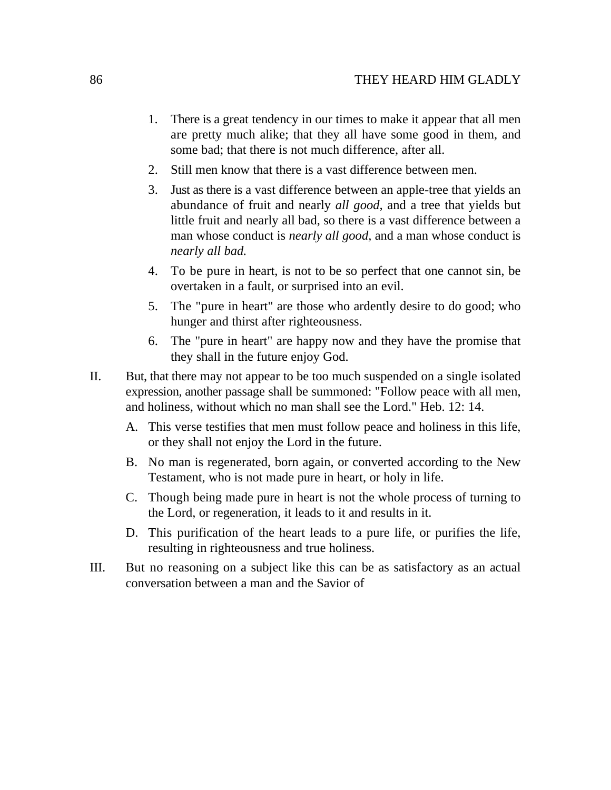- 1. There is a great tendency in our times to make it appear that all men are pretty much alike; that they all have some good in them, and some bad; that there is not much difference, after all.
- 2. Still men know that there is a vast difference between men.
- 3. Just as there is a vast difference between an apple-tree that yields an abundance of fruit and nearly *all good,* and a tree that yields but little fruit and nearly all bad, so there is a vast difference between a man whose conduct is *nearly all good,* and a man whose conduct is *nearly all bad.*
- 4. To be pure in heart, is not to be so perfect that one cannot sin, be overtaken in a fault, or surprised into an evil.
- 5. The "pure in heart" are those who ardently desire to do good; who hunger and thirst after righteousness.
- 6. The "pure in heart" are happy now and they have the promise that they shall in the future enjoy God.
- II. But, that there may not appear to be too much suspended on a single isolated expression, another passage shall be summoned: "Follow peace with all men, and holiness, without which no man shall see the Lord." Heb. 12: 14.
	- A. This verse testifies that men must follow peace and holiness in this life, or they shall not enjoy the Lord in the future.
	- B. No man is regenerated, born again, or converted according to the New Testament, who is not made pure in heart, or holy in life.
	- C. Though being made pure in heart is not the whole process of turning to the Lord, or regeneration, it leads to it and results in it.
	- D. This purification of the heart leads to a pure life, or purifies the life, resulting in righteousness and true holiness.
- III. But no reasoning on a subject like this can be as satisfactory as an actual conversation between a man and the Savior of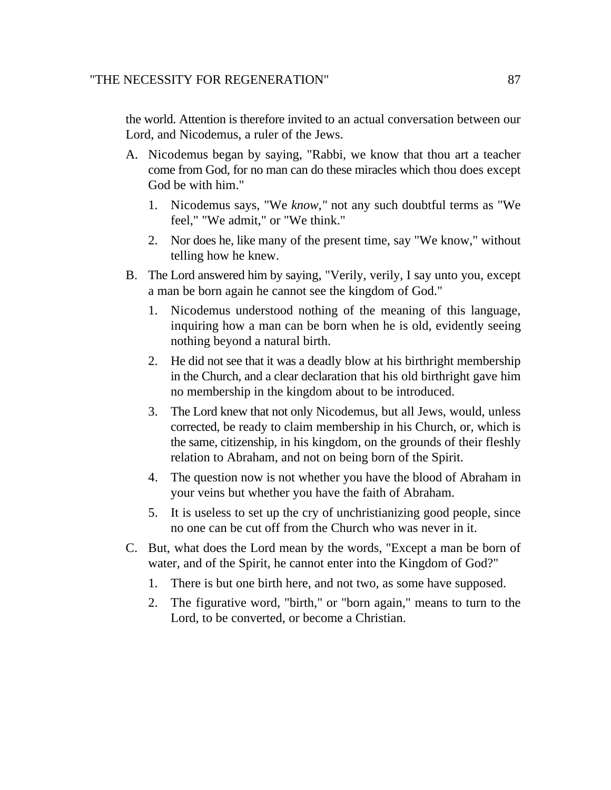the world. Attention is therefore invited to an actual conversation between our Lord, and Nicodemus, a ruler of the Jews.

- A. Nicodemus began by saying, "Rabbi, we know that thou art a teacher come from God, for no man can do these miracles which thou does except God be with him."
	- 1. Nicodemus says, "We *know,"* not any such doubtful terms as "We feel," "We admit," or "We think."
	- 2. Nor does he, like many of the present time, say "We know," without telling how he knew.
- B. The Lord answered him by saying, "Verily, verily, I say unto you, except a man be born again he cannot see the kingdom of God."
	- 1. Nicodemus understood nothing of the meaning of this language, inquiring how a man can be born when he is old, evidently seeing nothing beyond a natural birth.
	- 2. He did not see that it was a deadly blow at his birthright membership in the Church, and a clear declaration that his old birthright gave him no membership in the kingdom about to be introduced.
	- 3. The Lord knew that not only Nicodemus, but all Jews, would, unless corrected, be ready to claim membership in his Church, or, which is the same, citizenship, in his kingdom, on the grounds of their fleshly relation to Abraham, and not on being born of the Spirit.
	- 4. The question now is not whether you have the blood of Abraham in your veins but whether you have the faith of Abraham.
	- 5. It is useless to set up the cry of unchristianizing good people, since no one can be cut off from the Church who was never in it.
- C. But, what does the Lord mean by the words, "Except a man be born of water, and of the Spirit, he cannot enter into the Kingdom of God?"
	- 1. There is but one birth here, and not two, as some have supposed.
	- 2. The figurative word, "birth," or "born again," means to turn to the Lord, to be converted, or become a Christian.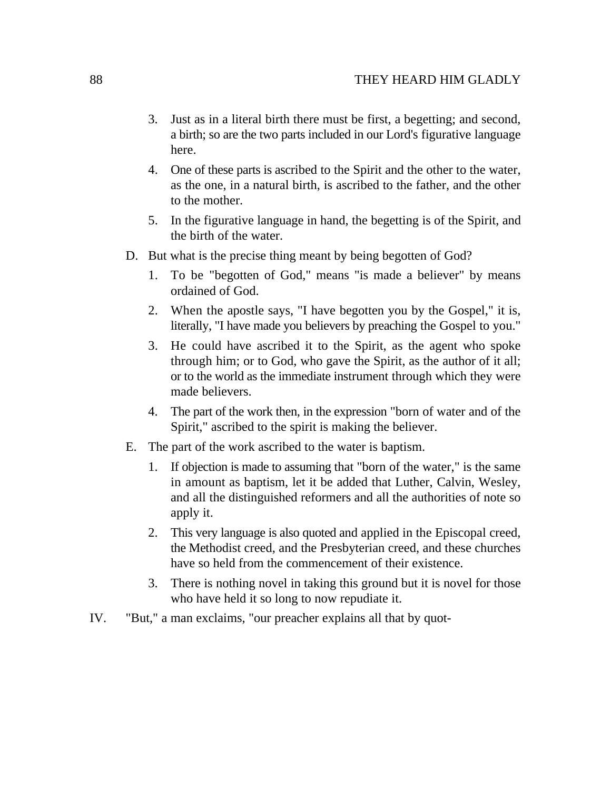- 3. Just as in a literal birth there must be first, a begetting; and second, a birth; so are the two parts included in our Lord's figurative language here.
- 4. One of these parts is ascribed to the Spirit and the other to the water, as the one, in a natural birth, is ascribed to the father, and the other to the mother.
- 5. In the figurative language in hand, the begetting is of the Spirit, and the birth of the water.
- D. But what is the precise thing meant by being begotten of God?
	- 1. To be "begotten of God," means "is made a believer" by means ordained of God.
	- 2. When the apostle says, "I have begotten you by the Gospel," it is, literally, "I have made you believers by preaching the Gospel to you."
	- 3. He could have ascribed it to the Spirit, as the agent who spoke through him; or to God, who gave the Spirit, as the author of it all; or to the world as the immediate instrument through which they were made believers.
	- 4. The part of the work then, in the expression "born of water and of the Spirit," ascribed to the spirit is making the believer.
- E. The part of the work ascribed to the water is baptism.
	- 1. If objection is made to assuming that "born of the water," is the same in amount as baptism, let it be added that Luther, Calvin, Wesley, and all the distinguished reformers and all the authorities of note so apply it.
	- 2. This very language is also quoted and applied in the Episcopal creed, the Methodist creed, and the Presbyterian creed, and these churches have so held from the commencement of their existence.
	- 3. There is nothing novel in taking this ground but it is novel for those who have held it so long to now repudiate it.
- IV. "But," a man exclaims, "our preacher explains all that by quot-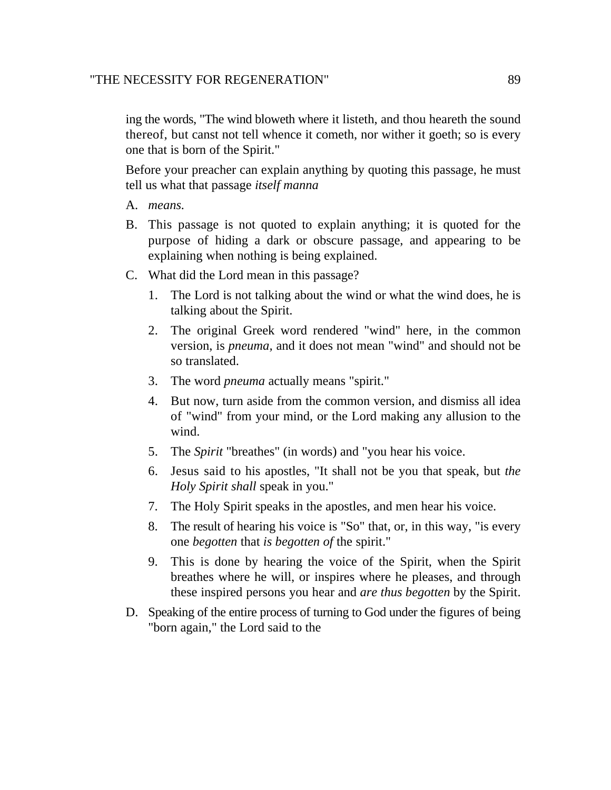ing the words, "The wind bloweth where it listeth, and thou heareth the sound thereof, but canst not tell whence it cometh, nor wither it goeth; so is every one that is born of the Spirit."

Before your preacher can explain anything by quoting this passage, he must tell us what that passage *itself manna*

- A. *means.*
- B. This passage is not quoted to explain anything; it is quoted for the purpose of hiding a dark or obscure passage, and appearing to be explaining when nothing is being explained.
- C. What did the Lord mean in this passage?
	- 1. The Lord is not talking about the wind or what the wind does, he is talking about the Spirit.
	- 2. The original Greek word rendered "wind" here, in the common version, is *pneuma,* and it does not mean "wind" and should not be so translated.
	- 3. The word *pneuma* actually means "spirit."
	- 4. But now, turn aside from the common version, and dismiss all idea of "wind" from your mind, or the Lord making any allusion to the wind.
	- 5. The *Spirit* "breathes" (in words) and "you hear his voice.
	- 6. Jesus said to his apostles, "It shall not be you that speak, but *the Holy Spirit shall* speak in you."
	- 7. The Holy Spirit speaks in the apostles, and men hear his voice.
	- 8. The result of hearing his voice is "So" that, or, in this way, "is every one *begotten* that *is begotten of* the spirit."
	- 9. This is done by hearing the voice of the Spirit, when the Spirit breathes where he will, or inspires where he pleases, and through these inspired persons you hear and *are thus begotten* by the Spirit.
- D. Speaking of the entire process of turning to God under the figures of being "born again," the Lord said to the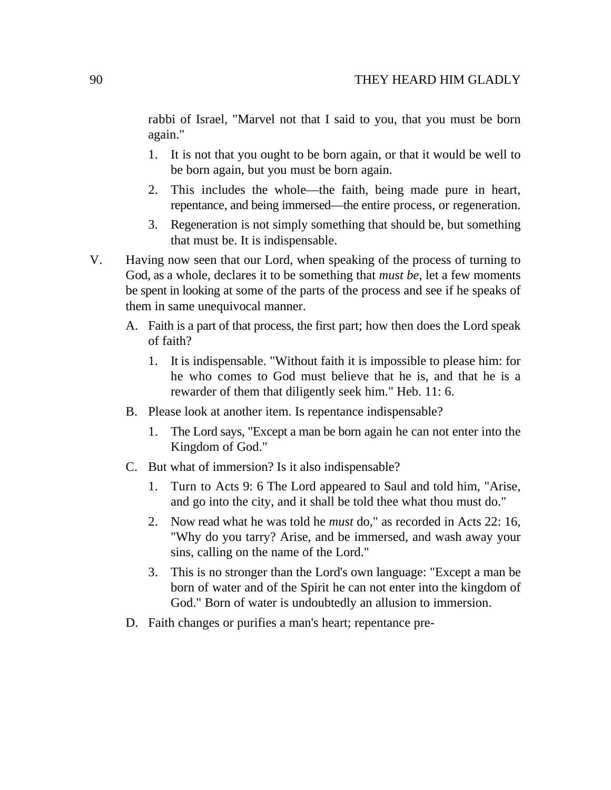rabbi of Israel, "Marvel not that I said to you, that you must be born again."

- 1. It is not that you ought to be born again, or that it would be well to be born again, but you must be born again.
- 2. This includes the whole—the faith, being made pure in heart, repentance, and being immersed—the entire process, or regeneration.
- 3. Regeneration is not simply something that should be, but something that must be. It is indispensable.
- V. Having now seen that our Lord, when speaking of the process of turning to God, as a whole, declares it to be something that *must be,* let a few moments be spent in looking at some of the parts of the process and see if he speaks of them in same unequivocal manner.
	- A. Faith is a part of that process, the first part; how then does the Lord speak of faith?
		- 1. It is indispensable. "Without faith it is impossible to please him: for he who comes to God must believe that he is, and that he is a rewarder of them that diligently seek him." Heb. 11: 6.
	- B. Please look at another item. Is repentance indispensable?
		- 1. The Lord says, "Except a man be born again he can not enter into the Kingdom of God."
	- C. But what of immersion? Is it also indispensable?
		- 1. Turn to Acts 9: 6 The Lord appeared to Saul and told him, "Arise, and go into the city, and it shall be told thee what thou must do."
		- 2. Now read what he was told he *must* do," as recorded in Acts 22: 16, "Why do you tarry? Arise, and be immersed, and wash away your sins, calling on the name of the Lord."
		- 3. This is no stronger than the Lord's own language: "Except a man be born of water and of the Spirit he can not enter into the kingdom of God." Born of water is undoubtedly an allusion to immersion.
	- D. Faith changes or purifies a man's heart; repentance pre-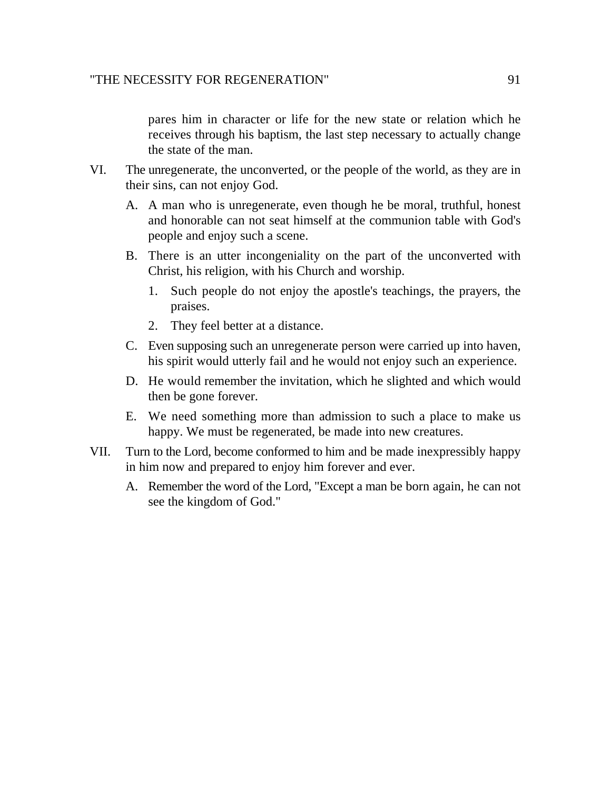pares him in character or life for the new state or relation which he receives through his baptism, the last step necessary to actually change the state of the man.

- VI. The unregenerate, the unconverted, or the people of the world, as they are in their sins, can not enjoy God.
	- A. A man who is unregenerate, even though he be moral, truthful, honest and honorable can not seat himself at the communion table with God's people and enjoy such a scene.
	- B. There is an utter incongeniality on the part of the unconverted with Christ, his religion, with his Church and worship.
		- 1. Such people do not enjoy the apostle's teachings, the prayers, the praises.
		- 2. They feel better at a distance.
	- C. Even supposing such an unregenerate person were carried up into haven, his spirit would utterly fail and he would not enjoy such an experience.
	- D. He would remember the invitation, which he slighted and which would then be gone forever.
	- E. We need something more than admission to such a place to make us happy. We must be regenerated, be made into new creatures.
- VII. Turn to the Lord, become conformed to him and be made inexpressibly happy in him now and prepared to enjoy him forever and ever.
	- A. Remember the word of the Lord, "Except a man be born again, he can not see the kingdom of God."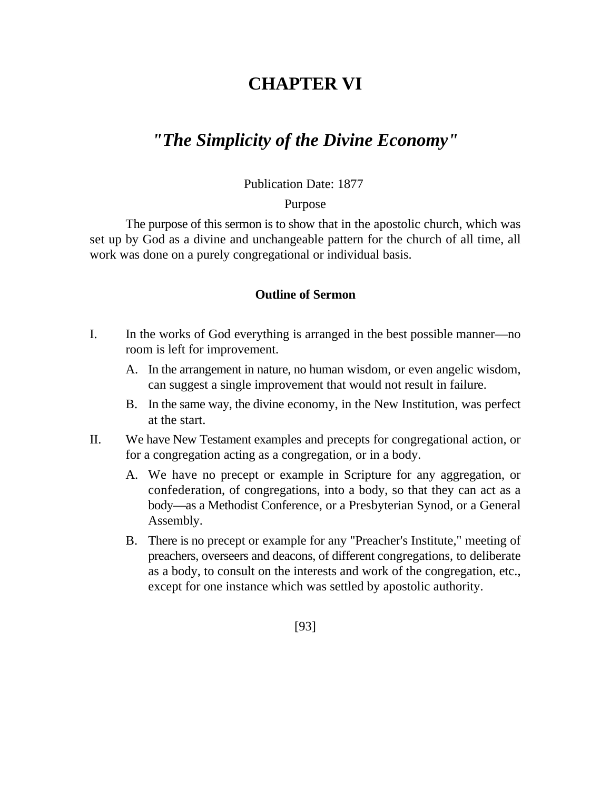# **CHAPTER VI**

# *"The Simplicity of the Divine Economy"*

#### Publication Date: 1877

#### Purpose

The purpose of this sermon is to show that in the apostolic church, which was set up by God as a divine and unchangeable pattern for the church of all time, all work was done on a purely congregational or individual basis.

#### **Outline of Sermon**

- I. In the works of God everything is arranged in the best possible manner—no room is left for improvement.
	- A. In the arrangement in nature, no human wisdom, or even angelic wisdom, can suggest a single improvement that would not result in failure.
	- B. In the same way, the divine economy, in the New Institution, was perfect at the start.
- II. We have New Testament examples and precepts for congregational action, or for a congregation acting as a congregation, or in a body.
	- A. We have no precept or example in Scripture for any aggregation, or confederation, of congregations, into a body, so that they can act as a body—as a Methodist Conference, or a Presbyterian Synod, or a General Assembly.
	- B. There is no precept or example for any "Preacher's Institute," meeting of preachers, overseers and deacons, of different congregations, to deliberate as a body, to consult on the interests and work of the congregation, etc., except for one instance which was settled by apostolic authority.

[93]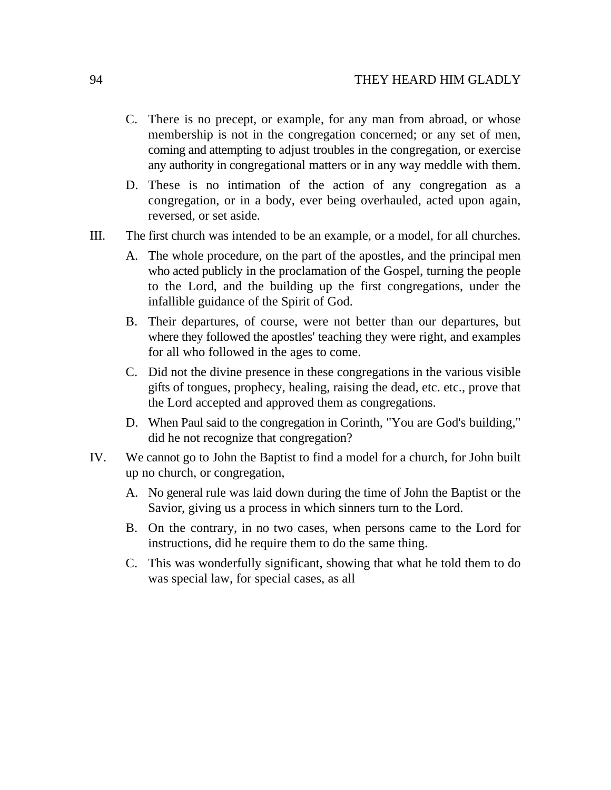- C. There is no precept, or example, for any man from abroad, or whose membership is not in the congregation concerned; or any set of men, coming and attempting to adjust troubles in the congregation, or exercise any authority in congregational matters or in any way meddle with them.
- D. These is no intimation of the action of any congregation as a congregation, or in a body, ever being overhauled, acted upon again, reversed, or set aside.
- III. The first church was intended to be an example, or a model, for all churches.
	- A. The whole procedure, on the part of the apostles, and the principal men who acted publicly in the proclamation of the Gospel, turning the people to the Lord, and the building up the first congregations, under the infallible guidance of the Spirit of God.
	- B. Their departures, of course, were not better than our departures, but where they followed the apostles' teaching they were right, and examples for all who followed in the ages to come.
	- C. Did not the divine presence in these congregations in the various visible gifts of tongues, prophecy, healing, raising the dead, etc. etc., prove that the Lord accepted and approved them as congregations.
	- D. When Paul said to the congregation in Corinth, "You are God's building," did he not recognize that congregation?
- IV. We cannot go to John the Baptist to find a model for a church, for John built up no church, or congregation,
	- A. No general rule was laid down during the time of John the Baptist or the Savior, giving us a process in which sinners turn to the Lord.
	- B. On the contrary, in no two cases, when persons came to the Lord for instructions, did he require them to do the same thing.
	- C. This was wonderfully significant, showing that what he told them to do was special law, for special cases, as all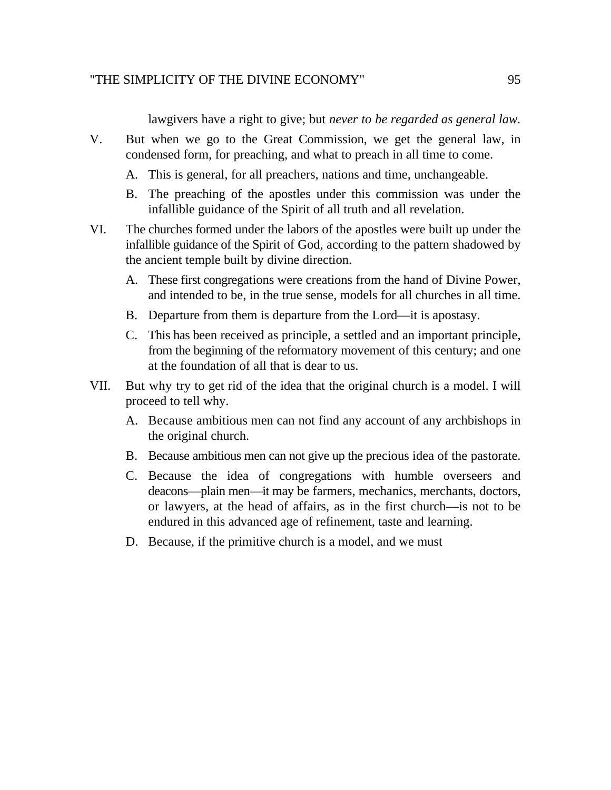lawgivers have a right to give; but *never to be regarded as general law.*

- V. But when we go to the Great Commission, we get the general law, in condensed form, for preaching, and what to preach in all time to come.
	- A. This is general, for all preachers, nations and time, unchangeable.
	- B. The preaching of the apostles under this commission was under the infallible guidance of the Spirit of all truth and all revelation.
- VI. The churches formed under the labors of the apostles were built up under the infallible guidance of the Spirit of God, according to the pattern shadowed by the ancient temple built by divine direction.
	- A. These first congregations were creations from the hand of Divine Power, and intended to be, in the true sense, models for all churches in all time.
	- B. Departure from them is departure from the Lord—it is apostasy.
	- C. This has been received as principle, a settled and an important principle, from the beginning of the reformatory movement of this century; and one at the foundation of all that is dear to us.
- VII. But why try to get rid of the idea that the original church is a model. I will proceed to tell why.
	- A. Because ambitious men can not find any account of any archbishops in the original church.
	- B. Because ambitious men can not give up the precious idea of the pastorate.
	- C. Because the idea of congregations with humble overseers and deacons—plain men—it may be farmers, mechanics, merchants, doctors, or lawyers, at the head of affairs, as in the first church—is not to be endured in this advanced age of refinement, taste and learning.
	- D. Because, if the primitive church is a model, and we must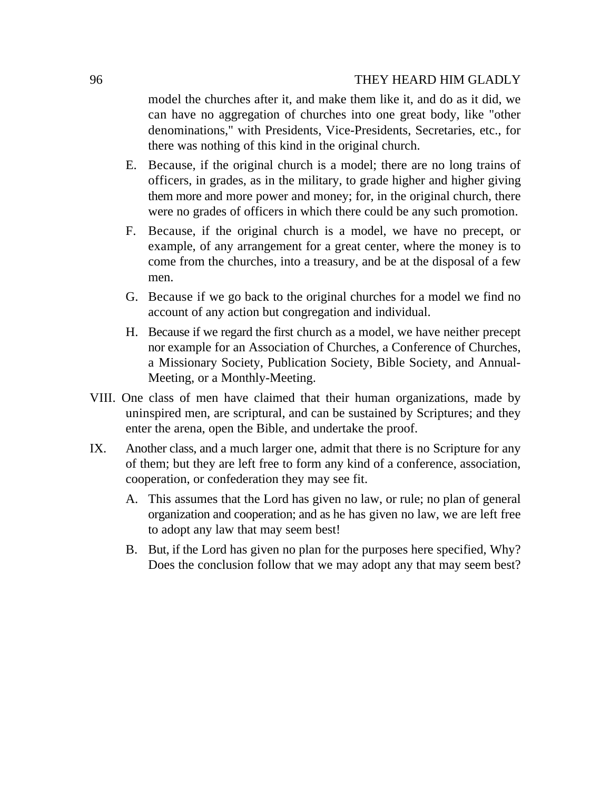model the churches after it, and make them like it, and do as it did, we can have no aggregation of churches into one great body, like "other denominations," with Presidents, Vice-Presidents, Secretaries, etc., for there was nothing of this kind in the original church.

- E. Because, if the original church is a model; there are no long trains of officers, in grades, as in the military, to grade higher and higher giving them more and more power and money; for, in the original church, there were no grades of officers in which there could be any such promotion.
- F. Because, if the original church is a model, we have no precept, or example, of any arrangement for a great center, where the money is to come from the churches, into a treasury, and be at the disposal of a few men.
- G. Because if we go back to the original churches for a model we find no account of any action but congregation and individual.
- H. Because if we regard the first church as a model, we have neither precept nor example for an Association of Churches, a Conference of Churches, a Missionary Society, Publication Society, Bible Society, and Annual-Meeting, or a Monthly-Meeting.
- VIII. One class of men have claimed that their human organizations, made by uninspired men, are scriptural, and can be sustained by Scriptures; and they enter the arena, open the Bible, and undertake the proof.
- IX. Another class, and a much larger one, admit that there is no Scripture for any of them; but they are left free to form any kind of a conference, association, cooperation, or confederation they may see fit.
	- A. This assumes that the Lord has given no law, or rule; no plan of general organization and cooperation; and as he has given no law, we are left free to adopt any law that may seem best!
	- B. But, if the Lord has given no plan for the purposes here specified, Why? Does the conclusion follow that we may adopt any that may seem best?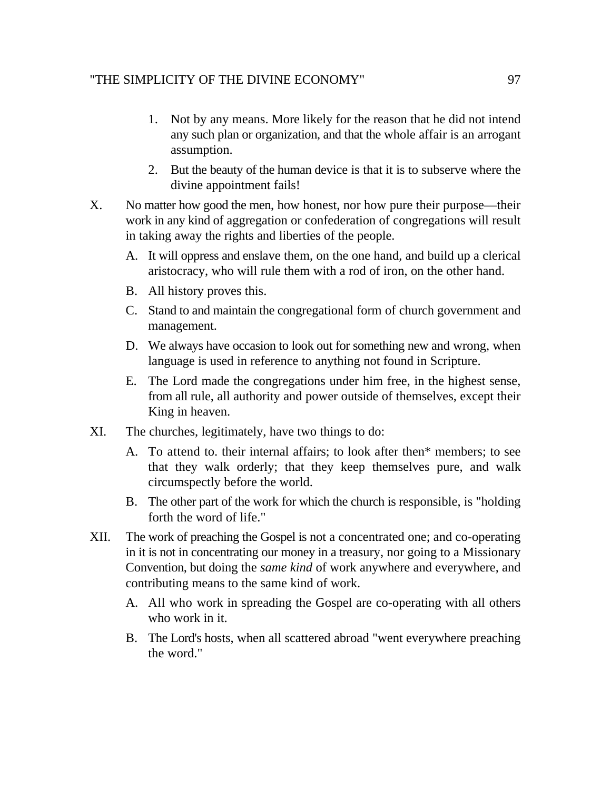#### "THE SIMPLICITY OF THE DIVINE ECONOMY" 97

- 1. Not by any means. More likely for the reason that he did not intend any such plan or organization, and that the whole affair is an arrogant assumption.
- 2. But the beauty of the human device is that it is to subserve where the divine appointment fails!
- X. No matter how good the men, how honest, nor how pure their purpose—their work in any kind of aggregation or confederation of congregations will result in taking away the rights and liberties of the people.
	- A. It will oppress and enslave them, on the one hand, and build up a clerical aristocracy, who will rule them with a rod of iron, on the other hand.
	- B. All history proves this.
	- C. Stand to and maintain the congregational form of church government and management.
	- D. We always have occasion to look out for something new and wrong, when language is used in reference to anything not found in Scripture.
	- E. The Lord made the congregations under him free, in the highest sense, from all rule, all authority and power outside of themselves, except their King in heaven.
- XI. The churches, legitimately, have two things to do:
	- A. To attend to. their internal affairs; to look after then\* members; to see that they walk orderly; that they keep themselves pure, and walk circumspectly before the world.
	- B. The other part of the work for which the church is responsible, is "holding forth the word of life."
- XII. The work of preaching the Gospel is not a concentrated one; and co-operating in it is not in concentrating our money in a treasury, nor going to a Missionary Convention, but doing the *same kind* of work anywhere and everywhere, and contributing means to the same kind of work.
	- A. All who work in spreading the Gospel are co-operating with all others who work in it.
	- B. The Lord's hosts, when all scattered abroad "went everywhere preaching the word."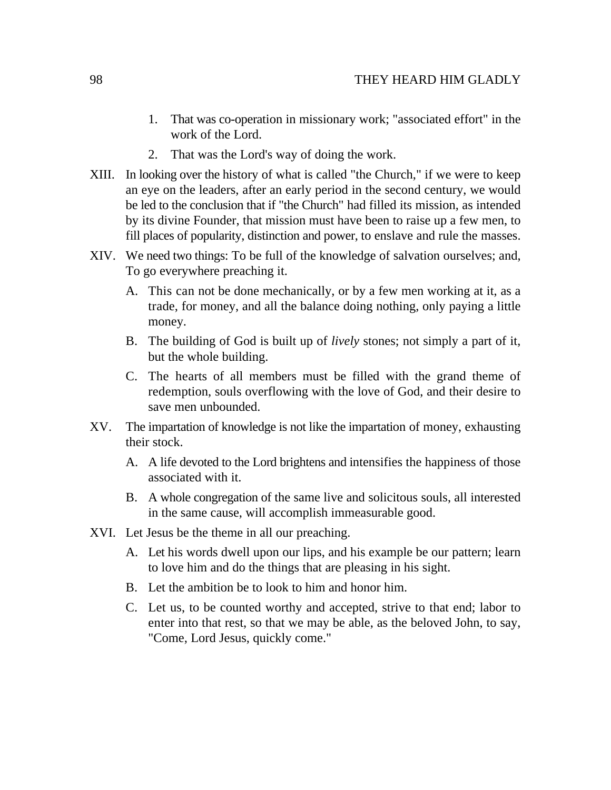- 1. That was co-operation in missionary work; "associated effort" in the work of the Lord.
- 2. That was the Lord's way of doing the work.
- XIII. In looking over the history of what is called "the Church," if we were to keep an eye on the leaders, after an early period in the second century, we would be led to the conclusion that if "the Church" had filled its mission, as intended by its divine Founder, that mission must have been to raise up a few men, to fill places of popularity, distinction and power, to enslave and rule the masses.
- XIV. We need two things: To be full of the knowledge of salvation ourselves; and, To go everywhere preaching it.
	- A. This can not be done mechanically, or by a few men working at it, as a trade, for money, and all the balance doing nothing, only paying a little money.
	- B. The building of God is built up of *lively* stones; not simply a part of it, but the whole building.
	- C. The hearts of all members must be filled with the grand theme of redemption, souls overflowing with the love of God, and their desire to save men unbounded.
- XV. The impartation of knowledge is not like the impartation of money, exhausting their stock.
	- A. A life devoted to the Lord brightens and intensifies the happiness of those associated with it.
	- B. A whole congregation of the same live and solicitous souls, all interested in the same cause, will accomplish immeasurable good.
- XVI. Let Jesus be the theme in all our preaching.
	- A. Let his words dwell upon our lips, and his example be our pattern; learn to love him and do the things that are pleasing in his sight.
	- B. Let the ambition be to look to him and honor him.
	- C. Let us, to be counted worthy and accepted, strive to that end; labor to enter into that rest, so that we may be able, as the beloved John, to say, "Come, Lord Jesus, quickly come."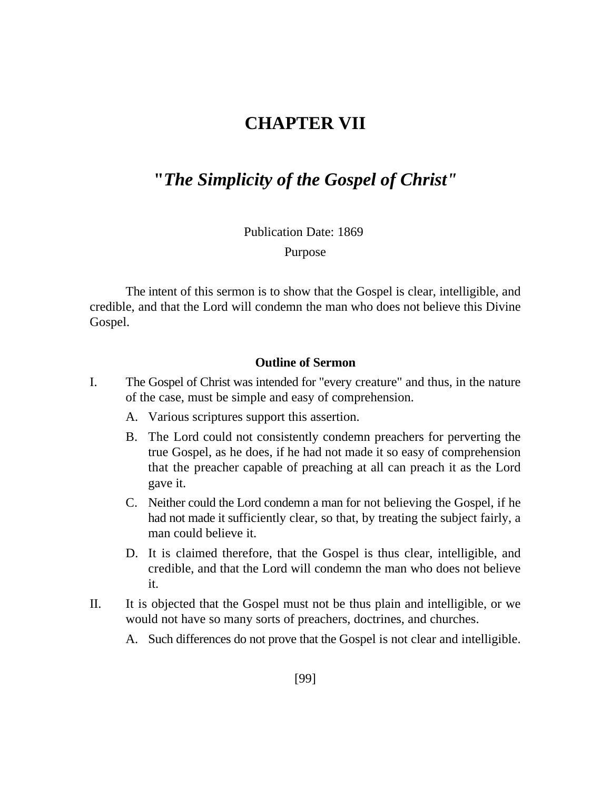### **CHAPTER VII**

### **"***The Simplicity of the Gospel of Christ"*

Publication Date: 1869 Purpose

The intent of this sermon is to show that the Gospel is clear, intelligible, and credible, and that the Lord will condemn the man who does not believe this Divine Gospel.

#### **Outline of Sermon**

- I. The Gospel of Christ was intended for "every creature" and thus, in the nature of the case, must be simple and easy of comprehension.
	- A. Various scriptures support this assertion.
	- B. The Lord could not consistently condemn preachers for perverting the true Gospel, as he does, if he had not made it so easy of comprehension that the preacher capable of preaching at all can preach it as the Lord gave it.
	- C. Neither could the Lord condemn a man for not believing the Gospel, if he had not made it sufficiently clear, so that, by treating the subject fairly, a man could believe it.
	- D. It is claimed therefore, that the Gospel is thus clear, intelligible, and credible, and that the Lord will condemn the man who does not believe it.
- II. It is objected that the Gospel must not be thus plain and intelligible, or we would not have so many sorts of preachers, doctrines, and churches.
	- A. Such differences do not prove that the Gospel is not clear and intelligible.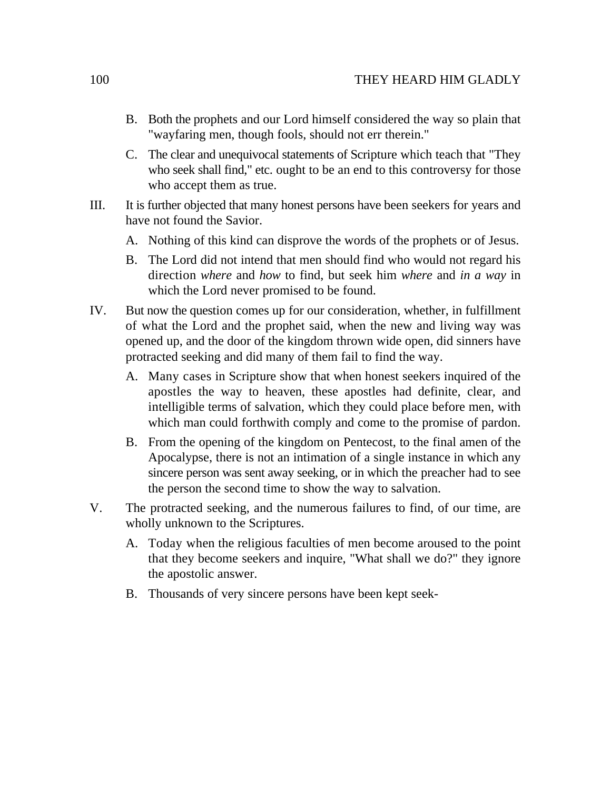- B. Both the prophets and our Lord himself considered the way so plain that "wayfaring men, though fools, should not err therein."
- C. The clear and unequivocal statements of Scripture which teach that "They who seek shall find," etc. ought to be an end to this controversy for those who accept them as true.
- III. It is further objected that many honest persons have been seekers for years and have not found the Savior.
	- A. Nothing of this kind can disprove the words of the prophets or of Jesus.
	- B. The Lord did not intend that men should find who would not regard his direction *where* and *how* to find, but seek him *where* and *in a way* in which the Lord never promised to be found.
- IV. But now the question comes up for our consideration, whether, in fulfillment of what the Lord and the prophet said, when the new and living way was opened up, and the door of the kingdom thrown wide open, did sinners have protracted seeking and did many of them fail to find the way.
	- A. Many cases in Scripture show that when honest seekers inquired of the apostles the way to heaven, these apostles had definite, clear, and intelligible terms of salvation, which they could place before men, with which man could forthwith comply and come to the promise of pardon.
	- B. From the opening of the kingdom on Pentecost, to the final amen of the Apocalypse, there is not an intimation of a single instance in which any sincere person was sent away seeking, or in which the preacher had to see the person the second time to show the way to salvation.
- V. The protracted seeking, and the numerous failures to find, of our time, are wholly unknown to the Scriptures.
	- A. Today when the religious faculties of men become aroused to the point that they become seekers and inquire, "What shall we do?" they ignore the apostolic answer.
	- B. Thousands of very sincere persons have been kept seek-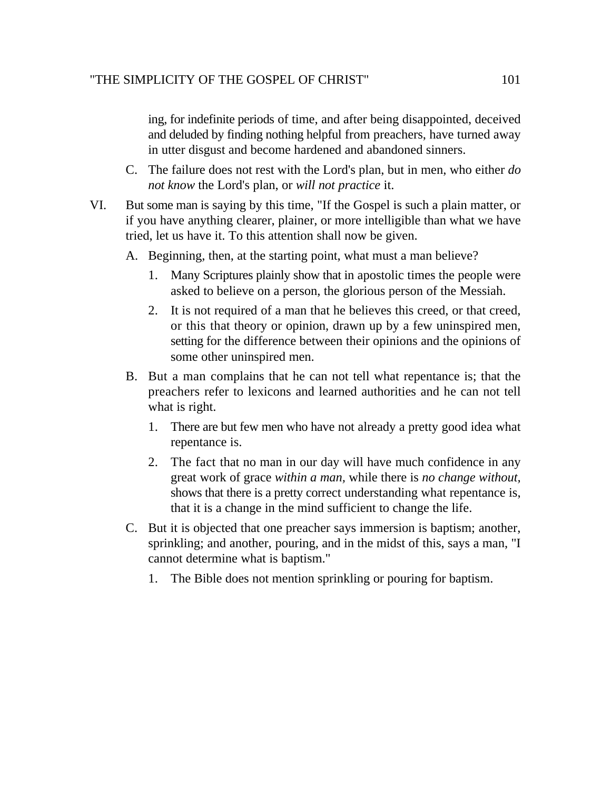ing, for indefinite periods of time, and after being disappointed, deceived and deluded by finding nothing helpful from preachers, have turned away in utter disgust and become hardened and abandoned sinners.

- C. The failure does not rest with the Lord's plan, but in men, who either *do not know* the Lord's plan, or *will not practice* it.
- VI. But some man is saying by this time, "If the Gospel is such a plain matter, or if you have anything clearer, plainer, or more intelligible than what we have tried, let us have it. To this attention shall now be given.
	- A. Beginning, then, at the starting point, what must a man believe?
		- 1. Many Scriptures plainly show that in apostolic times the people were asked to believe on a person, the glorious person of the Messiah.
		- 2. It is not required of a man that he believes this creed, or that creed, or this that theory or opinion, drawn up by a few uninspired men, setting for the difference between their opinions and the opinions of some other uninspired men.
	- B. But a man complains that he can not tell what repentance is; that the preachers refer to lexicons and learned authorities and he can not tell what is right.
		- 1. There are but few men who have not already a pretty good idea what repentance is.
		- 2. The fact that no man in our day will have much confidence in any great work of grace *within a man,* while there is *no change without,* shows that there is a pretty correct understanding what repentance is, that it is a change in the mind sufficient to change the life.
	- C. But it is objected that one preacher says immersion is baptism; another, sprinkling; and another, pouring, and in the midst of this, says a man, "I cannot determine what is baptism."
		- 1. The Bible does not mention sprinkling or pouring for baptism.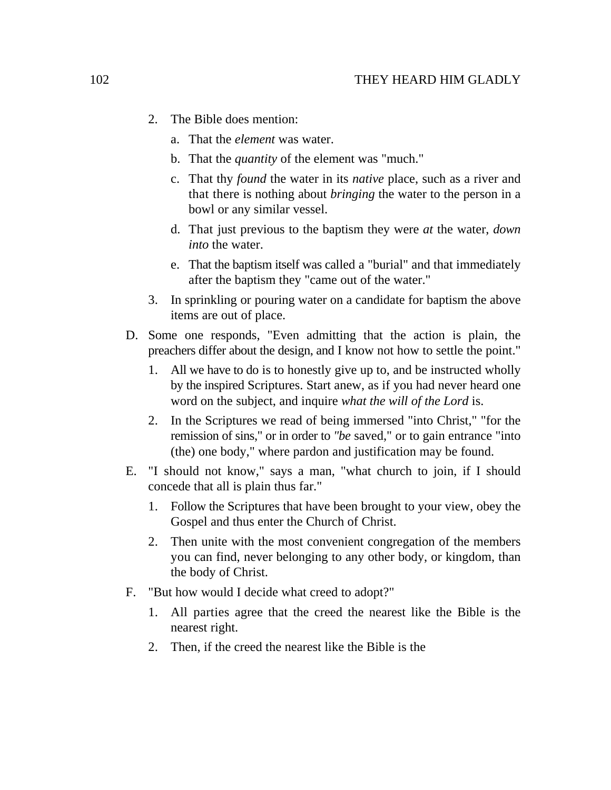- 2. The Bible does mention:
	- a. That the *element* was water.
	- b. That the *quantity* of the element was "much."
	- c. That thy *found* the water in its *native* place, such as a river and that there is nothing about *bringing* the water to the person in a bowl or any similar vessel.
	- d. That just previous to the baptism they were *at* the water, *down into* the water.
	- e. That the baptism itself was called a "burial" and that immediately after the baptism they "came out of the water."
- 3. In sprinkling or pouring water on a candidate for baptism the above items are out of place.
- D. Some one responds, "Even admitting that the action is plain, the preachers differ about the design, and I know not how to settle the point."
	- 1. All we have to do is to honestly give up to, and be instructed wholly by the inspired Scriptures. Start anew, as if you had never heard one word on the subject, and inquire *what the will of the Lord* is.
	- 2. In the Scriptures we read of being immersed "into Christ," "for the remission of sins," or in order to *"be* saved," or to gain entrance "into (the) one body," where pardon and justification may be found.
- E. "I should not know," says a man, "what church to join, if I should concede that all is plain thus far."
	- 1. Follow the Scriptures that have been brought to your view, obey the Gospel and thus enter the Church of Christ.
	- 2. Then unite with the most convenient congregation of the members you can find, never belonging to any other body, or kingdom, than the body of Christ.
- F. "But how would I decide what creed to adopt?"
	- 1. All parties agree that the creed the nearest like the Bible is the nearest right.
	- 2. Then, if the creed the nearest like the Bible is the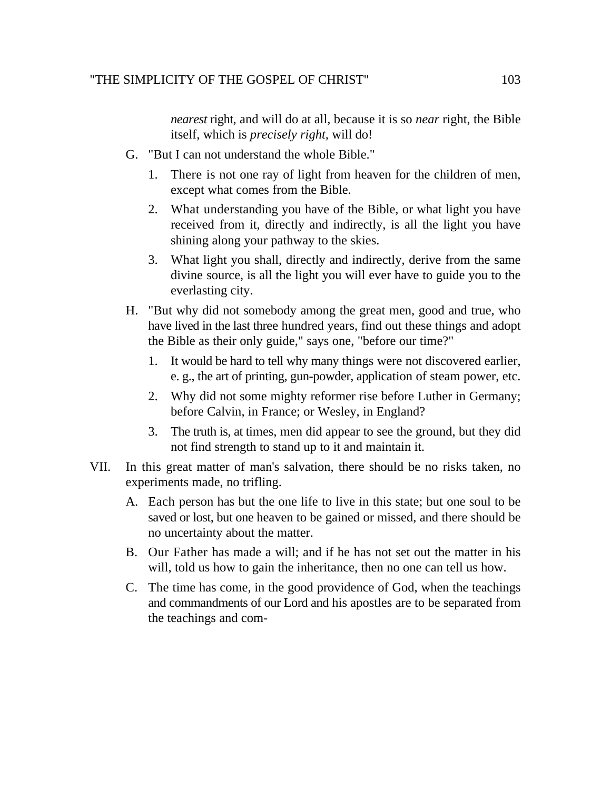*nearest* right, and will do at all, because it is so *near* right, the Bible itself, which is *precisely right,* will do!

- G. "But I can not understand the whole Bible."
	- 1. There is not one ray of light from heaven for the children of men, except what comes from the Bible.
	- 2. What understanding you have of the Bible, or what light you have received from it, directly and indirectly, is all the light you have shining along your pathway to the skies.
	- 3. What light you shall, directly and indirectly, derive from the same divine source, is all the light you will ever have to guide you to the everlasting city.
- H. "But why did not somebody among the great men, good and true, who have lived in the last three hundred years, find out these things and adopt the Bible as their only guide," says one, "before our time?"
	- 1. It would be hard to tell why many things were not discovered earlier, e. g., the art of printing, gun-powder, application of steam power, etc.
	- 2. Why did not some mighty reformer rise before Luther in Germany; before Calvin, in France; or Wesley, in England?
	- 3. The truth is, at times, men did appear to see the ground, but they did not find strength to stand up to it and maintain it.
- VII. In this great matter of man's salvation, there should be no risks taken, no experiments made, no trifling.
	- A. Each person has but the one life to live in this state; but one soul to be saved or lost, but one heaven to be gained or missed, and there should be no uncertainty about the matter.
	- B. Our Father has made a will; and if he has not set out the matter in his will, told us how to gain the inheritance, then no one can tell us how.
	- C. The time has come, in the good providence of God, when the teachings and commandments of our Lord and his apostles are to be separated from the teachings and com-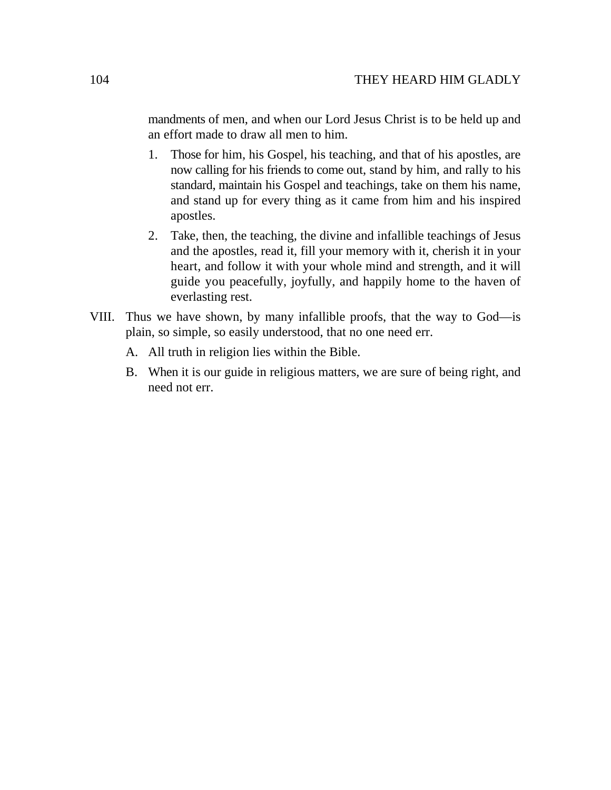mandments of men, and when our Lord Jesus Christ is to be held up and an effort made to draw all men to him.

- 1. Those for him, his Gospel, his teaching, and that of his apostles, are now calling for his friends to come out, stand by him, and rally to his standard, maintain his Gospel and teachings, take on them his name, and stand up for every thing as it came from him and his inspired apostles.
- 2. Take, then, the teaching, the divine and infallible teachings of Jesus and the apostles, read it, fill your memory with it, cherish it in your heart, and follow it with your whole mind and strength, and it will guide you peacefully, joyfully, and happily home to the haven of everlasting rest.
- VIII. Thus we have shown, by many infallible proofs, that the way to God—is plain, so simple, so easily understood, that no one need err.
	- A. All truth in religion lies within the Bible.
	- B. When it is our guide in religious matters, we are sure of being right, and need not err.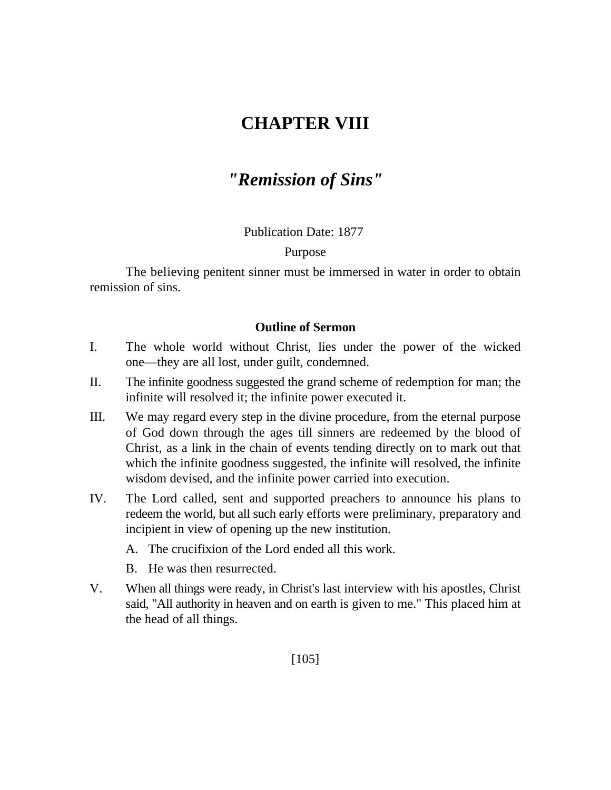# **CHAPTER VIII**

### *"Remission of Sins"*

Publication Date: 1877

#### Purpose

The believing penitent sinner must be immersed in water in order to obtain remission of sins.

#### **Outline of Sermon**

- I. The whole world without Christ, lies under the power of the wicked one—they are all lost, under guilt, condemned.
- II. The infinite goodness suggested the grand scheme of redemption for man; the infinite will resolved it; the infinite power executed it.
- III. We may regard every step in the divine procedure, from the eternal purpose of God down through the ages till sinners are redeemed by the blood of Christ, as a link in the chain of events tending directly on to mark out that which the infinite goodness suggested, the infinite will resolved, the infinite wisdom devised, and the infinite power carried into execution.
- IV. The Lord called, sent and supported preachers to announce his plans to redeem the world, but all such early efforts were preliminary, preparatory and incipient in view of opening up the new institution.
	- A. The crucifixion of the Lord ended all this work.
	- B. He was then resurrected.
- V. When all things were ready, in Christ's last interview with his apostles, Christ said, "All authority in heaven and on earth is given to me." This placed him at the head of all things.

[105]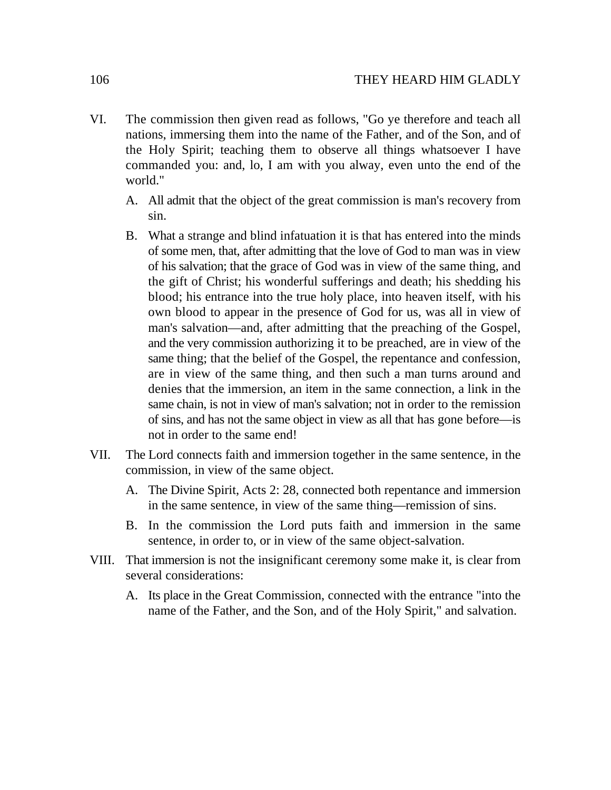- VI. The commission then given read as follows, "Go ye therefore and teach all nations, immersing them into the name of the Father, and of the Son, and of the Holy Spirit; teaching them to observe all things whatsoever I have commanded you: and, lo, I am with you alway, even unto the end of the world."
	- A. All admit that the object of the great commission is man's recovery from sin.
	- B. What a strange and blind infatuation it is that has entered into the minds of some men, that, after admitting that the love of God to man was in view of his salvation; that the grace of God was in view of the same thing, and the gift of Christ; his wonderful sufferings and death; his shedding his blood; his entrance into the true holy place, into heaven itself, with his own blood to appear in the presence of God for us, was all in view of man's salvation—and, after admitting that the preaching of the Gospel, and the very commission authorizing it to be preached, are in view of the same thing; that the belief of the Gospel, the repentance and confession, are in view of the same thing, and then such a man turns around and denies that the immersion, an item in the same connection, a link in the same chain, is not in view of man's salvation; not in order to the remission of sins, and has not the same object in view as all that has gone before—is not in order to the same end!
- VII. The Lord connects faith and immersion together in the same sentence, in the commission, in view of the same object.
	- A. The Divine Spirit, Acts 2: 28, connected both repentance and immersion in the same sentence, in view of the same thing—remission of sins.
	- B. In the commission the Lord puts faith and immersion in the same sentence, in order to, or in view of the same object-salvation.
- VIII. That immersion is not the insignificant ceremony some make it, is clear from several considerations:
	- A. Its place in the Great Commission, connected with the entrance "into the name of the Father, and the Son, and of the Holy Spirit," and salvation.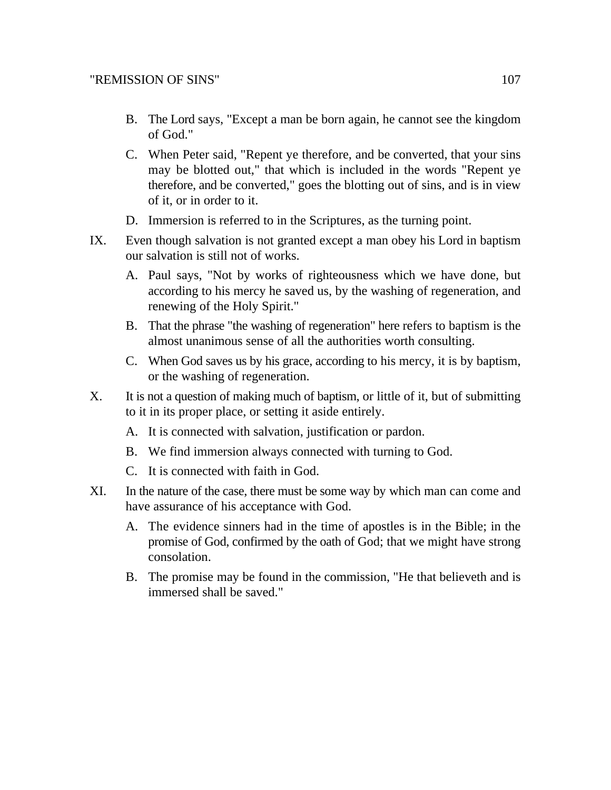- B. The Lord says, "Except a man be born again, he cannot see the kingdom of God."
- C. When Peter said, "Repent ye therefore, and be converted, that your sins may be blotted out," that which is included in the words "Repent ye therefore, and be converted," goes the blotting out of sins, and is in view of it, or in order to it.
- D. Immersion is referred to in the Scriptures, as the turning point.
- IX. Even though salvation is not granted except a man obey his Lord in baptism our salvation is still not of works.
	- A. Paul says, "Not by works of righteousness which we have done, but according to his mercy he saved us, by the washing of regeneration, and renewing of the Holy Spirit."
	- B. That the phrase "the washing of regeneration" here refers to baptism is the almost unanimous sense of all the authorities worth consulting.
	- C. When God saves us by his grace, according to his mercy, it is by baptism, or the washing of regeneration.
- X. It is not a question of making much of baptism, or little of it, but of submitting to it in its proper place, or setting it aside entirely.
	- A. It is connected with salvation, justification or pardon.
	- B. We find immersion always connected with turning to God.
	- C. It is connected with faith in God.
- XI. In the nature of the case, there must be some way by which man can come and have assurance of his acceptance with God.
	- A. The evidence sinners had in the time of apostles is in the Bible; in the promise of God, confirmed by the oath of God; that we might have strong consolation.
	- B. The promise may be found in the commission, "He that believeth and is immersed shall be saved."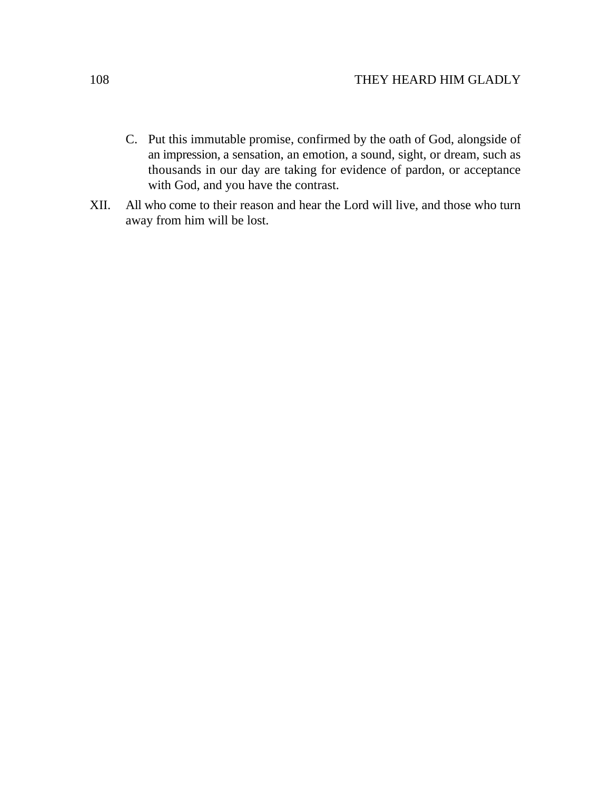- C. Put this immutable promise, confirmed by the oath of God, alongside of an impression, a sensation, an emotion, a sound, sight, or dream, such as thousands in our day are taking for evidence of pardon, or acceptance with God, and you have the contrast.
- XII. All who come to their reason and hear the Lord will live, and those who turn away from him will be lost.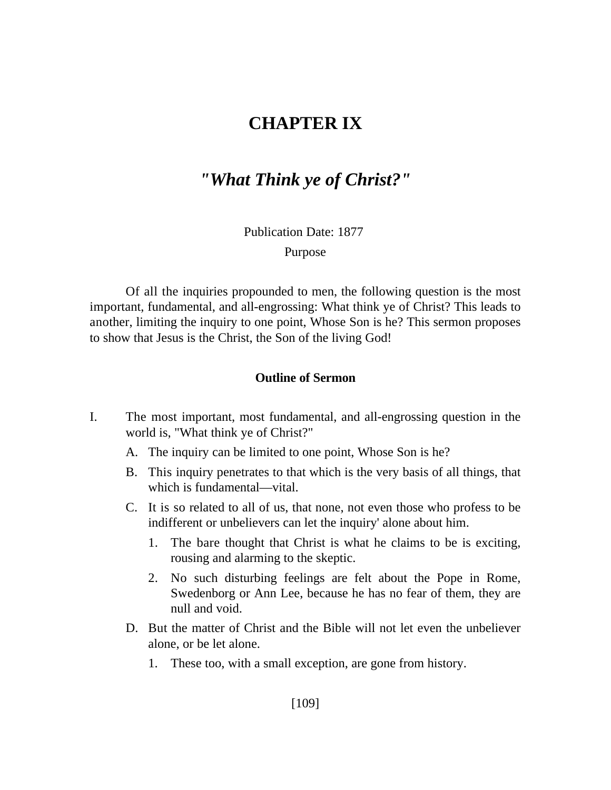# **CHAPTER IX**

### *"What Think ye of Christ?"*

Publication Date: 1877 Purpose

Of all the inquiries propounded to men, the following question is the most important, fundamental, and all-engrossing: What think ye of Christ? This leads to another, limiting the inquiry to one point, Whose Son is he? This sermon proposes to show that Jesus is the Christ, the Son of the living God!

- I. The most important, most fundamental, and all-engrossing question in the world is, "What think ye of Christ?"
	- A. The inquiry can be limited to one point, Whose Son is he?
	- B. This inquiry penetrates to that which is the very basis of all things, that which is fundamental—vital.
	- C. It is so related to all of us, that none, not even those who profess to be indifferent or unbelievers can let the inquiry' alone about him.
		- 1. The bare thought that Christ is what he claims to be is exciting, rousing and alarming to the skeptic.
		- 2. No such disturbing feelings are felt about the Pope in Rome, Swedenborg or Ann Lee, because he has no fear of them, they are null and void.
	- D. But the matter of Christ and the Bible will not let even the unbeliever alone, or be let alone.
		- 1. These too, with a small exception, are gone from history.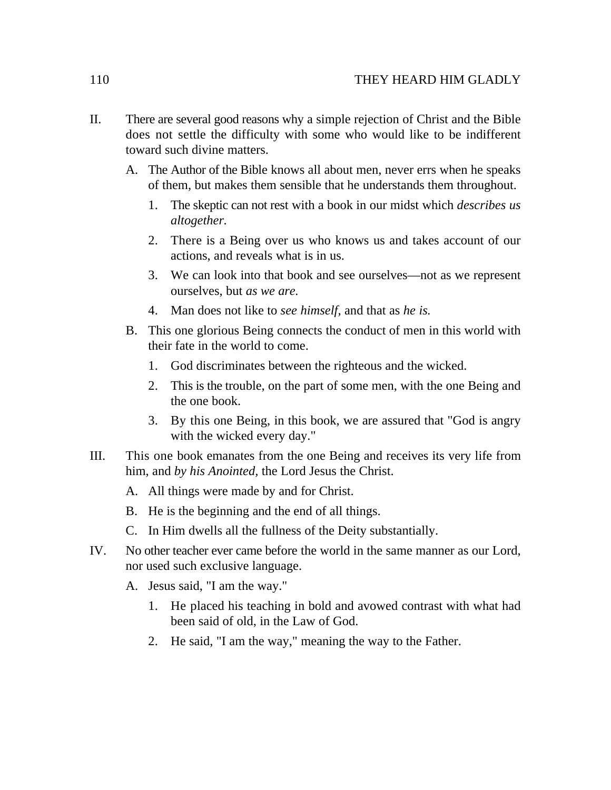- II. There are several good reasons why a simple rejection of Christ and the Bible does not settle the difficulty with some who would like to be indifferent toward such divine matters.
	- A. The Author of the Bible knows all about men, never errs when he speaks of them, but makes them sensible that he understands them throughout.
		- 1. The skeptic can not rest with a book in our midst which *describes us altogether.*
		- 2. There is a Being over us who knows us and takes account of our actions, and reveals what is in us.
		- 3. We can look into that book and see ourselves—not as we represent ourselves, but *as we are.*
		- 4. Man does not like to *see himself,* and that as *he is.*
	- B. This one glorious Being connects the conduct of men in this world with their fate in the world to come.
		- 1. God discriminates between the righteous and the wicked.
		- 2. This is the trouble, on the part of some men, with the one Being and the one book.
		- 3. By this one Being, in this book, we are assured that "God is angry with the wicked every day."
- III. This one book emanates from the one Being and receives its very life from him, and *by his Anointed,* the Lord Jesus the Christ.
	- A. All things were made by and for Christ.
	- B. He is the beginning and the end of all things.
	- C. In Him dwells all the fullness of the Deity substantially.
- IV. No other teacher ever came before the world in the same manner as our Lord, nor used such exclusive language.
	- A. Jesus said, "I am the way."
		- 1. He placed his teaching in bold and avowed contrast with what had been said of old, in the Law of God.
		- 2. He said, "I am the way," meaning the way to the Father.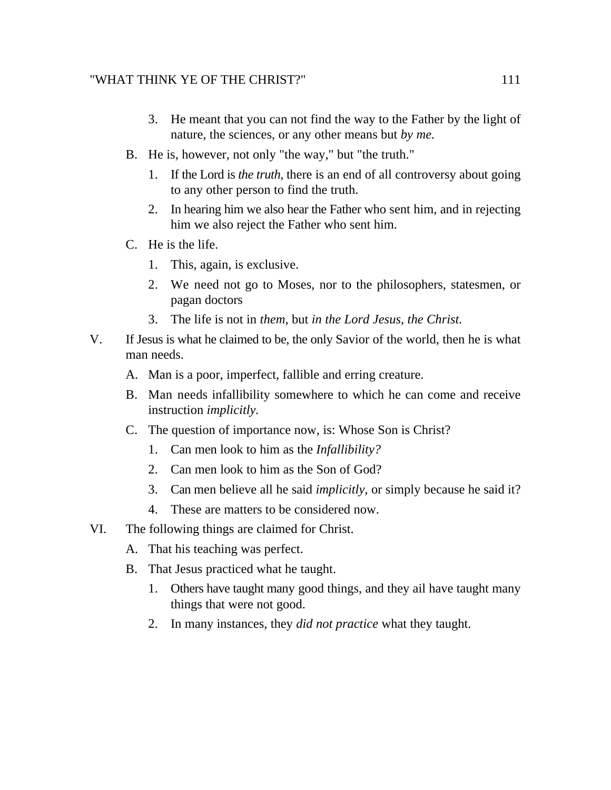### "WHAT THINK YE OF THE CHRIST?" 2001 111

- 3. He meant that you can not find the way to the Father by the light of nature, the sciences, or any other means but *by me.*
- B. He is, however, not only "the way," but "the truth."
	- 1. If the Lord is *the truth,* there is an end of all controversy about going to any other person to find the truth.
	- 2. In hearing him we also hear the Father who sent him, and in rejecting him we also reject the Father who sent him.
- C. He is the life.
	- 1. This, again, is exclusive.
	- 2. We need not go to Moses, nor to the philosophers, statesmen, or pagan doctors
	- 3. The life is not in *them,* but *in the Lord Jesus, the Christ.*
- V. If Jesus is what he claimed to be, the only Savior of the world, then he is what man needs.
	- A. Man is a poor, imperfect, fallible and erring creature.
	- B. Man needs infallibility somewhere to which he can come and receive instruction *implicitly.*
	- C. The question of importance now, is: Whose Son is Christ?
		- 1. Can men look to him as the *Infallibility?*
		- 2. Can men look to him as the Son of God?
		- 3. Can men believe all he said *implicitly,* or simply because he said it?
		- 4. These are matters to be considered now.
- VI. The following things are claimed for Christ.
	- A. That his teaching was perfect.
	- B. That Jesus practiced what he taught.
		- 1. Others have taught many good things, and they ail have taught many things that were not good.
		- 2. In many instances, they *did not practice* what they taught.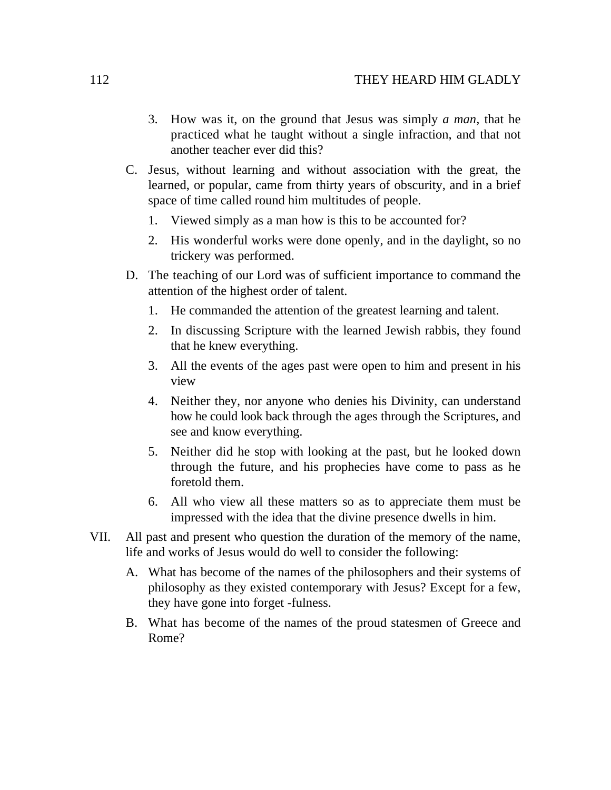- 3. How was it, on the ground that Jesus was simply *a man,* that he practiced what he taught without a single infraction, and that not another teacher ever did this?
- C. Jesus, without learning and without association with the great, the learned, or popular, came from thirty years of obscurity, and in a brief space of time called round him multitudes of people.
	- 1. Viewed simply as a man how is this to be accounted for?
	- 2. His wonderful works were done openly, and in the daylight, so no trickery was performed.
- D. The teaching of our Lord was of sufficient importance to command the attention of the highest order of talent.
	- 1. He commanded the attention of the greatest learning and talent.
	- 2. In discussing Scripture with the learned Jewish rabbis, they found that he knew everything.
	- 3. All the events of the ages past were open to him and present in his view
	- 4. Neither they, nor anyone who denies his Divinity, can understand how he could look back through the ages through the Scriptures, and see and know everything.
	- 5. Neither did he stop with looking at the past, but he looked down through the future, and his prophecies have come to pass as he foretold them.
	- 6. All who view all these matters so as to appreciate them must be impressed with the idea that the divine presence dwells in him.
- VII. All past and present who question the duration of the memory of the name, life and works of Jesus would do well to consider the following:
	- A. What has become of the names of the philosophers and their systems of philosophy as they existed contemporary with Jesus? Except for a few, they have gone into forget -fulness.
	- B. What has become of the names of the proud statesmen of Greece and Rome?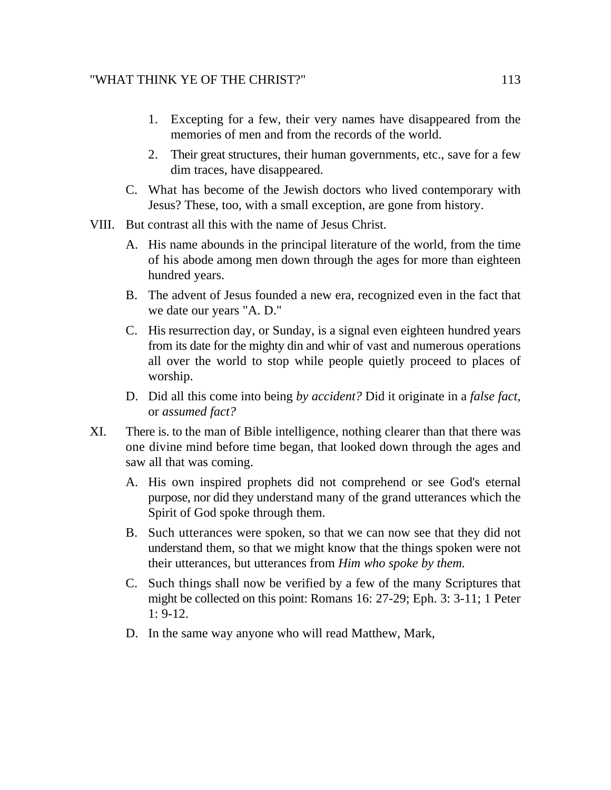### "WHAT THINK YE OF THE CHRIST?" 113

- 1. Excepting for a few, their very names have disappeared from the memories of men and from the records of the world.
- 2. Their great structures, their human governments, etc., save for a few dim traces, have disappeared.
- C. What has become of the Jewish doctors who lived contemporary with Jesus? These, too, with a small exception, are gone from history.
- VIII. But contrast all this with the name of Jesus Christ.
	- A. His name abounds in the principal literature of the world, from the time of his abode among men down through the ages for more than eighteen hundred years.
	- B. The advent of Jesus founded a new era, recognized even in the fact that we date our years "A. D."
	- C. His resurrection day, or Sunday, is a signal even eighteen hundred years from its date for the mighty din and whir of vast and numerous operations all over the world to stop while people quietly proceed to places of worship.
	- D. Did all this come into being *by accident?* Did it originate in a *false fact,* or *assumed fact?*
- XI. There is. to the man of Bible intelligence, nothing clearer than that there was one divine mind before time began, that looked down through the ages and saw all that was coming.
	- A. His own inspired prophets did not comprehend or see God's eternal purpose, nor did they understand many of the grand utterances which the Spirit of God spoke through them.
	- B. Such utterances were spoken, so that we can now see that they did not understand them, so that we might know that the things spoken were not their utterances, but utterances from *Him who spoke by them.*
	- C. Such things shall now be verified by a few of the many Scriptures that might be collected on this point: Romans 16: 27-29; Eph. 3: 3-11; 1 Peter 1: 9-12.
	- D. In the same way anyone who will read Matthew, Mark,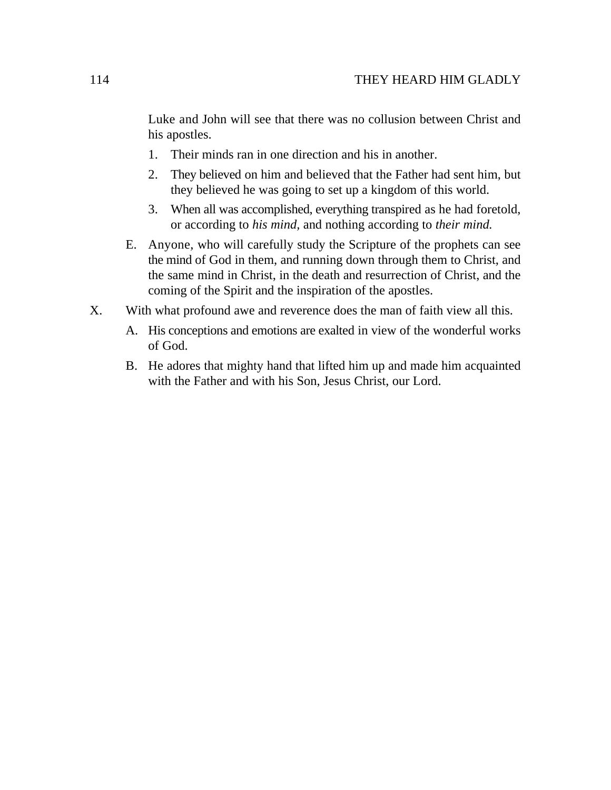Luke and John will see that there was no collusion between Christ and his apostles.

- 1. Their minds ran in one direction and his in another.
- 2. They believed on him and believed that the Father had sent him, but they believed he was going to set up a kingdom of this world.
- 3. When all was accomplished, everything transpired as he had foretold, or according to *his mind,* and nothing according to *their mind.*
- E. Anyone, who will carefully study the Scripture of the prophets can see the mind of God in them, and running down through them to Christ, and the same mind in Christ, in the death and resurrection of Christ, and the coming of the Spirit and the inspiration of the apostles.
- X. With what profound awe and reverence does the man of faith view all this.
	- A. His conceptions and emotions are exalted in view of the wonderful works of God.
	- B. He adores that mighty hand that lifted him up and made him acquainted with the Father and with his Son, Jesus Christ, our Lord.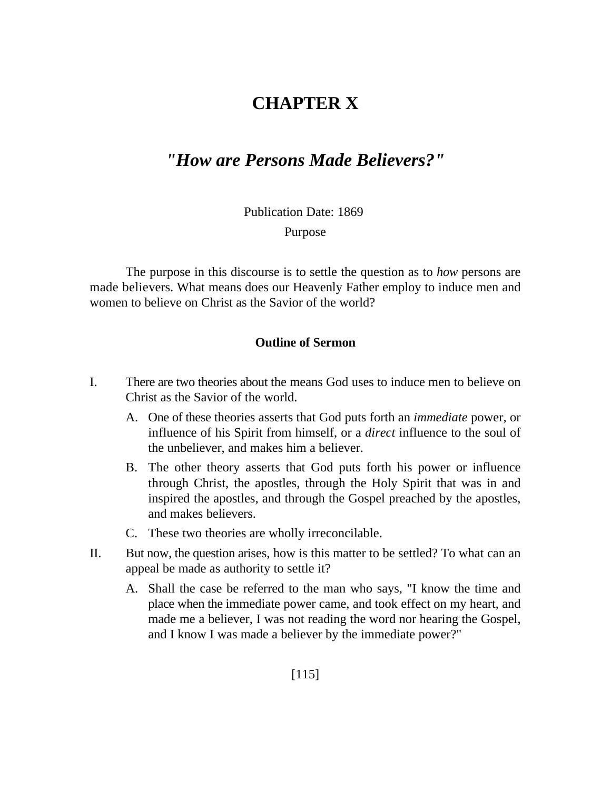## **CHAPTER X**

# *"How are Persons Made Believers?"*

Publication Date: 1869

Purpose

The purpose in this discourse is to settle the question as to *how* persons are made believers. What means does our Heavenly Father employ to induce men and women to believe on Christ as the Savior of the world?

- I. There are two theories about the means God uses to induce men to believe on Christ as the Savior of the world.
	- A. One of these theories asserts that God puts forth an *immediate* power, or influence of his Spirit from himself, or a *direct* influence to the soul of the unbeliever, and makes him a believer.
	- B. The other theory asserts that God puts forth his power or influence through Christ, the apostles, through the Holy Spirit that was in and inspired the apostles, and through the Gospel preached by the apostles, and makes believers.
	- C. These two theories are wholly irreconcilable.
- II. But now, the question arises, how is this matter to be settled? To what can an appeal be made as authority to settle it?
	- A. Shall the case be referred to the man who says, "I know the time and place when the immediate power came, and took effect on my heart, and made me a believer, I was not reading the word nor hearing the Gospel, and I know I was made a believer by the immediate power?"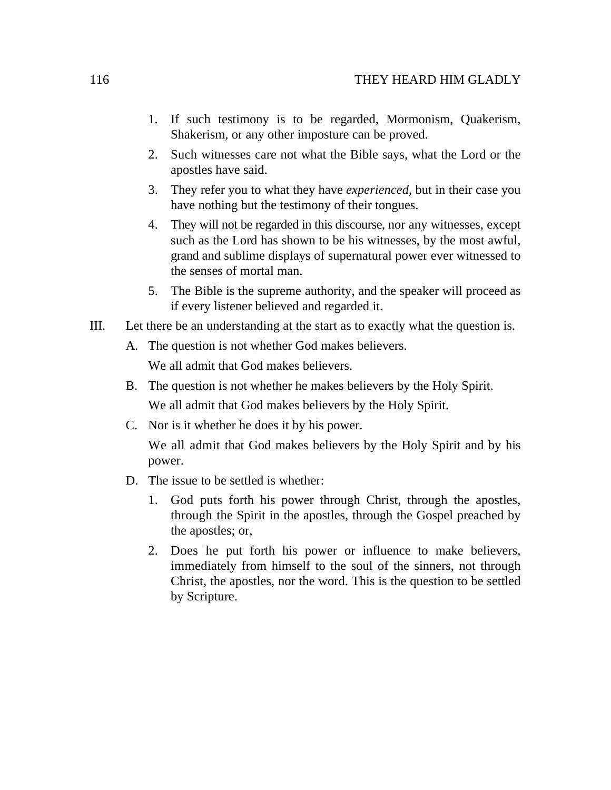- 1. If such testimony is to be regarded, Mormonism, Quakerism, Shakerism, or any other imposture can be proved.
- 2. Such witnesses care not what the Bible says, what the Lord or the apostles have said.
- 3. They refer you to what they have *experienced,* but in their case you have nothing but the testimony of their tongues.
- 4. They will not be regarded in this discourse, nor any witnesses, except such as the Lord has shown to be his witnesses, by the most awful, grand and sublime displays of supernatural power ever witnessed to the senses of mortal man.
- 5. The Bible is the supreme authority, and the speaker will proceed as if every listener believed and regarded it.
- III. Let there be an understanding at the start as to exactly what the question is.
	- A. The question is not whether God makes believers. We all admit that God makes believers.
	- B. The question is not whether he makes believers by the Holy Spirit. We all admit that God makes believers by the Holy Spirit.
	- C. Nor is it whether he does it by his power.

We all admit that God makes believers by the Holy Spirit and by his power.

- D. The issue to be settled is whether:
	- 1. God puts forth his power through Christ, through the apostles, through the Spirit in the apostles, through the Gospel preached by the apostles; or,
	- 2. Does he put forth his power or influence to make believers, immediately from himself to the soul of the sinners, not through Christ, the apostles, nor the word. This is the question to be settled by Scripture.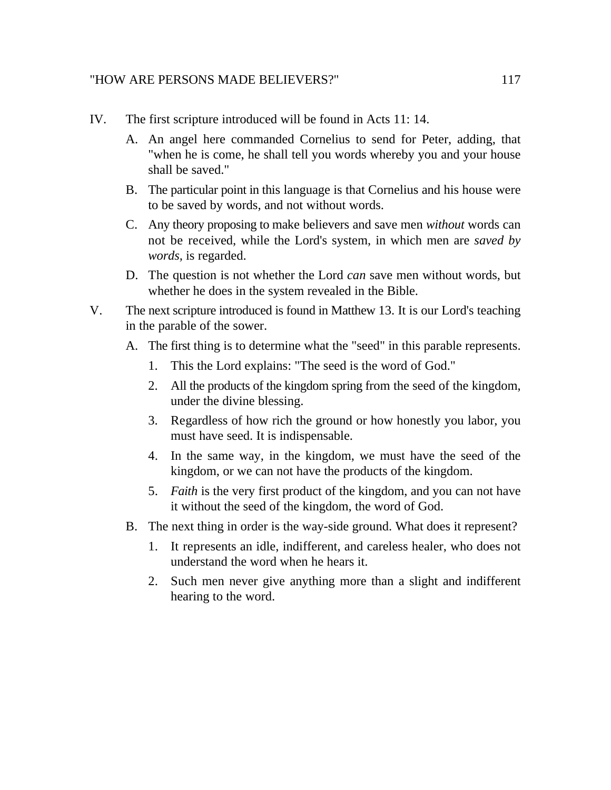### "HOW ARE PERSONS MADE BELIEVERS?" 117

- IV. The first scripture introduced will be found in Acts 11: 14.
	- A. An angel here commanded Cornelius to send for Peter, adding, that "when he is come, he shall tell you words whereby you and your house shall be saved."
	- B. The particular point in this language is that Cornelius and his house were to be saved by words, and not without words.
	- C. Any theory proposing to make believers and save men *without* words can not be received, while the Lord's system, in which men are *saved by words,* is regarded.
	- D. The question is not whether the Lord *can* save men without words, but whether he does in the system revealed in the Bible.
- V. The next scripture introduced is found in Matthew 13. It is our Lord's teaching in the parable of the sower.
	- A. The first thing is to determine what the "seed" in this parable represents.
		- 1. This the Lord explains: "The seed is the word of God."
		- 2. All the products of the kingdom spring from the seed of the kingdom, under the divine blessing.
		- 3. Regardless of how rich the ground or how honestly you labor, you must have seed. It is indispensable.
		- 4. In the same way, in the kingdom, we must have the seed of the kingdom, or we can not have the products of the kingdom.
		- 5. *Faith* is the very first product of the kingdom, and you can not have it without the seed of the kingdom, the word of God.
	- B. The next thing in order is the way-side ground. What does it represent?
		- 1. It represents an idle, indifferent, and careless healer, who does not understand the word when he hears it.
		- 2. Such men never give anything more than a slight and indifferent hearing to the word.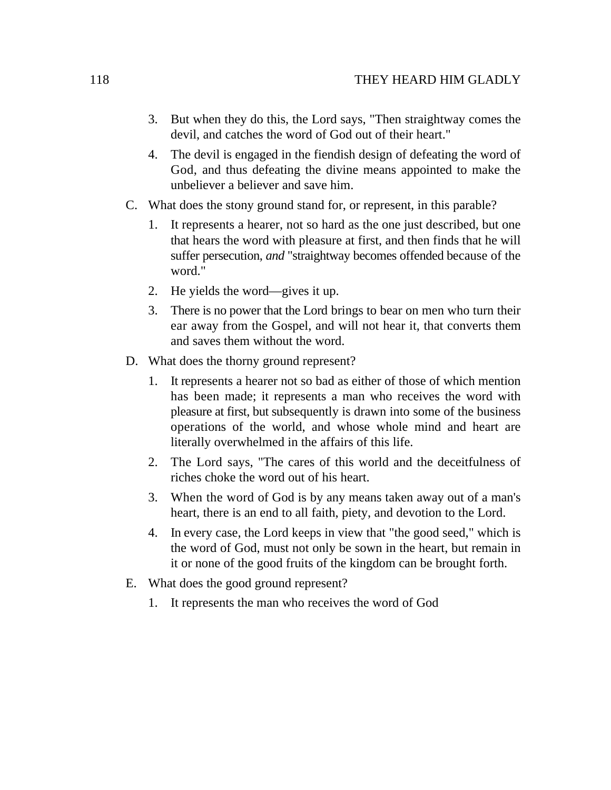- 3. But when they do this, the Lord says, "Then straightway comes the devil, and catches the word of God out of their heart."
- 4. The devil is engaged in the fiendish design of defeating the word of God, and thus defeating the divine means appointed to make the unbeliever a believer and save him.
- C. What does the stony ground stand for, or represent, in this parable?
	- 1. It represents a hearer, not so hard as the one just described, but one that hears the word with pleasure at first, and then finds that he will suffer persecution, *and* "straightway becomes offended because of the word."
	- 2. He yields the word—gives it up.
	- 3. There is no power that the Lord brings to bear on men who turn their ear away from the Gospel, and will not hear it, that converts them and saves them without the word.
- D. What does the thorny ground represent?
	- 1. It represents a hearer not so bad as either of those of which mention has been made; it represents a man who receives the word with pleasure at first, but subsequently is drawn into some of the business operations of the world, and whose whole mind and heart are literally overwhelmed in the affairs of this life.
	- 2. The Lord says, "The cares of this world and the deceitfulness of riches choke the word out of his heart.
	- 3. When the word of God is by any means taken away out of a man's heart, there is an end to all faith, piety, and devotion to the Lord.
	- 4. In every case, the Lord keeps in view that "the good seed," which is the word of God, must not only be sown in the heart, but remain in it or none of the good fruits of the kingdom can be brought forth.
- E. What does the good ground represent?
	- 1. It represents the man who receives the word of God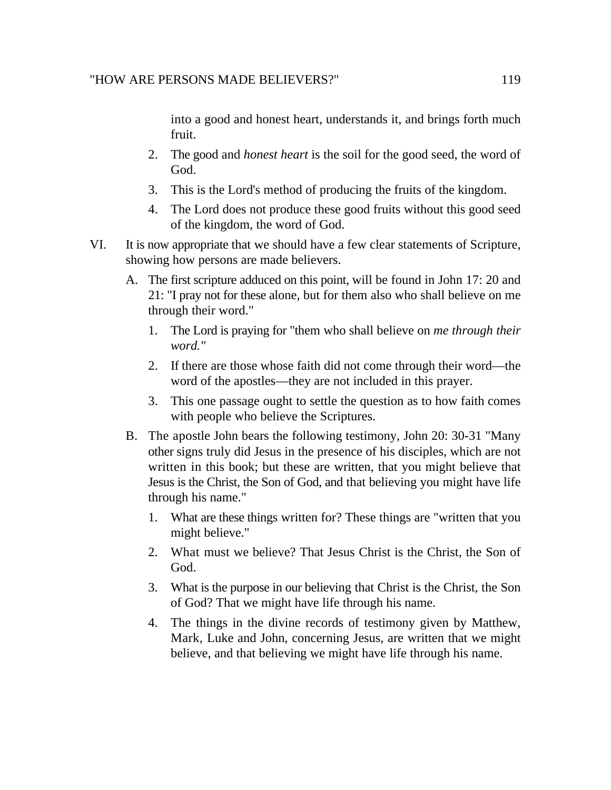into a good and honest heart, understands it, and brings forth much fruit.

- 2. The good and *honest heart* is the soil for the good seed, the word of God.
- 3. This is the Lord's method of producing the fruits of the kingdom.
- 4. The Lord does not produce these good fruits without this good seed of the kingdom, the word of God.
- VI. It is now appropriate that we should have a few clear statements of Scripture, showing how persons are made believers.
	- A. The first scripture adduced on this point, will be found in John 17: 20 and 21: "I pray not for these alone, but for them also who shall believe on me through their word."
		- 1. The Lord is praying for "them who shall believe on *me through their word."*
		- 2. If there are those whose faith did not come through their word—the word of the apostles—they are not included in this prayer.
		- 3. This one passage ought to settle the question as to how faith comes with people who believe the Scriptures.
	- B. The apostle John bears the following testimony, John 20: 30-31 "Many other signs truly did Jesus in the presence of his disciples, which are not written in this book; but these are written, that you might believe that Jesus is the Christ, the Son of God, and that believing you might have life through his name."
		- 1. What are these things written for? These things are "written that you might believe."
		- 2. What must we believe? That Jesus Christ is the Christ, the Son of God.
		- 3. What is the purpose in our believing that Christ is the Christ, the Son of God? That we might have life through his name.
		- 4. The things in the divine records of testimony given by Matthew, Mark, Luke and John, concerning Jesus, are written that we might believe, and that believing we might have life through his name.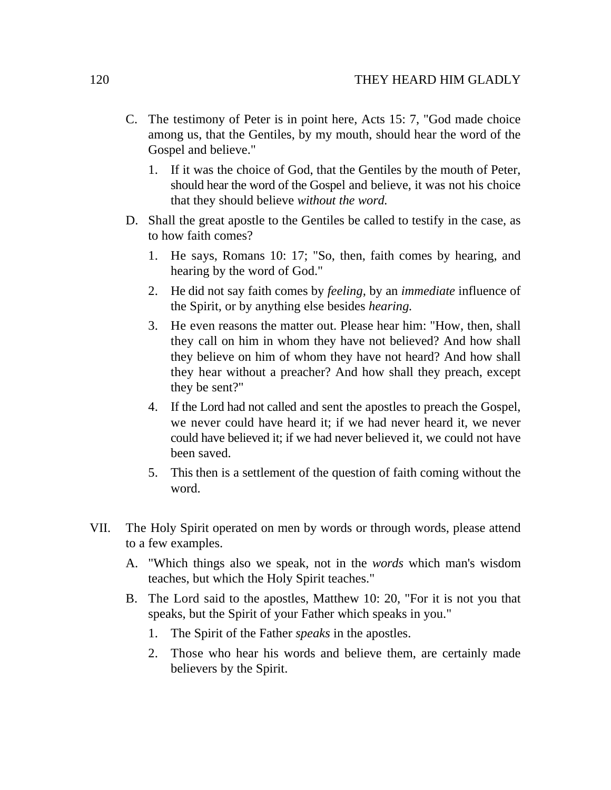- C. The testimony of Peter is in point here, Acts 15: 7, "God made choice among us, that the Gentiles, by my mouth, should hear the word of the Gospel and believe."
	- 1. If it was the choice of God, that the Gentiles by the mouth of Peter, should hear the word of the Gospel and believe, it was not his choice that they should believe *without the word.*
- D. Shall the great apostle to the Gentiles be called to testify in the case, as to how faith comes?
	- 1. He says, Romans 10: 17; "So, then, faith comes by hearing, and hearing by the word of God."
	- 2. He did not say faith comes by *feeling,* by an *immediate* influence of the Spirit, or by anything else besides *hearing.*
	- 3. He even reasons the matter out. Please hear him: "How, then, shall they call on him in whom they have not believed? And how shall they believe on him of whom they have not heard? And how shall they hear without a preacher? And how shall they preach, except they be sent?"
	- 4. If the Lord had not called and sent the apostles to preach the Gospel, we never could have heard it; if we had never heard it, we never could have believed it; if we had never believed it, we could not have been saved.
	- 5. This then is a settlement of the question of faith coming without the word.
- VII. The Holy Spirit operated on men by words or through words, please attend to a few examples.
	- A. "Which things also we speak, not in the *words* which man's wisdom teaches, but which the Holy Spirit teaches."
	- B. The Lord said to the apostles, Matthew 10: 20, "For it is not you that speaks, but the Spirit of your Father which speaks in you."
		- 1. The Spirit of the Father *speaks* in the apostles.
		- 2. Those who hear his words and believe them, are certainly made believers by the Spirit.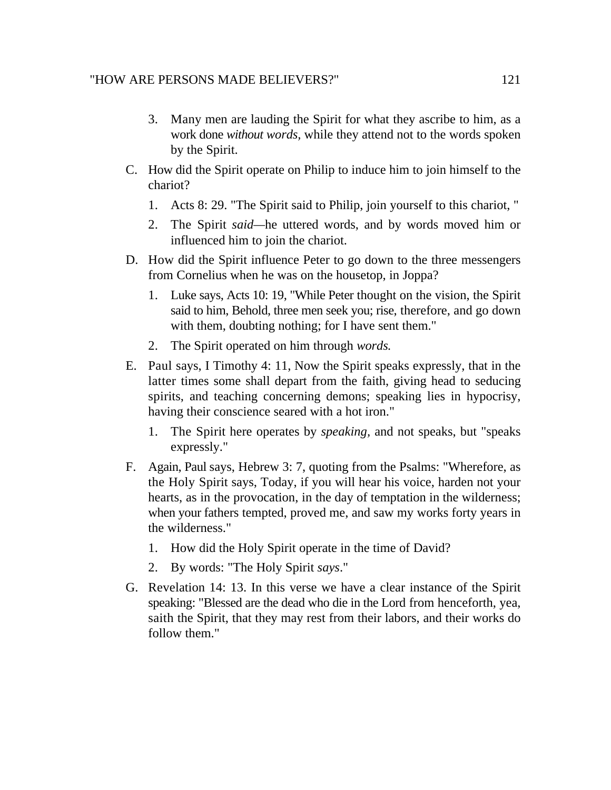#### "HOW ARE PERSONS MADE BELIEVERS?" 121

- 3. Many men are lauding the Spirit for what they ascribe to him, as a work done *without words,* while they attend not to the words spoken by the Spirit.
- C. How did the Spirit operate on Philip to induce him to join himself to the chariot?
	- 1. Acts 8: 29. "The Spirit said to Philip, join yourself to this chariot, "
	- 2. The Spirit *said—*he uttered words, and by words moved him or influenced him to join the chariot.
- D. How did the Spirit influence Peter to go down to the three messengers from Cornelius when he was on the housetop, in Joppa?
	- 1. Luke says, Acts 10: 19, "While Peter thought on the vision, the Spirit said to him, Behold, three men seek you; rise, therefore, and go down with them, doubting nothing; for I have sent them."
	- 2. The Spirit operated on him through *words.*
- E. Paul says, I Timothy 4: 11, Now the Spirit speaks expressly, that in the latter times some shall depart from the faith, giving head to seducing spirits, and teaching concerning demons; speaking lies in hypocrisy, having their conscience seared with a hot iron."
	- 1. The Spirit here operates by *speaking,* and not speaks, but "speaks expressly."
- F. Again, Paul says, Hebrew 3: 7, quoting from the Psalms: "Wherefore, as the Holy Spirit says, Today, if you will hear his voice, harden not your hearts, as in the provocation, in the day of temptation in the wilderness; when your fathers tempted, proved me, and saw my works forty years in the wilderness."
	- 1. How did the Holy Spirit operate in the time of David?
	- 2. By words: "The Holy Spirit *says*."
- G. Revelation 14: 13. In this verse we have a clear instance of the Spirit speaking: "Blessed are the dead who die in the Lord from henceforth, yea, saith the Spirit, that they may rest from their labors, and their works do follow them."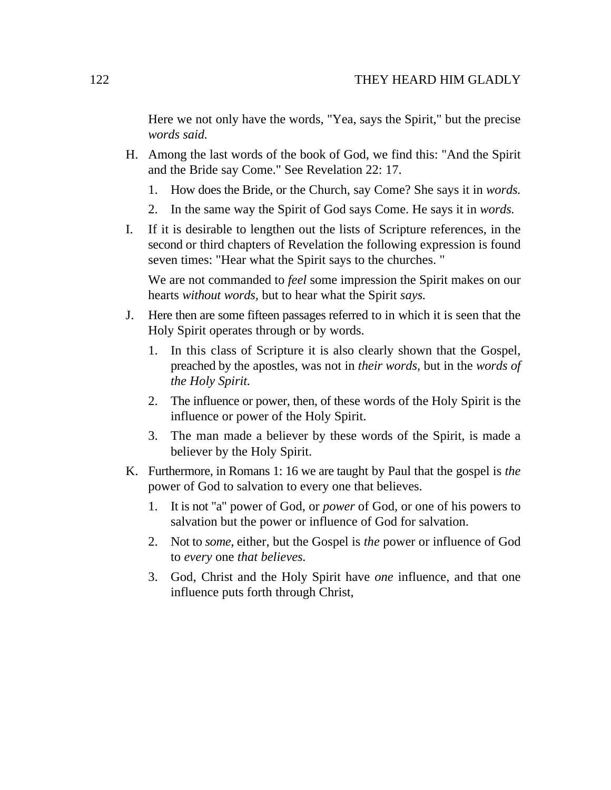Here we not only have the words, "Yea, says the Spirit," but the precise *words said.*

- H. Among the last words of the book of God, we find this: "And the Spirit and the Bride say Come." See Revelation 22: 17.
	- 1. How does the Bride, or the Church, say Come? She says it in *words.*
	- 2. In the same way the Spirit of God says Come. He says it in *words.*
- I. If it is desirable to lengthen out the lists of Scripture references, in the second or third chapters of Revelation the following expression is found seven times: "Hear what the Spirit says to the churches. "

We are not commanded to *feel* some impression the Spirit makes on our hearts *without words,* but to hear what the Spirit *says.*

- J. Here then are some fifteen passages referred to in which it is seen that the Holy Spirit operates through or by words.
	- 1. In this class of Scripture it is also clearly shown that the Gospel, preached by the apostles, was not in *their words,* but in the *words of the Holy Spirit.*
	- 2. The influence or power, then, of these words of the Holy Spirit is the influence or power of the Holy Spirit.
	- 3. The man made a believer by these words of the Spirit, is made a believer by the Holy Spirit.
- K. Furthermore, in Romans 1: 16 we are taught by Paul that the gospel is *the* power of God to salvation to every one that believes.
	- 1. It is not "a" power of God, or *power* of God, or one of his powers to salvation but the power or influence of God for salvation.
	- 2. Not to *some,* either, but the Gospel is *the* power or influence of God to *every* one *that believes.*
	- 3. God, Christ and the Holy Spirit have *one* influence, and that one influence puts forth through Christ,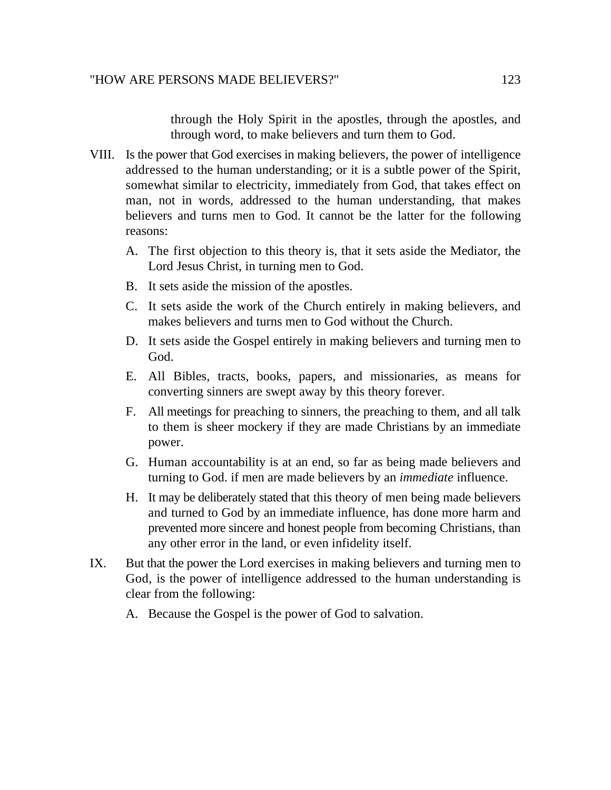through the Holy Spirit in the apostles, through the apostles, and through word, to make believers and turn them to God.

- VIII. Is the power that God exercises in making believers, the power of intelligence addressed to the human understanding; or it is a subtle power of the Spirit, somewhat similar to electricity, immediately from God, that takes effect on man, not in words, addressed to the human understanding, that makes believers and turns men to God. It cannot be the latter for the following reasons:
	- A. The first objection to this theory is, that it sets aside the Mediator, the Lord Jesus Christ, in turning men to God.
	- B. It sets aside the mission of the apostles.
	- C. It sets aside the work of the Church entirely in making believers, and makes believers and turns men to God without the Church.
	- D. It sets aside the Gospel entirely in making believers and turning men to God.
	- E. All Bibles, tracts, books, papers, and missionaries, as means for converting sinners are swept away by this theory forever.
	- F. All meetings for preaching to sinners, the preaching to them, and all talk to them is sheer mockery if they are made Christians by an immediate power.
	- G. Human accountability is at an end, so far as being made believers and turning to God. if men are made believers by an *immediate* influence.
	- H. It may be deliberately stated that this theory of men being made believers and turned to God by an immediate influence, has done more harm and prevented more sincere and honest people from becoming Christians, than any other error in the land, or even infidelity itself.
- IX. But that the power the Lord exercises in making believers and turning men to God, is the power of intelligence addressed to the human understanding is clear from the following:
	- A. Because the Gospel is the power of God to salvation.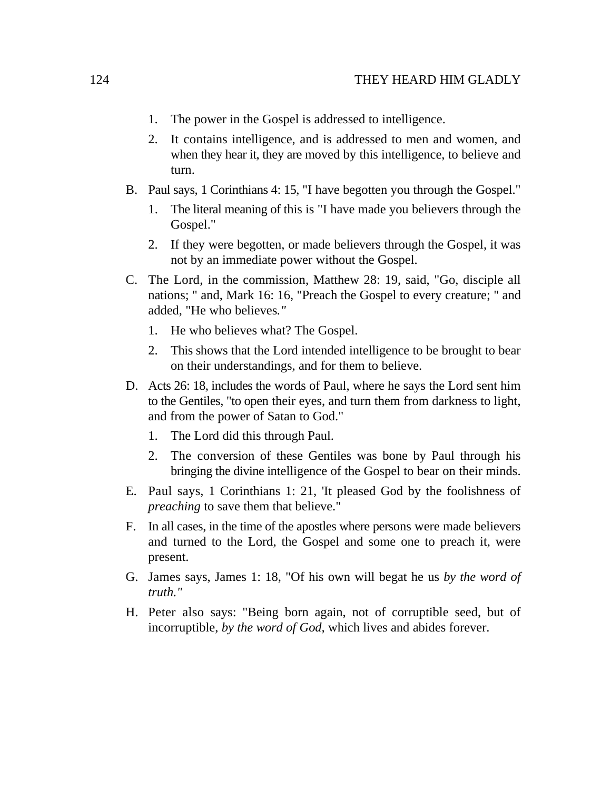- 1. The power in the Gospel is addressed to intelligence.
- 2. It contains intelligence, and is addressed to men and women, and when they hear it, they are moved by this intelligence, to believe and turn.
- B. Paul says, 1 Corinthians 4: 15, "I have begotten you through the Gospel."
	- 1. The literal meaning of this is "I have made you believers through the Gospel."
	- 2. If they were begotten, or made believers through the Gospel, it was not by an immediate power without the Gospel.
- C. The Lord, in the commission, Matthew 28: 19, said, "Go, disciple all nations; " and, Mark 16: 16, "Preach the Gospel to every creature; " and added, "He who believes*."*
	- 1. He who believes what? The Gospel.
	- 2. This shows that the Lord intended intelligence to be brought to bear on their understandings, and for them to believe.
- D. Acts 26: 18, includes the words of Paul, where he says the Lord sent him to the Gentiles, "to open their eyes, and turn them from darkness to light, and from the power of Satan to God."
	- 1. The Lord did this through Paul.
	- 2. The conversion of these Gentiles was bone by Paul through his bringing the divine intelligence of the Gospel to bear on their minds.
- E. Paul says, 1 Corinthians 1: 21, 'It pleased God by the foolishness of *preaching* to save them that believe."
- F. In all cases, in the time of the apostles where persons were made believers and turned to the Lord, the Gospel and some one to preach it, were present.
- G. James says, James 1: 18, "Of his own will begat he us *by the word of truth."*
- H. Peter also says: "Being born again, not of corruptible seed, but of incorruptible, *by the word of God,* which lives and abides forever.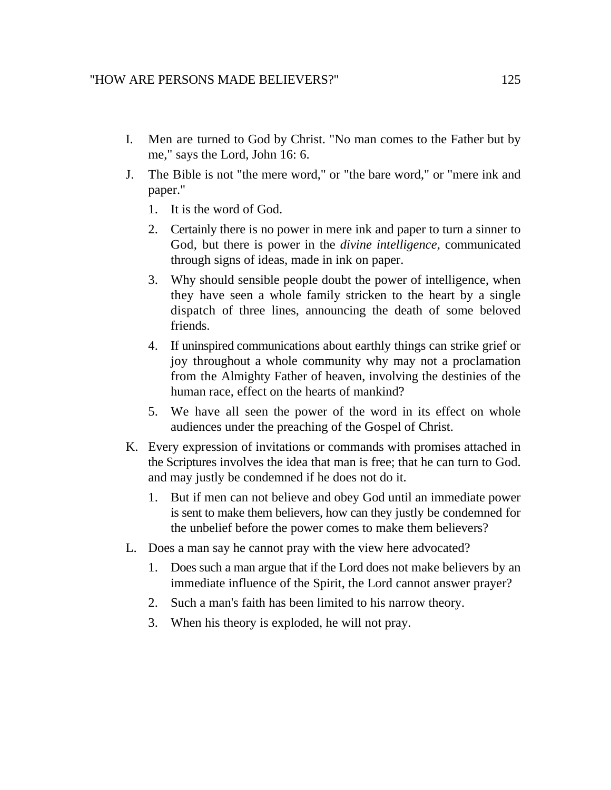- I. Men are turned to God by Christ. "No man comes to the Father but by me," says the Lord, John 16: 6.
- J. The Bible is not "the mere word," or "the bare word," or "mere ink and paper."
	- 1. It is the word of God.
	- 2. Certainly there is no power in mere ink and paper to turn a sinner to God, but there is power in the *divine intelligence,* communicated through signs of ideas, made in ink on paper.
	- 3. Why should sensible people doubt the power of intelligence, when they have seen a whole family stricken to the heart by a single dispatch of three lines, announcing the death of some beloved friends.
	- 4. If uninspired communications about earthly things can strike grief or joy throughout a whole community why may not a proclamation from the Almighty Father of heaven, involving the destinies of the human race, effect on the hearts of mankind?
	- 5. We have all seen the power of the word in its effect on whole audiences under the preaching of the Gospel of Christ.
- K. Every expression of invitations or commands with promises attached in the Scriptures involves the idea that man is free; that he can turn to God. and may justly be condemned if he does not do it.
	- 1. But if men can not believe and obey God until an immediate power is sent to make them believers, how can they justly be condemned for the unbelief before the power comes to make them believers?
- L. Does a man say he cannot pray with the view here advocated?
	- 1. Does such a man argue that if the Lord does not make believers by an immediate influence of the Spirit, the Lord cannot answer prayer?
	- 2. Such a man's faith has been limited to his narrow theory.
	- 3. When his theory is exploded, he will not pray.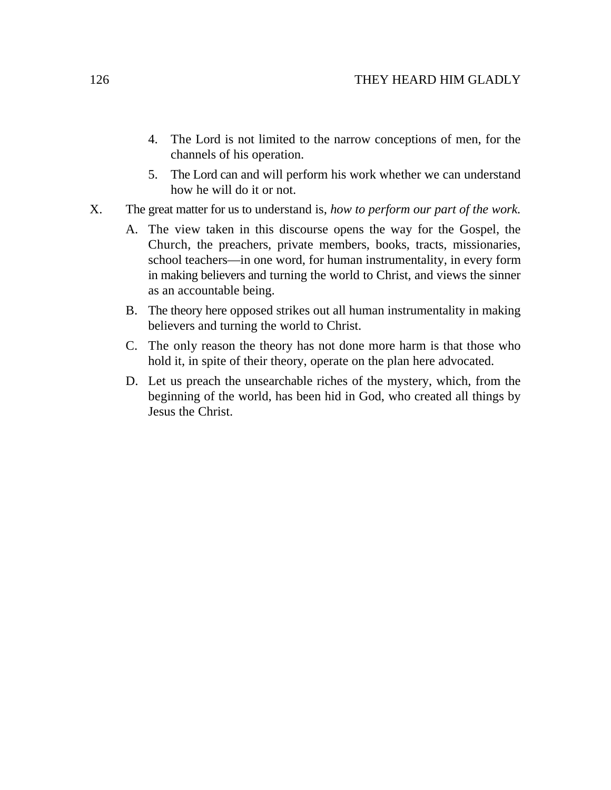- 4. The Lord is not limited to the narrow conceptions of men, for the channels of his operation.
- 5. The Lord can and will perform his work whether we can understand how he will do it or not.
- X. The great matter for us to understand is, *how to perform our part of the work.*
	- A. The view taken in this discourse opens the way for the Gospel, the Church, the preachers, private members, books, tracts, missionaries, school teachers—in one word, for human instrumentality, in every form in making believers and turning the world to Christ, and views the sinner as an accountable being.
	- B. The theory here opposed strikes out all human instrumentality in making believers and turning the world to Christ.
	- C. The only reason the theory has not done more harm is that those who hold it, in spite of their theory, operate on the plan here advocated.
	- D. Let us preach the unsearchable riches of the mystery, which, from the beginning of the world, has been hid in God, who created all things by Jesus the Christ.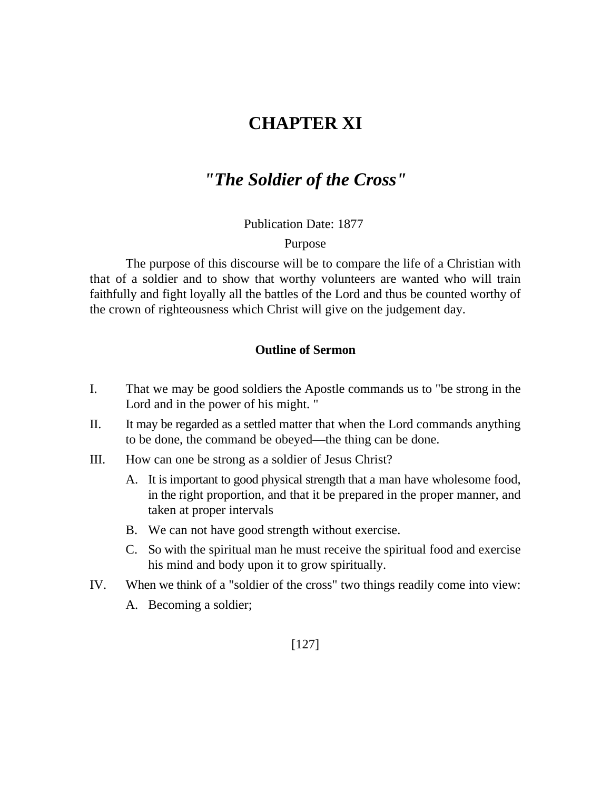# **CHAPTER XI**

## *"The Soldier of the Cross"*

Publication Date: 1877

#### Purpose

The purpose of this discourse will be to compare the life of a Christian with that of a soldier and to show that worthy volunteers are wanted who will train faithfully and fight loyally all the battles of the Lord and thus be counted worthy of the crown of righteousness which Christ will give on the judgement day.

- I. That we may be good soldiers the Apostle commands us to "be strong in the Lord and in the power of his might. "
- II. It may be regarded as a settled matter that when the Lord commands anything to be done, the command be obeyed—the thing can be done.
- III. How can one be strong as a soldier of Jesus Christ?
	- A. It is important to good physical strength that a man have wholesome food, in the right proportion, and that it be prepared in the proper manner, and taken at proper intervals
	- B. We can not have good strength without exercise.
	- C. So with the spiritual man he must receive the spiritual food and exercise his mind and body upon it to grow spiritually.
- IV. When we think of a "soldier of the cross" two things readily come into view:
	- A. Becoming a soldier;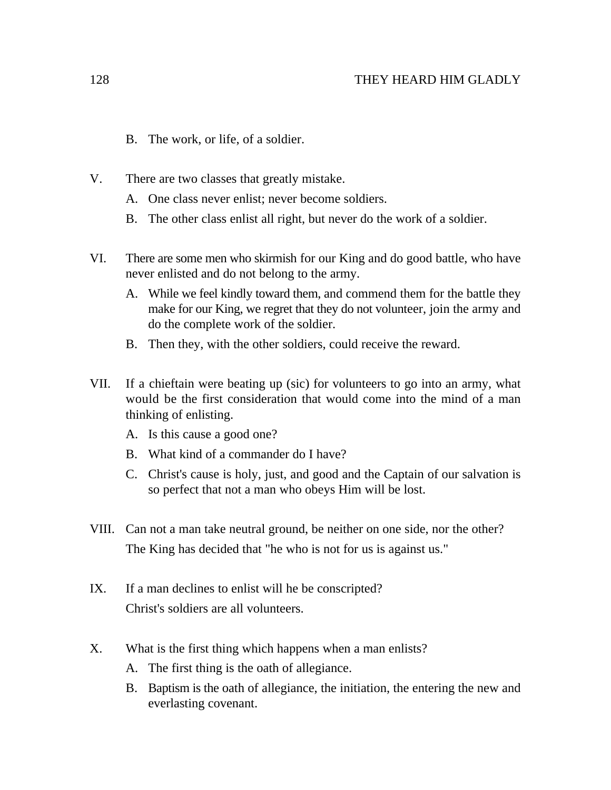- B. The work, or life, of a soldier.
- V. There are two classes that greatly mistake.
	- A. One class never enlist; never become soldiers.
	- B. The other class enlist all right, but never do the work of a soldier.
- VI. There are some men who skirmish for our King and do good battle, who have never enlisted and do not belong to the army.
	- A. While we feel kindly toward them, and commend them for the battle they make for our King, we regret that they do not volunteer, join the army and do the complete work of the soldier.
	- B. Then they, with the other soldiers, could receive the reward.
- VII. If a chieftain were beating up (sic) for volunteers to go into an army, what would be the first consideration that would come into the mind of a man thinking of enlisting.
	- A. Is this cause a good one?
	- B. What kind of a commander do I have?
	- C. Christ's cause is holy, just, and good and the Captain of our salvation is so perfect that not a man who obeys Him will be lost.
- VIII. Can not a man take neutral ground, be neither on one side, nor the other? The King has decided that "he who is not for us is against us."
- IX. If a man declines to enlist will he be conscripted? Christ's soldiers are all volunteers.
- X. What is the first thing which happens when a man enlists?
	- A. The first thing is the oath of allegiance.
	- B. Baptism is the oath of allegiance, the initiation, the entering the new and everlasting covenant.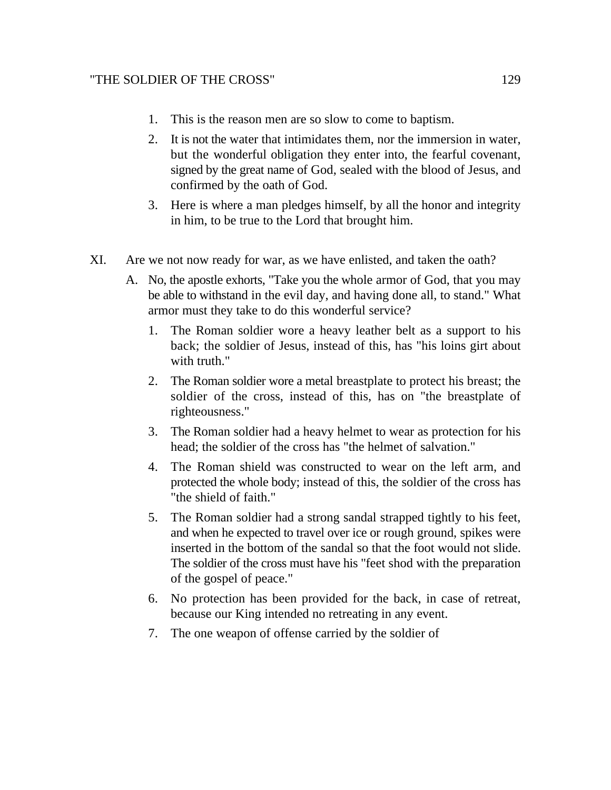### "THE SOLDIER OF THE CROSS" 129

- 1. This is the reason men are so slow to come to baptism.
- 2. It is not the water that intimidates them, nor the immersion in water, but the wonderful obligation they enter into, the fearful covenant, signed by the great name of God, sealed with the blood of Jesus, and confirmed by the oath of God.
- 3. Here is where a man pledges himself, by all the honor and integrity in him, to be true to the Lord that brought him.
- XI. Are we not now ready for war, as we have enlisted, and taken the oath?
	- A. No, the apostle exhorts, "Take you the whole armor of God, that you may be able to withstand in the evil day, and having done all, to stand." What armor must they take to do this wonderful service?
		- 1. The Roman soldier wore a heavy leather belt as a support to his back; the soldier of Jesus, instead of this, has "his loins girt about with truth."
		- 2. The Roman soldier wore a metal breastplate to protect his breast; the soldier of the cross, instead of this, has on "the breastplate of righteousness."
		- 3. The Roman soldier had a heavy helmet to wear as protection for his head; the soldier of the cross has "the helmet of salvation."
		- 4. The Roman shield was constructed to wear on the left arm, and protected the whole body; instead of this, the soldier of the cross has "the shield of faith."
		- 5. The Roman soldier had a strong sandal strapped tightly to his feet, and when he expected to travel over ice or rough ground, spikes were inserted in the bottom of the sandal so that the foot would not slide. The soldier of the cross must have his "feet shod with the preparation of the gospel of peace."
		- 6. No protection has been provided for the back, in case of retreat, because our King intended no retreating in any event.
		- 7. The one weapon of offense carried by the soldier of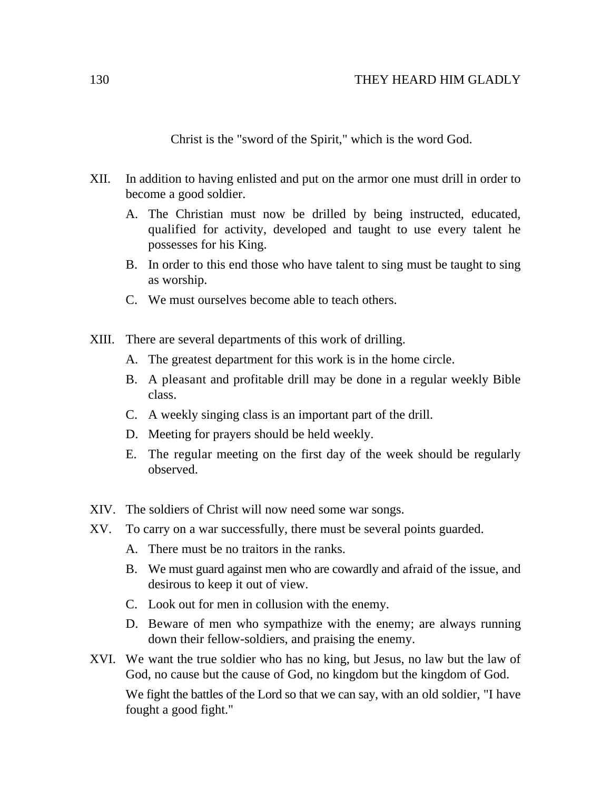Christ is the "sword of the Spirit," which is the word God.

- XII. In addition to having enlisted and put on the armor one must drill in order to become a good soldier.
	- A. The Christian must now be drilled by being instructed, educated, qualified for activity, developed and taught to use every talent he possesses for his King.
	- B. In order to this end those who have talent to sing must be taught to sing as worship.
	- C. We must ourselves become able to teach others.
- XIII. There are several departments of this work of drilling.
	- A. The greatest department for this work is in the home circle.
	- B. A pleasant and profitable drill may be done in a regular weekly Bible class.
	- C. A weekly singing class is an important part of the drill.
	- D. Meeting for prayers should be held weekly.
	- E. The regular meeting on the first day of the week should be regularly observed.
- XIV. The soldiers of Christ will now need some war songs.
- XV. To carry on a war successfully, there must be several points guarded.
	- A. There must be no traitors in the ranks.
	- B. We must guard against men who are cowardly and afraid of the issue, and desirous to keep it out of view.
	- C. Look out for men in collusion with the enemy.
	- D. Beware of men who sympathize with the enemy; are always running down their fellow-soldiers, and praising the enemy.
- XVI. We want the true soldier who has no king, but Jesus, no law but the law of God, no cause but the cause of God, no kingdom but the kingdom of God.

We fight the battles of the Lord so that we can say, with an old soldier, "I have fought a good fight."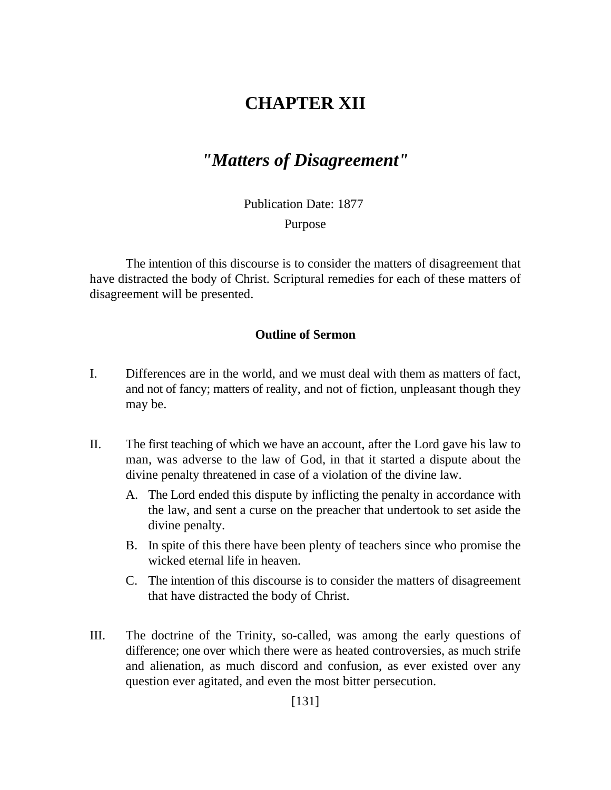# **CHAPTER XII**

# *"Matters of Disagreement"*

Publication Date: 1877

Purpose

The intention of this discourse is to consider the matters of disagreement that have distracted the body of Christ. Scriptural remedies for each of these matters of disagreement will be presented.

- I. Differences are in the world, and we must deal with them as matters of fact, and not of fancy; matters of reality, and not of fiction, unpleasant though they may be.
- II. The first teaching of which we have an account, after the Lord gave his law to man, was adverse to the law of God, in that it started a dispute about the divine penalty threatened in case of a violation of the divine law.
	- A. The Lord ended this dispute by inflicting the penalty in accordance with the law, and sent a curse on the preacher that undertook to set aside the divine penalty.
	- B. In spite of this there have been plenty of teachers since who promise the wicked eternal life in heaven.
	- C. The intention of this discourse is to consider the matters of disagreement that have distracted the body of Christ.
- III. The doctrine of the Trinity, so-called, was among the early questions of difference; one over which there were as heated controversies, as much strife and alienation, as much discord and confusion, as ever existed over any question ever agitated, and even the most bitter persecution.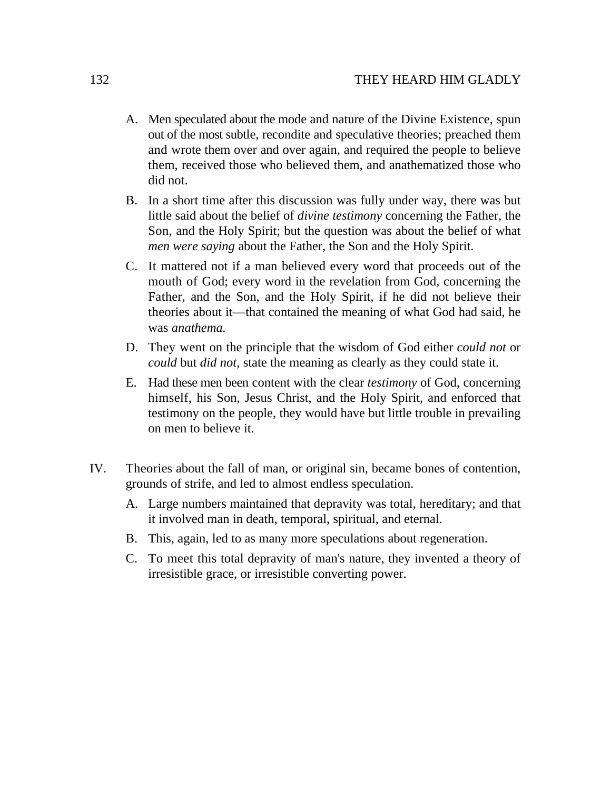- A. Men speculated about the mode and nature of the Divine Existence, spun out of the most subtle, recondite and speculative theories; preached them and wrote them over and over again, and required the people to believe them, received those who believed them, and anathematized those who did not.
- B. In a short time after this discussion was fully under way, there was but little said about the belief of *divine testimony* concerning the Father, the Son, and the Holy Spirit; but the question was about the belief of what *men were saying* about the Father, the Son and the Holy Spirit.
- C. It mattered not if a man believed every word that proceeds out of the mouth of God; every word in the revelation from God, concerning the Father, and the Son, and the Holy Spirit, if he did not believe their theories about it—that contained the meaning of what God had said, he was *anathema.*
- D. They went on the principle that the wisdom of God either *could not* or *could* but *did not,* state the meaning as clearly as they could state it.
- E. Had these men been content with the clear *testimony* of God, concerning himself, his Son, Jesus Christ, and the Holy Spirit, and enforced that testimony on the people, they would have but little trouble in prevailing on men to believe it.
- IV. Theories about the fall of man, or original sin, became bones of contention, grounds of strife, and led to almost endless speculation.
	- A. Large numbers maintained that depravity was total, hereditary; and that it involved man in death, temporal, spiritual, and eternal.
	- B. This, again, led to as many more speculations about regeneration.
	- C. To meet this total depravity of man's nature, they invented a theory of irresistible grace, or irresistible converting power.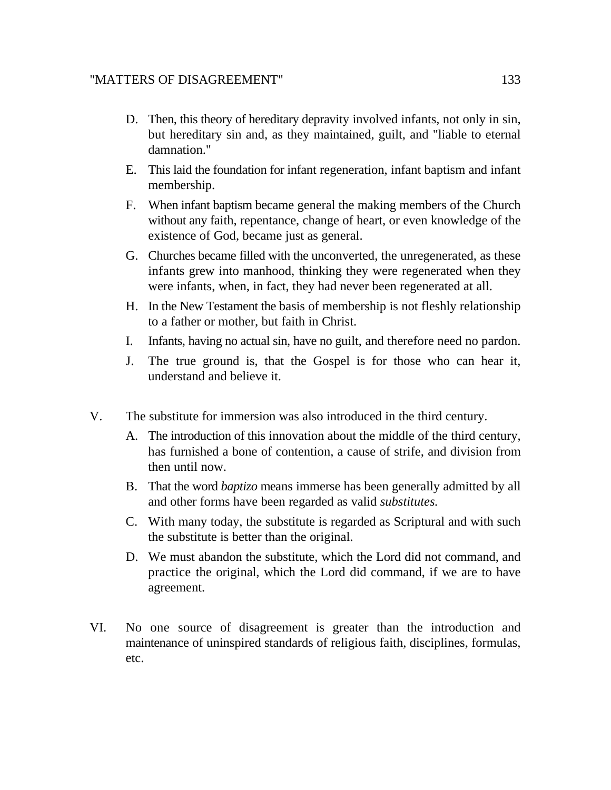### "MATTERS OF DISAGREEMENT" 133

- D. Then, this theory of hereditary depravity involved infants, not only in sin, but hereditary sin and, as they maintained, guilt, and "liable to eternal damnation."
- E. This laid the foundation for infant regeneration, infant baptism and infant membership.
- F. When infant baptism became general the making members of the Church without any faith, repentance, change of heart, or even knowledge of the existence of God, became just as general.
- G. Churches became filled with the unconverted, the unregenerated, as these infants grew into manhood, thinking they were regenerated when they were infants, when, in fact, they had never been regenerated at all.
- H. In the New Testament the basis of membership is not fleshly relationship to a father or mother, but faith in Christ.
- I. Infants, having no actual sin, have no guilt, and therefore need no pardon.
- J. The true ground is, that the Gospel is for those who can hear it, understand and believe it.
- V. The substitute for immersion was also introduced in the third century.
	- A. The introduction of this innovation about the middle of the third century, has furnished a bone of contention, a cause of strife, and division from then until now.
	- B. That the word *baptizo* means immerse has been generally admitted by all and other forms have been regarded as valid *substitutes.*
	- C. With many today, the substitute is regarded as Scriptural and with such the substitute is better than the original.
	- D. We must abandon the substitute, which the Lord did not command, and practice the original, which the Lord did command, if we are to have agreement.
- VI. No one source of disagreement is greater than the introduction and maintenance of uninspired standards of religious faith, disciplines, formulas, etc.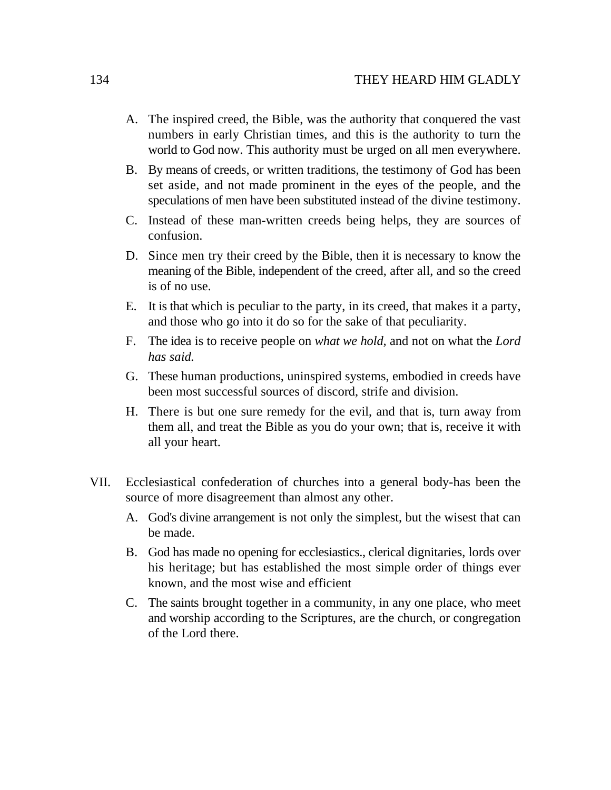- A. The inspired creed, the Bible, was the authority that conquered the vast numbers in early Christian times, and this is the authority to turn the world to God now. This authority must be urged on all men everywhere.
- B. By means of creeds, or written traditions, the testimony of God has been set aside, and not made prominent in the eyes of the people, and the speculations of men have been substituted instead of the divine testimony.
- C. Instead of these man-written creeds being helps, they are sources of confusion.
- D. Since men try their creed by the Bible, then it is necessary to know the meaning of the Bible, independent of the creed, after all, and so the creed is of no use.
- E. It is that which is peculiar to the party, in its creed, that makes it a party, and those who go into it do so for the sake of that peculiarity.
- F. The idea is to receive people on *what we hold,* and not on what the *Lord has said.*
- G. These human productions, uninspired systems, embodied in creeds have been most successful sources of discord, strife and division.
- H. There is but one sure remedy for the evil, and that is, turn away from them all, and treat the Bible as you do your own; that is, receive it with all your heart.
- VII. Ecclesiastical confederation of churches into a general body-has been the source of more disagreement than almost any other.
	- A. God's divine arrangement is not only the simplest, but the wisest that can be made.
	- B. God has made no opening for ecclesiastics., clerical dignitaries, lords over his heritage; but has established the most simple order of things ever known, and the most wise and efficient
	- C. The saints brought together in a community, in any one place, who meet and worship according to the Scriptures, are the church, or congregation of the Lord there.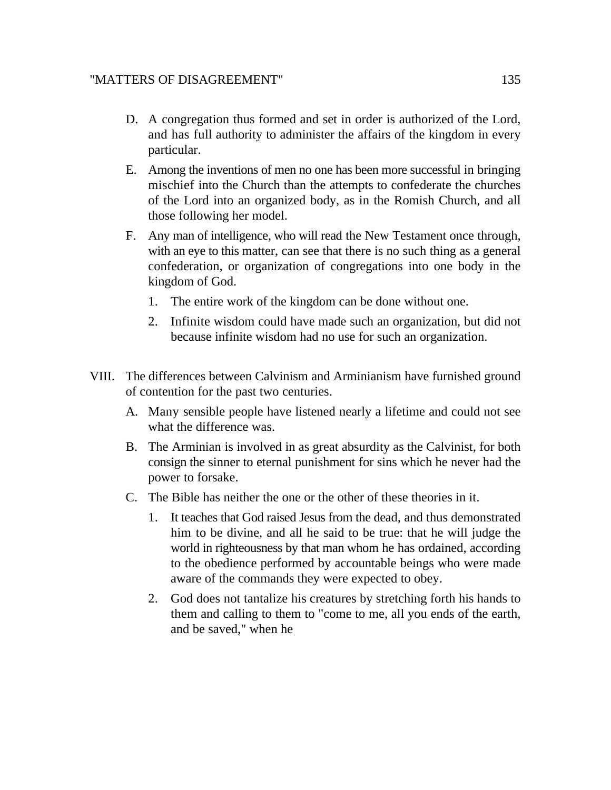### "MATTERS OF DISAGREEMENT" 135

- D. A congregation thus formed and set in order is authorized of the Lord, and has full authority to administer the affairs of the kingdom in every particular.
- E. Among the inventions of men no one has been more successful in bringing mischief into the Church than the attempts to confederate the churches of the Lord into an organized body, as in the Romish Church, and all those following her model.
- F. Any man of intelligence, who will read the New Testament once through, with an eye to this matter, can see that there is no such thing as a general confederation, or organization of congregations into one body in the kingdom of God.
	- 1. The entire work of the kingdom can be done without one.
	- 2. Infinite wisdom could have made such an organization, but did not because infinite wisdom had no use for such an organization.
- VIII. The differences between Calvinism and Arminianism have furnished ground of contention for the past two centuries.
	- A. Many sensible people have listened nearly a lifetime and could not see what the difference was.
	- B. The Arminian is involved in as great absurdity as the Calvinist, for both consign the sinner to eternal punishment for sins which he never had the power to forsake.
	- C. The Bible has neither the one or the other of these theories in it.
		- 1. It teaches that God raised Jesus from the dead, and thus demonstrated him to be divine, and all he said to be true: that he will judge the world in righteousness by that man whom he has ordained, according to the obedience performed by accountable beings who were made aware of the commands they were expected to obey.
		- 2. God does not tantalize his creatures by stretching forth his hands to them and calling to them to "come to me, all you ends of the earth, and be saved," when he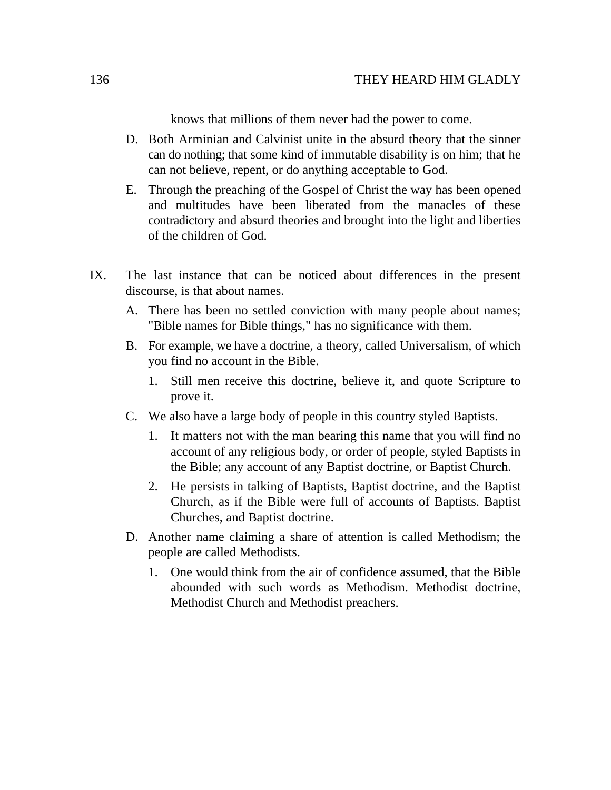knows that millions of them never had the power to come.

- D. Both Arminian and Calvinist unite in the absurd theory that the sinner can do nothing; that some kind of immutable disability is on him; that he can not believe, repent, or do anything acceptable to God.
- E. Through the preaching of the Gospel of Christ the way has been opened and multitudes have been liberated from the manacles of these contradictory and absurd theories and brought into the light and liberties of the children of God.
- IX. The last instance that can be noticed about differences in the present discourse, is that about names.
	- A. There has been no settled conviction with many people about names; "Bible names for Bible things," has no significance with them.
	- B. For example, we have a doctrine, a theory, called Universalism, of which you find no account in the Bible.
		- 1. Still men receive this doctrine, believe it, and quote Scripture to prove it.
	- C. We also have a large body of people in this country styled Baptists.
		- 1. It matters not with the man bearing this name that you will find no account of any religious body, or order of people, styled Baptists in the Bible; any account of any Baptist doctrine, or Baptist Church.
		- 2. He persists in talking of Baptists, Baptist doctrine, and the Baptist Church, as if the Bible were full of accounts of Baptists. Baptist Churches, and Baptist doctrine.
	- D. Another name claiming a share of attention is called Methodism; the people are called Methodists.
		- 1. One would think from the air of confidence assumed, that the Bible abounded with such words as Methodism. Methodist doctrine, Methodist Church and Methodist preachers.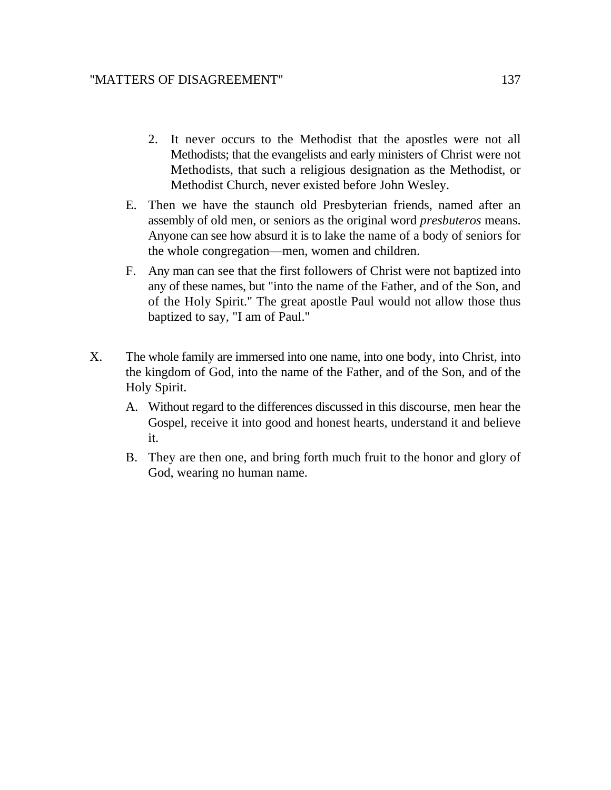#### "MATTERS OF DISAGREEMENT" 137

- 2. It never occurs to the Methodist that the apostles were not all Methodists; that the evangelists and early ministers of Christ were not Methodists, that such a religious designation as the Methodist, or Methodist Church, never existed before John Wesley.
- E. Then we have the staunch old Presbyterian friends, named after an assembly of old men, or seniors as the original word *presbuteros* means. Anyone can see how absurd it is to lake the name of a body of seniors for the whole congregation—men, women and children.
- F. Any man can see that the first followers of Christ were not baptized into any of these names, but "into the name of the Father, and of the Son, and of the Holy Spirit." The great apostle Paul would not allow those thus baptized to say, "I am of Paul."
- X. The whole family are immersed into one name, into one body, into Christ, into the kingdom of God, into the name of the Father, and of the Son, and of the Holy Spirit.
	- A. Without regard to the differences discussed in this discourse, men hear the Gospel, receive it into good and honest hearts, understand it and believe it.
	- B. They are then one, and bring forth much fruit to the honor and glory of God, wearing no human name.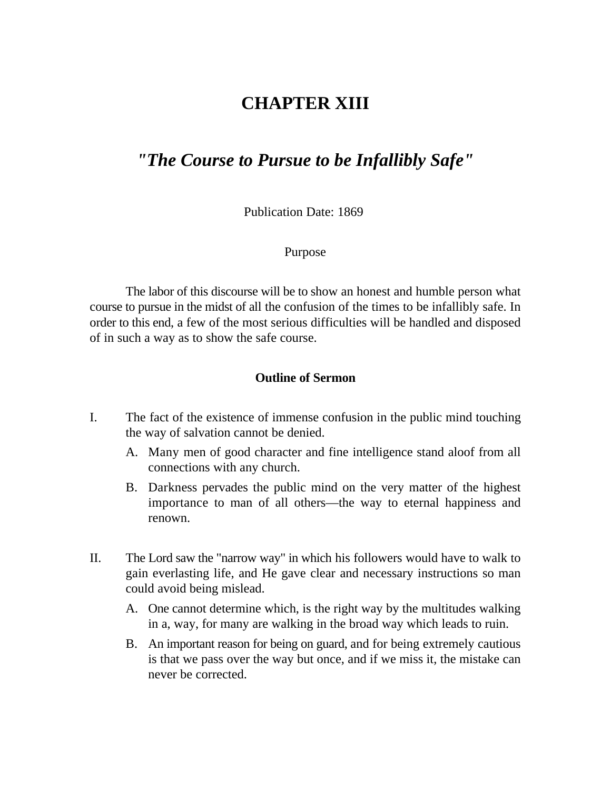# **CHAPTER XIII**

# *"The Course to Pursue to be Infallibly Safe"*

Publication Date: 1869

Purpose

The labor of this discourse will be to show an honest and humble person what course to pursue in the midst of all the confusion of the times to be infallibly safe. In order to this end, a few of the most serious difficulties will be handled and disposed of in such a way as to show the safe course.

- I. The fact of the existence of immense confusion in the public mind touching the way of salvation cannot be denied.
	- A. Many men of good character and fine intelligence stand aloof from all connections with any church.
	- B. Darkness pervades the public mind on the very matter of the highest importance to man of all others—the way to eternal happiness and renown.
- II. The Lord saw the "narrow way" in which his followers would have to walk to gain everlasting life, and He gave clear and necessary instructions so man could avoid being mislead.
	- A. One cannot determine which, is the right way by the multitudes walking in a, way, for many are walking in the broad way which leads to ruin.
	- B. An important reason for being on guard, and for being extremely cautious is that we pass over the way but once, and if we miss it, the mistake can never be corrected.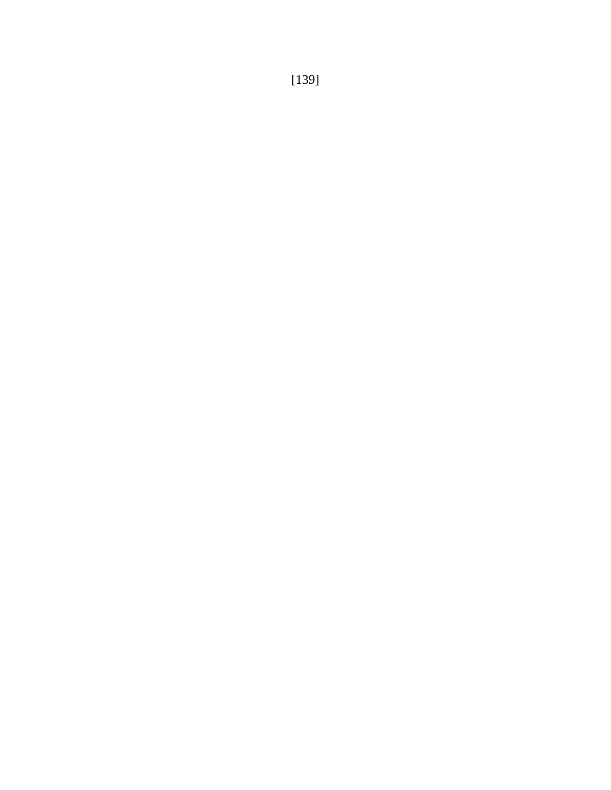# [139]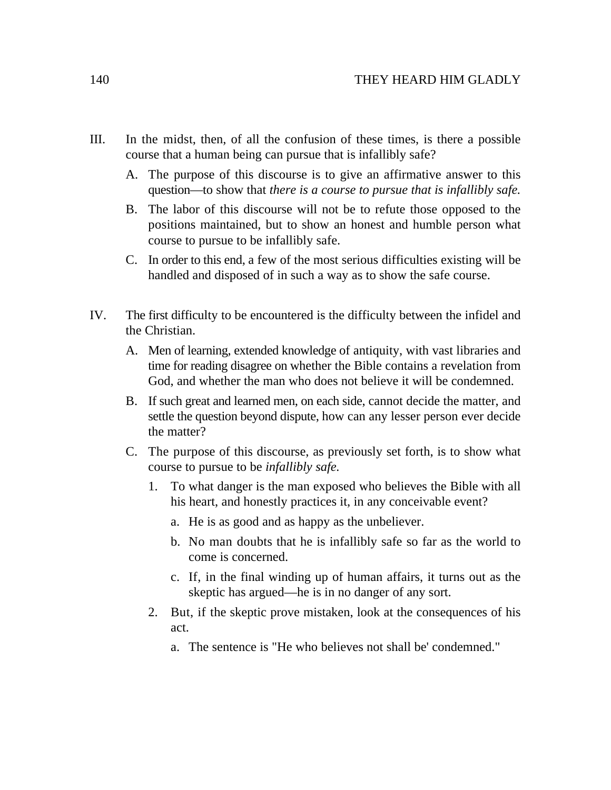- III. In the midst, then, of all the confusion of these times, is there a possible course that a human being can pursue that is infallibly safe?
	- A. The purpose of this discourse is to give an affirmative answer to this question—to show that *there is a course to pursue that is infallibly safe.*
	- B. The labor of this discourse will not be to refute those opposed to the positions maintained, but to show an honest and humble person what course to pursue to be infallibly safe.
	- C. In order to this end, a few of the most serious difficulties existing will be handled and disposed of in such a way as to show the safe course.
- IV. The first difficulty to be encountered is the difficulty between the infidel and the Christian.
	- A. Men of learning, extended knowledge of antiquity, with vast libraries and time for reading disagree on whether the Bible contains a revelation from God, and whether the man who does not believe it will be condemned.
	- B. If such great and learned men, on each side, cannot decide the matter, and settle the question beyond dispute, how can any lesser person ever decide the matter?
	- C. The purpose of this discourse, as previously set forth, is to show what course to pursue to be *infallibly safe.*
		- 1. To what danger is the man exposed who believes the Bible with all his heart, and honestly practices it, in any conceivable event?
			- a. He is as good and as happy as the unbeliever.
			- b. No man doubts that he is infallibly safe so far as the world to come is concerned.
			- c. If, in the final winding up of human affairs, it turns out as the skeptic has argued—he is in no danger of any sort.
		- 2. But, if the skeptic prove mistaken, look at the consequences of his act.
			- a. The sentence is "He who believes not shall be' condemned."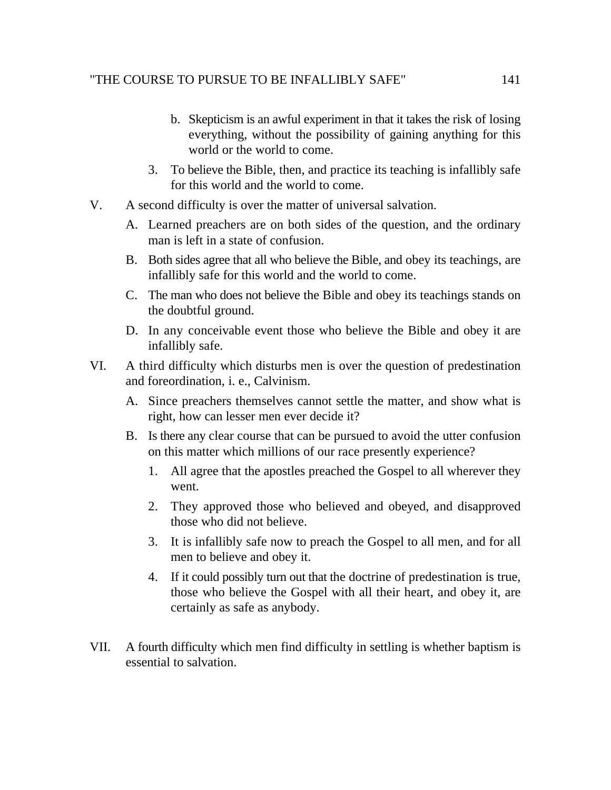- b. Skepticism is an awful experiment in that it takes the risk of losing everything, without the possibility of gaining anything for this world or the world to come.
- 3. To believe the Bible, then, and practice its teaching is infallibly safe for this world and the world to come.
- V. A second difficulty is over the matter of universal salvation.
	- A. Learned preachers are on both sides of the question, and the ordinary man is left in a state of confusion.
	- B. Both sides agree that all who believe the Bible, and obey its teachings, are infallibly safe for this world and the world to come.
	- C. The man who does not believe the Bible and obey its teachings stands on the doubtful ground.
	- D. In any conceivable event those who believe the Bible and obey it are infallibly safe.
- VI. A third difficulty which disturbs men is over the question of predestination and foreordination, i. e., Calvinism.
	- A. Since preachers themselves cannot settle the matter, and show what is right, how can lesser men ever decide it?
	- B. Is there any clear course that can be pursued to avoid the utter confusion on this matter which millions of our race presently experience?
		- 1. All agree that the apostles preached the Gospel to all wherever they went.
		- 2. They approved those who believed and obeyed, and disapproved those who did not believe.
		- 3. It is infallibly safe now to preach the Gospel to all men, and for all men to believe and obey it.
		- 4. If it could possibly turn out that the doctrine of predestination is true, those who believe the Gospel with all their heart, and obey it, are certainly as safe as anybody.
- VII. A fourth difficulty which men find difficulty in settling is whether baptism is essential to salvation.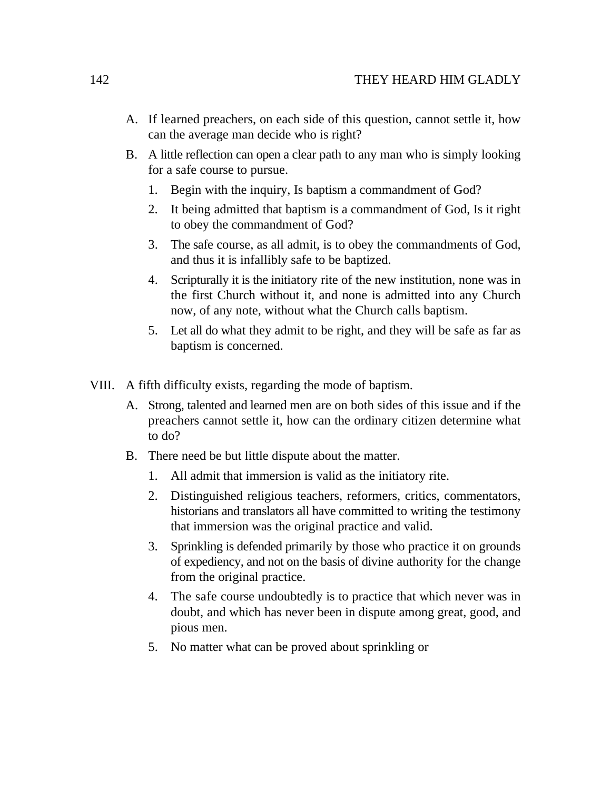- A. If learned preachers, on each side of this question, cannot settle it, how can the average man decide who is right?
- B. A little reflection can open a clear path to any man who is simply looking for a safe course to pursue.
	- 1. Begin with the inquiry, Is baptism a commandment of God?
	- 2. It being admitted that baptism is a commandment of God, Is it right to obey the commandment of God?
	- 3. The safe course, as all admit, is to obey the commandments of God, and thus it is infallibly safe to be baptized.
	- 4. Scripturally it is the initiatory rite of the new institution, none was in the first Church without it, and none is admitted into any Church now, of any note, without what the Church calls baptism.
	- 5. Let all do what they admit to be right, and they will be safe as far as baptism is concerned.
- VIII. A fifth difficulty exists, regarding the mode of baptism.
	- A. Strong, talented and learned men are on both sides of this issue and if the preachers cannot settle it, how can the ordinary citizen determine what to do?
	- B. There need be but little dispute about the matter.
		- 1. All admit that immersion is valid as the initiatory rite.
		- 2. Distinguished religious teachers, reformers, critics, commentators, historians and translators all have committed to writing the testimony that immersion was the original practice and valid.
		- 3. Sprinkling is defended primarily by those who practice it on grounds of expediency, and not on the basis of divine authority for the change from the original practice.
		- 4. The safe course undoubtedly is to practice that which never was in doubt, and which has never been in dispute among great, good, and pious men.
		- 5. No matter what can be proved about sprinkling or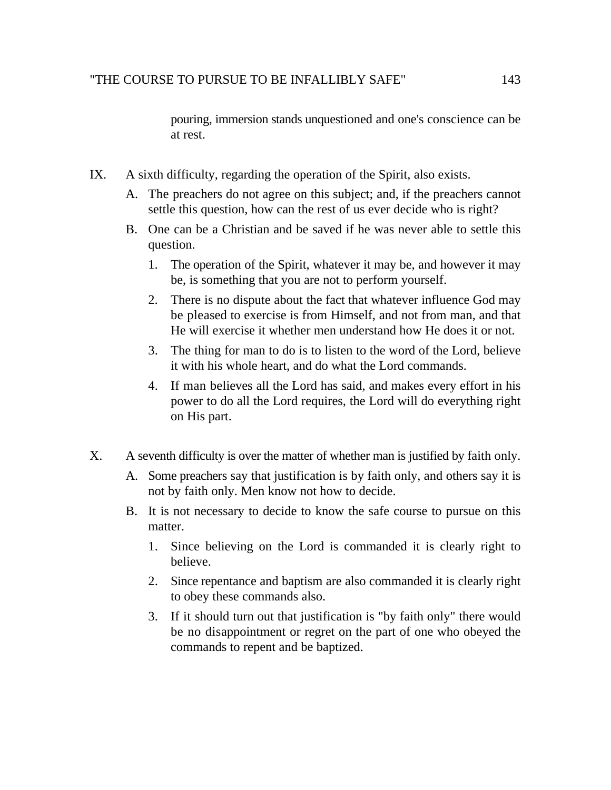pouring, immersion stands unquestioned and one's conscience can be at rest.

- IX. A sixth difficulty, regarding the operation of the Spirit, also exists.
	- A. The preachers do not agree on this subject; and, if the preachers cannot settle this question, how can the rest of us ever decide who is right?
	- B. One can be a Christian and be saved if he was never able to settle this question.
		- 1. The operation of the Spirit, whatever it may be, and however it may be, is something that you are not to perform yourself.
		- 2. There is no dispute about the fact that whatever influence God may be pleased to exercise is from Himself, and not from man, and that He will exercise it whether men understand how He does it or not.
		- 3. The thing for man to do is to listen to the word of the Lord, believe it with his whole heart, and do what the Lord commands.
		- 4. If man believes all the Lord has said, and makes every effort in his power to do all the Lord requires, the Lord will do everything right on His part.
- X. A seventh difficulty is over the matter of whether man is justified by faith only.
	- A. Some preachers say that justification is by faith only, and others say it is not by faith only. Men know not how to decide.
	- B. It is not necessary to decide to know the safe course to pursue on this matter.
		- 1. Since believing on the Lord is commanded it is clearly right to believe.
		- 2. Since repentance and baptism are also commanded it is clearly right to obey these commands also.
		- 3. If it should turn out that justification is "by faith only" there would be no disappointment or regret on the part of one who obeyed the commands to repent and be baptized.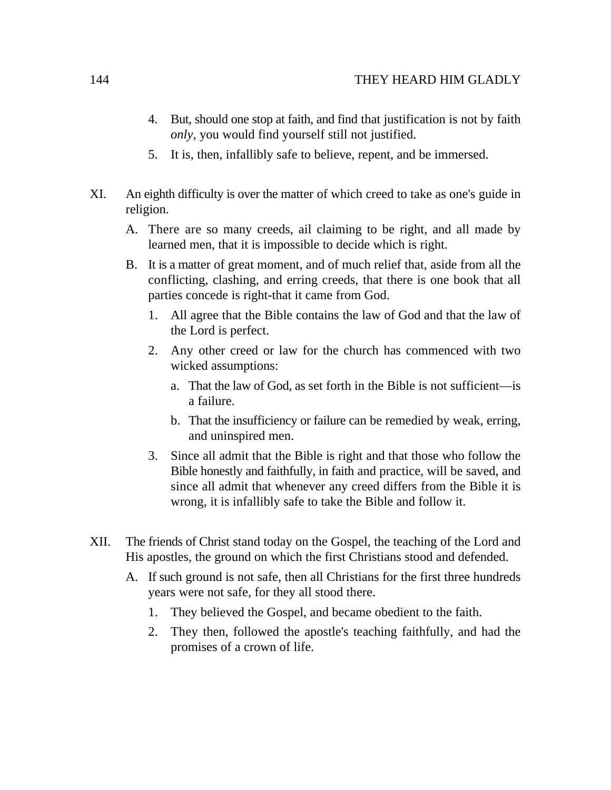- 4. But, should one stop at faith, and find that justification is not by faith *only,* you would find yourself still not justified.
- 5. It is, then, infallibly safe to believe, repent, and be immersed.
- XI. An eighth difficulty is over the matter of which creed to take as one's guide in religion.
	- A. There are so many creeds, ail claiming to be right, and all made by learned men, that it is impossible to decide which is right.
	- B. It is a matter of great moment, and of much relief that, aside from all the conflicting, clashing, and erring creeds, that there is one book that all parties concede is right-that it came from God.
		- 1. All agree that the Bible contains the law of God and that the law of the Lord is perfect.
		- 2. Any other creed or law for the church has commenced with two wicked assumptions:
			- a. That the law of God, as set forth in the Bible is not sufficient—is a failure.
			- b. That the insufficiency or failure can be remedied by weak, erring, and uninspired men.
		- 3. Since all admit that the Bible is right and that those who follow the Bible honestly and faithfully, in faith and practice, will be saved, and since all admit that whenever any creed differs from the Bible it is wrong, it is infallibly safe to take the Bible and follow it.
- XII. The friends of Christ stand today on the Gospel, the teaching of the Lord and His apostles, the ground on which the first Christians stood and defended.
	- A. If such ground is not safe, then all Christians for the first three hundreds years were not safe, for they all stood there.
		- 1. They believed the Gospel, and became obedient to the faith.
		- 2. They then, followed the apostle's teaching faithfully, and had the promises of a crown of life.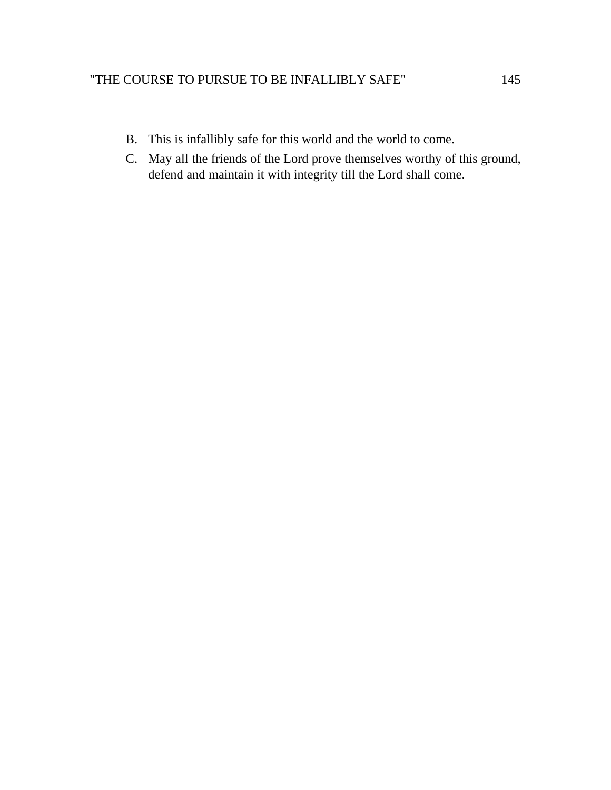- B. This is infallibly safe for this world and the world to come.
- C. May all the friends of the Lord prove themselves worthy of this ground, defend and maintain it with integrity till the Lord shall come.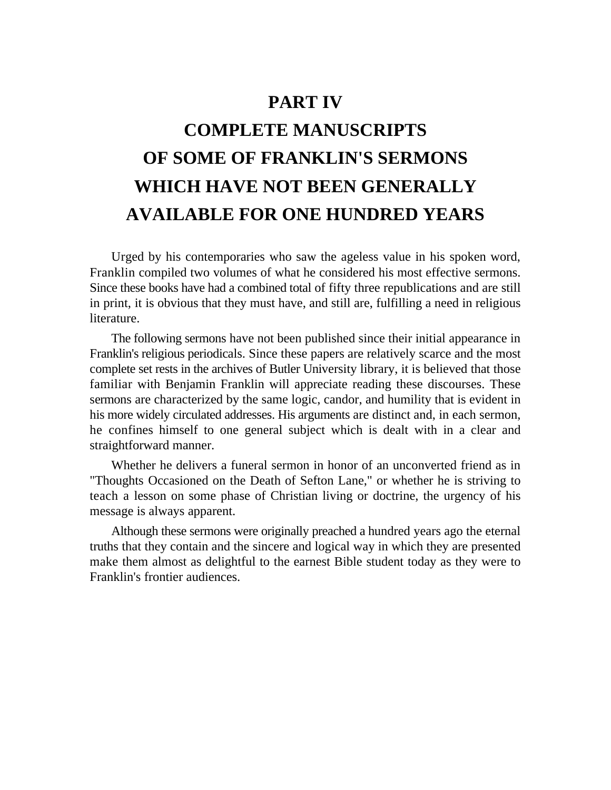## **PART IV**

# **COMPLETE MANUSCRIPTS OF SOME OF FRANKLIN'S SERMONS WHICH HAVE NOT BEEN GENERALLY AVAILABLE FOR ONE HUNDRED YEARS**

Urged by his contemporaries who saw the ageless value in his spoken word, Franklin compiled two volumes of what he considered his most effective sermons. Since these books have had a combined total of fifty three republications and are still in print, it is obvious that they must have, and still are, fulfilling a need in religious literature.

The following sermons have not been published since their initial appearance in Franklin's religious periodicals. Since these papers are relatively scarce and the most complete set rests in the archives of Butler University library, it is believed that those familiar with Benjamin Franklin will appreciate reading these discourses. These sermons are characterized by the same logic, candor, and humility that is evident in his more widely circulated addresses. His arguments are distinct and, in each sermon, he confines himself to one general subject which is dealt with in a clear and straightforward manner.

Whether he delivers a funeral sermon in honor of an unconverted friend as in "Thoughts Occasioned on the Death of Sefton Lane," or whether he is striving to teach a lesson on some phase of Christian living or doctrine, the urgency of his message is always apparent.

Although these sermons were originally preached a hundred years ago the eternal truths that they contain and the sincere and logical way in which they are presented make them almost as delightful to the earnest Bible student today as they were to Franklin's frontier audiences.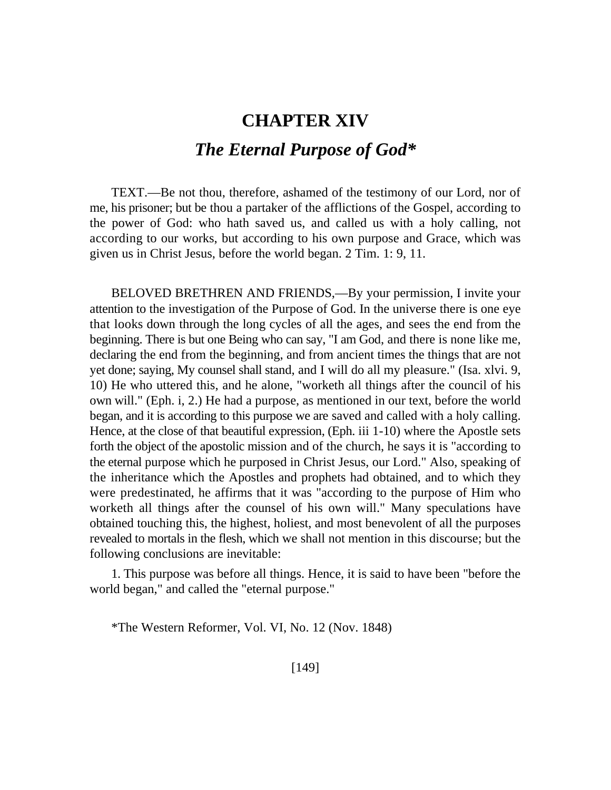# **CHAPTER XIV** *The Eternal Purpose of God\**

TEXT.—Be not thou, therefore, ashamed of the testimony of our Lord, nor of me, his prisoner; but be thou a partaker of the afflictions of the Gospel, according to the power of God: who hath saved us, and called us with a holy calling, not according to our works, but according to his own purpose and Grace, which was given us in Christ Jesus, before the world began. 2 Tim. 1: 9, 11.

BELOVED BRETHREN AND FRIENDS,—By your permission, I invite your attention to the investigation of the Purpose of God. In the universe there is one eye that looks down through the long cycles of all the ages, and sees the end from the beginning. There is but one Being who can say, "I am God, and there is none like me, declaring the end from the beginning, and from ancient times the things that are not yet done; saying, My counsel shall stand, and I will do all my pleasure." (Isa. xlvi. 9, 10) He who uttered this, and he alone, "worketh all things after the council of his own will." (Eph. i, 2.) He had a purpose, as mentioned in our text, before the world began, and it is according to this purpose we are saved and called with a holy calling. Hence, at the close of that beautiful expression, (Eph. iii 1-10) where the Apostle sets forth the object of the apostolic mission and of the church, he says it is "according to the eternal purpose which he purposed in Christ Jesus, our Lord." Also, speaking of the inheritance which the Apostles and prophets had obtained, and to which they were predestinated, he affirms that it was "according to the purpose of Him who worketh all things after the counsel of his own will." Many speculations have obtained touching this, the highest, holiest, and most benevolent of all the purposes revealed to mortals in the flesh, which we shall not mention in this discourse; but the following conclusions are inevitable:

1. This purpose was before all things. Hence, it is said to have been "before the world began," and called the "eternal purpose."

\*The Western Reformer, Vol. VI, No. 12 (Nov. 1848)

[149]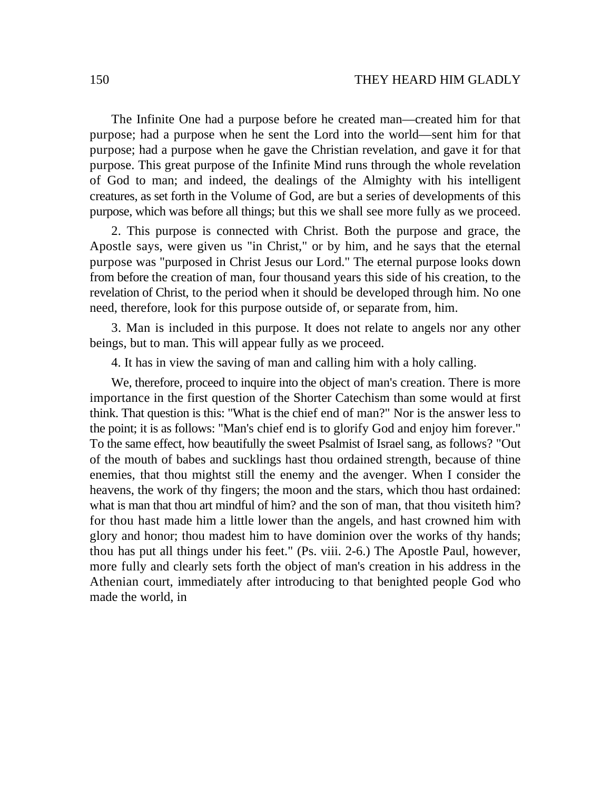The Infinite One had a purpose before he created man—created him for that purpose; had a purpose when he sent the Lord into the world—sent him for that purpose; had a purpose when he gave the Christian revelation, and gave it for that purpose. This great purpose of the Infinite Mind runs through the whole revelation of God to man; and indeed, the dealings of the Almighty with his intelligent creatures, as set forth in the Volume of God, are but a series of developments of this purpose, which was before all things; but this we shall see more fully as we proceed.

2. This purpose is connected with Christ. Both the purpose and grace, the Apostle says, were given us "in Christ," or by him, and he says that the eternal purpose was "purposed in Christ Jesus our Lord." The eternal purpose looks down from before the creation of man, four thousand years this side of his creation, to the revelation of Christ, to the period when it should be developed through him. No one need, therefore, look for this purpose outside of, or separate from, him.

3. Man is included in this purpose. It does not relate to angels nor any other beings, but to man. This will appear fully as we proceed.

4. It has in view the saving of man and calling him with a holy calling.

We, therefore, proceed to inquire into the object of man's creation. There is more importance in the first question of the Shorter Catechism than some would at first think. That question is this: "What is the chief end of man?" Nor is the answer less to the point; it is as follows: "Man's chief end is to glorify God and enjoy him forever." To the same effect, how beautifully the sweet Psalmist of Israel sang, as follows? "Out of the mouth of babes and sucklings hast thou ordained strength, because of thine enemies, that thou mightst still the enemy and the avenger. When I consider the heavens, the work of thy fingers; the moon and the stars, which thou hast ordained: what is man that thou art mindful of him? and the son of man, that thou visiteth him? for thou hast made him a little lower than the angels, and hast crowned him with glory and honor; thou madest him to have dominion over the works of thy hands; thou has put all things under his feet." (Ps. viii. 2-6.) The Apostle Paul, however, more fully and clearly sets forth the object of man's creation in his address in the Athenian court, immediately after introducing to that benighted people God who made the world, in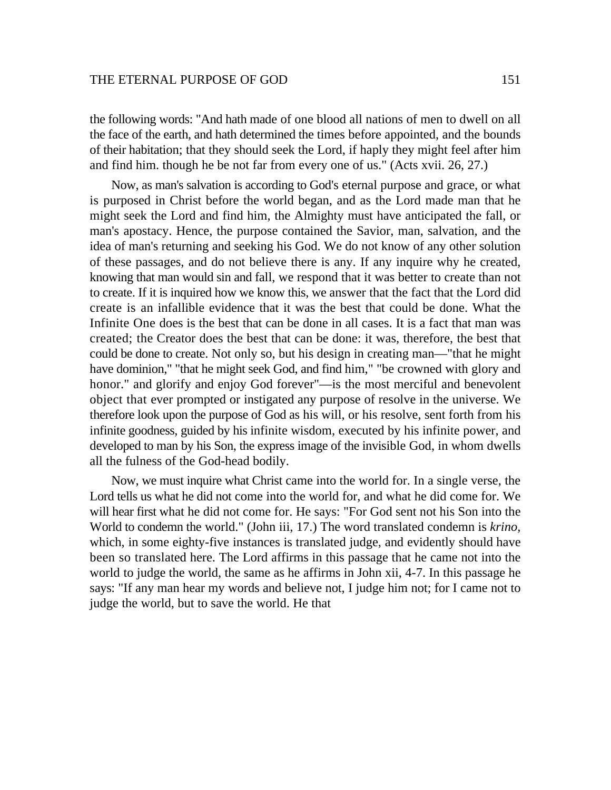#### THE ETERNAL PURPOSE OF GOD 151

the following words: "And hath made of one blood all nations of men to dwell on all the face of the earth, and hath determined the times before appointed, and the bounds of their habitation; that they should seek the Lord, if haply they might feel after him and find him. though he be not far from every one of us." (Acts xvii. 26, 27.)

Now, as man's salvation is according to God's eternal purpose and grace, or what is purposed in Christ before the world began, and as the Lord made man that he might seek the Lord and find him, the Almighty must have anticipated the fall, or man's apostacy. Hence, the purpose contained the Savior, man, salvation, and the idea of man's returning and seeking his God. We do not know of any other solution of these passages, and do not believe there is any. If any inquire why he created, knowing that man would sin and fall, we respond that it was better to create than not to create. If it is inquired how we know this, we answer that the fact that the Lord did create is an infallible evidence that it was the best that could be done. What the Infinite One does is the best that can be done in all cases. It is a fact that man was created; the Creator does the best that can be done: it was, therefore, the best that could be done to create. Not only so, but his design in creating man—"that he might have dominion," "that he might seek God, and find him," "be crowned with glory and honor." and glorify and enjoy God forever"—is the most merciful and benevolent object that ever prompted or instigated any purpose of resolve in the universe. We therefore look upon the purpose of God as his will, or his resolve, sent forth from his infinite goodness, guided by his infinite wisdom, executed by his infinite power, and developed to man by his Son, the express image of the invisible God, in whom dwells all the fulness of the God-head bodily.

Now, we must inquire what Christ came into the world for. In a single verse, the Lord tells us what he did not come into the world for, and what he did come for. We will hear first what he did not come for. He says: "For God sent not his Son into the World to condemn the world." (John iii, 17.) The word translated condemn is *krino,* which, in some eighty-five instances is translated judge, and evidently should have been so translated here. The Lord affirms in this passage that he came not into the world to judge the world, the same as he affirms in John xii, 4-7. In this passage he says: "If any man hear my words and believe not, I judge him not; for I came not to judge the world, but to save the world. He that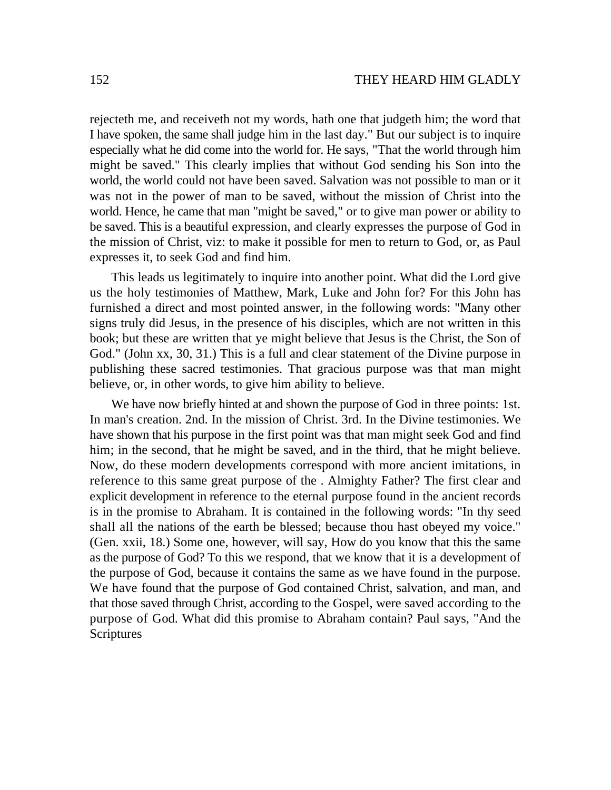rejecteth me, and receiveth not my words, hath one that judgeth him; the word that I have spoken, the same shall judge him in the last day." But our subject is to inquire especially what he did come into the world for. He says, "That the world through him might be saved." This clearly implies that without God sending his Son into the world, the world could not have been saved. Salvation was not possible to man or it was not in the power of man to be saved, without the mission of Christ into the world. Hence, he came that man "might be saved," or to give man power or ability to be saved. This is a beautiful expression, and clearly expresses the purpose of God in the mission of Christ, viz: to make it possible for men to return to God, or, as Paul expresses it, to seek God and find him.

This leads us legitimately to inquire into another point. What did the Lord give us the holy testimonies of Matthew, Mark, Luke and John for? For this John has furnished a direct and most pointed answer, in the following words: "Many other signs truly did Jesus, in the presence of his disciples, which are not written in this book; but these are written that ye might believe that Jesus is the Christ, the Son of God." (John xx, 30, 31.) This is a full and clear statement of the Divine purpose in publishing these sacred testimonies. That gracious purpose was that man might believe, or, in other words, to give him ability to believe.

We have now briefly hinted at and shown the purpose of God in three points: 1st. In man's creation. 2nd. In the mission of Christ. 3rd. In the Divine testimonies. We have shown that his purpose in the first point was that man might seek God and find him; in the second, that he might be saved, and in the third, that he might believe. Now, do these modern developments correspond with more ancient imitations, in reference to this same great purpose of the . Almighty Father? The first clear and explicit development in reference to the eternal purpose found in the ancient records is in the promise to Abraham. It is contained in the following words: "In thy seed shall all the nations of the earth be blessed; because thou hast obeyed my voice." (Gen. xxii, 18.) Some one, however, will say, How do you know that this the same as the purpose of God? To this we respond, that we know that it is a development of the purpose of God, because it contains the same as we have found in the purpose. We have found that the purpose of God contained Christ, salvation, and man, and that those saved through Christ, according to the Gospel, were saved according to the purpose of God. What did this promise to Abraham contain? Paul says, "And the **Scriptures**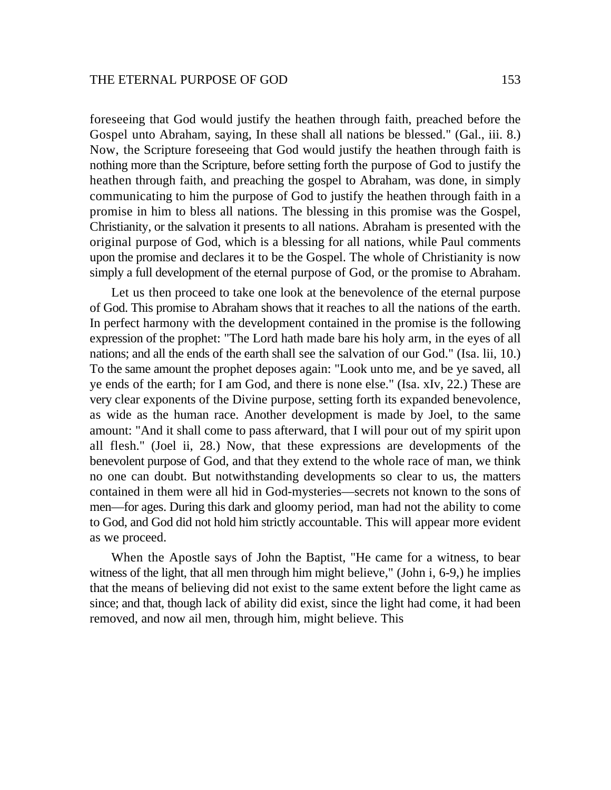foreseeing that God would justify the heathen through faith, preached before the Gospel unto Abraham, saying, In these shall all nations be blessed." (Gal., iii. 8.) Now, the Scripture foreseeing that God would justify the heathen through faith is nothing more than the Scripture, before setting forth the purpose of God to justify the heathen through faith, and preaching the gospel to Abraham, was done, in simply communicating to him the purpose of God to justify the heathen through faith in a promise in him to bless all nations. The blessing in this promise was the Gospel, Christianity, or the salvation it presents to all nations. Abraham is presented with the original purpose of God, which is a blessing for all nations, while Paul comments upon the promise and declares it to be the Gospel. The whole of Christianity is now simply a full development of the eternal purpose of God, or the promise to Abraham.

Let us then proceed to take one look at the benevolence of the eternal purpose of God. This promise to Abraham shows that it reaches to all the nations of the earth. In perfect harmony with the development contained in the promise is the following expression of the prophet: "The Lord hath made bare his holy arm, in the eyes of all nations; and all the ends of the earth shall see the salvation of our God." (Isa. lii, 10.) To the same amount the prophet deposes again: "Look unto me, and be ye saved, all ye ends of the earth; for I am God, and there is none else." (Isa. xIv, 22.) These are very clear exponents of the Divine purpose, setting forth its expanded benevolence, as wide as the human race. Another development is made by Joel, to the same amount: "And it shall come to pass afterward, that I will pour out of my spirit upon all flesh." (Joel ii, 28.) Now, that these expressions are developments of the benevolent purpose of God, and that they extend to the whole race of man, we think no one can doubt. But notwithstanding developments so clear to us, the matters contained in them were all hid in God-mysteries—secrets not known to the sons of men—for ages. During this dark and gloomy period, man had not the ability to come to God, and God did not hold him strictly accountable. This will appear more evident as we proceed.

When the Apostle says of John the Baptist, "He came for a witness, to bear witness of the light, that all men through him might believe," (John i, 6-9,) he implies that the means of believing did not exist to the same extent before the light came as since; and that, though lack of ability did exist, since the light had come, it had been removed, and now ail men, through him, might believe. This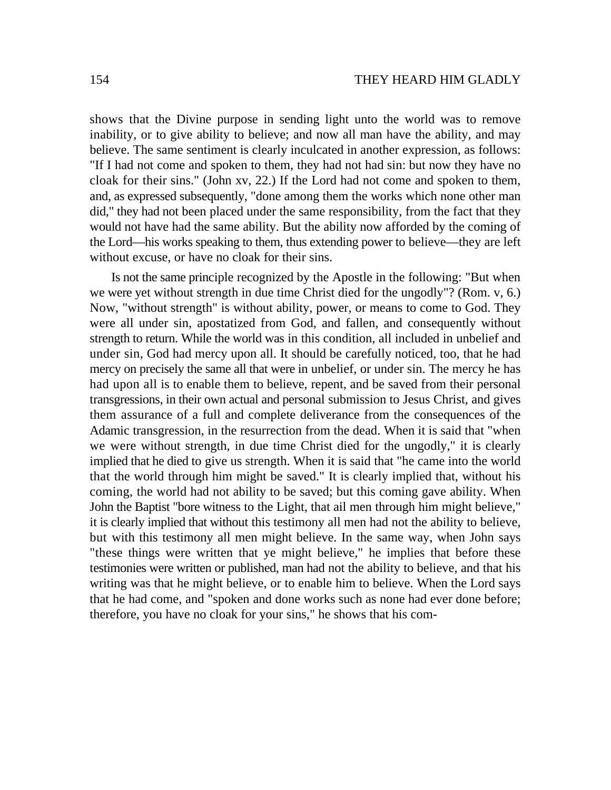shows that the Divine purpose in sending light unto the world was to remove inability, or to give ability to believe; and now all man have the ability, and may believe. The same sentiment is clearly inculcated in another expression, as follows: "If I had not come and spoken to them, they had not had sin: but now they have no cloak for their sins." (John xv, 22.) If the Lord had not come and spoken to them, and, as expressed subsequently, "done among them the works which none other man did," they had not been placed under the same responsibility, from the fact that they would not have had the same ability. But the ability now afforded by the coming of the Lord—his works speaking to them, thus extending power to believe—they are left without excuse, or have no cloak for their sins.

Is not the same principle recognized by the Apostle in the following: "But when we were yet without strength in due time Christ died for the ungodly"? (Rom. v, 6.) Now, "without strength" is without ability, power, or means to come to God. They were all under sin, apostatized from God, and fallen, and consequently without strength to return. While the world was in this condition, all included in unbelief and under sin, God had mercy upon all. It should be carefully noticed, too, that he had mercy on precisely the same all that were in unbelief, or under sin. The mercy he has had upon all is to enable them to believe, repent, and be saved from their personal transgressions, in their own actual and personal submission to Jesus Christ, and gives them assurance of a full and complete deliverance from the consequences of the Adamic transgression, in the resurrection from the dead. When it is said that "when we were without strength, in due time Christ died for the ungodly," it is clearly implied that he died to give us strength. When it is said that "he came into the world that the world through him might be saved." It is clearly implied that, without his coming, the world had not ability to be saved; but this coming gave ability. When John the Baptist "bore witness to the Light, that ail men through him might believe," it is clearly implied that without this testimony all men had not the ability to believe, but with this testimony all men might believe. In the same way, when John says "these things were written that ye might believe," he implies that before these testimonies were written or published, man had not the ability to believe, and that his writing was that he might believe, or to enable him to believe. When the Lord says that he had come, and "spoken and done works such as none had ever done before; therefore, you have no cloak for your sins," he shows that his com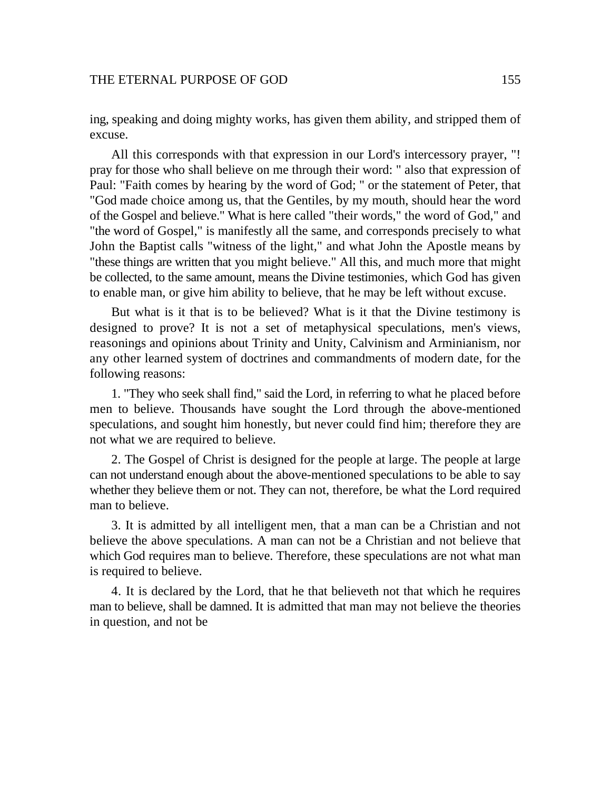ing, speaking and doing mighty works, has given them ability, and stripped them of excuse.

All this corresponds with that expression in our Lord's intercessory prayer, "! pray for those who shall believe on me through their word: " also that expression of Paul: "Faith comes by hearing by the word of God; " or the statement of Peter, that "God made choice among us, that the Gentiles, by my mouth, should hear the word of the Gospel and believe." What is here called "their words," the word of God," and "the word of Gospel," is manifestly all the same, and corresponds precisely to what John the Baptist calls "witness of the light," and what John the Apostle means by "these things are written that you might believe." All this, and much more that might be collected, to the same amount, means the Divine testimonies, which God has given to enable man, or give him ability to believe, that he may be left without excuse.

But what is it that is to be believed? What is it that the Divine testimony is designed to prove? It is not a set of metaphysical speculations, men's views, reasonings and opinions about Trinity and Unity, Calvinism and Arminianism, nor any other learned system of doctrines and commandments of modern date, for the following reasons:

1. "They who seek shall find," said the Lord, in referring to what he placed before men to believe. Thousands have sought the Lord through the above-mentioned speculations, and sought him honestly, but never could find him; therefore they are not what we are required to believe.

2. The Gospel of Christ is designed for the people at large. The people at large can not understand enough about the above-mentioned speculations to be able to say whether they believe them or not. They can not, therefore, be what the Lord required man to believe.

3. It is admitted by all intelligent men, that a man can be a Christian and not believe the above speculations. A man can not be a Christian and not believe that which God requires man to believe. Therefore, these speculations are not what man is required to believe.

4. It is declared by the Lord, that he that believeth not that which he requires man to believe, shall be damned. It is admitted that man may not believe the theories in question, and not be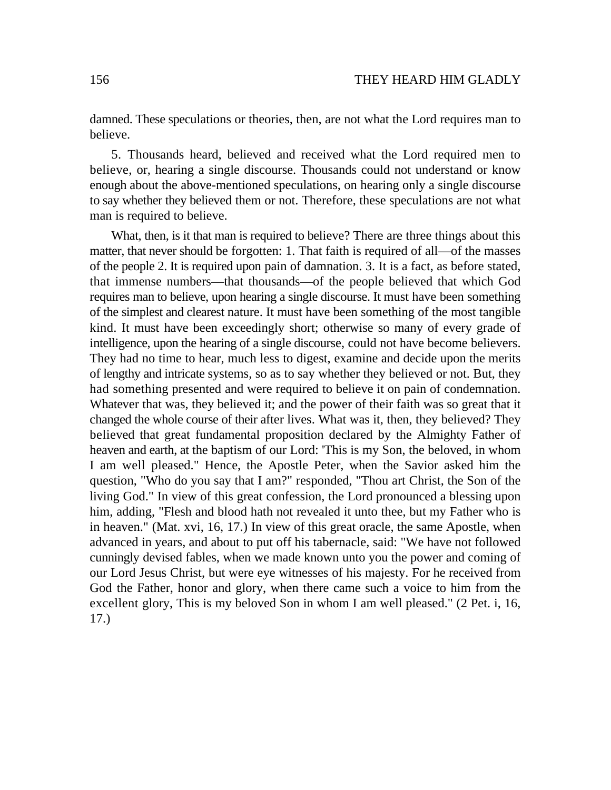damned. These speculations or theories, then, are not what the Lord requires man to believe.

5. Thousands heard, believed and received what the Lord required men to believe, or, hearing a single discourse. Thousands could not understand or know enough about the above-mentioned speculations, on hearing only a single discourse to say whether they believed them or not. Therefore, these speculations are not what man is required to believe.

What, then, is it that man is required to believe? There are three things about this matter, that never should be forgotten: 1. That faith is required of all—of the masses of the people 2. It is required upon pain of damnation. 3. It is a fact, as before stated, that immense numbers—that thousands—of the people believed that which God requires man to believe, upon hearing a single discourse. It must have been something of the simplest and clearest nature. It must have been something of the most tangible kind. It must have been exceedingly short; otherwise so many of every grade of intelligence, upon the hearing of a single discourse, could not have become believers. They had no time to hear, much less to digest, examine and decide upon the merits of lengthy and intricate systems, so as to say whether they believed or not. But, they had something presented and were required to believe it on pain of condemnation. Whatever that was, they believed it; and the power of their faith was so great that it changed the whole course of their after lives. What was it, then, they believed? They believed that great fundamental proposition declared by the Almighty Father of heaven and earth, at the baptism of our Lord: 'This is my Son, the beloved, in whom I am well pleased." Hence, the Apostle Peter, when the Savior asked him the question, "Who do you say that I am?" responded, "Thou art Christ, the Son of the living God." In view of this great confession, the Lord pronounced a blessing upon him, adding, "Flesh and blood hath not revealed it unto thee, but my Father who is in heaven." (Mat. xvi, 16, 17.) In view of this great oracle, the same Apostle, when advanced in years, and about to put off his tabernacle, said: "We have not followed cunningly devised fables, when we made known unto you the power and coming of our Lord Jesus Christ, but were eye witnesses of his majesty. For he received from God the Father, honor and glory, when there came such a voice to him from the excellent glory, This is my beloved Son in whom I am well pleased." (2 Pet. i, 16, 17.)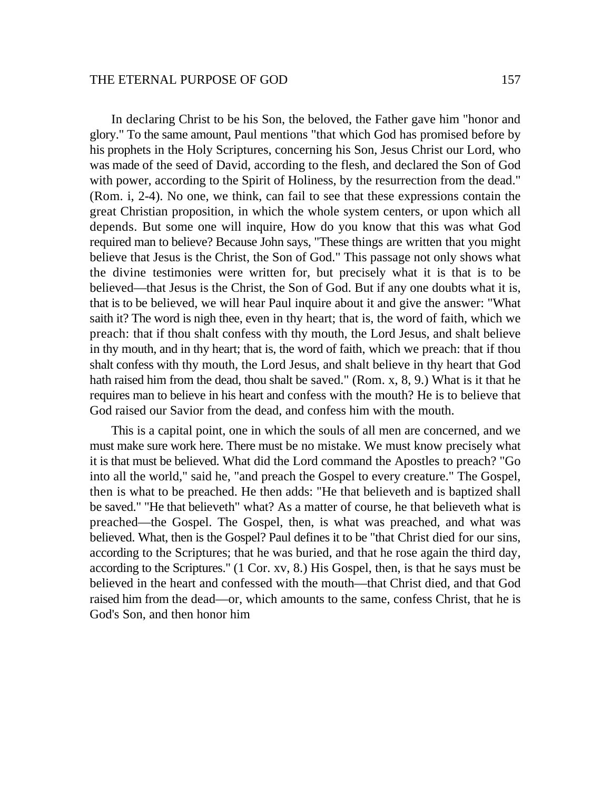In declaring Christ to be his Son, the beloved, the Father gave him "honor and glory." To the same amount, Paul mentions "that which God has promised before by his prophets in the Holy Scriptures, concerning his Son, Jesus Christ our Lord, who was made of the seed of David, according to the flesh, and declared the Son of God with power, according to the Spirit of Holiness, by the resurrection from the dead." (Rom. i, 2-4). No one, we think, can fail to see that these expressions contain the great Christian proposition, in which the whole system centers, or upon which all depends. But some one will inquire, How do you know that this was what God required man to believe? Because John says, "These things are written that you might believe that Jesus is the Christ, the Son of God." This passage not only shows what the divine testimonies were written for, but precisely what it is that is to be believed—that Jesus is the Christ, the Son of God. But if any one doubts what it is, that is to be believed, we will hear Paul inquire about it and give the answer: "What saith it? The word is nigh thee, even in thy heart; that is, the word of faith, which we preach: that if thou shalt confess with thy mouth, the Lord Jesus, and shalt believe in thy mouth, and in thy heart; that is, the word of faith, which we preach: that if thou shalt confess with thy mouth, the Lord Jesus, and shalt believe in thy heart that God hath raised him from the dead, thou shalt be saved." (Rom. x, 8, 9.) What is it that he requires man to believe in his heart and confess with the mouth? He is to believe that God raised our Savior from the dead, and confess him with the mouth.

This is a capital point, one in which the souls of all men are concerned, and we must make sure work here. There must be no mistake. We must know precisely what it is that must be believed. What did the Lord command the Apostles to preach? "Go into all the world," said he, "and preach the Gospel to every creature." The Gospel, then is what to be preached. He then adds: "He that believeth and is baptized shall be saved." "He that believeth" what? As a matter of course, he that believeth what is preached—the Gospel. The Gospel, then, is what was preached, and what was believed. What, then is the Gospel? Paul defines it to be "that Christ died for our sins, according to the Scriptures; that he was buried, and that he rose again the third day, according to the Scriptures." (1 Cor. xv, 8.) His Gospel, then, is that he says must be believed in the heart and confessed with the mouth—that Christ died, and that God raised him from the dead—or, which amounts to the same, confess Christ, that he is God's Son, and then honor him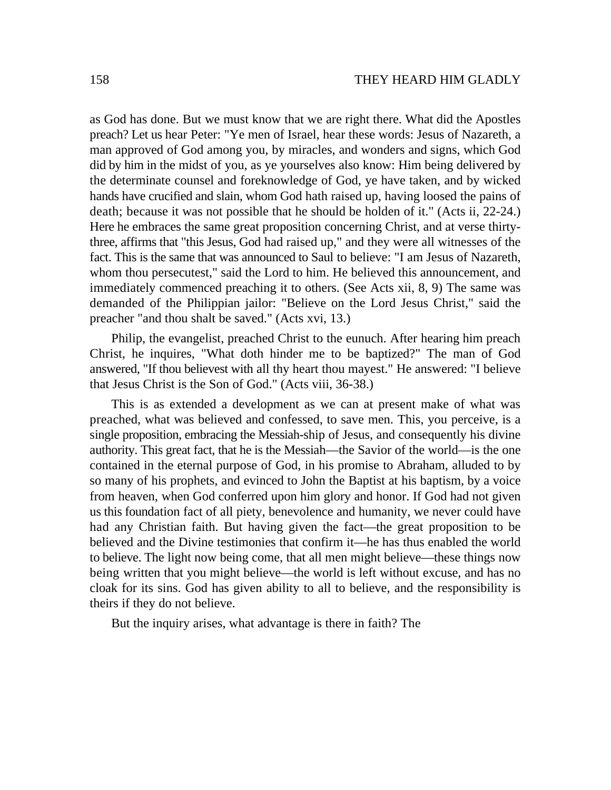as God has done. But we must know that we are right there. What did the Apostles preach? Let us hear Peter: "Ye men of Israel, hear these words: Jesus of Nazareth, a man approved of God among you, by miracles, and wonders and signs, which God did by him in the midst of you, as ye yourselves also know: Him being delivered by the determinate counsel and foreknowledge of God, ye have taken, and by wicked hands have crucified and slain, whom God hath raised up, having loosed the pains of death; because it was not possible that he should be holden of it." (Acts ii, 22-24.) Here he embraces the same great proposition concerning Christ, and at verse thirtythree, affirms that "this Jesus, God had raised up," and they were all witnesses of the fact. This is the same that was announced to Saul to believe: "I am Jesus of Nazareth, whom thou persecutest," said the Lord to him. He believed this announcement, and immediately commenced preaching it to others. (See Acts xii, 8, 9) The same was demanded of the Philippian jailor: "Believe on the Lord Jesus Christ," said the preacher "and thou shalt be saved." (Acts xvi, 13.)

Philip, the evangelist, preached Christ to the eunuch. After hearing him preach Christ, he inquires, "What doth hinder me to be baptized?" The man of God answered, "If thou believest with all thy heart thou mayest." He answered: "I believe that Jesus Christ is the Son of God." (Acts viii, 36-38.)

This is as extended a development as we can at present make of what was preached, what was believed and confessed, to save men. This, you perceive, is a single proposition, embracing the Messiah-ship of Jesus, and consequently his divine authority. This great fact, that he is the Messiah—the Savior of the world—is the one contained in the eternal purpose of God, in his promise to Abraham, alluded to by so many of his prophets, and evinced to John the Baptist at his baptism, by a voice from heaven, when God conferred upon him glory and honor. If God had not given us this foundation fact of all piety, benevolence and humanity, we never could have had any Christian faith. But having given the fact—the great proposition to be believed and the Divine testimonies that confirm it—he has thus enabled the world to believe. The light now being come, that all men might believe—these things now being written that you might believe—the world is left without excuse, and has no cloak for its sins. God has given ability to all to believe, and the responsibility is theirs if they do not believe.

But the inquiry arises, what advantage is there in faith? The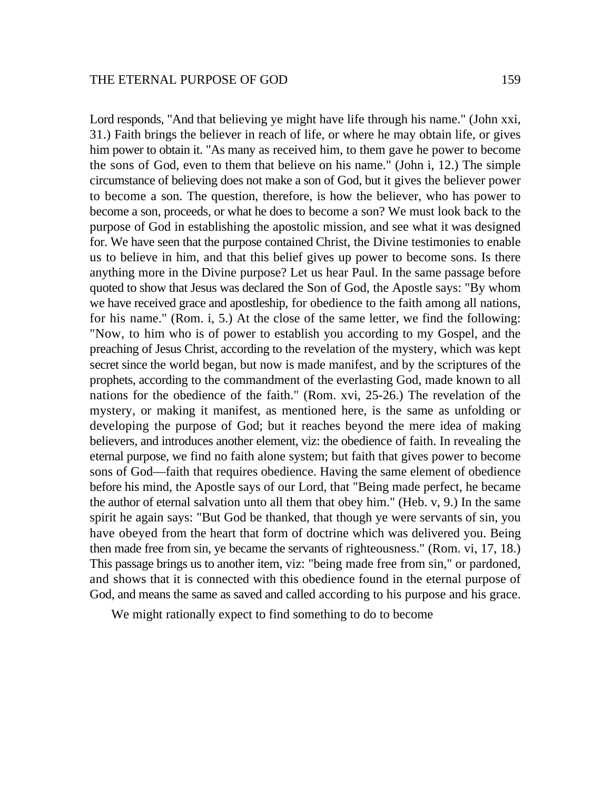Lord responds, "And that believing ye might have life through his name." (John xxi, 31.) Faith brings the believer in reach of life, or where he may obtain life, or gives him power to obtain it. "As many as received him, to them gave he power to become the sons of God, even to them that believe on his name." (John i, 12.) The simple circumstance of believing does not make a son of God, but it gives the believer power to become a son. The question, therefore, is how the believer, who has power to become a son, proceeds, or what he does to become a son? We must look back to the purpose of God in establishing the apostolic mission, and see what it was designed for. We have seen that the purpose contained Christ, the Divine testimonies to enable us to believe in him, and that this belief gives up power to become sons. Is there anything more in the Divine purpose? Let us hear Paul. In the same passage before quoted to show that Jesus was declared the Son of God, the Apostle says: "By whom we have received grace and apostleship, for obedience to the faith among all nations, for his name." (Rom. i, 5.) At the close of the same letter, we find the following: "Now, to him who is of power to establish you according to my Gospel, and the preaching of Jesus Christ, according to the revelation of the mystery, which was kept secret since the world began, but now is made manifest, and by the scriptures of the prophets, according to the commandment of the everlasting God, made known to all nations for the obedience of the faith." (Rom. xvi, 25-26.) The revelation of the mystery, or making it manifest, as mentioned here, is the same as unfolding or developing the purpose of God; but it reaches beyond the mere idea of making believers, and introduces another element, viz: the obedience of faith. In revealing the eternal purpose, we find no faith alone system; but faith that gives power to become sons of God—faith that requires obedience. Having the same element of obedience before his mind, the Apostle says of our Lord, that "Being made perfect, he became the author of eternal salvation unto all them that obey him." (Heb. v, 9.) In the same spirit he again says: "But God be thanked, that though ye were servants of sin, you have obeyed from the heart that form of doctrine which was delivered you. Being then made free from sin, ye became the servants of righteousness." (Rom. vi, 17, 18.) This passage brings us to another item, viz: "being made free from sin," or pardoned, and shows that it is connected with this obedience found in the eternal purpose of God, and means the same as saved and called according to his purpose and his grace.

We might rationally expect to find something to do to become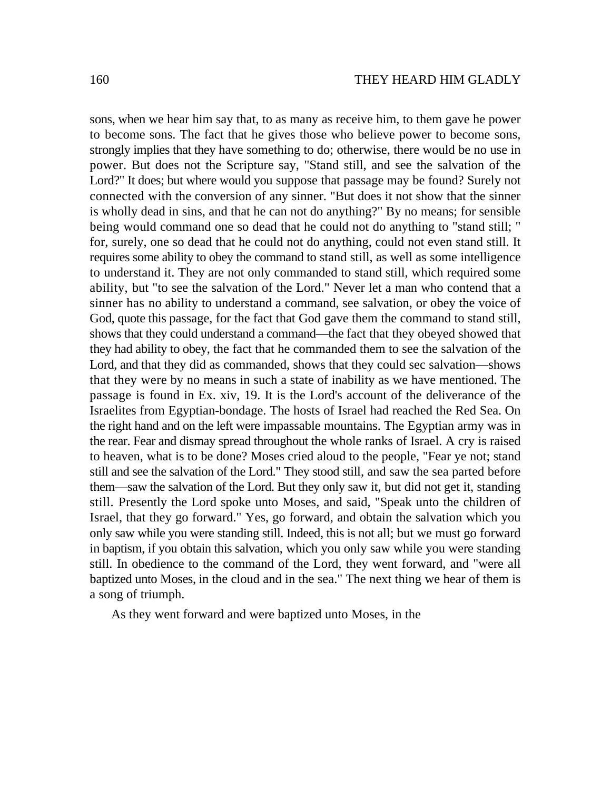sons, when we hear him say that, to as many as receive him, to them gave he power to become sons. The fact that he gives those who believe power to become sons, strongly implies that they have something to do; otherwise, there would be no use in power. But does not the Scripture say, "Stand still, and see the salvation of the Lord?" It does; but where would you suppose that passage may be found? Surely not connected with the conversion of any sinner. "But does it not show that the sinner is wholly dead in sins, and that he can not do anything?" By no means; for sensible being would command one so dead that he could not do anything to "stand still; " for, surely, one so dead that he could not do anything, could not even stand still. It requires some ability to obey the command to stand still, as well as some intelligence to understand it. They are not only commanded to stand still, which required some ability, but "to see the salvation of the Lord." Never let a man who contend that a sinner has no ability to understand a command, see salvation, or obey the voice of God, quote this passage, for the fact that God gave them the command to stand still, shows that they could understand a command—the fact that they obeyed showed that they had ability to obey, the fact that he commanded them to see the salvation of the Lord, and that they did as commanded, shows that they could sec salvation—shows that they were by no means in such a state of inability as we have mentioned. The passage is found in Ex. xiv, 19. It is the Lord's account of the deliverance of the Israelites from Egyptian-bondage. The hosts of Israel had reached the Red Sea. On the right hand and on the left were impassable mountains. The Egyptian army was in the rear. Fear and dismay spread throughout the whole ranks of Israel. A cry is raised to heaven, what is to be done? Moses cried aloud to the people, "Fear ye not; stand still and see the salvation of the Lord." They stood still, and saw the sea parted before them—saw the salvation of the Lord. But they only saw it, but did not get it, standing still. Presently the Lord spoke unto Moses, and said, "Speak unto the children of Israel, that they go forward." Yes, go forward, and obtain the salvation which you only saw while you were standing still. Indeed, this is not all; but we must go forward in baptism, if you obtain this salvation, which you only saw while you were standing still. In obedience to the command of the Lord, they went forward, and "were all baptized unto Moses, in the cloud and in the sea." The next thing we hear of them is a song of triumph.

As they went forward and were baptized unto Moses, in the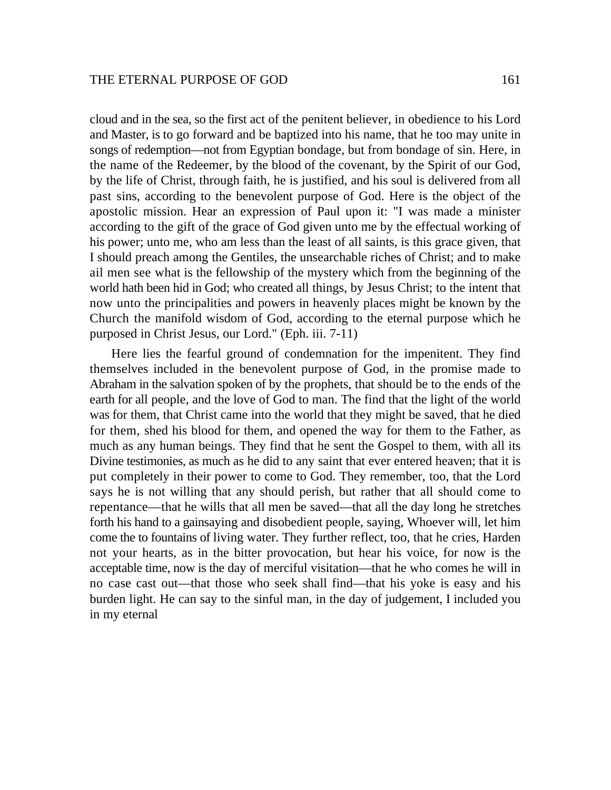cloud and in the sea, so the first act of the penitent believer, in obedience to his Lord and Master, is to go forward and be baptized into his name, that he too may unite in songs of redemption—not from Egyptian bondage, but from bondage of sin. Here, in the name of the Redeemer, by the blood of the covenant, by the Spirit of our God, by the life of Christ, through faith, he is justified, and his soul is delivered from all past sins, according to the benevolent purpose of God. Here is the object of the apostolic mission. Hear an expression of Paul upon it: "I was made a minister according to the gift of the grace of God given unto me by the effectual working of his power; unto me, who am less than the least of all saints, is this grace given, that I should preach among the Gentiles, the unsearchable riches of Christ; and to make ail men see what is the fellowship of the mystery which from the beginning of the world hath been hid in God; who created all things, by Jesus Christ; to the intent that now unto the principalities and powers in heavenly places might be known by the Church the manifold wisdom of God, according to the eternal purpose which he purposed in Christ Jesus, our Lord." (Eph. iii. 7-11)

Here lies the fearful ground of condemnation for the impenitent. They find themselves included in the benevolent purpose of God, in the promise made to Abraham in the salvation spoken of by the prophets, that should be to the ends of the earth for all people, and the love of God to man. The find that the light of the world was for them, that Christ came into the world that they might be saved, that he died for them, shed his blood for them, and opened the way for them to the Father, as much as any human beings. They find that he sent the Gospel to them, with all its Divine testimonies, as much as he did to any saint that ever entered heaven; that it is put completely in their power to come to God. They remember, too, that the Lord says he is not willing that any should perish, but rather that all should come to repentance—that he wills that all men be saved—that all the day long he stretches forth his hand to a gainsaying and disobedient people, saying, Whoever will, let him come the to fountains of living water. They further reflect, too, that he cries, Harden not your hearts, as in the bitter provocation, but hear his voice, for now is the acceptable time, now is the day of merciful visitation—that he who comes he will in no case cast out—that those who seek shall find—that his yoke is easy and his burden light. He can say to the sinful man, in the day of judgement, I included you in my eternal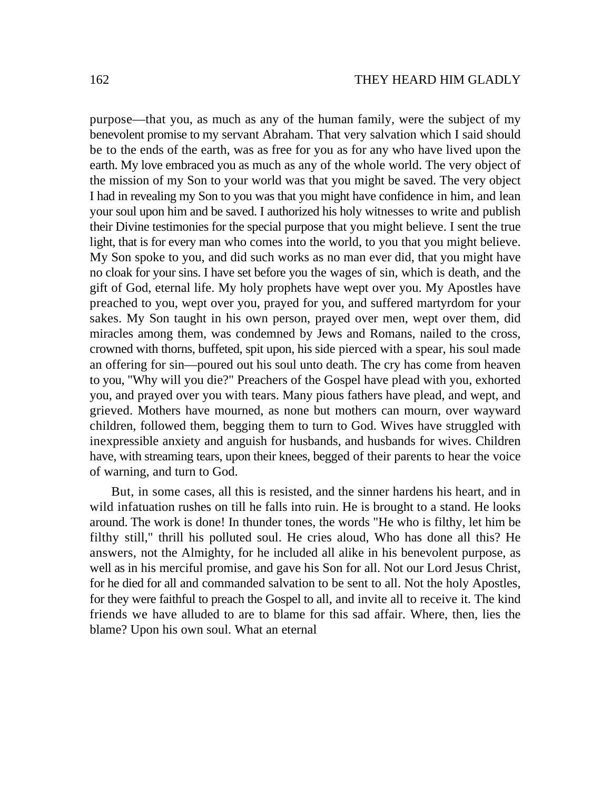purpose—that you, as much as any of the human family, were the subject of my benevolent promise to my servant Abraham. That very salvation which I said should be to the ends of the earth, was as free for you as for any who have lived upon the earth. My love embraced you as much as any of the whole world. The very object of the mission of my Son to your world was that you might be saved. The very object I had in revealing my Son to you was that you might have confidence in him, and lean your soul upon him and be saved. I authorized his holy witnesses to write and publish their Divine testimonies for the special purpose that you might believe. I sent the true light, that is for every man who comes into the world, to you that you might believe. My Son spoke to you, and did such works as no man ever did, that you might have no cloak for your sins. I have set before you the wages of sin, which is death, and the gift of God, eternal life. My holy prophets have wept over you. My Apostles have preached to you, wept over you, prayed for you, and suffered martyrdom for your sakes. My Son taught in his own person, prayed over men, wept over them, did miracles among them, was condemned by Jews and Romans, nailed to the cross, crowned with thorns, buffeted, spit upon, his side pierced with a spear, his soul made an offering for sin—poured out his soul unto death. The cry has come from heaven to you, "Why will you die?" Preachers of the Gospel have plead with you, exhorted you, and prayed over you with tears. Many pious fathers have plead, and wept, and grieved. Mothers have mourned, as none but mothers can mourn, over wayward children, followed them, begging them to turn to God. Wives have struggled with inexpressible anxiety and anguish for husbands, and husbands for wives. Children have, with streaming tears, upon their knees, begged of their parents to hear the voice of warning, and turn to God.

But, in some cases, all this is resisted, and the sinner hardens his heart, and in wild infatuation rushes on till he falls into ruin. He is brought to a stand. He looks around. The work is done! In thunder tones, the words "He who is filthy, let him be filthy still," thrill his polluted soul. He cries aloud, Who has done all this? He answers, not the Almighty, for he included all alike in his benevolent purpose, as well as in his merciful promise, and gave his Son for all. Not our Lord Jesus Christ, for he died for all and commanded salvation to be sent to all. Not the holy Apostles, for they were faithful to preach the Gospel to all, and invite all to receive it. The kind friends we have alluded to are to blame for this sad affair. Where, then, lies the blame? Upon his own soul. What an eternal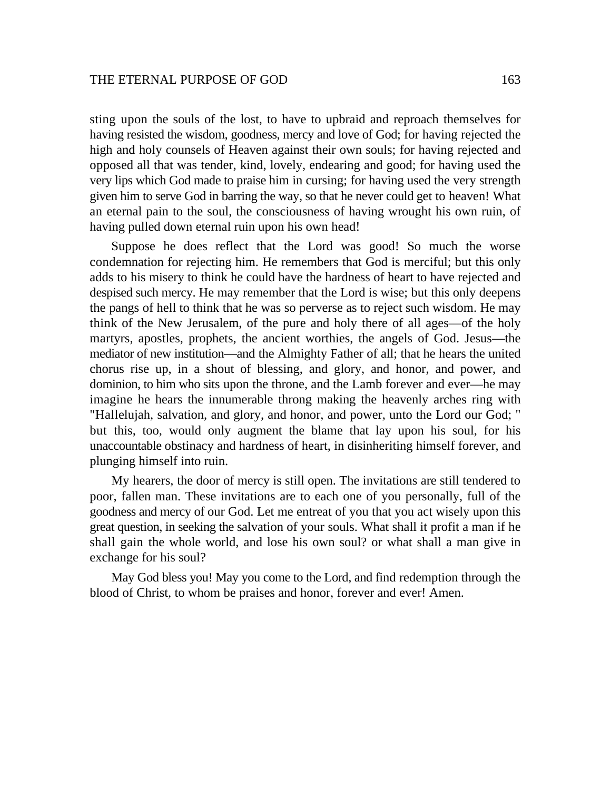sting upon the souls of the lost, to have to upbraid and reproach themselves for having resisted the wisdom, goodness, mercy and love of God; for having rejected the high and holy counsels of Heaven against their own souls; for having rejected and opposed all that was tender, kind, lovely, endearing and good; for having used the very lips which God made to praise him in cursing; for having used the very strength given him to serve God in barring the way, so that he never could get to heaven! What an eternal pain to the soul, the consciousness of having wrought his own ruin, of having pulled down eternal ruin upon his own head!

Suppose he does reflect that the Lord was good! So much the worse condemnation for rejecting him. He remembers that God is merciful; but this only adds to his misery to think he could have the hardness of heart to have rejected and despised such mercy. He may remember that the Lord is wise; but this only deepens the pangs of hell to think that he was so perverse as to reject such wisdom. He may think of the New Jerusalem, of the pure and holy there of all ages—of the holy martyrs, apostles, prophets, the ancient worthies, the angels of God. Jesus—the mediator of new institution—and the Almighty Father of all; that he hears the united chorus rise up, in a shout of blessing, and glory, and honor, and power, and dominion, to him who sits upon the throne, and the Lamb forever and ever—he may imagine he hears the innumerable throng making the heavenly arches ring with "Hallelujah, salvation, and glory, and honor, and power, unto the Lord our God; " but this, too, would only augment the blame that lay upon his soul, for his unaccountable obstinacy and hardness of heart, in disinheriting himself forever, and plunging himself into ruin.

My hearers, the door of mercy is still open. The invitations are still tendered to poor, fallen man. These invitations are to each one of you personally, full of the goodness and mercy of our God. Let me entreat of you that you act wisely upon this great question, in seeking the salvation of your souls. What shall it profit a man if he shall gain the whole world, and lose his own soul? or what shall a man give in exchange for his soul?

May God bless you! May you come to the Lord, and find redemption through the blood of Christ, to whom be praises and honor, forever and ever! Amen.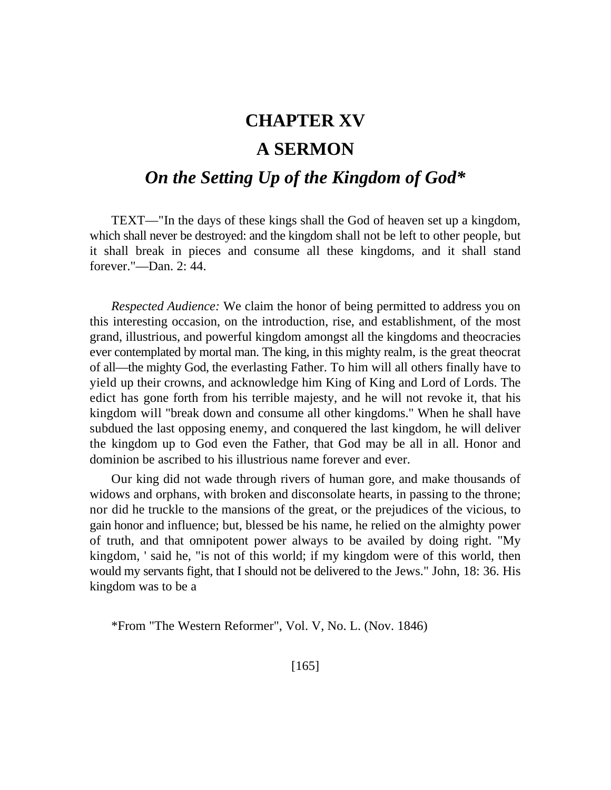## **CHAPTER XV**

### **A SERMON**

### *On the Setting Up of the Kingdom of God\**

TEXT—"In the days of these kings shall the God of heaven set up a kingdom, which shall never be destroyed: and the kingdom shall not be left to other people, but it shall break in pieces and consume all these kingdoms, and it shall stand forever."—Dan. 2: 44.

*Respected Audience:* We claim the honor of being permitted to address you on this interesting occasion, on the introduction, rise, and establishment, of the most grand, illustrious, and powerful kingdom amongst all the kingdoms and theocracies ever contemplated by mortal man. The king, in this mighty realm, is the great theocrat of all—the mighty God, the everlasting Father. To him will all others finally have to yield up their crowns, and acknowledge him King of King and Lord of Lords. The edict has gone forth from his terrible majesty, and he will not revoke it, that his kingdom will "break down and consume all other kingdoms." When he shall have subdued the last opposing enemy, and conquered the last kingdom, he will deliver the kingdom up to God even the Father, that God may be all in all. Honor and dominion be ascribed to his illustrious name forever and ever.

Our king did not wade through rivers of human gore, and make thousands of widows and orphans, with broken and disconsolate hearts, in passing to the throne; nor did he truckle to the mansions of the great, or the prejudices of the vicious, to gain honor and influence; but, blessed be his name, he relied on the almighty power of truth, and that omnipotent power always to be availed by doing right. "My kingdom, ' said he, "is not of this world; if my kingdom were of this world, then would my servants fight, that I should not be delivered to the Jews." John, 18: 36. His kingdom was to be a

\*From "The Western Reformer", Vol. V, No. L. (Nov. 1846)

[165]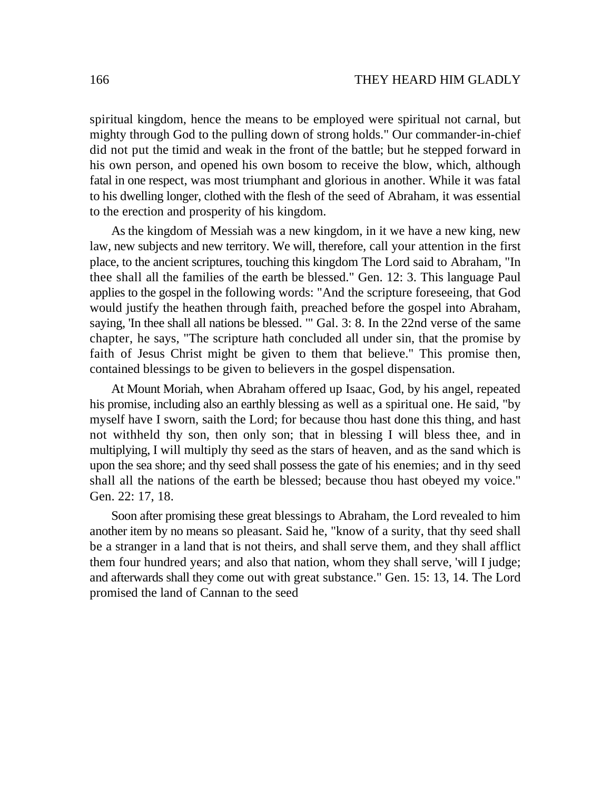spiritual kingdom, hence the means to be employed were spiritual not carnal, but mighty through God to the pulling down of strong holds." Our commander-in-chief did not put the timid and weak in the front of the battle; but he stepped forward in his own person, and opened his own bosom to receive the blow, which, although fatal in one respect, was most triumphant and glorious in another. While it was fatal to his dwelling longer, clothed with the flesh of the seed of Abraham, it was essential to the erection and prosperity of his kingdom.

As the kingdom of Messiah was a new kingdom, in it we have a new king, new law, new subjects and new territory. We will, therefore, call your attention in the first place, to the ancient scriptures, touching this kingdom The Lord said to Abraham, "In thee shall all the families of the earth be blessed." Gen. 12: 3. This language Paul applies to the gospel in the following words: "And the scripture foreseeing, that God would justify the heathen through faith, preached before the gospel into Abraham, saying, 'In thee shall all nations be blessed. '" Gal. 3: 8. In the 22nd verse of the same chapter, he says, "The scripture hath concluded all under sin, that the promise by faith of Jesus Christ might be given to them that believe." This promise then, contained blessings to be given to believers in the gospel dispensation.

At Mount Moriah, when Abraham offered up Isaac, God, by his angel, repeated his promise, including also an earthly blessing as well as a spiritual one. He said, "by myself have I sworn, saith the Lord; for because thou hast done this thing, and hast not withheld thy son, then only son; that in blessing I will bless thee, and in multiplying, I will multiply thy seed as the stars of heaven, and as the sand which is upon the sea shore; and thy seed shall possess the gate of his enemies; and in thy seed shall all the nations of the earth be blessed; because thou hast obeyed my voice." Gen. 22: 17, 18.

Soon after promising these great blessings to Abraham, the Lord revealed to him another item by no means so pleasant. Said he, "know of a surity, that thy seed shall be a stranger in a land that is not theirs, and shall serve them, and they shall afflict them four hundred years; and also that nation, whom they shall serve, 'will I judge; and afterwards shall they come out with great substance." Gen. 15: 13, 14. The Lord promised the land of Cannan to the seed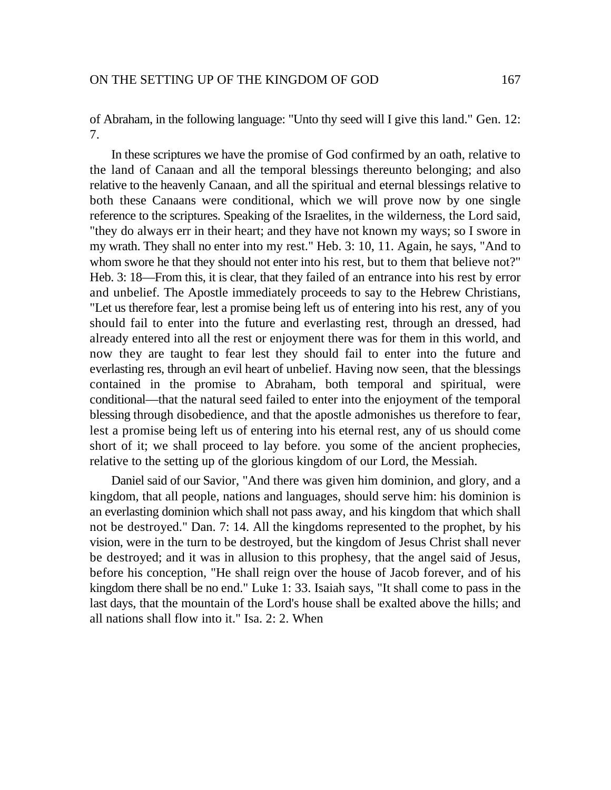of Abraham, in the following language: "Unto thy seed will I give this land." Gen. 12: 7.

In these scriptures we have the promise of God confirmed by an oath, relative to the land of Canaan and all the temporal blessings thereunto belonging; and also relative to the heavenly Canaan, and all the spiritual and eternal blessings relative to both these Canaans were conditional, which we will prove now by one single reference to the scriptures. Speaking of the Israelites, in the wilderness, the Lord said, "they do always err in their heart; and they have not known my ways; so I swore in my wrath. They shall no enter into my rest." Heb. 3: 10, 11. Again, he says, "And to whom swore he that they should not enter into his rest, but to them that believe not?" Heb. 3: 18—From this, it is clear, that they failed of an entrance into his rest by error and unbelief. The Apostle immediately proceeds to say to the Hebrew Christians, "Let us therefore fear, lest a promise being left us of entering into his rest, any of you should fail to enter into the future and everlasting rest, through an dressed, had already entered into all the rest or enjoyment there was for them in this world, and now they are taught to fear lest they should fail to enter into the future and everlasting res, through an evil heart of unbelief. Having now seen, that the blessings contained in the promise to Abraham, both temporal and spiritual, were conditional—that the natural seed failed to enter into the enjoyment of the temporal blessing through disobedience, and that the apostle admonishes us therefore to fear, lest a promise being left us of entering into his eternal rest, any of us should come short of it; we shall proceed to lay before. you some of the ancient prophecies, relative to the setting up of the glorious kingdom of our Lord, the Messiah.

Daniel said of our Savior, "And there was given him dominion, and glory, and a kingdom, that all people, nations and languages, should serve him: his dominion is an everlasting dominion which shall not pass away, and his kingdom that which shall not be destroyed." Dan. 7: 14. All the kingdoms represented to the prophet, by his vision, were in the turn to be destroyed, but the kingdom of Jesus Christ shall never be destroyed; and it was in allusion to this prophesy, that the angel said of Jesus, before his conception, "He shall reign over the house of Jacob forever, and of his kingdom there shall be no end." Luke 1: 33. Isaiah says, "It shall come to pass in the last days, that the mountain of the Lord's house shall be exalted above the hills; and all nations shall flow into it." Isa. 2: 2. When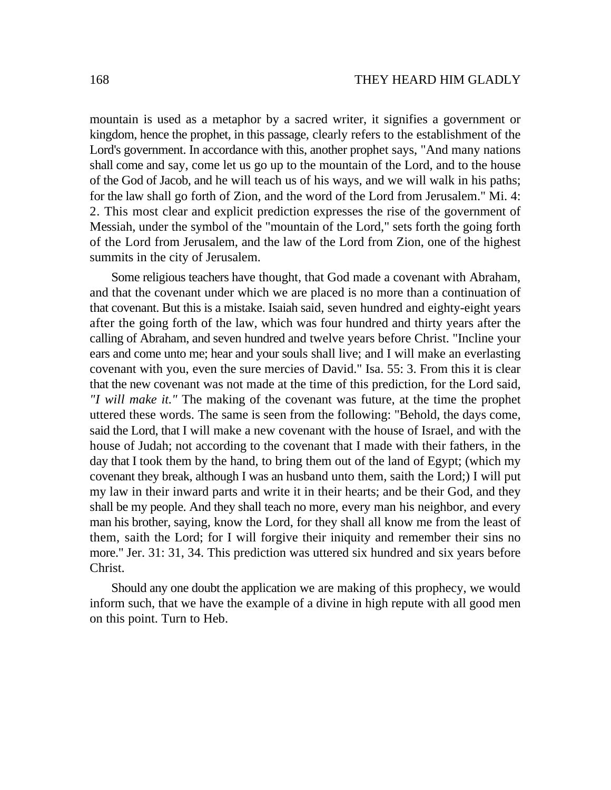mountain is used as a metaphor by a sacred writer, it signifies a government or kingdom, hence the prophet, in this passage, clearly refers to the establishment of the Lord's government. In accordance with this, another prophet says, "And many nations shall come and say, come let us go up to the mountain of the Lord, and to the house of the God of Jacob, and he will teach us of his ways, and we will walk in his paths; for the law shall go forth of Zion, and the word of the Lord from Jerusalem." Mi. 4: 2. This most clear and explicit prediction expresses the rise of the government of Messiah, under the symbol of the "mountain of the Lord," sets forth the going forth of the Lord from Jerusalem, and the law of the Lord from Zion, one of the highest summits in the city of Jerusalem.

Some religious teachers have thought, that God made a covenant with Abraham, and that the covenant under which we are placed is no more than a continuation of that covenant. But this is a mistake. Isaiah said, seven hundred and eighty-eight years after the going forth of the law, which was four hundred and thirty years after the calling of Abraham, and seven hundred and twelve years before Christ. "Incline your ears and come unto me; hear and your souls shall live; and I will make an everlasting covenant with you, even the sure mercies of David." Isa. 55: 3. From this it is clear that the new covenant was not made at the time of this prediction, for the Lord said, *"I will make it."* The making of the covenant was future, at the time the prophet uttered these words. The same is seen from the following: "Behold, the days come, said the Lord, that I will make a new covenant with the house of Israel, and with the house of Judah; not according to the covenant that I made with their fathers, in the day that I took them by the hand, to bring them out of the land of Egypt; (which my covenant they break, although I was an husband unto them, saith the Lord;) I will put my law in their inward parts and write it in their hearts; and be their God, and they shall be my people. And they shall teach no more, every man his neighbor, and every man his brother, saying, know the Lord, for they shall all know me from the least of them, saith the Lord; for I will forgive their iniquity and remember their sins no more." Jer. 31: 31, 34. This prediction was uttered six hundred and six years before Christ.

Should any one doubt the application we are making of this prophecy, we would inform such, that we have the example of a divine in high repute with all good men on this point. Turn to Heb.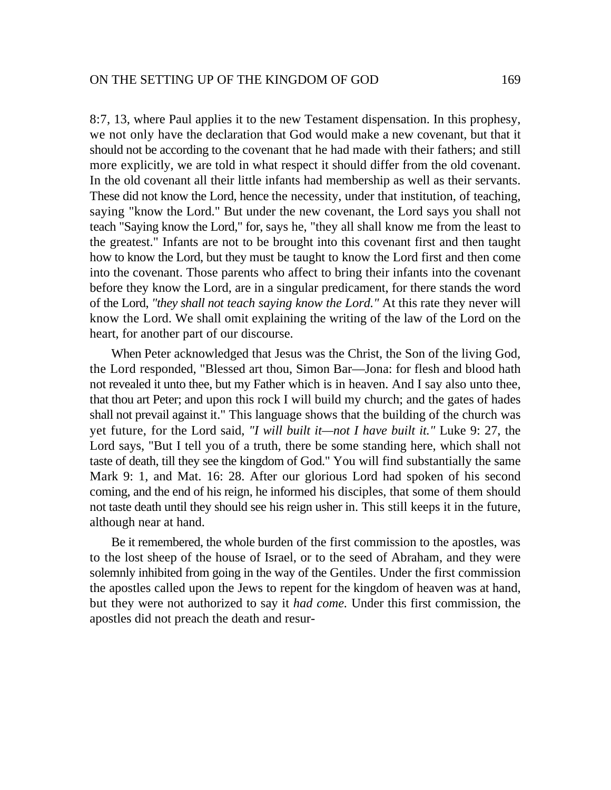8:7, 13, where Paul applies it to the new Testament dispensation. In this prophesy, we not only have the declaration that God would make a new covenant, but that it should not be according to the covenant that he had made with their fathers; and still more explicitly, we are told in what respect it should differ from the old covenant. In the old covenant all their little infants had membership as well as their servants. These did not know the Lord, hence the necessity, under that institution, of teaching, saying "know the Lord." But under the new covenant, the Lord says you shall not teach "Saying know the Lord," for, says he, "they all shall know me from the least to the greatest." Infants are not to be brought into this covenant first and then taught how to know the Lord, but they must be taught to know the Lord first and then come into the covenant. Those parents who affect to bring their infants into the covenant before they know the Lord, are in a singular predicament, for there stands the word of the Lord, *"they shall not teach saying know the Lord."* At this rate they never will know the Lord. We shall omit explaining the writing of the law of the Lord on the heart, for another part of our discourse.

When Peter acknowledged that Jesus was the Christ, the Son of the living God, the Lord responded, "Blessed art thou, Simon Bar—Jona: for flesh and blood hath not revealed it unto thee, but my Father which is in heaven. And I say also unto thee, that thou art Peter; and upon this rock I will build my church; and the gates of hades shall not prevail against it." This language shows that the building of the church was yet future, for the Lord said, *"I will built it—not I have built it."* Luke 9: 27, the Lord says, "But I tell you of a truth, there be some standing here, which shall not taste of death, till they see the kingdom of God." You will find substantially the same Mark 9: 1, and Mat. 16: 28. After our glorious Lord had spoken of his second coming, and the end of his reign, he informed his disciples, that some of them should not taste death until they should see his reign usher in. This still keeps it in the future, although near at hand.

Be it remembered, the whole burden of the first commission to the apostles, was to the lost sheep of the house of Israel, or to the seed of Abraham, and they were solemnly inhibited from going in the way of the Gentiles. Under the first commission the apostles called upon the Jews to repent for the kingdom of heaven was at hand, but they were not authorized to say it *had come.* Under this first commission, the apostles did not preach the death and resur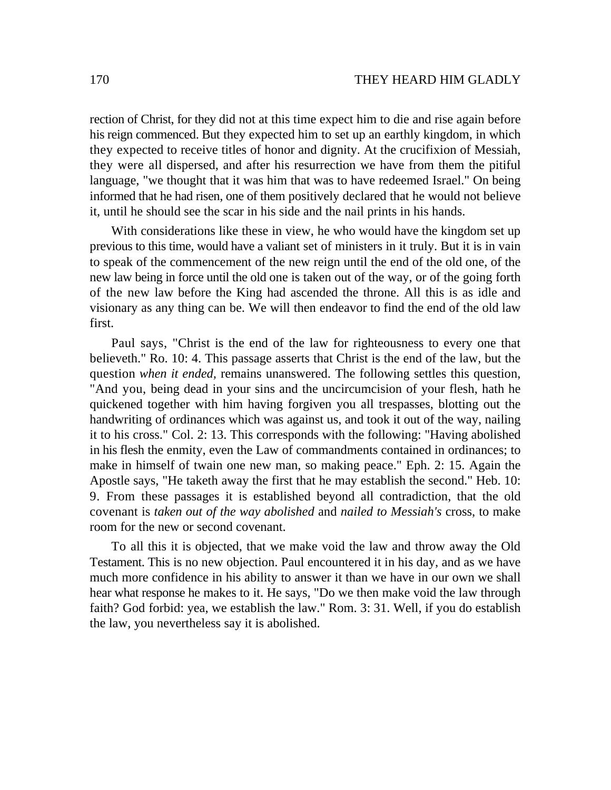rection of Christ, for they did not at this time expect him to die and rise again before his reign commenced. But they expected him to set up an earthly kingdom, in which they expected to receive titles of honor and dignity. At the crucifixion of Messiah, they were all dispersed, and after his resurrection we have from them the pitiful language, "we thought that it was him that was to have redeemed Israel." On being informed that he had risen, one of them positively declared that he would not believe it, until he should see the scar in his side and the nail prints in his hands.

With considerations like these in view, he who would have the kingdom set up previous to this time, would have a valiant set of ministers in it truly. But it is in vain to speak of the commencement of the new reign until the end of the old one, of the new law being in force until the old one is taken out of the way, or of the going forth of the new law before the King had ascended the throne. All this is as idle and visionary as any thing can be. We will then endeavor to find the end of the old law first.

Paul says, "Christ is the end of the law for righteousness to every one that believeth." Ro. 10: 4. This passage asserts that Christ is the end of the law, but the question *when it ended,* remains unanswered. The following settles this question, "And you, being dead in your sins and the uncircumcision of your flesh, hath he quickened together with him having forgiven you all trespasses, blotting out the handwriting of ordinances which was against us, and took it out of the way, nailing it to his cross." Col. 2: 13. This corresponds with the following: "Having abolished in his flesh the enmity, even the Law of commandments contained in ordinances; to make in himself of twain one new man, so making peace." Eph. 2: 15. Again the Apostle says, "He taketh away the first that he may establish the second." Heb. 10: 9. From these passages it is established beyond all contradiction, that the old covenant is *taken out of the way abolished* and *nailed to Messiah's* cross, to make room for the new or second covenant.

To all this it is objected, that we make void the law and throw away the Old Testament. This is no new objection. Paul encountered it in his day, and as we have much more confidence in his ability to answer it than we have in our own we shall hear what response he makes to it. He says, "Do we then make void the law through faith? God forbid: yea, we establish the law." Rom. 3: 31. Well, if you do establish the law, you nevertheless say it is abolished.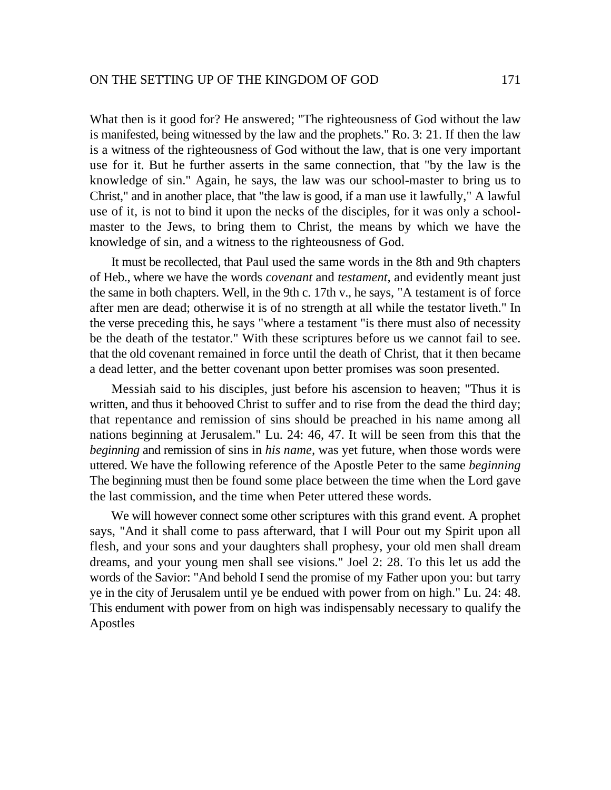What then is it good for? He answered; "The righteousness of God without the law is manifested, being witnessed by the law and the prophets." Ro. 3: 21. If then the law is a witness of the righteousness of God without the law, that is one very important use for it. But he further asserts in the same connection, that "by the law is the knowledge of sin." Again, he says, the law was our school-master to bring us to Christ," and in another place, that "the law is good, if a man use it lawfully," A lawful use of it, is not to bind it upon the necks of the disciples, for it was only a schoolmaster to the Jews, to bring them to Christ, the means by which we have the knowledge of sin, and a witness to the righteousness of God.

It must be recollected, that Paul used the same words in the 8th and 9th chapters of Heb., where we have the words *covenant* and *testament,* and evidently meant just the same in both chapters. Well, in the 9th c. 17th v., he says, "A testament is of force after men are dead; otherwise it is of no strength at all while the testator liveth." In the verse preceding this, he says "where a testament "is there must also of necessity be the death of the testator." With these scriptures before us we cannot fail to see. that the old covenant remained in force until the death of Christ, that it then became a dead letter, and the better covenant upon better promises was soon presented.

Messiah said to his disciples, just before his ascension to heaven; "Thus it is written, and thus it behooved Christ to suffer and to rise from the dead the third day; that repentance and remission of sins should be preached in his name among all nations beginning at Jerusalem." Lu. 24: 46, 47. It will be seen from this that the *beginning* and remission of sins in *his name,* was yet future, when those words were uttered. We have the following reference of the Apostle Peter to the same *beginning* The beginning must then be found some place between the time when the Lord gave the last commission, and the time when Peter uttered these words.

We will however connect some other scriptures with this grand event. A prophet says, "And it shall come to pass afterward, that I will Pour out my Spirit upon all flesh, and your sons and your daughters shall prophesy, your old men shall dream dreams, and your young men shall see visions." Joel 2: 28. To this let us add the words of the Savior: "And behold I send the promise of my Father upon you: but tarry ye in the city of Jerusalem until ye be endued with power from on high." Lu. 24: 48. This endument with power from on high was indispensably necessary to qualify the Apostles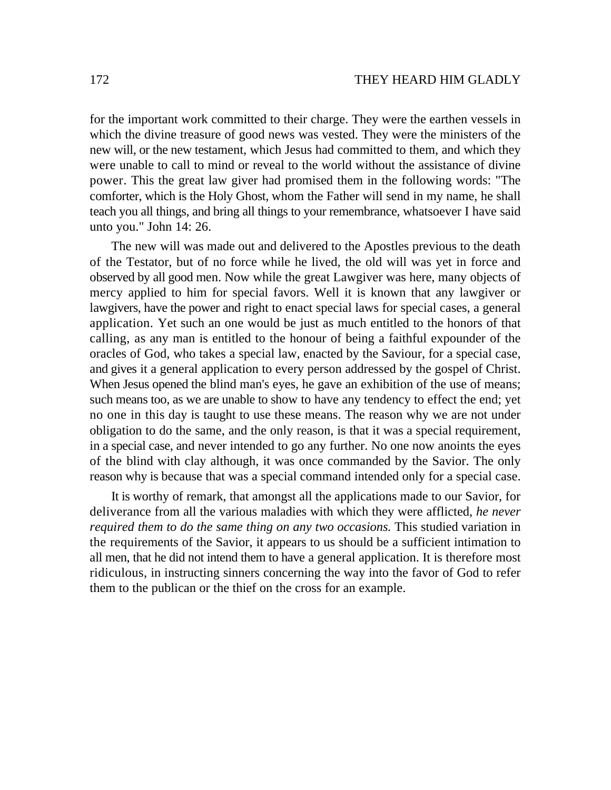for the important work committed to their charge. They were the earthen vessels in which the divine treasure of good news was vested. They were the ministers of the new will, or the new testament, which Jesus had committed to them, and which they were unable to call to mind or reveal to the world without the assistance of divine power. This the great law giver had promised them in the following words: "The comforter, which is the Holy Ghost, whom the Father will send in my name, he shall teach you all things, and bring all things to your remembrance, whatsoever I have said unto you." John 14: 26.

The new will was made out and delivered to the Apostles previous to the death of the Testator, but of no force while he lived, the old will was yet in force and observed by all good men. Now while the great Lawgiver was here, many objects of mercy applied to him for special favors. Well it is known that any lawgiver or lawgivers, have the power and right to enact special laws for special cases, a general application. Yet such an one would be just as much entitled to the honors of that calling, as any man is entitled to the honour of being a faithful expounder of the oracles of God, who takes a special law, enacted by the Saviour, for a special case, and gives it a general application to every person addressed by the gospel of Christ. When Jesus opened the blind man's eyes, he gave an exhibition of the use of means; such means too, as we are unable to show to have any tendency to effect the end; yet no one in this day is taught to use these means. The reason why we are not under obligation to do the same, and the only reason, is that it was a special requirement, in a special case, and never intended to go any further. No one now anoints the eyes of the blind with clay although, it was once commanded by the Savior. The only reason why is because that was a special command intended only for a special case.

It is worthy of remark, that amongst all the applications made to our Savior, for deliverance from all the various maladies with which they were afflicted, *he never required them to do the same thing on any two occasions.* This studied variation in the requirements of the Savior, it appears to us should be a sufficient intimation to all men, that he did not intend them to have a general application. It is therefore most ridiculous, in instructing sinners concerning the way into the favor of God to refer them to the publican or the thief on the cross for an example.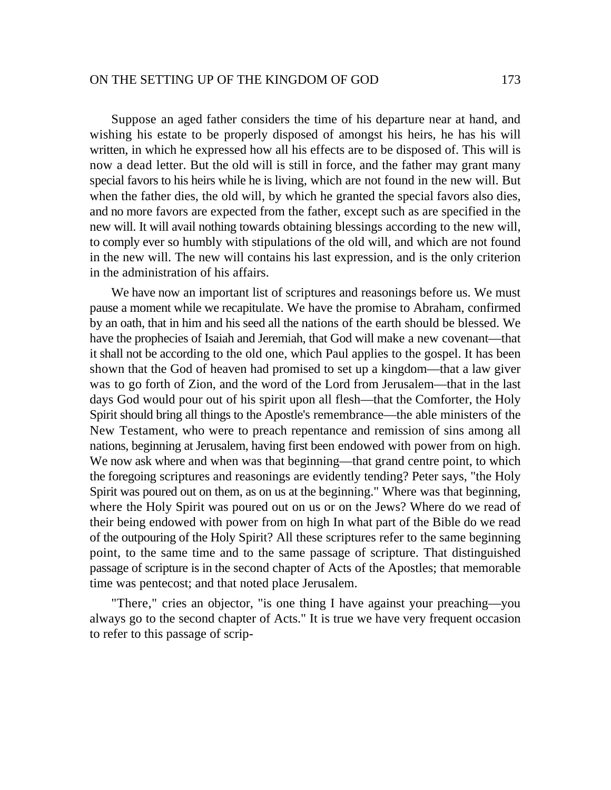Suppose an aged father considers the time of his departure near at hand, and wishing his estate to be properly disposed of amongst his heirs, he has his will written, in which he expressed how all his effects are to be disposed of. This will is now a dead letter. But the old will is still in force, and the father may grant many special favors to his heirs while he is living, which are not found in the new will. But when the father dies, the old will, by which he granted the special favors also dies, and no more favors are expected from the father, except such as are specified in the new will. It will avail nothing towards obtaining blessings according to the new will, to comply ever so humbly with stipulations of the old will, and which are not found in the new will. The new will contains his last expression, and is the only criterion in the administration of his affairs.

We have now an important list of scriptures and reasonings before us. We must pause a moment while we recapitulate. We have the promise to Abraham, confirmed by an oath, that in him and his seed all the nations of the earth should be blessed. We have the prophecies of Isaiah and Jeremiah, that God will make a new covenant—that it shall not be according to the old one, which Paul applies to the gospel. It has been shown that the God of heaven had promised to set up a kingdom—that a law giver was to go forth of Zion, and the word of the Lord from Jerusalem—that in the last days God would pour out of his spirit upon all flesh—that the Comforter, the Holy Spirit should bring all things to the Apostle's remembrance—the able ministers of the New Testament, who were to preach repentance and remission of sins among all nations, beginning at Jerusalem, having first been endowed with power from on high. We now ask where and when was that beginning—that grand centre point, to which the foregoing scriptures and reasonings are evidently tending? Peter says, "the Holy Spirit was poured out on them, as on us at the beginning." Where was that beginning, where the Holy Spirit was poured out on us or on the Jews? Where do we read of their being endowed with power from on high In what part of the Bible do we read of the outpouring of the Holy Spirit? All these scriptures refer to the same beginning point, to the same time and to the same passage of scripture. That distinguished passage of scripture is in the second chapter of Acts of the Apostles; that memorable time was pentecost; and that noted place Jerusalem.

"There," cries an objector, "is one thing I have against your preaching—you always go to the second chapter of Acts." It is true we have very frequent occasion to refer to this passage of scrip-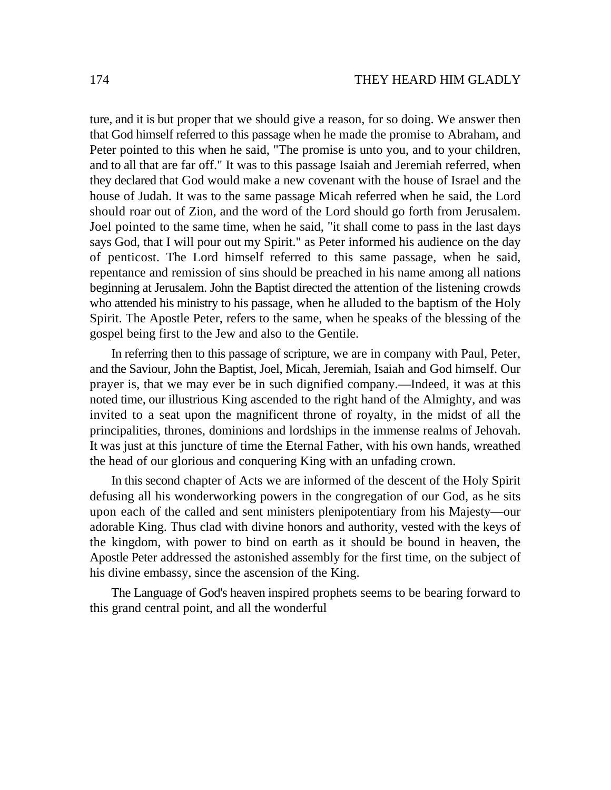ture, and it is but proper that we should give a reason, for so doing. We answer then that God himself referred to this passage when he made the promise to Abraham, and Peter pointed to this when he said, "The promise is unto you, and to your children, and to all that are far off." It was to this passage Isaiah and Jeremiah referred, when they declared that God would make a new covenant with the house of Israel and the house of Judah. It was to the same passage Micah referred when he said, the Lord should roar out of Zion, and the word of the Lord should go forth from Jerusalem. Joel pointed to the same time, when he said, "it shall come to pass in the last days says God, that I will pour out my Spirit." as Peter informed his audience on the day of penticost. The Lord himself referred to this same passage, when he said, repentance and remission of sins should be preached in his name among all nations beginning at Jerusalem. John the Baptist directed the attention of the listening crowds who attended his ministry to his passage, when he alluded to the baptism of the Holy Spirit. The Apostle Peter, refers to the same, when he speaks of the blessing of the gospel being first to the Jew and also to the Gentile.

In referring then to this passage of scripture, we are in company with Paul, Peter, and the Saviour, John the Baptist, Joel, Micah, Jeremiah, Isaiah and God himself. Our prayer is, that we may ever be in such dignified company.—Indeed, it was at this noted time, our illustrious King ascended to the right hand of the Almighty, and was invited to a seat upon the magnificent throne of royalty, in the midst of all the principalities, thrones, dominions and lordships in the immense realms of Jehovah. It was just at this juncture of time the Eternal Father, with his own hands, wreathed the head of our glorious and conquering King with an unfading crown.

In this second chapter of Acts we are informed of the descent of the Holy Spirit defusing all his wonderworking powers in the congregation of our God, as he sits upon each of the called and sent ministers plenipotentiary from his Majesty—our adorable King. Thus clad with divine honors and authority, vested with the keys of the kingdom, with power to bind on earth as it should be bound in heaven, the Apostle Peter addressed the astonished assembly for the first time, on the subject of his divine embassy, since the ascension of the King.

The Language of God's heaven inspired prophets seems to be bearing forward to this grand central point, and all the wonderful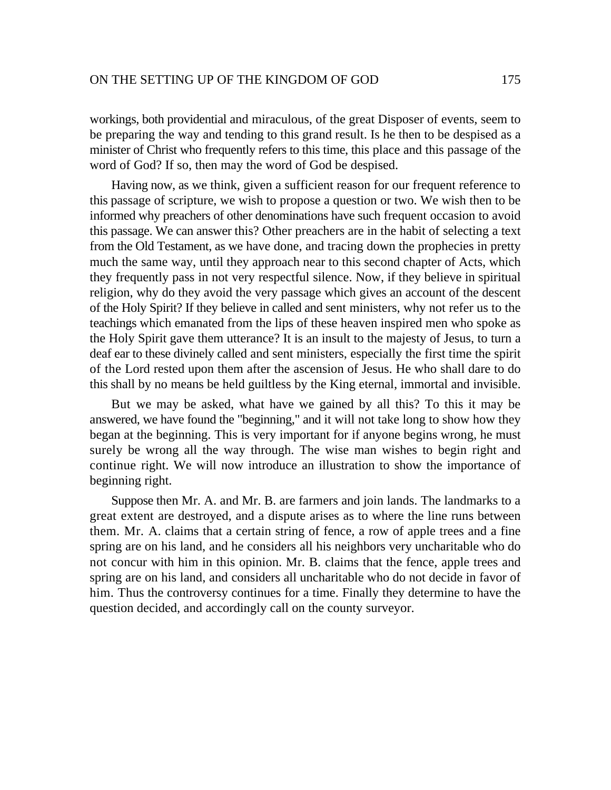workings, both providential and miraculous, of the great Disposer of events, seem to be preparing the way and tending to this grand result. Is he then to be despised as a minister of Christ who frequently refers to this time, this place and this passage of the word of God? If so, then may the word of God be despised.

Having now, as we think, given a sufficient reason for our frequent reference to this passage of scripture, we wish to propose a question or two. We wish then to be informed why preachers of other denominations have such frequent occasion to avoid this passage. We can answer this? Other preachers are in the habit of selecting a text from the Old Testament, as we have done, and tracing down the prophecies in pretty much the same way, until they approach near to this second chapter of Acts, which they frequently pass in not very respectful silence. Now, if they believe in spiritual religion, why do they avoid the very passage which gives an account of the descent of the Holy Spirit? If they believe in called and sent ministers, why not refer us to the teachings which emanated from the lips of these heaven inspired men who spoke as the Holy Spirit gave them utterance? It is an insult to the majesty of Jesus, to turn a deaf ear to these divinely called and sent ministers, especially the first time the spirit of the Lord rested upon them after the ascension of Jesus. He who shall dare to do this shall by no means be held guiltless by the King eternal, immortal and invisible.

But we may be asked, what have we gained by all this? To this it may be answered, we have found the "beginning," and it will not take long to show how they began at the beginning. This is very important for if anyone begins wrong, he must surely be wrong all the way through. The wise man wishes to begin right and continue right. We will now introduce an illustration to show the importance of beginning right.

Suppose then Mr. A. and Mr. B. are farmers and join lands. The landmarks to a great extent are destroyed, and a dispute arises as to where the line runs between them. Mr. A. claims that a certain string of fence, a row of apple trees and a fine spring are on his land, and he considers all his neighbors very uncharitable who do not concur with him in this opinion. Mr. B. claims that the fence, apple trees and spring are on his land, and considers all uncharitable who do not decide in favor of him. Thus the controversy continues for a time. Finally they determine to have the question decided, and accordingly call on the county surveyor.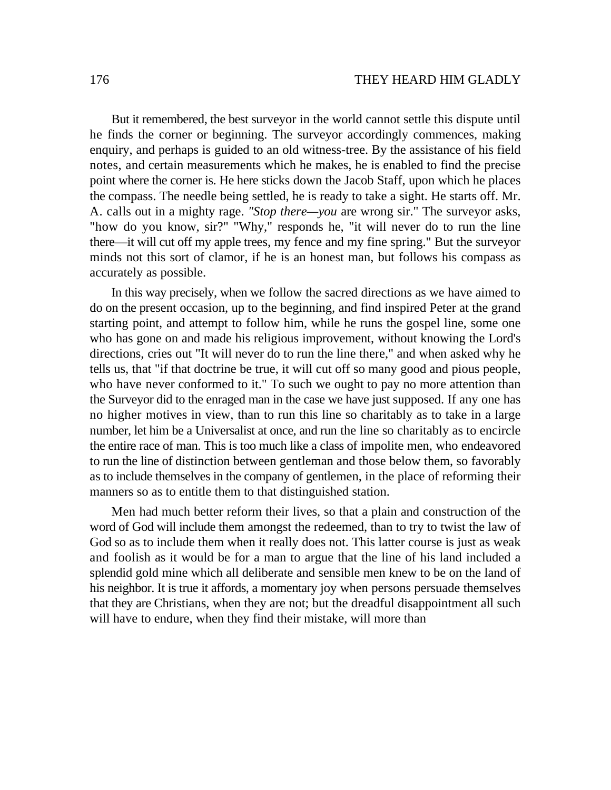But it remembered, the best surveyor in the world cannot settle this dispute until he finds the corner or beginning. The surveyor accordingly commences, making enquiry, and perhaps is guided to an old witness-tree. By the assistance of his field notes, and certain measurements which he makes, he is enabled to find the precise point where the corner is. He here sticks down the Jacob Staff, upon which he places the compass. The needle being settled, he is ready to take a sight. He starts off. Mr. A. calls out in a mighty rage. *"Stop there—you* are wrong sir." The surveyor asks, "how do you know, sir?" "Why," responds he, "it will never do to run the line there—it will cut off my apple trees, my fence and my fine spring." But the surveyor minds not this sort of clamor, if he is an honest man, but follows his compass as accurately as possible.

In this way precisely, when we follow the sacred directions as we have aimed to do on the present occasion, up to the beginning, and find inspired Peter at the grand starting point, and attempt to follow him, while he runs the gospel line, some one who has gone on and made his religious improvement, without knowing the Lord's directions, cries out "It will never do to run the line there," and when asked why he tells us, that "if that doctrine be true, it will cut off so many good and pious people, who have never conformed to it." To such we ought to pay no more attention than the Surveyor did to the enraged man in the case we have just supposed. If any one has no higher motives in view, than to run this line so charitably as to take in a large number, let him be a Universalist at once, and run the line so charitably as to encircle the entire race of man. This is too much like a class of impolite men, who endeavored to run the line of distinction between gentleman and those below them, so favorably as to include themselves in the company of gentlemen, in the place of reforming their manners so as to entitle them to that distinguished station.

Men had much better reform their lives, so that a plain and construction of the word of God will include them amongst the redeemed, than to try to twist the law of God so as to include them when it really does not. This latter course is just as weak and foolish as it would be for a man to argue that the line of his land included a splendid gold mine which all deliberate and sensible men knew to be on the land of his neighbor. It is true it affords, a momentary joy when persons persuade themselves that they are Christians, when they are not; but the dreadful disappointment all such will have to endure, when they find their mistake, will more than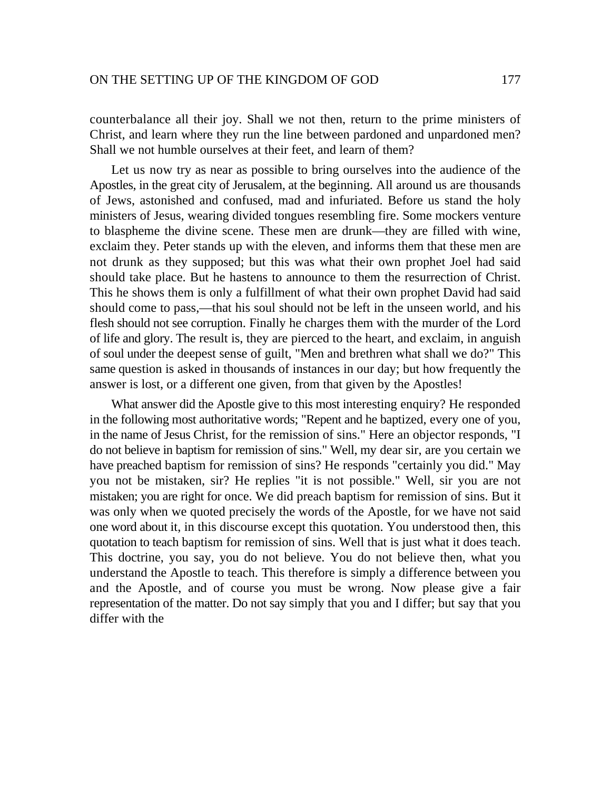counterbalance all their joy. Shall we not then, return to the prime ministers of Christ, and learn where they run the line between pardoned and unpardoned men? Shall we not humble ourselves at their feet, and learn of them?

Let us now try as near as possible to bring ourselves into the audience of the Apostles, in the great city of Jerusalem, at the beginning. All around us are thousands of Jews, astonished and confused, mad and infuriated. Before us stand the holy ministers of Jesus, wearing divided tongues resembling fire. Some mockers venture to blaspheme the divine scene. These men are drunk—they are filled with wine, exclaim they. Peter stands up with the eleven, and informs them that these men are not drunk as they supposed; but this was what their own prophet Joel had said should take place. But he hastens to announce to them the resurrection of Christ. This he shows them is only a fulfillment of what their own prophet David had said should come to pass,—that his soul should not be left in the unseen world, and his flesh should not see corruption. Finally he charges them with the murder of the Lord of life and glory. The result is, they are pierced to the heart, and exclaim, in anguish of soul under the deepest sense of guilt, "Men and brethren what shall we do?" This same question is asked in thousands of instances in our day; but how frequently the answer is lost, or a different one given, from that given by the Apostles!

What answer did the Apostle give to this most interesting enquiry? He responded in the following most authoritative words; "Repent and he baptized, every one of you, in the name of Jesus Christ, for the remission of sins." Here an objector responds, "I do not believe in baptism for remission of sins." Well, my dear sir, are you certain we have preached baptism for remission of sins? He responds "certainly you did." May you not be mistaken, sir? He replies "it is not possible." Well, sir you are not mistaken; you are right for once. We did preach baptism for remission of sins. But it was only when we quoted precisely the words of the Apostle, for we have not said one word about it, in this discourse except this quotation. You understood then, this quotation to teach baptism for remission of sins. Well that is just what it does teach. This doctrine, you say, you do not believe. You do not believe then, what you understand the Apostle to teach. This therefore is simply a difference between you and the Apostle, and of course you must be wrong. Now please give a fair representation of the matter. Do not say simply that you and I differ; but say that you differ with the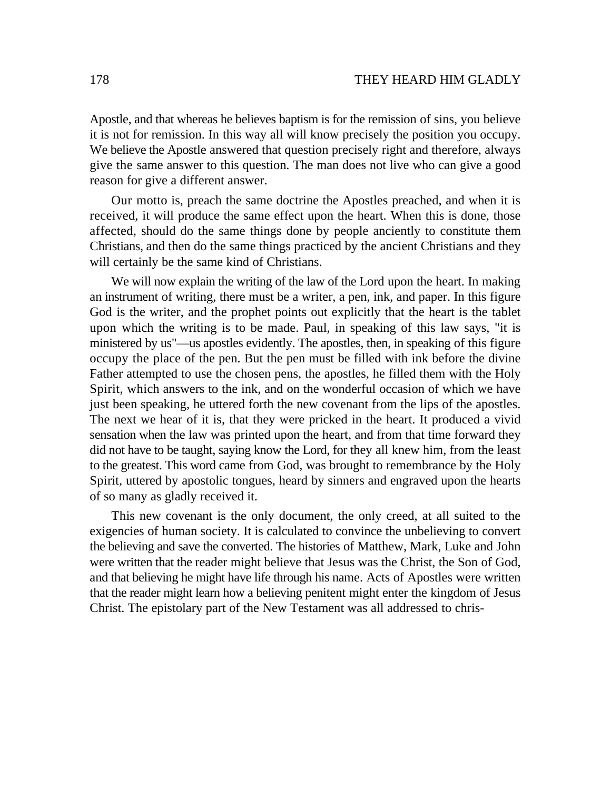Apostle, and that whereas he believes baptism is for the remission of sins, you believe it is not for remission. In this way all will know precisely the position you occupy. We believe the Apostle answered that question precisely right and therefore, always give the same answer to this question. The man does not live who can give a good reason for give a different answer.

Our motto is, preach the same doctrine the Apostles preached, and when it is received, it will produce the same effect upon the heart. When this is done, those affected, should do the same things done by people anciently to constitute them Christians, and then do the same things practiced by the ancient Christians and they will certainly be the same kind of Christians.

We will now explain the writing of the law of the Lord upon the heart. In making an instrument of writing, there must be a writer, a pen, ink, and paper. In this figure God is the writer, and the prophet points out explicitly that the heart is the tablet upon which the writing is to be made. Paul, in speaking of this law says, "it is ministered by us"—us apostles evidently. The apostles, then, in speaking of this figure occupy the place of the pen. But the pen must be filled with ink before the divine Father attempted to use the chosen pens, the apostles, he filled them with the Holy Spirit, which answers to the ink, and on the wonderful occasion of which we have just been speaking, he uttered forth the new covenant from the lips of the apostles. The next we hear of it is, that they were pricked in the heart. It produced a vivid sensation when the law was printed upon the heart, and from that time forward they did not have to be taught, saying know the Lord, for they all knew him, from the least to the greatest. This word came from God, was brought to remembrance by the Holy Spirit, uttered by apostolic tongues, heard by sinners and engraved upon the hearts of so many as gladly received it.

This new covenant is the only document, the only creed, at all suited to the exigencies of human society. It is calculated to convince the unbelieving to convert the believing and save the converted. The histories of Matthew, Mark, Luke and John were written that the reader might believe that Jesus was the Christ, the Son of God, and that believing he might have life through his name. Acts of Apostles were written that the reader might learn how a believing penitent might enter the kingdom of Jesus Christ. The epistolary part of the New Testament was all addressed to chris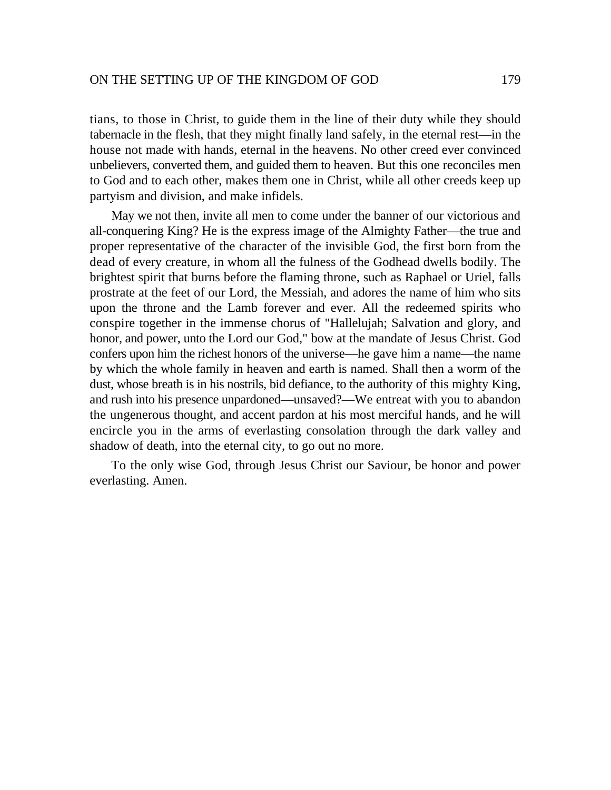tians, to those in Christ, to guide them in the line of their duty while they should tabernacle in the flesh, that they might finally land safely, in the eternal rest—in the house not made with hands, eternal in the heavens. No other creed ever convinced unbelievers, converted them, and guided them to heaven. But this one reconciles men to God and to each other, makes them one in Christ, while all other creeds keep up partyism and division, and make infidels.

May we not then, invite all men to come under the banner of our victorious and all-conquering King? He is the express image of the Almighty Father—the true and proper representative of the character of the invisible God, the first born from the dead of every creature, in whom all the fulness of the Godhead dwells bodily. The brightest spirit that burns before the flaming throne, such as Raphael or Uriel, falls prostrate at the feet of our Lord, the Messiah, and adores the name of him who sits upon the throne and the Lamb forever and ever. All the redeemed spirits who conspire together in the immense chorus of "Hallelujah; Salvation and glory, and honor, and power, unto the Lord our God," bow at the mandate of Jesus Christ. God confers upon him the richest honors of the universe—he gave him a name—the name by which the whole family in heaven and earth is named. Shall then a worm of the dust, whose breath is in his nostrils, bid defiance, to the authority of this mighty King, and rush into his presence unpardoned—unsaved?—We entreat with you to abandon the ungenerous thought, and accent pardon at his most merciful hands, and he will encircle you in the arms of everlasting consolation through the dark valley and shadow of death, into the eternal city, to go out no more.

To the only wise God, through Jesus Christ our Saviour, be honor and power everlasting. Amen.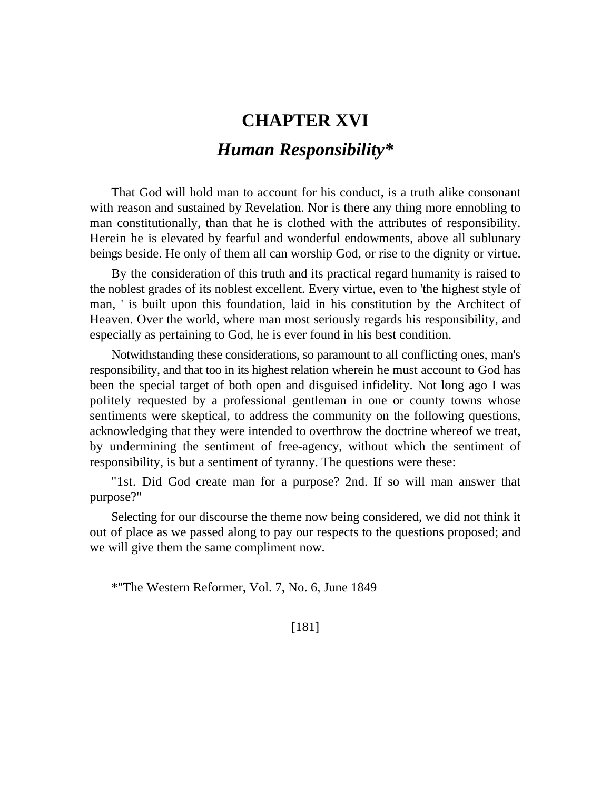## **CHAPTER XVI** *Human Responsibility\**

That God will hold man to account for his conduct, is a truth alike consonant with reason and sustained by Revelation. Nor is there any thing more ennobling to man constitutionally, than that he is clothed with the attributes of responsibility. Herein he is elevated by fearful and wonderful endowments, above all sublunary beings beside. He only of them all can worship God, or rise to the dignity or virtue.

By the consideration of this truth and its practical regard humanity is raised to the noblest grades of its noblest excellent. Every virtue, even to 'the highest style of man, ' is built upon this foundation, laid in his constitution by the Architect of Heaven. Over the world, where man most seriously regards his responsibility, and especially as pertaining to God, he is ever found in his best condition.

Notwithstanding these considerations, so paramount to all conflicting ones, man's responsibility, and that too in its highest relation wherein he must account to God has been the special target of both open and disguised infidelity. Not long ago I was politely requested by a professional gentleman in one or county towns whose sentiments were skeptical, to address the community on the following questions, acknowledging that they were intended to overthrow the doctrine whereof we treat, by undermining the sentiment of free-agency, without which the sentiment of responsibility, is but a sentiment of tyranny. The questions were these:

"1st. Did God create man for a purpose? 2nd. If so will man answer that purpose?"

Selecting for our discourse the theme now being considered, we did not think it out of place as we passed along to pay our respects to the questions proposed; and we will give them the same compliment now.

\*"The Western Reformer, Vol. 7, No. 6, June 1849

[181]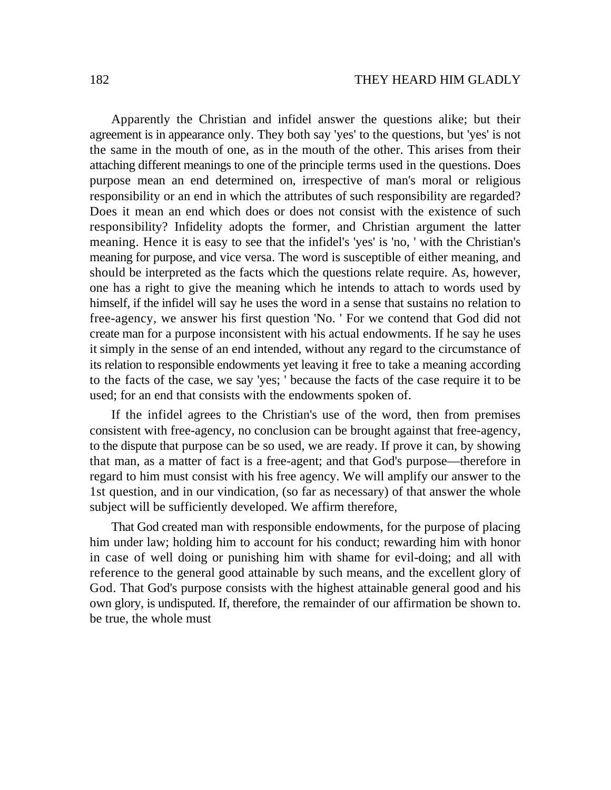Apparently the Christian and infidel answer the questions alike; but their agreement is in appearance only. They both say 'yes' to the questions, but 'yes' is not the same in the mouth of one, as in the mouth of the other. This arises from their attaching different meanings to one of the principle terms used in the questions. Does purpose mean an end determined on, irrespective of man's moral or religious responsibility or an end in which the attributes of such responsibility are regarded? Does it mean an end which does or does not consist with the existence of such responsibility? Infidelity adopts the former, and Christian argument the latter meaning. Hence it is easy to see that the infidel's 'yes' is 'no, ' with the Christian's meaning for purpose, and vice versa. The word is susceptible of either meaning, and should be interpreted as the facts which the questions relate require. As, however, one has a right to give the meaning which he intends to attach to words used by himself, if the infidel will say he uses the word in a sense that sustains no relation to free-agency, we answer his first question 'No. ' For we contend that God did not create man for a purpose inconsistent with his actual endowments. If he say he uses it simply in the sense of an end intended, without any regard to the circumstance of its relation to responsible endowments yet leaving it free to take a meaning according to the facts of the case, we say 'yes; ' because the facts of the case require it to be used; for an end that consists with the endowments spoken of.

If the infidel agrees to the Christian's use of the word, then from premises consistent with free-agency, no conclusion can be brought against that free-agency, to the dispute that purpose can be so used, we are ready. If prove it can, by showing that man, as a matter of fact is a free-agent; and that God's purpose—therefore in regard to him must consist with his free agency. We will amplify our answer to the 1st question, and in our vindication, (so far as necessary) of that answer the whole subject will be sufficiently developed. We affirm therefore,

That God created man with responsible endowments, for the purpose of placing him under law; holding him to account for his conduct; rewarding him with honor in case of well doing or punishing him with shame for evil-doing; and all with reference to the general good attainable by such means, and the excellent glory of God. That God's purpose consists with the highest attainable general good and his own glory, is undisputed. If, therefore, the remainder of our affirmation be shown to. be true, the whole must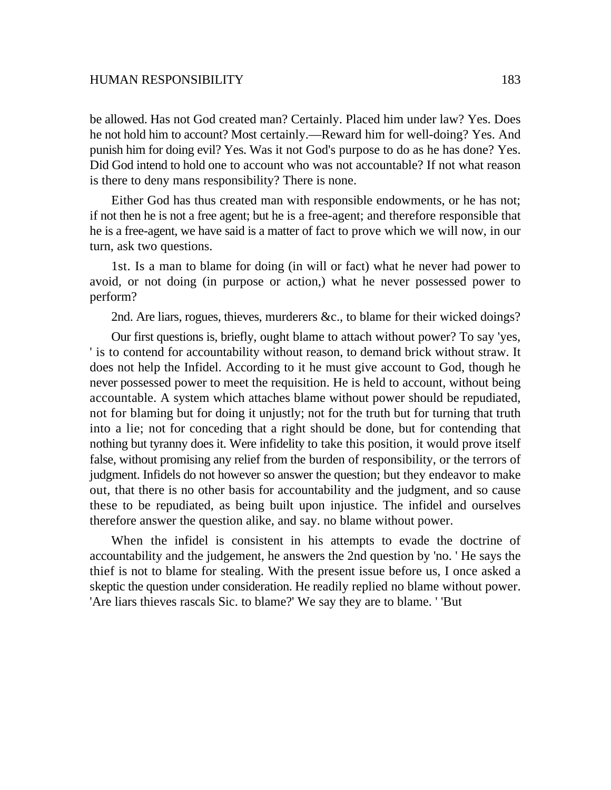be allowed. Has not God created man? Certainly. Placed him under law? Yes. Does he not hold him to account? Most certainly.—Reward him for well-doing? Yes. And punish him for doing evil? Yes. Was it not God's purpose to do as he has done? Yes. Did God intend to hold one to account who was not accountable? If not what reason is there to deny mans responsibility? There is none.

Either God has thus created man with responsible endowments, or he has not; if not then he is not a free agent; but he is a free-agent; and therefore responsible that he is a free-agent, we have said is a matter of fact to prove which we will now, in our turn, ask two questions.

1st. Is a man to blame for doing (in will or fact) what he never had power to avoid, or not doing (in purpose or action,) what he never possessed power to perform?

2nd. Are liars, rogues, thieves, murderers &c., to blame for their wicked doings?

Our first questions is, briefly, ought blame to attach without power? To say 'yes, ' is to contend for accountability without reason, to demand brick without straw. It does not help the Infidel. According to it he must give account to God, though he never possessed power to meet the requisition. He is held to account, without being accountable. A system which attaches blame without power should be repudiated, not for blaming but for doing it unjustly; not for the truth but for turning that truth into a lie; not for conceding that a right should be done, but for contending that nothing but tyranny does it. Were infidelity to take this position, it would prove itself false, without promising any relief from the burden of responsibility, or the terrors of judgment. Infidels do not however so answer the question; but they endeavor to make out, that there is no other basis for accountability and the judgment, and so cause these to be repudiated, as being built upon injustice. The infidel and ourselves therefore answer the question alike, and say. no blame without power.

When the infidel is consistent in his attempts to evade the doctrine of accountability and the judgement, he answers the 2nd question by 'no. ' He says the thief is not to blame for stealing. With the present issue before us, I once asked a skeptic the question under consideration. He readily replied no blame without power. 'Are liars thieves rascals Sic. to blame?' We say they are to blame. ' 'But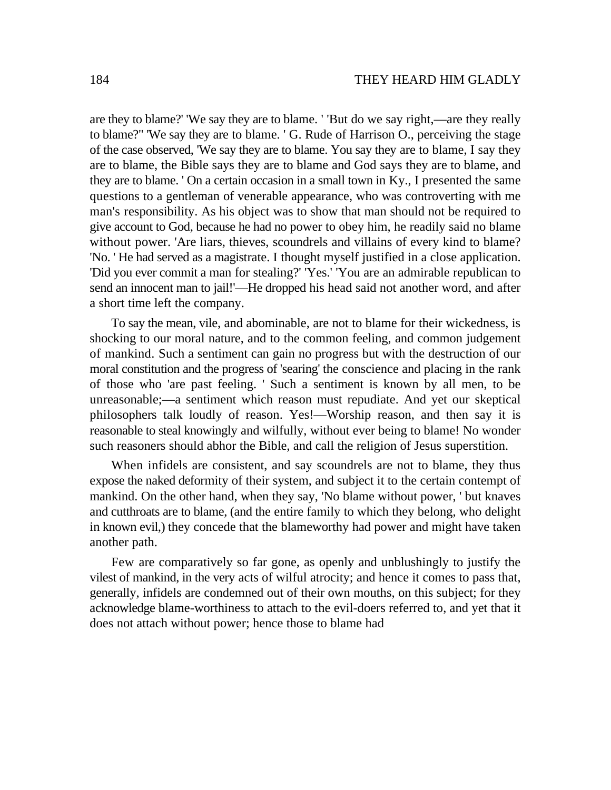are they to blame?' 'We say they are to blame. ' 'But do we say right,—are they really to blame?" 'We say they are to blame. ' G. Rude of Harrison O., perceiving the stage of the case observed, 'We say they are to blame. You say they are to blame, I say they are to blame, the Bible says they are to blame and God says they are to blame, and they are to blame. ' On a certain occasion in a small town in Ky., I presented the same questions to a gentleman of venerable appearance, who was controverting with me man's responsibility. As his object was to show that man should not be required to give account to God, because he had no power to obey him, he readily said no blame without power. 'Are liars, thieves, scoundrels and villains of every kind to blame? 'No. ' He had served as a magistrate. I thought myself justified in a close application. 'Did you ever commit a man for stealing?' 'Yes.' 'You are an admirable republican to send an innocent man to jail!'—He dropped his head said not another word, and after a short time left the company.

To say the mean, vile, and abominable, are not to blame for their wickedness, is shocking to our moral nature, and to the common feeling, and common judgement of mankind. Such a sentiment can gain no progress but with the destruction of our moral constitution and the progress of 'searing' the conscience and placing in the rank of those who 'are past feeling. ' Such a sentiment is known by all men, to be unreasonable;—a sentiment which reason must repudiate. And yet our skeptical philosophers talk loudly of reason. Yes!—Worship reason, and then say it is reasonable to steal knowingly and wilfully, without ever being to blame! No wonder such reasoners should abhor the Bible, and call the religion of Jesus superstition.

When infidels are consistent, and say scoundrels are not to blame, they thus expose the naked deformity of their system, and subject it to the certain contempt of mankind. On the other hand, when they say, 'No blame without power, ' but knaves and cutthroats are to blame, (and the entire family to which they belong, who delight in known evil,) they concede that the blameworthy had power and might have taken another path.

Few are comparatively so far gone, as openly and unblushingly to justify the vilest of mankind, in the very acts of wilful atrocity; and hence it comes to pass that, generally, infidels are condemned out of their own mouths, on this subject; for they acknowledge blame-worthiness to attach to the evil-doers referred to, and yet that it does not attach without power; hence those to blame had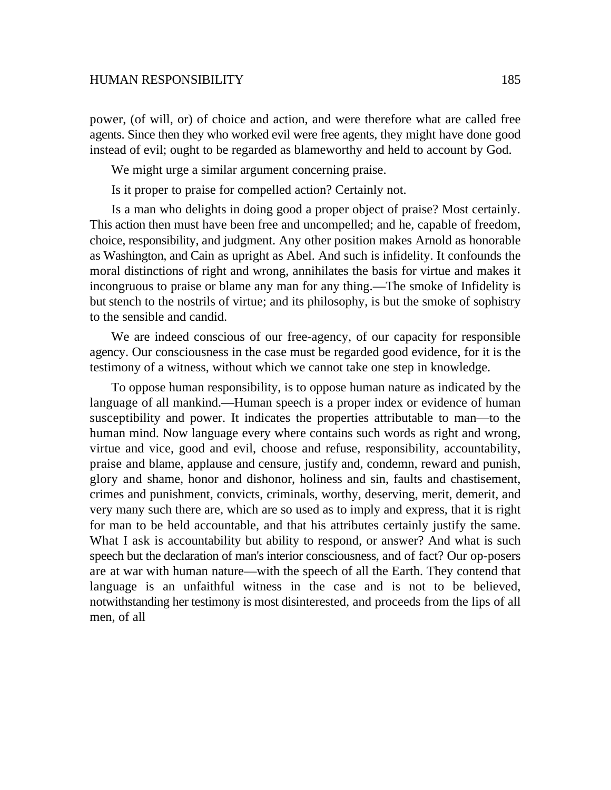#### HUMAN RESPONSIBILITY 185

power, (of will, or) of choice and action, and were therefore what are called free agents. Since then they who worked evil were free agents, they might have done good instead of evil; ought to be regarded as blameworthy and held to account by God.

We might urge a similar argument concerning praise.

Is it proper to praise for compelled action? Certainly not.

Is a man who delights in doing good a proper object of praise? Most certainly. This action then must have been free and uncompelled; and he, capable of freedom, choice, responsibility, and judgment. Any other position makes Arnold as honorable as Washington, and Cain as upright as Abel. And such is infidelity. It confounds the moral distinctions of right and wrong, annihilates the basis for virtue and makes it incongruous to praise or blame any man for any thing.—The smoke of Infidelity is but stench to the nostrils of virtue; and its philosophy, is but the smoke of sophistry to the sensible and candid.

We are indeed conscious of our free-agency, of our capacity for responsible agency. Our consciousness in the case must be regarded good evidence, for it is the testimony of a witness, without which we cannot take one step in knowledge.

To oppose human responsibility, is to oppose human nature as indicated by the language of all mankind.—Human speech is a proper index or evidence of human susceptibility and power. It indicates the properties attributable to man—to the human mind. Now language every where contains such words as right and wrong, virtue and vice, good and evil, choose and refuse, responsibility, accountability, praise and blame, applause and censure, justify and, condemn, reward and punish, glory and shame, honor and dishonor, holiness and sin, faults and chastisement, crimes and punishment, convicts, criminals, worthy, deserving, merit, demerit, and very many such there are, which are so used as to imply and express, that it is right for man to be held accountable, and that his attributes certainly justify the same. What I ask is accountability but ability to respond, or answer? And what is such speech but the declaration of man's interior consciousness, and of fact? Our op-posers are at war with human nature—with the speech of all the Earth. They contend that language is an unfaithful witness in the case and is not to be believed, notwithstanding her testimony is most disinterested, and proceeds from the lips of all men, of all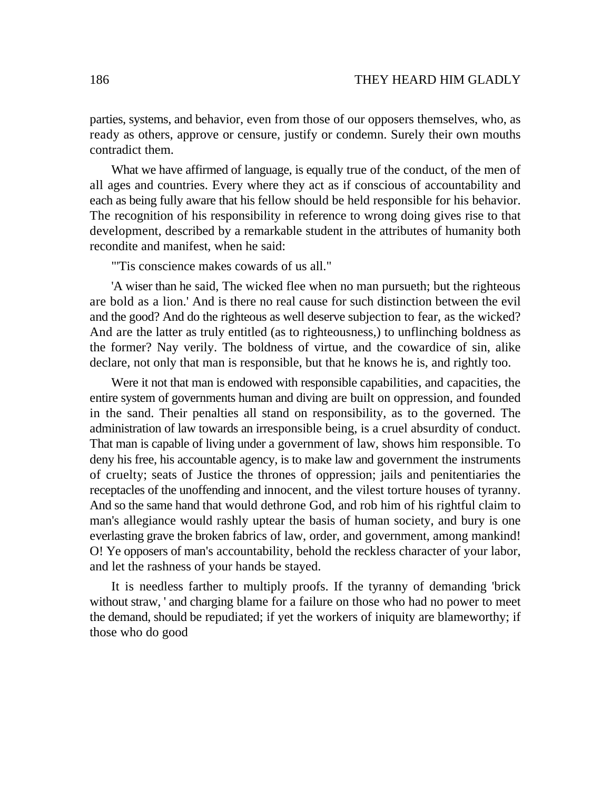parties, systems, and behavior, even from those of our opposers themselves, who, as ready as others, approve or censure, justify or condemn. Surely their own mouths contradict them.

What we have affirmed of language, is equally true of the conduct, of the men of all ages and countries. Every where they act as if conscious of accountability and each as being fully aware that his fellow should be held responsible for his behavior. The recognition of his responsibility in reference to wrong doing gives rise to that development, described by a remarkable student in the attributes of humanity both recondite and manifest, when he said:

"'Tis conscience makes cowards of us all."

'A wiser than he said, The wicked flee when no man pursueth; but the righteous are bold as a lion.' And is there no real cause for such distinction between the evil and the good? And do the righteous as well deserve subjection to fear, as the wicked? And are the latter as truly entitled (as to righteousness,) to unflinching boldness as the former? Nay verily. The boldness of virtue, and the cowardice of sin, alike declare, not only that man is responsible, but that he knows he is, and rightly too.

Were it not that man is endowed with responsible capabilities, and capacities, the entire system of governments human and diving are built on oppression, and founded in the sand. Their penalties all stand on responsibility, as to the governed. The administration of law towards an irresponsible being, is a cruel absurdity of conduct. That man is capable of living under a government of law, shows him responsible. To deny his free, his accountable agency, is to make law and government the instruments of cruelty; seats of Justice the thrones of oppression; jails and penitentiaries the receptacles of the unoffending and innocent, and the vilest torture houses of tyranny. And so the same hand that would dethrone God, and rob him of his rightful claim to man's allegiance would rashly uptear the basis of human society, and bury is one everlasting grave the broken fabrics of law, order, and government, among mankind! O! Ye opposers of man's accountability, behold the reckless character of your labor, and let the rashness of your hands be stayed.

It is needless farther to multiply proofs. If the tyranny of demanding 'brick without straw, ' and charging blame for a failure on those who had no power to meet the demand, should be repudiated; if yet the workers of iniquity are blameworthy; if those who do good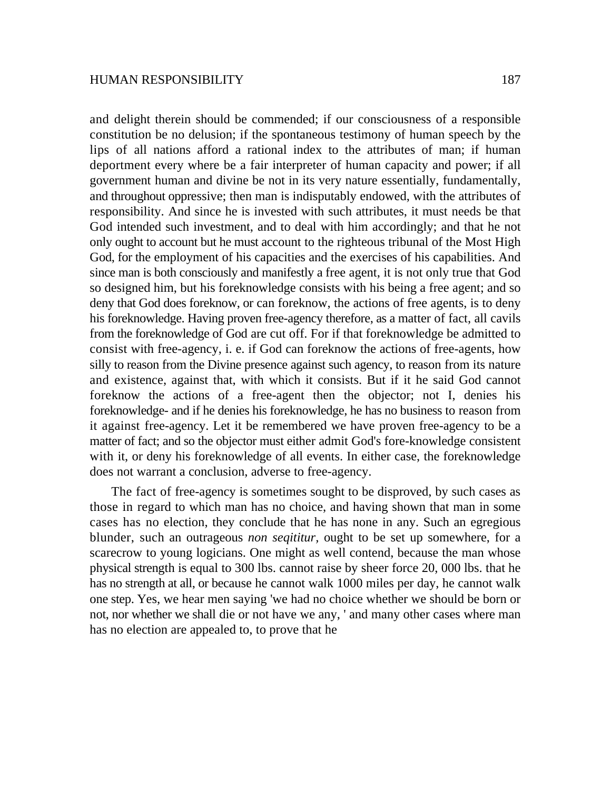and delight therein should be commended; if our consciousness of a responsible constitution be no delusion; if the spontaneous testimony of human speech by the lips of all nations afford a rational index to the attributes of man; if human deportment every where be a fair interpreter of human capacity and power; if all government human and divine be not in its very nature essentially, fundamentally, and throughout oppressive; then man is indisputably endowed, with the attributes of responsibility. And since he is invested with such attributes, it must needs be that God intended such investment, and to deal with him accordingly; and that he not only ought to account but he must account to the righteous tribunal of the Most High God, for the employment of his capacities and the exercises of his capabilities. And since man is both consciously and manifestly a free agent, it is not only true that God so designed him, but his foreknowledge consists with his being a free agent; and so deny that God does foreknow, or can foreknow, the actions of free agents, is to deny his foreknowledge. Having proven free-agency therefore, as a matter of fact, all cavils from the foreknowledge of God are cut off. For if that foreknowledge be admitted to consist with free-agency, i. e. if God can foreknow the actions of free-agents, how silly to reason from the Divine presence against such agency, to reason from its nature and existence, against that, with which it consists. But if it he said God cannot foreknow the actions of a free-agent then the objector; not I, denies his foreknowledge- and if he denies his foreknowledge, he has no business to reason from it against free-agency. Let it be remembered we have proven free-agency to be a matter of fact; and so the objector must either admit God's fore-knowledge consistent with it, or deny his foreknowledge of all events. In either case, the foreknowledge does not warrant a conclusion, adverse to free-agency.

The fact of free-agency is sometimes sought to be disproved, by such cases as those in regard to which man has no choice, and having shown that man in some cases has no election, they conclude that he has none in any. Such an egregious blunder, such an outrageous *non seqititur,* ought to be set up somewhere, for a scarecrow to young logicians. One might as well contend, because the man whose physical strength is equal to 300 lbs. cannot raise by sheer force 20, 000 lbs. that he has no strength at all, or because he cannot walk 1000 miles per day, he cannot walk one step. Yes, we hear men saying 'we had no choice whether we should be born or not, nor whether we shall die or not have we any, ' and many other cases where man has no election are appealed to, to prove that he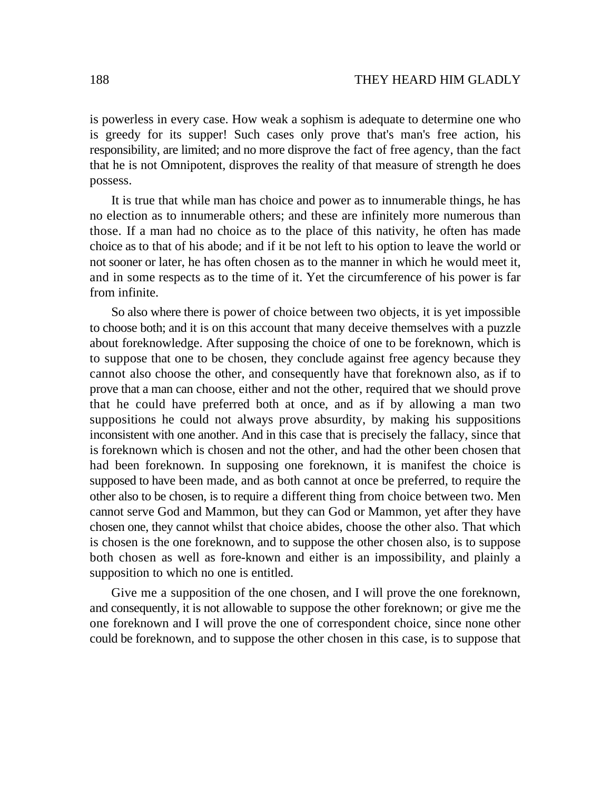is powerless in every case. How weak a sophism is adequate to determine one who is greedy for its supper! Such cases only prove that's man's free action, his responsibility, are limited; and no more disprove the fact of free agency, than the fact that he is not Omnipotent, disproves the reality of that measure of strength he does possess.

It is true that while man has choice and power as to innumerable things, he has no election as to innumerable others; and these are infinitely more numerous than those. If a man had no choice as to the place of this nativity, he often has made choice as to that of his abode; and if it be not left to his option to leave the world or not sooner or later, he has often chosen as to the manner in which he would meet it, and in some respects as to the time of it. Yet the circumference of his power is far from infinite.

So also where there is power of choice between two objects, it is yet impossible to choose both; and it is on this account that many deceive themselves with a puzzle about foreknowledge. After supposing the choice of one to be foreknown, which is to suppose that one to be chosen, they conclude against free agency because they cannot also choose the other, and consequently have that foreknown also, as if to prove that a man can choose, either and not the other, required that we should prove that he could have preferred both at once, and as if by allowing a man two suppositions he could not always prove absurdity, by making his suppositions inconsistent with one another. And in this case that is precisely the fallacy, since that is foreknown which is chosen and not the other, and had the other been chosen that had been foreknown. In supposing one foreknown, it is manifest the choice is supposed to have been made, and as both cannot at once be preferred, to require the other also to be chosen, is to require a different thing from choice between two. Men cannot serve God and Mammon, but they can God or Mammon, yet after they have chosen one, they cannot whilst that choice abides, choose the other also. That which is chosen is the one foreknown, and to suppose the other chosen also, is to suppose both chosen as well as fore-known and either is an impossibility, and plainly a supposition to which no one is entitled.

Give me a supposition of the one chosen, and I will prove the one foreknown, and consequently, it is not allowable to suppose the other foreknown; or give me the one foreknown and I will prove the one of correspondent choice, since none other could be foreknown, and to suppose the other chosen in this case, is to suppose that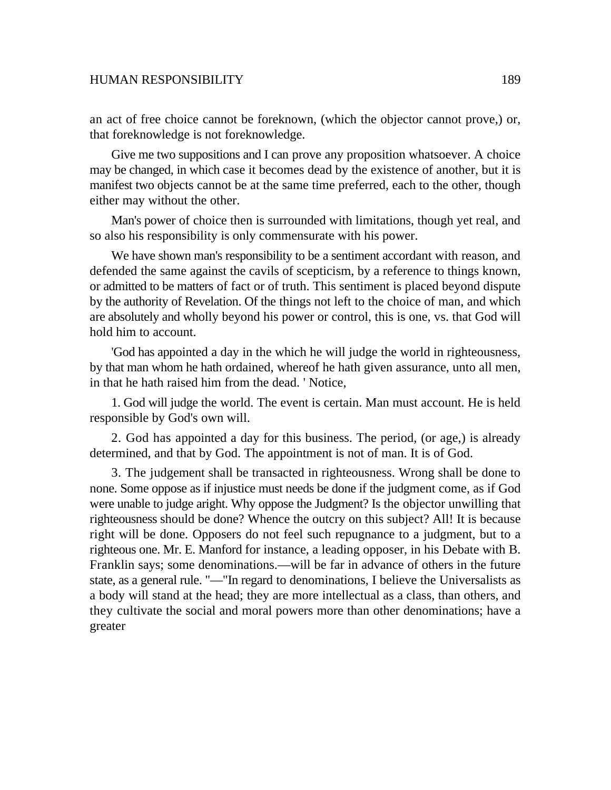#### HUMAN RESPONSIBILITY 189

an act of free choice cannot be foreknown, (which the objector cannot prove,) or, that foreknowledge is not foreknowledge.

Give me two suppositions and I can prove any proposition whatsoever. A choice may be changed, in which case it becomes dead by the existence of another, but it is manifest two objects cannot be at the same time preferred, each to the other, though either may without the other.

Man's power of choice then is surrounded with limitations, though yet real, and so also his responsibility is only commensurate with his power.

We have shown man's responsibility to be a sentiment accordant with reason, and defended the same against the cavils of scepticism, by a reference to things known, or admitted to be matters of fact or of truth. This sentiment is placed beyond dispute by the authority of Revelation. Of the things not left to the choice of man, and which are absolutely and wholly beyond his power or control, this is one, vs. that God will hold him to account.

'God has appointed a day in the which he will judge the world in righteousness, by that man whom he hath ordained, whereof he hath given assurance, unto all men, in that he hath raised him from the dead. ' Notice,

1. God will judge the world. The event is certain. Man must account. He is held responsible by God's own will.

2. God has appointed a day for this business. The period, (or age,) is already determined, and that by God. The appointment is not of man. It is of God.

3. The judgement shall be transacted in righteousness. Wrong shall be done to none. Some oppose as if injustice must needs be done if the judgment come, as if God were unable to judge aright. Why oppose the Judgment? Is the objector unwilling that righteousness should be done? Whence the outcry on this subject? All! It is because right will be done. Opposers do not feel such repugnance to a judgment, but to a righteous one. Mr. E. Manford for instance, a leading opposer, in his Debate with B. Franklin says; some denominations.—will be far in advance of others in the future state, as a general rule. "—"In regard to denominations, I believe the Universalists as a body will stand at the head; they are more intellectual as a class, than others, and they cultivate the social and moral powers more than other denominations; have a greater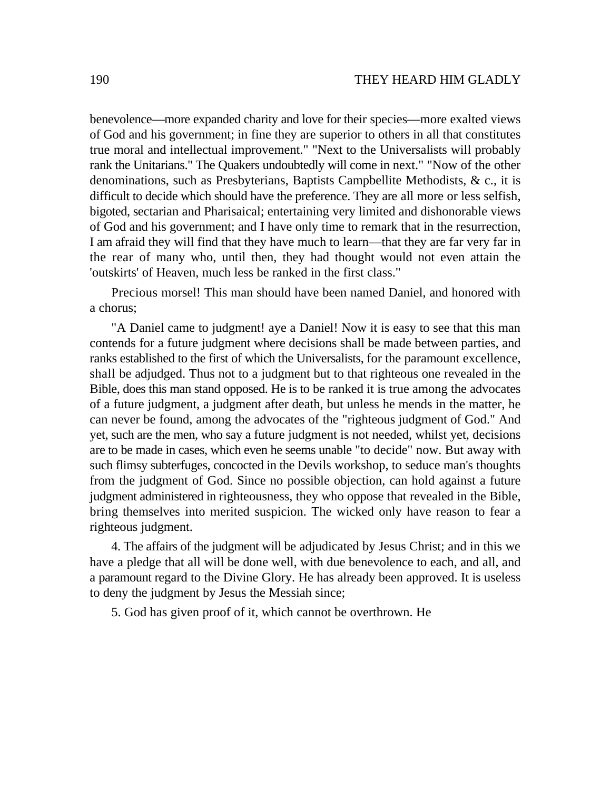benevolence—more expanded charity and love for their species—more exalted views of God and his government; in fine they are superior to others in all that constitutes true moral and intellectual improvement." "Next to the Universalists will probably rank the Unitarians." The Quakers undoubtedly will come in next." "Now of the other denominations, such as Presbyterians, Baptists Campbellite Methodists, & c., it is difficult to decide which should have the preference. They are all more or less selfish, bigoted, sectarian and Pharisaical; entertaining very limited and dishonorable views of God and his government; and I have only time to remark that in the resurrection, I am afraid they will find that they have much to learn—that they are far very far in the rear of many who, until then, they had thought would not even attain the 'outskirts' of Heaven, much less be ranked in the first class."

Precious morsel! This man should have been named Daniel, and honored with a chorus;

"A Daniel came to judgment! aye a Daniel! Now it is easy to see that this man contends for a future judgment where decisions shall be made between parties, and ranks established to the first of which the Universalists, for the paramount excellence, shall be adjudged. Thus not to a judgment but to that righteous one revealed in the Bible, does this man stand opposed. He is to be ranked it is true among the advocates of a future judgment, a judgment after death, but unless he mends in the matter, he can never be found, among the advocates of the "righteous judgment of God." And yet, such are the men, who say a future judgment is not needed, whilst yet, decisions are to be made in cases, which even he seems unable "to decide" now. But away with such flimsy subterfuges, concocted in the Devils workshop, to seduce man's thoughts from the judgment of God. Since no possible objection, can hold against a future judgment administered in righteousness, they who oppose that revealed in the Bible, bring themselves into merited suspicion. The wicked only have reason to fear a righteous judgment.

4. The affairs of the judgment will be adjudicated by Jesus Christ; and in this we have a pledge that all will be done well, with due benevolence to each, and all, and a paramount regard to the Divine Glory. He has already been approved. It is useless to deny the judgment by Jesus the Messiah since;

5. God has given proof of it, which cannot be overthrown. He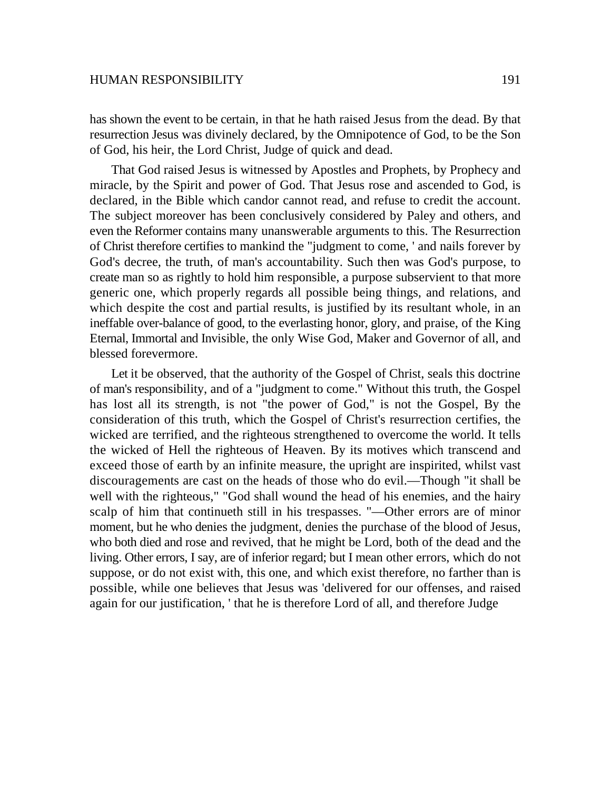## HUMAN RESPONSIBILITY 191

has shown the event to be certain, in that he hath raised Jesus from the dead. By that resurrection Jesus was divinely declared, by the Omnipotence of God, to be the Son of God, his heir, the Lord Christ, Judge of quick and dead.

That God raised Jesus is witnessed by Apostles and Prophets, by Prophecy and miracle, by the Spirit and power of God. That Jesus rose and ascended to God, is declared, in the Bible which candor cannot read, and refuse to credit the account. The subject moreover has been conclusively considered by Paley and others, and even the Reformer contains many unanswerable arguments to this. The Resurrection of Christ therefore certifies to mankind the "judgment to come, ' and nails forever by God's decree, the truth, of man's accountability. Such then was God's purpose, to create man so as rightly to hold him responsible, a purpose subservient to that more generic one, which properly regards all possible being things, and relations, and which despite the cost and partial results, is justified by its resultant whole, in an ineffable over-balance of good, to the everlasting honor, glory, and praise, of the King Eternal, Immortal and Invisible, the only Wise God, Maker and Governor of all, and blessed forevermore.

Let it be observed, that the authority of the Gospel of Christ, seals this doctrine of man's responsibility, and of a "judgment to come." Without this truth, the Gospel has lost all its strength, is not "the power of God," is not the Gospel, By the consideration of this truth, which the Gospel of Christ's resurrection certifies, the wicked are terrified, and the righteous strengthened to overcome the world. It tells the wicked of Hell the righteous of Heaven. By its motives which transcend and exceed those of earth by an infinite measure, the upright are inspirited, whilst vast discouragements are cast on the heads of those who do evil.—Though "it shall be well with the righteous," "God shall wound the head of his enemies, and the hairy scalp of him that continueth still in his trespasses. "—Other errors are of minor moment, but he who denies the judgment, denies the purchase of the blood of Jesus, who both died and rose and revived, that he might be Lord, both of the dead and the living. Other errors, I say, are of inferior regard; but I mean other errors, which do not suppose, or do not exist with, this one, and which exist therefore, no farther than is possible, while one believes that Jesus was 'delivered for our offenses, and raised again for our justification, ' that he is therefore Lord of all, and therefore Judge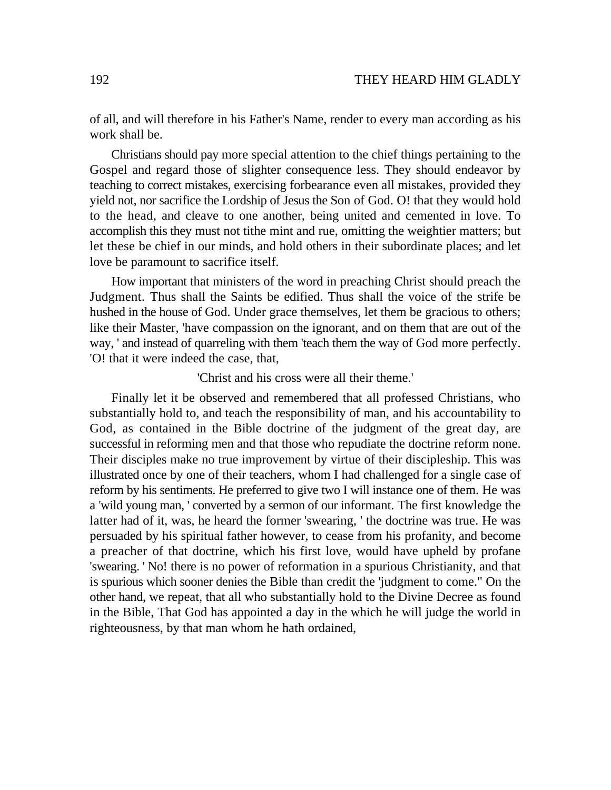of all, and will therefore in his Father's Name, render to every man according as his work shall be.

Christians should pay more special attention to the chief things pertaining to the Gospel and regard those of slighter consequence less. They should endeavor by teaching to correct mistakes, exercising forbearance even all mistakes, provided they yield not, nor sacrifice the Lordship of Jesus the Son of God. O! that they would hold to the head, and cleave to one another, being united and cemented in love. To accomplish this they must not tithe mint and rue, omitting the weightier matters; but let these be chief in our minds, and hold others in their subordinate places; and let love be paramount to sacrifice itself.

How important that ministers of the word in preaching Christ should preach the Judgment. Thus shall the Saints be edified. Thus shall the voice of the strife be hushed in the house of God. Under grace themselves, let them be gracious to others; like their Master, 'have compassion on the ignorant, and on them that are out of the way, ' and instead of quarreling with them 'teach them the way of God more perfectly. 'O! that it were indeed the case, that,

## 'Christ and his cross were all their theme.'

Finally let it be observed and remembered that all professed Christians, who substantially hold to, and teach the responsibility of man, and his accountability to God, as contained in the Bible doctrine of the judgment of the great day, are successful in reforming men and that those who repudiate the doctrine reform none. Their disciples make no true improvement by virtue of their discipleship. This was illustrated once by one of their teachers, whom I had challenged for a single case of reform by his sentiments. He preferred to give two I will instance one of them. He was a 'wild young man, ' converted by a sermon of our informant. The first knowledge the latter had of it, was, he heard the former 'swearing, ' the doctrine was true. He was persuaded by his spiritual father however, to cease from his profanity, and become a preacher of that doctrine, which his first love, would have upheld by profane 'swearing. ' No! there is no power of reformation in a spurious Christianity, and that is spurious which sooner denies the Bible than credit the 'judgment to come." On the other hand, we repeat, that all who substantially hold to the Divine Decree as found in the Bible, That God has appointed a day in the which he will judge the world in righteousness, by that man whom he hath ordained,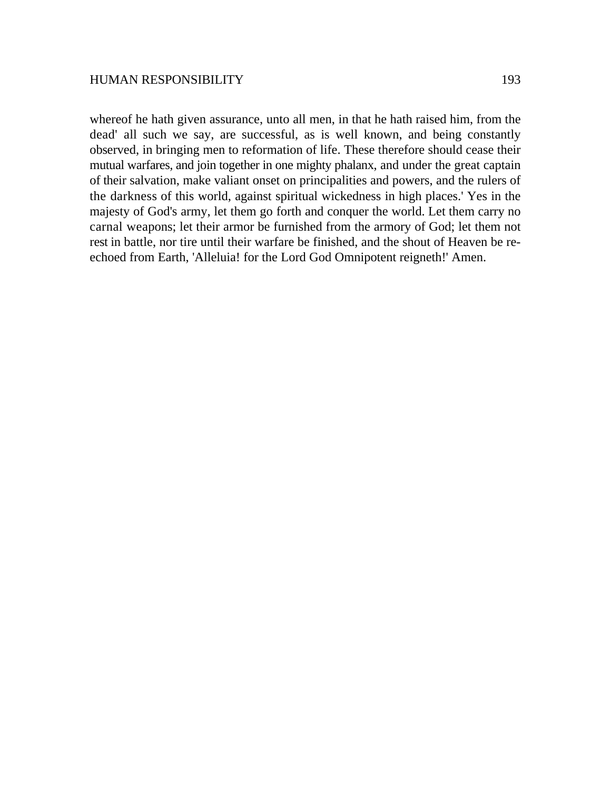whereof he hath given assurance, unto all men, in that he hath raised him, from the dead' all such we say, are successful, as is well known, and being constantly observed, in bringing men to reformation of life. These therefore should cease their mutual warfares, and join together in one mighty phalanx, and under the great captain of their salvation, make valiant onset on principalities and powers, and the rulers of the darkness of this world, against spiritual wickedness in high places.' Yes in the majesty of God's army, let them go forth and conquer the world. Let them carry no carnal weapons; let their armor be furnished from the armory of God; let them not rest in battle, nor tire until their warfare be finished, and the shout of Heaven be reechoed from Earth, 'Alleluia! for the Lord God Omnipotent reigneth!' Amen.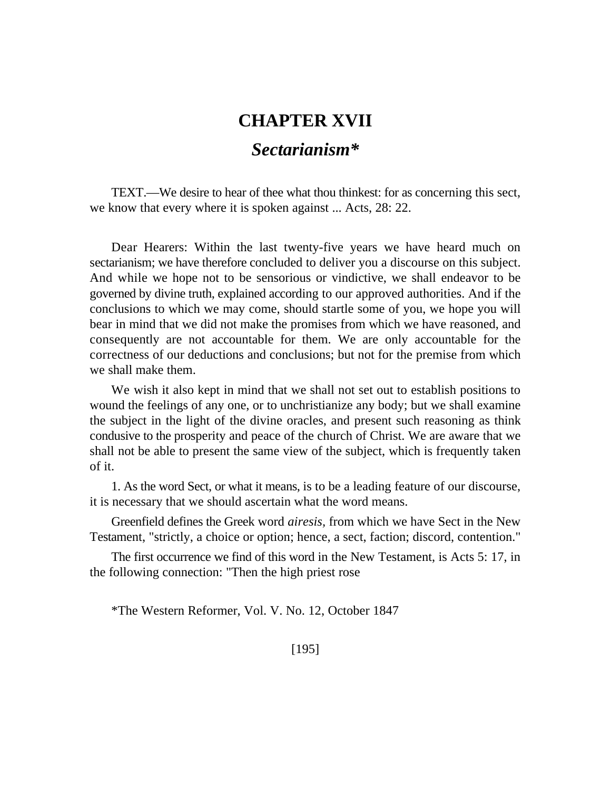# **CHAPTER XVII** *Sectarianism\**

TEXT.—We desire to hear of thee what thou thinkest: for as concerning this sect, we know that every where it is spoken against ... Acts, 28: 22.

Dear Hearers: Within the last twenty-five years we have heard much on sectarianism; we have therefore concluded to deliver you a discourse on this subject. And while we hope not to be sensorious or vindictive, we shall endeavor to be governed by divine truth, explained according to our approved authorities. And if the conclusions to which we may come, should startle some of you, we hope you will bear in mind that we did not make the promises from which we have reasoned, and consequently are not accountable for them. We are only accountable for the correctness of our deductions and conclusions; but not for the premise from which we shall make them.

We wish it also kept in mind that we shall not set out to establish positions to wound the feelings of any one, or to unchristianize any body; but we shall examine the subject in the light of the divine oracles, and present such reasoning as think condusive to the prosperity and peace of the church of Christ. We are aware that we shall not be able to present the same view of the subject, which is frequently taken of it.

1. As the word Sect, or what it means, is to be a leading feature of our discourse, it is necessary that we should ascertain what the word means.

Greenfield defines the Greek word *airesis,* from which we have Sect in the New Testament, "strictly, a choice or option; hence, a sect, faction; discord, contention."

The first occurrence we find of this word in the New Testament, is Acts 5: 17, in the following connection: "Then the high priest rose

\*The Western Reformer, Vol. V. No. 12, October 1847

[195]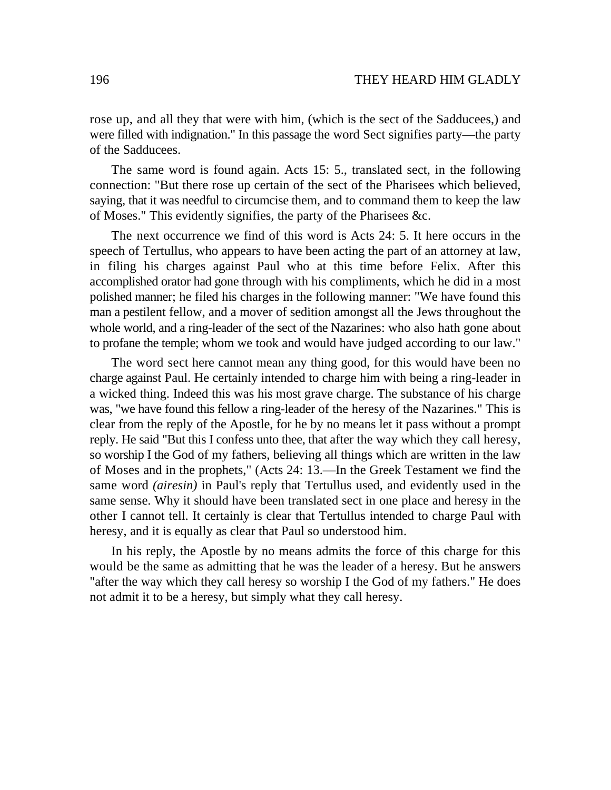rose up, and all they that were with him, (which is the sect of the Sadducees,) and were filled with indignation." In this passage the word Sect signifies party—the party of the Sadducees.

The same word is found again. Acts 15: 5., translated sect, in the following connection: "But there rose up certain of the sect of the Pharisees which believed, saying, that it was needful to circumcise them, and to command them to keep the law of Moses." This evidently signifies, the party of the Pharisees &c.

The next occurrence we find of this word is Acts 24: 5. It here occurs in the speech of Tertullus, who appears to have been acting the part of an attorney at law, in filing his charges against Paul who at this time before Felix. After this accomplished orator had gone through with his compliments, which he did in a most polished manner; he filed his charges in the following manner: "We have found this man a pestilent fellow, and a mover of sedition amongst all the Jews throughout the whole world, and a ring-leader of the sect of the Nazarines: who also hath gone about to profane the temple; whom we took and would have judged according to our law."

The word sect here cannot mean any thing good, for this would have been no charge against Paul. He certainly intended to charge him with being a ring-leader in a wicked thing. Indeed this was his most grave charge. The substance of his charge was, "we have found this fellow a ring-leader of the heresy of the Nazarines." This is clear from the reply of the Apostle, for he by no means let it pass without a prompt reply. He said "But this I confess unto thee, that after the way which they call heresy, so worship I the God of my fathers, believing all things which are written in the law of Moses and in the prophets," (Acts 24: 13.—In the Greek Testament we find the same word *(airesin)* in Paul's reply that Tertullus used, and evidently used in the same sense. Why it should have been translated sect in one place and heresy in the other I cannot tell. It certainly is clear that Tertullus intended to charge Paul with heresy, and it is equally as clear that Paul so understood him.

In his reply, the Apostle by no means admits the force of this charge for this would be the same as admitting that he was the leader of a heresy. But he answers "after the way which they call heresy so worship I the God of my fathers." He does not admit it to be a heresy, but simply what they call heresy.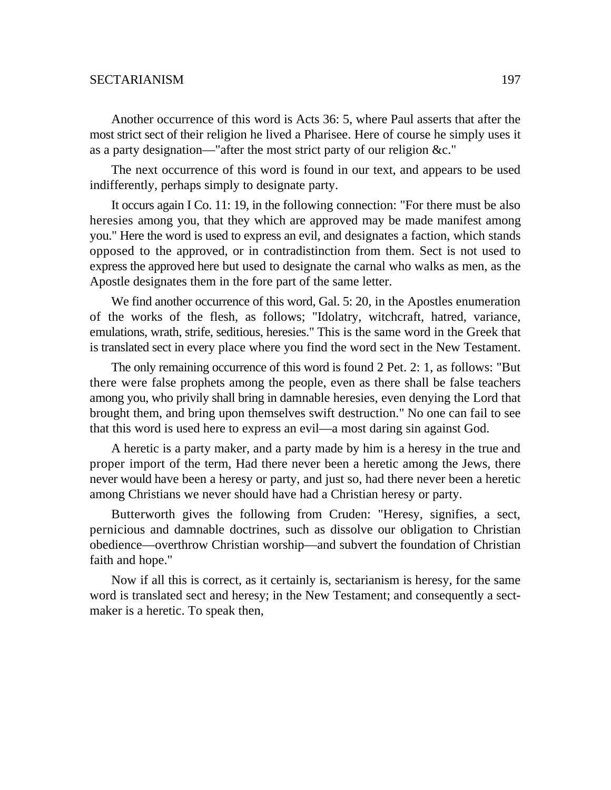### SECTARIANISM 197

Another occurrence of this word is Acts 36: 5, where Paul asserts that after the most strict sect of their religion he lived a Pharisee. Here of course he simply uses it as a party designation—"after the most strict party of our religion &c."

The next occurrence of this word is found in our text, and appears to be used indifferently, perhaps simply to designate party.

It occurs again I Co. 11: 19, in the following connection: "For there must be also heresies among you, that they which are approved may be made manifest among you." Here the word is used to express an evil, and designates a faction, which stands opposed to the approved, or in contradistinction from them. Sect is not used to express the approved here but used to designate the carnal who walks as men, as the Apostle designates them in the fore part of the same letter.

We find another occurrence of this word, Gal. 5: 20, in the Apostles enumeration of the works of the flesh, as follows; "Idolatry, witchcraft, hatred, variance, emulations, wrath, strife, seditious, heresies." This is the same word in the Greek that is translated sect in every place where you find the word sect in the New Testament.

The only remaining occurrence of this word is found 2 Pet. 2: 1, as follows: "But there were false prophets among the people, even as there shall be false teachers among you, who privily shall bring in damnable heresies, even denying the Lord that brought them, and bring upon themselves swift destruction." No one can fail to see that this word is used here to express an evil—a most daring sin against God.

A heretic is a party maker, and a party made by him is a heresy in the true and proper import of the term, Had there never been a heretic among the Jews, there never would have been a heresy or party, and just so, had there never been a heretic among Christians we never should have had a Christian heresy or party.

Butterworth gives the following from Cruden: "Heresy, signifies, a sect, pernicious and damnable doctrines, such as dissolve our obligation to Christian obedience—overthrow Christian worship—and subvert the foundation of Christian faith and hope."

Now if all this is correct, as it certainly is, sectarianism is heresy, for the same word is translated sect and heresy; in the New Testament; and consequently a sectmaker is a heretic. To speak then,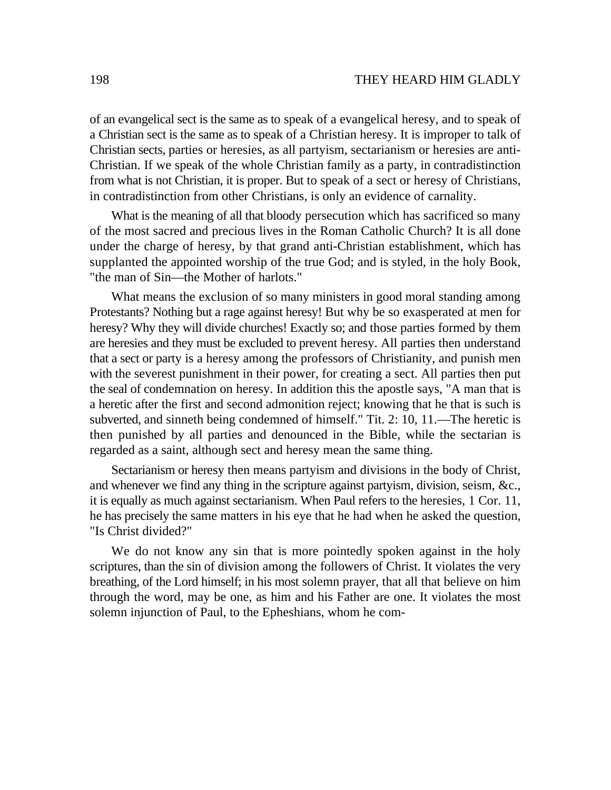of an evangelical sect is the same as to speak of a evangelical heresy, and to speak of a Christian sect is the same as to speak of a Christian heresy. It is improper to talk of Christian sects, parties or heresies, as all partyism, sectarianism or heresies are anti-Christian. If we speak of the whole Christian family as a party, in contradistinction from what is not Christian, it is proper. But to speak of a sect or heresy of Christians, in contradistinction from other Christians, is only an evidence of carnality.

What is the meaning of all that bloody persecution which has sacrificed so many of the most sacred and precious lives in the Roman Catholic Church? It is all done under the charge of heresy, by that grand anti-Christian establishment, which has supplanted the appointed worship of the true God; and is styled, in the holy Book, "the man of Sin—the Mother of harlots."

What means the exclusion of so many ministers in good moral standing among Protestants? Nothing but a rage against heresy! But why be so exasperated at men for heresy? Why they will divide churches! Exactly so; and those parties formed by them are heresies and they must be excluded to prevent heresy. All parties then understand that a sect or party is a heresy among the professors of Christianity, and punish men with the severest punishment in their power, for creating a sect. All parties then put the seal of condemnation on heresy. In addition this the apostle says, "A man that is a heretic after the first and second admonition reject; knowing that he that is such is subverted, and sinneth being condemned of himself." Tit. 2: 10, 11.—The heretic is then punished by all parties and denounced in the Bible, while the sectarian is regarded as a saint, although sect and heresy mean the same thing.

Sectarianism or heresy then means partyism and divisions in the body of Christ, and whenever we find any thing in the scripture against partyism, division, seism, &c., it is equally as much against sectarianism. When Paul refers to the heresies, 1 Cor. 11, he has precisely the same matters in his eye that he had when he asked the question, "Is Christ divided?"

We do not know any sin that is more pointedly spoken against in the holy scriptures, than the sin of division among the followers of Christ. It violates the very breathing, of the Lord himself; in his most solemn prayer, that all that believe on him through the word, may be one, as him and his Father are one. It violates the most solemn injunction of Paul, to the Epheshians, whom he com-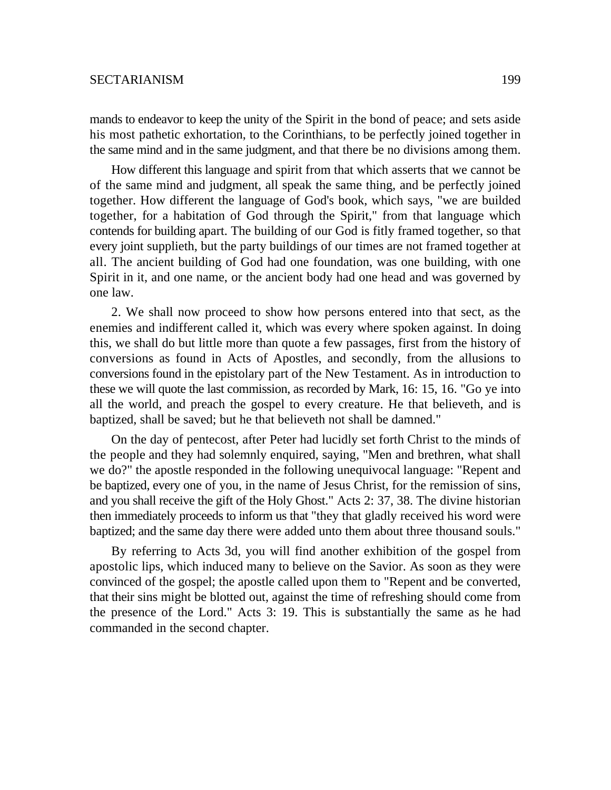## SECTARIANISM 199

mands to endeavor to keep the unity of the Spirit in the bond of peace; and sets aside his most pathetic exhortation, to the Corinthians, to be perfectly joined together in the same mind and in the same judgment, and that there be no divisions among them.

How different this language and spirit from that which asserts that we cannot be of the same mind and judgment, all speak the same thing, and be perfectly joined together. How different the language of God's book, which says, "we are builded together, for a habitation of God through the Spirit," from that language which contends for building apart. The building of our God is fitly framed together, so that every joint supplieth, but the party buildings of our times are not framed together at all. The ancient building of God had one foundation, was one building, with one Spirit in it, and one name, or the ancient body had one head and was governed by one law.

2. We shall now proceed to show how persons entered into that sect, as the enemies and indifferent called it, which was every where spoken against. In doing this, we shall do but little more than quote a few passages, first from the history of conversions as found in Acts of Apostles, and secondly, from the allusions to conversions found in the epistolary part of the New Testament. As in introduction to these we will quote the last commission, as recorded by Mark, 16: 15, 16. "Go ye into all the world, and preach the gospel to every creature. He that believeth, and is baptized, shall be saved; but he that believeth not shall be damned."

On the day of pentecost, after Peter had lucidly set forth Christ to the minds of the people and they had solemnly enquired, saying, "Men and brethren, what shall we do?" the apostle responded in the following unequivocal language: "Repent and be baptized, every one of you, in the name of Jesus Christ, for the remission of sins, and you shall receive the gift of the Holy Ghost." Acts 2: 37, 38. The divine historian then immediately proceeds to inform us that "they that gladly received his word were baptized; and the same day there were added unto them about three thousand souls."

By referring to Acts 3d, you will find another exhibition of the gospel from apostolic lips, which induced many to believe on the Savior. As soon as they were convinced of the gospel; the apostle called upon them to "Repent and be converted, that their sins might be blotted out, against the time of refreshing should come from the presence of the Lord." Acts 3: 19. This is substantially the same as he had commanded in the second chapter.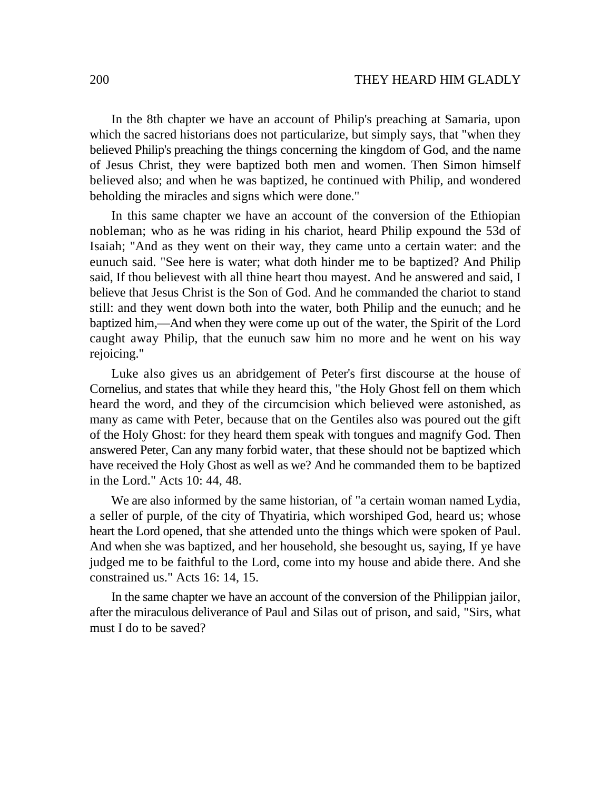In the 8th chapter we have an account of Philip's preaching at Samaria, upon which the sacred historians does not particularize, but simply says, that "when they believed Philip's preaching the things concerning the kingdom of God, and the name of Jesus Christ, they were baptized both men and women. Then Simon himself believed also; and when he was baptized, he continued with Philip, and wondered beholding the miracles and signs which were done."

In this same chapter we have an account of the conversion of the Ethiopian nobleman; who as he was riding in his chariot, heard Philip expound the 53d of Isaiah; "And as they went on their way, they came unto a certain water: and the eunuch said. "See here is water; what doth hinder me to be baptized? And Philip said, If thou believest with all thine heart thou mayest. And he answered and said, I believe that Jesus Christ is the Son of God. And he commanded the chariot to stand still: and they went down both into the water, both Philip and the eunuch; and he baptized him,—And when they were come up out of the water, the Spirit of the Lord caught away Philip, that the eunuch saw him no more and he went on his way rejoicing."

Luke also gives us an abridgement of Peter's first discourse at the house of Cornelius, and states that while they heard this, "the Holy Ghost fell on them which heard the word, and they of the circumcision which believed were astonished, as many as came with Peter, because that on the Gentiles also was poured out the gift of the Holy Ghost: for they heard them speak with tongues and magnify God. Then answered Peter, Can any many forbid water, that these should not be baptized which have received the Holy Ghost as well as we? And he commanded them to be baptized in the Lord." Acts 10: 44, 48.

We are also informed by the same historian, of "a certain woman named Lydia, a seller of purple, of the city of Thyatiria, which worshiped God, heard us; whose heart the Lord opened, that she attended unto the things which were spoken of Paul. And when she was baptized, and her household, she besought us, saying, If ye have judged me to be faithful to the Lord, come into my house and abide there. And she constrained us." Acts 16: 14, 15.

In the same chapter we have an account of the conversion of the Philippian jailor, after the miraculous deliverance of Paul and Silas out of prison, and said, "Sirs, what must I do to be saved?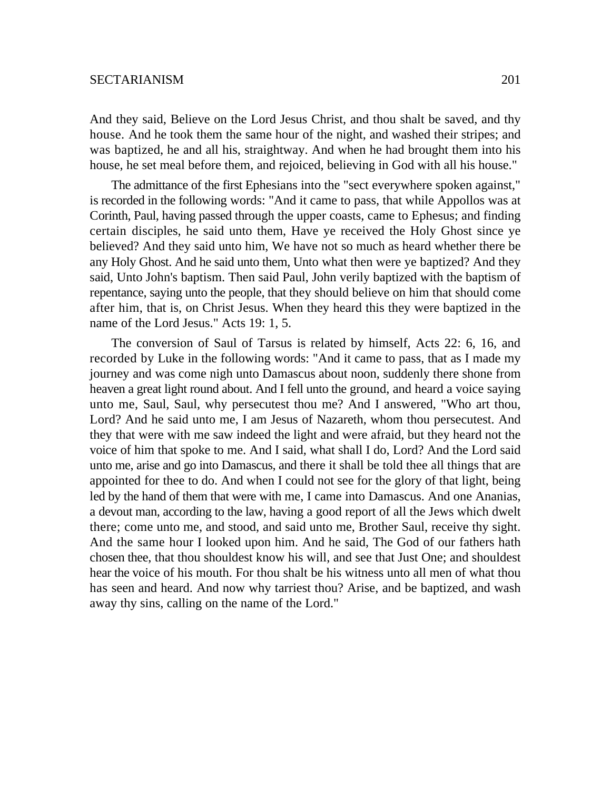## SECTARIANISM 201

And they said, Believe on the Lord Jesus Christ, and thou shalt be saved, and thy house. And he took them the same hour of the night, and washed their stripes; and was baptized, he and all his, straightway. And when he had brought them into his house, he set meal before them, and rejoiced, believing in God with all his house."

The admittance of the first Ephesians into the "sect everywhere spoken against," is recorded in the following words: "And it came to pass, that while Appollos was at Corinth, Paul, having passed through the upper coasts, came to Ephesus; and finding certain disciples, he said unto them, Have ye received the Holy Ghost since ye believed? And they said unto him, We have not so much as heard whether there be any Holy Ghost. And he said unto them, Unto what then were ye baptized? And they said, Unto John's baptism. Then said Paul, John verily baptized with the baptism of repentance, saying unto the people, that they should believe on him that should come after him, that is, on Christ Jesus. When they heard this they were baptized in the name of the Lord Jesus." Acts 19: 1, 5.

The conversion of Saul of Tarsus is related by himself, Acts 22: 6, 16, and recorded by Luke in the following words: "And it came to pass, that as I made my journey and was come nigh unto Damascus about noon, suddenly there shone from heaven a great light round about. And I fell unto the ground, and heard a voice saying unto me, Saul, Saul, why persecutest thou me? And I answered, "Who art thou, Lord? And he said unto me, I am Jesus of Nazareth, whom thou persecutest. And they that were with me saw indeed the light and were afraid, but they heard not the voice of him that spoke to me. And I said, what shall I do, Lord? And the Lord said unto me, arise and go into Damascus, and there it shall be told thee all things that are appointed for thee to do. And when I could not see for the glory of that light, being led by the hand of them that were with me, I came into Damascus. And one Ananias, a devout man, according to the law, having a good report of all the Jews which dwelt there; come unto me, and stood, and said unto me, Brother Saul, receive thy sight. And the same hour I looked upon him. And he said, The God of our fathers hath chosen thee, that thou shouldest know his will, and see that Just One; and shouldest hear the voice of his mouth. For thou shalt be his witness unto all men of what thou has seen and heard. And now why tarriest thou? Arise, and be baptized, and wash away thy sins, calling on the name of the Lord."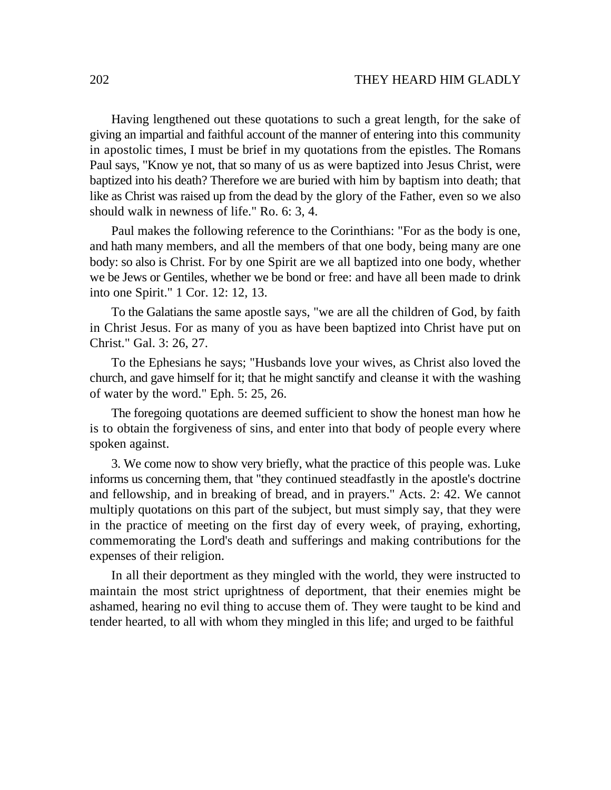Having lengthened out these quotations to such a great length, for the sake of giving an impartial and faithful account of the manner of entering into this community in apostolic times, I must be brief in my quotations from the epistles. The Romans Paul says, "Know ye not, that so many of us as were baptized into Jesus Christ, were baptized into his death? Therefore we are buried with him by baptism into death; that like as Christ was raised up from the dead by the glory of the Father, even so we also should walk in newness of life." Ro. 6: 3, 4.

Paul makes the following reference to the Corinthians: "For as the body is one, and hath many members, and all the members of that one body, being many are one body: so also is Christ. For by one Spirit are we all baptized into one body, whether we be Jews or Gentiles, whether we be bond or free: and have all been made to drink into one Spirit." 1 Cor. 12: 12, 13.

To the Galatians the same apostle says, "we are all the children of God, by faith in Christ Jesus. For as many of you as have been baptized into Christ have put on Christ." Gal. 3: 26, 27.

To the Ephesians he says; "Husbands love your wives, as Christ also loved the church, and gave himself for it; that he might sanctify and cleanse it with the washing of water by the word." Eph. 5: 25, 26.

The foregoing quotations are deemed sufficient to show the honest man how he is to obtain the forgiveness of sins, and enter into that body of people every where spoken against.

3. We come now to show very briefly, what the practice of this people was. Luke informs us concerning them, that "they continued steadfastly in the apostle's doctrine and fellowship, and in breaking of bread, and in prayers." Acts. 2: 42. We cannot multiply quotations on this part of the subject, but must simply say, that they were in the practice of meeting on the first day of every week, of praying, exhorting, commemorating the Lord's death and sufferings and making contributions for the expenses of their religion.

In all their deportment as they mingled with the world, they were instructed to maintain the most strict uprightness of deportment, that their enemies might be ashamed, hearing no evil thing to accuse them of. They were taught to be kind and tender hearted, to all with whom they mingled in this life; and urged to be faithful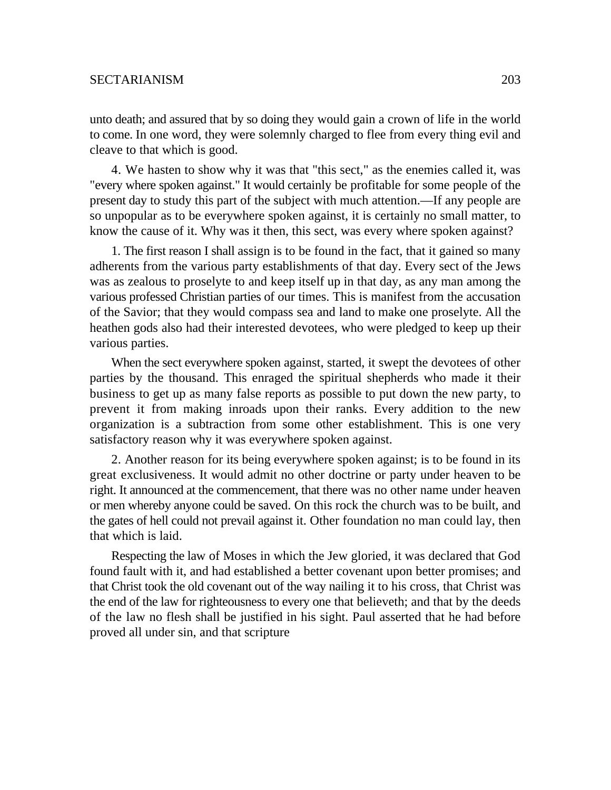### SECTARIANISM 203

unto death; and assured that by so doing they would gain a crown of life in the world to come. In one word, they were solemnly charged to flee from every thing evil and cleave to that which is good.

4. We hasten to show why it was that "this sect," as the enemies called it, was "every where spoken against." It would certainly be profitable for some people of the present day to study this part of the subject with much attention.—If any people are so unpopular as to be everywhere spoken against, it is certainly no small matter, to know the cause of it. Why was it then, this sect, was every where spoken against?

1. The first reason I shall assign is to be found in the fact, that it gained so many adherents from the various party establishments of that day. Every sect of the Jews was as zealous to proselyte to and keep itself up in that day, as any man among the various professed Christian parties of our times. This is manifest from the accusation of the Savior; that they would compass sea and land to make one proselyte. All the heathen gods also had their interested devotees, who were pledged to keep up their various parties.

When the sect everywhere spoken against, started, it swept the devotees of other parties by the thousand. This enraged the spiritual shepherds who made it their business to get up as many false reports as possible to put down the new party, to prevent it from making inroads upon their ranks. Every addition to the new organization is a subtraction from some other establishment. This is one very satisfactory reason why it was everywhere spoken against.

2. Another reason for its being everywhere spoken against; is to be found in its great exclusiveness. It would admit no other doctrine or party under heaven to be right. It announced at the commencement, that there was no other name under heaven or men whereby anyone could be saved. On this rock the church was to be built, and the gates of hell could not prevail against it. Other foundation no man could lay, then that which is laid.

Respecting the law of Moses in which the Jew gloried, it was declared that God found fault with it, and had established a better covenant upon better promises; and that Christ took the old covenant out of the way nailing it to his cross, that Christ was the end of the law for righteousness to every one that believeth; and that by the deeds of the law no flesh shall be justified in his sight. Paul asserted that he had before proved all under sin, and that scripture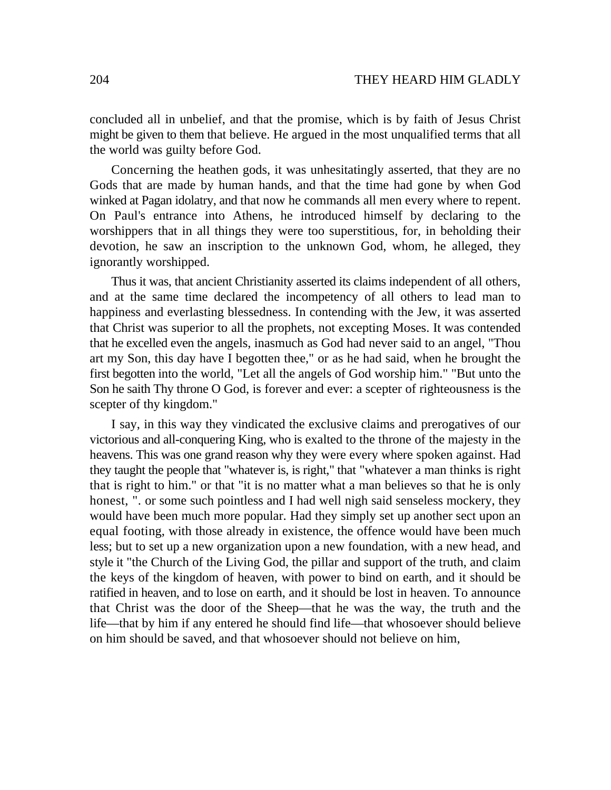concluded all in unbelief, and that the promise, which is by faith of Jesus Christ might be given to them that believe. He argued in the most unqualified terms that all the world was guilty before God.

Concerning the heathen gods, it was unhesitatingly asserted, that they are no Gods that are made by human hands, and that the time had gone by when God winked at Pagan idolatry, and that now he commands all men every where to repent. On Paul's entrance into Athens, he introduced himself by declaring to the worshippers that in all things they were too superstitious, for, in beholding their devotion, he saw an inscription to the unknown God, whom, he alleged, they ignorantly worshipped.

Thus it was, that ancient Christianity asserted its claims independent of all others, and at the same time declared the incompetency of all others to lead man to happiness and everlasting blessedness. In contending with the Jew, it was asserted that Christ was superior to all the prophets, not excepting Moses. It was contended that he excelled even the angels, inasmuch as God had never said to an angel, "Thou art my Son, this day have I begotten thee," or as he had said, when he brought the first begotten into the world, "Let all the angels of God worship him." "But unto the Son he saith Thy throne O God, is forever and ever: a scepter of righteousness is the scepter of thy kingdom."

I say, in this way they vindicated the exclusive claims and prerogatives of our victorious and all-conquering King, who is exalted to the throne of the majesty in the heavens. This was one grand reason why they were every where spoken against. Had they taught the people that "whatever is, is right," that "whatever a man thinks is right that is right to him." or that "it is no matter what a man believes so that he is only honest, ". or some such pointless and I had well nigh said senseless mockery, they would have been much more popular. Had they simply set up another sect upon an equal footing, with those already in existence, the offence would have been much less; but to set up a new organization upon a new foundation, with a new head, and style it "the Church of the Living God, the pillar and support of the truth, and claim the keys of the kingdom of heaven, with power to bind on earth, and it should be ratified in heaven, and to lose on earth, and it should be lost in heaven. To announce that Christ was the door of the Sheep—that he was the way, the truth and the life—that by him if any entered he should find life—that whosoever should believe on him should be saved, and that whosoever should not believe on him,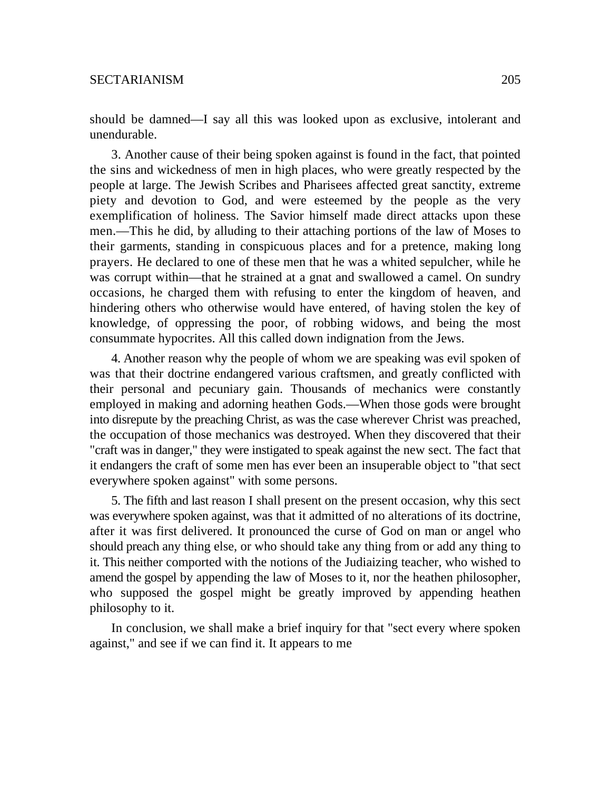should be damned—I say all this was looked upon as exclusive, intolerant and unendurable.

3. Another cause of their being spoken against is found in the fact, that pointed the sins and wickedness of men in high places, who were greatly respected by the people at large. The Jewish Scribes and Pharisees affected great sanctity, extreme piety and devotion to God, and were esteemed by the people as the very exemplification of holiness. The Savior himself made direct attacks upon these men.—This he did, by alluding to their attaching portions of the law of Moses to their garments, standing in conspicuous places and for a pretence, making long prayers. He declared to one of these men that he was a whited sepulcher, while he was corrupt within—that he strained at a gnat and swallowed a camel. On sundry occasions, he charged them with refusing to enter the kingdom of heaven, and hindering others who otherwise would have entered, of having stolen the key of knowledge, of oppressing the poor, of robbing widows, and being the most consummate hypocrites. All this called down indignation from the Jews.

4. Another reason why the people of whom we are speaking was evil spoken of was that their doctrine endangered various craftsmen, and greatly conflicted with their personal and pecuniary gain. Thousands of mechanics were constantly employed in making and adorning heathen Gods.—When those gods were brought into disrepute by the preaching Christ, as was the case wherever Christ was preached, the occupation of those mechanics was destroyed. When they discovered that their "craft was in danger," they were instigated to speak against the new sect. The fact that it endangers the craft of some men has ever been an insuperable object to "that sect everywhere spoken against" with some persons.

5. The fifth and last reason I shall present on the present occasion, why this sect was everywhere spoken against, was that it admitted of no alterations of its doctrine, after it was first delivered. It pronounced the curse of God on man or angel who should preach any thing else, or who should take any thing from or add any thing to it. This neither comported with the notions of the Judiaizing teacher, who wished to amend the gospel by appending the law of Moses to it, nor the heathen philosopher, who supposed the gospel might be greatly improved by appending heathen philosophy to it.

In conclusion, we shall make a brief inquiry for that "sect every where spoken against," and see if we can find it. It appears to me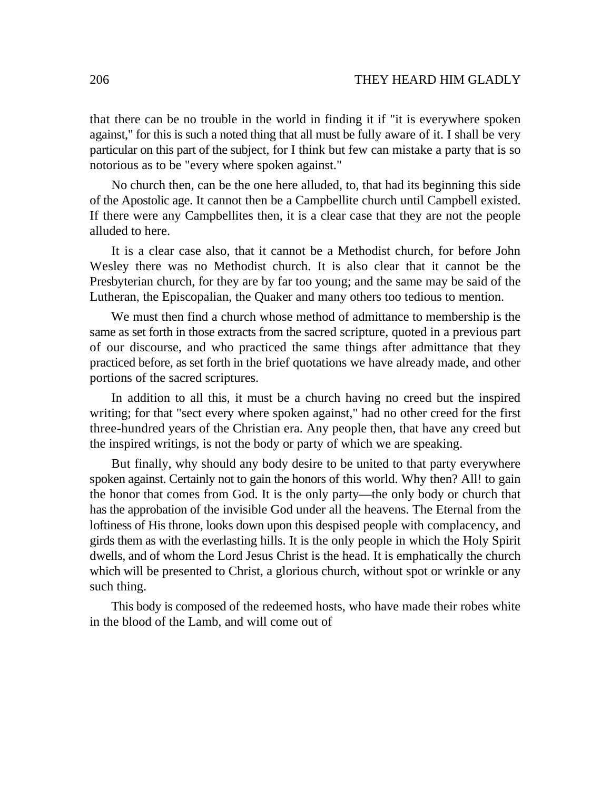that there can be no trouble in the world in finding it if "it is everywhere spoken against," for this is such a noted thing that all must be fully aware of it. I shall be very particular on this part of the subject, for I think but few can mistake a party that is so notorious as to be "every where spoken against."

No church then, can be the one here alluded, to, that had its beginning this side of the Apostolic age. It cannot then be a Campbellite church until Campbell existed. If there were any Campbellites then, it is a clear case that they are not the people alluded to here.

It is a clear case also, that it cannot be a Methodist church, for before John Wesley there was no Methodist church. It is also clear that it cannot be the Presbyterian church, for they are by far too young; and the same may be said of the Lutheran, the Episcopalian, the Quaker and many others too tedious to mention.

We must then find a church whose method of admittance to membership is the same as set forth in those extracts from the sacred scripture, quoted in a previous part of our discourse, and who practiced the same things after admittance that they practiced before, as set forth in the brief quotations we have already made, and other portions of the sacred scriptures.

In addition to all this, it must be a church having no creed but the inspired writing; for that "sect every where spoken against," had no other creed for the first three-hundred years of the Christian era. Any people then, that have any creed but the inspired writings, is not the body or party of which we are speaking.

But finally, why should any body desire to be united to that party everywhere spoken against. Certainly not to gain the honors of this world. Why then? All! to gain the honor that comes from God. It is the only party—the only body or church that has the approbation of the invisible God under all the heavens. The Eternal from the loftiness of His throne, looks down upon this despised people with complacency, and girds them as with the everlasting hills. It is the only people in which the Holy Spirit dwells, and of whom the Lord Jesus Christ is the head. It is emphatically the church which will be presented to Christ, a glorious church, without spot or wrinkle or any such thing.

This body is composed of the redeemed hosts, who have made their robes white in the blood of the Lamb, and will come out of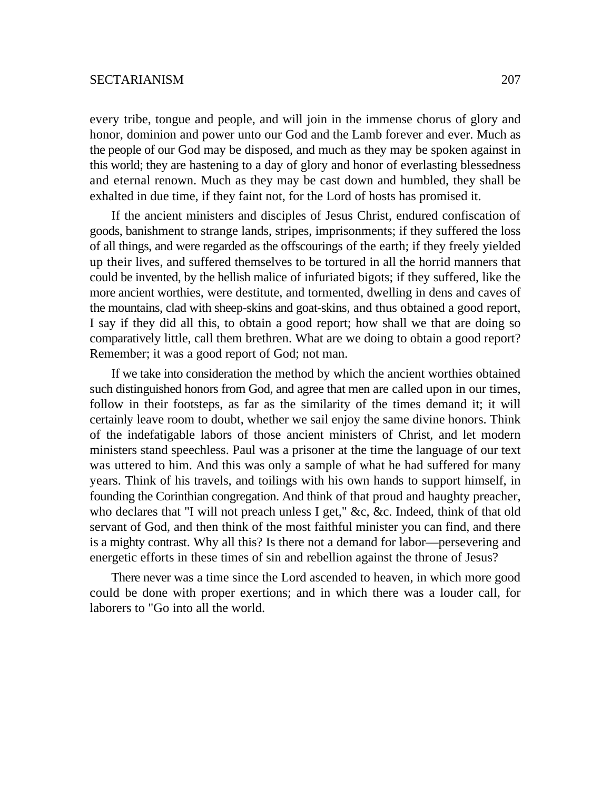### SECTARIANISM 207

every tribe, tongue and people, and will join in the immense chorus of glory and honor, dominion and power unto our God and the Lamb forever and ever. Much as the people of our God may be disposed, and much as they may be spoken against in this world; they are hastening to a day of glory and honor of everlasting blessedness and eternal renown. Much as they may be cast down and humbled, they shall be exhalted in due time, if they faint not, for the Lord of hosts has promised it.

If the ancient ministers and disciples of Jesus Christ, endured confiscation of goods, banishment to strange lands, stripes, imprisonments; if they suffered the loss of all things, and were regarded as the offscourings of the earth; if they freely yielded up their lives, and suffered themselves to be tortured in all the horrid manners that could be invented, by the hellish malice of infuriated bigots; if they suffered, like the more ancient worthies, were destitute, and tormented, dwelling in dens and caves of the mountains, clad with sheep-skins and goat-skins, and thus obtained a good report, I say if they did all this, to obtain a good report; how shall we that are doing so comparatively little, call them brethren. What are we doing to obtain a good report? Remember; it was a good report of God; not man.

If we take into consideration the method by which the ancient worthies obtained such distinguished honors from God, and agree that men are called upon in our times, follow in their footsteps, as far as the similarity of the times demand it; it will certainly leave room to doubt, whether we sail enjoy the same divine honors. Think of the indefatigable labors of those ancient ministers of Christ, and let modern ministers stand speechless. Paul was a prisoner at the time the language of our text was uttered to him. And this was only a sample of what he had suffered for many years. Think of his travels, and toilings with his own hands to support himself, in founding the Corinthian congregation. And think of that proud and haughty preacher, who declares that "I will not preach unless I get," &c, &c. Indeed, think of that old servant of God, and then think of the most faithful minister you can find, and there is a mighty contrast. Why all this? Is there not a demand for labor—persevering and energetic efforts in these times of sin and rebellion against the throne of Jesus?

There never was a time since the Lord ascended to heaven, in which more good could be done with proper exertions; and in which there was a louder call, for laborers to "Go into all the world.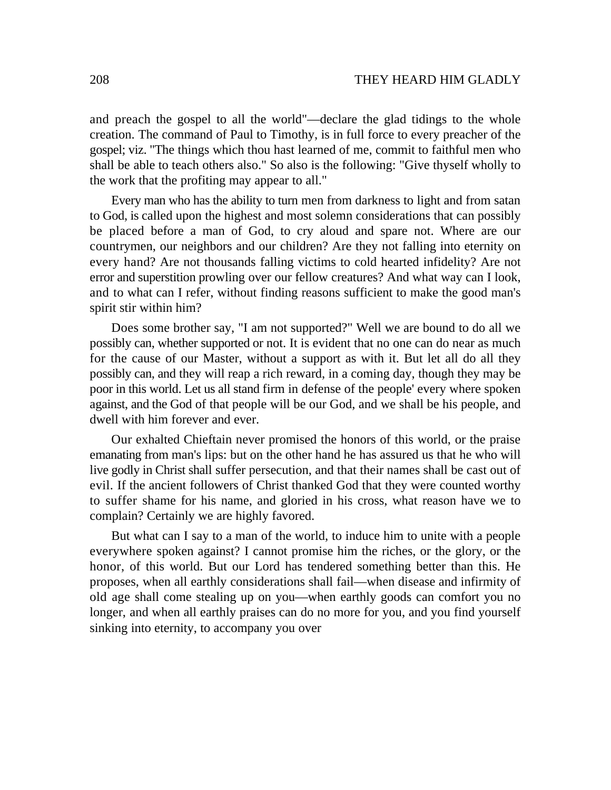and preach the gospel to all the world"—declare the glad tidings to the whole creation. The command of Paul to Timothy, is in full force to every preacher of the gospel; viz. "The things which thou hast learned of me, commit to faithful men who shall be able to teach others also." So also is the following: "Give thyself wholly to the work that the profiting may appear to all."

Every man who has the ability to turn men from darkness to light and from satan to God, is called upon the highest and most solemn considerations that can possibly be placed before a man of God, to cry aloud and spare not. Where are our countrymen, our neighbors and our children? Are they not falling into eternity on every hand? Are not thousands falling victims to cold hearted infidelity? Are not error and superstition prowling over our fellow creatures? And what way can I look, and to what can I refer, without finding reasons sufficient to make the good man's spirit stir within him?

Does some brother say, "I am not supported?" Well we are bound to do all we possibly can, whether supported or not. It is evident that no one can do near as much for the cause of our Master, without a support as with it. But let all do all they possibly can, and they will reap a rich reward, in a coming day, though they may be poor in this world. Let us all stand firm in defense of the people' every where spoken against, and the God of that people will be our God, and we shall be his people, and dwell with him forever and ever.

Our exhalted Chieftain never promised the honors of this world, or the praise emanating from man's lips: but on the other hand he has assured us that he who will live godly in Christ shall suffer persecution, and that their names shall be cast out of evil. If the ancient followers of Christ thanked God that they were counted worthy to suffer shame for his name, and gloried in his cross, what reason have we to complain? Certainly we are highly favored.

But what can I say to a man of the world, to induce him to unite with a people everywhere spoken against? I cannot promise him the riches, or the glory, or the honor, of this world. But our Lord has tendered something better than this. He proposes, when all earthly considerations shall fail—when disease and infirmity of old age shall come stealing up on you—when earthly goods can comfort you no longer, and when all earthly praises can do no more for you, and you find yourself sinking into eternity, to accompany you over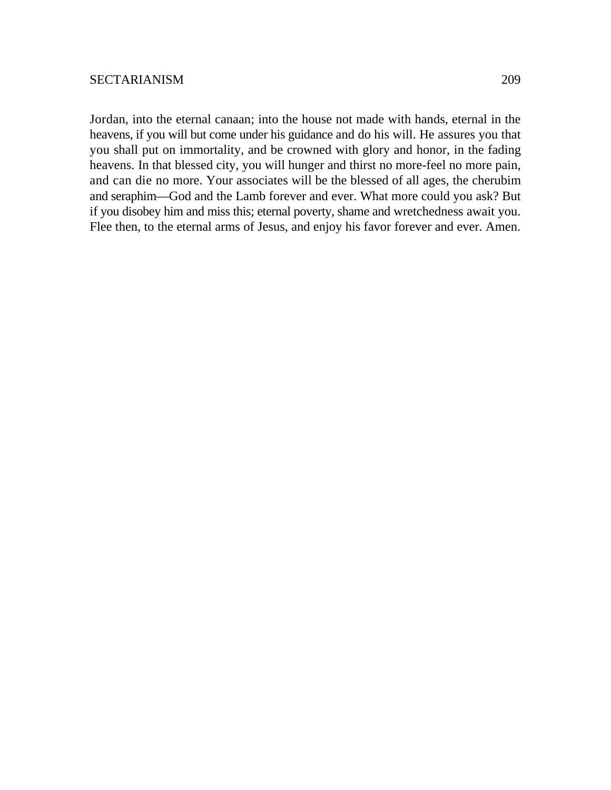Jordan, into the eternal canaan; into the house not made with hands, eternal in the heavens, if you will but come under his guidance and do his will. He assures you that you shall put on immortality, and be crowned with glory and honor, in the fading heavens. In that blessed city, you will hunger and thirst no more-feel no more pain, and can die no more. Your associates will be the blessed of all ages, the cherubim and seraphim—God and the Lamb forever and ever. What more could you ask? But if you disobey him and miss this; eternal poverty, shame and wretchedness await you. Flee then, to the eternal arms of Jesus, and enjoy his favor forever and ever. Amen.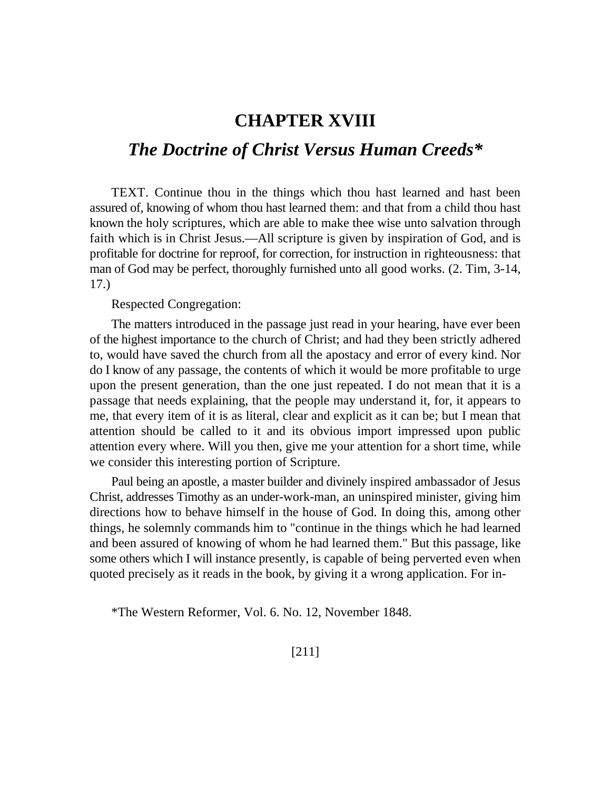# **CHAPTER XVIII** *The Doctrine of Christ Versus Human Creeds\**

TEXT. Continue thou in the things which thou hast learned and hast been assured of, knowing of whom thou hast learned them: and that from a child thou hast known the holy scriptures, which are able to make thee wise unto salvation through faith which is in Christ Jesus.—All scripture is given by inspiration of God, and is profitable for doctrine for reproof, for correction, for instruction in righteousness: that man of God may be perfect, thoroughly furnished unto all good works. (2. Tim, 3-14, 17.)

Respected Congregation:

The matters introduced in the passage just read in your hearing, have ever been of the highest importance to the church of Christ; and had they been strictly adhered to, would have saved the church from all the apostacy and error of every kind. Nor do I know of any passage, the contents of which it would be more profitable to urge upon the present generation, than the one just repeated. I do not mean that it is a passage that needs explaining, that the people may understand it, for, it appears to me, that every item of it is as literal, clear and explicit as it can be; but I mean that attention should be called to it and its obvious import impressed upon public attention every where. Will you then, give me your attention for a short time, while we consider this interesting portion of Scripture.

Paul being an apostle, a master builder and divinely inspired ambassador of Jesus Christ, addresses Timothy as an under-work-man, an uninspired minister, giving him directions how to behave himself in the house of God. In doing this, among other things, he solemnly commands him to "continue in the things which he had learned and been assured of knowing of whom he had learned them." But this passage, like some others which I will instance presently, is capable of being perverted even when quoted precisely as it reads in the book, by giving it a wrong application. For in-

\*The Western Reformer, Vol. 6. No. 12, November 1848.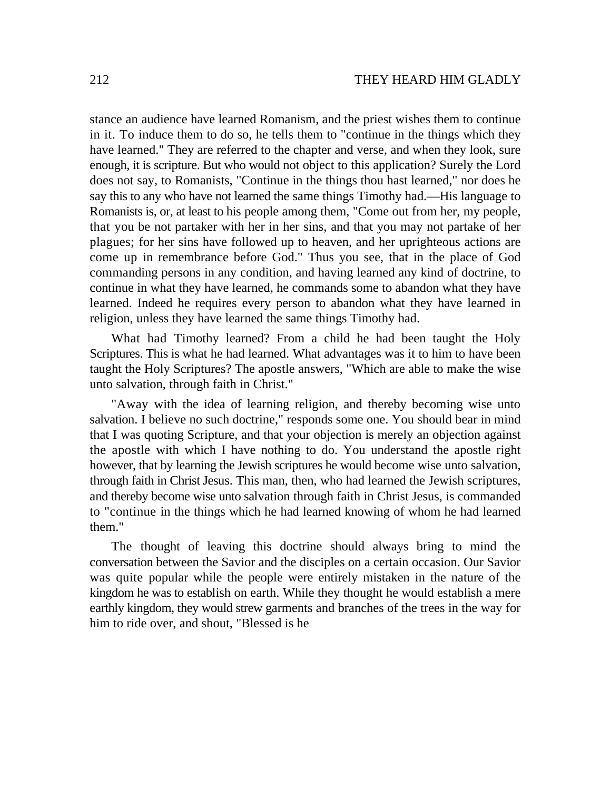stance an audience have learned Romanism, and the priest wishes them to continue in it. To induce them to do so, he tells them to "continue in the things which they have learned." They are referred to the chapter and verse, and when they look, sure enough, it is scripture. But who would not object to this application? Surely the Lord does not say, to Romanists, "Continue in the things thou hast learned," nor does he say this to any who have not learned the same things Timothy had.—His language to Romanists is, or, at least to his people among them, "Come out from her, my people, that you be not partaker with her in her sins, and that you may not partake of her plagues; for her sins have followed up to heaven, and her uprighteous actions are come up in remembrance before God." Thus you see, that in the place of God commanding persons in any condition, and having learned any kind of doctrine, to continue in what they have learned, he commands some to abandon what they have learned. Indeed he requires every person to abandon what they have learned in religion, unless they have learned the same things Timothy had.

What had Timothy learned? From a child he had been taught the Holy Scriptures. This is what he had learned. What advantages was it to him to have been taught the Holy Scriptures? The apostle answers, "Which are able to make the wise unto salvation, through faith in Christ."

"Away with the idea of learning religion, and thereby becoming wise unto salvation. I believe no such doctrine," responds some one. You should bear in mind that I was quoting Scripture, and that your objection is merely an objection against the apostle with which I have nothing to do. You understand the apostle right however, that by learning the Jewish scriptures he would become wise unto salvation, through faith in Christ Jesus. This man, then, who had learned the Jewish scriptures, and thereby become wise unto salvation through faith in Christ Jesus, is commanded to "continue in the things which he had learned knowing of whom he had learned them."

The thought of leaving this doctrine should always bring to mind the conversation between the Savior and the disciples on a certain occasion. Our Savior was quite popular while the people were entirely mistaken in the nature of the kingdom he was to establish on earth. While they thought he would establish a mere earthly kingdom, they would strew garments and branches of the trees in the way for him to ride over, and shout, "Blessed is he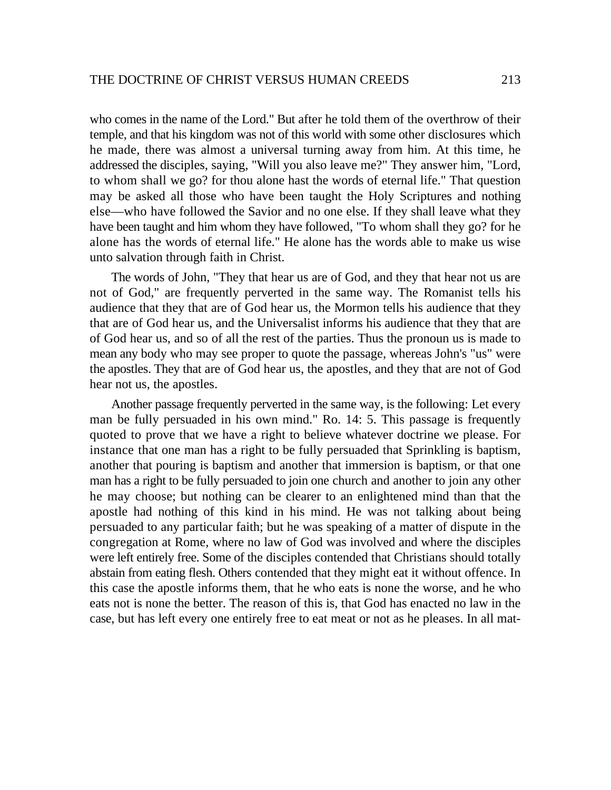who comes in the name of the Lord." But after he told them of the overthrow of their temple, and that his kingdom was not of this world with some other disclosures which he made, there was almost a universal turning away from him. At this time, he addressed the disciples, saying, "Will you also leave me?" They answer him, "Lord, to whom shall we go? for thou alone hast the words of eternal life." That question may be asked all those who have been taught the Holy Scriptures and nothing else—who have followed the Savior and no one else. If they shall leave what they have been taught and him whom they have followed, "To whom shall they go? for he alone has the words of eternal life." He alone has the words able to make us wise unto salvation through faith in Christ.

The words of John, "They that hear us are of God, and they that hear not us are not of God," are frequently perverted in the same way. The Romanist tells his audience that they that are of God hear us, the Mormon tells his audience that they that are of God hear us, and the Universalist informs his audience that they that are of God hear us, and so of all the rest of the parties. Thus the pronoun us is made to mean any body who may see proper to quote the passage, whereas John's "us" were the apostles. They that are of God hear us, the apostles, and they that are not of God hear not us, the apostles.

Another passage frequently perverted in the same way, is the following: Let every man be fully persuaded in his own mind." Ro. 14: 5. This passage is frequently quoted to prove that we have a right to believe whatever doctrine we please. For instance that one man has a right to be fully persuaded that Sprinkling is baptism, another that pouring is baptism and another that immersion is baptism, or that one man has a right to be fully persuaded to join one church and another to join any other he may choose; but nothing can be clearer to an enlightened mind than that the apostle had nothing of this kind in his mind. He was not talking about being persuaded to any particular faith; but he was speaking of a matter of dispute in the congregation at Rome, where no law of God was involved and where the disciples were left entirely free. Some of the disciples contended that Christians should totally abstain from eating flesh. Others contended that they might eat it without offence. In this case the apostle informs them, that he who eats is none the worse, and he who eats not is none the better. The reason of this is, that God has enacted no law in the case, but has left every one entirely free to eat meat or not as he pleases. In all mat-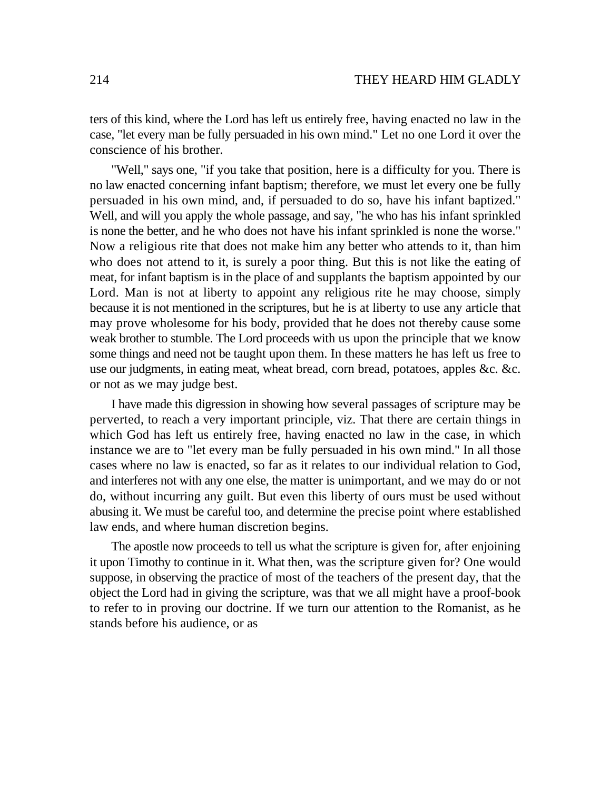ters of this kind, where the Lord has left us entirely free, having enacted no law in the case, "let every man be fully persuaded in his own mind." Let no one Lord it over the conscience of his brother.

"Well," says one, "if you take that position, here is a difficulty for you. There is no law enacted concerning infant baptism; therefore, we must let every one be fully persuaded in his own mind, and, if persuaded to do so, have his infant baptized." Well, and will you apply the whole passage, and say, "he who has his infant sprinkled is none the better, and he who does not have his infant sprinkled is none the worse." Now a religious rite that does not make him any better who attends to it, than him who does not attend to it, is surely a poor thing. But this is not like the eating of meat, for infant baptism is in the place of and supplants the baptism appointed by our Lord. Man is not at liberty to appoint any religious rite he may choose, simply because it is not mentioned in the scriptures, but he is at liberty to use any article that may prove wholesome for his body, provided that he does not thereby cause some weak brother to stumble. The Lord proceeds with us upon the principle that we know some things and need not be taught upon them. In these matters he has left us free to use our judgments, in eating meat, wheat bread, corn bread, potatoes, apples &c. &c. or not as we may judge best.

I have made this digression in showing how several passages of scripture may be perverted, to reach a very important principle, viz. That there are certain things in which God has left us entirely free, having enacted no law in the case, in which instance we are to "let every man be fully persuaded in his own mind." In all those cases where no law is enacted, so far as it relates to our individual relation to God, and interferes not with any one else, the matter is unimportant, and we may do or not do, without incurring any guilt. But even this liberty of ours must be used without abusing it. We must be careful too, and determine the precise point where established law ends, and where human discretion begins.

The apostle now proceeds to tell us what the scripture is given for, after enjoining it upon Timothy to continue in it. What then, was the scripture given for? One would suppose, in observing the practice of most of the teachers of the present day, that the object the Lord had in giving the scripture, was that we all might have a proof-book to refer to in proving our doctrine. If we turn our attention to the Romanist, as he stands before his audience, or as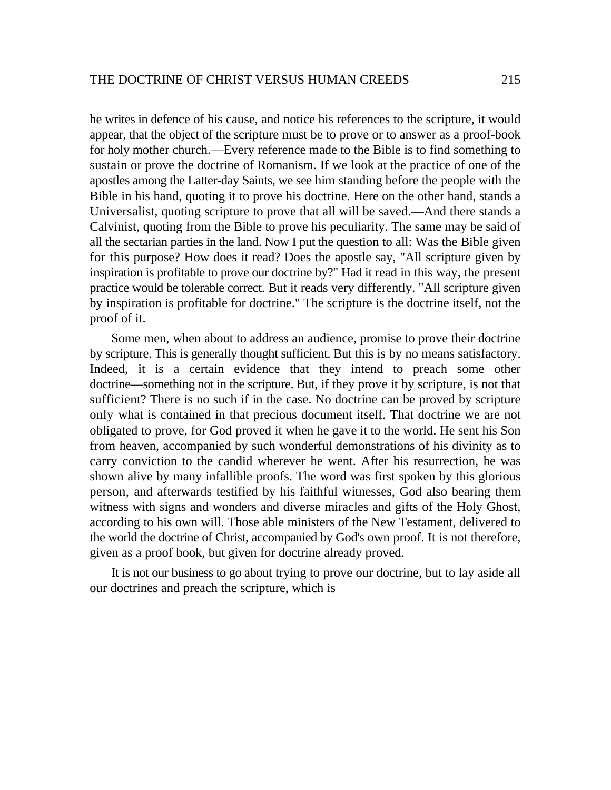he writes in defence of his cause, and notice his references to the scripture, it would appear, that the object of the scripture must be to prove or to answer as a proof-book for holy mother church.—Every reference made to the Bible is to find something to sustain or prove the doctrine of Romanism. If we look at the practice of one of the apostles among the Latter-day Saints, we see him standing before the people with the Bible in his hand, quoting it to prove his doctrine. Here on the other hand, stands a Universalist, quoting scripture to prove that all will be saved.—And there stands a Calvinist, quoting from the Bible to prove his peculiarity. The same may be said of all the sectarian parties in the land. Now I put the question to all: Was the Bible given for this purpose? How does it read? Does the apostle say, "All scripture given by inspiration is profitable to prove our doctrine by?" Had it read in this way, the present practice would be tolerable correct. But it reads very differently. "All scripture given by inspiration is profitable for doctrine." The scripture is the doctrine itself, not the proof of it.

Some men, when about to address an audience, promise to prove their doctrine by scripture. This is generally thought sufficient. But this is by no means satisfactory. Indeed, it is a certain evidence that they intend to preach some other doctrine—something not in the scripture. But, if they prove it by scripture, is not that sufficient? There is no such if in the case. No doctrine can be proved by scripture only what is contained in that precious document itself. That doctrine we are not obligated to prove, for God proved it when he gave it to the world. He sent his Son from heaven, accompanied by such wonderful demonstrations of his divinity as to carry conviction to the candid wherever he went. After his resurrection, he was shown alive by many infallible proofs. The word was first spoken by this glorious person, and afterwards testified by his faithful witnesses, God also bearing them witness with signs and wonders and diverse miracles and gifts of the Holy Ghost, according to his own will. Those able ministers of the New Testament, delivered to the world the doctrine of Christ, accompanied by God's own proof. It is not therefore, given as a proof book, but given for doctrine already proved.

It is not our business to go about trying to prove our doctrine, but to lay aside all our doctrines and preach the scripture, which is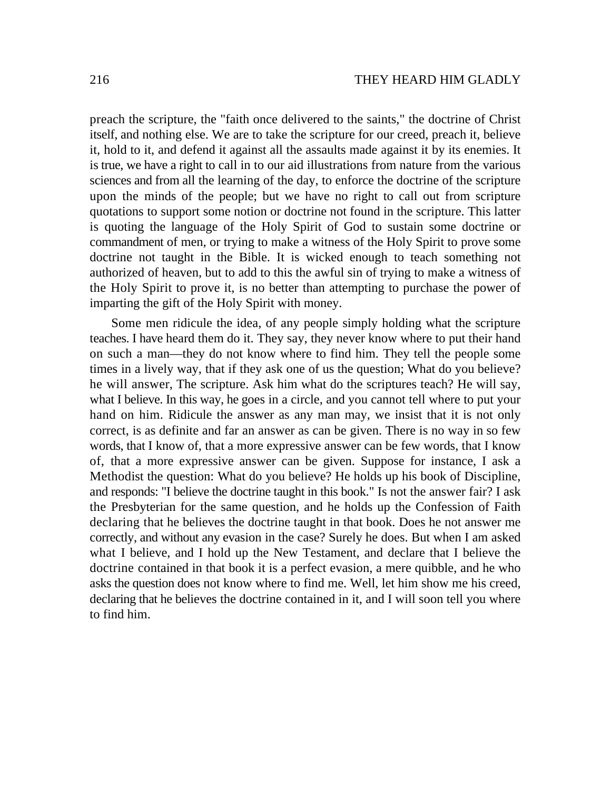preach the scripture, the "faith once delivered to the saints," the doctrine of Christ itself, and nothing else. We are to take the scripture for our creed, preach it, believe it, hold to it, and defend it against all the assaults made against it by its enemies. It is true, we have a right to call in to our aid illustrations from nature from the various sciences and from all the learning of the day, to enforce the doctrine of the scripture upon the minds of the people; but we have no right to call out from scripture quotations to support some notion or doctrine not found in the scripture. This latter is quoting the language of the Holy Spirit of God to sustain some doctrine or commandment of men, or trying to make a witness of the Holy Spirit to prove some doctrine not taught in the Bible. It is wicked enough to teach something not authorized of heaven, but to add to this the awful sin of trying to make a witness of the Holy Spirit to prove it, is no better than attempting to purchase the power of imparting the gift of the Holy Spirit with money.

Some men ridicule the idea, of any people simply holding what the scripture teaches. I have heard them do it. They say, they never know where to put their hand on such a man—they do not know where to find him. They tell the people some times in a lively way, that if they ask one of us the question; What do you believe? he will answer, The scripture. Ask him what do the scriptures teach? He will say, what I believe. In this way, he goes in a circle, and you cannot tell where to put your hand on him. Ridicule the answer as any man may, we insist that it is not only correct, is as definite and far an answer as can be given. There is no way in so few words, that I know of, that a more expressive answer can be few words, that I know of, that a more expressive answer can be given. Suppose for instance, I ask a Methodist the question: What do you believe? He holds up his book of Discipline, and responds: "I believe the doctrine taught in this book." Is not the answer fair? I ask the Presbyterian for the same question, and he holds up the Confession of Faith declaring that he believes the doctrine taught in that book. Does he not answer me correctly, and without any evasion in the case? Surely he does. But when I am asked what I believe, and I hold up the New Testament, and declare that I believe the doctrine contained in that book it is a perfect evasion, a mere quibble, and he who asks the question does not know where to find me. Well, let him show me his creed, declaring that he believes the doctrine contained in it, and I will soon tell you where to find him.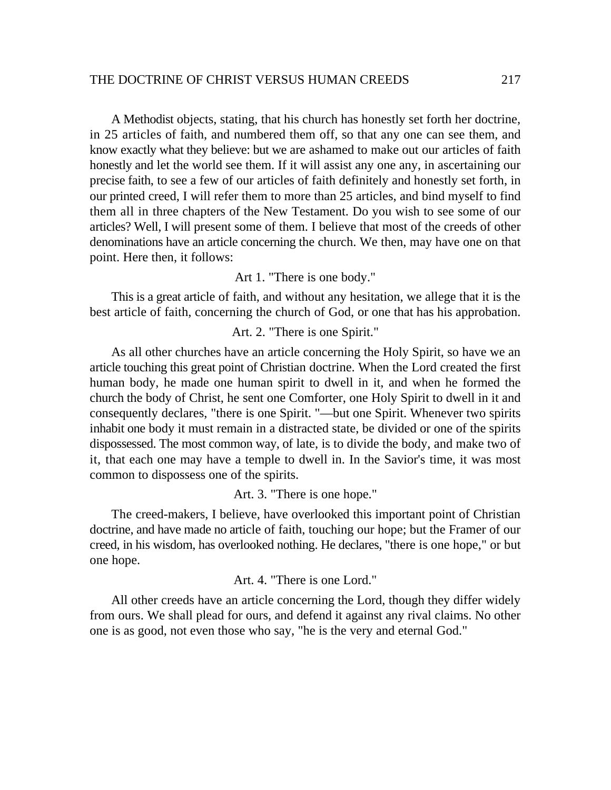A Methodist objects, stating, that his church has honestly set forth her doctrine, in 25 articles of faith, and numbered them off, so that any one can see them, and know exactly what they believe: but we are ashamed to make out our articles of faith honestly and let the world see them. If it will assist any one any, in ascertaining our precise faith, to see a few of our articles of faith definitely and honestly set forth, in our printed creed, I will refer them to more than 25 articles, and bind myself to find them all in three chapters of the New Testament. Do you wish to see some of our articles? Well, I will present some of them. I believe that most of the creeds of other denominations have an article concerning the church. We then, may have one on that point. Here then, it follows:

Art 1. "There is one body."

This is a great article of faith, and without any hesitation, we allege that it is the best article of faith, concerning the church of God, or one that has his approbation.

Art. 2. "There is one Spirit."

As all other churches have an article concerning the Holy Spirit, so have we an article touching this great point of Christian doctrine. When the Lord created the first human body, he made one human spirit to dwell in it, and when he formed the church the body of Christ, he sent one Comforter, one Holy Spirit to dwell in it and consequently declares, "there is one Spirit. "—but one Spirit. Whenever two spirits inhabit one body it must remain in a distracted state, be divided or one of the spirits dispossessed. The most common way, of late, is to divide the body, and make two of it, that each one may have a temple to dwell in. In the Savior's time, it was most common to dispossess one of the spirits.

Art. 3. "There is one hope."

The creed-makers, I believe, have overlooked this important point of Christian doctrine, and have made no article of faith, touching our hope; but the Framer of our creed, in his wisdom, has overlooked nothing. He declares, "there is one hope," or but one hope.

Art. 4. "There is one Lord."

All other creeds have an article concerning the Lord, though they differ widely from ours. We shall plead for ours, and defend it against any rival claims. No other one is as good, not even those who say, "he is the very and eternal God."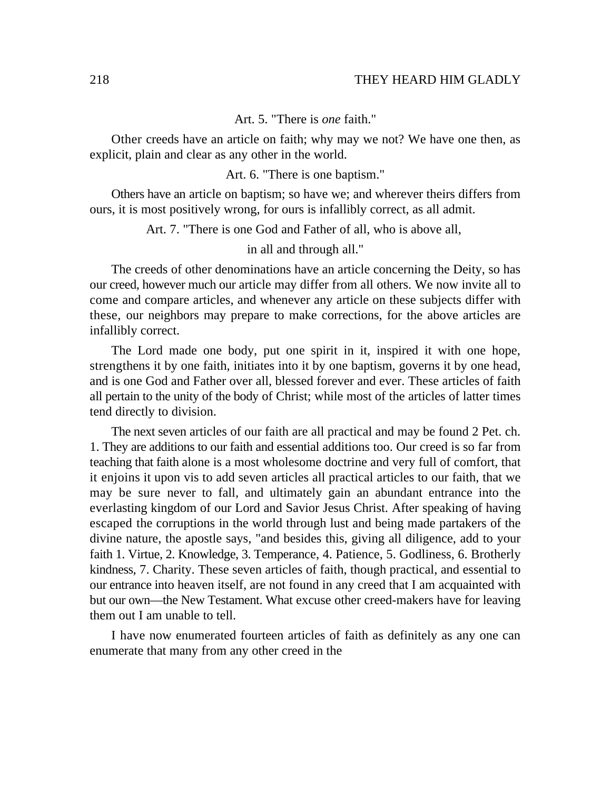### Art. 5. "There is *one* faith."

Other creeds have an article on faith; why may we not? We have one then, as explicit, plain and clear as any other in the world.

Art. 6. "There is one baptism."

Others have an article on baptism; so have we; and wherever theirs differs from ours, it is most positively wrong, for ours is infallibly correct, as all admit.

Art. 7. "There is one God and Father of all, who is above all,

## in all and through all."

The creeds of other denominations have an article concerning the Deity, so has our creed, however much our article may differ from all others. We now invite all to come and compare articles, and whenever any article on these subjects differ with these, our neighbors may prepare to make corrections, for the above articles are infallibly correct.

The Lord made one body, put one spirit in it, inspired it with one hope, strengthens it by one faith, initiates into it by one baptism, governs it by one head, and is one God and Father over all, blessed forever and ever. These articles of faith all pertain to the unity of the body of Christ; while most of the articles of latter times tend directly to division.

The next seven articles of our faith are all practical and may be found 2 Pet. ch. 1. They are additions to our faith and essential additions too. Our creed is so far from teaching that faith alone is a most wholesome doctrine and very full of comfort, that it enjoins it upon vis to add seven articles all practical articles to our faith, that we may be sure never to fall, and ultimately gain an abundant entrance into the everlasting kingdom of our Lord and Savior Jesus Christ. After speaking of having escaped the corruptions in the world through lust and being made partakers of the divine nature, the apostle says, "and besides this, giving all diligence, add to your faith 1. Virtue, 2. Knowledge, 3. Temperance, 4. Patience, 5. Godliness, 6. Brotherly kindness, 7. Charity. These seven articles of faith, though practical, and essential to our entrance into heaven itself, are not found in any creed that I am acquainted with but our own—the New Testament. What excuse other creed-makers have for leaving them out I am unable to tell.

I have now enumerated fourteen articles of faith as definitely as any one can enumerate that many from any other creed in the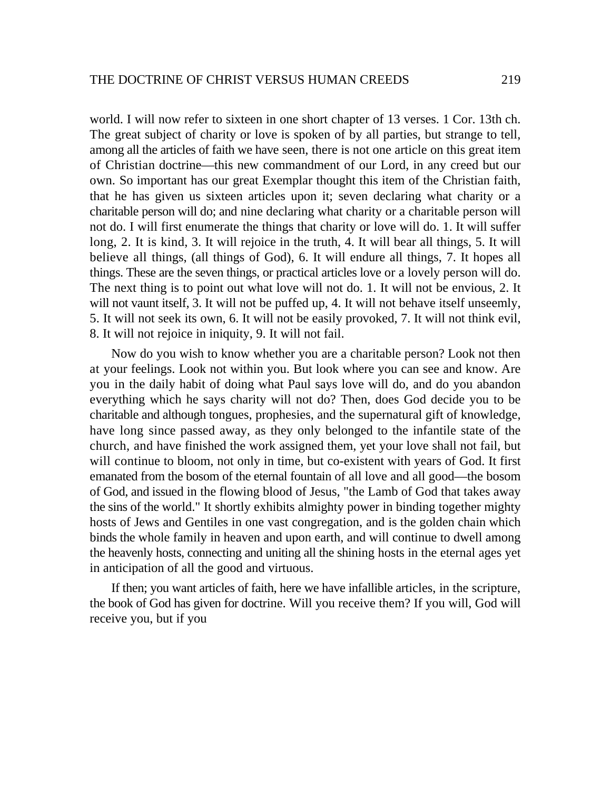world. I will now refer to sixteen in one short chapter of 13 verses. 1 Cor. 13th ch. The great subject of charity or love is spoken of by all parties, but strange to tell, among all the articles of faith we have seen, there is not one article on this great item of Christian doctrine—this new commandment of our Lord, in any creed but our own. So important has our great Exemplar thought this item of the Christian faith, that he has given us sixteen articles upon it; seven declaring what charity or a charitable person will do; and nine declaring what charity or a charitable person will not do. I will first enumerate the things that charity or love will do. 1. It will suffer long, 2. It is kind, 3. It will rejoice in the truth, 4. It will bear all things, 5. It will believe all things, (all things of God), 6. It will endure all things, 7. It hopes all things. These are the seven things, or practical articles love or a lovely person will do. The next thing is to point out what love will not do. 1. It will not be envious, 2. It will not vaunt itself, 3. It will not be puffed up, 4. It will not behave itself unseemly, 5. It will not seek its own, 6. It will not be easily provoked, 7. It will not think evil, 8. It will not rejoice in iniquity, 9. It will not fail.

Now do you wish to know whether you are a charitable person? Look not then at your feelings. Look not within you. But look where you can see and know. Are you in the daily habit of doing what Paul says love will do, and do you abandon everything which he says charity will not do? Then, does God decide you to be charitable and although tongues, prophesies, and the supernatural gift of knowledge, have long since passed away, as they only belonged to the infantile state of the church, and have finished the work assigned them, yet your love shall not fail, but will continue to bloom, not only in time, but co-existent with years of God. It first emanated from the bosom of the eternal fountain of all love and all good—the bosom of God, and issued in the flowing blood of Jesus, "the Lamb of God that takes away the sins of the world." It shortly exhibits almighty power in binding together mighty hosts of Jews and Gentiles in one vast congregation, and is the golden chain which binds the whole family in heaven and upon earth, and will continue to dwell among the heavenly hosts, connecting and uniting all the shining hosts in the eternal ages yet in anticipation of all the good and virtuous.

If then; you want articles of faith, here we have infallible articles, in the scripture, the book of God has given for doctrine. Will you receive them? If you will, God will receive you, but if you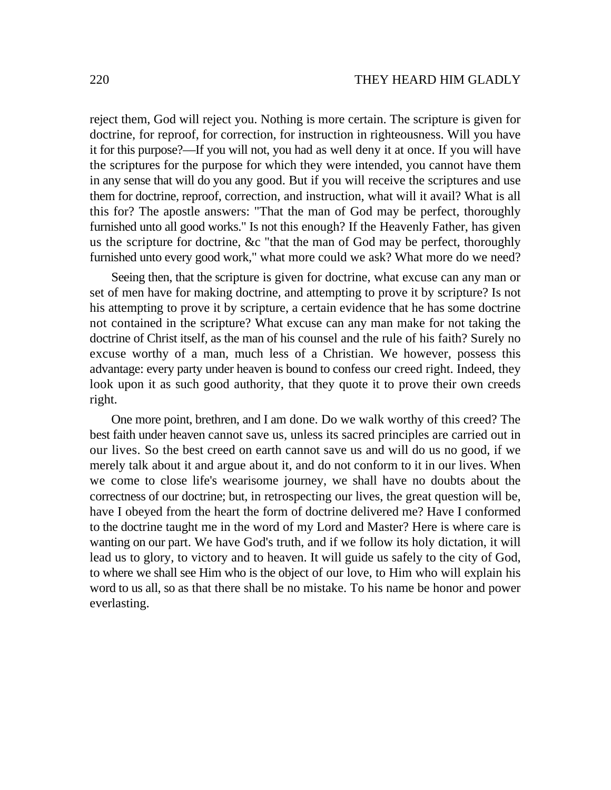reject them, God will reject you. Nothing is more certain. The scripture is given for doctrine, for reproof, for correction, for instruction in righteousness. Will you have it for this purpose?—If you will not, you had as well deny it at once. If you will have the scriptures for the purpose for which they were intended, you cannot have them in any sense that will do you any good. But if you will receive the scriptures and use them for doctrine, reproof, correction, and instruction, what will it avail? What is all this for? The apostle answers: "That the man of God may be perfect, thoroughly furnished unto all good works." Is not this enough? If the Heavenly Father, has given us the scripture for doctrine, &c "that the man of God may be perfect, thoroughly furnished unto every good work," what more could we ask? What more do we need?

Seeing then, that the scripture is given for doctrine, what excuse can any man or set of men have for making doctrine, and attempting to prove it by scripture? Is not his attempting to prove it by scripture, a certain evidence that he has some doctrine not contained in the scripture? What excuse can any man make for not taking the doctrine of Christ itself, as the man of his counsel and the rule of his faith? Surely no excuse worthy of a man, much less of a Christian. We however, possess this advantage: every party under heaven is bound to confess our creed right. Indeed, they look upon it as such good authority, that they quote it to prove their own creeds right.

One more point, brethren, and I am done. Do we walk worthy of this creed? The best faith under heaven cannot save us, unless its sacred principles are carried out in our lives. So the best creed on earth cannot save us and will do us no good, if we merely talk about it and argue about it, and do not conform to it in our lives. When we come to close life's wearisome journey, we shall have no doubts about the correctness of our doctrine; but, in retrospecting our lives, the great question will be, have I obeyed from the heart the form of doctrine delivered me? Have I conformed to the doctrine taught me in the word of my Lord and Master? Here is where care is wanting on our part. We have God's truth, and if we follow its holy dictation, it will lead us to glory, to victory and to heaven. It will guide us safely to the city of God, to where we shall see Him who is the object of our love, to Him who will explain his word to us all, so as that there shall be no mistake. To his name be honor and power everlasting.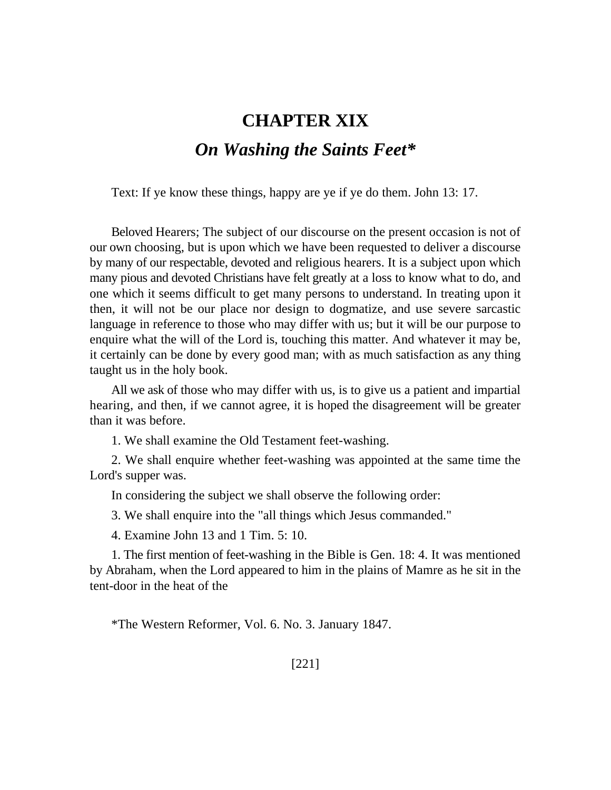## **CHAPTER XIX** *On Washing the Saints Feet\**

Text: If ye know these things, happy are ye if ye do them. John 13: 17.

Beloved Hearers; The subject of our discourse on the present occasion is not of our own choosing, but is upon which we have been requested to deliver a discourse by many of our respectable, devoted and religious hearers. It is a subject upon which many pious and devoted Christians have felt greatly at a loss to know what to do, and one which it seems difficult to get many persons to understand. In treating upon it then, it will not be our place nor design to dogmatize, and use severe sarcastic language in reference to those who may differ with us; but it will be our purpose to enquire what the will of the Lord is, touching this matter. And whatever it may be, it certainly can be done by every good man; with as much satisfaction as any thing taught us in the holy book.

All we ask of those who may differ with us, is to give us a patient and impartial hearing, and then, if we cannot agree, it is hoped the disagreement will be greater than it was before.

1. We shall examine the Old Testament feet-washing.

2. We shall enquire whether feet-washing was appointed at the same time the Lord's supper was.

In considering the subject we shall observe the following order:

3. We shall enquire into the "all things which Jesus commanded."

4. Examine John 13 and 1 Tim. 5: 10.

1. The first mention of feet-washing in the Bible is Gen. 18: 4. It was mentioned by Abraham, when the Lord appeared to him in the plains of Mamre as he sit in the tent-door in the heat of the

\*The Western Reformer, Vol. 6. No. 3. January 1847.

[221]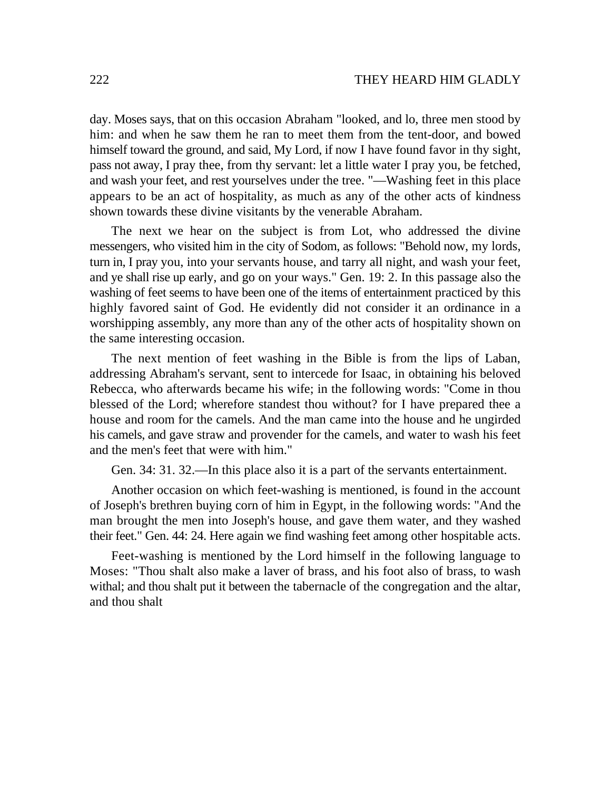day. Moses says, that on this occasion Abraham "looked, and lo, three men stood by him: and when he saw them he ran to meet them from the tent-door, and bowed himself toward the ground, and said, My Lord, if now I have found favor in thy sight, pass not away, I pray thee, from thy servant: let a little water I pray you, be fetched, and wash your feet, and rest yourselves under the tree. "—Washing feet in this place appears to be an act of hospitality, as much as any of the other acts of kindness shown towards these divine visitants by the venerable Abraham.

The next we hear on the subject is from Lot, who addressed the divine messengers, who visited him in the city of Sodom, as follows: "Behold now, my lords, turn in, I pray you, into your servants house, and tarry all night, and wash your feet, and ye shall rise up early, and go on your ways." Gen. 19: 2. In this passage also the washing of feet seems to have been one of the items of entertainment practiced by this highly favored saint of God. He evidently did not consider it an ordinance in a worshipping assembly, any more than any of the other acts of hospitality shown on the same interesting occasion.

The next mention of feet washing in the Bible is from the lips of Laban, addressing Abraham's servant, sent to intercede for Isaac, in obtaining his beloved Rebecca, who afterwards became his wife; in the following words: "Come in thou blessed of the Lord; wherefore standest thou without? for I have prepared thee a house and room for the camels. And the man came into the house and he ungirded his camels, and gave straw and provender for the camels, and water to wash his feet and the men's feet that were with him."

Gen. 34: 31. 32.—In this place also it is a part of the servants entertainment.

Another occasion on which feet-washing is mentioned, is found in the account of Joseph's brethren buying corn of him in Egypt, in the following words: "And the man brought the men into Joseph's house, and gave them water, and they washed their feet." Gen. 44: 24. Here again we find washing feet among other hospitable acts.

Feet-washing is mentioned by the Lord himself in the following language to Moses: "Thou shalt also make a laver of brass, and his foot also of brass, to wash withal; and thou shalt put it between the tabernacle of the congregation and the altar, and thou shalt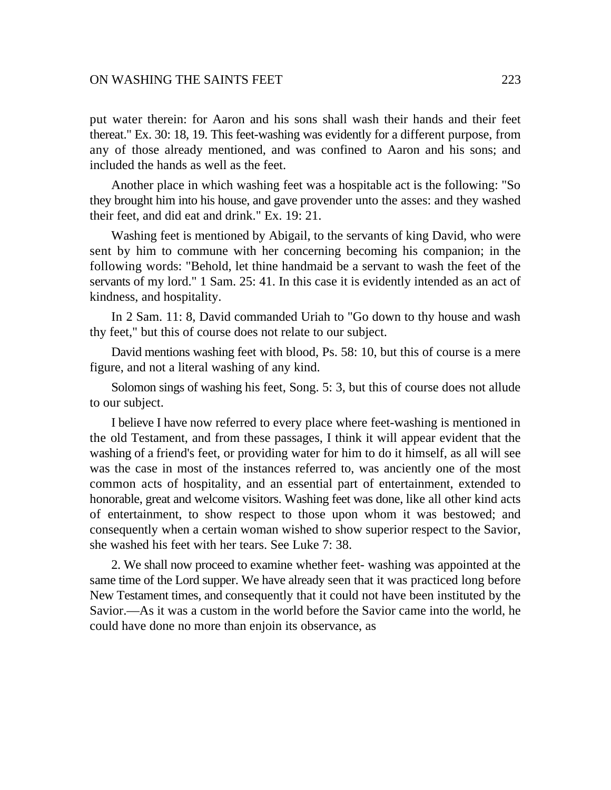put water therein: for Aaron and his sons shall wash their hands and their feet thereat." Ex. 30: 18, 19. This feet-washing was evidently for a different purpose, from any of those already mentioned, and was confined to Aaron and his sons; and included the hands as well as the feet.

Another place in which washing feet was a hospitable act is the following: "So they brought him into his house, and gave provender unto the asses: and they washed their feet, and did eat and drink." Ex. 19: 21.

Washing feet is mentioned by Abigail, to the servants of king David, who were sent by him to commune with her concerning becoming his companion; in the following words: "Behold, let thine handmaid be a servant to wash the feet of the servants of my lord." 1 Sam. 25: 41. In this case it is evidently intended as an act of kindness, and hospitality.

In 2 Sam. 11: 8, David commanded Uriah to "Go down to thy house and wash thy feet," but this of course does not relate to our subject.

David mentions washing feet with blood, Ps. 58: 10, but this of course is a mere figure, and not a literal washing of any kind.

Solomon sings of washing his feet, Song. 5: 3, but this of course does not allude to our subject.

I believe I have now referred to every place where feet-washing is mentioned in the old Testament, and from these passages, I think it will appear evident that the washing of a friend's feet, or providing water for him to do it himself, as all will see was the case in most of the instances referred to, was anciently one of the most common acts of hospitality, and an essential part of entertainment, extended to honorable, great and welcome visitors. Washing feet was done, like all other kind acts of entertainment, to show respect to those upon whom it was bestowed; and consequently when a certain woman wished to show superior respect to the Savior, she washed his feet with her tears. See Luke 7: 38.

2. We shall now proceed to examine whether feet- washing was appointed at the same time of the Lord supper. We have already seen that it was practiced long before New Testament times, and consequently that it could not have been instituted by the Savior.—As it was a custom in the world before the Savior came into the world, he could have done no more than enjoin its observance, as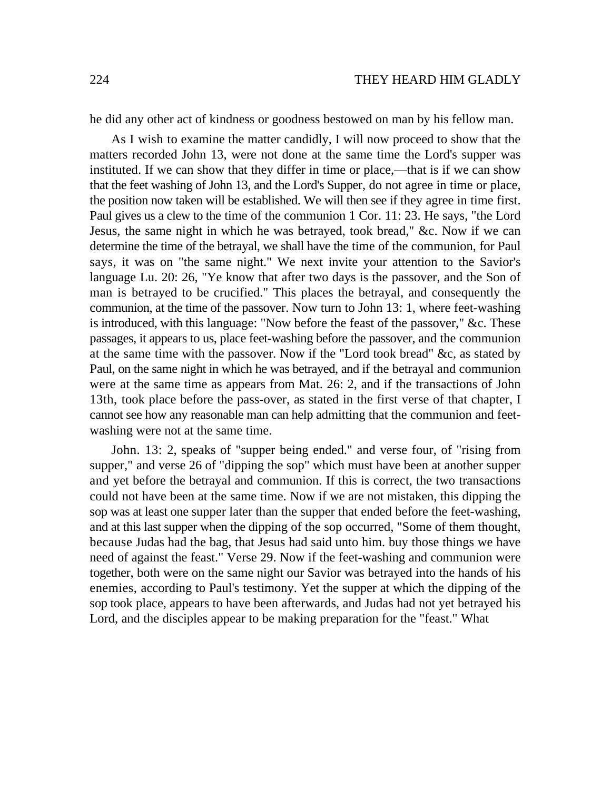he did any other act of kindness or goodness bestowed on man by his fellow man.

As I wish to examine the matter candidly, I will now proceed to show that the matters recorded John 13, were not done at the same time the Lord's supper was instituted. If we can show that they differ in time or place,—that is if we can show that the feet washing of John 13, and the Lord's Supper, do not agree in time or place, the position now taken will be established. We will then see if they agree in time first. Paul gives us a clew to the time of the communion 1 Cor. 11: 23. He says, "the Lord Jesus, the same night in which he was betrayed, took bread," &c. Now if we can determine the time of the betrayal, we shall have the time of the communion, for Paul says, it was on "the same night." We next invite your attention to the Savior's language Lu. 20: 26, "Ye know that after two days is the passover, and the Son of man is betrayed to be crucified." This places the betrayal, and consequently the communion, at the time of the passover. Now turn to John 13: 1, where feet-washing is introduced, with this language: "Now before the feast of the passover," &c. These passages, it appears to us, place feet-washing before the passover, and the communion at the same time with the passover. Now if the "Lord took bread" &c, as stated by Paul, on the same night in which he was betrayed, and if the betrayal and communion were at the same time as appears from Mat. 26: 2, and if the transactions of John 13th, took place before the pass-over, as stated in the first verse of that chapter, I cannot see how any reasonable man can help admitting that the communion and feetwashing were not at the same time.

John. 13: 2, speaks of "supper being ended." and verse four, of "rising from supper," and verse 26 of "dipping the sop" which must have been at another supper and yet before the betrayal and communion. If this is correct, the two transactions could not have been at the same time. Now if we are not mistaken, this dipping the sop was at least one supper later than the supper that ended before the feet-washing, and at this last supper when the dipping of the sop occurred, "Some of them thought, because Judas had the bag, that Jesus had said unto him. buy those things we have need of against the feast." Verse 29. Now if the feet-washing and communion were together, both were on the same night our Savior was betrayed into the hands of his enemies, according to Paul's testimony. Yet the supper at which the dipping of the sop took place, appears to have been afterwards, and Judas had not yet betrayed his Lord, and the disciples appear to be making preparation for the "feast." What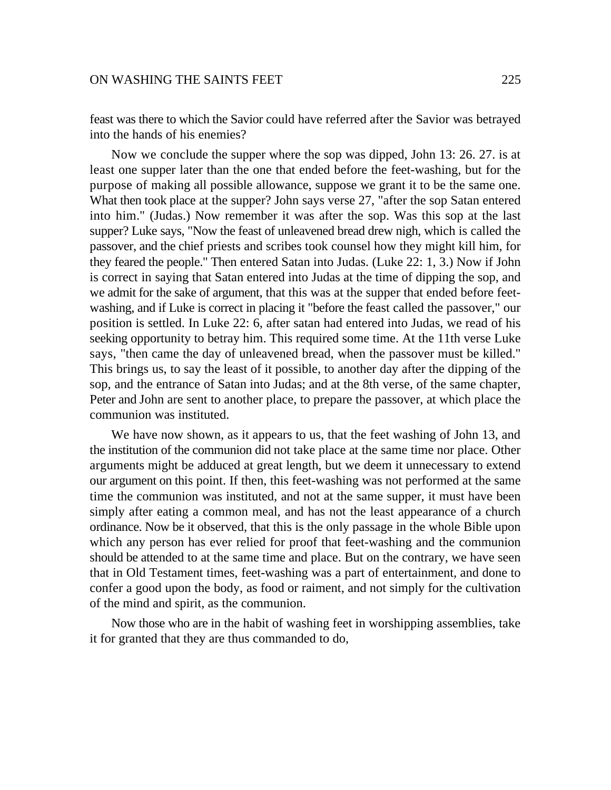feast was there to which the Savior could have referred after the Savior was betrayed into the hands of his enemies?

Now we conclude the supper where the sop was dipped, John 13: 26. 27. is at least one supper later than the one that ended before the feet-washing, but for the purpose of making all possible allowance, suppose we grant it to be the same one. What then took place at the supper? John says verse 27, "after the sop Satan entered into him." (Judas.) Now remember it was after the sop. Was this sop at the last supper? Luke says, "Now the feast of unleavened bread drew nigh, which is called the passover, and the chief priests and scribes took counsel how they might kill him, for they feared the people." Then entered Satan into Judas. (Luke 22: 1, 3.) Now if John is correct in saying that Satan entered into Judas at the time of dipping the sop, and we admit for the sake of argument, that this was at the supper that ended before feetwashing, and if Luke is correct in placing it "before the feast called the passover," our position is settled. In Luke 22: 6, after satan had entered into Judas, we read of his seeking opportunity to betray him. This required some time. At the 11th verse Luke says, "then came the day of unleavened bread, when the passover must be killed." This brings us, to say the least of it possible, to another day after the dipping of the sop, and the entrance of Satan into Judas; and at the 8th verse, of the same chapter, Peter and John are sent to another place, to prepare the passover, at which place the communion was instituted.

We have now shown, as it appears to us, that the feet washing of John 13, and the institution of the communion did not take place at the same time nor place. Other arguments might be adduced at great length, but we deem it unnecessary to extend our argument on this point. If then, this feet-washing was not performed at the same time the communion was instituted, and not at the same supper, it must have been simply after eating a common meal, and has not the least appearance of a church ordinance. Now be it observed, that this is the only passage in the whole Bible upon which any person has ever relied for proof that feet-washing and the communion should be attended to at the same time and place. But on the contrary, we have seen that in Old Testament times, feet-washing was a part of entertainment, and done to confer a good upon the body, as food or raiment, and not simply for the cultivation of the mind and spirit, as the communion.

Now those who are in the habit of washing feet in worshipping assemblies, take it for granted that they are thus commanded to do,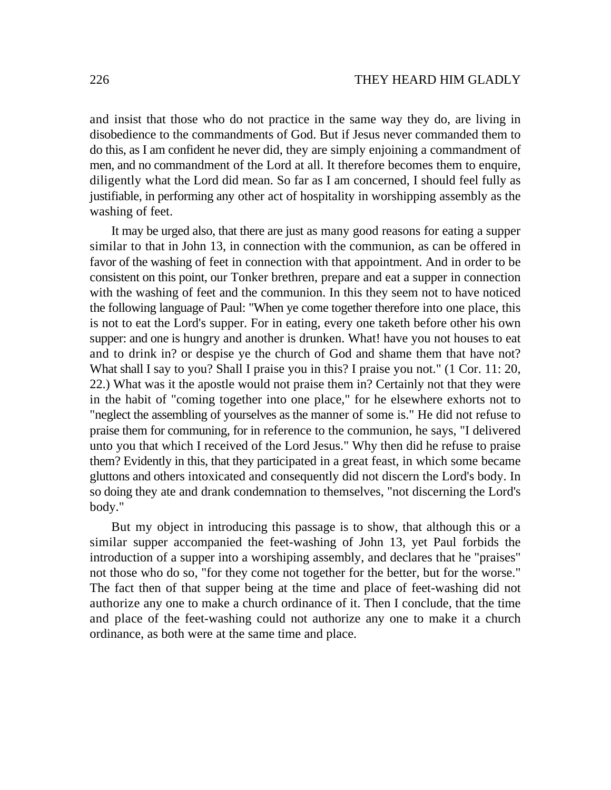and insist that those who do not practice in the same way they do, are living in disobedience to the commandments of God. But if Jesus never commanded them to do this, as I am confident he never did, they are simply enjoining a commandment of men, and no commandment of the Lord at all. It therefore becomes them to enquire, diligently what the Lord did mean. So far as I am concerned, I should feel fully as justifiable, in performing any other act of hospitality in worshipping assembly as the washing of feet.

It may be urged also, that there are just as many good reasons for eating a supper similar to that in John 13, in connection with the communion, as can be offered in favor of the washing of feet in connection with that appointment. And in order to be consistent on this point, our Tonker brethren, prepare and eat a supper in connection with the washing of feet and the communion. In this they seem not to have noticed the following language of Paul: "When ye come together therefore into one place, this is not to eat the Lord's supper. For in eating, every one taketh before other his own supper: and one is hungry and another is drunken. What! have you not houses to eat and to drink in? or despise ye the church of God and shame them that have not? What shall I say to you? Shall I praise you in this? I praise you not." (1 Cor. 11: 20, 22.) What was it the apostle would not praise them in? Certainly not that they were in the habit of "coming together into one place," for he elsewhere exhorts not to "neglect the assembling of yourselves as the manner of some is." He did not refuse to praise them for communing, for in reference to the communion, he says, "I delivered unto you that which I received of the Lord Jesus." Why then did he refuse to praise them? Evidently in this, that they participated in a great feast, in which some became gluttons and others intoxicated and consequently did not discern the Lord's body. In so doing they ate and drank condemnation to themselves, "not discerning the Lord's body."

But my object in introducing this passage is to show, that although this or a similar supper accompanied the feet-washing of John 13, yet Paul forbids the introduction of a supper into a worshiping assembly, and declares that he "praises" not those who do so, "for they come not together for the better, but for the worse." The fact then of that supper being at the time and place of feet-washing did not authorize any one to make a church ordinance of it. Then I conclude, that the time and place of the feet-washing could not authorize any one to make it a church ordinance, as both were at the same time and place.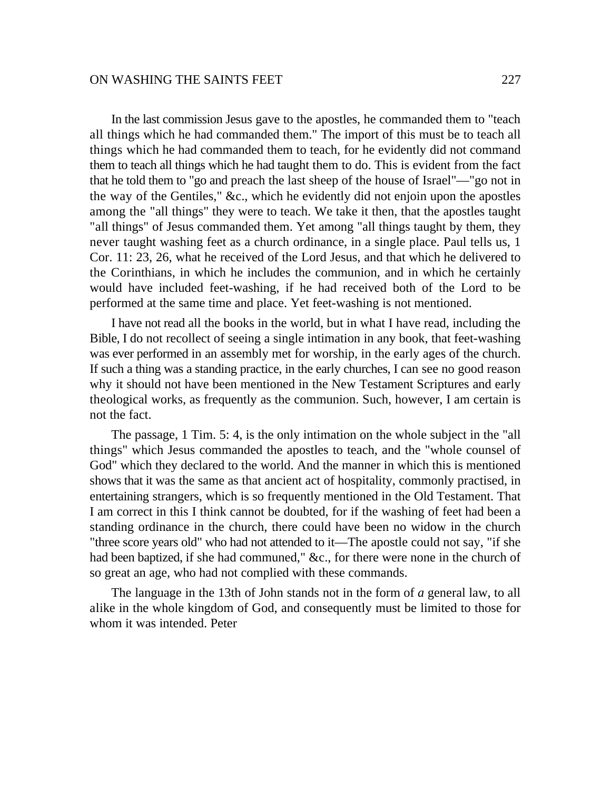In the last commission Jesus gave to the apostles, he commanded them to "teach all things which he had commanded them." The import of this must be to teach all things which he had commanded them to teach, for he evidently did not command them to teach all things which he had taught them to do. This is evident from the fact that he told them to "go and preach the last sheep of the house of Israel"—"go not in the way of the Gentiles," &c., which he evidently did not enjoin upon the apostles among the "all things" they were to teach. We take it then, that the apostles taught "all things" of Jesus commanded them. Yet among "all things taught by them, they never taught washing feet as a church ordinance, in a single place. Paul tells us, 1 Cor. 11: 23, 26, what he received of the Lord Jesus, and that which he delivered to the Corinthians, in which he includes the communion, and in which he certainly would have included feet-washing, if he had received both of the Lord to be performed at the same time and place. Yet feet-washing is not mentioned.

I have not read all the books in the world, but in what I have read, including the Bible, I do not recollect of seeing a single intimation in any book, that feet-washing was ever performed in an assembly met for worship, in the early ages of the church. If such a thing was a standing practice, in the early churches, I can see no good reason why it should not have been mentioned in the New Testament Scriptures and early theological works, as frequently as the communion. Such, however, I am certain is not the fact.

The passage, 1 Tim. 5: 4, is the only intimation on the whole subject in the "all things" which Jesus commanded the apostles to teach, and the "whole counsel of God" which they declared to the world. And the manner in which this is mentioned shows that it was the same as that ancient act of hospitality, commonly practised, in entertaining strangers, which is so frequently mentioned in the Old Testament. That I am correct in this I think cannot be doubted, for if the washing of feet had been a standing ordinance in the church, there could have been no widow in the church "three score years old" who had not attended to it—The apostle could not say, "if she had been baptized, if she had communed," &c., for there were none in the church of so great an age, who had not complied with these commands.

The language in the 13th of John stands not in the form of *a* general law, to all alike in the whole kingdom of God, and consequently must be limited to those for whom it was intended. Peter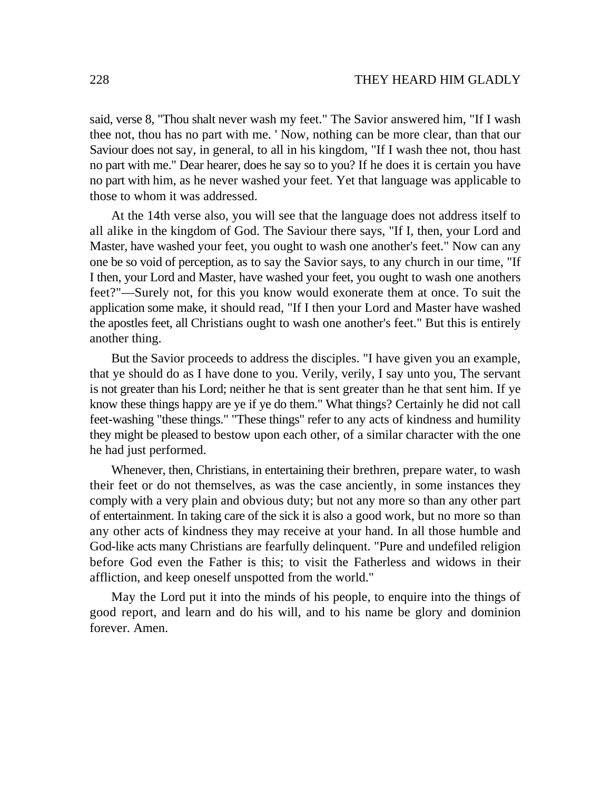said, verse 8, "Thou shalt never wash my feet." The Savior answered him, "If I wash thee not, thou has no part with me. ' Now, nothing can be more clear, than that our Saviour does not say, in general, to all in his kingdom, "If I wash thee not, thou hast no part with me." Dear hearer, does he say so to you? If he does it is certain you have no part with him, as he never washed your feet. Yet that language was applicable to those to whom it was addressed.

At the 14th verse also, you will see that the language does not address itself to all alike in the kingdom of God. The Saviour there says, "If I, then, your Lord and Master, have washed your feet, you ought to wash one another's feet." Now can any one be so void of perception, as to say the Savior says, to any church in our time, "If I then, your Lord and Master, have washed your feet, you ought to wash one anothers feet?"—Surely not, for this you know would exonerate them at once. To suit the application some make, it should read, "If I then your Lord and Master have washed the apostles feet, all Christians ought to wash one another's feet." But this is entirely another thing.

But the Savior proceeds to address the disciples. "I have given you an example, that ye should do as I have done to you. Verily, verily, I say unto you, The servant is not greater than his Lord; neither he that is sent greater than he that sent him. If ye know these things happy are ye if ye do them." What things? Certainly he did not call feet-washing "these things." "These things" refer to any acts of kindness and humility they might be pleased to bestow upon each other, of a similar character with the one he had just performed.

Whenever, then, Christians, in entertaining their brethren, prepare water, to wash their feet or do not themselves, as was the case anciently, in some instances they comply with a very plain and obvious duty; but not any more so than any other part of entertainment. In taking care of the sick it is also a good work, but no more so than any other acts of kindness they may receive at your hand. In all those humble and God-like acts many Christians are fearfully delinquent. "Pure and undefiled religion before God even the Father is this; to visit the Fatherless and widows in their affliction, and keep oneself unspotted from the world."

May the Lord put it into the minds of his people, to enquire into the things of good report, and learn and do his will, and to his name be glory and dominion forever. Amen.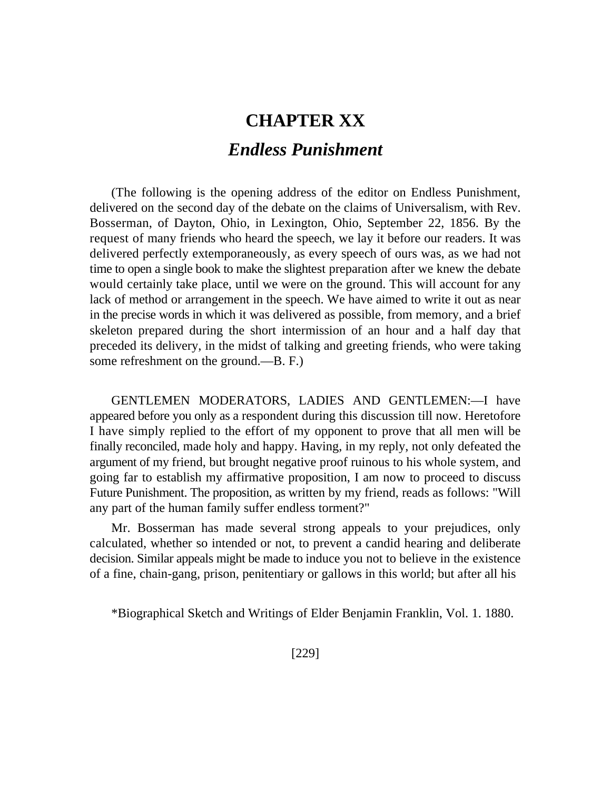## **CHAPTER XX** *Endless Punishment*

(The following is the opening address of the editor on Endless Punishment, delivered on the second day of the debate on the claims of Universalism, with Rev. Bosserman, of Dayton, Ohio, in Lexington, Ohio, September 22, 1856. By the request of many friends who heard the speech, we lay it before our readers. It was delivered perfectly extemporaneously, as every speech of ours was, as we had not time to open a single book to make the slightest preparation after we knew the debate would certainly take place, until we were on the ground. This will account for any lack of method or arrangement in the speech. We have aimed to write it out as near in the precise words in which it was delivered as possible, from memory, and a brief skeleton prepared during the short intermission of an hour and a half day that preceded its delivery, in the midst of talking and greeting friends, who were taking some refreshment on the ground.—B. F.)

GENTLEMEN MODERATORS, LADIES AND GENTLEMEN:—I have appeared before you only as a respondent during this discussion till now. Heretofore I have simply replied to the effort of my opponent to prove that all men will be finally reconciled, made holy and happy. Having, in my reply, not only defeated the argument of my friend, but brought negative proof ruinous to his whole system, and going far to establish my affirmative proposition, I am now to proceed to discuss Future Punishment. The proposition, as written by my friend, reads as follows: "Will any part of the human family suffer endless torment?"

Mr. Bosserman has made several strong appeals to your prejudices, only calculated, whether so intended or not, to prevent a candid hearing and deliberate decision. Similar appeals might be made to induce you not to believe in the existence of a fine, chain-gang, prison, penitentiary or gallows in this world; but after all his

\*Biographical Sketch and Writings of Elder Benjamin Franklin, Vol. 1. 1880.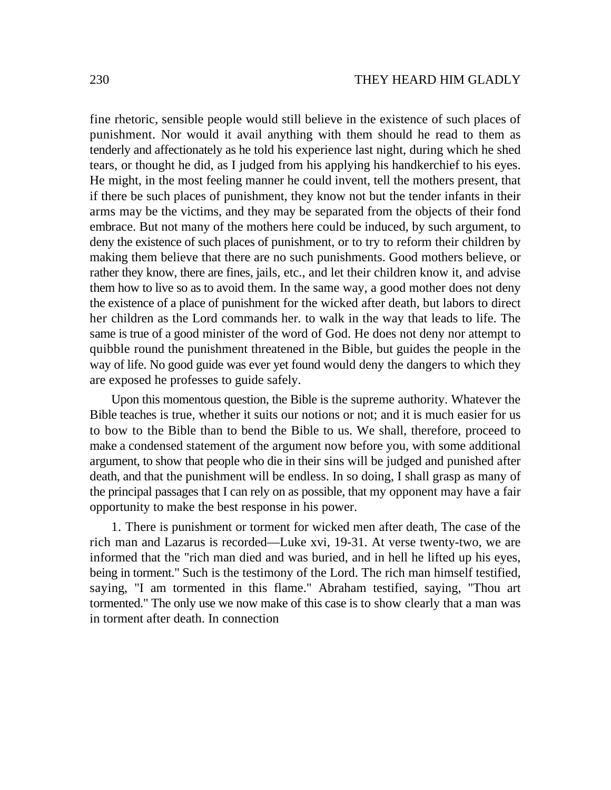fine rhetoric, sensible people would still believe in the existence of such places of punishment. Nor would it avail anything with them should he read to them as tenderly and affectionately as he told his experience last night, during which he shed tears, or thought he did, as I judged from his applying his handkerchief to his eyes. He might, in the most feeling manner he could invent, tell the mothers present, that if there be such places of punishment, they know not but the tender infants in their arms may be the victims, and they may be separated from the objects of their fond embrace. But not many of the mothers here could be induced, by such argument, to deny the existence of such places of punishment, or to try to reform their children by making them believe that there are no such punishments. Good mothers believe, or rather they know, there are fines, jails, etc., and let their children know it, and advise them how to live so as to avoid them. In the same way, a good mother does not deny the existence of a place of punishment for the wicked after death, but labors to direct her children as the Lord commands her. to walk in the way that leads to life. The same is true of a good minister of the word of God. He does not deny nor attempt to quibble round the punishment threatened in the Bible, but guides the people in the way of life. No good guide was ever yet found would deny the dangers to which they are exposed he professes to guide safely.

Upon this momentous question, the Bible is the supreme authority. Whatever the Bible teaches is true, whether it suits our notions or not; and it is much easier for us to bow to the Bible than to bend the Bible to us. We shall, therefore, proceed to make a condensed statement of the argument now before you, with some additional argument, to show that people who die in their sins will be judged and punished after death, and that the punishment will be endless. In so doing, I shall grasp as many of the principal passages that I can rely on as possible, that my opponent may have a fair opportunity to make the best response in his power.

1. There is punishment or torment for wicked men after death, The case of the rich man and Lazarus is recorded—Luke xvi, 19-31. At verse twenty-two, we are informed that the "rich man died and was buried, and in hell he lifted up his eyes, being in torment." Such is the testimony of the Lord. The rich man himself testified, saying, "I am tormented in this flame." Abraham testified, saying, "Thou art tormented." The only use we now make of this case is to show clearly that a man was in torment after death. In connection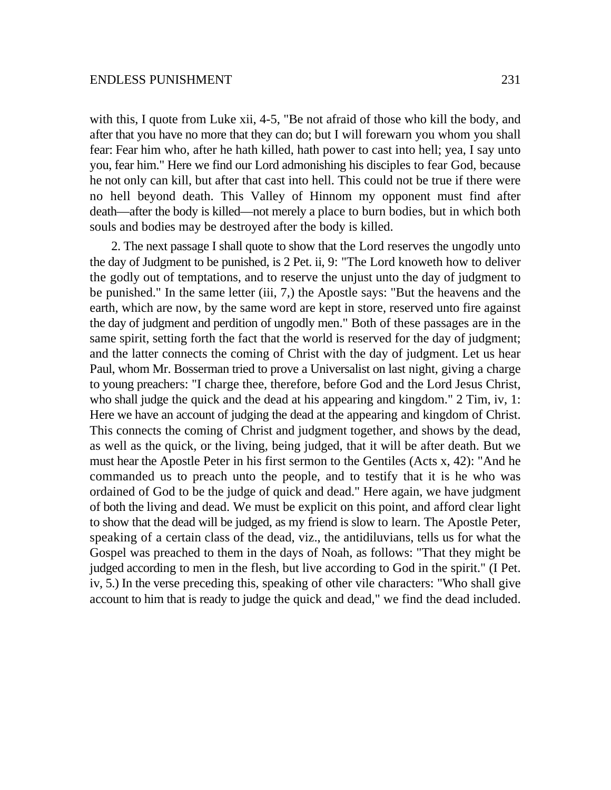with this, I quote from Luke xii, 4-5, "Be not afraid of those who kill the body, and after that you have no more that they can do; but I will forewarn you whom you shall fear: Fear him who, after he hath killed, hath power to cast into hell; yea, I say unto you, fear him." Here we find our Lord admonishing his disciples to fear God, because he not only can kill, but after that cast into hell. This could not be true if there were no hell beyond death. This Valley of Hinnom my opponent must find after death—after the body is killed—not merely a place to burn bodies, but in which both souls and bodies may be destroyed after the body is killed.

2. The next passage I shall quote to show that the Lord reserves the ungodly unto the day of Judgment to be punished, is 2 Pet. ii, 9: "The Lord knoweth how to deliver the godly out of temptations, and to reserve the unjust unto the day of judgment to be punished." In the same letter (iii, 7,) the Apostle says: "But the heavens and the earth, which are now, by the same word are kept in store, reserved unto fire against the day of judgment and perdition of ungodly men." Both of these passages are in the same spirit, setting forth the fact that the world is reserved for the day of judgment; and the latter connects the coming of Christ with the day of judgment. Let us hear Paul, whom Mr. Bosserman tried to prove a Universalist on last night, giving a charge to young preachers: "I charge thee, therefore, before God and the Lord Jesus Christ, who shall judge the quick and the dead at his appearing and kingdom." 2 Tim, iv, 1: Here we have an account of judging the dead at the appearing and kingdom of Christ. This connects the coming of Christ and judgment together, and shows by the dead, as well as the quick, or the living, being judged, that it will be after death. But we must hear the Apostle Peter in his first sermon to the Gentiles (Acts x, 42): "And he commanded us to preach unto the people, and to testify that it is he who was ordained of God to be the judge of quick and dead." Here again, we have judgment of both the living and dead. We must be explicit on this point, and afford clear light to show that the dead will be judged, as my friend is slow to learn. The Apostle Peter, speaking of a certain class of the dead, viz., the antidiluvians, tells us for what the Gospel was preached to them in the days of Noah, as follows: "That they might be judged according to men in the flesh, but live according to God in the spirit." (I Pet. iv, 5.) In the verse preceding this, speaking of other vile characters: "Who shall give account to him that is ready to judge the quick and dead," we find the dead included.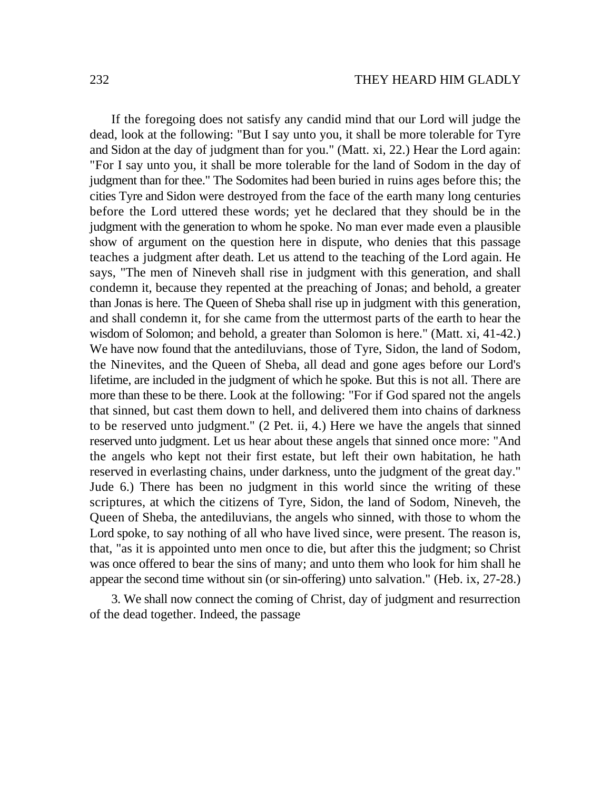If the foregoing does not satisfy any candid mind that our Lord will judge the dead, look at the following: "But I say unto you, it shall be more tolerable for Tyre and Sidon at the day of judgment than for you." (Matt. xi, 22.) Hear the Lord again: "For I say unto you, it shall be more tolerable for the land of Sodom in the day of judgment than for thee." The Sodomites had been buried in ruins ages before this; the cities Tyre and Sidon were destroyed from the face of the earth many long centuries before the Lord uttered these words; yet he declared that they should be in the judgment with the generation to whom he spoke. No man ever made even a plausible show of argument on the question here in dispute, who denies that this passage teaches a judgment after death. Let us attend to the teaching of the Lord again. He says, "The men of Nineveh shall rise in judgment with this generation, and shall condemn it, because they repented at the preaching of Jonas; and behold, a greater than Jonas is here. The Queen of Sheba shall rise up in judgment with this generation, and shall condemn it, for she came from the uttermost parts of the earth to hear the wisdom of Solomon; and behold, a greater than Solomon is here." (Matt. xi, 41-42.) We have now found that the antediluvians, those of Tyre, Sidon, the land of Sodom, the Ninevites, and the Queen of Sheba, all dead and gone ages before our Lord's lifetime, are included in the judgment of which he spoke. But this is not all. There are more than these to be there. Look at the following: "For if God spared not the angels that sinned, but cast them down to hell, and delivered them into chains of darkness to be reserved unto judgment." (2 Pet. ii, 4.) Here we have the angels that sinned reserved unto judgment. Let us hear about these angels that sinned once more: "And the angels who kept not their first estate, but left their own habitation, he hath reserved in everlasting chains, under darkness, unto the judgment of the great day." Jude 6.) There has been no judgment in this world since the writing of these scriptures, at which the citizens of Tyre, Sidon, the land of Sodom, Nineveh, the Queen of Sheba, the antediluvians, the angels who sinned, with those to whom the Lord spoke, to say nothing of all who have lived since, were present. The reason is, that, "as it is appointed unto men once to die, but after this the judgment; so Christ was once offered to bear the sins of many; and unto them who look for him shall he appear the second time without sin (or sin-offering) unto salvation." (Heb. ix, 27-28.)

3. We shall now connect the coming of Christ, day of judgment and resurrection of the dead together. Indeed, the passage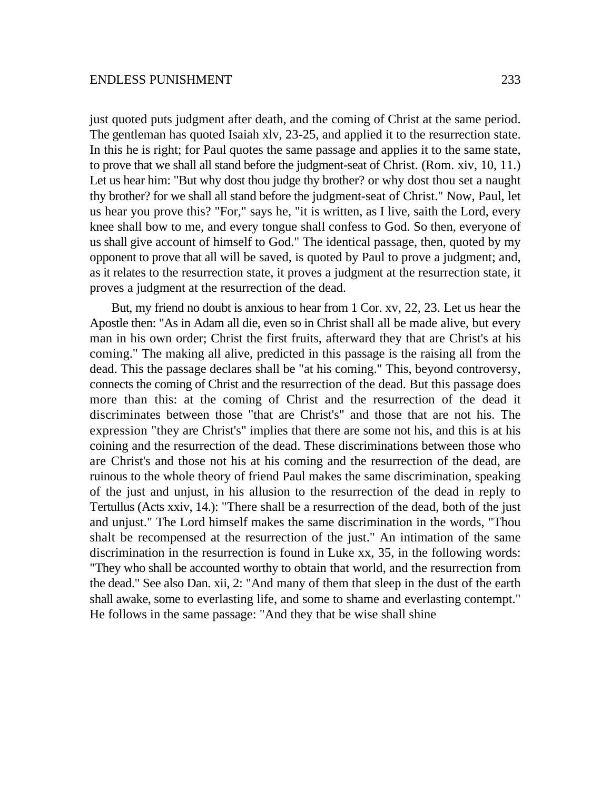just quoted puts judgment after death, and the coming of Christ at the same period. The gentleman has quoted Isaiah xlv, 23-25, and applied it to the resurrection state. In this he is right; for Paul quotes the same passage and applies it to the same state, to prove that we shall all stand before the judgment-seat of Christ. (Rom. xiv, 10, 11.) Let us hear him: "But why dost thou judge thy brother? or why dost thou set a naught thy brother? for we shall all stand before the judgment-seat of Christ." Now, Paul, let us hear you prove this? "For," says he, "it is written, as I live, saith the Lord, every knee shall bow to me, and every tongue shall confess to God. So then, everyone of us shall give account of himself to God." The identical passage, then, quoted by my opponent to prove that all will be saved, is quoted by Paul to prove a judgment; and, as it relates to the resurrection state, it proves a judgment at the resurrection state, it proves a judgment at the resurrection of the dead.

But, my friend no doubt is anxious to hear from 1 Cor. xv, 22, 23. Let us hear the Apostle then: "As in Adam all die, even so in Christ shall all be made alive, but every man in his own order; Christ the first fruits, afterward they that are Christ's at his coming." The making all alive, predicted in this passage is the raising all from the dead. This the passage declares shall be "at his coming." This, beyond controversy, connects the coming of Christ and the resurrection of the dead. But this passage does more than this: at the coming of Christ and the resurrection of the dead it discriminates between those "that are Christ's" and those that are not his. The expression "they are Christ's" implies that there are some not his, and this is at his coining and the resurrection of the dead. These discriminations between those who are Christ's and those not his at his coming and the resurrection of the dead, are ruinous to the whole theory of friend Paul makes the same discrimination, speaking of the just and unjust, in his allusion to the resurrection of the dead in reply to Tertullus (Acts xxiv, 14.): "There shall be a resurrection of the dead, both of the just and unjust." The Lord himself makes the same discrimination in the words, "Thou shalt be recompensed at the resurrection of the just." An intimation of the same discrimination in the resurrection is found in Luke xx, 35, in the following words: "They who shall be accounted worthy to obtain that world, and the resurrection from the dead." See also Dan. xii, 2: "And many of them that sleep in the dust of the earth shall awake, some to everlasting life, and some to shame and everlasting contempt." He follows in the same passage: "And they that be wise shall shine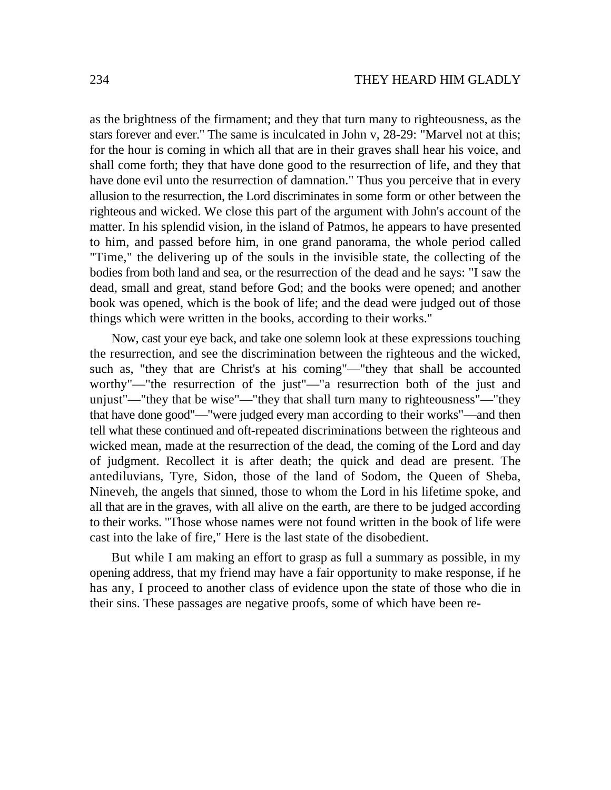as the brightness of the firmament; and they that turn many to righteousness, as the stars forever and ever." The same is inculcated in John v, 28-29: "Marvel not at this; for the hour is coming in which all that are in their graves shall hear his voice, and shall come forth; they that have done good to the resurrection of life, and they that have done evil unto the resurrection of damnation." Thus you perceive that in every allusion to the resurrection, the Lord discriminates in some form or other between the righteous and wicked. We close this part of the argument with John's account of the matter. In his splendid vision, in the island of Patmos, he appears to have presented to him, and passed before him, in one grand panorama, the whole period called "Time," the delivering up of the souls in the invisible state, the collecting of the bodies from both land and sea, or the resurrection of the dead and he says: "I saw the dead, small and great, stand before God; and the books were opened; and another book was opened, which is the book of life; and the dead were judged out of those things which were written in the books, according to their works."

Now, cast your eye back, and take one solemn look at these expressions touching the resurrection, and see the discrimination between the righteous and the wicked, such as, "they that are Christ's at his coming"—"they that shall be accounted worthy"—"the resurrection of the just"—"a resurrection both of the just and unjust"—"they that be wise"—"they that shall turn many to righteousness"—"they that have done good"—"were judged every man according to their works"—and then tell what these continued and oft-repeated discriminations between the righteous and wicked mean, made at the resurrection of the dead, the coming of the Lord and day of judgment. Recollect it is after death; the quick and dead are present. The antediluvians, Tyre, Sidon, those of the land of Sodom, the Queen of Sheba, Nineveh, the angels that sinned, those to whom the Lord in his lifetime spoke, and all that are in the graves, with all alive on the earth, are there to be judged according to their works. "Those whose names were not found written in the book of life were cast into the lake of fire," Here is the last state of the disobedient.

But while I am making an effort to grasp as full a summary as possible, in my opening address, that my friend may have a fair opportunity to make response, if he has any, I proceed to another class of evidence upon the state of those who die in their sins. These passages are negative proofs, some of which have been re-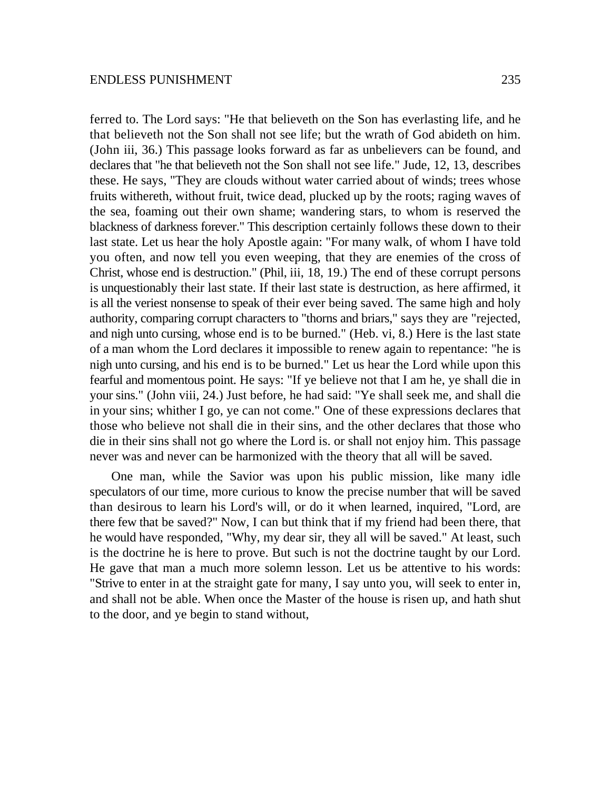ferred to. The Lord says: "He that believeth on the Son has everlasting life, and he that believeth not the Son shall not see life; but the wrath of God abideth on him. (John iii, 36.) This passage looks forward as far as unbelievers can be found, and declares that "he that believeth not the Son shall not see life." Jude, 12, 13, describes these. He says, "They are clouds without water carried about of winds; trees whose fruits withereth, without fruit, twice dead, plucked up by the roots; raging waves of the sea, foaming out their own shame; wandering stars, to whom is reserved the blackness of darkness forever." This description certainly follows these down to their last state. Let us hear the holy Apostle again: "For many walk, of whom I have told you often, and now tell you even weeping, that they are enemies of the cross of Christ, whose end is destruction." (Phil, iii, 18, 19.) The end of these corrupt persons is unquestionably their last state. If their last state is destruction, as here affirmed, it is all the veriest nonsense to speak of their ever being saved. The same high and holy authority, comparing corrupt characters to "thorns and briars," says they are "rejected, and nigh unto cursing, whose end is to be burned." (Heb. vi, 8.) Here is the last state of a man whom the Lord declares it impossible to renew again to repentance: "he is nigh unto cursing, and his end is to be burned." Let us hear the Lord while upon this fearful and momentous point. He says: "If ye believe not that I am he, ye shall die in your sins." (John viii, 24.) Just before, he had said: "Ye shall seek me, and shall die in your sins; whither I go, ye can not come." One of these expressions declares that those who believe not shall die in their sins, and the other declares that those who die in their sins shall not go where the Lord is. or shall not enjoy him. This passage never was and never can be harmonized with the theory that all will be saved.

One man, while the Savior was upon his public mission, like many idle speculators of our time, more curious to know the precise number that will be saved than desirous to learn his Lord's will, or do it when learned, inquired, "Lord, are there few that be saved?" Now, I can but think that if my friend had been there, that he would have responded, "Why, my dear sir, they all will be saved." At least, such is the doctrine he is here to prove. But such is not the doctrine taught by our Lord. He gave that man a much more solemn lesson. Let us be attentive to his words: "Strive to enter in at the straight gate for many, I say unto you, will seek to enter in, and shall not be able. When once the Master of the house is risen up, and hath shut to the door, and ye begin to stand without,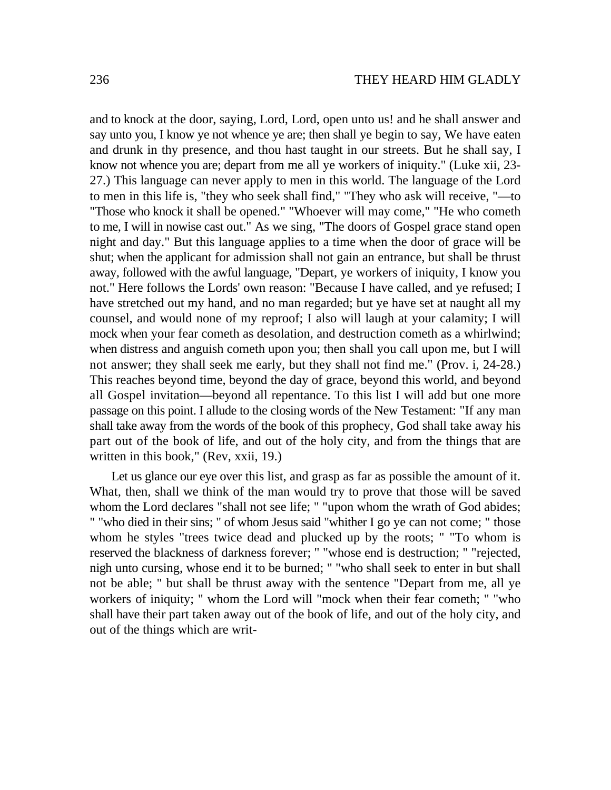and to knock at the door, saying, Lord, Lord, open unto us! and he shall answer and say unto you, I know ye not whence ye are; then shall ye begin to say, We have eaten and drunk in thy presence, and thou hast taught in our streets. But he shall say, I know not whence you are; depart from me all ye workers of iniquity." (Luke xii, 23- 27.) This language can never apply to men in this world. The language of the Lord to men in this life is, "they who seek shall find," "They who ask will receive, "—to "Those who knock it shall be opened." "Whoever will may come," "He who cometh to me, I will in nowise cast out." As we sing, "The doors of Gospel grace stand open night and day." But this language applies to a time when the door of grace will be shut; when the applicant for admission shall not gain an entrance, but shall be thrust away, followed with the awful language, "Depart, ye workers of iniquity, I know you not." Here follows the Lords' own reason: "Because I have called, and ye refused; I have stretched out my hand, and no man regarded; but ye have set at naught all my counsel, and would none of my reproof; I also will laugh at your calamity; I will mock when your fear cometh as desolation, and destruction cometh as a whirlwind; when distress and anguish cometh upon you; then shall you call upon me, but I will not answer; they shall seek me early, but they shall not find me." (Prov. i, 24-28.) This reaches beyond time, beyond the day of grace, beyond this world, and beyond all Gospel invitation—beyond all repentance. To this list I will add but one more passage on this point. I allude to the closing words of the New Testament: "If any man shall take away from the words of the book of this prophecy, God shall take away his part out of the book of life, and out of the holy city, and from the things that are written in this book," (Rev, xxii, 19.)

Let us glance our eye over this list, and grasp as far as possible the amount of it. What, then, shall we think of the man would try to prove that those will be saved whom the Lord declares "shall not see life; " "upon whom the wrath of God abides; " "who died in their sins; " of whom Jesus said "whither I go ye can not come; " those whom he styles "trees twice dead and plucked up by the roots; " "To whom is reserved the blackness of darkness forever; " "whose end is destruction; " "rejected, nigh unto cursing, whose end it to be burned; " "who shall seek to enter in but shall not be able; " but shall be thrust away with the sentence "Depart from me, all ye workers of iniquity; " whom the Lord will "mock when their fear cometh; " "who shall have their part taken away out of the book of life, and out of the holy city, and out of the things which are writ-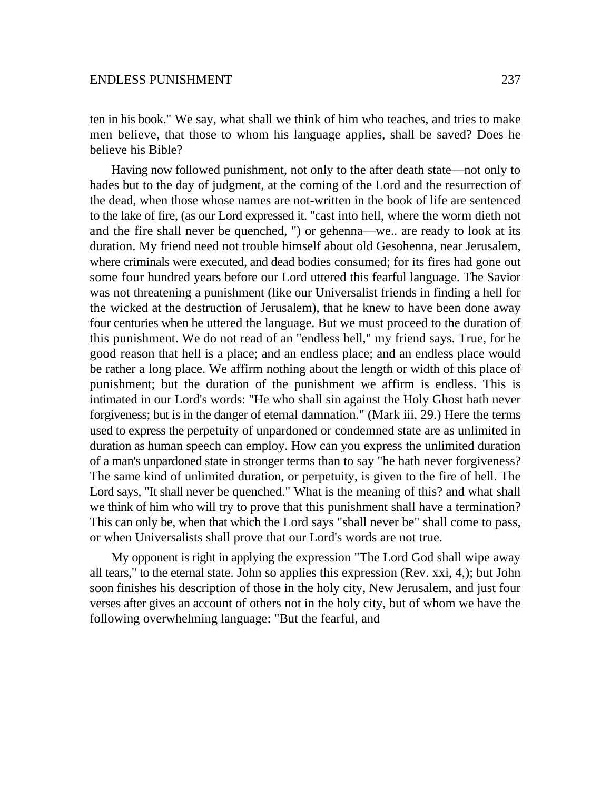ten in his book." We say, what shall we think of him who teaches, and tries to make men believe, that those to whom his language applies, shall be saved? Does he believe his Bible?

Having now followed punishment, not only to the after death state—not only to hades but to the day of judgment, at the coming of the Lord and the resurrection of the dead, when those whose names are not-written in the book of life are sentenced to the lake of fire, (as our Lord expressed it. "cast into hell, where the worm dieth not and the fire shall never be quenched, ") or gehenna—we.. are ready to look at its duration. My friend need not trouble himself about old Gesohenna, near Jerusalem, where criminals were executed, and dead bodies consumed; for its fires had gone out some four hundred years before our Lord uttered this fearful language. The Savior was not threatening a punishment (like our Universalist friends in finding a hell for the wicked at the destruction of Jerusalem), that he knew to have been done away four centuries when he uttered the language. But we must proceed to the duration of this punishment. We do not read of an "endless hell," my friend says. True, for he good reason that hell is a place; and an endless place; and an endless place would be rather a long place. We affirm nothing about the length or width of this place of punishment; but the duration of the punishment we affirm is endless. This is intimated in our Lord's words: "He who shall sin against the Holy Ghost hath never forgiveness; but is in the danger of eternal damnation." (Mark iii, 29.) Here the terms used to express the perpetuity of unpardoned or condemned state are as unlimited in duration as human speech can employ. How can you express the unlimited duration of a man's unpardoned state in stronger terms than to say "he hath never forgiveness? The same kind of unlimited duration, or perpetuity, is given to the fire of hell. The Lord says, "It shall never be quenched." What is the meaning of this? and what shall we think of him who will try to prove that this punishment shall have a termination? This can only be, when that which the Lord says "shall never be" shall come to pass, or when Universalists shall prove that our Lord's words are not true.

My opponent is right in applying the expression "The Lord God shall wipe away all tears," to the eternal state. John so applies this expression (Rev. xxi, 4,); but John soon finishes his description of those in the holy city, New Jerusalem, and just four verses after gives an account of others not in the holy city, but of whom we have the following overwhelming language: "But the fearful, and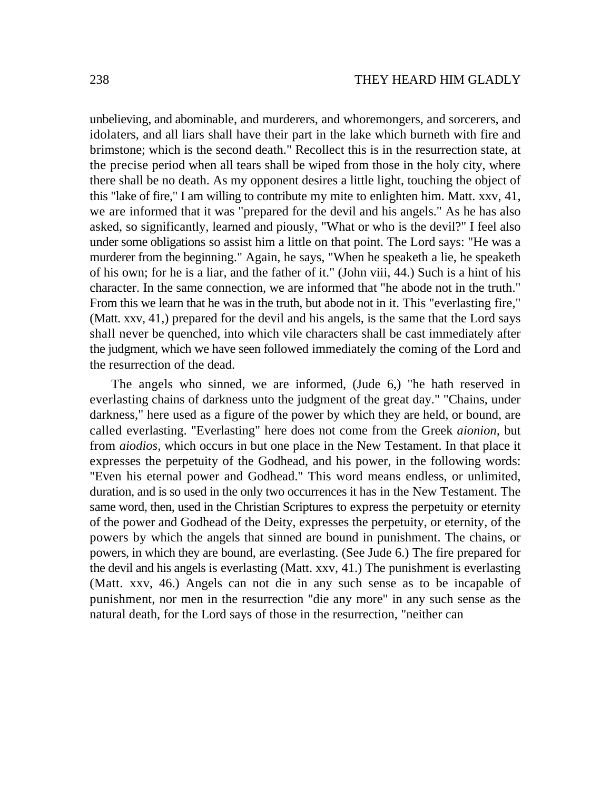unbelieving, and abominable, and murderers, and whoremongers, and sorcerers, and idolaters, and all liars shall have their part in the lake which burneth with fire and brimstone; which is the second death." Recollect this is in the resurrection state, at the precise period when all tears shall be wiped from those in the holy city, where there shall be no death. As my opponent desires a little light, touching the object of this "lake of fire," I am willing to contribute my mite to enlighten him. Matt. xxv, 41, we are informed that it was "prepared for the devil and his angels." As he has also asked, so significantly, learned and piously, "What or who is the devil?" I feel also under some obligations so assist him a little on that point. The Lord says: "He was a murderer from the beginning." Again, he says, "When he speaketh a lie, he speaketh of his own; for he is a liar, and the father of it." (John viii, 44.) Such is a hint of his character. In the same connection, we are informed that "he abode not in the truth." From this we learn that he was in the truth, but abode not in it. This "everlasting fire," (Matt. xxv, 41,) prepared for the devil and his angels, is the same that the Lord says shall never be quenched, into which vile characters shall be cast immediately after the judgment, which we have seen followed immediately the coming of the Lord and the resurrection of the dead.

The angels who sinned, we are informed, (Jude 6,) "he hath reserved in everlasting chains of darkness unto the judgment of the great day." "Chains, under darkness," here used as a figure of the power by which they are held, or bound, are called everlasting. "Everlasting" here does not come from the Greek *aionion,* but from *aiodios,* which occurs in but one place in the New Testament. In that place it expresses the perpetuity of the Godhead, and his power, in the following words: "Even his eternal power and Godhead." This word means endless, or unlimited, duration, and is so used in the only two occurrences it has in the New Testament. The same word, then, used in the Christian Scriptures to express the perpetuity or eternity of the power and Godhead of the Deity, expresses the perpetuity, or eternity, of the powers by which the angels that sinned are bound in punishment. The chains, or powers, in which they are bound, are everlasting. (See Jude 6.) The fire prepared for the devil and his angels is everlasting (Matt. xxv, 41.) The punishment is everlasting (Matt. xxv, 46.) Angels can not die in any such sense as to be incapable of punishment, nor men in the resurrection "die any more" in any such sense as the natural death, for the Lord says of those in the resurrection, "neither can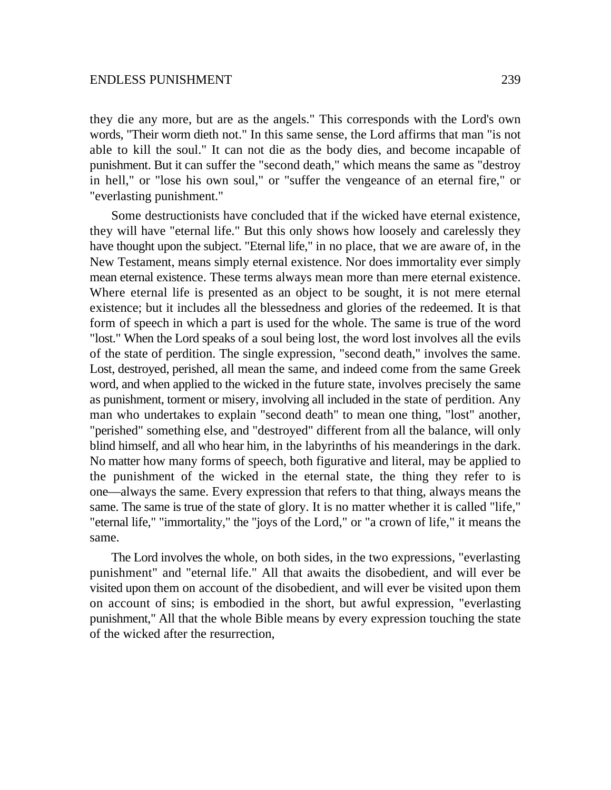they die any more, but are as the angels." This corresponds with the Lord's own words, "Their worm dieth not." In this same sense, the Lord affirms that man "is not able to kill the soul." It can not die as the body dies, and become incapable of punishment. But it can suffer the "second death," which means the same as "destroy in hell," or "lose his own soul," or "suffer the vengeance of an eternal fire," or "everlasting punishment."

Some destructionists have concluded that if the wicked have eternal existence, they will have "eternal life." But this only shows how loosely and carelessly they have thought upon the subject. "Eternal life," in no place, that we are aware of, in the New Testament, means simply eternal existence. Nor does immortality ever simply mean eternal existence. These terms always mean more than mere eternal existence. Where eternal life is presented as an object to be sought, it is not mere eternal existence; but it includes all the blessedness and glories of the redeemed. It is that form of speech in which a part is used for the whole. The same is true of the word "lost." When the Lord speaks of a soul being lost, the word lost involves all the evils of the state of perdition. The single expression, "second death," involves the same. Lost, destroyed, perished, all mean the same, and indeed come from the same Greek word, and when applied to the wicked in the future state, involves precisely the same as punishment, torment or misery, involving all included in the state of perdition. Any man who undertakes to explain "second death" to mean one thing, "lost" another, "perished" something else, and "destroyed" different from all the balance, will only blind himself, and all who hear him, in the labyrinths of his meanderings in the dark. No matter how many forms of speech, both figurative and literal, may be applied to the punishment of the wicked in the eternal state, the thing they refer to is one—always the same. Every expression that refers to that thing, always means the same. The same is true of the state of glory. It is no matter whether it is called "life," "eternal life," "immortality," the "joys of the Lord," or "a crown of life," it means the same.

The Lord involves the whole, on both sides, in the two expressions, "everlasting punishment" and "eternal life." All that awaits the disobedient, and will ever be visited upon them on account of the disobedient, and will ever be visited upon them on account of sins; is embodied in the short, but awful expression, "everlasting punishment," All that the whole Bible means by every expression touching the state of the wicked after the resurrection,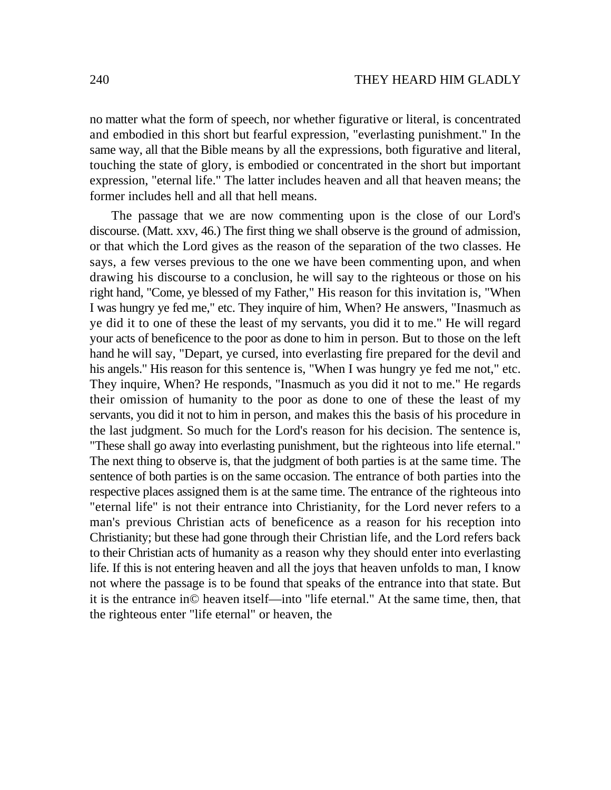no matter what the form of speech, nor whether figurative or literal, is concentrated and embodied in this short but fearful expression, "everlasting punishment." In the same way, all that the Bible means by all the expressions, both figurative and literal, touching the state of glory, is embodied or concentrated in the short but important expression, "eternal life." The latter includes heaven and all that heaven means; the former includes hell and all that hell means.

The passage that we are now commenting upon is the close of our Lord's discourse. (Matt. xxv, 46.) The first thing we shall observe is the ground of admission, or that which the Lord gives as the reason of the separation of the two classes. He says, a few verses previous to the one we have been commenting upon, and when drawing his discourse to a conclusion, he will say to the righteous or those on his right hand, "Come, ye blessed of my Father," His reason for this invitation is, "When I was hungry ye fed me," etc. They inquire of him, When? He answers, "Inasmuch as ye did it to one of these the least of my servants, you did it to me." He will regard your acts of beneficence to the poor as done to him in person. But to those on the left hand he will say, "Depart, ye cursed, into everlasting fire prepared for the devil and his angels." His reason for this sentence is, "When I was hungry ye fed me not," etc. They inquire, When? He responds, "Inasmuch as you did it not to me." He regards their omission of humanity to the poor as done to one of these the least of my servants, you did it not to him in person, and makes this the basis of his procedure in the last judgment. So much for the Lord's reason for his decision. The sentence is, "These shall go away into everlasting punishment, but the righteous into life eternal." The next thing to observe is, that the judgment of both parties is at the same time. The sentence of both parties is on the same occasion. The entrance of both parties into the respective places assigned them is at the same time. The entrance of the righteous into "eternal life" is not their entrance into Christianity, for the Lord never refers to a man's previous Christian acts of beneficence as a reason for his reception into Christianity; but these had gone through their Christian life, and the Lord refers back to their Christian acts of humanity as a reason why they should enter into everlasting life. If this is not entering heaven and all the joys that heaven unfolds to man, I know not where the passage is to be found that speaks of the entrance into that state. But it is the entrance in© heaven itself—into "life eternal." At the same time, then, that the righteous enter "life eternal" or heaven, the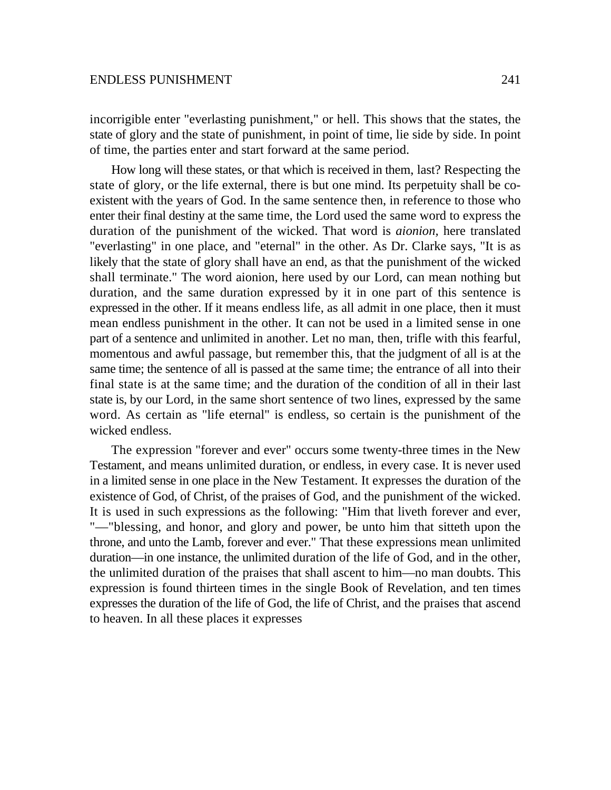## ENDLESS PUNISHMENT 241

incorrigible enter "everlasting punishment," or hell. This shows that the states, the state of glory and the state of punishment, in point of time, lie side by side. In point of time, the parties enter and start forward at the same period.

How long will these states, or that which is received in them, last? Respecting the state of glory, or the life external, there is but one mind. Its perpetuity shall be coexistent with the years of God. In the same sentence then, in reference to those who enter their final destiny at the same time, the Lord used the same word to express the duration of the punishment of the wicked. That word is *aionion,* here translated "everlasting" in one place, and "eternal" in the other. As Dr. Clarke says, "It is as likely that the state of glory shall have an end, as that the punishment of the wicked shall terminate." The word aionion, here used by our Lord, can mean nothing but duration, and the same duration expressed by it in one part of this sentence is expressed in the other. If it means endless life, as all admit in one place, then it must mean endless punishment in the other. It can not be used in a limited sense in one part of a sentence and unlimited in another. Let no man, then, trifle with this fearful, momentous and awful passage, but remember this, that the judgment of all is at the same time; the sentence of all is passed at the same time; the entrance of all into their final state is at the same time; and the duration of the condition of all in their last state is, by our Lord, in the same short sentence of two lines, expressed by the same word. As certain as "life eternal" is endless, so certain is the punishment of the wicked endless.

The expression "forever and ever" occurs some twenty-three times in the New Testament, and means unlimited duration, or endless, in every case. It is never used in a limited sense in one place in the New Testament. It expresses the duration of the existence of God, of Christ, of the praises of God, and the punishment of the wicked. It is used in such expressions as the following: "Him that liveth forever and ever, "—"blessing, and honor, and glory and power, be unto him that sitteth upon the throne, and unto the Lamb, forever and ever." That these expressions mean unlimited duration—in one instance, the unlimited duration of the life of God, and in the other, the unlimited duration of the praises that shall ascent to him—no man doubts. This expression is found thirteen times in the single Book of Revelation, and ten times expresses the duration of the life of God, the life of Christ, and the praises that ascend to heaven. In all these places it expresses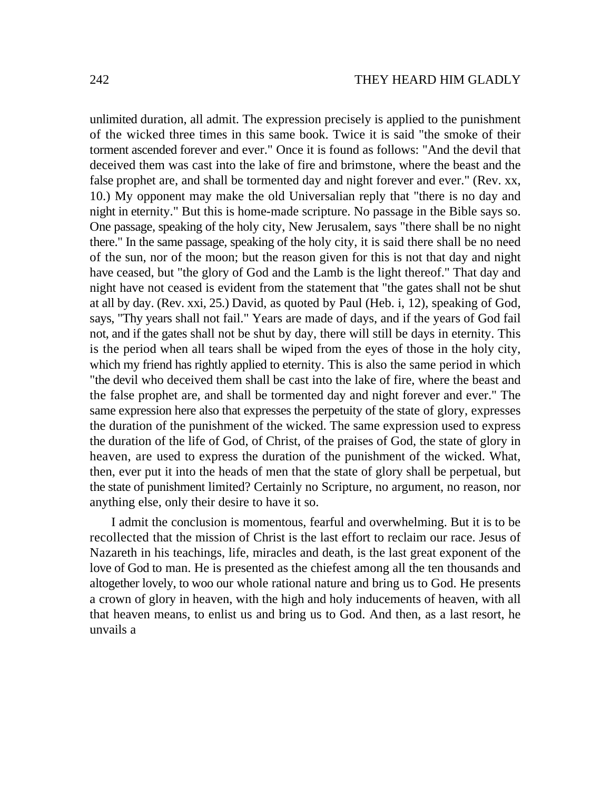unlimited duration, all admit. The expression precisely is applied to the punishment of the wicked three times in this same book. Twice it is said "the smoke of their torment ascended forever and ever." Once it is found as follows: "And the devil that deceived them was cast into the lake of fire and brimstone, where the beast and the false prophet are, and shall be tormented day and night forever and ever." (Rev. xx, 10.) My opponent may make the old Universalian reply that "there is no day and night in eternity." But this is home-made scripture. No passage in the Bible says so. One passage, speaking of the holy city, New Jerusalem, says "there shall be no night there." In the same passage, speaking of the holy city, it is said there shall be no need of the sun, nor of the moon; but the reason given for this is not that day and night have ceased, but "the glory of God and the Lamb is the light thereof." That day and night have not ceased is evident from the statement that "the gates shall not be shut at all by day. (Rev. xxi, 25.) David, as quoted by Paul (Heb. i, 12), speaking of God, says, "Thy years shall not fail." Years are made of days, and if the years of God fail not, and if the gates shall not be shut by day, there will still be days in eternity. This is the period when all tears shall be wiped from the eyes of those in the holy city, which my friend has rightly applied to eternity. This is also the same period in which "the devil who deceived them shall be cast into the lake of fire, where the beast and the false prophet are, and shall be tormented day and night forever and ever." The same expression here also that expresses the perpetuity of the state of glory, expresses the duration of the punishment of the wicked. The same expression used to express the duration of the life of God, of Christ, of the praises of God, the state of glory in heaven, are used to express the duration of the punishment of the wicked. What, then, ever put it into the heads of men that the state of glory shall be perpetual, but the state of punishment limited? Certainly no Scripture, no argument, no reason, nor anything else, only their desire to have it so.

I admit the conclusion is momentous, fearful and overwhelming. But it is to be recollected that the mission of Christ is the last effort to reclaim our race. Jesus of Nazareth in his teachings, life, miracles and death, is the last great exponent of the love of God to man. He is presented as the chiefest among all the ten thousands and altogether lovely, to woo our whole rational nature and bring us to God. He presents a crown of glory in heaven, with the high and holy inducements of heaven, with all that heaven means, to enlist us and bring us to God. And then, as a last resort, he unvails a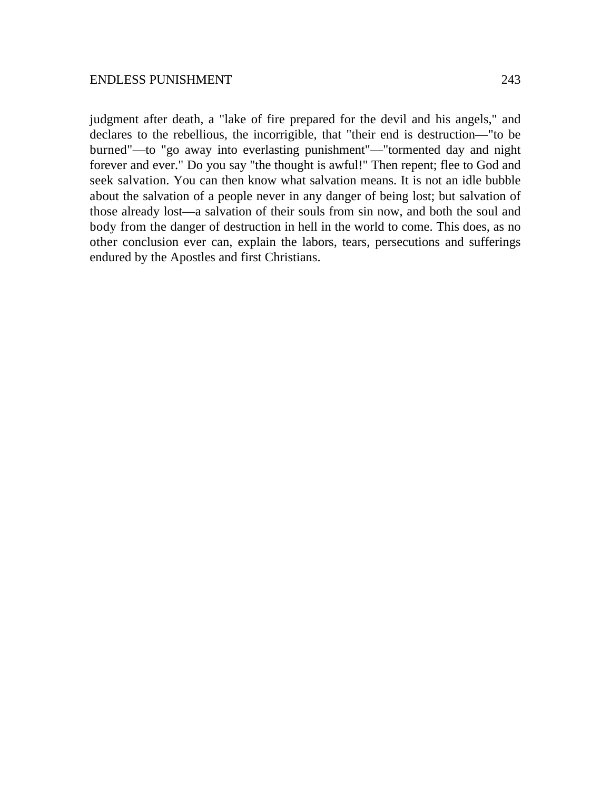judgment after death, a "lake of fire prepared for the devil and his angels," and declares to the rebellious, the incorrigible, that "their end is destruction—"to be burned"—to "go away into everlasting punishment"—"tormented day and night forever and ever." Do you say "the thought is awful!" Then repent; flee to God and seek salvation. You can then know what salvation means. It is not an idle bubble about the salvation of a people never in any danger of being lost; but salvation of those already lost—a salvation of their souls from sin now, and both the soul and body from the danger of destruction in hell in the world to come. This does, as no other conclusion ever can, explain the labors, tears, persecutions and sufferings endured by the Apostles and first Christians.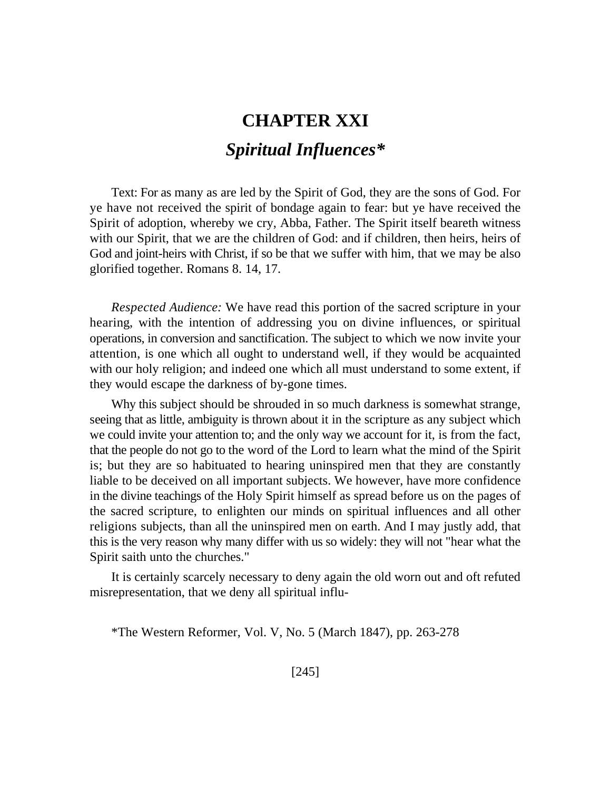## **CHAPTER XXI** *Spiritual Influences\**

Text: For as many as are led by the Spirit of God, they are the sons of God. For ye have not received the spirit of bondage again to fear: but ye have received the Spirit of adoption, whereby we cry, Abba, Father. The Spirit itself beareth witness with our Spirit, that we are the children of God: and if children, then heirs, heirs of God and joint-heirs with Christ, if so be that we suffer with him, that we may be also glorified together. Romans 8. 14, 17.

*Respected Audience:* We have read this portion of the sacred scripture in your hearing, with the intention of addressing you on divine influences, or spiritual operations, in conversion and sanctification. The subject to which we now invite your attention, is one which all ought to understand well, if they would be acquainted with our holy religion; and indeed one which all must understand to some extent, if they would escape the darkness of by-gone times.

Why this subject should be shrouded in so much darkness is somewhat strange, seeing that as little, ambiguity is thrown about it in the scripture as any subject which we could invite your attention to; and the only way we account for it, is from the fact, that the people do not go to the word of the Lord to learn what the mind of the Spirit is; but they are so habituated to hearing uninspired men that they are constantly liable to be deceived on all important subjects. We however, have more confidence in the divine teachings of the Holy Spirit himself as spread before us on the pages of the sacred scripture, to enlighten our minds on spiritual influences and all other religions subjects, than all the uninspired men on earth. And I may justly add, that this is the very reason why many differ with us so widely: they will not "hear what the Spirit saith unto the churches."

It is certainly scarcely necessary to deny again the old worn out and oft refuted misrepresentation, that we deny all spiritual influ-

\*The Western Reformer, Vol. V, No. 5 (March 1847), pp. 263-278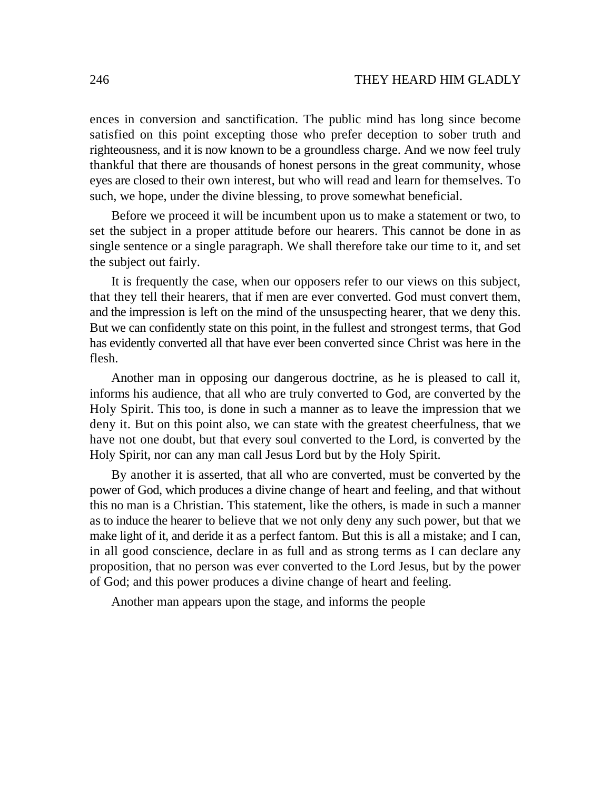ences in conversion and sanctification. The public mind has long since become satisfied on this point excepting those who prefer deception to sober truth and righteousness, and it is now known to be a groundless charge. And we now feel truly thankful that there are thousands of honest persons in the great community, whose eyes are closed to their own interest, but who will read and learn for themselves. To such, we hope, under the divine blessing, to prove somewhat beneficial.

Before we proceed it will be incumbent upon us to make a statement or two, to set the subject in a proper attitude before our hearers. This cannot be done in as single sentence or a single paragraph. We shall therefore take our time to it, and set the subject out fairly.

It is frequently the case, when our opposers refer to our views on this subject, that they tell their hearers, that if men are ever converted. God must convert them, and the impression is left on the mind of the unsuspecting hearer, that we deny this. But we can confidently state on this point, in the fullest and strongest terms, that God has evidently converted all that have ever been converted since Christ was here in the flesh.

Another man in opposing our dangerous doctrine, as he is pleased to call it, informs his audience, that all who are truly converted to God, are converted by the Holy Spirit. This too, is done in such a manner as to leave the impression that we deny it. But on this point also, we can state with the greatest cheerfulness, that we have not one doubt, but that every soul converted to the Lord, is converted by the Holy Spirit, nor can any man call Jesus Lord but by the Holy Spirit.

By another it is asserted, that all who are converted, must be converted by the power of God, which produces a divine change of heart and feeling, and that without this no man is a Christian. This statement, like the others, is made in such a manner as to induce the hearer to believe that we not only deny any such power, but that we make light of it, and deride it as a perfect fantom. But this is all a mistake; and I can, in all good conscience, declare in as full and as strong terms as I can declare any proposition, that no person was ever converted to the Lord Jesus, but by the power of God; and this power produces a divine change of heart and feeling.

Another man appears upon the stage, and informs the people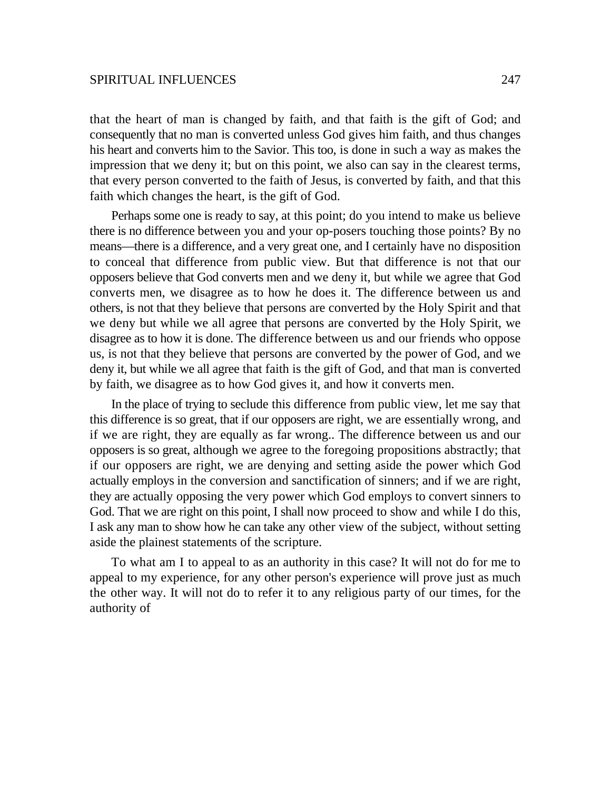that the heart of man is changed by faith, and that faith is the gift of God; and consequently that no man is converted unless God gives him faith, and thus changes his heart and converts him to the Savior. This too, is done in such a way as makes the impression that we deny it; but on this point, we also can say in the clearest terms, that every person converted to the faith of Jesus, is converted by faith, and that this faith which changes the heart, is the gift of God.

Perhaps some one is ready to say, at this point; do you intend to make us believe there is no difference between you and your op-posers touching those points? By no means—there is a difference, and a very great one, and I certainly have no disposition to conceal that difference from public view. But that difference is not that our opposers believe that God converts men and we deny it, but while we agree that God converts men, we disagree as to how he does it. The difference between us and others, is not that they believe that persons are converted by the Holy Spirit and that we deny but while we all agree that persons are converted by the Holy Spirit, we disagree as to how it is done. The difference between us and our friends who oppose us, is not that they believe that persons are converted by the power of God, and we deny it, but while we all agree that faith is the gift of God, and that man is converted by faith, we disagree as to how God gives it, and how it converts men.

In the place of trying to seclude this difference from public view, let me say that this difference is so great, that if our opposers are right, we are essentially wrong, and if we are right, they are equally as far wrong.. The difference between us and our opposers is so great, although we agree to the foregoing propositions abstractly; that if our opposers are right, we are denying and setting aside the power which God actually employs in the conversion and sanctification of sinners; and if we are right, they are actually opposing the very power which God employs to convert sinners to God. That we are right on this point, I shall now proceed to show and while I do this, I ask any man to show how he can take any other view of the subject, without setting aside the plainest statements of the scripture.

To what am I to appeal to as an authority in this case? It will not do for me to appeal to my experience, for any other person's experience will prove just as much the other way. It will not do to refer it to any religious party of our times, for the authority of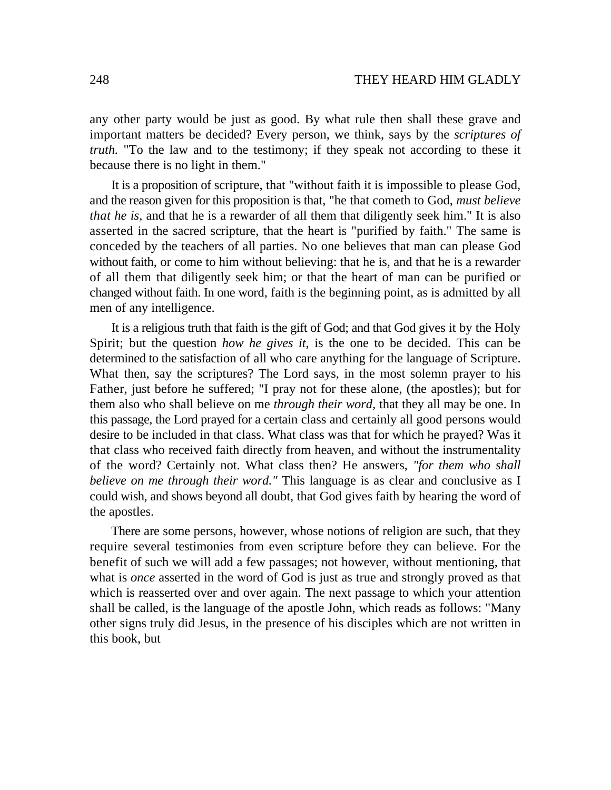any other party would be just as good. By what rule then shall these grave and important matters be decided? Every person, we think, says by the *scriptures of truth.* "To the law and to the testimony; if they speak not according to these it because there is no light in them."

It is a proposition of scripture, that "without faith it is impossible to please God, and the reason given for this proposition is that, "he that cometh to God, *must believe that he is,* and that he is a rewarder of all them that diligently seek him." It is also asserted in the sacred scripture, that the heart is "purified by faith." The same is conceded by the teachers of all parties. No one believes that man can please God without faith, or come to him without believing: that he is, and that he is a rewarder of all them that diligently seek him; or that the heart of man can be purified or changed without faith. In one word, faith is the beginning point, as is admitted by all men of any intelligence.

It is a religious truth that faith is the gift of God; and that God gives it by the Holy Spirit; but the question *how he gives it,* is the one to be decided. This can be determined to the satisfaction of all who care anything for the language of Scripture. What then, say the scriptures? The Lord says, in the most solemn prayer to his Father, just before he suffered; "I pray not for these alone, (the apostles); but for them also who shall believe on me *through their word,* that they all may be one. In this passage, the Lord prayed for a certain class and certainly all good persons would desire to be included in that class. What class was that for which he prayed? Was it that class who received faith directly from heaven, and without the instrumentality of the word? Certainly not. What class then? He answers, *"for them who shall believe on me through their word."* This language is as clear and conclusive as I could wish, and shows beyond all doubt, that God gives faith by hearing the word of the apostles.

There are some persons, however, whose notions of religion are such, that they require several testimonies from even scripture before they can believe. For the benefit of such we will add a few passages; not however, without mentioning, that what is *once* asserted in the word of God is just as true and strongly proved as that which is reasserted over and over again. The next passage to which your attention shall be called, is the language of the apostle John, which reads as follows: "Many other signs truly did Jesus, in the presence of his disciples which are not written in this book, but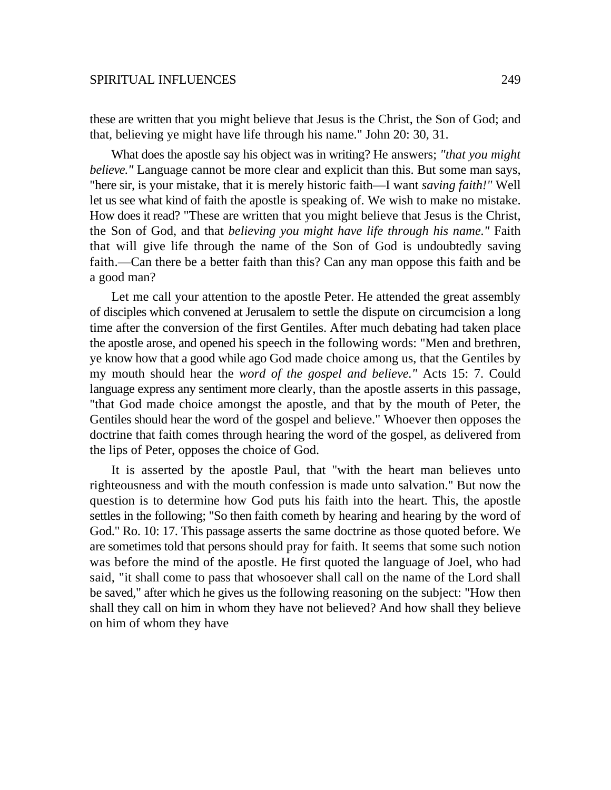## SPIRITUAL INFLUENCES 249

these are written that you might believe that Jesus is the Christ, the Son of God; and that, believing ye might have life through his name." John 20: 30, 31.

What does the apostle say his object was in writing? He answers; *"that you might believe."* Language cannot be more clear and explicit than this. But some man says, "here sir, is your mistake, that it is merely historic faith—I want *saving faith!"* Well let us see what kind of faith the apostle is speaking of. We wish to make no mistake. How does it read? "These are written that you might believe that Jesus is the Christ, the Son of God, and that *believing you might have life through his name."* Faith that will give life through the name of the Son of God is undoubtedly saving faith.—Can there be a better faith than this? Can any man oppose this faith and be a good man?

Let me call your attention to the apostle Peter. He attended the great assembly of disciples which convened at Jerusalem to settle the dispute on circumcision a long time after the conversion of the first Gentiles. After much debating had taken place the apostle arose, and opened his speech in the following words: "Men and brethren, ye know how that a good while ago God made choice among us, that the Gentiles by my mouth should hear the *word of the gospel and believe."* Acts 15: 7. Could language express any sentiment more clearly, than the apostle asserts in this passage, "that God made choice amongst the apostle, and that by the mouth of Peter, the Gentiles should hear the word of the gospel and believe." Whoever then opposes the doctrine that faith comes through hearing the word of the gospel, as delivered from the lips of Peter, opposes the choice of God.

It is asserted by the apostle Paul, that "with the heart man believes unto righteousness and with the mouth confession is made unto salvation." But now the question is to determine how God puts his faith into the heart. This, the apostle settles in the following; "So then faith cometh by hearing and hearing by the word of God." Ro. 10: 17. This passage asserts the same doctrine as those quoted before. We are sometimes told that persons should pray for faith. It seems that some such notion was before the mind of the apostle. He first quoted the language of Joel, who had said, "it shall come to pass that whosoever shall call on the name of the Lord shall be saved," after which he gives us the following reasoning on the subject: "How then shall they call on him in whom they have not believed? And how shall they believe on him of whom they have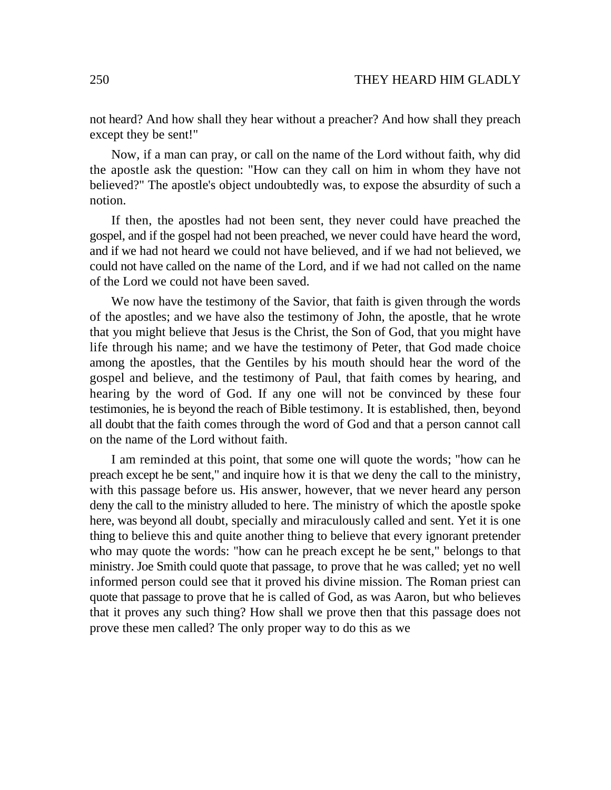not heard? And how shall they hear without a preacher? And how shall they preach except they be sent!"

Now, if a man can pray, or call on the name of the Lord without faith, why did the apostle ask the question: "How can they call on him in whom they have not believed?" The apostle's object undoubtedly was, to expose the absurdity of such a notion.

If then, the apostles had not been sent, they never could have preached the gospel, and if the gospel had not been preached, we never could have heard the word, and if we had not heard we could not have believed, and if we had not believed, we could not have called on the name of the Lord, and if we had not called on the name of the Lord we could not have been saved.

We now have the testimony of the Savior, that faith is given through the words of the apostles; and we have also the testimony of John, the apostle, that he wrote that you might believe that Jesus is the Christ, the Son of God, that you might have life through his name; and we have the testimony of Peter, that God made choice among the apostles, that the Gentiles by his mouth should hear the word of the gospel and believe, and the testimony of Paul, that faith comes by hearing, and hearing by the word of God. If any one will not be convinced by these four testimonies, he is beyond the reach of Bible testimony. It is established, then, beyond all doubt that the faith comes through the word of God and that a person cannot call on the name of the Lord without faith.

I am reminded at this point, that some one will quote the words; "how can he preach except he be sent," and inquire how it is that we deny the call to the ministry, with this passage before us. His answer, however, that we never heard any person deny the call to the ministry alluded to here. The ministry of which the apostle spoke here, was beyond all doubt, specially and miraculously called and sent. Yet it is one thing to believe this and quite another thing to believe that every ignorant pretender who may quote the words: "how can he preach except he be sent," belongs to that ministry. Joe Smith could quote that passage, to prove that he was called; yet no well informed person could see that it proved his divine mission. The Roman priest can quote that passage to prove that he is called of God, as was Aaron, but who believes that it proves any such thing? How shall we prove then that this passage does not prove these men called? The only proper way to do this as we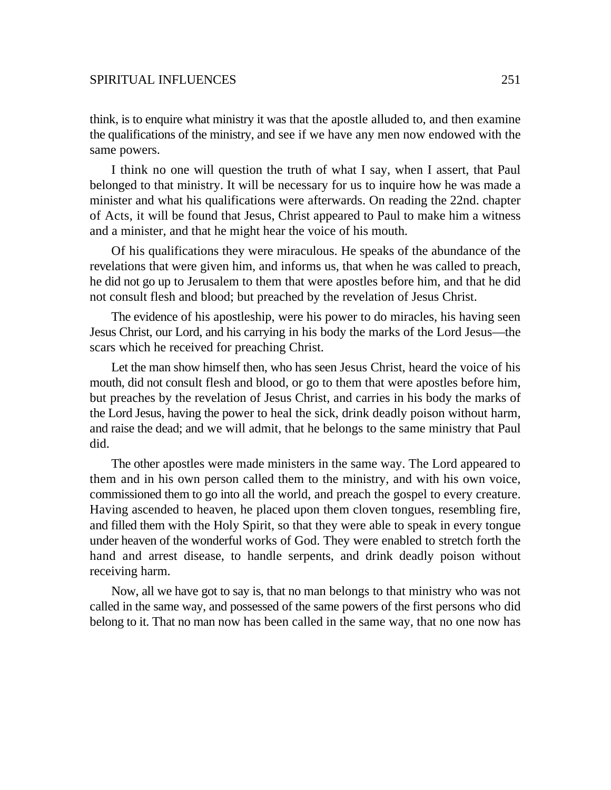think, is to enquire what ministry it was that the apostle alluded to, and then examine the qualifications of the ministry, and see if we have any men now endowed with the same powers.

I think no one will question the truth of what I say, when I assert, that Paul belonged to that ministry. It will be necessary for us to inquire how he was made a minister and what his qualifications were afterwards. On reading the 22nd. chapter of Acts, it will be found that Jesus, Christ appeared to Paul to make him a witness and a minister, and that he might hear the voice of his mouth.

Of his qualifications they were miraculous. He speaks of the abundance of the revelations that were given him, and informs us, that when he was called to preach, he did not go up to Jerusalem to them that were apostles before him, and that he did not consult flesh and blood; but preached by the revelation of Jesus Christ.

The evidence of his apostleship, were his power to do miracles, his having seen Jesus Christ, our Lord, and his carrying in his body the marks of the Lord Jesus—the scars which he received for preaching Christ.

Let the man show himself then, who has seen Jesus Christ, heard the voice of his mouth, did not consult flesh and blood, or go to them that were apostles before him, but preaches by the revelation of Jesus Christ, and carries in his body the marks of the Lord Jesus, having the power to heal the sick, drink deadly poison without harm, and raise the dead; and we will admit, that he belongs to the same ministry that Paul did.

The other apostles were made ministers in the same way. The Lord appeared to them and in his own person called them to the ministry, and with his own voice, commissioned them to go into all the world, and preach the gospel to every creature. Having ascended to heaven, he placed upon them cloven tongues, resembling fire, and filled them with the Holy Spirit, so that they were able to speak in every tongue under heaven of the wonderful works of God. They were enabled to stretch forth the hand and arrest disease, to handle serpents, and drink deadly poison without receiving harm.

Now, all we have got to say is, that no man belongs to that ministry who was not called in the same way, and possessed of the same powers of the first persons who did belong to it. That no man now has been called in the same way, that no one now has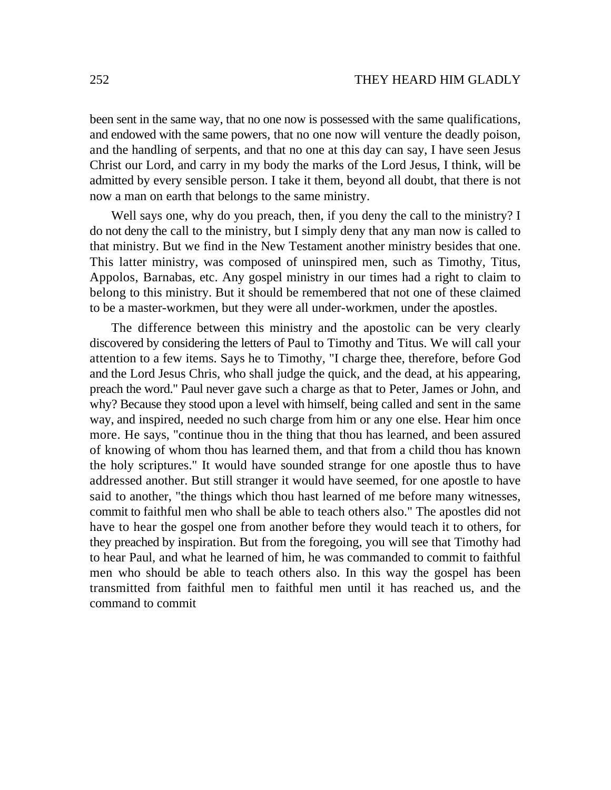been sent in the same way, that no one now is possessed with the same qualifications, and endowed with the same powers, that no one now will venture the deadly poison, and the handling of serpents, and that no one at this day can say, I have seen Jesus Christ our Lord, and carry in my body the marks of the Lord Jesus, I think, will be admitted by every sensible person. I take it them, beyond all doubt, that there is not now a man on earth that belongs to the same ministry.

Well says one, why do you preach, then, if you deny the call to the ministry? I do not deny the call to the ministry, but I simply deny that any man now is called to that ministry. But we find in the New Testament another ministry besides that one. This latter ministry, was composed of uninspired men, such as Timothy, Titus, Appolos, Barnabas, etc. Any gospel ministry in our times had a right to claim to belong to this ministry. But it should be remembered that not one of these claimed to be a master-workmen, but they were all under-workmen, under the apostles.

The difference between this ministry and the apostolic can be very clearly discovered by considering the letters of Paul to Timothy and Titus. We will call your attention to a few items. Says he to Timothy, "I charge thee, therefore, before God and the Lord Jesus Chris, who shall judge the quick, and the dead, at his appearing, preach the word." Paul never gave such a charge as that to Peter, James or John, and why? Because they stood upon a level with himself, being called and sent in the same way, and inspired, needed no such charge from him or any one else. Hear him once more. He says, "continue thou in the thing that thou has learned, and been assured of knowing of whom thou has learned them, and that from a child thou has known the holy scriptures." It would have sounded strange for one apostle thus to have addressed another. But still stranger it would have seemed, for one apostle to have said to another, "the things which thou hast learned of me before many witnesses, commit to faithful men who shall be able to teach others also." The apostles did not have to hear the gospel one from another before they would teach it to others, for they preached by inspiration. But from the foregoing, you will see that Timothy had to hear Paul, and what he learned of him, he was commanded to commit to faithful men who should be able to teach others also. In this way the gospel has been transmitted from faithful men to faithful men until it has reached us, and the command to commit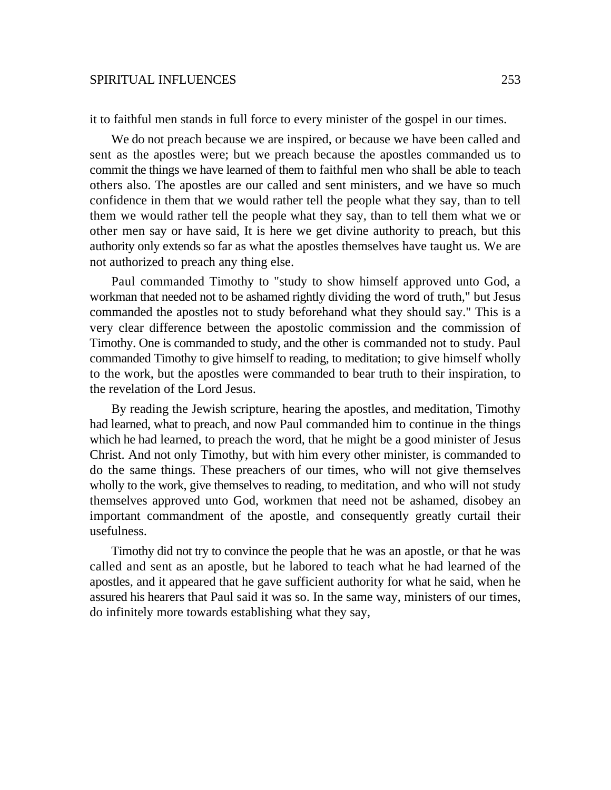it to faithful men stands in full force to every minister of the gospel in our times.

We do not preach because we are inspired, or because we have been called and sent as the apostles were; but we preach because the apostles commanded us to commit the things we have learned of them to faithful men who shall be able to teach others also. The apostles are our called and sent ministers, and we have so much confidence in them that we would rather tell the people what they say, than to tell them we would rather tell the people what they say, than to tell them what we or other men say or have said, It is here we get divine authority to preach, but this authority only extends so far as what the apostles themselves have taught us. We are not authorized to preach any thing else.

Paul commanded Timothy to "study to show himself approved unto God, a workman that needed not to be ashamed rightly dividing the word of truth," but Jesus commanded the apostles not to study beforehand what they should say." This is a very clear difference between the apostolic commission and the commission of Timothy. One is commanded to study, and the other is commanded not to study. Paul commanded Timothy to give himself to reading, to meditation; to give himself wholly to the work, but the apostles were commanded to bear truth to their inspiration, to the revelation of the Lord Jesus.

By reading the Jewish scripture, hearing the apostles, and meditation, Timothy had learned, what to preach, and now Paul commanded him to continue in the things which he had learned, to preach the word, that he might be a good minister of Jesus Christ. And not only Timothy, but with him every other minister, is commanded to do the same things. These preachers of our times, who will not give themselves wholly to the work, give themselves to reading, to meditation, and who will not study themselves approved unto God, workmen that need not be ashamed, disobey an important commandment of the apostle, and consequently greatly curtail their usefulness.

Timothy did not try to convince the people that he was an apostle, or that he was called and sent as an apostle, but he labored to teach what he had learned of the apostles, and it appeared that he gave sufficient authority for what he said, when he assured his hearers that Paul said it was so. In the same way, ministers of our times, do infinitely more towards establishing what they say,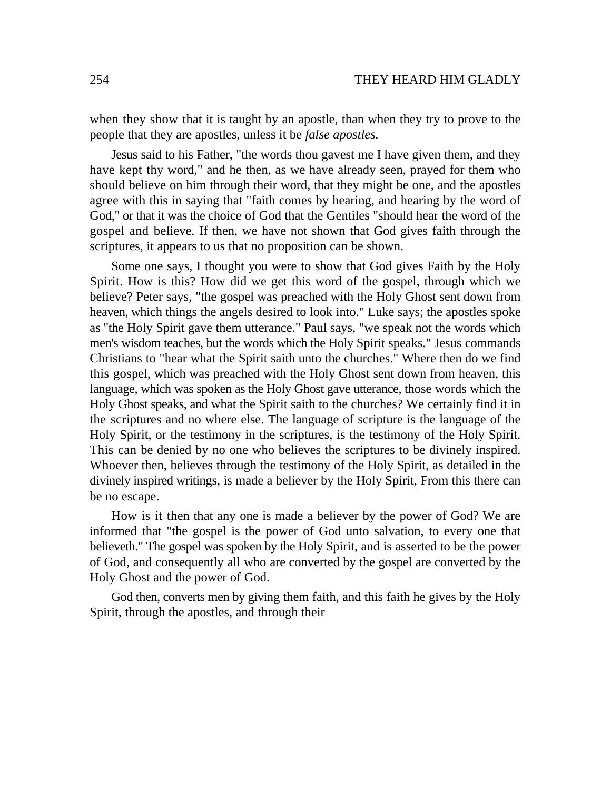when they show that it is taught by an apostle, than when they try to prove to the people that they are apostles, unless it be *false apostles.*

Jesus said to his Father, "the words thou gavest me I have given them, and they have kept thy word," and he then, as we have already seen, prayed for them who should believe on him through their word, that they might be one, and the apostles agree with this in saying that "faith comes by hearing, and hearing by the word of God," or that it was the choice of God that the Gentiles "should hear the word of the gospel and believe. If then, we have not shown that God gives faith through the scriptures, it appears to us that no proposition can be shown.

Some one says, I thought you were to show that God gives Faith by the Holy Spirit. How is this? How did we get this word of the gospel, through which we believe? Peter says, "the gospel was preached with the Holy Ghost sent down from heaven, which things the angels desired to look into." Luke says; the apostles spoke as "the Holy Spirit gave them utterance." Paul says, "we speak not the words which men's wisdom teaches, but the words which the Holy Spirit speaks." Jesus commands Christians to "hear what the Spirit saith unto the churches." Where then do we find this gospel, which was preached with the Holy Ghost sent down from heaven, this language, which was spoken as the Holy Ghost gave utterance, those words which the Holy Ghost speaks, and what the Spirit saith to the churches? We certainly find it in the scriptures and no where else. The language of scripture is the language of the Holy Spirit, or the testimony in the scriptures, is the testimony of the Holy Spirit. This can be denied by no one who believes the scriptures to be divinely inspired. Whoever then, believes through the testimony of the Holy Spirit, as detailed in the divinely inspired writings, is made a believer by the Holy Spirit, From this there can be no escape.

How is it then that any one is made a believer by the power of God? We are informed that "the gospel is the power of God unto salvation, to every one that believeth." The gospel was spoken by the Holy Spirit, and is asserted to be the power of God, and consequently all who are converted by the gospel are converted by the Holy Ghost and the power of God.

God then, converts men by giving them faith, and this faith he gives by the Holy Spirit, through the apostles, and through their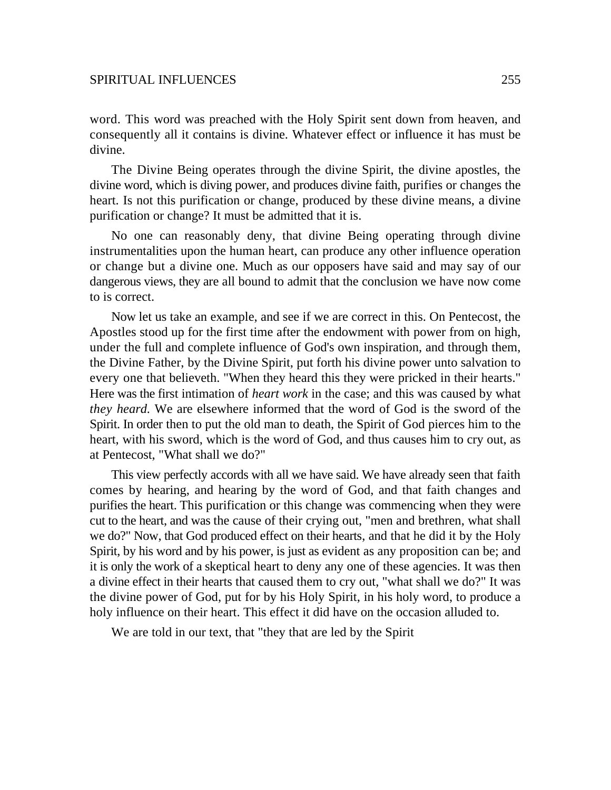word. This word was preached with the Holy Spirit sent down from heaven, and consequently all it contains is divine. Whatever effect or influence it has must be divine.

The Divine Being operates through the divine Spirit, the divine apostles, the divine word, which is diving power, and produces divine faith, purifies or changes the heart. Is not this purification or change, produced by these divine means, a divine purification or change? It must be admitted that it is.

No one can reasonably deny, that divine Being operating through divine instrumentalities upon the human heart, can produce any other influence operation or change but a divine one. Much as our opposers have said and may say of our dangerous views, they are all bound to admit that the conclusion we have now come to is correct.

Now let us take an example, and see if we are correct in this. On Pentecost, the Apostles stood up for the first time after the endowment with power from on high, under the full and complete influence of God's own inspiration, and through them, the Divine Father, by the Divine Spirit, put forth his divine power unto salvation to every one that believeth. "When they heard this they were pricked in their hearts." Here was the first intimation of *heart work* in the case; and this was caused by what *they heard.* We are elsewhere informed that the word of God is the sword of the Spirit. In order then to put the old man to death, the Spirit of God pierces him to the heart, with his sword, which is the word of God, and thus causes him to cry out, as at Pentecost, "What shall we do?"

This view perfectly accords with all we have said. We have already seen that faith comes by hearing, and hearing by the word of God, and that faith changes and purifies the heart. This purification or this change was commencing when they were cut to the heart, and was the cause of their crying out, "men and brethren, what shall we do?" Now, that God produced effect on their hearts, and that he did it by the Holy Spirit, by his word and by his power, is just as evident as any proposition can be; and it is only the work of a skeptical heart to deny any one of these agencies. It was then a divine effect in their hearts that caused them to cry out, "what shall we do?" It was the divine power of God, put for by his Holy Spirit, in his holy word, to produce a holy influence on their heart. This effect it did have on the occasion alluded to.

We are told in our text, that "they that are led by the Spirit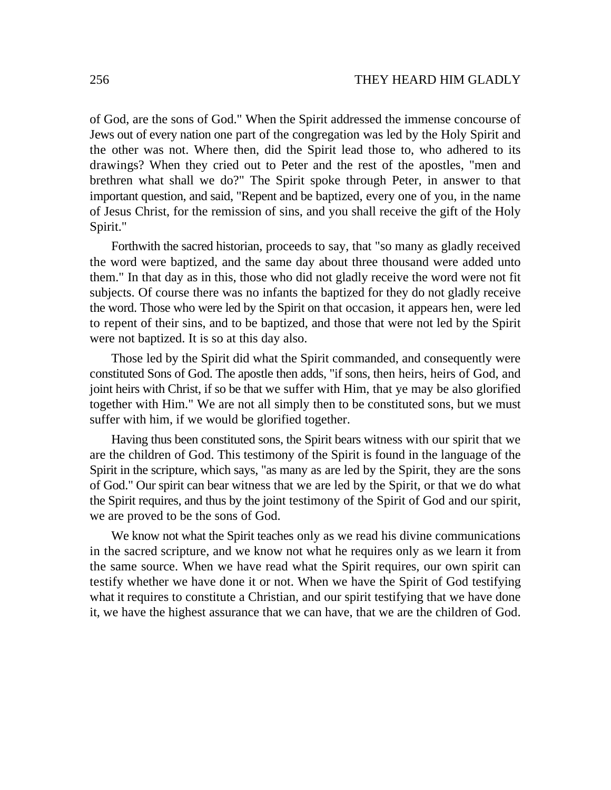of God, are the sons of God." When the Spirit addressed the immense concourse of Jews out of every nation one part of the congregation was led by the Holy Spirit and the other was not. Where then, did the Spirit lead those to, who adhered to its drawings? When they cried out to Peter and the rest of the apostles, "men and brethren what shall we do?" The Spirit spoke through Peter, in answer to that important question, and said, "Repent and be baptized, every one of you, in the name of Jesus Christ, for the remission of sins, and you shall receive the gift of the Holy Spirit."

Forthwith the sacred historian, proceeds to say, that "so many as gladly received the word were baptized, and the same day about three thousand were added unto them." In that day as in this, those who did not gladly receive the word were not fit subjects. Of course there was no infants the baptized for they do not gladly receive the word. Those who were led by the Spirit on that occasion, it appears hen, were led to repent of their sins, and to be baptized, and those that were not led by the Spirit were not baptized. It is so at this day also.

Those led by the Spirit did what the Spirit commanded, and consequently were constituted Sons of God. The apostle then adds, "if sons, then heirs, heirs of God, and joint heirs with Christ, if so be that we suffer with Him, that ye may be also glorified together with Him." We are not all simply then to be constituted sons, but we must suffer with him, if we would be glorified together.

Having thus been constituted sons, the Spirit bears witness with our spirit that we are the children of God. This testimony of the Spirit is found in the language of the Spirit in the scripture, which says, "as many as are led by the Spirit, they are the sons of God." Our spirit can bear witness that we are led by the Spirit, or that we do what the Spirit requires, and thus by the joint testimony of the Spirit of God and our spirit, we are proved to be the sons of God.

We know not what the Spirit teaches only as we read his divine communications in the sacred scripture, and we know not what he requires only as we learn it from the same source. When we have read what the Spirit requires, our own spirit can testify whether we have done it or not. When we have the Spirit of God testifying what it requires to constitute a Christian, and our spirit testifying that we have done it, we have the highest assurance that we can have, that we are the children of God.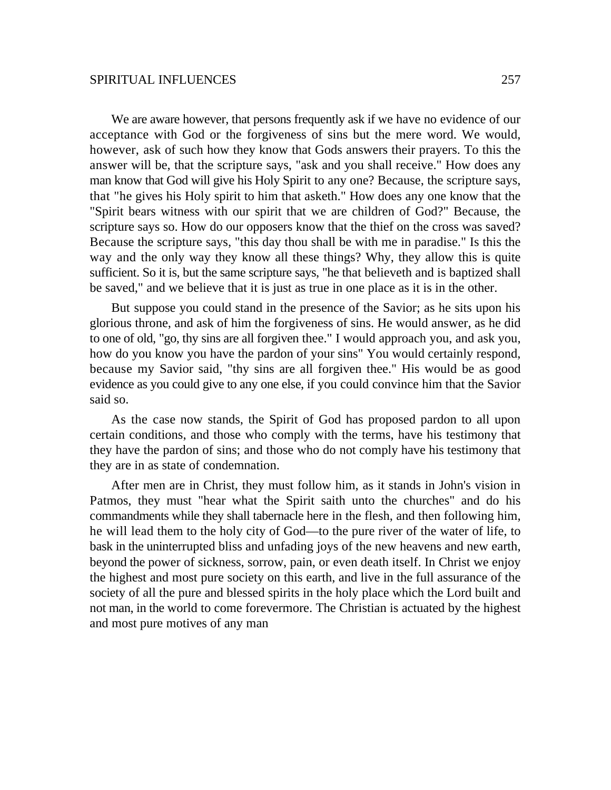We are aware however, that persons frequently ask if we have no evidence of our acceptance with God or the forgiveness of sins but the mere word. We would, however, ask of such how they know that Gods answers their prayers. To this the answer will be, that the scripture says, "ask and you shall receive." How does any man know that God will give his Holy Spirit to any one? Because, the scripture says, that "he gives his Holy spirit to him that asketh." How does any one know that the "Spirit bears witness with our spirit that we are children of God?" Because, the scripture says so. How do our opposers know that the thief on the cross was saved? Because the scripture says, "this day thou shall be with me in paradise." Is this the way and the only way they know all these things? Why, they allow this is quite sufficient. So it is, but the same scripture says, "he that believeth and is baptized shall be saved," and we believe that it is just as true in one place as it is in the other.

But suppose you could stand in the presence of the Savior; as he sits upon his glorious throne, and ask of him the forgiveness of sins. He would answer, as he did to one of old, "go, thy sins are all forgiven thee." I would approach you, and ask you, how do you know you have the pardon of your sins" You would certainly respond, because my Savior said, "thy sins are all forgiven thee." His would be as good evidence as you could give to any one else, if you could convince him that the Savior said so.

As the case now stands, the Spirit of God has proposed pardon to all upon certain conditions, and those who comply with the terms, have his testimony that they have the pardon of sins; and those who do not comply have his testimony that they are in as state of condemnation.

After men are in Christ, they must follow him, as it stands in John's vision in Patmos, they must "hear what the Spirit saith unto the churches" and do his commandments while they shall tabernacle here in the flesh, and then following him, he will lead them to the holy city of God—to the pure river of the water of life, to bask in the uninterrupted bliss and unfading joys of the new heavens and new earth, beyond the power of sickness, sorrow, pain, or even death itself. In Christ we enjoy the highest and most pure society on this earth, and live in the full assurance of the society of all the pure and blessed spirits in the holy place which the Lord built and not man, in the world to come forevermore. The Christian is actuated by the highest and most pure motives of any man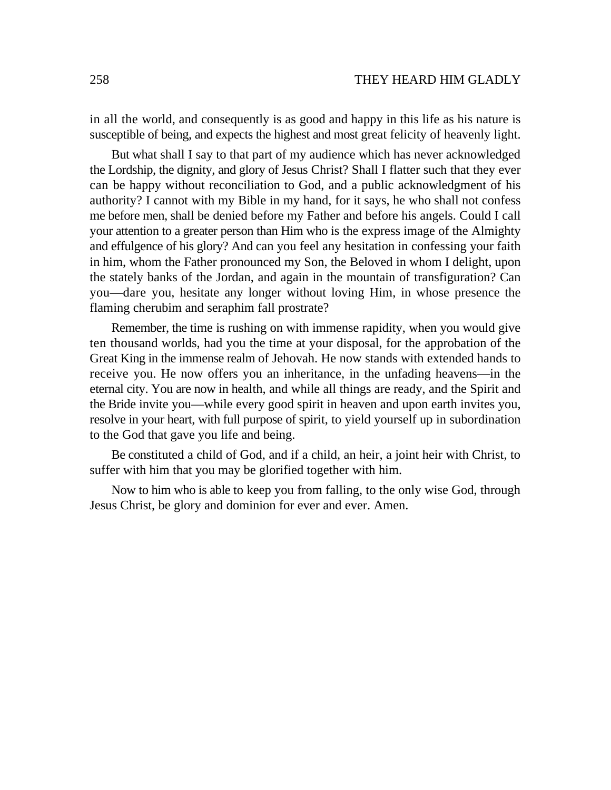in all the world, and consequently is as good and happy in this life as his nature is susceptible of being, and expects the highest and most great felicity of heavenly light.

But what shall I say to that part of my audience which has never acknowledged the Lordship, the dignity, and glory of Jesus Christ? Shall I flatter such that they ever can be happy without reconciliation to God, and a public acknowledgment of his authority? I cannot with my Bible in my hand, for it says, he who shall not confess me before men, shall be denied before my Father and before his angels. Could I call your attention to a greater person than Him who is the express image of the Almighty and effulgence of his glory? And can you feel any hesitation in confessing your faith in him, whom the Father pronounced my Son, the Beloved in whom I delight, upon the stately banks of the Jordan, and again in the mountain of transfiguration? Can you—dare you, hesitate any longer without loving Him, in whose presence the flaming cherubim and seraphim fall prostrate?

Remember, the time is rushing on with immense rapidity, when you would give ten thousand worlds, had you the time at your disposal, for the approbation of the Great King in the immense realm of Jehovah. He now stands with extended hands to receive you. He now offers you an inheritance, in the unfading heavens—in the eternal city. You are now in health, and while all things are ready, and the Spirit and the Bride invite you—while every good spirit in heaven and upon earth invites you, resolve in your heart, with full purpose of spirit, to yield yourself up in subordination to the God that gave you life and being.

Be constituted a child of God, and if a child, an heir, a joint heir with Christ, to suffer with him that you may be glorified together with him.

Now to him who is able to keep you from falling, to the only wise God, through Jesus Christ, be glory and dominion for ever and ever. Amen.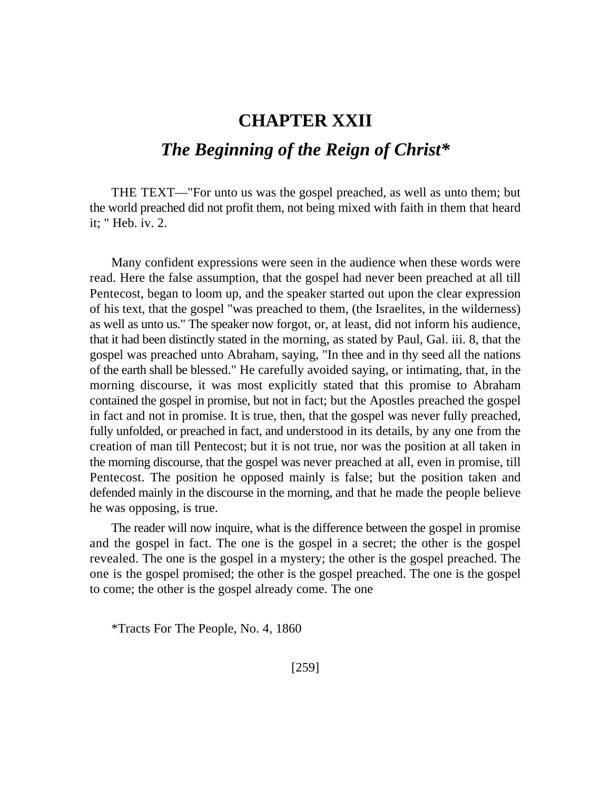# **CHAPTER XXII** *The Beginning of the Reign of Christ\**

THE TEXT—"For unto us was the gospel preached, as well as unto them; but the world preached did not profit them, not being mixed with faith in them that heard it; " Heb. iv. 2.

Many confident expressions were seen in the audience when these words were read. Here the false assumption, that the gospel had never been preached at all till Pentecost, began to loom up, and the speaker started out upon the clear expression of his text, that the gospel "was preached to them, (the Israelites, in the wilderness) as well as unto us." The speaker now forgot, or, at least, did not inform his audience, that it had been distinctly stated in the morning, as stated by Paul, Gal. iii. 8, that the gospel was preached unto Abraham, saying, "In thee and in thy seed all the nations of the earth shall be blessed." He carefully avoided saying, or intimating, that, in the morning discourse, it was most explicitly stated that this promise to Abraham contained the gospel in promise, but not in fact; but the Apostles preached the gospel in fact and not in promise. It is true, then, that the gospel was never fully preached, fully unfolded, or preached in fact, and understood in its details, by any one from the creation of man till Pentecost; but it is not true, nor was the position at all taken in the morning discourse, that the gospel was never preached at all, even in promise, till Pentecost. The position he opposed mainly is false; but the position taken and defended mainly in the discourse in the morning, and that he made the people believe he was opposing, is true.

The reader will now inquire, what is the difference between the gospel in promise and the gospel in fact. The one is the gospel in a secret; the other is the gospel revealed. The one is the gospel in a mystery; the other is the gospel preached. The one is the gospel promised; the other is the gospel preached. The one is the gospel to come; the other is the gospel already come. The one

\*Tracts For The People, No. 4, 1860

[259]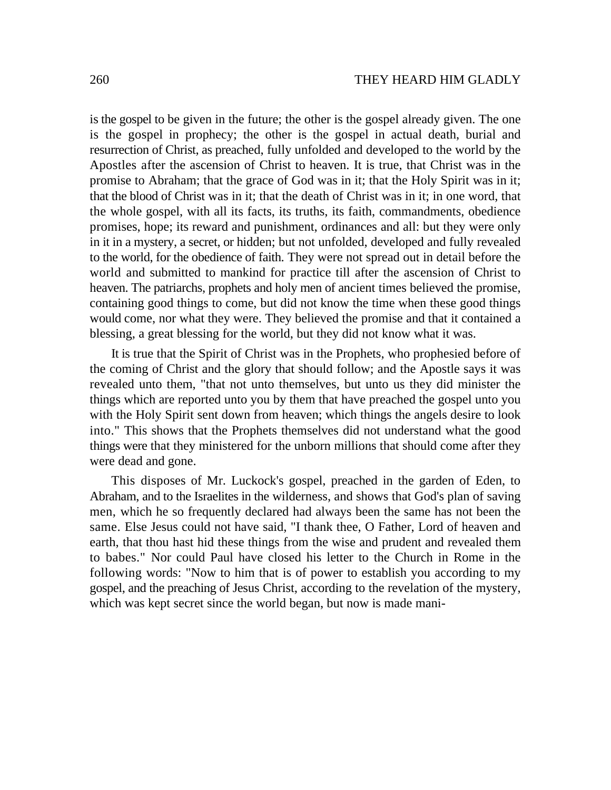is the gospel to be given in the future; the other is the gospel already given. The one is the gospel in prophecy; the other is the gospel in actual death, burial and resurrection of Christ, as preached, fully unfolded and developed to the world by the Apostles after the ascension of Christ to heaven. It is true, that Christ was in the promise to Abraham; that the grace of God was in it; that the Holy Spirit was in it; that the blood of Christ was in it; that the death of Christ was in it; in one word, that the whole gospel, with all its facts, its truths, its faith, commandments, obedience promises, hope; its reward and punishment, ordinances and all: but they were only in it in a mystery, a secret, or hidden; but not unfolded, developed and fully revealed to the world, for the obedience of faith. They were not spread out in detail before the world and submitted to mankind for practice till after the ascension of Christ to heaven. The patriarchs, prophets and holy men of ancient times believed the promise, containing good things to come, but did not know the time when these good things would come, nor what they were. They believed the promise and that it contained a blessing, a great blessing for the world, but they did not know what it was.

It is true that the Spirit of Christ was in the Prophets, who prophesied before of the coming of Christ and the glory that should follow; and the Apostle says it was revealed unto them, "that not unto themselves, but unto us they did minister the things which are reported unto you by them that have preached the gospel unto you with the Holy Spirit sent down from heaven; which things the angels desire to look into." This shows that the Prophets themselves did not understand what the good things were that they ministered for the unborn millions that should come after they were dead and gone.

This disposes of Mr. Luckock's gospel, preached in the garden of Eden, to Abraham, and to the Israelites in the wilderness, and shows that God's plan of saving men, which he so frequently declared had always been the same has not been the same. Else Jesus could not have said, "I thank thee, O Father, Lord of heaven and earth, that thou hast hid these things from the wise and prudent and revealed them to babes." Nor could Paul have closed his letter to the Church in Rome in the following words: "Now to him that is of power to establish you according to my gospel, and the preaching of Jesus Christ, according to the revelation of the mystery, which was kept secret since the world began, but now is made mani-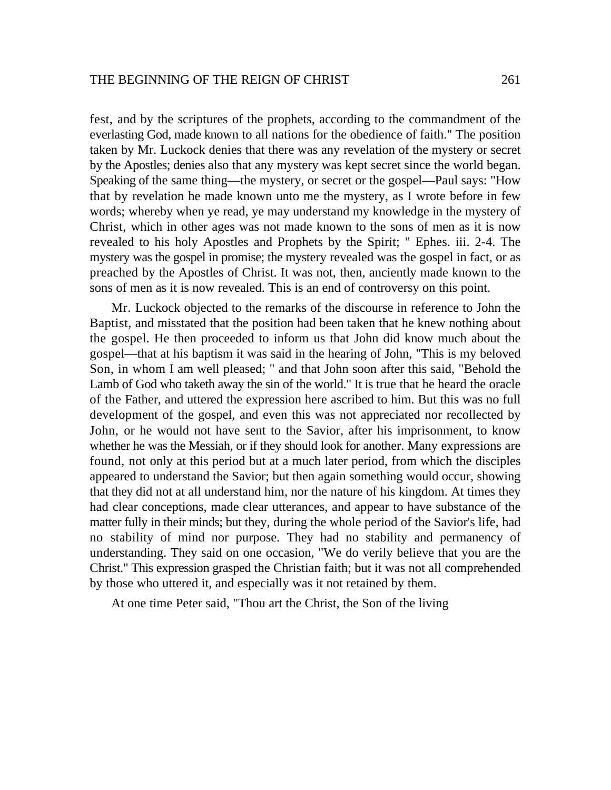fest, and by the scriptures of the prophets, according to the commandment of the everlasting God, made known to all nations for the obedience of faith." The position taken by Mr. Luckock denies that there was any revelation of the mystery or secret by the Apostles; denies also that any mystery was kept secret since the world began. Speaking of the same thing—the mystery, or secret or the gospel—Paul says: "How that by revelation he made known unto me the mystery, as I wrote before in few words; whereby when ye read, ye may understand my knowledge in the mystery of Christ, which in other ages was not made known to the sons of men as it is now revealed to his holy Apostles and Prophets by the Spirit; " Ephes. iii. 2-4. The mystery was the gospel in promise; the mystery revealed was the gospel in fact, or as preached by the Apostles of Christ. It was not, then, anciently made known to the sons of men as it is now revealed. This is an end of controversy on this point.

Mr. Luckock objected to the remarks of the discourse in reference to John the Baptist, and misstated that the position had been taken that he knew nothing about the gospel. He then proceeded to inform us that John did know much about the gospel—that at his baptism it was said in the hearing of John, "This is my beloved Son, in whom I am well pleased; " and that John soon after this said, "Behold the Lamb of God who taketh away the sin of the world." It is true that he heard the oracle of the Father, and uttered the expression here ascribed to him. But this was no full development of the gospel, and even this was not appreciated nor recollected by John, or he would not have sent to the Savior, after his imprisonment, to know whether he was the Messiah, or if they should look for another. Many expressions are found, not only at this period but at a much later period, from which the disciples appeared to understand the Savior; but then again something would occur, showing that they did not at all understand him, nor the nature of his kingdom. At times they had clear conceptions, made clear utterances, and appear to have substance of the matter fully in their minds; but they, during the whole period of the Savior's life, had no stability of mind nor purpose. They had no stability and permanency of understanding. They said on one occasion, "We do verily believe that you are the Christ." This expression grasped the Christian faith; but it was not all comprehended by those who uttered it, and especially was it not retained by them.

At one time Peter said, "Thou art the Christ, the Son of the living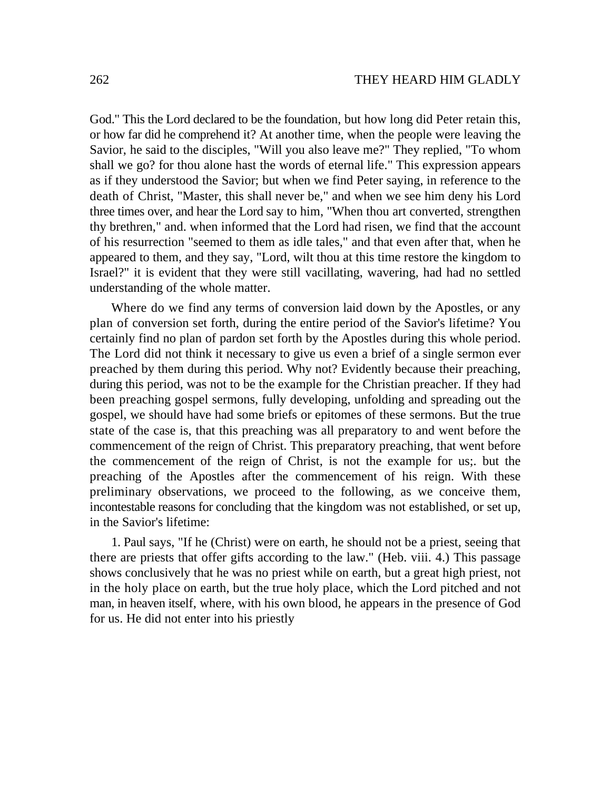God." This the Lord declared to be the foundation, but how long did Peter retain this, or how far did he comprehend it? At another time, when the people were leaving the Savior, he said to the disciples, "Will you also leave me?" They replied, "To whom shall we go? for thou alone hast the words of eternal life." This expression appears as if they understood the Savior; but when we find Peter saying, in reference to the death of Christ, "Master, this shall never be," and when we see him deny his Lord three times over, and hear the Lord say to him, "When thou art converted, strengthen thy brethren," and. when informed that the Lord had risen, we find that the account of his resurrection "seemed to them as idle tales," and that even after that, when he appeared to them, and they say, "Lord, wilt thou at this time restore the kingdom to Israel?" it is evident that they were still vacillating, wavering, had had no settled understanding of the whole matter.

Where do we find any terms of conversion laid down by the Apostles, or any plan of conversion set forth, during the entire period of the Savior's lifetime? You certainly find no plan of pardon set forth by the Apostles during this whole period. The Lord did not think it necessary to give us even a brief of a single sermon ever preached by them during this period. Why not? Evidently because their preaching, during this period, was not to be the example for the Christian preacher. If they had been preaching gospel sermons, fully developing, unfolding and spreading out the gospel, we should have had some briefs or epitomes of these sermons. But the true state of the case is, that this preaching was all preparatory to and went before the commencement of the reign of Christ. This preparatory preaching, that went before the commencement of the reign of Christ, is not the example for us;. but the preaching of the Apostles after the commencement of his reign. With these preliminary observations, we proceed to the following, as we conceive them, incontestable reasons for concluding that the kingdom was not established, or set up, in the Savior's lifetime:

1. Paul says, "If he (Christ) were on earth, he should not be a priest, seeing that there are priests that offer gifts according to the law." (Heb. viii. 4.) This passage shows conclusively that he was no priest while on earth, but a great high priest, not in the holy place on earth, but the true holy place, which the Lord pitched and not man, in heaven itself, where, with his own blood, he appears in the presence of God for us. He did not enter into his priestly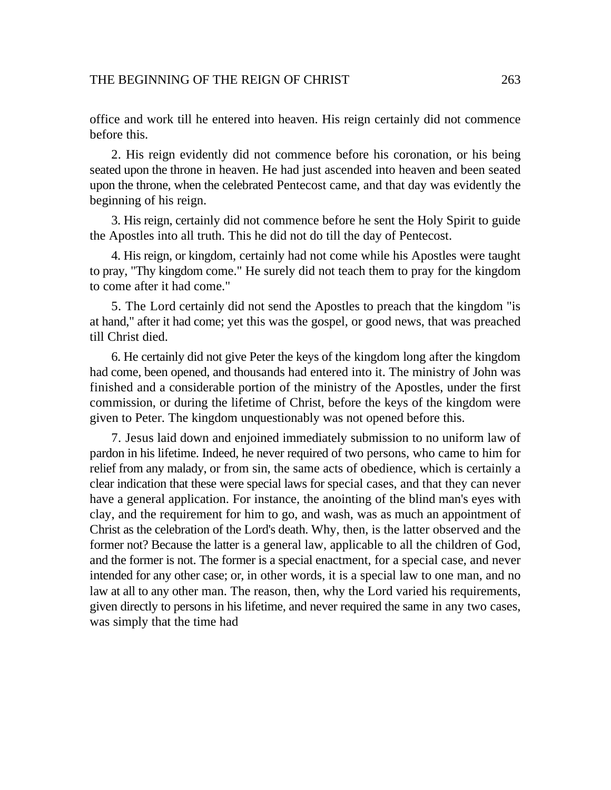office and work till he entered into heaven. His reign certainly did not commence before this.

2. His reign evidently did not commence before his coronation, or his being seated upon the throne in heaven. He had just ascended into heaven and been seated upon the throne, when the celebrated Pentecost came, and that day was evidently the beginning of his reign.

3. His reign, certainly did not commence before he sent the Holy Spirit to guide the Apostles into all truth. This he did not do till the day of Pentecost.

4. His reign, or kingdom, certainly had not come while his Apostles were taught to pray, "Thy kingdom come." He surely did not teach them to pray for the kingdom to come after it had come."

5. The Lord certainly did not send the Apostles to preach that the kingdom "is at hand," after it had come; yet this was the gospel, or good news, that was preached till Christ died.

6. He certainly did not give Peter the keys of the kingdom long after the kingdom had come, been opened, and thousands had entered into it. The ministry of John was finished and a considerable portion of the ministry of the Apostles, under the first commission, or during the lifetime of Christ, before the keys of the kingdom were given to Peter. The kingdom unquestionably was not opened before this.

7. Jesus laid down and enjoined immediately submission to no uniform law of pardon in his lifetime. Indeed, he never required of two persons, who came to him for relief from any malady, or from sin, the same acts of obedience, which is certainly a clear indication that these were special laws for special cases, and that they can never have a general application. For instance, the anointing of the blind man's eyes with clay, and the requirement for him to go, and wash, was as much an appointment of Christ as the celebration of the Lord's death. Why, then, is the latter observed and the former not? Because the latter is a general law, applicable to all the children of God, and the former is not. The former is a special enactment, for a special case, and never intended for any other case; or, in other words, it is a special law to one man, and no law at all to any other man. The reason, then, why the Lord varied his requirements, given directly to persons in his lifetime, and never required the same in any two cases, was simply that the time had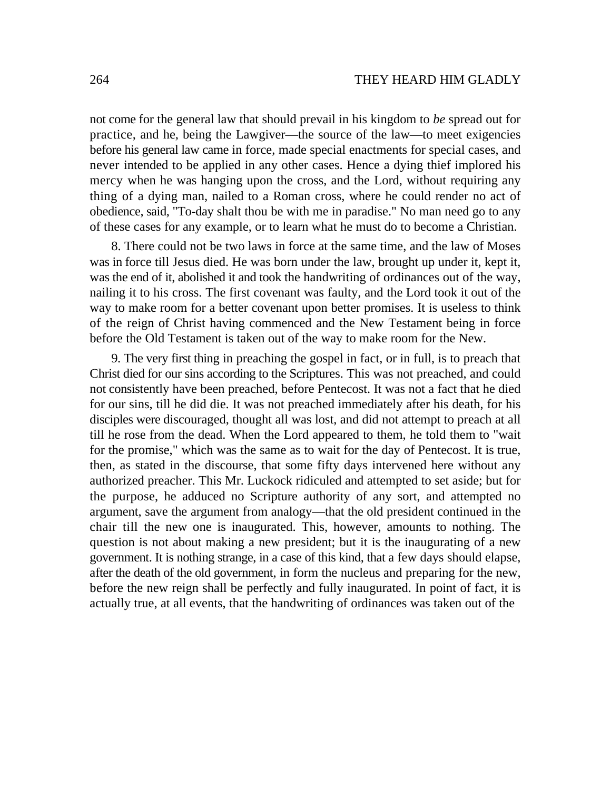not come for the general law that should prevail in his kingdom to *be* spread out for practice, and he, being the Lawgiver—the source of the law—to meet exigencies before his general law came in force, made special enactments for special cases, and never intended to be applied in any other cases. Hence a dying thief implored his mercy when he was hanging upon the cross, and the Lord, without requiring any thing of a dying man, nailed to a Roman cross, where he could render no act of obedience, said, "To-day shalt thou be with me in paradise." No man need go to any of these cases for any example, or to learn what he must do to become a Christian.

8. There could not be two laws in force at the same time, and the law of Moses was in force till Jesus died. He was born under the law, brought up under it, kept it, was the end of it, abolished it and took the handwriting of ordinances out of the way, nailing it to his cross. The first covenant was faulty, and the Lord took it out of the way to make room for a better covenant upon better promises. It is useless to think of the reign of Christ having commenced and the New Testament being in force before the Old Testament is taken out of the way to make room for the New.

9. The very first thing in preaching the gospel in fact, or in full, is to preach that Christ died for our sins according to the Scriptures. This was not preached, and could not consistently have been preached, before Pentecost. It was not a fact that he died for our sins, till he did die. It was not preached immediately after his death, for his disciples were discouraged, thought all was lost, and did not attempt to preach at all till he rose from the dead. When the Lord appeared to them, he told them to "wait for the promise," which was the same as to wait for the day of Pentecost. It is true, then, as stated in the discourse, that some fifty days intervened here without any authorized preacher. This Mr. Luckock ridiculed and attempted to set aside; but for the purpose, he adduced no Scripture authority of any sort, and attempted no argument, save the argument from analogy—that the old president continued in the chair till the new one is inaugurated. This, however, amounts to nothing. The question is not about making a new president; but it is the inaugurating of a new government. It is nothing strange, in a case of this kind, that a few days should elapse, after the death of the old government, in form the nucleus and preparing for the new, before the new reign shall be perfectly and fully inaugurated. In point of fact, it is actually true, at all events, that the handwriting of ordinances was taken out of the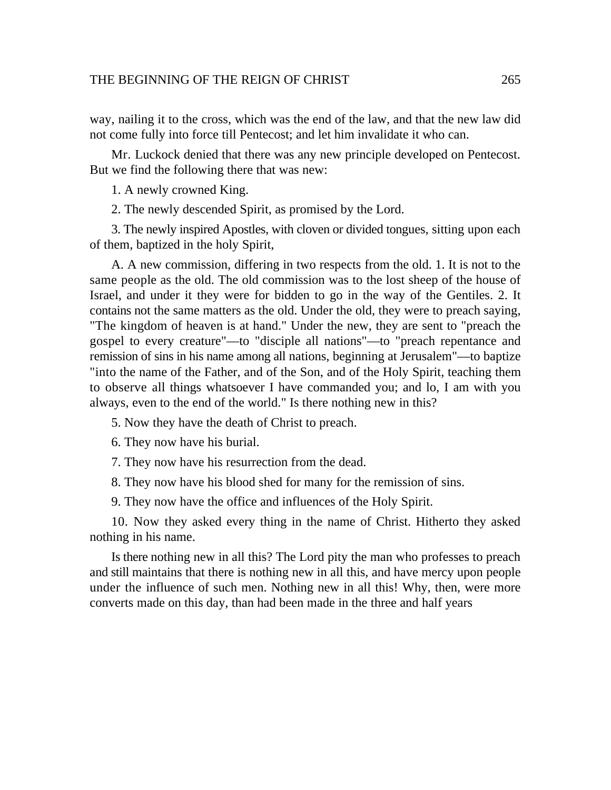way, nailing it to the cross, which was the end of the law, and that the new law did not come fully into force till Pentecost; and let him invalidate it who can.

Mr. Luckock denied that there was any new principle developed on Pentecost. But we find the following there that was new:

1. A newly crowned King.

2. The newly descended Spirit, as promised by the Lord.

3. The newly inspired Apostles, with cloven or divided tongues, sitting upon each of them, baptized in the holy Spirit,

A. A new commission, differing in two respects from the old. 1. It is not to the same people as the old. The old commission was to the lost sheep of the house of Israel, and under it they were for bidden to go in the way of the Gentiles. 2. It contains not the same matters as the old. Under the old, they were to preach saying, "The kingdom of heaven is at hand." Under the new, they are sent to "preach the gospel to every creature"—to "disciple all nations"—to "preach repentance and remission of sins in his name among all nations, beginning at Jerusalem"—to baptize "into the name of the Father, and of the Son, and of the Holy Spirit, teaching them to observe all things whatsoever I have commanded you; and lo, I am with you always, even to the end of the world." Is there nothing new in this?

5. Now they have the death of Christ to preach.

6. They now have his burial.

7. They now have his resurrection from the dead.

8. They now have his blood shed for many for the remission of sins.

9. They now have the office and influences of the Holy Spirit.

10. Now they asked every thing in the name of Christ. Hitherto they asked nothing in his name.

Is there nothing new in all this? The Lord pity the man who professes to preach and still maintains that there is nothing new in all this, and have mercy upon people under the influence of such men. Nothing new in all this! Why, then, were more converts made on this day, than had been made in the three and half years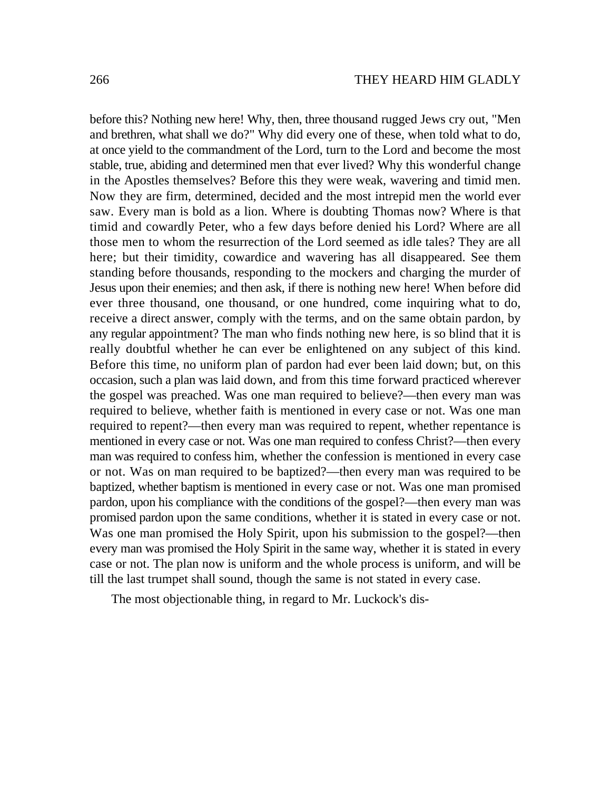before this? Nothing new here! Why, then, three thousand rugged Jews cry out, "Men and brethren, what shall we do?" Why did every one of these, when told what to do, at once yield to the commandment of the Lord, turn to the Lord and become the most stable, true, abiding and determined men that ever lived? Why this wonderful change in the Apostles themselves? Before this they were weak, wavering and timid men. Now they are firm, determined, decided and the most intrepid men the world ever saw. Every man is bold as a lion. Where is doubting Thomas now? Where is that timid and cowardly Peter, who a few days before denied his Lord? Where are all those men to whom the resurrection of the Lord seemed as idle tales? They are all here; but their timidity, cowardice and wavering has all disappeared. See them standing before thousands, responding to the mockers and charging the murder of Jesus upon their enemies; and then ask, if there is nothing new here! When before did ever three thousand, one thousand, or one hundred, come inquiring what to do, receive a direct answer, comply with the terms, and on the same obtain pardon, by any regular appointment? The man who finds nothing new here, is so blind that it is really doubtful whether he can ever be enlightened on any subject of this kind. Before this time, no uniform plan of pardon had ever been laid down; but, on this occasion, such a plan was laid down, and from this time forward practiced wherever the gospel was preached. Was one man required to believe?—then every man was required to believe, whether faith is mentioned in every case or not. Was one man required to repent?—then every man was required to repent, whether repentance is mentioned in every case or not. Was one man required to confess Christ?—then every man was required to confess him, whether the confession is mentioned in every case or not. Was on man required to be baptized?—then every man was required to be baptized, whether baptism is mentioned in every case or not. Was one man promised pardon, upon his compliance with the conditions of the gospel?—then every man was promised pardon upon the same conditions, whether it is stated in every case or not. Was one man promised the Holy Spirit, upon his submission to the gospel?—then every man was promised the Holy Spirit in the same way, whether it is stated in every case or not. The plan now is uniform and the whole process is uniform, and will be till the last trumpet shall sound, though the same is not stated in every case.

The most objectionable thing, in regard to Mr. Luckock's dis-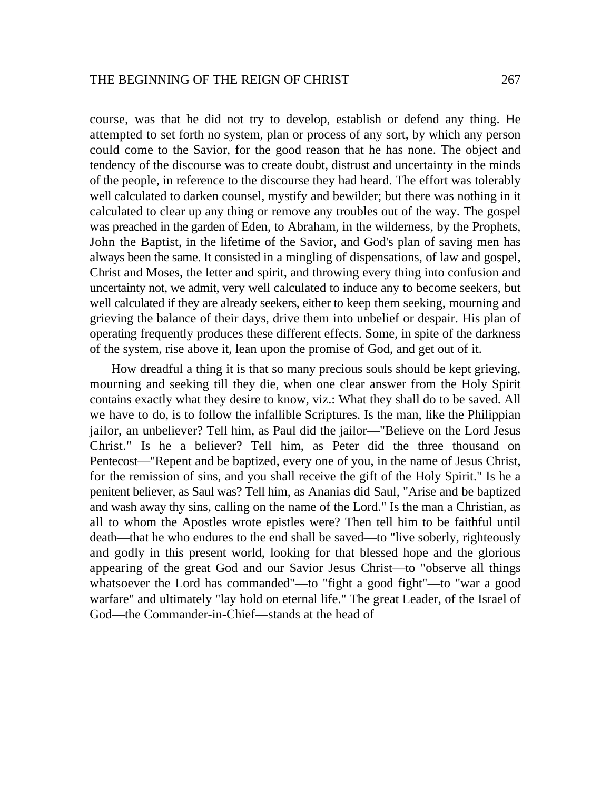course, was that he did not try to develop, establish or defend any thing. He attempted to set forth no system, plan or process of any sort, by which any person could come to the Savior, for the good reason that he has none. The object and tendency of the discourse was to create doubt, distrust and uncertainty in the minds of the people, in reference to the discourse they had heard. The effort was tolerably well calculated to darken counsel, mystify and bewilder; but there was nothing in it calculated to clear up any thing or remove any troubles out of the way. The gospel was preached in the garden of Eden, to Abraham, in the wilderness, by the Prophets, John the Baptist, in the lifetime of the Savior, and God's plan of saving men has always been the same. It consisted in a mingling of dispensations, of law and gospel, Christ and Moses, the letter and spirit, and throwing every thing into confusion and uncertainty not, we admit, very well calculated to induce any to become seekers, but well calculated if they are already seekers, either to keep them seeking, mourning and grieving the balance of their days, drive them into unbelief or despair. His plan of operating frequently produces these different effects. Some, in spite of the darkness of the system, rise above it, lean upon the promise of God, and get out of it.

How dreadful a thing it is that so many precious souls should be kept grieving, mourning and seeking till they die, when one clear answer from the Holy Spirit contains exactly what they desire to know, viz.: What they shall do to be saved. All we have to do, is to follow the infallible Scriptures. Is the man, like the Philippian jailor, an unbeliever? Tell him, as Paul did the jailor—"Believe on the Lord Jesus Christ." Is he a believer? Tell him, as Peter did the three thousand on Pentecost—"Repent and be baptized, every one of you, in the name of Jesus Christ, for the remission of sins, and you shall receive the gift of the Holy Spirit." Is he a penitent believer, as Saul was? Tell him, as Ananias did Saul, "Arise and be baptized and wash away thy sins, calling on the name of the Lord." Is the man a Christian, as all to whom the Apostles wrote epistles were? Then tell him to be faithful until death—that he who endures to the end shall be saved—to "live soberly, righteously and godly in this present world, looking for that blessed hope and the glorious appearing of the great God and our Savior Jesus Christ—to "observe all things whatsoever the Lord has commanded"—to "fight a good fight"—to "war a good warfare" and ultimately "lay hold on eternal life." The great Leader, of the Israel of God—the Commander-in-Chief—stands at the head of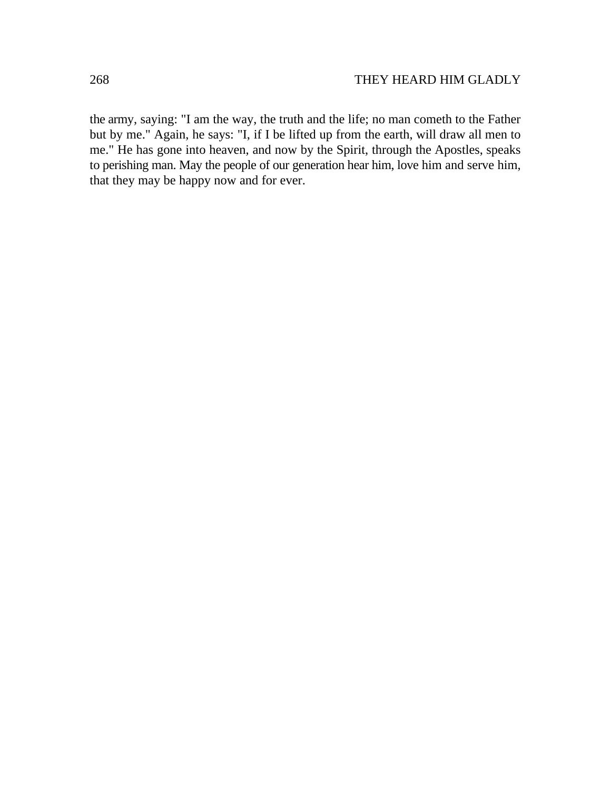the army, saying: "I am the way, the truth and the life; no man cometh to the Father but by me." Again, he says: "I, if I be lifted up from the earth, will draw all men to me." He has gone into heaven, and now by the Spirit, through the Apostles, speaks to perishing man. May the people of our generation hear him, love him and serve him, that they may be happy now and for ever.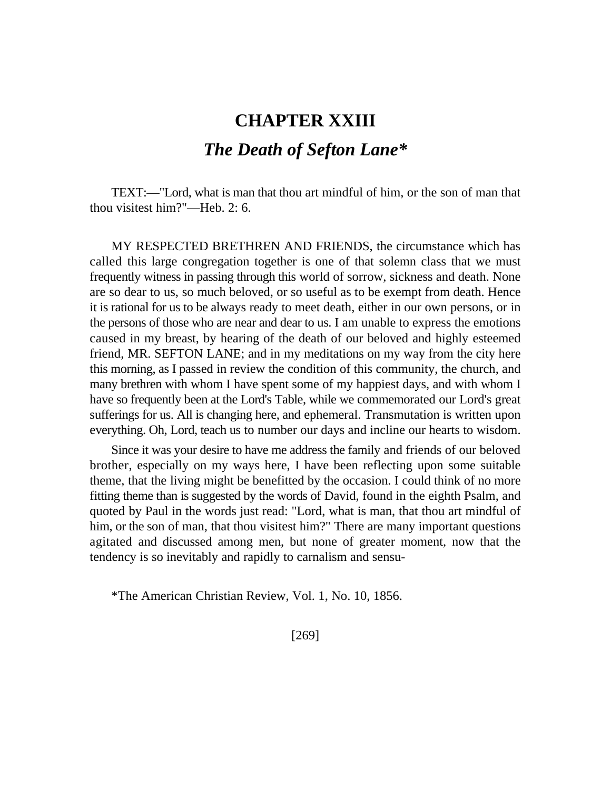# **CHAPTER XXIII** *The Death of Sefton Lane\**

TEXT:—"Lord, what is man that thou art mindful of him, or the son of man that thou visitest him?"—Heb. 2: 6.

MY RESPECTED BRETHREN AND FRIENDS, the circumstance which has called this large congregation together is one of that solemn class that we must frequently witness in passing through this world of sorrow, sickness and death. None are so dear to us, so much beloved, or so useful as to be exempt from death. Hence it is rational for us to be always ready to meet death, either in our own persons, or in the persons of those who are near and dear to us. I am unable to express the emotions caused in my breast, by hearing of the death of our beloved and highly esteemed friend, MR. SEFTON LANE; and in my meditations on my way from the city here this morning, as I passed in review the condition of this community, the church, and many brethren with whom I have spent some of my happiest days, and with whom I have so frequently been at the Lord's Table, while we commemorated our Lord's great sufferings for us. All is changing here, and ephemeral. Transmutation is written upon everything. Oh, Lord, teach us to number our days and incline our hearts to wisdom.

Since it was your desire to have me address the family and friends of our beloved brother, especially on my ways here, I have been reflecting upon some suitable theme, that the living might be benefitted by the occasion. I could think of no more fitting theme than is suggested by the words of David, found in the eighth Psalm, and quoted by Paul in the words just read: "Lord, what is man, that thou art mindful of him, or the son of man, that thou visitest him?" There are many important questions agitated and discussed among men, but none of greater moment, now that the tendency is so inevitably and rapidly to carnalism and sensu-

\*The American Christian Review, Vol. 1, No. 10, 1856.

[269]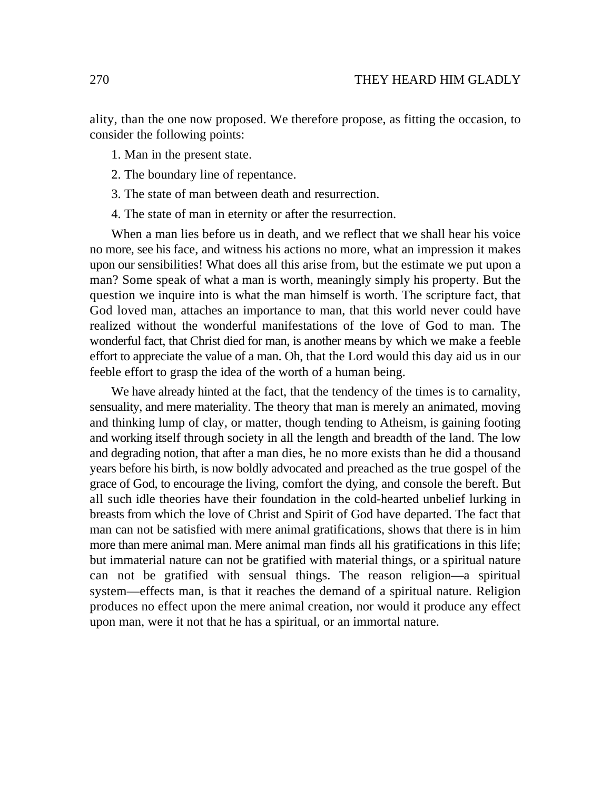ality, than the one now proposed. We therefore propose, as fitting the occasion, to consider the following points:

1. Man in the present state.

2. The boundary line of repentance.

3. The state of man between death and resurrection.

4. The state of man in eternity or after the resurrection.

When a man lies before us in death, and we reflect that we shall hear his voice no more, see his face, and witness his actions no more, what an impression it makes upon our sensibilities! What does all this arise from, but the estimate we put upon a man? Some speak of what a man is worth, meaningly simply his property. But the question we inquire into is what the man himself is worth. The scripture fact, that God loved man, attaches an importance to man, that this world never could have realized without the wonderful manifestations of the love of God to man. The wonderful fact, that Christ died for man, is another means by which we make a feeble effort to appreciate the value of a man. Oh, that the Lord would this day aid us in our feeble effort to grasp the idea of the worth of a human being.

We have already hinted at the fact, that the tendency of the times is to carnality, sensuality, and mere materiality. The theory that man is merely an animated, moving and thinking lump of clay, or matter, though tending to Atheism, is gaining footing and working itself through society in all the length and breadth of the land. The low and degrading notion, that after a man dies, he no more exists than he did a thousand years before his birth, is now boldly advocated and preached as the true gospel of the grace of God, to encourage the living, comfort the dying, and console the bereft. But all such idle theories have their foundation in the cold-hearted unbelief lurking in breasts from which the love of Christ and Spirit of God have departed. The fact that man can not be satisfied with mere animal gratifications, shows that there is in him more than mere animal man. Mere animal man finds all his gratifications in this life; but immaterial nature can not be gratified with material things, or a spiritual nature can not be gratified with sensual things. The reason religion—a spiritual system—effects man, is that it reaches the demand of a spiritual nature. Religion produces no effect upon the mere animal creation, nor would it produce any effect upon man, were it not that he has a spiritual, or an immortal nature.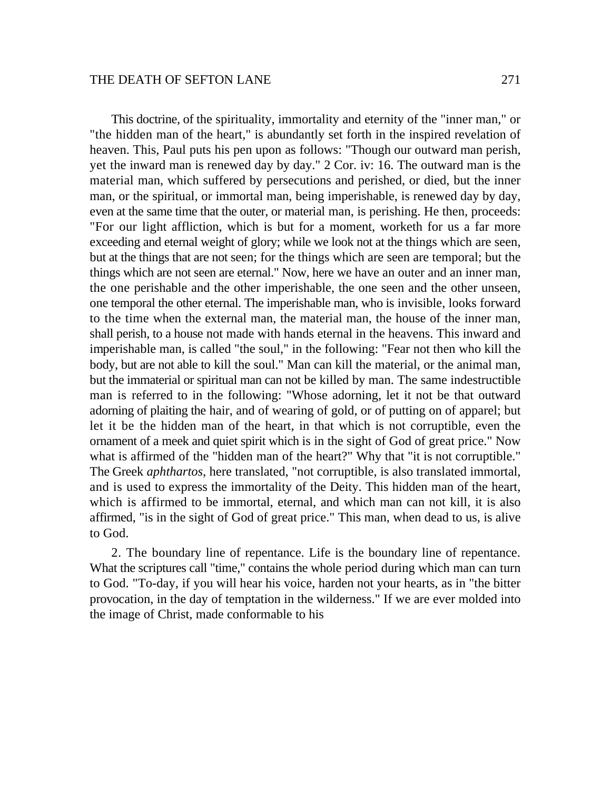This doctrine, of the spirituality, immortality and eternity of the "inner man," or "the hidden man of the heart," is abundantly set forth in the inspired revelation of heaven. This, Paul puts his pen upon as follows: "Though our outward man perish, yet the inward man is renewed day by day." 2 Cor. iv: 16. The outward man is the material man, which suffered by persecutions and perished, or died, but the inner man, or the spiritual, or immortal man, being imperishable, is renewed day by day, even at the same time that the outer, or material man, is perishing. He then, proceeds: "For our light affliction, which is but for a moment, worketh for us a far more exceeding and eternal weight of glory; while we look not at the things which are seen, but at the things that are not seen; for the things which are seen are temporal; but the things which are not seen are eternal." Now, here we have an outer and an inner man, the one perishable and the other imperishable, the one seen and the other unseen, one temporal the other eternal. The imperishable man, who is invisible, looks forward to the time when the external man, the material man, the house of the inner man, shall perish, to a house not made with hands eternal in the heavens. This inward and imperishable man, is called "the soul," in the following: "Fear not then who kill the body, but are not able to kill the soul." Man can kill the material, or the animal man, but the immaterial or spiritual man can not be killed by man. The same indestructible man is referred to in the following: "Whose adorning, let it not be that outward adorning of plaiting the hair, and of wearing of gold, or of putting on of apparel; but let it be the hidden man of the heart, in that which is not corruptible, even the ornament of a meek and quiet spirit which is in the sight of God of great price." Now what is affirmed of the "hidden man of the heart?" Why that "it is not corruptible." The Greek *aphthartos,* here translated, "not corruptible, is also translated immortal, and is used to express the immortality of the Deity. This hidden man of the heart, which is affirmed to be immortal, eternal, and which man can not kill, it is also affirmed, "is in the sight of God of great price." This man, when dead to us, is alive to God.

2. The boundary line of repentance. Life is the boundary line of repentance. What the scriptures call "time," contains the whole period during which man can turn to God. "To-day, if you will hear his voice, harden not your hearts, as in "the bitter provocation, in the day of temptation in the wilderness." If we are ever molded into the image of Christ, made conformable to his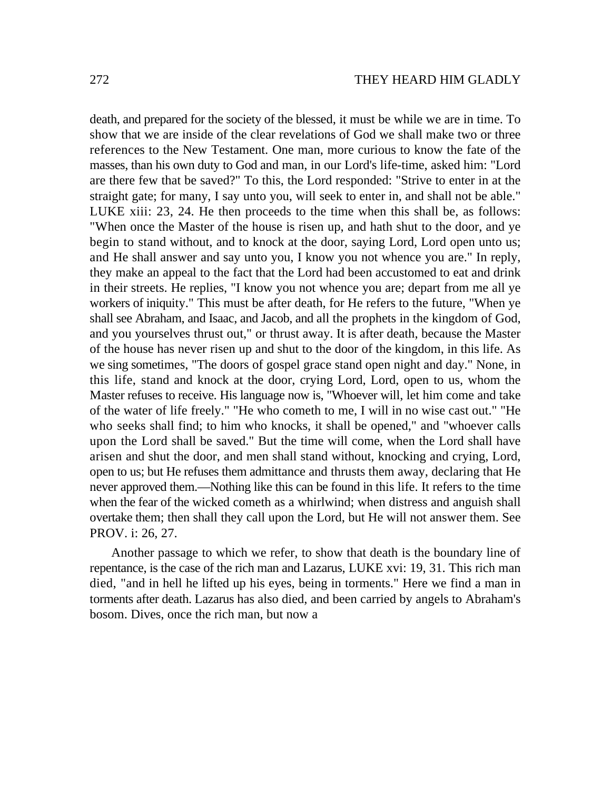death, and prepared for the society of the blessed, it must be while we are in time. To show that we are inside of the clear revelations of God we shall make two or three references to the New Testament. One man, more curious to know the fate of the masses, than his own duty to God and man, in our Lord's life-time, asked him: "Lord are there few that be saved?" To this, the Lord responded: "Strive to enter in at the straight gate; for many, I say unto you, will seek to enter in, and shall not be able." LUKE xiii: 23, 24. He then proceeds to the time when this shall be, as follows: "When once the Master of the house is risen up, and hath shut to the door, and ye begin to stand without, and to knock at the door, saying Lord, Lord open unto us; and He shall answer and say unto you, I know you not whence you are." In reply, they make an appeal to the fact that the Lord had been accustomed to eat and drink in their streets. He replies, "I know you not whence you are; depart from me all ye workers of iniquity." This must be after death, for He refers to the future, "When ye shall see Abraham, and Isaac, and Jacob, and all the prophets in the kingdom of God, and you yourselves thrust out," or thrust away. It is after death, because the Master of the house has never risen up and shut to the door of the kingdom, in this life. As we sing sometimes, "The doors of gospel grace stand open night and day." None, in this life, stand and knock at the door, crying Lord, Lord, open to us, whom the Master refuses to receive. His language now is, "Whoever will, let him come and take of the water of life freely." "He who cometh to me, I will in no wise cast out." "He who seeks shall find; to him who knocks, it shall be opened," and "whoever calls upon the Lord shall be saved." But the time will come, when the Lord shall have arisen and shut the door, and men shall stand without, knocking and crying, Lord, open to us; but He refuses them admittance and thrusts them away, declaring that He never approved them.—Nothing like this can be found in this life. It refers to the time when the fear of the wicked cometh as a whirlwind; when distress and anguish shall overtake them; then shall they call upon the Lord, but He will not answer them. See PROV. i: 26, 27.

Another passage to which we refer, to show that death is the boundary line of repentance, is the case of the rich man and Lazarus, LUKE xvi: 19, 31. This rich man died, "and in hell he lifted up his eyes, being in torments." Here we find a man in torments after death. Lazarus has also died, and been carried by angels to Abraham's bosom. Dives, once the rich man, but now a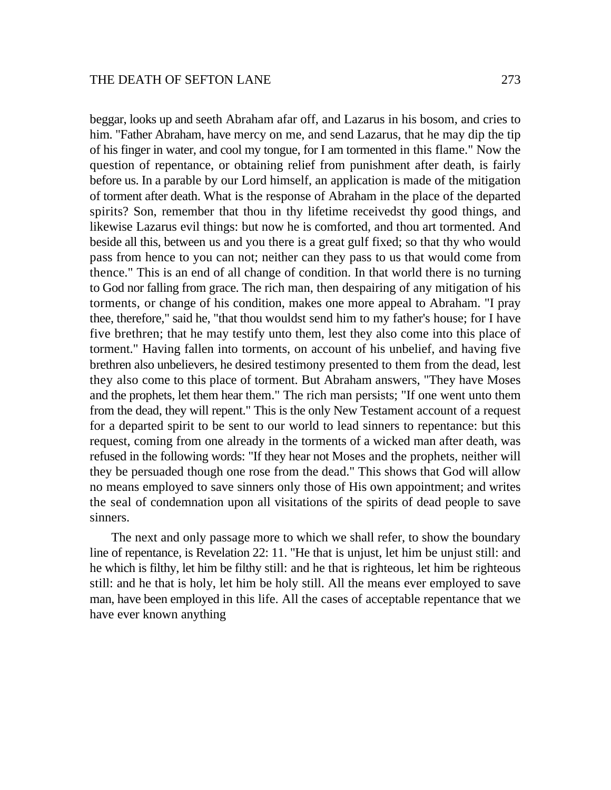beggar, looks up and seeth Abraham afar off, and Lazarus in his bosom, and cries to him. "Father Abraham, have mercy on me, and send Lazarus, that he may dip the tip of his finger in water, and cool my tongue, for I am tormented in this flame." Now the question of repentance, or obtaining relief from punishment after death, is fairly before us. In a parable by our Lord himself, an application is made of the mitigation of torment after death. What is the response of Abraham in the place of the departed spirits? Son, remember that thou in thy lifetime receivedst thy good things, and likewise Lazarus evil things: but now he is comforted, and thou art tormented. And beside all this, between us and you there is a great gulf fixed; so that thy who would pass from hence to you can not; neither can they pass to us that would come from thence." This is an end of all change of condition. In that world there is no turning to God nor falling from grace. The rich man, then despairing of any mitigation of his torments, or change of his condition, makes one more appeal to Abraham. "I pray thee, therefore," said he, "that thou wouldst send him to my father's house; for I have five brethren; that he may testify unto them, lest they also come into this place of torment." Having fallen into torments, on account of his unbelief, and having five brethren also unbelievers, he desired testimony presented to them from the dead, lest they also come to this place of torment. But Abraham answers, "They have Moses and the prophets, let them hear them." The rich man persists; "If one went unto them from the dead, they will repent." This is the only New Testament account of a request for a departed spirit to be sent to our world to lead sinners to repentance: but this request, coming from one already in the torments of a wicked man after death, was refused in the following words: "If they hear not Moses and the prophets, neither will they be persuaded though one rose from the dead." This shows that God will allow no means employed to save sinners only those of His own appointment; and writes the seal of condemnation upon all visitations of the spirits of dead people to save sinners.

The next and only passage more to which we shall refer, to show the boundary line of repentance, is Revelation 22: 11. "He that is unjust, let him be unjust still: and he which is filthy, let him be filthy still: and he that is righteous, let him be righteous still: and he that is holy, let him be holy still. All the means ever employed to save man, have been employed in this life. All the cases of acceptable repentance that we have ever known anything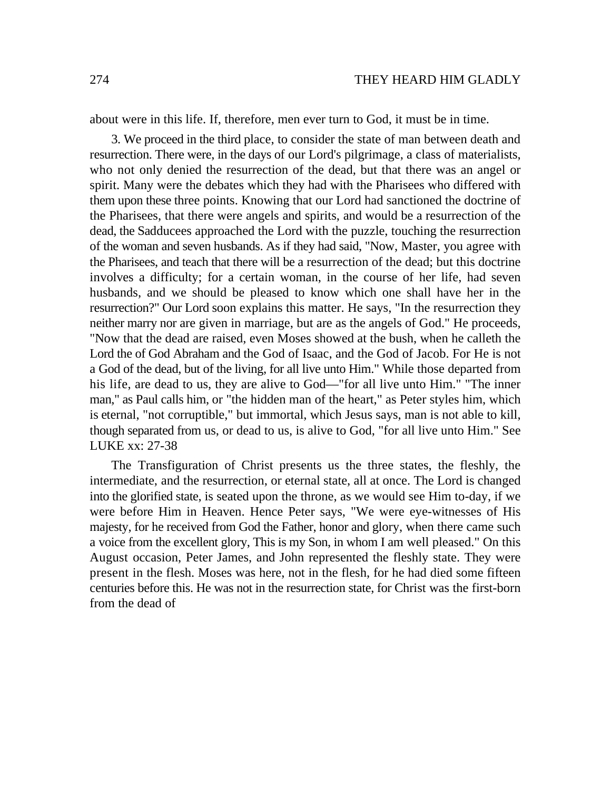about were in this life. If, therefore, men ever turn to God, it must be in time.

3. We proceed in the third place, to consider the state of man between death and resurrection. There were, in the days of our Lord's pilgrimage, a class of materialists, who not only denied the resurrection of the dead, but that there was an angel or spirit. Many were the debates which they had with the Pharisees who differed with them upon these three points. Knowing that our Lord had sanctioned the doctrine of the Pharisees, that there were angels and spirits, and would be a resurrection of the dead, the Sadducees approached the Lord with the puzzle, touching the resurrection of the woman and seven husbands. As if they had said, "Now, Master, you agree with the Pharisees, and teach that there will be a resurrection of the dead; but this doctrine involves a difficulty; for a certain woman, in the course of her life, had seven husbands, and we should be pleased to know which one shall have her in the resurrection?" Our Lord soon explains this matter. He says, "In the resurrection they neither marry nor are given in marriage, but are as the angels of God." He proceeds, "Now that the dead are raised, even Moses showed at the bush, when he calleth the Lord the of God Abraham and the God of Isaac, and the God of Jacob. For He is not a God of the dead, but of the living, for all live unto Him." While those departed from his life, are dead to us, they are alive to God—"for all live unto Him." "The inner man," as Paul calls him, or "the hidden man of the heart," as Peter styles him, which is eternal, "not corruptible," but immortal, which Jesus says, man is not able to kill, though separated from us, or dead to us, is alive to God, "for all live unto Him." See LUKE xx: 27-38

The Transfiguration of Christ presents us the three states, the fleshly, the intermediate, and the resurrection, or eternal state, all at once. The Lord is changed into the glorified state, is seated upon the throne, as we would see Him to-day, if we were before Him in Heaven. Hence Peter says, "We were eye-witnesses of His majesty, for he received from God the Father, honor and glory, when there came such a voice from the excellent glory, This is my Son, in whom I am well pleased." On this August occasion, Peter James, and John represented the fleshly state. They were present in the flesh. Moses was here, not in the flesh, for he had died some fifteen centuries before this. He was not in the resurrection state, for Christ was the first-born from the dead of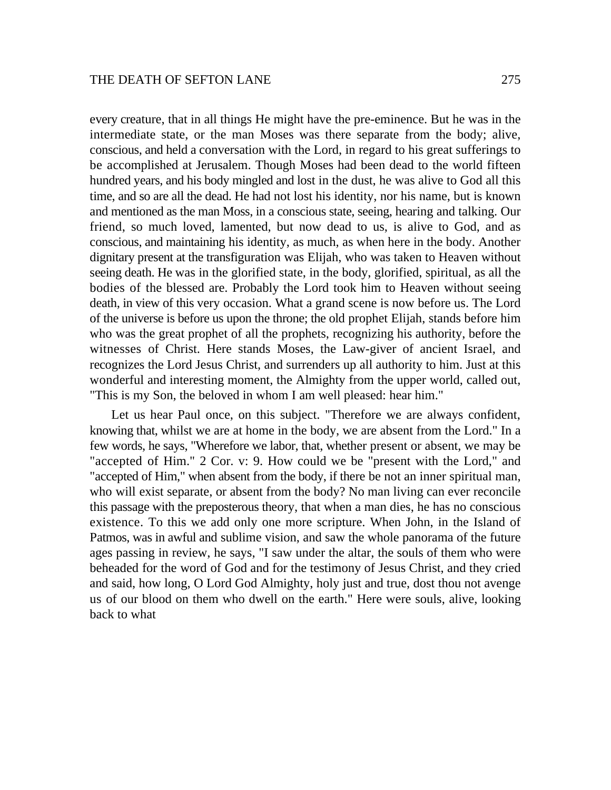every creature, that in all things He might have the pre-eminence. But he was in the intermediate state, or the man Moses was there separate from the body; alive, conscious, and held a conversation with the Lord, in regard to his great sufferings to be accomplished at Jerusalem. Though Moses had been dead to the world fifteen hundred years, and his body mingled and lost in the dust, he was alive to God all this time, and so are all the dead. He had not lost his identity, nor his name, but is known and mentioned as the man Moss, in a conscious state, seeing, hearing and talking. Our friend, so much loved, lamented, but now dead to us, is alive to God, and as conscious, and maintaining his identity, as much, as when here in the body. Another dignitary present at the transfiguration was Elijah, who was taken to Heaven without seeing death. He was in the glorified state, in the body, glorified, spiritual, as all the bodies of the blessed are. Probably the Lord took him to Heaven without seeing death, in view of this very occasion. What a grand scene is now before us. The Lord of the universe is before us upon the throne; the old prophet Elijah, stands before him who was the great prophet of all the prophets, recognizing his authority, before the witnesses of Christ. Here stands Moses, the Law-giver of ancient Israel, and recognizes the Lord Jesus Christ, and surrenders up all authority to him. Just at this wonderful and interesting moment, the Almighty from the upper world, called out, "This is my Son, the beloved in whom I am well pleased: hear him."

Let us hear Paul once, on this subject. "Therefore we are always confident, knowing that, whilst we are at home in the body, we are absent from the Lord." In a few words, he says, "Wherefore we labor, that, whether present or absent, we may be "accepted of Him." 2 Cor. v: 9. How could we be "present with the Lord," and "accepted of Him," when absent from the body, if there be not an inner spiritual man, who will exist separate, or absent from the body? No man living can ever reconcile this passage with the preposterous theory, that when a man dies, he has no conscious existence. To this we add only one more scripture. When John, in the Island of Patmos, was in awful and sublime vision, and saw the whole panorama of the future ages passing in review, he says, "I saw under the altar, the souls of them who were beheaded for the word of God and for the testimony of Jesus Christ, and they cried and said, how long, O Lord God Almighty, holy just and true, dost thou not avenge us of our blood on them who dwell on the earth." Here were souls, alive, looking back to what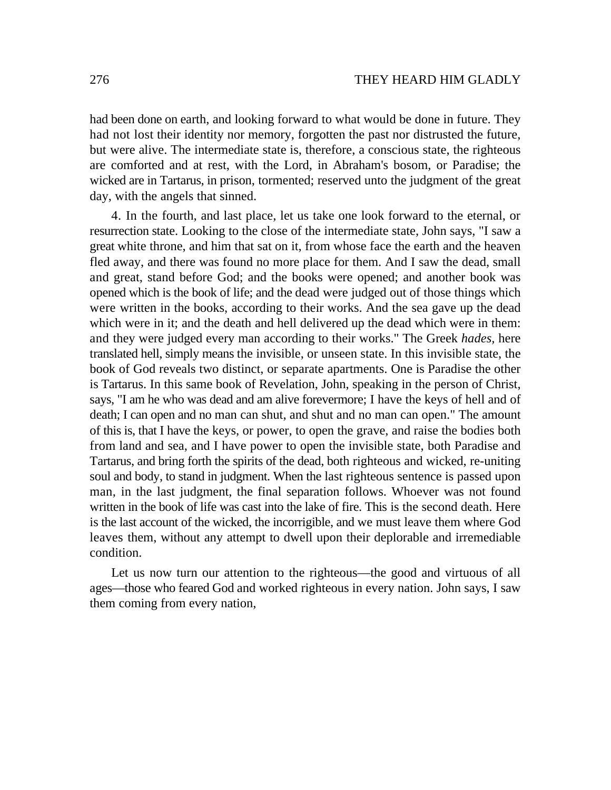had been done on earth, and looking forward to what would be done in future. They had not lost their identity nor memory, forgotten the past nor distrusted the future, but were alive. The intermediate state is, therefore, a conscious state, the righteous are comforted and at rest, with the Lord, in Abraham's bosom, or Paradise; the wicked are in Tartarus, in prison, tormented; reserved unto the judgment of the great day, with the angels that sinned.

4. In the fourth, and last place, let us take one look forward to the eternal, or resurrection state. Looking to the close of the intermediate state, John says, "I saw a great white throne, and him that sat on it, from whose face the earth and the heaven fled away, and there was found no more place for them. And I saw the dead, small and great, stand before God; and the books were opened; and another book was opened which is the book of life; and the dead were judged out of those things which were written in the books, according to their works. And the sea gave up the dead which were in it; and the death and hell delivered up the dead which were in them: and they were judged every man according to their works." The Greek *hades,* here translated hell, simply means the invisible, or unseen state. In this invisible state, the book of God reveals two distinct, or separate apartments. One is Paradise the other is Tartarus. In this same book of Revelation, John, speaking in the person of Christ, says, "I am he who was dead and am alive forevermore; I have the keys of hell and of death; I can open and no man can shut, and shut and no man can open." The amount of this is, that I have the keys, or power, to open the grave, and raise the bodies both from land and sea, and I have power to open the invisible state, both Paradise and Tartarus, and bring forth the spirits of the dead, both righteous and wicked, re-uniting soul and body, to stand in judgment. When the last righteous sentence is passed upon man, in the last judgment, the final separation follows. Whoever was not found written in the book of life was cast into the lake of fire. This is the second death. Here is the last account of the wicked, the incorrigible, and we must leave them where God leaves them, without any attempt to dwell upon their deplorable and irremediable condition.

Let us now turn our attention to the righteous—the good and virtuous of all ages—those who feared God and worked righteous in every nation. John says, I saw them coming from every nation,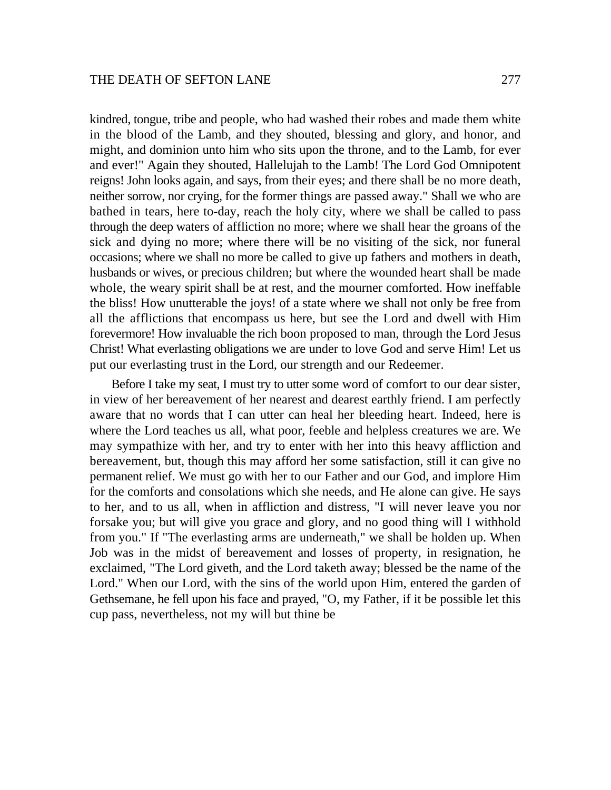kindred, tongue, tribe and people, who had washed their robes and made them white in the blood of the Lamb, and they shouted, blessing and glory, and honor, and might, and dominion unto him who sits upon the throne, and to the Lamb, for ever and ever!" Again they shouted, Hallelujah to the Lamb! The Lord God Omnipotent reigns! John looks again, and says, from their eyes; and there shall be no more death, neither sorrow, nor crying, for the former things are passed away." Shall we who are bathed in tears, here to-day, reach the holy city, where we shall be called to pass through the deep waters of affliction no more; where we shall hear the groans of the sick and dying no more; where there will be no visiting of the sick, nor funeral occasions; where we shall no more be called to give up fathers and mothers in death, husbands or wives, or precious children; but where the wounded heart shall be made whole, the weary spirit shall be at rest, and the mourner comforted. How ineffable the bliss! How unutterable the joys! of a state where we shall not only be free from all the afflictions that encompass us here, but see the Lord and dwell with Him forevermore! How invaluable the rich boon proposed to man, through the Lord Jesus Christ! What everlasting obligations we are under to love God and serve Him! Let us put our everlasting trust in the Lord, our strength and our Redeemer.

Before I take my seat, I must try to utter some word of comfort to our dear sister, in view of her bereavement of her nearest and dearest earthly friend. I am perfectly aware that no words that I can utter can heal her bleeding heart. Indeed, here is where the Lord teaches us all, what poor, feeble and helpless creatures we are. We may sympathize with her, and try to enter with her into this heavy affliction and bereavement, but, though this may afford her some satisfaction, still it can give no permanent relief. We must go with her to our Father and our God, and implore Him for the comforts and consolations which she needs, and He alone can give. He says to her, and to us all, when in affliction and distress, "I will never leave you nor forsake you; but will give you grace and glory, and no good thing will I withhold from you." If "The everlasting arms are underneath," we shall be holden up. When Job was in the midst of bereavement and losses of property, in resignation, he exclaimed, "The Lord giveth, and the Lord taketh away; blessed be the name of the Lord." When our Lord, with the sins of the world upon Him, entered the garden of Gethsemane, he fell upon his face and prayed, "O, my Father, if it be possible let this cup pass, nevertheless, not my will but thine be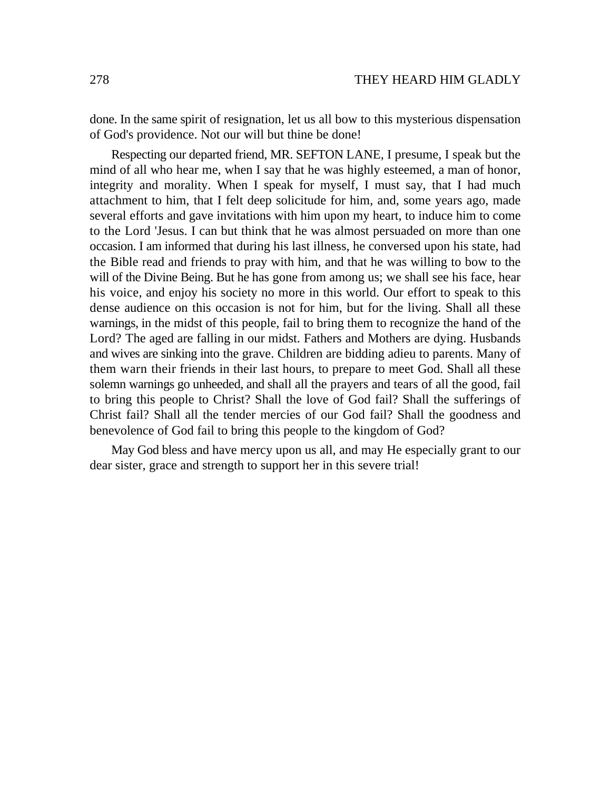done. In the same spirit of resignation, let us all bow to this mysterious dispensation of God's providence. Not our will but thine be done!

Respecting our departed friend, MR. SEFTON LANE, I presume, I speak but the mind of all who hear me, when I say that he was highly esteemed, a man of honor, integrity and morality. When I speak for myself, I must say, that I had much attachment to him, that I felt deep solicitude for him, and, some years ago, made several efforts and gave invitations with him upon my heart, to induce him to come to the Lord 'Jesus. I can but think that he was almost persuaded on more than one occasion. I am informed that during his last illness, he conversed upon his state, had the Bible read and friends to pray with him, and that he was willing to bow to the will of the Divine Being. But he has gone from among us; we shall see his face, hear his voice, and enjoy his society no more in this world. Our effort to speak to this dense audience on this occasion is not for him, but for the living. Shall all these warnings, in the midst of this people, fail to bring them to recognize the hand of the Lord? The aged are falling in our midst. Fathers and Mothers are dying. Husbands and wives are sinking into the grave. Children are bidding adieu to parents. Many of them warn their friends in their last hours, to prepare to meet God. Shall all these solemn warnings go unheeded, and shall all the prayers and tears of all the good, fail to bring this people to Christ? Shall the love of God fail? Shall the sufferings of Christ fail? Shall all the tender mercies of our God fail? Shall the goodness and benevolence of God fail to bring this people to the kingdom of God?

May God bless and have mercy upon us all, and may He especially grant to our dear sister, grace and strength to support her in this severe trial!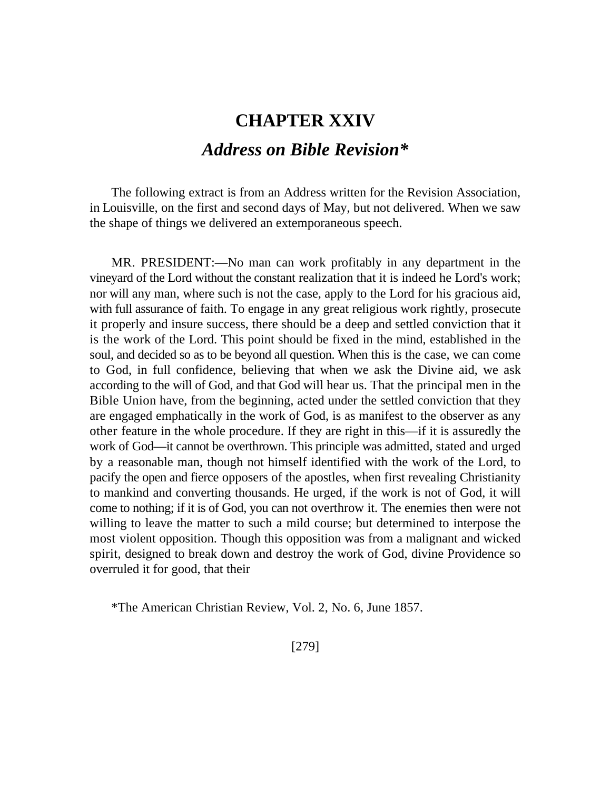# **CHAPTER XXIV** *Address on Bible Revision\**

The following extract is from an Address written for the Revision Association, in Louisville, on the first and second days of May, but not delivered. When we saw the shape of things we delivered an extemporaneous speech.

MR. PRESIDENT:—No man can work profitably in any department in the vineyard of the Lord without the constant realization that it is indeed he Lord's work; nor will any man, where such is not the case, apply to the Lord for his gracious aid, with full assurance of faith. To engage in any great religious work rightly, prosecute it properly and insure success, there should be a deep and settled conviction that it is the work of the Lord. This point should be fixed in the mind, established in the soul, and decided so as to be beyond all question. When this is the case, we can come to God, in full confidence, believing that when we ask the Divine aid, we ask according to the will of God, and that God will hear us. That the principal men in the Bible Union have, from the beginning, acted under the settled conviction that they are engaged emphatically in the work of God, is as manifest to the observer as any other feature in the whole procedure. If they are right in this—if it is assuredly the work of God—it cannot be overthrown. This principle was admitted, stated and urged by a reasonable man, though not himself identified with the work of the Lord, to pacify the open and fierce opposers of the apostles, when first revealing Christianity to mankind and converting thousands. He urged, if the work is not of God, it will come to nothing; if it is of God, you can not overthrow it. The enemies then were not willing to leave the matter to such a mild course; but determined to interpose the most violent opposition. Though this opposition was from a malignant and wicked spirit, designed to break down and destroy the work of God, divine Providence so overruled it for good, that their

\*The American Christian Review, Vol. 2, No. 6, June 1857.

[279]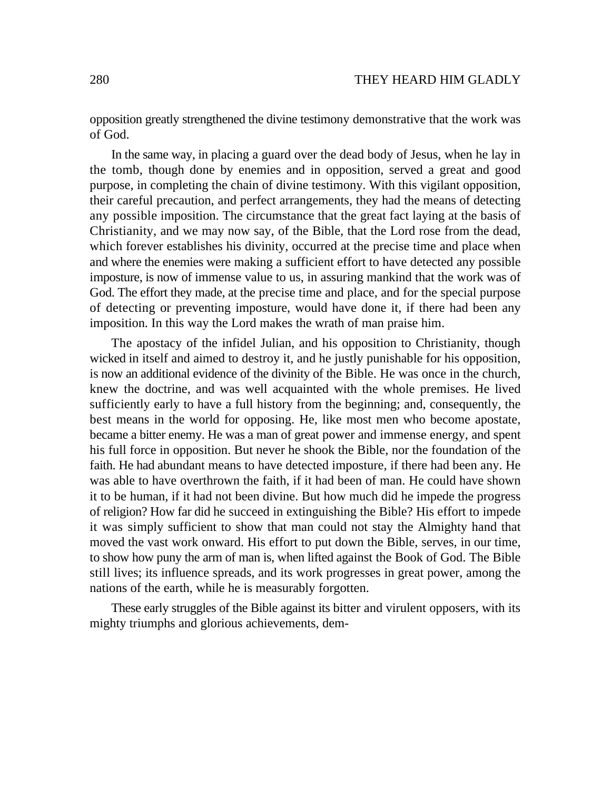opposition greatly strengthened the divine testimony demonstrative that the work was of God.

In the same way, in placing a guard over the dead body of Jesus, when he lay in the tomb, though done by enemies and in opposition, served a great and good purpose, in completing the chain of divine testimony. With this vigilant opposition, their careful precaution, and perfect arrangements, they had the means of detecting any possible imposition. The circumstance that the great fact laying at the basis of Christianity, and we may now say, of the Bible, that the Lord rose from the dead, which forever establishes his divinity, occurred at the precise time and place when and where the enemies were making a sufficient effort to have detected any possible imposture, is now of immense value to us, in assuring mankind that the work was of God. The effort they made, at the precise time and place, and for the special purpose of detecting or preventing imposture, would have done it, if there had been any imposition. In this way the Lord makes the wrath of man praise him.

The apostacy of the infidel Julian, and his opposition to Christianity, though wicked in itself and aimed to destroy it, and he justly punishable for his opposition, is now an additional evidence of the divinity of the Bible. He was once in the church, knew the doctrine, and was well acquainted with the whole premises. He lived sufficiently early to have a full history from the beginning; and, consequently, the best means in the world for opposing. He, like most men who become apostate, became a bitter enemy. He was a man of great power and immense energy, and spent his full force in opposition. But never he shook the Bible, nor the foundation of the faith. He had abundant means to have detected imposture, if there had been any. He was able to have overthrown the faith, if it had been of man. He could have shown it to be human, if it had not been divine. But how much did he impede the progress of religion? How far did he succeed in extinguishing the Bible? His effort to impede it was simply sufficient to show that man could not stay the Almighty hand that moved the vast work onward. His effort to put down the Bible, serves, in our time, to show how puny the arm of man is, when lifted against the Book of God. The Bible still lives; its influence spreads, and its work progresses in great power, among the nations of the earth, while he is measurably forgotten.

These early struggles of the Bible against its bitter and virulent opposers, with its mighty triumphs and glorious achievements, dem-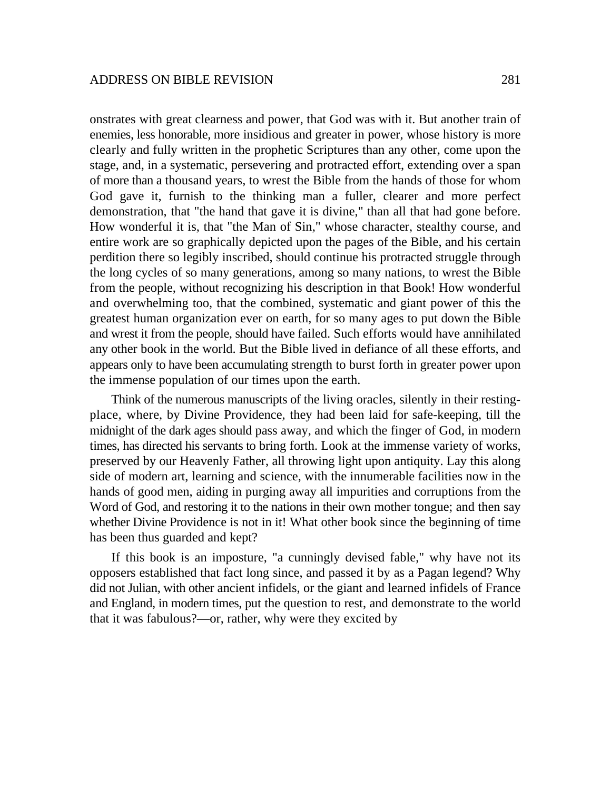onstrates with great clearness and power, that God was with it. But another train of enemies, less honorable, more insidious and greater in power, whose history is more clearly and fully written in the prophetic Scriptures than any other, come upon the stage, and, in a systematic, persevering and protracted effort, extending over a span of more than a thousand years, to wrest the Bible from the hands of those for whom God gave it, furnish to the thinking man a fuller, clearer and more perfect demonstration, that "the hand that gave it is divine," than all that had gone before. How wonderful it is, that "the Man of Sin," whose character, stealthy course, and entire work are so graphically depicted upon the pages of the Bible, and his certain perdition there so legibly inscribed, should continue his protracted struggle through the long cycles of so many generations, among so many nations, to wrest the Bible from the people, without recognizing his description in that Book! How wonderful and overwhelming too, that the combined, systematic and giant power of this the greatest human organization ever on earth, for so many ages to put down the Bible and wrest it from the people, should have failed. Such efforts would have annihilated any other book in the world. But the Bible lived in defiance of all these efforts, and appears only to have been accumulating strength to burst forth in greater power upon the immense population of our times upon the earth.

Think of the numerous manuscripts of the living oracles, silently in their restingplace, where, by Divine Providence, they had been laid for safe-keeping, till the midnight of the dark ages should pass away, and which the finger of God, in modern times, has directed his servants to bring forth. Look at the immense variety of works, preserved by our Heavenly Father, all throwing light upon antiquity. Lay this along side of modern art, learning and science, with the innumerable facilities now in the hands of good men, aiding in purging away all impurities and corruptions from the Word of God, and restoring it to the nations in their own mother tongue; and then say whether Divine Providence is not in it! What other book since the beginning of time has been thus guarded and kept?

If this book is an imposture, "a cunningly devised fable," why have not its opposers established that fact long since, and passed it by as a Pagan legend? Why did not Julian, with other ancient infidels, or the giant and learned infidels of France and England, in modern times, put the question to rest, and demonstrate to the world that it was fabulous?—or, rather, why were they excited by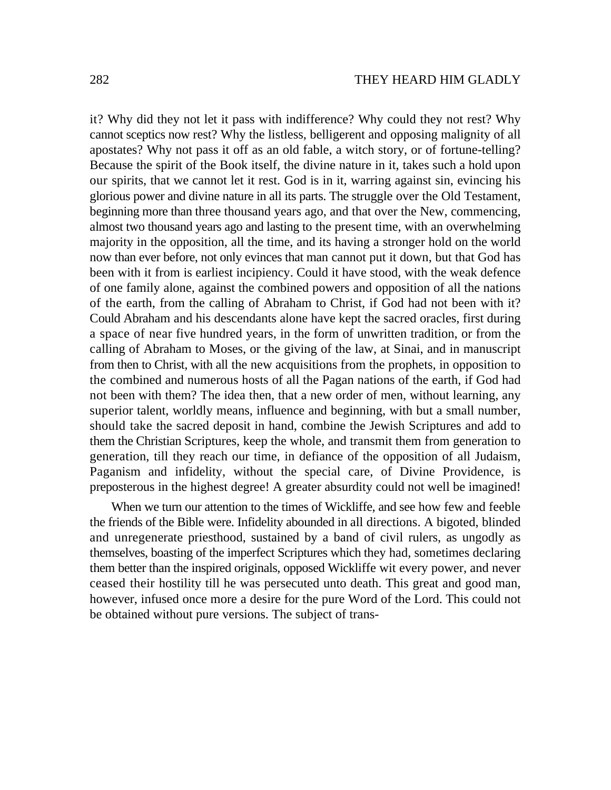it? Why did they not let it pass with indifference? Why could they not rest? Why cannot sceptics now rest? Why the listless, belligerent and opposing malignity of all apostates? Why not pass it off as an old fable, a witch story, or of fortune-telling? Because the spirit of the Book itself, the divine nature in it, takes such a hold upon our spirits, that we cannot let it rest. God is in it, warring against sin, evincing his glorious power and divine nature in all its parts. The struggle over the Old Testament, beginning more than three thousand years ago, and that over the New, commencing, almost two thousand years ago and lasting to the present time, with an overwhelming majority in the opposition, all the time, and its having a stronger hold on the world now than ever before, not only evinces that man cannot put it down, but that God has been with it from is earliest incipiency. Could it have stood, with the weak defence of one family alone, against the combined powers and opposition of all the nations of the earth, from the calling of Abraham to Christ, if God had not been with it? Could Abraham and his descendants alone have kept the sacred oracles, first during a space of near five hundred years, in the form of unwritten tradition, or from the calling of Abraham to Moses, or the giving of the law, at Sinai, and in manuscript from then to Christ, with all the new acquisitions from the prophets, in opposition to the combined and numerous hosts of all the Pagan nations of the earth, if God had not been with them? The idea then, that a new order of men, without learning, any superior talent, worldly means, influence and beginning, with but a small number, should take the sacred deposit in hand, combine the Jewish Scriptures and add to them the Christian Scriptures, keep the whole, and transmit them from generation to generation, till they reach our time, in defiance of the opposition of all Judaism, Paganism and infidelity, without the special care, of Divine Providence, is preposterous in the highest degree! A greater absurdity could not well be imagined!

When we turn our attention to the times of Wickliffe, and see how few and feeble the friends of the Bible were. Infidelity abounded in all directions. A bigoted, blinded and unregenerate priesthood, sustained by a band of civil rulers, as ungodly as themselves, boasting of the imperfect Scriptures which they had, sometimes declaring them better than the inspired originals, opposed Wickliffe wit every power, and never ceased their hostility till he was persecuted unto death. This great and good man, however, infused once more a desire for the pure Word of the Lord. This could not be obtained without pure versions. The subject of trans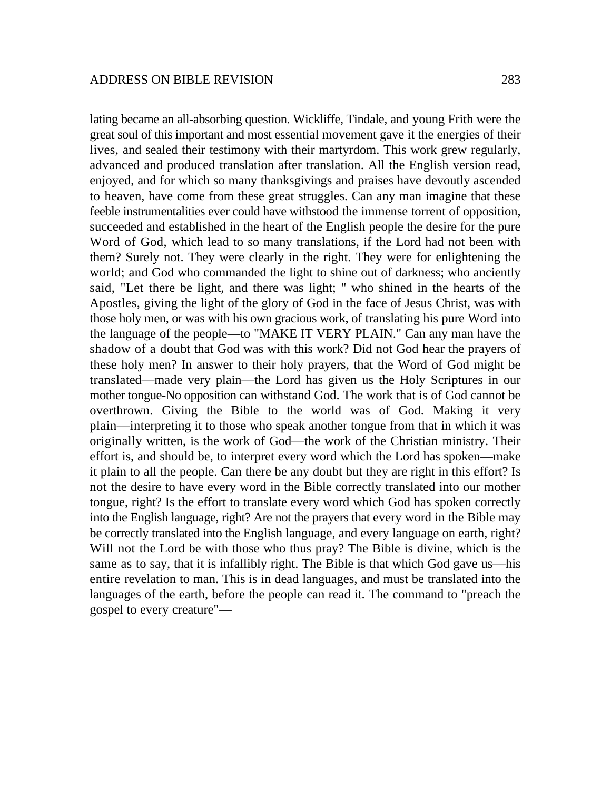lating became an all-absorbing question. Wickliffe, Tindale, and young Frith were the great soul of this important and most essential movement gave it the energies of their lives, and sealed their testimony with their martyrdom. This work grew regularly, advanced and produced translation after translation. All the English version read, enjoyed, and for which so many thanksgivings and praises have devoutly ascended to heaven, have come from these great struggles. Can any man imagine that these feeble instrumentalities ever could have withstood the immense torrent of opposition, succeeded and established in the heart of the English people the desire for the pure Word of God, which lead to so many translations, if the Lord had not been with them? Surely not. They were clearly in the right. They were for enlightening the world; and God who commanded the light to shine out of darkness; who anciently said, "Let there be light, and there was light; " who shined in the hearts of the Apostles, giving the light of the glory of God in the face of Jesus Christ, was with those holy men, or was with his own gracious work, of translating his pure Word into the language of the people—to "MAKE IT VERY PLAIN." Can any man have the shadow of a doubt that God was with this work? Did not God hear the prayers of these holy men? In answer to their holy prayers, that the Word of God might be translated—made very plain—the Lord has given us the Holy Scriptures in our mother tongue-No opposition can withstand God. The work that is of God cannot be overthrown. Giving the Bible to the world was of God. Making it very plain—interpreting it to those who speak another tongue from that in which it was originally written, is the work of God—the work of the Christian ministry. Their

effort is, and should be, to interpret every word which the Lord has spoken—make it plain to all the people. Can there be any doubt but they are right in this effort? Is not the desire to have every word in the Bible correctly translated into our mother tongue, right? Is the effort to translate every word which God has spoken correctly into the English language, right? Are not the prayers that every word in the Bible may be correctly translated into the English language, and every language on earth, right? Will not the Lord be with those who thus pray? The Bible is divine, which is the same as to say, that it is infallibly right. The Bible is that which God gave us—his entire revelation to man. This is in dead languages, and must be translated into the languages of the earth, before the people can read it. The command to "preach the gospel to every creature"—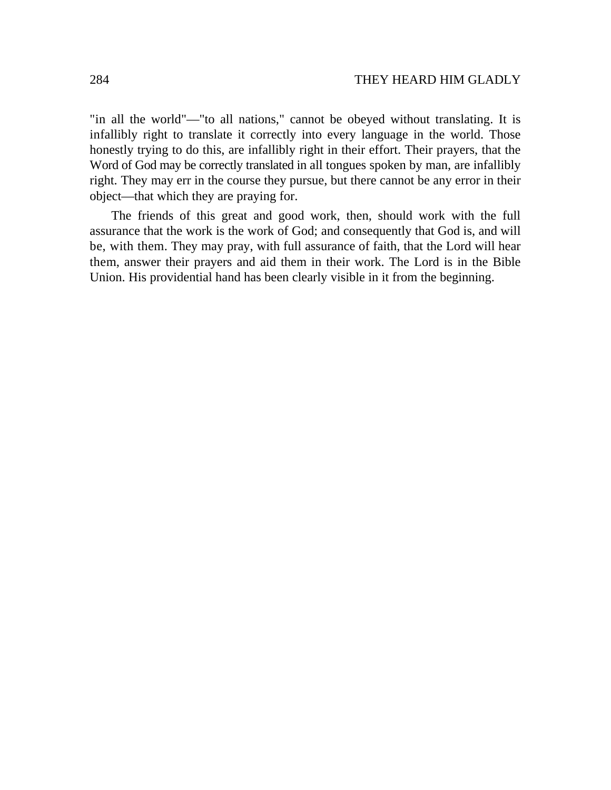"in all the world"—"to all nations," cannot be obeyed without translating. It is infallibly right to translate it correctly into every language in the world. Those honestly trying to do this, are infallibly right in their effort. Their prayers, that the Word of God may be correctly translated in all tongues spoken by man, are infallibly right. They may err in the course they pursue, but there cannot be any error in their object—that which they are praying for.

The friends of this great and good work, then, should work with the full assurance that the work is the work of God; and consequently that God is, and will be, with them. They may pray, with full assurance of faith, that the Lord will hear them, answer their prayers and aid them in their work. The Lord is in the Bible Union. His providential hand has been clearly visible in it from the beginning.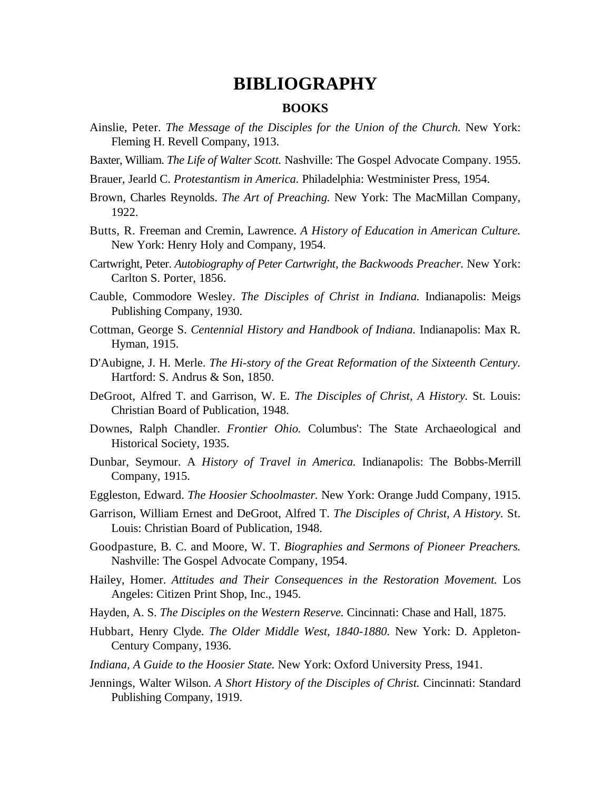## **BIBLIOGRAPHY**

#### **BOOKS**

- Ainslie, Peter. *The Message of the Disciples for the Union of the Church.* New York: Fleming H. Revell Company, 1913.
- Baxter, William. *The Life of Walter Scott.* Nashville: The Gospel Advocate Company. 1955.
- Brauer, Jearld C. *Protestantism in America.* Philadelphia: Westminister Press, 1954.
- Brown, Charles Reynolds. *The Art of Preaching.* New York: The MacMillan Company, 1922.
- Butts, R. Freeman and Cremin, Lawrence. *A History of Education in American Culture.* New York: Henry Holy and Company, 1954.
- Cartwright, Peter. *Autobiography of Peter Cartwright, the Backwoods Preacher.* New York: Carlton S. Porter, 1856.
- Cauble, Commodore Wesley. *The Disciples of Christ in Indiana.* Indianapolis: Meigs Publishing Company, 1930.
- Cottman, George S. *Centennial History and Handbook of Indiana.* Indianapolis: Max R. Hyman, 1915.
- D'Aubigne, J. H. Merle. *The Hi-story of the Great Reformation of the Sixteenth Century.* Hartford: S. Andrus & Son, 1850.
- DeGroot, Alfred T. and Garrison, W. E. *The Disciples of Christ, A History.* St. Louis: Christian Board of Publication, 1948.
- Downes, Ralph Chandler. *Frontier Ohio.* Columbus': The State Archaeological and Historical Society, 1935.
- Dunbar, Seymour. A *History of Travel in America.* Indianapolis: The Bobbs-Merrill Company, 1915.
- Eggleston, Edward. *The Hoosier Schoolmaster.* New York: Orange Judd Company, 1915.
- Garrison, William Ernest and DeGroot, Alfred T. *The Disciples of Christ, A History.* St. Louis: Christian Board of Publication, 1948.
- Goodpasture, B. C. and Moore, W. T. *Biographies and Sermons of Pioneer Preachers.* Nashville: The Gospel Advocate Company, 1954.
- Hailey, Homer. *Attitudes and Their Consequences in the Restoration Movement.* Los Angeles: Citizen Print Shop, Inc., 1945.
- Hayden, A. S. *The Disciples on the Western Reserve.* Cincinnati: Chase and Hall, 1875.
- Hubbart, Henry Clyde. *The Older Middle West, 1840-1880.* New York: D. Appleton-Century Company, 1936.
- *Indiana, A Guide to the Hoosier State.* New York: Oxford University Press, 1941.
- Jennings, Walter Wilson. *A Short History of the Disciples of Christ.* Cincinnati: Standard Publishing Company, 1919.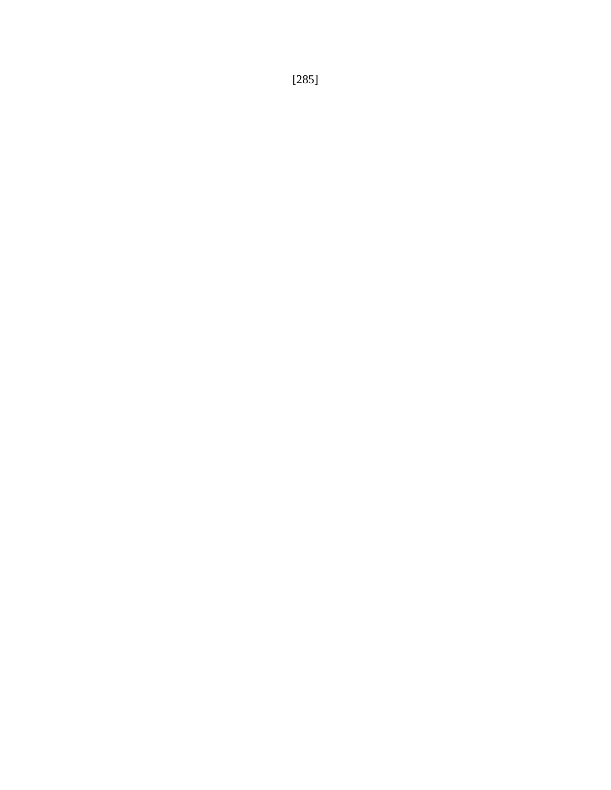[285]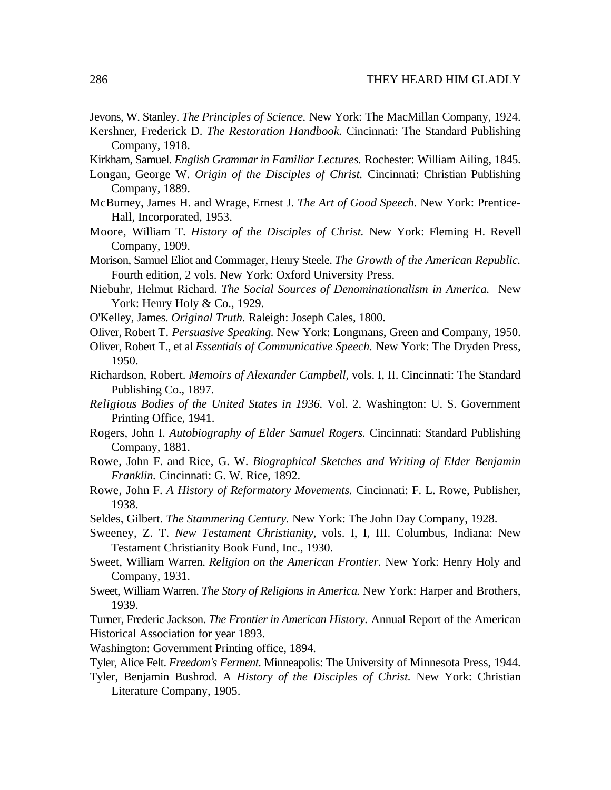- Jevons, W. Stanley. *The Principles of Science.* New York: The MacMillan Company, 1924.
- Kershner, Frederick D. *The Restoration Handbook.* Cincinnati: The Standard Publishing Company, 1918.
- Kirkham, Samuel. *English Grammar in Familiar Lectures.* Rochester: William Ailing, 1845.
- Longan, George W. *Origin of the Disciples of Christ.* Cincinnati: Christian Publishing Company, 1889.
- McBurney, James H. and Wrage, Ernest J. *The Art of Good Speech.* New York: Prentice-Hall, Incorporated, 1953.
- Moore, William T. *History of the Disciples of Christ.* New York: Fleming H. Revell Company, 1909.
- Morison, Samuel Eliot and Commager, Henry Steele. *The Growth of the American Republic.* Fourth edition, 2 vols. New York: Oxford University Press.
- Niebuhr, Helmut Richard. *The Social Sources of Denominationalism in America.* New York: Henry Holy & Co., 1929.
- O'Kelley, James. *Original Truth.* Raleigh: Joseph Cales, 1800.
- Oliver, Robert T. *Persuasive Speaking.* New York: Longmans, Green and Company, 1950.
- Oliver, Robert T., et al *Essentials of Communicative Speech.* New York: The Dryden Press, 1950.
- Richardson, Robert. *Memoirs of Alexander Campbell,* vols. I, II. Cincinnati: The Standard Publishing Co., 1897.
- *Religious Bodies of the United States in 1936.* Vol. 2. Washington: U. S. Government Printing Office, 1941.
- Rogers, John I. *Autobiography of Elder Samuel Rogers.* Cincinnati: Standard Publishing Company, 1881.
- Rowe, John F. and Rice, G. W. *Biographical Sketches and Writing of Elder Benjamin Franklin.* Cincinnati: G. W. Rice, 1892.
- Rowe, John F. *A History of Reformatory Movements.* Cincinnati: F. L. Rowe, Publisher, 1938.
- Seldes, Gilbert. *The Stammering Century.* New York: The John Day Company, 1928.
- Sweeney, Z. T. *New Testament Christianity,* vols. I, I, III. Columbus, Indiana: New Testament Christianity Book Fund, Inc., 1930.
- Sweet, William Warren. *Religion on the American Frontier.* New York: Henry Holy and Company, 1931.
- Sweet, William Warren. *The Story of Religions in America.* New York: Harper and Brothers, 1939.

Turner, Frederic Jackson. *The Frontier in American History.* Annual Report of the American Historical Association for year 1893.

Washington: Government Printing office, 1894.

- Tyler, Alice Felt. *Freedom's Ferment.* Minneapolis: The University of Minnesota Press, 1944.
- Tyler, Benjamin Bushrod. A *History of the Disciples of Christ.* New York: Christian Literature Company, 1905.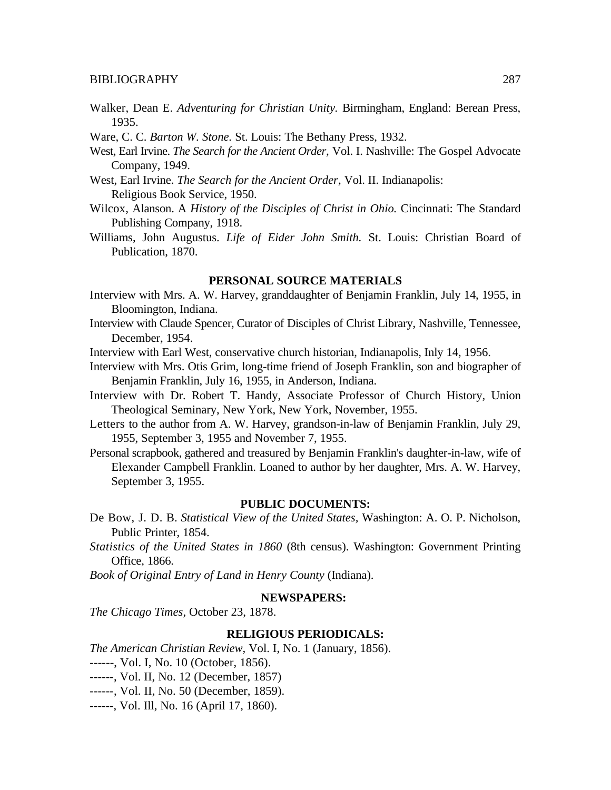- Walker, Dean E. *Adventuring for Christian Unity.* Birmingham, England: Berean Press, 1935.
- Ware, C. C. *Barton W. Stone.* St. Louis: The Bethany Press, 1932.
- West, Earl Irvine. *The Search for the Ancient Order,* Vol. I. Nashville: The Gospel Advocate Company, 1949.
- West, Earl Irvine. *The Search for the Ancient Order,* Vol. II. Indianapolis: Religious Book Service, 1950.
- Wilcox, Alanson. A *History of the Disciples of Christ in Ohio.* Cincinnati: The Standard Publishing Company, 1918.
- Williams, John Augustus. *Life of Eider John Smith.* St. Louis: Christian Board of Publication, 1870.

### **PERSONAL SOURCE MATERIALS**

- Interview with Mrs. A. W. Harvey, granddaughter of Benjamin Franklin, July 14, 1955, in Bloomington, Indiana.
- Interview with Claude Spencer, Curator of Disciples of Christ Library, Nashville, Tennessee, December, 1954.
- Interview with Earl West, conservative church historian, Indianapolis, Inly 14, 1956.
- Interview with Mrs. Otis Grim, long-time friend of Joseph Franklin, son and biographer of Benjamin Franklin, July 16, 1955, in Anderson, Indiana.
- Interview with Dr. Robert T. Handy, Associate Professor of Church History, Union Theological Seminary, New York, New York, November, 1955.
- Letters to the author from A. W. Harvey, grandson-in-law of Benjamin Franklin, July 29, 1955, September 3, 1955 and November 7, 1955.
- Personal scrapbook, gathered and treasured by Benjamin Franklin's daughter-in-law, wife of Elexander Campbell Franklin. Loaned to author by her daughter, Mrs. A. W. Harvey, September 3, 1955.

#### **PUBLIC DOCUMENTS:**

- De Bow, J. D. B. *Statistical View of the United States,* Washington: A. O. P. Nicholson, Public Printer, 1854.
- *Statistics of the United States in 1860* (8th census). Washington: Government Printing Office, 1866.

*Book of Original Entry of Land in Henry County* (Indiana).

#### **NEWSPAPERS:**

*The Chicago Times,* October 23, 1878.

### **RELIGIOUS PERIODICALS:**

*The American Christian Review,* Vol. I, No. 1 (January, 1856).

- ------, Vol. I, No. 10 (October, 1856).
- ------, Vol. II, No. 12 (December, 1857)
- ------, Vol. II, No. 50 (December, 1859).
- ------, Vol. Ill, No. 16 (April 17, 1860).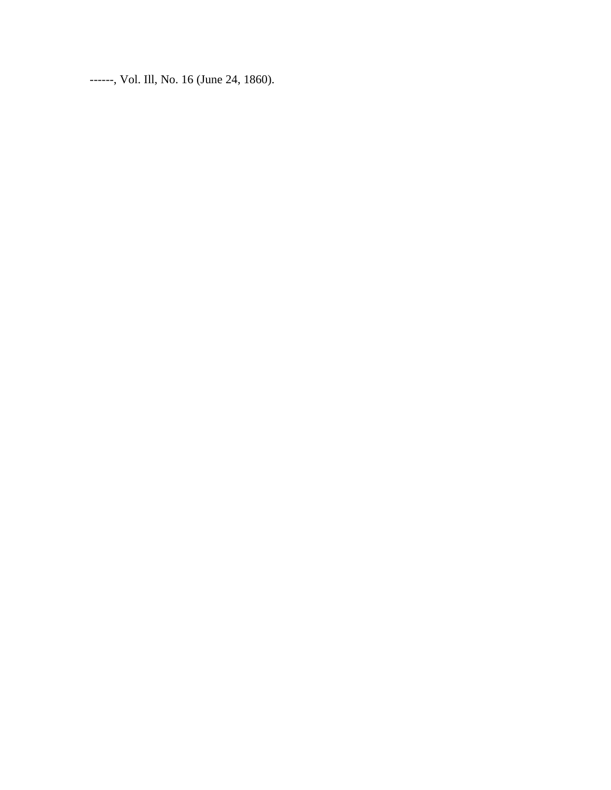------, Vol. Ill, No. 16 (June 24, 1860).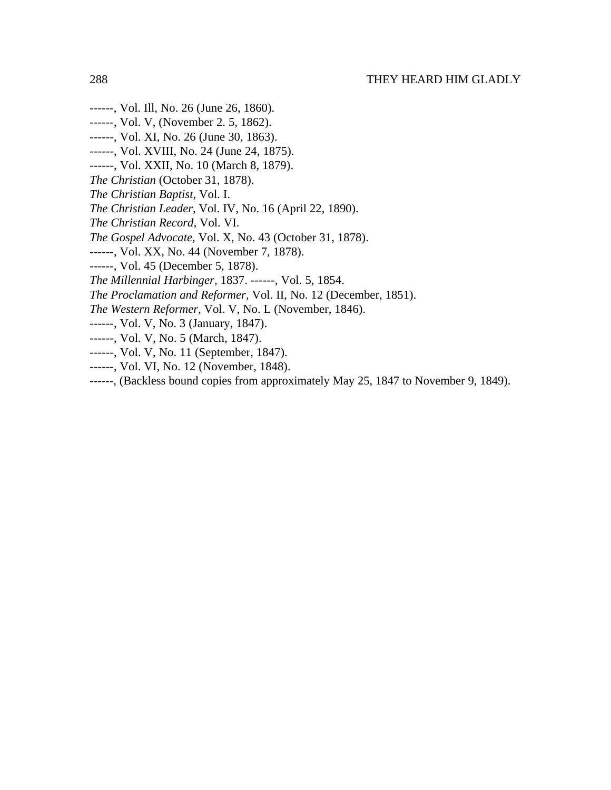- ------, Vol. Ill, No. 26 (June 26, 1860).
- ------, Vol. V, (November 2. 5, 1862).
- ------, Vol. XI, No. 26 (June 30, 1863).
- ------, Vol. XVIII, No. 24 (June 24, 1875).
- ------, Vol. XXII, No. 10 (March 8, 1879).
- *The Christian* (October 31, 1878).
- *The Christian Baptist,* Vol. I.
- *The Christian Leader,* Vol. IV, No. 16 (April 22, 1890).
- *The Christian Record,* Vol. VI.
- *The Gospel Advocate,* Vol. X, No. 43 (October 31, 1878).
- ------, Vol. XX, No. 44 (November 7, 1878).
- ------, Vol. 45 (December 5, 1878).
- *The Millennial Harbinger,* 1837. ------, Vol. 5, 1854.
- *The Proclamation and Reformer,* Vol. II, No. 12 (December, 1851).
- *The Western Reformer,* Vol. V, No. L (November, 1846).
- ------, Vol. V, No. 3 (January, 1847).
- ------, Vol. V, No. 5 (March, 1847).
- ------, Vol. V, No. 11 (September, 1847).
- ------, Vol. VI, No. 12 (November, 1848).
- ------, (Backless bound copies from approximately May 25, 1847 to November 9, 1849).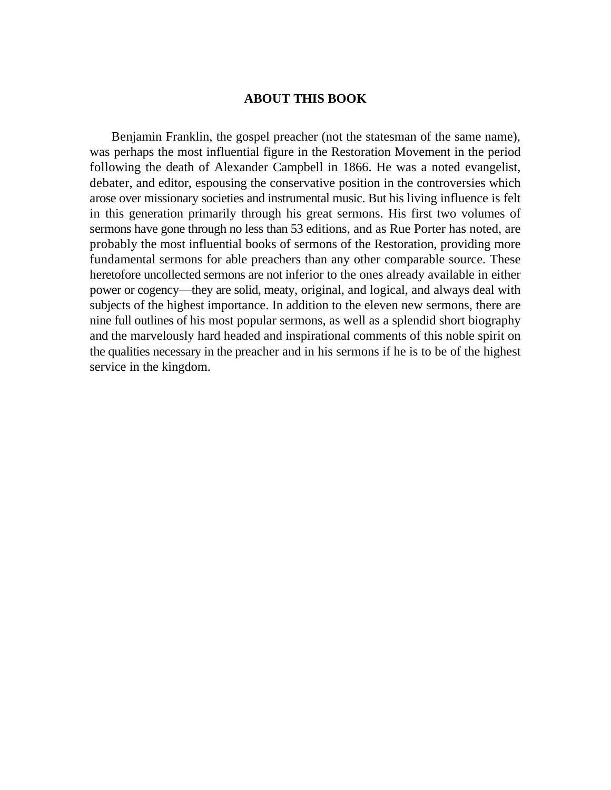### **ABOUT THIS BOOK**

Benjamin Franklin, the gospel preacher (not the statesman of the same name), was perhaps the most influential figure in the Restoration Movement in the period following the death of Alexander Campbell in 1866. He was a noted evangelist, debater, and editor, espousing the conservative position in the controversies which arose over missionary societies and instrumental music. But his living influence is felt in this generation primarily through his great sermons. His first two volumes of sermons have gone through no less than 53 editions, and as Rue Porter has noted, are probably the most influential books of sermons of the Restoration, providing more fundamental sermons for able preachers than any other comparable source. These heretofore uncollected sermons are not inferior to the ones already available in either power or cogency—they are solid, meaty, original, and logical, and always deal with subjects of the highest importance. In addition to the eleven new sermons, there are nine full outlines of his most popular sermons, as well as a splendid short biography and the marvelously hard headed and inspirational comments of this noble spirit on the qualities necessary in the preacher and in his sermons if he is to be of the highest service in the kingdom.